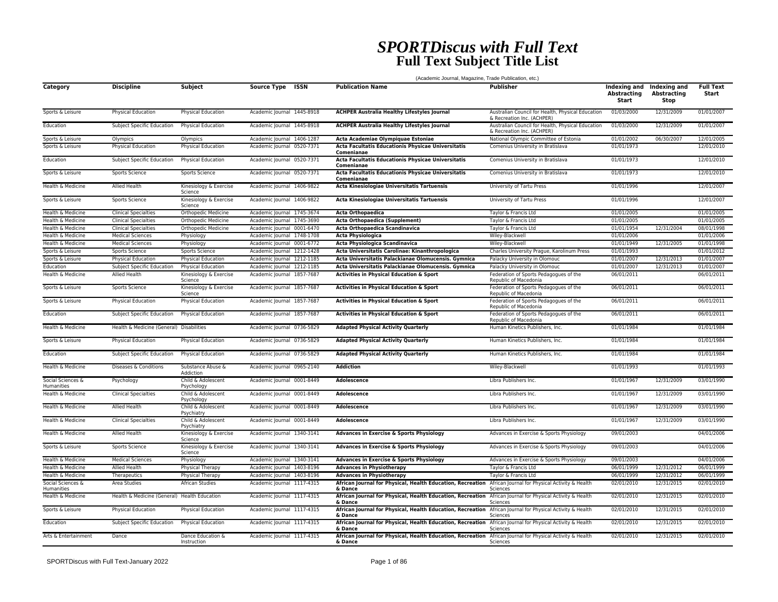## *SPORTDiscus with Full Text* **Full Text Subject Title List**

|                                 |                                              | (Academic Journal, Magazine, Trade Publication, etc.) |                            |      |                                                                                                                      |                                                                                 |                                    |                                                         |                           |  |  |  |
|---------------------------------|----------------------------------------------|-------------------------------------------------------|----------------------------|------|----------------------------------------------------------------------------------------------------------------------|---------------------------------------------------------------------------------|------------------------------------|---------------------------------------------------------|---------------------------|--|--|--|
| Category                        | <b>Discipline</b>                            | Subject                                               | <b>Source Type</b>         | ISSN | <b>Publication Name</b>                                                                                              | <b>Publisher</b>                                                                | <b>Abstracting</b><br><b>Start</b> | Indexing and Indexing and<br><b>Abstracting</b><br>Stop | <b>Full Text</b><br>Start |  |  |  |
| Sports & Leisure                | Physical Education                           | <b>Physical Education</b>                             | Academic Journal 1445-8918 |      | <b>ACHPER Australia Healthy Lifestyles Journal</b>                                                                   | Australian Council for Health, Physical Education<br>& Recreation Inc. (ACHPER) | 01/03/2000                         | 12/31/2009                                              | 01/01/2007                |  |  |  |
| Education                       | Subject Specific Education                   | <b>Physical Education</b>                             | Academic Journal 1445-8918 |      | <b>ACHPER Australia Healthy Lifestyles Journal</b>                                                                   | Australian Council for Health, Physical Education<br>& Recreation Inc. (ACHPER) | 01/03/2000                         | 12/31/2009                                              | 01/01/2007                |  |  |  |
| Sports & Leisure                | Olympics                                     | Olympics                                              | Academic Journal 1406-1287 |      | Acta Academiae Olympiquae Estoniae                                                                                   | National Olympic Committee of Estonia                                           | 01/01/2002                         | 06/30/2007                                              | 12/01/2005                |  |  |  |
| Sports & Leisure                | Physical Education                           | <b>Physical Education</b>                             | Academic Journal 0520-7371 |      | Acta Facultatis Educationis Physicae Universitatis<br>Comenianae                                                     | Comenius University in Bratislava                                               | 01/01/1973                         |                                                         | 12/01/2010                |  |  |  |
| Education                       | Subject Specific Education                   | <b>Physical Education</b>                             | Academic Journal 0520-7371 |      | Acta Facultatis Educationis Physicae Universitatis<br>Comenianae                                                     | Comenius University in Bratislava                                               | 01/01/1973                         |                                                         | 12/01/2010                |  |  |  |
| Sports & Leisure                | Sports Science                               | Sports Science                                        | Academic Journal 0520-7371 |      | Acta Facultatis Educationis Physicae Universitatis<br>Comenianae                                                     | Comenius University in Bratislava                                               | 01/01/1973                         |                                                         | 12/01/2010                |  |  |  |
| Health & Medicine               | Allied Health                                | Kinesiology & Exercise<br>Science                     | Academic Journal 1406-9822 |      | Acta Kinesiologiae Universitatis Tartuensis                                                                          | University of Tartu Press                                                       | 01/01/1996                         |                                                         | 12/01/2007                |  |  |  |
| Sports & Leisure                | Sports Science                               | Kinesiology & Exercise<br>Science                     | Academic Journal 1406-9822 |      | Acta Kinesiologiae Universitatis Tartuensis                                                                          | University of Tartu Press                                                       | 01/01/1996                         |                                                         | 12/01/2007                |  |  |  |
| Health & Medicine               | <b>Clinical Specialties</b>                  | <b>Orthopedic Medicine</b>                            | Academic Journal 1745-3674 |      | <b>Acta Orthopaedica</b>                                                                                             | Taylor & Francis Ltd                                                            | 01/01/2005                         |                                                         | 01/01/2005                |  |  |  |
| Health & Medicine               | <b>Clinical Specialties</b>                  | Orthopedic Medicine                                   | Academic Journal 1745-3690 |      | Acta Orthopaedica (Supplement)                                                                                       | Taylor & Francis Ltd                                                            | 01/01/2005                         |                                                         | 01/01/2005                |  |  |  |
| Health & Medicine               | <b>Clinical Specialties</b>                  | Orthopedic Medicine                                   | Academic Journal 0001-6470 |      | Acta Orthopaedica Scandinavica                                                                                       | Taylor & Francis Ltd                                                            | 01/01/1954                         | 12/31/2004                                              | 08/01/1998                |  |  |  |
| Health & Medicine               | <b>Medical Sciences</b>                      | Physiology                                            | Academic Journal 1748-1708 |      | <b>Acta Physiologica</b>                                                                                             | Wiley-Blackwell                                                                 | 01/01/2006                         |                                                         | 01/01/2006                |  |  |  |
| Health & Medicine               | <b>Medical Sciences</b>                      | Physiology                                            | Academic Journal 0001-6772 |      | Acta Physiologica Scandinavica                                                                                       | Wiley-Blackwell                                                                 | 01/01/1949                         | 12/31/2005                                              | 01/01/1998                |  |  |  |
| Sports & Leisure                | Sports Science                               | Sports Science                                        | Academic Journal 1212-1428 |      | Acta Universitatis Carolinae: Kinanthropologica                                                                      | Charles University Prague, Karolinum Press                                      | 01/01/1993                         |                                                         | 01/01/2012                |  |  |  |
| Sports & Leisure                | <b>Physical Education</b>                    | <b>Physical Education</b>                             | Academic Journal 1212-1185 |      | Acta Universitatis Palackianae Olomucensis. Gymnica                                                                  | Palacky University in Olomouc                                                   | 01/01/2007                         | 12/31/2013                                              | 01/01/2007                |  |  |  |
| Education                       | Subject Specific Education                   | <b>Physical Education</b>                             | Academic Journal 1212-1185 |      | Acta Universitatis Palackianae Olomucensis. Gymnica                                                                  | Palacky University in Olomouc                                                   | 01/01/2007                         | 12/31/2013                                              | 01/01/2007                |  |  |  |
| Health & Medicine               | Allied Health                                | Kinesiology & Exercise<br>Science                     | Academic Journal 1857-7687 |      | <b>Activities in Physical Education &amp; Sport</b>                                                                  | Federation of Sports Pedagogues of the<br>Republic of Macedonia                 | 06/01/2011                         |                                                         | 06/01/2011                |  |  |  |
| Sports & Leisure                | Sports Science                               | Kinesiology & Exercise<br>Science                     | Academic Journal 1857-7687 |      | Activities in Physical Education & Sport                                                                             | Federation of Sports Pedagogues of the<br>Republic of Macedonia                 | 06/01/2011                         |                                                         | 06/01/2011                |  |  |  |
| Sports & Leisure                | Physical Education                           | Physical Education                                    | Academic Journal 1857-7687 |      | Activities in Physical Education & Sport                                                                             | Federation of Sports Pedagogues of the<br>Republic of Macedonia                 | 06/01/2011                         |                                                         | 06/01/2011                |  |  |  |
| Education                       | Subject Specific Education                   | <b>Physical Education</b>                             | Academic Journal 1857-7687 |      | Activities in Physical Education & Sport                                                                             | Federation of Sports Pedagogues of the<br>Republic of Macedonia                 | 06/01/2011                         |                                                         | 06/01/2011                |  |  |  |
| Health & Medicine               | Health & Medicine (General) Disabilities     |                                                       | Academic Journal 0736-5829 |      | <b>Adapted Physical Activity Quarterly</b>                                                                           | Human Kinetics Publishers, Inc.                                                 | 01/01/1984                         |                                                         | 01/01/1984                |  |  |  |
| Sports & Leisure                | Physical Education                           | Physical Education                                    | Academic Journal 0736-5829 |      | <b>Adapted Physical Activity Quarterly</b>                                                                           | Human Kinetics Publishers, Inc.                                                 | 01/01/1984                         |                                                         | 01/01/1984                |  |  |  |
| Education                       | Subject Specific Education                   | Physical Education                                    | Academic Journal 0736-5829 |      | <b>Adapted Physical Activity Quarterly</b>                                                                           | Human Kinetics Publishers, Inc.                                                 | 01/01/1984                         |                                                         | 01/01/1984                |  |  |  |
| Health & Medicine               | Diseases & Conditions                        | Substance Abuse &<br>Addiction                        | Academic Journal 0965-2140 |      | <b>Addiction</b>                                                                                                     | Wiley-Blackwell                                                                 | 01/01/1993                         |                                                         | 01/01/1993                |  |  |  |
| Social Sciences &<br>Humanities | Psychology                                   | Child & Adolescent<br>Psychology                      | Academic Journal 0001-8449 |      | <b>Adolescence</b>                                                                                                   | Libra Publishers Inc.                                                           | 01/01/1967                         | 12/31/2009                                              | 03/01/1990                |  |  |  |
| Health & Medicine               | <b>Clinical Specialties</b>                  | Child & Adolescent<br>Psychology                      | Academic Journal 0001-8449 |      | <b>Adolescence</b>                                                                                                   | Libra Publishers Inc.                                                           | 01/01/1967                         | 12/31/2009                                              | 03/01/1990                |  |  |  |
| Health & Medicine               | Allied Health                                | Child & Adolescent<br>Psychiatry                      | Academic Journal 0001-8449 |      | Adolescence                                                                                                          | Libra Publishers Inc.                                                           | 01/01/1967                         | 12/31/2009                                              | 03/01/1990                |  |  |  |
| Health & Medicine               | <b>Clinical Specialties</b>                  | Child & Adolescent<br>Psychiatry                      | Academic Journal 0001-8449 |      | <b>Adolescence</b>                                                                                                   | Libra Publishers Inc.                                                           | 01/01/1967                         | 12/31/2009                                              | 03/01/1990                |  |  |  |
| Health & Medicine               | Allied Health                                | Kinesiology & Exercise<br>Science                     | Academic Journal 1340-3141 |      | <b>Advances in Exercise &amp; Sports Physiology</b>                                                                  | Advances in Exercise & Sports Physiology                                        | 09/01/2003                         |                                                         | 04/01/2006                |  |  |  |
| Sports & Leisure                | Sports Science                               | Kinesiology & Exercise<br>Science                     | Academic Journal 1340-3141 |      | <b>Advances in Exercise &amp; Sports Physiology</b>                                                                  | Advances in Exercise & Sports Physiology                                        | 09/01/2003                         |                                                         | 04/01/2006                |  |  |  |
| Health & Medicine               | <b>Medical Sciences</b>                      | Physiology                                            | Academic Journal 1340-3141 |      | <b>Advances in Exercise &amp; Sports Physiology</b>                                                                  | Advances in Exercise & Sports Physiology                                        | 09/01/2003                         |                                                         | 04/01/2006                |  |  |  |
| Health & Medicine               | <b>Allied Health</b>                         | Physical Therapy                                      | Academic Journal 1403-8196 |      | <b>Advances in Physiotherapy</b>                                                                                     | Taylor & Francis Ltd                                                            | 06/01/1999                         | 12/31/2012                                              | 06/01/1999                |  |  |  |
| Health & Medicine               | Therapeutics                                 | Physical Therapy                                      | Academic Journal 1403-8196 |      | <b>Advances in Physiotherapy</b>                                                                                     | Taylor & Francis Ltd                                                            | 06/01/1999                         | 12/31/2012                                              | 06/01/1999                |  |  |  |
| Social Sciences &<br>Humanities | Area Studies                                 | <b>African Studies</b>                                | Academic Journal 1117-4315 |      | African Journal for Physical, Health Education, Recreation<br>& Dance                                                | African Journal for Physical Activity & Health<br>Sciences                      | 02/01/2010                         | 12/31/2015                                              | 02/01/2010                |  |  |  |
| Health & Medicine               | Health & Medicine (General) Health Education |                                                       | Academic Journal 1117-4315 |      | African Journal for Physical, Health Education, Recreation<br>& Dance                                                | African Journal for Physical Activity & Health<br>Sciences                      | 02/01/2010                         | 12/31/2015                                              | 02/01/2010                |  |  |  |
| Sports & Leisure                | Physical Education                           | Physical Education                                    | Academic Journal 1117-4315 |      | African Journal for Physical, Health Education, Recreation<br>& Dance                                                | African Journal for Physical Activity & Health<br>Sciences                      | 02/01/2010                         | 12/31/2015                                              | 02/01/2010                |  |  |  |
| Education                       | Subject Specific Education                   | Physical Education                                    | Academic Journal 1117-4315 |      | African Journal for Physical, Health Education, Recreation African Journal for Physical Activity & Health<br>& Dance | Sciences                                                                        | 02/01/2010                         | 12/31/2015                                              | 02/01/2010                |  |  |  |
| Arts & Entertainment            | Dance                                        | Dance Education &<br>Instruction                      | Academic Journal 1117-4315 |      | African Journal for Physical, Health Education, Recreation African Journal for Physical Activity & Health<br>& Dance | Sciences                                                                        | 02/01/2010                         | 12/31/2015                                              | 02/01/2010                |  |  |  |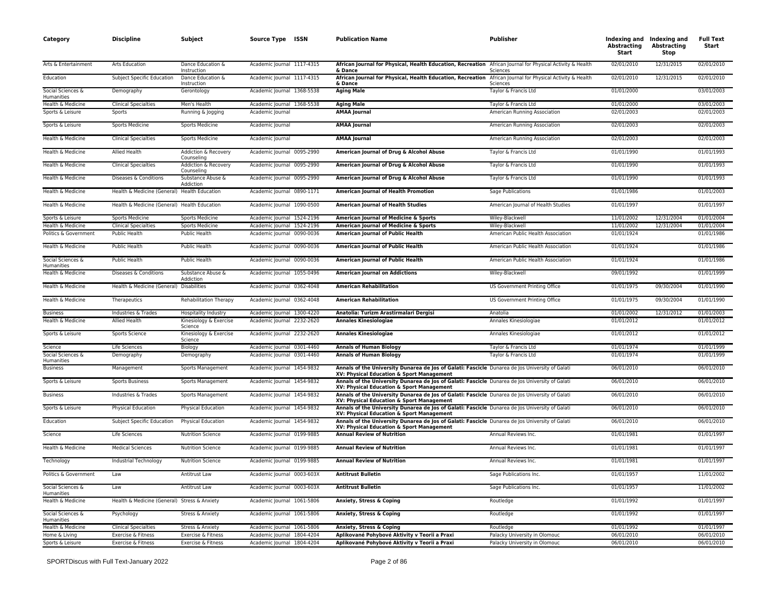| Category                               | <b>Discipline</b>                            | Subject                                        | Source Type ISSN                                         | <b>Publication Name</b>                                                                                                                                                           | <b>Publisher</b>                   | <b>Abstracting</b><br>Start | Indexing and Indexing and<br><b>Abstracting</b><br>Stop | <b>Full Text</b><br>Start |
|----------------------------------------|----------------------------------------------|------------------------------------------------|----------------------------------------------------------|-----------------------------------------------------------------------------------------------------------------------------------------------------------------------------------|------------------------------------|-----------------------------|---------------------------------------------------------|---------------------------|
| Arts & Entertainment                   | <b>Arts Education</b>                        | Dance Education &<br>Instruction               | Academic Journal 1117-4315                               | African Journal for Physical, Health Education, Recreation African Journal for Physical Activity & Health<br>& Dance                                                              | Sciences                           | 02/01/2010                  | 12/31/2015                                              | 02/01/2010                |
| Education                              | Subject Specific Education                   | Dance Education &<br>Instruction               | Academic Journal 1117-4315                               | African Journal for Physical, Health Education, Recreation African Journal for Physical Activity & Health<br>& Dance                                                              | Sciences                           | 02/01/2010                  | 12/31/2015                                              | 02/01/2010                |
| Social Sciences &<br>Humanities        | Demography                                   | Gerontology                                    | Academic Journal 1368-5538                               | <b>Aging Male</b>                                                                                                                                                                 | Taylor & Francis Ltd               | 01/01/2000                  |                                                         | 03/01/2003                |
| Health & Medicine                      | <b>Clinical Specialties</b>                  | Men's Health                                   | Academic Journal 1368-5538                               | <b>Aging Male</b>                                                                                                                                                                 | Taylor & Francis Ltd               | 01/01/2000                  |                                                         | 03/01/2003                |
| Sports & Leisure                       | Sports                                       | Running & Jogging                              | Academic Journal                                         | <b>AMAA Journal</b>                                                                                                                                                               | American Running Association       | 02/01/2003                  |                                                         | 02/01/2003                |
| Sports & Leisure                       | <b>Sports Medicine</b>                       | Sports Medicine                                | Academic Journal                                         | <b>AMAA Journal</b>                                                                                                                                                               | American Running Association       | 02/01/2003                  |                                                         | 02/01/2003                |
| Health & Medicine                      | <b>Clinical Specialties</b>                  | Sports Medicine                                | Academic Journal                                         | <b>AMAA Journal</b>                                                                                                                                                               | American Running Association       | 02/01/2003                  |                                                         | 02/01/2003                |
| Health & Medicine                      | Allied Health                                | Addiction & Recovery<br>Counseling             | Academic Journal 0095-2990                               | American Journal of Drug & Alcohol Abuse                                                                                                                                          | Taylor & Francis Ltd               | 01/01/1990                  |                                                         | 01/01/1993                |
| Health & Medicine                      | <b>Clinical Specialties</b>                  | Addiction & Recovery<br>Counseling             | Academic Journal 0095-2990                               | American Journal of Drug & Alcohol Abuse                                                                                                                                          | Taylor & Francis Ltd               | 01/01/1990                  |                                                         | 01/01/1993                |
| Health & Medicine                      | Diseases & Conditions                        | Substance Abuse &<br>Addiction                 | Academic Journal 0095-2990                               | American Journal of Drug & Alcohol Abuse                                                                                                                                          | Taylor & Francis Ltd               | 01/01/1990                  |                                                         | 01/01/1993                |
| Health & Medicine                      | Health & Medicine (General) Health Education |                                                | Academic Journal 0890-1171                               | American Journal of Health Promotion                                                                                                                                              | Sage Publications                  | 01/01/1986                  |                                                         | 01/01/2003                |
| Health & Medicine                      | Health & Medicine (General) Health Education |                                                | Academic Journal 1090-0500                               | <b>American Journal of Health Studies</b>                                                                                                                                         | American Journal of Health Studies | 01/01/1997                  |                                                         | 01/01/1997                |
| Sports & Leisure                       | <b>Sports Medicine</b>                       | <b>Sports Medicine</b>                         | Academic Journal 1524-2196                               | American Journal of Medicine & Sports                                                                                                                                             | Wiley-Blackwell                    | 11/01/2002                  | 12/31/2004                                              | 01/01/2004                |
| Health & Medicine                      | <b>Clinical Specialties</b>                  | Sports Medicine                                | Academic Journal 1524-2196                               | American Journal of Medicine & Sports                                                                                                                                             | Wiley-Blackwell                    | 11/01/2002                  | 12/31/2004                                              | 01/01/2004                |
| Politics & Government                  | Public Health                                | <b>Public Health</b>                           | Academic Journal 0090-0036                               | <b>American Journal of Public Health</b>                                                                                                                                          | American Public Health Association | 01/01/1924                  |                                                         | 01/01/1986                |
| Health & Medicine                      | <b>Public Health</b>                         | Public Health                                  | Academic Journal 0090-0036                               | American Journal of Public Health                                                                                                                                                 | American Public Health Association | 01/01/1924                  |                                                         | 01/01/1986                |
| Social Sciences &<br><b>Humanities</b> | Public Health                                | Public Health                                  | Academic Journal 0090-0036                               | American Journal of Public Health                                                                                                                                                 | American Public Health Association | 01/01/1924                  |                                                         | 01/01/1986                |
| Health & Medicine                      | Diseases & Conditions                        | Substance Abuse &<br>Addiction                 | Academic Journal 1055-0496                               | <b>American Journal on Addictions</b>                                                                                                                                             | Wiley-Blackwell                    | 09/01/1992                  |                                                         | 01/01/1999                |
| Health & Medicine                      | Health & Medicine (General)                  | <b>Disabilities</b>                            | Academic Journal 0362-4048                               | <b>American Rehabilitation</b>                                                                                                                                                    | US Government Printing Office      | 01/01/1975                  | 09/30/2004                                              | 01/01/1990                |
| Health & Medicine                      | Therapeutics                                 | <b>Rehabilitation Therapy</b>                  | Academic Journal 0362-4048                               | <b>American Rehabilitation</b>                                                                                                                                                    | US Government Printing Office      | 01/01/1975                  | 09/30/2004                                              | 01/01/1990                |
| <b>Business</b>                        | Industries & Trades                          | Hospitality Industry                           | Academic Journal 1300-4220                               | Anatolia: Turizm Arastirmalari Dergisi                                                                                                                                            | Anatolia                           | 01/01/2002                  | 12/31/2012                                              | 01/01/2003                |
| Health & Medicine                      | <b>Allied Health</b>                         | Kinesiology & Exercise<br>Science              | Academic Journal 2232-2620                               | <b>Annales Kinesiologiae</b>                                                                                                                                                      | Annales Kinesiologiae              | 01/01/2012                  |                                                         | 01/01/2012                |
| Sports & Leisure                       | Sports Science                               | Kinesiology & Exercise<br>Science              | Academic Journal 2232-2620                               | <b>Annales Kinesiologiae</b>                                                                                                                                                      | Annales Kinesiologiae              | 01/01/2012                  |                                                         | 01/01/2012                |
| Science                                | Life Sciences                                | Biology                                        | Academic Journal 0301-4460                               | <b>Annals of Human Biology</b>                                                                                                                                                    | Taylor & Francis Ltd               | 01/01/1974                  |                                                         | 01/01/1999                |
| Social Sciences &<br>Humanities        | Demography                                   | Demography                                     | Academic Journal 0301-4460                               | <b>Annals of Human Biology</b>                                                                                                                                                    | Taylor & Francis Ltd               | 01/01/1974                  |                                                         | 01/01/1999                |
| <b>Business</b>                        | Management                                   | Sports Management                              | Academic Journal 1454-9832                               | Annals of the University Dunarea de Jos of Galati: Fascicle Dunarea de Jos University of Galati<br>XV: Physical Education & Sport Management                                      |                                    | 06/01/2010                  |                                                         | 06/01/2010                |
| Sports & Leisure                       | <b>Sports Business</b>                       | Sports Management                              | Academic Journal 1454-9832                               | Annals of the University Dunarea de Jos of Galati: Fascicle Dunarea de Jos University of Galati<br>XV: Physical Education & Sport Management                                      |                                    | 06/01/2010                  |                                                         | 06/01/2010                |
| <b>Business</b>                        | Industries & Trades                          | Sports Management                              | Academic Journal 1454-9832                               | Annals of the University Dunarea de Jos of Galati: Fascicle Dunarea de Jos University of Galati<br>XV: Physical Education & Sport Management                                      |                                    | 06/01/2010                  |                                                         | 06/01/2010                |
| Sports & Leisure                       | <b>Physical Education</b>                    | Physical Education                             | Academic Journal 1454-9832                               | Annals of the University Dunarea de Jos of Galati: Fascicle Dunarea de Jos University of Galati<br>XV: Physical Education & Sport Management                                      |                                    | 06/01/2010                  |                                                         | 06/01/2010                |
| Education<br>Science                   | Subject Specific Education<br>Life Sciences  | Physical Education<br><b>Nutrition Science</b> | Academic Journal 1454-9832<br>Academic Journal 0199-9885 | Annals of the University Dunarea de Jos of Galati: Fascicle Dunarea de Jos University of Galati<br>XV: Physical Education & Sport Management<br><b>Annual Review of Nutrition</b> | Annual Reviews Inc.                | 06/01/2010<br>01/01/1981    |                                                         | 06/01/2010<br>01/01/1997  |
| Health & Medicine                      | <b>Medical Sciences</b>                      | <b>Nutrition Science</b>                       | Academic Journal 0199-9885                               | <b>Annual Review of Nutrition</b>                                                                                                                                                 |                                    | 01/01/1981                  |                                                         | 01/01/1997                |
|                                        |                                              |                                                |                                                          | <b>Annual Review of Nutrition</b>                                                                                                                                                 | Annual Reviews Inc.                |                             |                                                         | 01/01/1997                |
| Technology<br>Politics & Government    | Industrial Technology<br>Law                 | <b>Nutrition Science</b><br>Antitrust Law      | Academic Journal 0199-9885<br>Academic Journal 0003-603X | <b>Antitrust Bulletin</b>                                                                                                                                                         | Annual Reviews Inc.                | 01/01/1981<br>01/01/1957    |                                                         | 11/01/2002                |
| Social Sciences &                      | Law                                          | Antitrust Law                                  |                                                          | <b>Antitrust Bulletin</b>                                                                                                                                                         | Sage Publications Inc.             |                             |                                                         | 11/01/2002                |
| Humanities<br>Health & Medicine        |                                              |                                                | Academic Journal 0003-603X                               |                                                                                                                                                                                   | Sage Publications Inc.             | 01/01/1957                  |                                                         | 01/01/1997                |
|                                        | Health & Medicine (General) Stress & Anxiety |                                                | Academic Journal 1061-5806                               | Anxiety, Stress & Coping                                                                                                                                                          | Routledge                          | 01/01/1992                  |                                                         |                           |
| Social Sciences &<br>Humanities        | Psychology                                   | Stress & Anxiety                               | Academic Journal 1061-5806                               | Anxiety, Stress & Coping                                                                                                                                                          | Routledge                          | 01/01/1992                  |                                                         | 01/01/1997                |
| Health & Medicine                      | <b>Clinical Specialties</b>                  | Stress & Anxiety                               | Academic Journal 1061-5806                               | Anxiety, Stress & Coping                                                                                                                                                          | Routledge                          | 01/01/1992                  |                                                         | 01/01/1997                |
| Home & Living                          | Exercise & Fitness                           | Exercise & Fitness                             | Academic Journal 1804-4204                               | Aplikované Pohybové Aktivity v Teorii a Praxi                                                                                                                                     | Palacky University in Olomouc      | 06/01/2010                  |                                                         | 06/01/2010                |
| Sports & Leisure                       | Exercise & Fitness                           | Exercise & Fitness                             | Academic Journal 1804-4204                               | Aplikované Pohybové Aktivity v Teorii a Praxi                                                                                                                                     | Palacky University in Olomouc      | 06/01/2010                  |                                                         | 06/01/2010                |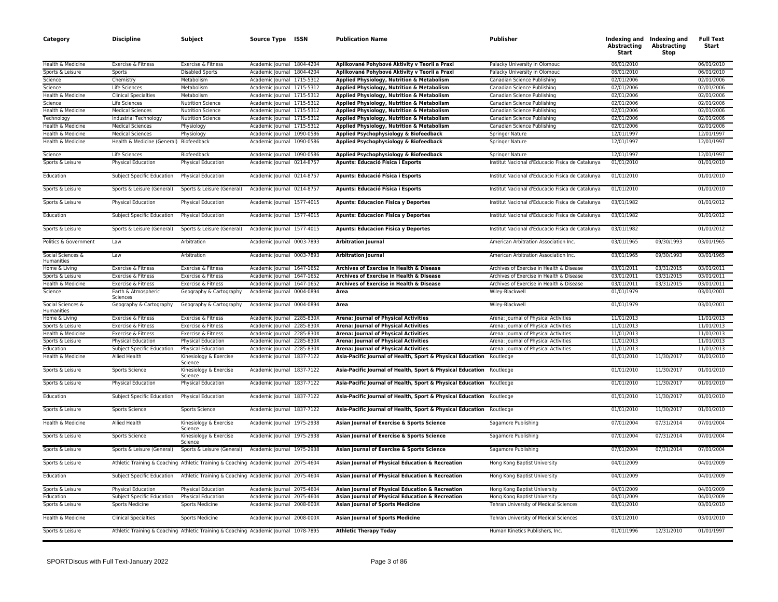| Category                        | <b>Discipline</b>                       | Subject                                                                              | Source Type ISSN           | <b>Publication Name</b>                                              | <b>Publisher</b>                                 | <b>Abstracting</b><br>Start | Indexing and Indexing and<br><b>Abstracting</b><br>Stop | <b>Full Text</b><br>Start |
|---------------------------------|-----------------------------------------|--------------------------------------------------------------------------------------|----------------------------|----------------------------------------------------------------------|--------------------------------------------------|-----------------------------|---------------------------------------------------------|---------------------------|
| Health & Medicine               | Exercise & Fitness                      | Exercise & Fitness                                                                   | Academic Journal 1804-4204 | Aplikované Pohybové Aktivity v Teorii a Praxi                        | Palacky University in Olomouc                    | 06/01/2010                  |                                                         | 06/01/2010                |
| Sports & Leisure                | Sports                                  | <b>Disabled Sports</b>                                                               | Academic Journal 1804-4204 | Aplikované Pohybové Aktivity v Teorii a Praxi                        | Palacky University in Olomouc                    | 06/01/2010                  |                                                         | 06/01/2010                |
| Science                         | Chemistry                               | Metabolism                                                                           | Academic Journal 1715-5312 | Applied Physiology, Nutrition & Metabolism                           | Canadian Science Publishing                      | 02/01/2006                  |                                                         | 02/01/2006                |
| Science                         | Life Sciences                           | Metabolism                                                                           | Academic Journal 1715-5312 | Applied Physiology, Nutrition & Metabolism                           | Canadian Science Publishing                      | 02/01/2006                  |                                                         | 02/01/2006                |
| Health & Medicine               | <b>Clinical Specialties</b>             | Metabolism                                                                           | Academic Journal 1715-5312 | Applied Physiology, Nutrition & Metabolism                           | Canadian Science Publishing                      | 02/01/2006                  |                                                         | 02/01/2006                |
| Science                         | Life Sciences                           | <b>Nutrition Science</b>                                                             | Academic Journal 1715-5312 | Applied Physiology, Nutrition & Metabolism                           | Canadian Science Publishing                      | 02/01/2006                  |                                                         | 02/01/2006                |
| Health & Medicine               | <b>Medical Sciences</b>                 | <b>Nutrition Science</b>                                                             | Academic Journal 1715-5312 | Applied Physiology, Nutrition & Metabolism                           | Canadian Science Publishing                      | 02/01/2006                  |                                                         | 02/01/2006                |
| Technology                      | Industrial Technology                   | <b>Nutrition Science</b>                                                             | Academic Journal 1715-5312 | Applied Physiology, Nutrition & Metabolism                           | Canadian Science Publishing                      | 02/01/2006                  |                                                         | 02/01/2006                |
| Health & Medicine               | <b>Medical Sciences</b>                 | Physiology                                                                           | Academic Journal 1715-5312 | Applied Physiology, Nutrition & Metabolism                           | Canadian Science Publishing                      | 02/01/2006                  |                                                         | 02/01/2006                |
| Health & Medicine               | <b>Medical Sciences</b>                 | Physiology                                                                           | Academic Journal 1090-0586 | Applied Psychophysiology & Biofeedback                               | Springer Nature                                  | 12/01/1997                  |                                                         | 12/01/1997                |
| Health & Medicine               | Health & Medicine (General) Biofeedback |                                                                                      | Academic Journal 1090-0586 | Applied Psychophysiology & Biofeedback                               | Springer Nature                                  | 12/01/1997                  |                                                         | 12/01/1997                |
| Science                         | Life Sciences                           | Biofeedback                                                                          | Academic Journal 1090-0586 | Applied Psychophysiology & Biofeedback                               | Springer Nature                                  | 12/01/1997                  |                                                         | 12/01/1997                |
| Sports & Leisure                | Physical Education                      | <b>Physical Education</b>                                                            | Academic Journal 0214-8757 | Apunts: Educació Física i Esports                                    | Institut Nacional d'Educacio Fisica de Catalunya | 01/01/2010                  |                                                         | 01/01/2010                |
| Education                       | Subject Specific Education              | Physical Education                                                                   | Academic Journal 0214-8757 | Apunts: Educació Física i Esports                                    | Institut Nacional d'Educacio Fisica de Catalunya | 01/01/2010                  |                                                         | 01/01/2010                |
| Sports & Leisure                | Sports & Leisure (General)              | Sports & Leisure (General)                                                           | Academic Journal 0214-8757 | Apunts: Educació Física i Esports                                    | Institut Nacional d'Educacio Fisica de Catalunya | 01/01/2010                  |                                                         | 01/01/2010                |
| Sports & Leisure                | Physical Education                      | Physical Education                                                                   | Academic Journal 1577-4015 | <b>Apunts: Educacion Fisica y Deportes</b>                           | Institut Nacional d'Educacio Fisica de Catalunya | 03/01/1982                  |                                                         | 01/01/2012                |
| Education                       | Subject Specific Education              | Physical Education                                                                   | Academic Journal 1577-4015 | <b>Apunts: Educacion Fisica y Deportes</b>                           | Institut Nacional d'Educacio Fisica de Catalunya | 03/01/1982                  |                                                         | 01/01/2012                |
| Sports & Leisure                | Sports & Leisure (General)              | Sports & Leisure (General)                                                           | Academic Journal 1577-4015 | <b>Apunts: Educacion Fisica y Deportes</b>                           | Institut Nacional d'Educacio Fisica de Catalunya | 03/01/1982                  |                                                         | 01/01/2012                |
| Politics & Government           | Law                                     | Arbitration                                                                          | Academic Journal 0003-7893 | <b>Arbitration Journal</b>                                           | American Arbitration Association Inc.            | 03/01/1965                  | 09/30/1993                                              | 03/01/1965                |
| Social Sciences &<br>Humanities | Law                                     | Arbitration                                                                          | Academic Journal 0003-7893 | <b>Arbitration Journal</b>                                           | American Arbitration Association Inc.            | 03/01/1965                  | 09/30/1993                                              | 03/01/1965                |
| Home & Living                   | Exercise & Fitness                      | Exercise & Fitness                                                                   | Academic Journal 1647-1652 | Archives of Exercise in Health & Disease                             | Archives of Exercise in Health & Disease         | 03/01/2011                  | 03/31/2015                                              | 03/01/2011                |
| Sports & Leisure                | Exercise & Fitness                      | Exercise & Fitness                                                                   | Academic Journal 1647-1652 | Archives of Exercise in Health & Disease                             | Archives of Exercise in Health & Disease         | 03/01/2011                  | 03/31/2015                                              | 03/01/2011                |
| Health & Medicine               | Exercise & Fitness                      | Exercise & Fitness                                                                   | Academic Journal 1647-1652 | Archives of Exercise in Health & Disease                             | Archives of Exercise in Health & Disease         | 03/01/2011                  | 03/31/2015                                              | 03/01/2011                |
| Science                         | Earth & Atmospheric<br>Sciences         | Geography & Cartography                                                              | Academic Journal 0004-0894 | Area                                                                 | Wiley-Blackwell                                  | 01/01/1979                  |                                                         | 03/01/2001                |
| Social Sciences &<br>Humanities | Geography & Cartography                 | Geography & Cartography                                                              | Academic Journal 0004-0894 | Area                                                                 | Wiley-Blackwell                                  | 01/01/1979                  |                                                         | 03/01/2001                |
| Home & Living                   | Exercise & Fitness                      | Exercise & Fitness                                                                   | Academic Journal 2285-830X | <b>Arena: Journal of Physical Activities</b>                         | Arena: Journal of Physical Activities            | 11/01/2013                  |                                                         | 11/01/2013                |
| Sports & Leisure                | Exercise & Fitness                      | Exercise & Fitness                                                                   | Academic Journal 2285-830X | Arena: Journal of Physical Activities                                | Arena: Journal of Physical Activities            | 11/01/2013                  |                                                         | 11/01/2013                |
| Health & Medicine               | Exercise & Fitness                      | Exercise & Fitness                                                                   | Academic Journal 2285-830X | <b>Arena: Journal of Physical Activities</b>                         | Arena: Journal of Physical Activities            | 11/01/2013                  |                                                         | 11/01/2013                |
| Sports & Leisure                | Physical Education                      | Physical Education                                                                   | Academic Journal 2285-830X | <b>Arena: Journal of Physical Activities</b>                         | Arena: Journal of Physical Activities            | 11/01/2013                  |                                                         | 11/01/2013                |
| Education                       | Subject Specific Education              | <b>Physical Education</b>                                                            | Academic Journal 2285-830X | Arena: Journal of Physical Activities                                | Arena: Journal of Physical Activities            | 11/01/2013                  |                                                         | 11/01/2013                |
| Health & Medicine               | Allied Health                           | Kinesiology & Exercise<br>Science                                                    | Academic Journal 1837-7122 | Asia-Pacific Journal of Health, Sport & Physical Education Routledge |                                                  | 01/01/2010                  | 11/30/2017                                              | 01/01/2010                |
| Sports & Leisure                | Sports Science                          | Kinesiology & Exercise<br>Science                                                    | Academic Journal 1837-7122 | Asia-Pacific Journal of Health, Sport & Physical Education Routledge |                                                  | 01/01/2010                  | 11/30/2017                                              | 01/01/2010                |
| Sports & Leisure                | Physical Education                      | <b>Physical Education</b>                                                            | Academic Journal 1837-7122 | Asia-Pacific Journal of Health, Sport & Physical Education Routledge |                                                  | 01/01/2010                  | 11/30/2017                                              | 01/01/2010                |
| Education                       | <b>Subject Specific Education</b>       | <b>Physical Education</b>                                                            | Academic Journal 1837-7122 | Asia-Pacific Journal of Health, Sport & Physical Education           | Routledge                                        | 01/01/2010                  | 11/30/2017                                              | 01/01/2010                |
| Sports & Leisure                | Sports Science                          | Sports Science                                                                       | Academic Journal 1837-7122 | Asia-Pacific Journal of Health, Sport & Physical Education           | Routledge                                        | 01/01/2010                  | 11/30/2017                                              | 01/01/2010                |
| Health & Medicine               | <b>Allied Health</b>                    | Kinesiology & Exercise<br>Science                                                    | Academic Journal 1975-2938 | Asian Journal of Exercise & Sports Science                           | Sagamore Publishing                              | 07/01/2004                  | 07/31/2014                                              | 07/01/2004                |
| Sports & Leisure                | Sports Science                          | Kinesiology & Exercise<br>Science                                                    | Academic Journal 1975-2938 | Asian Journal of Exercise & Sports Science                           | Sagamore Publishing                              | 07/01/2004                  | 07/31/2014                                              | 07/01/2004                |
| Sports & Leisure                | Sports & Leisure (General)              | Sports & Leisure (General)                                                           | Academic Journal 1975-2938 | Asian Journal of Exercise & Sports Science                           | Sagamore Publishing                              | 07/01/2004                  | 07/31/2014                                              | 07/01/2004                |
| Sports & Leisure                |                                         | Athletic Training & Coaching Athletic Training & Coaching Academic Journal 2075-4604 |                            | Asian Journal of Physical Education & Recreation                     | Hong Kong Baptist University                     | 04/01/2009                  |                                                         | 04/01/2009                |
| Education                       | Subject Specific Education              | Athletic Training & Coaching Academic Journal 2075-4604                              |                            | Asian Journal of Physical Education & Recreation                     | Hong Kong Baptist University                     | 04/01/2009                  |                                                         | 04/01/2009                |
| Sports & Leisure                | <b>Physical Education</b>               | Physical Education                                                                   | Academic Journal 2075-4604 | Asian Journal of Physical Education & Recreation                     | Hong Kong Baptist University                     | 04/01/2009                  |                                                         | 04/01/2009                |
| Education                       | Subject Specific Education              | Physical Education                                                                   | Academic Journal 2075-4604 | Asian Journal of Physical Education & Recreation                     | Hong Kong Baptist University                     | 04/01/2009                  |                                                         | 04/01/2009                |
| Sports & Leisure                | <b>Sports Medicine</b>                  | <b>Sports Medicine</b>                                                               | Academic Journal 2008-000X | <b>Asian Journal of Sports Medicine</b>                              | Tehran University of Medical Sciences            | 03/01/2010                  |                                                         | 03/01/2010                |
| Health & Medicine               | <b>Clinical Specialties</b>             | Sports Medicine                                                                      | Academic Journal 2008-000X | <b>Asian Journal of Sports Medicine</b>                              | Tehran University of Medical Sciences            | 03/01/2010                  |                                                         | 03/01/2010                |
| Sports & Leisure                |                                         | Athletic Training & Coaching Athletic Training & Coaching Academic Journal 1078-7895 |                            | <b>Athletic Therapy Today</b>                                        | Human Kinetics Publishers, Inc.                  | 01/01/1996                  | 12/31/2010                                              | 01/01/1997                |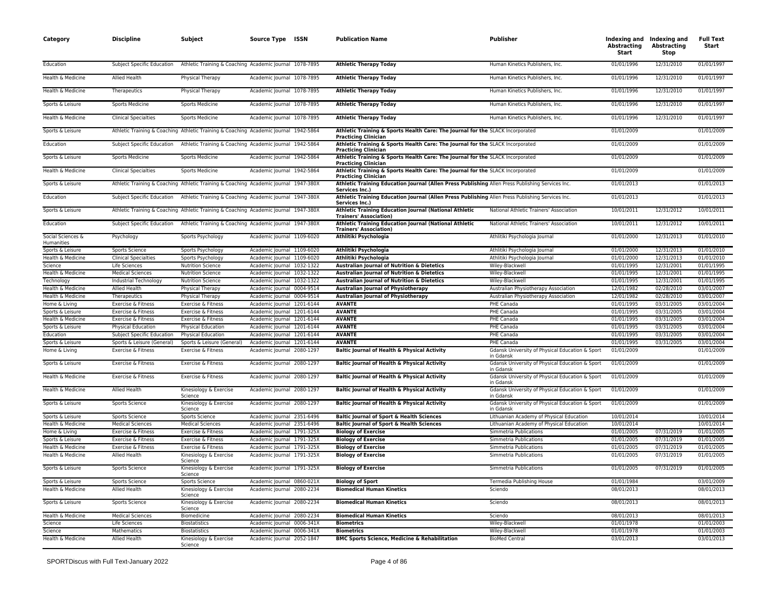| Category                              | <b>Discipline</b>           | Subject                                                                              | Source Type ISSN                                         | <b>Publication Name</b>                                                                                            | Publisher                                                    | Abstracting<br><b>Start</b> | Indexing and Indexing and<br><b>Abstracting</b><br><b>Stop</b> | <b>Full Text</b><br>Start |
|---------------------------------------|-----------------------------|--------------------------------------------------------------------------------------|----------------------------------------------------------|--------------------------------------------------------------------------------------------------------------------|--------------------------------------------------------------|-----------------------------|----------------------------------------------------------------|---------------------------|
| Education                             | Subject Specific Education  | Athletic Training & Coaching Academic Journal 1078-7895                              |                                                          | <b>Athletic Therapy Today</b>                                                                                      | Human Kinetics Publishers, Inc.                              | 01/01/1996                  | 12/31/2010                                                     | 01/01/1997                |
| Health & Medicine                     | Allied Health               | Physical Therapy                                                                     | Academic Journal 1078-7895                               | <b>Athletic Therapy Today</b>                                                                                      | Human Kinetics Publishers, Inc.                              | 01/01/1996                  | 12/31/2010                                                     | 01/01/1997                |
| Health & Medicine                     | Therapeutics                | <b>Physical Therapy</b>                                                              | Academic Journal 1078-7895                               | <b>Athletic Therapy Today</b>                                                                                      | Human Kinetics Publishers, Inc.                              | 01/01/1996                  | 12/31/2010                                                     | 01/01/1997                |
| Sports & Leisure                      | <b>Sports Medicine</b>      | <b>Sports Medicine</b>                                                               | Academic Journal 1078-7895                               | <b>Athletic Therapy Today</b>                                                                                      | Human Kinetics Publishers, Inc.                              | 01/01/1996                  | 12/31/2010                                                     | 01/01/1997                |
| Health & Medicine                     | <b>Clinical Specialties</b> | Sports Medicine                                                                      | Academic Journal 1078-7895                               | <b>Athletic Therapy Today</b>                                                                                      | Human Kinetics Publishers, Inc.                              | 01/01/1996                  | 12/31/2010                                                     | 01/01/1997                |
| Sports & Leisure                      |                             | Athletic Training & Coaching Athletic Training & Coaching Academic Journal 1942-5864 |                                                          | Athletic Training & Sports Health Care: The Journal for the SLACK Incorporated<br><b>Practicing Clinician</b>      |                                                              | 01/01/2009                  |                                                                | 01/01/2009                |
| Education                             | Subject Specific Education  | Athletic Training & Coaching Academic Journal 1942-5864                              |                                                          | Athletic Training & Sports Health Care: The Journal for the SLACK Incorporated<br><b>Practicing Clinician</b>      |                                                              | 01/01/2009                  |                                                                | 01/01/2009                |
| Sports & Leisure                      | Sports Medicine             | Sports Medicine                                                                      | Academic Journal 1942-5864                               | Athletic Training & Sports Health Care: The Journal for the SLACK Incorporated<br><b>Practicing Clinician</b>      |                                                              | 01/01/2009                  |                                                                | 01/01/2009                |
| Health & Medicine                     | <b>Clinical Specialties</b> | Sports Medicine                                                                      | Academic Journal 1942-5864                               | Athletic Training & Sports Health Care: The Journal for the SLACK Incorporated<br><b>Practicing Clinician</b>      |                                                              | 01/01/2009                  |                                                                | 01/01/2009                |
| Sports & Leisure                      |                             | Athletic Training & Coaching Athletic Training & Coaching Academic Journal 1947-380X |                                                          | Athletic Training Education Journal (Allen Press Publishing Allen Press Publishing Services Inc.<br>Services Inc.) |                                                              | 01/01/2013                  |                                                                | 01/01/2013                |
| Education                             | Subject Specific Education  | Athletic Training & Coaching Academic Journal 1947-380X                              |                                                          | Athletic Training Education Journal (Allen Press Publishing Allen Press Publishing Services Inc.<br>Services Inc.) |                                                              | 01/01/2013                  |                                                                | 01/01/2013                |
| Sports & Leisure                      |                             | Athletic Training & Coaching Athletic Training & Coaching Academic Journal 1947-380X |                                                          | Athletic Training Education Journal (National Athletic<br><b>Trainers' Association)</b>                            | National Athletic Trainers' Association                      | 10/01/2011                  | 12/31/2012                                                     | 10/01/2011                |
| Education                             | Subject Specific Education  | Athletic Training & Coaching Academic Journal 1947-380X                              |                                                          | Athletic Training Education Journal (National Athletic<br><b>Trainers' Association)</b>                            | National Athletic Trainers' Association                      | 10/01/2011                  | 12/31/2012                                                     | 10/01/2011                |
| Social Sciences &<br>Humanities       | Psychology                  | Sports Psychology                                                                    | Academic Journal 1109-6020                               | Athlitiki Psychologia                                                                                              | Athlitiki Psychologia Journal                                | 01/01/2000                  | 12/31/2013                                                     | 01/01/2010                |
| Sports & Leisure                      | <b>Sports Science</b>       | Sports Psychology                                                                    | Academic Journal 1109-6020                               | Athlitiki Psychologia                                                                                              | Athlitiki Psychologia Journal                                | 01/01/2000                  | 12/31/2013                                                     | 01/01/2010                |
| Health & Medicine                     | <b>Clinical Specialties</b> | Sports Psychology                                                                    | Academic Journal 1109-6020                               | Athlitiki Psychologia                                                                                              | Athlitiki Psychologia Journal                                | 01/01/2000                  | 12/31/2013                                                     | 01/01/2010                |
| Science                               | Life Sciences               | <b>Nutrition Science</b>                                                             | Academic Journal 1032-1322                               | Australian Journal of Nutrition & Dietetics                                                                        | Wiley-Blackwell                                              | 01/01/1995                  | 12/31/2001                                                     | 01/01/1995                |
| Health & Medicine                     | <b>Medical Sciences</b>     | <b>Nutrition Science</b>                                                             | Academic Journal 1032-1322                               | Australian Journal of Nutrition & Dietetics                                                                        | Wiley-Blackwell                                              | 01/01/1995                  | 12/31/2001                                                     | 01/01/1995                |
| Technology                            | Industrial Technology       | <b>Nutrition Science</b>                                                             | Academic Journal 1032-1322                               | Australian Journal of Nutrition & Dietetics                                                                        | Wiley-Blackwell                                              | 01/01/1995                  | 12/31/2001                                                     | 01/01/1995                |
| Health & Medicine                     | <b>Allied Health</b>        | Physical Therapy                                                                     | Academic Journal 0004-9514                               | <b>Australian Journal of Physiotherapy</b>                                                                         | Australian Physiotherapy Association                         | 12/01/1982                  | 02/28/2010                                                     | 03/01/2007                |
| Health & Medicine                     | Therapeutics                | Physical Therapy                                                                     | Academic Journal 0004-9514                               | <b>Australian Journal of Physiotherapy</b>                                                                         | Australian Physiotherapy Association                         | 12/01/1982                  | 02/28/2010                                                     | 03/01/2007                |
| Home & Living                         | Exercise & Fitness          | Exercise & Fitness                                                                   | Academic Journal 1201-6144                               | <b>AVANTE</b>                                                                                                      | PHE Canada                                                   | 01/01/1995                  | 03/31/2005                                                     | 03/01/2004                |
|                                       | Exercise & Fitness          | Exercise & Fitness                                                                   |                                                          | <b>AVANTE</b>                                                                                                      |                                                              | 01/01/1995                  | 03/31/2005                                                     | 03/01/2004                |
| Sports & Leisure<br>Health & Medicine | Exercise & Fitness          | Exercise & Fitness                                                                   | Academic Journal 1201-6144<br>Academic Journal 1201-6144 | <b>AVANTE</b>                                                                                                      | PHE Canada<br>PHE Canada                                     |                             | 03/31/2005                                                     | 03/01/2004                |
|                                       |                             |                                                                                      |                                                          |                                                                                                                    |                                                              | 01/01/1995                  |                                                                |                           |
| Sports & Leisure                      | Physical Education          | Physical Education                                                                   | Academic Journal 1201-6144                               | <b>AVANTE</b>                                                                                                      | PHE Canada                                                   | 01/01/1995                  | 03/31/2005                                                     | 03/01/2004                |
| Education                             | Subject Specific Education  | Physical Education                                                                   | Academic Journal 1201-6144                               | <b>AVANTE</b>                                                                                                      | PHE Canada                                                   | 01/01/1995                  | 03/31/2005                                                     | 03/01/2004                |
| Sports & Leisure                      | Sports & Leisure (General)  | Sports & Leisure (General)                                                           | Academic Journal 1201-6144                               | <b>AVANTE</b>                                                                                                      | PHE Canada                                                   | 01/01/1995                  | 03/31/2005                                                     | 03/01/2004                |
| Home & Living                         | Exercise & Fitness          | Exercise & Fitness                                                                   | Academic Journal 2080-1297                               | Baltic Journal of Health & Physical Activity                                                                       | Gdansk University of Physical Education & Sport<br>in Gdansk | 01/01/2009                  |                                                                | 01/01/2009                |
| Sports & Leisure                      | Exercise & Fitness          | Exercise & Fitness                                                                   | Academic Journal 2080-1297                               | Baltic Journal of Health & Physical Activity                                                                       | Gdansk University of Physical Education & Sport<br>in Gdansk | 01/01/2009                  |                                                                | 01/01/2009                |
| Health & Medicine                     | Exercise & Fitness          | Exercise & Fitness                                                                   | Academic Journal 2080-1297                               | Baltic Journal of Health & Physical Activity                                                                       | Gdansk University of Physical Education & Sport<br>in Gdansk | 01/01/2009                  |                                                                | 01/01/2009                |
| Health & Medicine                     | <b>Allied Health</b>        | Kinesiology & Exercise<br>Science                                                    | Academic Journal 2080-1297                               | Baltic Journal of Health & Physical Activity                                                                       | Gdansk University of Physical Education & Sport<br>in Gdansk | 01/01/2009                  |                                                                | 01/01/2009                |
| Sports & Leisure                      | Sports Science              | Kinesiology & Exercise<br>Science                                                    | Academic Journal 2080-1297                               | Baltic Journal of Health & Physical Activity                                                                       | Gdansk University of Physical Education & Sport<br>in Gdansk | 01/01/2009                  |                                                                | 01/01/2009                |
| Sports & Leisure                      | Sports Science              | Sports Science                                                                       | Academic Journal 2351-6496                               | <b>Baltic Journal of Sport &amp; Health Sciences</b>                                                               | Lithuanian Academy of Physical Education                     | 10/01/2014                  |                                                                | 10/01/2014                |
| Health & Medicine                     | <b>Medical Sciences</b>     | <b>Medical Sciences</b>                                                              | Academic Journal 2351-6496                               | Baltic Journal of Sport & Health Sciences                                                                          | Lithuanian Academy of Physical Education                     | 10/01/2014                  |                                                                | 10/01/2014                |
| Home & Living                         | Exercise & Fitness          | Exercise & Fitness                                                                   | Academic Journal 1791-325X                               | <b>Biology of Exercise</b>                                                                                         | Simmetria Publications                                       | 01/01/2005                  | 07/31/2019                                                     | 01/01/2005                |
| Sports & Leisure                      | Exercise & Fitness          | Exercise & Fitness                                                                   | Academic Journal 1791-325X                               | <b>Biology of Exercise</b>                                                                                         | Simmetria Publications                                       | 01/01/2005                  | 07/31/2019                                                     | 01/01/2005                |
| Health & Medicine                     | Exercise & Fitness          | Exercise & Fitness                                                                   | Academic Journal 1791-325X                               | <b>Biology of Exercise</b>                                                                                         | Simmetria Publications                                       | 01/01/2005                  | 07/31/2019                                                     | 01/01/2005                |
| Health & Medicine                     | Allied Health               | Kinesiology & Exercise<br>Science                                                    | Academic Journal 1791-325X                               | <b>Biology of Exercise</b>                                                                                         | Simmetria Publications                                       | 01/01/2005                  | 07/31/2019                                                     | 01/01/2005                |
| Sports & Leisure                      | Sports Science              | Kinesiology & Exercise<br>Science                                                    | Academic Journal 1791-325X                               | <b>Biology of Exercise</b>                                                                                         | Simmetria Publications                                       | 01/01/2005                  | 07/31/2019                                                     | 01/01/2005                |
| Sports & Leisure                      | Sports Science              | Sports Science                                                                       | Academic Journal 0860-021X                               | <b>Biology of Sport</b>                                                                                            | Termedia Publishing House                                    | 01/01/1984                  |                                                                | 03/01/2009                |
| Health & Medicine                     | Allied Health               | Kinesiology & Exercise<br>Science                                                    | Academic Journal 2080-2234                               | <b>Biomedical Human Kinetics</b>                                                                                   | Sciendo                                                      | 08/01/2013                  |                                                                | 08/01/2013                |
| Sports & Leisure                      | Sports Science              | Kinesiology & Exercise<br>Science                                                    | Academic Journal 2080-2234                               | <b>Biomedical Human Kinetics</b>                                                                                   | Sciendo                                                      | 08/01/2013                  |                                                                | 08/01/2013                |
| Health & Medicine                     | <b>Medical Sciences</b>     | Biomedicine                                                                          | Academic Journal 2080-2234                               | <b>Biomedical Human Kinetics</b>                                                                                   | Sciendo                                                      | 08/01/2013                  |                                                                | 08/01/2013                |
| Science                               | Life Sciences               | <b>Biostatistics</b>                                                                 | Academic Journal 0006-341X                               | <b>Biometrics</b>                                                                                                  | Wiley-Blackwell                                              | 01/01/1978                  |                                                                | 01/01/2003                |
| Science                               | Mathematics                 | <b>Biostatistics</b>                                                                 | Academic Journal 0006-341X                               | <b>Biometrics</b>                                                                                                  | Wiley-Blackwell                                              | 01/01/1978                  |                                                                | 01/01/2003                |
| Health & Medicine                     | <b>Allied Health</b>        | Kinesiology & Exercise<br>Science                                                    | Academic Journal 2052-1847                               | <b>BMC Sports Science, Medicine &amp; Rehabilitation</b>                                                           | <b>BioMed Central</b>                                        | 03/01/2013                  |                                                                | 03/01/2013                |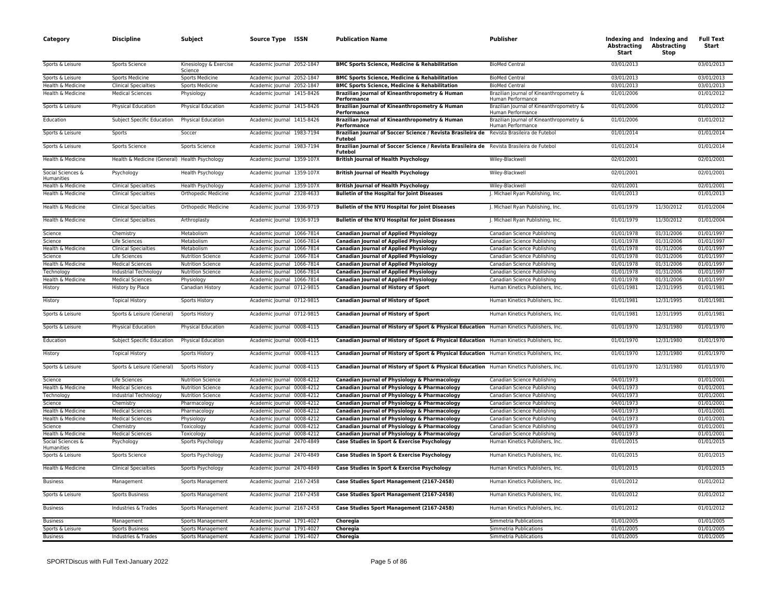| Category                        | <b>Discipline</b>                             | Subject                           | Source Type ISSN           |           | <b>Publication Name</b>                                                                                     | Publisher                                                     | <b>Abstracting</b><br>Start | Indexing and Indexing and<br><b>Abstracting</b><br><b>Stop</b> | <b>Full Text</b><br>Start |
|---------------------------------|-----------------------------------------------|-----------------------------------|----------------------------|-----------|-------------------------------------------------------------------------------------------------------------|---------------------------------------------------------------|-----------------------------|----------------------------------------------------------------|---------------------------|
| Sports & Leisure                | Sports Science                                | Kinesiology & Exercise<br>Science | Academic Journal 2052-1847 |           | <b>BMC Sports Science, Medicine &amp; Rehabilitation</b>                                                    | <b>BioMed Central</b>                                         | 03/01/2013                  |                                                                | 03/01/2013                |
| Sports & Leisure                | <b>Sports Medicine</b>                        | <b>Sports Medicine</b>            | Academic Journal 2052-1847 |           | <b>BMC Sports Science, Medicine &amp; Rehabilitation</b>                                                    | <b>BioMed Central</b>                                         | 03/01/2013                  |                                                                | 03/01/2013                |
| Health & Medicine               | <b>Clinical Specialties</b>                   | Sports Medicine                   | Academic Journal 2052-1847 |           | <b>BMC Sports Science, Medicine &amp; Rehabilitation</b>                                                    | <b>BioMed Central</b>                                         | 03/01/2013                  |                                                                | 03/01/2013                |
| Health & Medicine               | <b>Medical Sciences</b>                       | Physiology                        | Academic Journal 1415-8426 |           | Brazilian Journal of Kineanthropometry & Human                                                              | Brazilian Journal of Kineanthropometry &                      | 01/01/2006                  |                                                                | 01/01/2012                |
|                                 |                                               |                                   |                            |           | Performance                                                                                                 | Human Performance                                             |                             |                                                                |                           |
| Sports & Leisure                | Physical Education                            | Physical Education                | Academic Journal 1415-8426 |           | Brazilian Journal of Kineanthropometry & Human<br>Performance                                               | Brazilian Journal of Kineanthropometry &<br>Human Performance | 01/01/2006                  |                                                                | 01/01/2012                |
| Education                       | Subject Specific Education                    | Physical Education                | Academic Journal 1415-8426 |           | Brazilian Journal of Kineanthropometry & Human<br>Performance                                               | Brazilian Journal of Kineanthropometry &<br>Human Performance | 01/01/2006                  |                                                                | 01/01/2012                |
| Sports & Leisure                | Sports                                        | Soccer                            | Academic Journal 1983-7194 |           | Brazilian Journal of Soccer Science / Revista Brasileira de Revista Brasileira de Futebol<br><b>Futebol</b> |                                                               | 01/01/2014                  |                                                                | 01/01/2014                |
| Sports & Leisure                | Sports Science                                | Sports Science                    | Academic Journal 1983-7194 |           | Brazilian Journal of Soccer Science / Revista Brasileira de Revista Brasileira de Futebol<br>Futebol        |                                                               | 01/01/2014                  |                                                                | 01/01/2014                |
| Health & Medicine               | Health & Medicine (General) Health Psychology |                                   | Academic Journal 1359-107X |           | <b>British Journal of Health Psychology</b>                                                                 | Wiley-Blackwell                                               | 02/01/2001                  |                                                                | 02/01/2001                |
| Social Sciences &<br>Humanities | Psychology                                    | Health Psychology                 | Academic Journal 1359-107X |           | <b>British Journal of Health Psychology</b>                                                                 | Wiley-Blackwell                                               | 02/01/2001                  |                                                                | 02/01/2001                |
| Health & Medicine               | <b>Clinical Specialties</b>                   | Health Psychology                 | Academic Journal 1359-107X |           | <b>British Journal of Health Psychology</b>                                                                 | Wiley-Blackwell                                               | 02/01/2001                  |                                                                | 02/01/2001                |
| Health & Medicine               | <b>Clinical Specialties</b>                   | Orthopedic Medicine               | Academic Journal 2328-4633 |           | <b>Bulletin of the Hospital for Joint Diseases</b>                                                          | J. Michael Ryan Publishing, Inc.                              | 01/01/2013                  |                                                                | 01/01/2013                |
| Health & Medicine               | <b>Clinical Specialties</b>                   | Orthopedic Medicine               | Academic Journal 1936-9719 |           | <b>Bulletin of the NYU Hospital for Joint Diseases</b>                                                      | J. Michael Ryan Publishing, Inc.                              | 01/01/1979                  | 11/30/2012                                                     | 01/01/2004                |
| Health & Medicine               | <b>Clinical Specialties</b>                   | Arthroplasty                      | Academic Journal 1936-9719 |           | <b>Bulletin of the NYU Hospital for Joint Diseases</b>                                                      | J. Michael Ryan Publishing, Inc.                              | 01/01/1979                  | 11/30/2012                                                     | 01/01/2004                |
| Science                         | Chemistry                                     | Metabolism                        | Academic Journal 1066-7814 |           | <b>Canadian Journal of Applied Physiology</b>                                                               | Canadian Science Publishing                                   | 01/01/1978                  | 01/31/2006                                                     | 01/01/1997                |
| Science                         | Life Sciences                                 | Metabolism                        | Academic Journal 1066-7814 |           | <b>Canadian Journal of Applied Physiology</b>                                                               | Canadian Science Publishing                                   | 01/01/1978                  | 01/31/2006                                                     | 01/01/1997                |
| Health & Medicine               | <b>Clinical Specialties</b>                   | Metabolism                        | Academic Journal 1066-7814 |           | <b>Canadian Journal of Applied Physiology</b>                                                               | Canadian Science Publishing                                   | 01/01/1978                  | 01/31/2006                                                     | 01/01/1997                |
| Science                         | Life Sciences                                 | <b>Nutrition Science</b>          | Academic Journal 1066-7814 |           | <b>Canadian Journal of Applied Physiology</b>                                                               | Canadian Science Publishing                                   | 01/01/1978                  | 01/31/2006                                                     | 01/01/1997                |
| Health & Medicine               | <b>Medical Sciences</b>                       | <b>Nutrition Science</b>          | Academic Journal           | 1066-7814 | <b>Canadian Journal of Applied Physiology</b>                                                               | Canadian Science Publishing                                   | 01/01/1978                  | 01/31/2006                                                     | 01/01/1997                |
| Technology                      | Industrial Technology                         | <b>Nutrition Science</b>          | Academic Journal 1066-7814 |           | <b>Canadian Journal of Applied Physiology</b>                                                               | Canadian Science Publishing                                   | 01/01/1978                  | 01/31/2006                                                     | 01/01/1997                |
| Health & Medicine               | <b>Medical Sciences</b>                       | Physiology                        | Academic Journal 1066-7814 |           | <b>Canadian Journal of Applied Physiology</b>                                                               | Canadian Science Publishing                                   | 01/01/1978                  | 01/31/2006                                                     | 01/01/1997                |
| History                         | History by Place                              | Canadian History                  | Academic Journal 0712-9815 |           | Canadian Journal of History of Sport                                                                        | Human Kinetics Publishers, Inc.                               | 01/01/1981                  | 12/31/1995                                                     | 01/01/1981                |
| History                         | <b>Topical History</b>                        | Sports History                    | Academic Journal 0712-9815 |           | Canadian Journal of History of Sport                                                                        | Human Kinetics Publishers, Inc.                               | 01/01/1981                  | 12/31/1995                                                     | 01/01/1981                |
| Sports & Leisure                | Sports & Leisure (General)                    | Sports History                    | Academic Journal 0712-9815 |           | Canadian Journal of History of Sport                                                                        | Human Kinetics Publishers, Inc.                               | 01/01/1981                  | 12/31/1995                                                     | 01/01/1981                |
| Sports & Leisure                | Physical Education                            | Physical Education                | Academic Journal 0008-4115 |           | Canadian Journal of History of Sport & Physical Education Human Kinetics Publishers, Inc.                   |                                                               | 01/01/1970                  | 12/31/1980                                                     | 01/01/1970                |
| Education                       | <b>Subject Specific Education</b>             | Physical Education                | Academic Journal 0008-4115 |           | Canadian Journal of History of Sport & Physical Education Human Kinetics Publishers, Inc.                   |                                                               | 01/01/1970                  | 12/31/1980                                                     | 01/01/1970                |
| History                         | <b>Topical History</b>                        | Sports History                    | Academic Journal 0008-4115 |           | Canadian Journal of History of Sport & Physical Education Human Kinetics Publishers, Inc.                   |                                                               | 01/01/1970                  | 12/31/1980                                                     | 01/01/1970                |
| Sports & Leisure                | Sports & Leisure (General)                    | Sports History                    | Academic Journal 0008-4115 |           | Canadian Journal of History of Sport & Physical Education Human Kinetics Publishers, Inc.                   |                                                               | 01/01/1970                  | 12/31/1980                                                     | 01/01/1970                |
| Science                         | Life Sciences                                 | <b>Nutrition Science</b>          | Academic Journal 0008-4212 |           | Canadian Journal of Physiology & Pharmacology                                                               | Canadian Science Publishing                                   | 04/01/1973                  |                                                                | 01/01/2001                |
| Health & Medicine               | <b>Medical Sciences</b>                       | <b>Nutrition Science</b>          | Academic Journal 0008-4212 |           | Canadian Journal of Physiology & Pharmacology                                                               | Canadian Science Publishing                                   | 04/01/1973                  |                                                                | 01/01/2001                |
| Technology                      | Industrial Technology                         | <b>Nutrition Science</b>          | Academic Journal 0008-4212 |           | Canadian Journal of Physiology & Pharmacology                                                               | Canadian Science Publishing                                   | 04/01/1973                  |                                                                | 01/01/2001                |
| Science                         | Chemistry                                     | Pharmacology                      | Academic Journal 0008-4212 |           | Canadian Journal of Physiology & Pharmacology                                                               | Canadian Science Publishing                                   | 04/01/1973                  |                                                                | 01/01/2001                |
| Health & Medicine               | <b>Medical Sciences</b>                       | Pharmacology                      | Academic Journal 0008-4212 |           | Canadian Journal of Physiology & Pharmacology                                                               | Canadian Science Publishing                                   | 04/01/1973                  |                                                                | 01/01/2001                |
| Health & Medicine               | <b>Medical Sciences</b>                       | Physiology                        | Academic Journal 0008-4212 |           | Canadian Journal of Physiology & Pharmacology                                                               | Canadian Science Publishing                                   | 04/01/1973                  |                                                                | 01/01/2001                |
| Science                         | Chemistry                                     | Toxicology                        | Academic lournal 0008-4212 |           | Canadian Journal of Physiology & Pharmacology                                                               | Canadian Science Publishing                                   | 04/01/1973                  |                                                                | 01/01/2001                |
| Health & Medicine               | <b>Medical Sciences</b>                       | Toxicology                        | Academic Journal 0008-4212 |           | Canadian Journal of Physiology & Pharmacology                                                               | Canadian Science Publishing                                   | 04/01/1973                  |                                                                | 01/01/2001                |
| Social Sciences &<br>Humanities | Psychology                                    | Sports Psychology                 | Academic Journal 2470-4849 |           | Case Studies in Sport & Exercise Psychology                                                                 | Human Kinetics Publishers, Inc.                               | 01/01/2015                  |                                                                | 01/01/2015                |
| Sports & Leisure                | Sports Science                                | Sports Psychology                 | Academic Journal 2470-4849 |           | Case Studies in Sport & Exercise Psychology                                                                 | Human Kinetics Publishers, Inc.                               | 01/01/2015                  |                                                                | 01/01/2015                |
| Health & Medicine               | <b>Clinical Specialties</b>                   | Sports Psychology                 | Academic Journal 2470-4849 |           | Case Studies in Sport & Exercise Psychology                                                                 | Human Kinetics Publishers, Inc.                               | 01/01/2015                  |                                                                | 01/01/2015                |
| <b>Business</b>                 | Management                                    | Sports Management                 | Academic Journal 2167-2458 |           | Case Studies Sport Management (2167-2458)                                                                   | Human Kinetics Publishers, Inc.                               | 01/01/2012                  |                                                                | 01/01/2012                |
| Sports & Leisure                | <b>Sports Business</b>                        | Sports Management                 | Academic Journal 2167-2458 |           | Case Studies Sport Management (2167-2458)                                                                   | Human Kinetics Publishers, Inc.                               | 01/01/2012                  |                                                                | 01/01/2012                |
| <b>Business</b>                 | Industries & Trades                           | Sports Management                 | Academic Journal 2167-2458 |           | Case Studies Sport Management (2167-2458)                                                                   | Human Kinetics Publishers, Inc.                               | 01/01/2012                  |                                                                | 01/01/2012                |
| <b>Business</b>                 | Management                                    | Sports Management                 | Academic Journal 1791-4027 |           | Choregia                                                                                                    | Simmetria Publications                                        | 01/01/2005                  |                                                                | 01/01/2005                |
| Sports & Leisure                | <b>Sports Business</b>                        | Sports Management                 | Academic Journal 1791-4027 |           | Choregia                                                                                                    | Simmetria Publications                                        | 01/01/2005                  |                                                                | 01/01/2005                |
| <b>Business</b>                 | Industries & Trades                           | Sports Management                 | Academic Journal 1791-4027 |           | Choregia                                                                                                    | Simmetria Publications                                        | 01/01/2005                  |                                                                | 01/01/2005                |
|                                 |                                               |                                   |                            |           |                                                                                                             |                                                               |                             |                                                                |                           |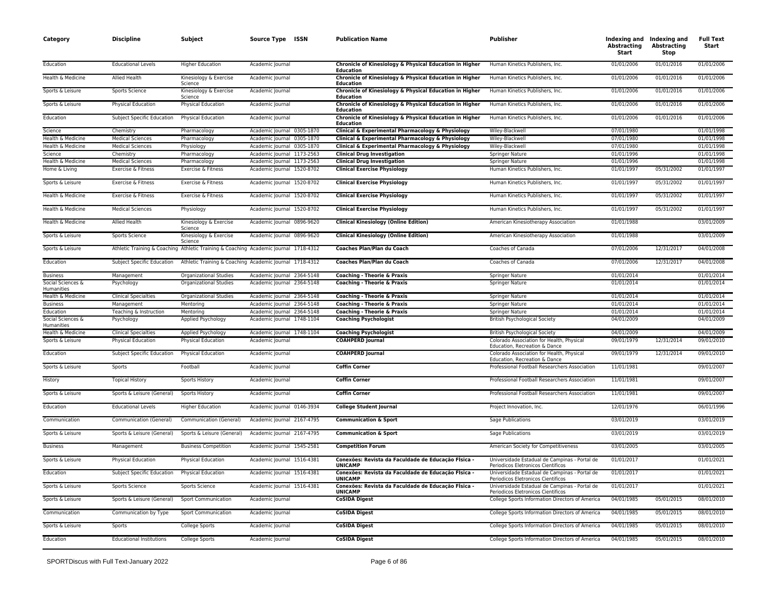| Category                        | <b>Discipline</b>               | Subject                           | Source Type ISSN                                                                     | <b>Publication Name</b>                                                     | Publisher                                                                           | Abstracting<br>Start | Indexing and Indexing and<br><b>Abstracting</b><br>Stop | <b>Full Text</b><br>Start |
|---------------------------------|---------------------------------|-----------------------------------|--------------------------------------------------------------------------------------|-----------------------------------------------------------------------------|-------------------------------------------------------------------------------------|----------------------|---------------------------------------------------------|---------------------------|
| Education                       | <b>Educational Levels</b>       | <b>Higher Education</b>           | Academic Journal                                                                     | Chronicle of Kinesiology & Physical Education in Higher<br><b>Education</b> | Human Kinetics Publishers, Inc.                                                     | 01/01/2006           | 01/01/2016                                              | 01/01/2006                |
| Health & Medicine               | Allied Health                   | Kinesiology & Exercise<br>Science | Academic Journal                                                                     | Chronicle of Kinesiology & Physical Education in Higher<br>Education        | Human Kinetics Publishers, Inc.                                                     | 01/01/2006           | 01/01/2016                                              | 01/01/2006                |
| Sports & Leisure                | Sports Science                  | Kinesiology & Exercise<br>Science | Academic Journal                                                                     | Chronicle of Kinesiology & Physical Education in Higher<br>Education        | Human Kinetics Publishers, Inc.                                                     | 01/01/2006           | 01/01/2016                                              | 01/01/2006                |
| Sports & Leisure                | Physical Education              | Physical Education                | Academic Journal                                                                     | Chronicle of Kinesiology & Physical Education in Higher<br><b>Education</b> | Human Kinetics Publishers, Inc.                                                     | 01/01/2006           | 01/01/2016                                              | 01/01/2006                |
| Education                       | Subject Specific Education      | <b>Physical Education</b>         | Academic Journal                                                                     | Chronicle of Kinesiology & Physical Education in Higher<br><b>Education</b> | Human Kinetics Publishers, Inc.                                                     | 01/01/2006           | 01/01/2016                                              | 01/01/2006                |
| Science                         | Chemistry                       | Pharmacology                      | Academic Journal 0305-1870                                                           | Clinical & Experimental Pharmacology & Physiology                           | Wiley-Blackwell                                                                     | 07/01/1980           |                                                         | 01/01/1998                |
| Health & Medicine               | <b>Medical Sciences</b>         | Pharmacology                      | Academic Journal 0305-1870                                                           | Clinical & Experimental Pharmacology & Physiology                           | Wiley-Blackwell                                                                     | 07/01/1980           |                                                         | 01/01/1998                |
| Health & Medicine               | <b>Medical Sciences</b>         | Physiology                        | Academic Journal 0305-1870                                                           | Clinical & Experimental Pharmacology & Physiology                           | Wiley-Blackwell                                                                     | 07/01/1980           |                                                         | 01/01/1998                |
| Science                         | Chemistry                       | Pharmacology                      | Academic Journal 1173-2563                                                           | <b>Clinical Drug Investigation</b>                                          | Springer Nature                                                                     | 01/01/1996           |                                                         | 01/01/1998                |
| Health & Medicine               | <b>Medical Sciences</b>         | Pharmacology                      | Academic Journal 1173-2563                                                           | <b>Clinical Drug Investigation</b>                                          | Springer Nature                                                                     | 01/01/1996           |                                                         | 01/01/1998                |
| Home & Living                   | Exercise & Fitness              | Exercise & Fitness                | Academic Journal 1520-8702                                                           | <b>Clinical Exercise Physiology</b>                                         | Human Kinetics Publishers, Inc.                                                     | 01/01/1997           | 05/31/2002                                              | 01/01/1997                |
| Sports & Leisure                | Exercise & Fitness              | Exercise & Fitness                | Academic Journal 1520-8702                                                           | <b>Clinical Exercise Physiology</b>                                         | Human Kinetics Publishers, Inc.                                                     | 01/01/1997           | 05/31/2002                                              | 01/01/1997                |
| Health & Medicine               | Exercise & Fitness              | Exercise & Fitness                | Academic Journal 1520-8702                                                           | <b>Clinical Exercise Physiology</b>                                         | Human Kinetics Publishers, Inc.                                                     | 01/01/1997           | 05/31/2002                                              | 01/01/1997                |
| Health & Medicine               | <b>Medical Sciences</b>         | Physiology                        | Academic Journal 1520-8702                                                           | <b>Clinical Exercise Physiology</b>                                         | Human Kinetics Publishers, Inc.                                                     | 01/01/1997           | 05/31/2002                                              | 01/01/1997                |
| Health & Medicine               | Allied Health                   | Kinesiology & Exercise<br>Science | Academic Journal 0896-9620                                                           | <b>Clinical Kinesiology (Online Edition)</b>                                | American Kinesiotherapy Association                                                 | 01/01/1988           |                                                         | 03/01/2009                |
| Sports & Leisure                | Sports Science                  | Kinesiology & Exercise<br>Science | Academic Journal 0896-9620                                                           | <b>Clinical Kinesiology (Online Edition)</b>                                | American Kinesiotherapy Association                                                 | 01/01/1988           |                                                         | 03/01/2009                |
| Sports & Leisure                |                                 |                                   | Athletic Training & Coaching Athletic Training & Coaching Academic Journal 1718-4312 | Coaches Plan/Plan du Coach                                                  | Coaches of Canada                                                                   | 07/01/2006           | 12/31/2017                                              | 04/01/2008                |
| Education                       | Subject Specific Education      |                                   | Athletic Training & Coaching Academic Journal 1718-4312                              | <b>Coaches Plan/Plan du Coach</b>                                           | Coaches of Canada                                                                   | 07/01/2006           | 12/31/2017                                              | 04/01/2008                |
| <b>Business</b>                 | Management                      | Organizational Studies            | Academic Journal 2364-5148                                                           | <b>Coaching - Theorie &amp; Praxis</b>                                      | Springer Nature                                                                     | 01/01/2014           |                                                         | 01/01/2014                |
| Social Sciences &<br>Humanities | Psychology                      | Organizational Studies            | Academic Journal 2364-5148                                                           | Coaching - Theorie & Praxis                                                 | Springer Nature                                                                     | 01/01/2014           |                                                         | 01/01/2014                |
| Health & Medicine               | <b>Clinical Specialties</b>     | <b>Organizational Studies</b>     | Academic Journal 2364-5148                                                           | <b>Coaching - Theorie &amp; Praxis</b>                                      | <b>Springer Nature</b>                                                              | 01/01/2014           |                                                         | 01/01/2014                |
| <b>Business</b>                 | Management                      | Mentoring                         | Academic Journal 2364-5148                                                           | <b>Coaching - Theorie &amp; Praxis</b>                                      | Springer Nature                                                                     | 01/01/2014           |                                                         | 01/01/2014                |
| Education                       | Teaching & Instruction          | Mentoring                         | Academic Journal 2364-5148                                                           | <b>Coaching - Theorie &amp; Praxis</b>                                      | <b>Springer Nature</b>                                                              | 01/01/2014           |                                                         | 01/01/2014                |
| Social Sciences &<br>Humanities | Psychology                      | Applied Psychology                | Academic Journal 1748-1104                                                           | <b>Coaching Psychologist</b>                                                | <b>British Psychological Society</b>                                                | 04/01/2009           |                                                         | 04/01/2009                |
| Health & Medicine               | <b>Clinical Specialties</b>     | Applied Psychology                | Academic Journal 1748-1104                                                           | <b>Coaching Psychologist</b>                                                | <b>British Psychological Society</b>                                                | 04/01/2009           |                                                         | 04/01/2009                |
| Sports & Leisure                | Physical Education              | Physical Education                | Academic Journal                                                                     | <b>COAHPERD Journal</b>                                                     | Colorado Association for Health, Physical<br>Education, Recreation & Dance          | 09/01/1979           | 12/31/2014                                              | 09/01/2010                |
| Education                       | Subject Specific Education      | <b>Physical Education</b>         | Academic Journal                                                                     | <b>COAHPERD Journal</b>                                                     | Colorado Association for Health, Physical<br>Education, Recreation & Dance          | 09/01/1979           | 12/31/2014                                              | 09/01/2010                |
| Sports & Leisure                | Sports                          | Football                          | Academic Journal                                                                     | <b>Coffin Corner</b>                                                        | Professional Football Researchers Association                                       | 11/01/1981           |                                                         | 09/01/2007                |
| History                         | <b>Topical History</b>          | Sports History                    | Academic Journal                                                                     | <b>Coffin Corner</b>                                                        | Professional Football Researchers Association                                       | 11/01/1981           |                                                         | 09/01/2007                |
| Sports & Leisure                | Sports & Leisure (General)      | Sports History                    | Academic Journal                                                                     | <b>Coffin Corner</b>                                                        | Professional Football Researchers Association                                       | 11/01/1981           |                                                         | 09/01/2007                |
| Education                       | <b>Educational Levels</b>       | <b>Higher Education</b>           | Academic Journal 0146-3934                                                           | <b>College Student Journal</b>                                              | Project Innovation, Inc.                                                            | 12/01/1976           |                                                         | 06/01/1996                |
| Communication                   | Communication (General)         | Communication (General)           | Academic Journal 2167-4795                                                           | <b>Communication &amp; Sport</b>                                            | Sage Publications                                                                   | 03/01/2019           |                                                         | 03/01/2019                |
| Sports & Leisure                | Sports & Leisure (General)      | Sports & Leisure (General)        | Academic Journal 2167-4795                                                           | <b>Communication &amp; Sport</b>                                            | Sage Publications                                                                   | 03/01/2019           |                                                         | 03/01/2019                |
| <b>Business</b>                 | Management                      | <b>Business Competition</b>       | Academic Journal 1545-2581                                                           | <b>Competition Forum</b>                                                    | American Society for Competitiveness                                                | 03/01/2005           |                                                         | 03/01/2005                |
| Sports & Leisure                | Physical Education              | Physical Education                | Academic Journal 1516-4381                                                           | Conexões: Revista da Faculdade de Educação Física -<br><b>UNICAMP</b>       | Universidade Estadual de Campinas - Portal de<br>Periodicos Eletronicos Científicos | 01/01/2017           |                                                         | 01/01/2021                |
| Education                       | Subject Specific Education      | Physical Education                | Academic Journal 1516-4381                                                           | Conexões: Revista da Faculdade de Educação Física -<br><b>UNICAMP</b>       | Universidade Estadual de Campinas - Portal de<br>Periodicos Eletronicos Científicos | 01/01/2017           |                                                         | 01/01/2021                |
| Sports & Leisure                | Sports Science                  | Sports Science                    | Academic Journal 1516-4381                                                           | Conexões: Revista da Faculdade de Educação Física -<br><b>UNICAMP</b>       | Universidade Estadual de Campinas - Portal de<br>Periodicos Eletronicos Científicos | 01/01/2017           |                                                         | 01/01/2021                |
| Sports & Leisure                | Sports & Leisure (General)      | <b>Sport Communication</b>        | Academic Journal                                                                     | <b>CoSIDA Digest</b>                                                        | College Sports Information Directors of America                                     | 04/01/1985           | 05/01/2015                                              | 08/01/2010                |
| Communication                   | Communication by Type           | <b>Sport Communication</b>        | Academic Journal                                                                     | <b>CoSIDA Digest</b>                                                        | College Sports Information Directors of America                                     | 04/01/1985           | 05/01/2015                                              | 08/01/2010                |
| Sports & Leisure                | Sports                          | College Sports                    | Academic Journal                                                                     | <b>CoSIDA Digest</b>                                                        | College Sports Information Directors of America                                     | 04/01/1985           | 05/01/2015                                              | 08/01/2010                |
| Education                       | <b>Educational Institutions</b> | College Sports                    | Academic Journal                                                                     | <b>CoSIDA Digest</b>                                                        | College Sports Information Directors of America                                     | 04/01/1985           | 05/01/2015                                              | 08/01/2010                |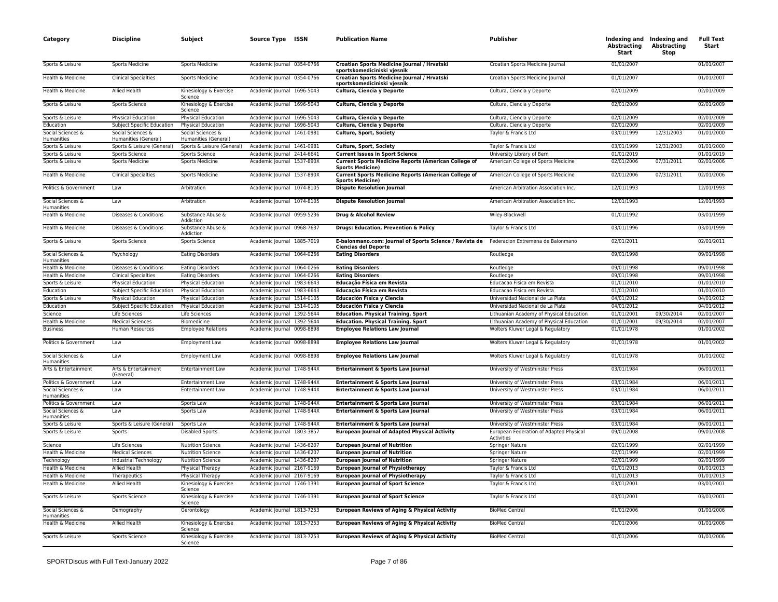| Category                               | <b>Discipline</b>                         | Subject                                   | Source Type ISSN           | <b>Publication Name</b>                                                                                                  | <b>Publisher</b>                                      | Abstracting<br>Start | Indexing and Indexing and<br><b>Abstracting</b><br>Stop | <b>Full Text</b><br>Start |
|----------------------------------------|-------------------------------------------|-------------------------------------------|----------------------------|--------------------------------------------------------------------------------------------------------------------------|-------------------------------------------------------|----------------------|---------------------------------------------------------|---------------------------|
| Sports & Leisure                       | <b>Sports Medicine</b>                    | Sports Medicine                           | Academic Journal 0354-0766 | Croatian Sports Medicine Journal / Hrvatski<br>sportskomediciniski vjesnik                                               | Croatian Sports Medicine Journal                      | 01/01/2007           |                                                         | 01/01/2007                |
| Health & Medicine                      | <b>Clinical Specialties</b>               | Sports Medicine                           | Academic Journal 0354-0766 | Croatian Sports Medicine Journal / Hrvatski<br>sportskomediciniski vjesnik                                               | Croatian Sports Medicine Journal                      | 01/01/2007           |                                                         | 01/01/2007                |
| Health & Medicine                      | <b>Allied Health</b>                      | Kinesiology & Exercise<br>Science         | Academic Journal 1696-5043 | Cultura, Ciencia y Deporte                                                                                               | Cultura, Ciencia y Deporte                            | 02/01/2009           |                                                         | 02/01/2009                |
| Sports & Leisure                       | Sports Science                            | Kinesiology & Exercise<br>Science         | Academic Journal 1696-5043 | Cultura, Ciencia y Deporte                                                                                               | Cultura, Ciencia y Deporte                            | 02/01/2009           |                                                         | 02/01/2009                |
| Sports & Leisure                       | Physical Education                        | Physical Education                        | Academic Journal 1696-5043 | Cultura, Ciencia y Deporte                                                                                               | Cultura, Ciencia y Deporte                            | 02/01/2009           |                                                         | 02/01/2009                |
| Education                              | Subject Specific Education                | <b>Physical Education</b>                 | Academic lournal 1696-5043 | Cultura, Ciencia y Deporte                                                                                               | Cultura, Ciencia y Deporte                            | 02/01/2009           |                                                         | 02/01/2009                |
| Social Sciences &<br><b>Humanities</b> | Social Sciences &<br>Humanities (General) | Social Sciences &<br>Humanities (General) | Academic Journal 1461-0981 | Culture, Sport, Society                                                                                                  | Taylor & Francis Ltd                                  | 03/01/1999           | 12/31/2003                                              | 01/01/2000                |
| Sports & Leisure                       | Sports & Leisure (General)                | Sports & Leisure (General)                | Academic Journal 1461-0981 | Culture, Sport, Society                                                                                                  | Taylor & Francis Ltd                                  | 03/01/1999           | 12/31/2003                                              | 01/01/2000                |
| Sports & Leisure                       | Sports Science                            | <b>Sports Science</b>                     | Academic Journal 2414-6641 | <b>Current Issues in Sport Science</b>                                                                                   | University Library of Bern                            | 01/01/2019           |                                                         | 01/01/2019                |
| Sports & Leisure                       | <b>Sports Medicine</b>                    | <b>Sports Medicine</b>                    | Academic Journal 1537-890X | <b>Current Sports Medicine Reports (American College of</b><br><b>Sports Medicine)</b>                                   | American College of Sports Medicine                   | 02/01/2006           | 07/31/2011                                              | 02/01/2006                |
| Health & Medicine                      | <b>Clinical Specialties</b>               | Sports Medicine                           | Academic Journal 1537-890X | <b>Current Sports Medicine Reports (American College of</b><br><b>Sports Medicine)</b>                                   | American College of Sports Medicine                   | 02/01/2006           | 07/31/2011                                              | 02/01/2006                |
| Politics & Government                  | Law                                       | Arbitration                               | Academic Journal 1074-8105 | <b>Dispute Resolution Journal</b>                                                                                        | American Arbitration Association Inc.                 | 12/01/1993           |                                                         | 12/01/1993                |
| Social Sciences &<br>Humanities        | Law                                       | Arbitration                               | Academic Journal 1074-8105 | <b>Dispute Resolution Journal</b>                                                                                        | American Arbitration Association Inc.                 | 12/01/1993           |                                                         | 12/01/1993                |
| Health & Medicine                      | Diseases & Conditions                     | Substance Abuse &<br>Addiction            | Academic Journal 0959-5236 | Drug & Alcohol Review                                                                                                    | Wiley-Blackwell                                       | 01/01/1992           |                                                         | 03/01/1999                |
| Health & Medicine                      | Diseases & Conditions                     | Substance Abuse &<br>Addiction            | Academic Journal 0968-7637 | Drugs: Education, Prevention & Policy                                                                                    | Taylor & Francis Ltd                                  | 03/01/1996           |                                                         | 03/01/1999                |
| Sports & Leisure                       | Sports Science                            | Sports Science                            | Academic Journal 1885-7019 | E-balonmano.com: Journal of Sports Science / Revista de Federacion Extremena de Balonmano<br><b>Ciencias del Deporte</b> |                                                       | 02/01/2011           |                                                         | 02/01/2011                |
| Social Sciences &<br>Humanities        | Psychology                                | <b>Eating Disorders</b>                   | Academic Journal 1064-0266 | <b>Eating Disorders</b>                                                                                                  | Routledge                                             | 09/01/1998           |                                                         | 09/01/1998                |
| Health & Medicine                      | Diseases & Conditions                     | <b>Eating Disorders</b>                   | Academic Journal 1064-0266 | <b>Eating Disorders</b>                                                                                                  | Routledge                                             | 09/01/1998           |                                                         | 09/01/1998                |
| Health & Medicine                      | <b>Clinical Specialties</b>               | <b>Eating Disorders</b>                   | Academic Journal 1064-0266 | <b>Eating Disorders</b>                                                                                                  | Routledge                                             | 09/01/1998           |                                                         | 09/01/1998                |
| Sports & Leisure                       | <b>Physical Education</b>                 | Physical Education                        | Academic Journal 1983-6643 | Educação Física em Revista                                                                                               | Educacao Fisica em Revista                            | 01/01/2010           |                                                         | 01/01/2010                |
| Education                              | Subject Specific Education                | Physical Education                        | Academic Journal 1983-6643 | Educação Física em Revista                                                                                               | Educacao Fisica em Revista                            | 01/01/2010           |                                                         | 01/01/2010                |
| Sports & Leisure                       | Physical Education                        | Physical Education                        | Academic Journal 1514-0105 | Educación Física y Ciencia                                                                                               | Universidad Nacional de La Plata                      | 04/01/2012           |                                                         | 04/01/2012                |
| Education                              | Subject Specific Education                | Physical Education                        | Academic Journal 1514-0105 | Educación Física y Ciencia                                                                                               | Universidad Nacional de La Plata                      | 04/01/2012           |                                                         | 04/01/2012                |
| Science                                | Life Sciences                             | Life Sciences                             | Academic Journal 1392-5644 | <b>Education. Physical Training. Sport</b>                                                                               | Lithuanian Academy of Physical Education              | 01/01/2001           | 09/30/2014                                              | 02/01/2007                |
| Health & Medicine                      | <b>Medical Sciences</b>                   | Biomedicine                               | Academic Journal 1392-5644 | <b>Education. Physical Training. Sport</b>                                                                               | Lithuanian Academy of Physical Education              | 01/01/2001           | 09/30/2014                                              | 02/01/2007                |
| <b>Business</b>                        | <b>Human Resources</b>                    | <b>Employee Relations</b>                 | Academic Journal 0098-8898 | <b>Employee Relations Law Journal</b>                                                                                    | Wolters Kluwer Legal & Regulatory                     | 01/01/1978           |                                                         | 01/01/2002                |
| Politics & Government                  | Law                                       | <b>Employment Law</b>                     | Academic Journal 0098-8898 | <b>Employee Relations Law Journal</b>                                                                                    | Wolters Kluwer Legal & Regulatory                     | 01/01/1978           |                                                         | 01/01/2002                |
| Social Sciences &<br><b>Humanities</b> | Law                                       | Employment Law                            | Academic Journal 0098-8898 | <b>Employee Relations Law Journal</b>                                                                                    | Wolters Kluwer Legal & Regulatory                     | 01/01/1978           |                                                         | 01/01/2002                |
| Arts & Entertainment                   | Arts & Entertainment<br>(General)         | Entertainment Law                         | Academic Journal 1748-944X | Entertainment & Sports Law Journal                                                                                       | University of Westminster Press                       | 03/01/1984           |                                                         | 06/01/2011                |
| Politics & Government                  | Law                                       | <b>Entertainment Law</b>                  | Academic Journal 1748-944X | Entertainment & Sports Law Journal                                                                                       | University of Westminster Press                       | 03/01/1984           |                                                         | 06/01/2011                |
| Social Sciences &<br>Humanities        | Law                                       | <b>Entertainment Law</b>                  | Academic Journal 1748-944X | Entertainment & Sports Law Journal                                                                                       | University of Westminster Press                       | 03/01/1984           |                                                         | 06/01/2011                |
| Politics & Government                  | Law                                       | Sports Law                                | Academic Journal 1748-944X | Entertainment & Sports Law Journal                                                                                       | University of Westminster Press                       | 03/01/1984           |                                                         | 06/01/2011                |
| Social Sciences &<br>Humanities        | Law                                       | Sports Law                                | Academic Journal 1748-944X | Entertainment & Sports Law Journal                                                                                       | University of Westminster Press                       | 03/01/1984           |                                                         | 06/01/2011                |
| Sports & Leisure                       | Sports & Leisure (General)                | Sports Law                                | Academic Journal 1748-944X | Entertainment & Sports Law Journal                                                                                       | University of Westminster Press                       | 03/01/1984           |                                                         | 06/01/2011                |
| Sports & Leisure                       | Sports                                    | <b>Disabled Sports</b>                    | Academic Journal 1803-3857 | <b>European Journal of Adapted Physical Activity</b>                                                                     | European Federation of Adapted Physical<br>Activities | 09/01/2008           |                                                         | 09/01/2008                |
| Science                                | Life Sciences                             | <b>Nutrition Science</b>                  | Academic Journal 1436-6207 | <b>European Journal of Nutrition</b>                                                                                     | Springer Nature                                       | 02/01/1999           |                                                         | 02/01/1999                |
| Health & Medicine                      | <b>Medical Sciences</b>                   | <b>Nutrition Science</b>                  | Academic Journal 1436-6207 | <b>European Journal of Nutrition</b>                                                                                     | <b>Springer Nature</b>                                | 02/01/1999           |                                                         | 02/01/1999                |
| Technology                             | Industrial Technology                     | <b>Nutrition Science</b>                  | Academic Journal 1436-6207 | <b>European Journal of Nutrition</b>                                                                                     | Springer Nature                                       | 02/01/1999           |                                                         | 02/01/1999                |
| Health & Medicine                      | <b>Allied Health</b>                      | Physical Therapy                          | Academic Journal 2167-9169 | <b>European Journal of Physiotherapy</b>                                                                                 | Taylor & Francis Ltd                                  | 01/01/2013           |                                                         | 01/01/2013                |
| Health & Medicine                      | Therapeutics                              | Physical Therapy                          | Academic Journal 2167-9169 | <b>European Journal of Physiotherapy</b>                                                                                 | Taylor & Francis Ltd                                  | 01/01/2013           |                                                         | 01/01/2013                |
| Health & Medicine                      | <b>Allied Health</b>                      | Kinesiology & Exercise<br>Science         | Academic Journal 1746-1391 | <b>European Journal of Sport Science</b>                                                                                 | Taylor & Francis Ltd                                  | 03/01/2001           |                                                         | 03/01/2001                |
| Sports & Leisure                       | Sports Science                            | Kinesiology & Exercise<br>Science         | Academic Journal 1746-1391 | <b>European Journal of Sport Science</b>                                                                                 | Taylor & Francis Ltd                                  | 03/01/2001           |                                                         | 03/01/2001                |
| Social Sciences &<br>Humanities        | Demography                                | Gerontology                               | Academic Journal 1813-7253 | <b>European Reviews of Aging &amp; Physical Activity</b>                                                                 | <b>BioMed Central</b>                                 | 01/01/2006           |                                                         | 01/01/2006                |
| Health & Medicine                      | Allied Health                             | Kinesiology & Exercise<br>Science         | Academic Journal 1813-7253 | <b>European Reviews of Aging &amp; Physical Activity</b>                                                                 | <b>BioMed Central</b>                                 | 01/01/2006           |                                                         | 01/01/2006                |
| Sports & Leisure                       | Sports Science                            | Kinesiology & Exercise<br>Science         | Academic Journal 1813-7253 | European Reviews of Aging & Physical Activity                                                                            | <b>BioMed Central</b>                                 | 01/01/2006           |                                                         | 01/01/2006                |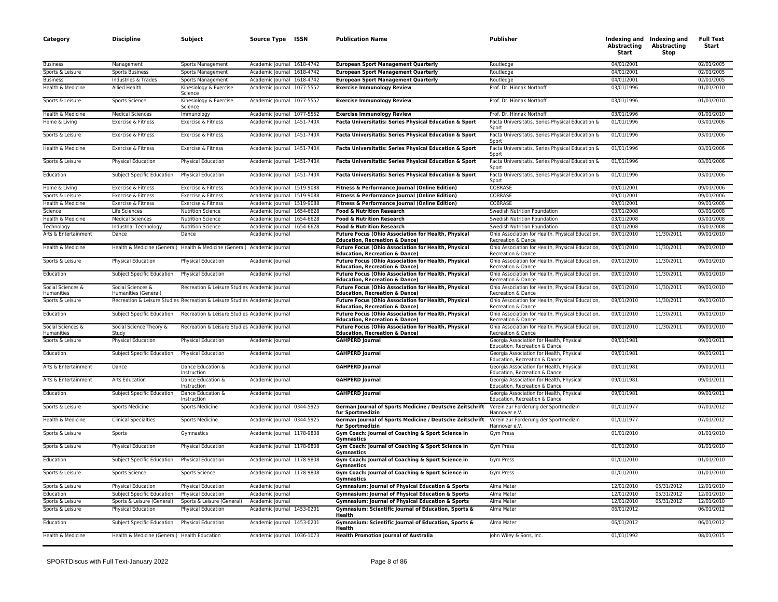| Category                           | <b>Discipline</b>                                    | Subject                                                                    | <b>Source Type</b>                             | ISSN | <b>Publication Name</b>                                                                                                                         | Publisher                                                                                                             | <b>Abstracting</b><br>Start | Indexing and Indexing and<br><b>Abstracting</b><br>Stop | <b>Full Text</b><br>Start |
|------------------------------------|------------------------------------------------------|----------------------------------------------------------------------------|------------------------------------------------|------|-------------------------------------------------------------------------------------------------------------------------------------------------|-----------------------------------------------------------------------------------------------------------------------|-----------------------------|---------------------------------------------------------|---------------------------|
| <b>Business</b>                    | Management                                           | Sports Management                                                          | Academic Journal 1618-4742                     |      | <b>European Sport Management Quarterly</b>                                                                                                      | Routledge                                                                                                             | 04/01/2001                  |                                                         | 02/01/2005                |
| Sports & Leisure                   | <b>Sports Business</b>                               | Sports Management                                                          | Academic Journal 1618-4742                     |      | <b>European Sport Management Quarterly</b>                                                                                                      | Routledge                                                                                                             | 04/01/2001                  |                                                         | 02/01/2005                |
| <b>Business</b>                    | Industries & Trades                                  | Sports Management                                                          | Academic Journal 1618-4742                     |      | <b>European Sport Management Quarterly</b>                                                                                                      | Routledge                                                                                                             | 04/01/2001                  |                                                         | 02/01/2005                |
| Health & Medicine                  | Allied Health                                        | Kinesiology & Exercise<br>Science                                          | Academic Journal 1077-5552                     |      | <b>Exercise Immunology Review</b>                                                                                                               | Prof. Dr. Hinnak Northoff                                                                                             | 03/01/1996                  |                                                         | 01/01/2010                |
| Sports & Leisure                   | Sports Science                                       | Kinesiology & Exercise<br>Science                                          | Academic Journal 1077-5552                     |      | <b>Exercise Immunology Review</b>                                                                                                               | Prof. Dr. Hinnak Northoff                                                                                             | 03/01/1996                  |                                                         | 01/01/2010                |
| Health & Medicine                  | <b>Medical Sciences</b>                              | Immunology                                                                 | Academic Journal 1077-5552                     |      | <b>Exercise Immunology Review</b>                                                                                                               | Prof. Dr. Hinnak Northoff                                                                                             | 03/01/1996                  |                                                         | 01/01/2010                |
| Home & Living                      | Exercise & Fitness                                   | Exercise & Fitness                                                         | Academic Journal 1451-740X                     |      | Facta Universitatis: Series Physical Education & Sport                                                                                          | Facta Universitatis, Series Physical Education &<br>Sport                                                             | 01/01/1996                  |                                                         | 03/01/2006                |
| Sports & Leisure                   | Exercise & Fitness                                   | Exercise & Fitness                                                         | Academic Journal 1451-740X                     |      | Facta Universitatis: Series Physical Education & Sport                                                                                          | Facta Universitatis, Series Physical Education &<br>Sport                                                             | 01/01/1996                  |                                                         | 03/01/2006                |
| Health & Medicine                  | Exercise & Fitness                                   | Exercise & Fitness                                                         | Academic Journal 1451-740X                     |      | Facta Universitatis: Series Physical Education & Sport                                                                                          | Facta Universitatis, Series Physical Education &<br>Sport                                                             | 01/01/1996                  |                                                         | 03/01/2006                |
| Sports & Leisure                   | Physical Education                                   | Physical Education                                                         | Academic Journal 1451-740X                     |      | Facta Universitatis: Series Physical Education & Sport                                                                                          | Facta Universitatis, Series Physical Education &<br>Sport                                                             | 01/01/1996                  |                                                         | 03/01/2006                |
| Education                          | Subject Specific Education                           | <b>Physical Education</b>                                                  | Academic Journal 1451-740X                     |      | Facta Universitatis: Series Physical Education & Sport                                                                                          | Facta Universitatis, Series Physical Education &<br>Sport                                                             | 01/01/1996                  |                                                         | 03/01/2006                |
| Home & Living                      | Exercise & Fitness                                   | Exercise & Fitness                                                         | Academic Journal 1519-9088                     |      | Fitness & Performance Journal (Online Edition)                                                                                                  | COBRASE                                                                                                               | 09/01/2001                  |                                                         | 09/01/2006                |
| Sports & Leisure                   | Exercise & Fitness                                   | Exercise & Fitness                                                         | Academic Journal 1519-9088                     |      | Fitness & Performance Journal (Online Edition)                                                                                                  | COBRASE                                                                                                               | 09/01/2001                  |                                                         | 09/01/2006                |
| Health & Medicine                  | Exercise & Fitness                                   | Exercise & Fitness                                                         | Academic Journal 1519-9088                     |      | Fitness & Performance Journal (Online Edition)                                                                                                  | COBRASE                                                                                                               | 09/01/2001                  |                                                         | 09/01/2006                |
| Science<br>Health & Medicine       | Life Sciences<br><b>Medical Sciences</b>             | <b>Nutrition Science</b><br><b>Nutrition Science</b>                       | Academic Journal 1654-6628                     |      | <b>Food &amp; Nutrition Research</b><br><b>Food &amp; Nutrition Research</b>                                                                    | Swedish Nutrition Foundation<br>Swedish Nutrition Foundation                                                          | 03/01/2008<br>03/01/2008    |                                                         | 03/01/2008<br>03/01/2008  |
|                                    |                                                      |                                                                            | Academic Journal 1654-6628                     |      |                                                                                                                                                 |                                                                                                                       |                             |                                                         |                           |
| Technology<br>Arts & Entertainment | Industrial Technology<br>Dance                       | <b>Nutrition Science</b><br>Dance                                          | Academic Journal 1654-6628<br>Academic Journal |      | <b>Food &amp; Nutrition Research</b><br><b>Future Focus (Ohio Association for Health, Physical</b><br><b>Education, Recreation &amp; Dance)</b> | Swedish Nutrition Foundation<br>Ohio Association for Health, Physical Education<br>Recreation & Dance                 | 03/01/2008<br>09/01/2010    | 11/30/2011                                              | 03/01/2008<br>09/01/2010  |
| Health & Medicine                  |                                                      | Health & Medicine (General) Health & Medicine (General) Academic Journal   |                                                |      | <b>Future Focus (Ohio Association for Health, Physical</b><br><b>Education, Recreation &amp; Dance)</b>                                         | Ohio Association for Health, Physical Education,<br>Recreation & Dance                                                | 09/01/2010                  | 11/30/2011                                              | 09/01/2010                |
| Sports & Leisure                   | <b>Physical Education</b>                            | <b>Physical Education</b>                                                  | Academic Journal                               |      | <b>Future Focus (Ohio Association for Health, Physical</b><br><b>Education, Recreation &amp; Dance)</b>                                         | Ohio Association for Health, Physical Education,<br>Recreation & Dance                                                | 09/01/2010                  | 11/30/2011                                              | 09/01/2010                |
| Education                          | Subject Specific Education                           | Physical Education                                                         | Academic Journal                               |      | <b>Future Focus (Ohio Association for Health, Physical</b><br><b>Education, Recreation &amp; Dance)</b>                                         | Ohio Association for Health, Physical Education,<br>Recreation & Dance                                                | 09/01/2010                  | 11/30/2011                                              | 09/01/2010                |
| Social Sciences &<br>Humanities    | Social Sciences &<br>Humanities (General)            | Recreation & Leisure Studies Academic Journal                              |                                                |      | Future Focus (Ohio Association for Health, Physical<br><b>Education, Recreation &amp; Dance)</b>                                                | Ohio Association for Health, Physical Education<br>Recreation & Dance                                                 | 09/01/2010                  | 11/30/2011                                              | 09/01/2010                |
| Sports & Leisure                   |                                                      | Recreation & Leisure Studies Recreation & Leisure Studies Academic Journal |                                                |      | Future Focus (Ohio Association for Health, Physical<br><b>Education, Recreation &amp; Dance)</b>                                                | Ohio Association for Health, Physical Education<br>Recreation & Dance                                                 | 09/01/2010                  | 11/30/2011                                              | 09/01/2010                |
| Education                          | Subject Specific Education                           | Recreation & Leisure Studies Academic Journal                              |                                                |      | <b>Future Focus (Ohio Association for Health, Physical</b><br><b>Education, Recreation &amp; Dance)</b>                                         | Ohio Association for Health, Physical Education,<br>Recreation & Dance                                                | 09/01/2010                  | 11/30/2011                                              | 09/01/2010                |
| Social Sciences &<br>Humanities    | Social Science Theory &<br><b>Study</b>              | Recreation & Leisure Studies Academic Journal                              |                                                |      | <b>Future Focus (Ohio Association for Health, Physical</b><br><b>Education, Recreation &amp; Dance)</b>                                         | Ohio Association for Health, Physical Education,<br>Recreation & Dance                                                | 09/01/2010                  | 11/30/2011                                              | 09/01/2010                |
| Sports & Leisure                   | Physical Education                                   | Physical Education                                                         | Academic Journal                               |      | <b>GAHPERD Journal</b>                                                                                                                          | Georgia Association for Health, Physical<br>Education, Recreation & Dance                                             | 09/01/1981                  |                                                         | 09/01/2011                |
| Education                          | Subject Specific Education                           | Physical Education                                                         | Academic Journal                               |      | <b>GAHPERD Journal</b>                                                                                                                          | Georgia Association for Health, Physical<br>Education, Recreation & Dance                                             | 09/01/1981                  |                                                         | 09/01/2011                |
| Arts & Entertainment               | Dance                                                | Dance Education &<br>Instruction                                           | Academic Journal                               |      | <b>GAHPERD Journal</b>                                                                                                                          | Georgia Association for Health, Physical<br>Education, Recreation & Dance                                             | 09/01/1981                  |                                                         | 09/01/2011                |
| Arts & Entertainment<br>Education  | <b>Arts Education</b>                                | Dance Education &<br>Instruction<br>Dance Education &                      | Academic Journal                               |      | <b>GAHPERD Journal</b><br><b>GAHPERD Journal</b>                                                                                                | Georgia Association for Health, Physical<br>Education, Recreation & Dance<br>Georgia Association for Health, Physical | 09/01/1981<br>09/01/1981    |                                                         | 09/01/2011<br>09/01/2011  |
| Sports & Leisure                   | Subject Specific Education<br><b>Sports Medicine</b> | Instruction<br><b>Sports Medicine</b>                                      | Academic Journal<br>Academic Journal 0344-5925 |      | German Journal of Sports Medicine / Deutsche Zeitschrift                                                                                        | Education, Recreation & Dance<br>Verein zur Forderung der Sportmedizin                                                | 01/01/1977                  |                                                         | 07/01/2012                |
| Health & Medicine                  | <b>Clinical Specialties</b>                          | Sports Medicine                                                            | Academic Journal 0344-5925                     |      | fur Sportmedizin<br>German Journal of Sports Medicine / Deutsche Zeitschrift                                                                    | Hannover e.V.<br>Verein zur Forderung der Sportmedizin                                                                | 01/01/1977                  |                                                         | 07/01/2012                |
| Sports & Leisure                   | Sports                                               | Gymnastics                                                                 | Academic Journal 1178-9808                     |      | fur Sportmedizin<br>Gym Coach: Journal of Coaching & Sport Science in                                                                           | Hannover e.V.<br><b>Gym Press</b>                                                                                     | 01/01/2010                  |                                                         | 01/01/2010                |
| Sports & Leisure                   | Physical Education                                   | <b>Physical Education</b>                                                  | Academic Journal 1178-9808                     |      | Gymnastics<br>Gym Coach: Journal of Coaching & Sport Science in                                                                                 | Gym Press                                                                                                             | 01/01/2010                  |                                                         | 01/01/2010                |
| Education                          | Subject Specific Education                           | Physical Education                                                         | Academic Journal 1178-9808                     |      | <b>Gymnastics</b><br>Gym Coach: Journal of Coaching & Sport Science in                                                                          | <b>Gym Press</b>                                                                                                      | 01/01/2010                  |                                                         | 01/01/2010                |
| Sports & Leisure                   | Sports Science                                       | Sports Science                                                             | Academic Journal 1178-9808                     |      | Gymnastics<br>Gym Coach: Journal of Coaching & Sport Science in                                                                                 | Gym Press                                                                                                             | 01/01/2010                  |                                                         | 01/01/2010                |
| Sports & Leisure                   | <b>Physical Education</b>                            | <b>Physical Education</b>                                                  | Academic Journal                               |      | <b>Gymnastics</b><br><b>Gymnasium: Journal of Physical Education &amp; Sports</b>                                                               | Alma Mater                                                                                                            | 12/01/2010                  | 05/31/2012                                              | 12/01/2010                |
| Education                          | Subject Specific Education                           | Physical Education                                                         | Academic Journal                               |      | <b>Gymnasium: Journal of Physical Education &amp; Sports</b>                                                                                    | Alma Mater                                                                                                            | 12/01/2010                  | 05/31/2012                                              | 12/01/2010                |
| Sports & Leisure                   | Sports & Leisure (General)                           | Sports & Leisure (General)                                                 | Academic Journal                               |      | Gymnasium: Journal of Physical Education & Sports                                                                                               | Alma Mater                                                                                                            | 12/01/2010                  | 05/31/2012                                              | 12/01/2010                |
| Sports & Leisure                   | Physical Education                                   | Physical Education                                                         | Academic Journal 1453-0201                     |      | Gymnasium: Scientific Journal of Education, Sports &<br>Health                                                                                  | Alma Mater                                                                                                            | 06/01/2012                  |                                                         | 06/01/2012                |
| Education                          | Subject Specific Education Physical Education        |                                                                            | Academic Journal 1453-0201                     |      | Gymnasium: Scientific Journal of Education, Sports &<br>Health                                                                                  | Alma Mater                                                                                                            | 06/01/2012                  |                                                         | 06/01/2012                |
| Health & Medicine                  | Health & Medicine (General) Health Education         |                                                                            | Academic Journal 1036-1073                     |      | <b>Health Promotion Journal of Australia</b>                                                                                                    | John Wiley & Sons, Inc.                                                                                               | 01/01/1992                  |                                                         | 08/01/2015                |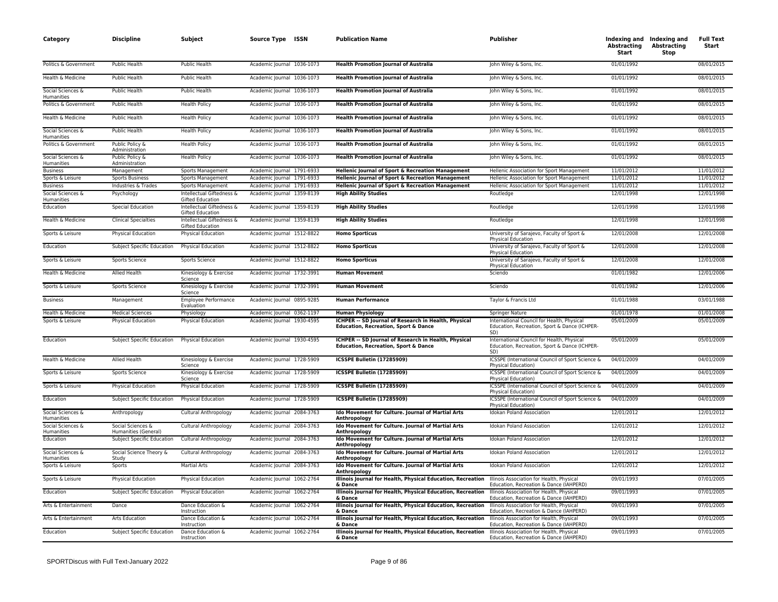| Category                        | Discipline                                | Subject                                              | Source Type ISSN           | <b>Publication Name</b>                                                                                 | Publisher                                                                                          | <b>Abstracting</b><br>Start | Indexing and Indexing and<br><b>Abstracting</b><br>Stop | <b>Full Text</b><br>Start |
|---------------------------------|-------------------------------------------|------------------------------------------------------|----------------------------|---------------------------------------------------------------------------------------------------------|----------------------------------------------------------------------------------------------------|-----------------------------|---------------------------------------------------------|---------------------------|
| Politics & Government           | Public Health                             | Public Health                                        | Academic Journal 1036-1073 | <b>Health Promotion Journal of Australia</b>                                                            | John Wiley & Sons, Inc.                                                                            | 01/01/1992                  |                                                         | 08/01/2015                |
| Health & Medicine               | <b>Public Health</b>                      | Public Health                                        | Academic Journal 1036-1073 | <b>Health Promotion Journal of Australia</b>                                                            | John Wiley & Sons, Inc.                                                                            | 01/01/1992                  |                                                         | 08/01/2015                |
| Social Sciences &<br>Humanities | Public Health                             | Public Health                                        | Academic Journal 1036-1073 | <b>Health Promotion Journal of Australia</b>                                                            | John Wiley & Sons, Inc.                                                                            | 01/01/1992                  |                                                         | 08/01/2015                |
| Politics & Government           | Public Health                             | <b>Health Policy</b>                                 | Academic Journal 1036-1073 | <b>Health Promotion Journal of Australia</b>                                                            | John Wiley & Sons, Inc.                                                                            | 01/01/1992                  |                                                         | 08/01/2015                |
| Health & Medicine               | Public Health                             | <b>Health Policy</b>                                 | Academic Journal 1036-1073 | <b>Health Promotion Journal of Australia</b>                                                            | John Wiley & Sons, Inc.                                                                            | 01/01/1992                  |                                                         | 08/01/2015                |
| Social Sciences &<br>Humanities | <b>Public Health</b>                      | <b>Health Policy</b>                                 | Academic Journal 1036-1073 | <b>Health Promotion Journal of Australia</b>                                                            | John Wiley & Sons, Inc.                                                                            | 01/01/1992                  |                                                         | 08/01/2015                |
| Politics & Government           | Public Policy &<br>Administration         | <b>Health Policy</b>                                 | Academic Journal 1036-1073 | <b>Health Promotion Journal of Australia</b>                                                            | John Wiley & Sons, Inc.                                                                            | 01/01/1992                  |                                                         | 08/01/2015                |
| Social Sciences &<br>Humanities | Public Policy &<br>Administration         | <b>Health Policy</b>                                 | Academic Journal 1036-1073 | <b>Health Promotion Journal of Australia</b>                                                            | John Wiley & Sons, Inc.                                                                            | 01/01/1992                  |                                                         | 08/01/2015                |
| <b>Business</b>                 | Management                                | Sports Management                                    | Academic Journal 1791-6933 | Hellenic Journal of Sport & Recreation Management                                                       | Hellenic Association for Sport Management                                                          | 11/01/2012                  |                                                         | 11/01/2012                |
| Sports & Leisure                | <b>Sports Business</b>                    | Sports Management                                    | Academic Journal 1791-6933 | Hellenic Journal of Sport & Recreation Management                                                       | Hellenic Association for Sport Management                                                          | 11/01/2012                  |                                                         | 11/01/2012                |
| <b>Business</b>                 | Industries & Trades                       | Sports Management                                    | Academic Journal 1791-6933 | Hellenic Journal of Sport & Recreation Management                                                       | Hellenic Association for Sport Management                                                          | 11/01/2012                  |                                                         | 11/01/2012                |
| Social Sciences &<br>Humanities | Psychology                                | Intellectual Giftedness &<br>Gifted Education        | Academic Journal 1359-8139 | <b>High Ability Studies</b>                                                                             | Routledge                                                                                          | 12/01/1998                  |                                                         | 12/01/1998                |
| Education                       | <b>Special Education</b>                  | Intellectual Giftedness &<br><b>Gifted Education</b> | Academic Journal 1359-8139 | <b>High Ability Studies</b>                                                                             | Routledge                                                                                          | 12/01/1998                  |                                                         | 12/01/1998                |
| Health & Medicine               | <b>Clinical Specialties</b>               | Intellectual Giftedness &<br><b>Gifted Education</b> | Academic Journal 1359-8139 | <b>High Ability Studies</b>                                                                             | Routledge                                                                                          | 12/01/1998                  |                                                         | 12/01/1998                |
| Sports & Leisure                | Physical Education                        | <b>Physical Education</b>                            | Academic Journal 1512-8822 | <b>Homo Sporticus</b>                                                                                   | University of Sarajevo, Faculty of Sport &<br>Physical Education                                   | 12/01/2008                  |                                                         | 12/01/2008                |
| Education                       | Subject Specific Education                | <b>Physical Education</b>                            | Academic Journal 1512-8822 | <b>Homo Sporticus</b>                                                                                   | University of Sarajevo, Faculty of Sport &<br>Physical Education                                   | 12/01/2008                  |                                                         | 12/01/2008                |
| Sports & Leisure                | Sports Science                            | <b>Sports Science</b>                                | Academic Journal 1512-8822 | <b>Homo Sporticus</b>                                                                                   | University of Sarajevo, Faculty of Sport &<br>Physical Education                                   | 12/01/2008                  |                                                         | 12/01/2008                |
| Health & Medicine               | Allied Health                             | Kinesiology & Exercise<br>Science                    | Academic Journal 1732-3991 | <b>Human Movement</b>                                                                                   | Sciendo                                                                                            | 01/01/1982                  |                                                         | 12/01/2006                |
| Sports & Leisure                | <b>Sports Science</b>                     | Kinesiology & Exercise<br>Science                    | Academic Journal 1732-3991 | <b>Human Movement</b>                                                                                   | Sciendo                                                                                            | 01/01/1982                  |                                                         | 12/01/2006                |
| <b>Business</b>                 | Management                                | Employee Performance<br>Evaluation                   | Academic Journal 0895-9285 | <b>Human Performance</b>                                                                                | Taylor & Francis Ltd                                                                               | 01/01/1988                  |                                                         | 03/01/1988                |
| Health & Medicine               | <b>Medical Sciences</b>                   | Physiology                                           | Academic Journal 0362-1197 | <b>Human Physiology</b>                                                                                 | Springer Nature                                                                                    | 01/01/1978                  |                                                         | 01/01/2008                |
| Sports & Leisure                | Physical Education                        | Physical Education                                   | Academic Journal 1930-4595 | ICHPER -- SD Journal of Research in Health, Physical<br><b>Education, Recreation, Sport &amp; Dance</b> | International Council for Health, Physical<br>Education, Recreation, Sport & Dance (ICHPER-<br>SD) | 05/01/2009                  |                                                         | 05/01/2009                |
| Education                       | Subject Specific Education                | <b>Physical Education</b>                            | Academic Journal 1930-4595 | ICHPER -- SD Journal of Research in Health, Physical<br><b>Education, Recreation, Sport &amp; Dance</b> | International Council for Health, Physical<br>Education, Recreation, Sport & Dance (ICHPER-<br>SD) | 05/01/2009                  |                                                         | 05/01/2009                |
| Health & Medicine               | Allied Health                             | Kinesiology & Exercise<br>Science                    | Academic Journal 1728-5909 | ICSSPE Bulletin (17285909)                                                                              | ICSSPE (International Council of Sport Science &<br>Physical Education)                            | 04/01/2009                  |                                                         | 04/01/2009                |
| Sports & Leisure                | Sports Science                            | Kinesiology & Exercise<br>Science                    | Academic Journal 1728-5909 | ICSSPE Bulletin (17285909)                                                                              | ICSSPE (International Council of Sport Science &<br><b>Physical Education)</b>                     | 04/01/2009                  |                                                         | 04/01/2009                |
| Sports & Leisure                | Physical Education                        | Physical Education                                   | Academic Journal 1728-5909 | ICSSPE Bulletin (17285909)                                                                              | ICSSPE (International Council of Sport Science &<br><b>Physical Education)</b>                     | 04/01/2009                  |                                                         | 04/01/2009                |
| Education                       | Subject Specific Education                | Physical Education                                   | Academic Journal 1728-5909 | ICSSPE Bulletin (17285909)                                                                              | ICSSPE (International Council of Sport Science &<br><b>Physical Education)</b>                     | 04/01/2009                  |                                                         | 04/01/2009                |
| Social Sciences &<br>Humanities | Anthropology                              | Cultural Anthropology                                | Academic Journal 2084-3763 | Ido Movement for Culture. Journal of Martial Arts<br>Anthropology                                       | <b>Idokan Poland Association</b>                                                                   | 12/01/2012                  |                                                         | 12/01/2012                |
| Social Sciences &<br>Humanities | Social Sciences &<br>Humanities (General) | <b>Cultural Anthropology</b>                         | Academic Journal 2084-3763 | Ido Movement for Culture. Journal of Martial Arts<br>Anthropology                                       | <b>Idokan Poland Association</b>                                                                   | 12/01/2012                  |                                                         | 12/01/2012                |
| Education                       | Subject Specific Education                | Cultural Anthropology                                | Academic Journal 2084-3763 | Ido Movement for Culture. Journal of Martial Arts<br>Anthropology                                       | Idokan Poland Association                                                                          | 12/01/2012                  |                                                         | 12/01/2012                |
| Social Sciences &<br>Humanities | Social Science Theory &<br>Study          | Cultural Anthropology                                | Academic Journal 2084-3763 | Ido Movement for Culture. Journal of Martial Arts<br>Anthropology                                       | <b>Idokan Poland Association</b>                                                                   | 12/01/2012                  |                                                         | 12/01/2012                |
| Sports & Leisure                | Sports                                    | <b>Martial Arts</b>                                  | Academic Journal 2084-3763 | Ido Movement for Culture. Journal of Martial Arts<br>Anthropology                                       | Idokan Poland Association                                                                          | 12/01/2012                  |                                                         | 12/01/2012                |
| Sports & Leisure                | Physical Education                        | <b>Physical Education</b>                            | Academic Journal 1062-2764 | Illinois Journal for Health, Physical Education, Recreation<br>& Dance                                  | Illinois Association for Health, Physical<br>Education, Recreation & Dance (IAHPERD)               | 09/01/1993                  |                                                         | 07/01/2005                |
| Education                       | Subject Specific Education                | Physical Education                                   | Academic Journal 1062-2764 | Illinois Journal for Health, Physical Education, Recreation<br>& Dance                                  | Illinois Association for Health, Physical<br>Education, Recreation & Dance (IAHPERD)               | 09/01/1993                  |                                                         | 07/01/2005                |
| Arts & Entertainment            | Dance                                     | Dance Education &<br>Instruction                     | Academic Journal 1062-2764 | Illinois Journal for Health, Physical Education, Recreation<br>& Dance                                  | Illinois Association for Health, Physical<br>Education, Recreation & Dance (IAHPERD)               | 09/01/1993                  |                                                         | 07/01/2005                |
| Arts & Entertainment            | Arts Education                            | Dance Education &<br>Instruction                     | Academic Journal 1062-2764 | Illinois Journal for Health, Physical Education, Recreation<br>& Dance                                  | Illinois Association for Health, Physical<br>Education, Recreation & Dance (IAHPERD)               | 09/01/1993                  |                                                         | 07/01/2005                |
| Education                       | Subject Specific Education                | Dance Education &<br>Instruction                     | Academic Journal 1062-2764 | Illinois Journal for Health, Physical Education, Recreation<br>& Dance                                  | Illinois Association for Health, Physical<br>Education, Recreation & Dance (IAHPERD)               | 09/01/1993                  |                                                         | 07/01/2005                |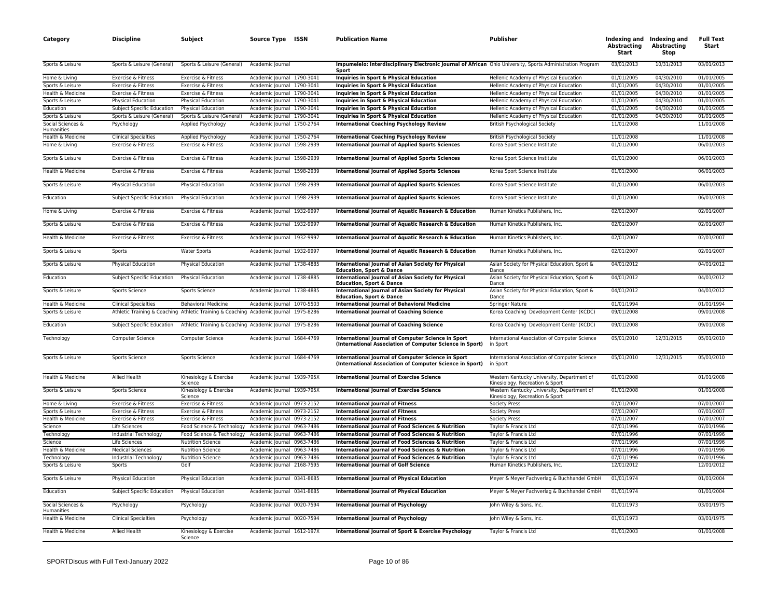| Category                                             | <b>Discipline</b>                         | Subject                                                                              | <b>Source Type</b>                                       | ISSN | <b>Publication Name</b>                                                                                             | Publisher                                                                     | <b>Abstracting</b><br>Start | Indexing and Indexing and<br><b>Abstracting</b><br>Stop | <b>Full Text</b><br>Start |
|------------------------------------------------------|-------------------------------------------|--------------------------------------------------------------------------------------|----------------------------------------------------------|------|---------------------------------------------------------------------------------------------------------------------|-------------------------------------------------------------------------------|-----------------------------|---------------------------------------------------------|---------------------------|
| Sports & Leisure                                     | Sports & Leisure (General)                | Sports & Leisure (General)                                                           | Academic Journal                                         |      | Impumelelo: Interdisciplinary Electronic Journal of African Ohio University, Sports Administration Program<br>Sport |                                                                               | 03/01/2013                  | 10/31/2013                                              | 03/01/2013                |
| Home & Living                                        | Exercise & Fitness                        | Exercise & Fitness                                                                   | Academic Journal 1790-3041                               |      | Inquiries in Sport & Physical Education                                                                             | Hellenic Academy of Physical Education                                        | 01/01/2005                  | 04/30/2010                                              | 01/01/2005                |
| Sports & Leisure                                     | Exercise & Fitness                        | Exercise & Fitness                                                                   | Academic Journal 1790-3041                               |      | Inquiries in Sport & Physical Education                                                                             | Hellenic Academy of Physical Education                                        | 01/01/2005                  | 04/30/2010                                              | 01/01/2005                |
| Health & Medicine                                    | Exercise & Fitness                        | Exercise & Fitness                                                                   | Academic Journal 1790-3041                               |      | Inquiries in Sport & Physical Education                                                                             | Hellenic Academy of Physical Education                                        | 01/01/2005                  | 04/30/2010                                              | 01/01/2005                |
| Sports & Leisure                                     | Physical Education                        | Physical Education                                                                   | Academic Journal 1790-3041                               |      | Inquiries in Sport & Physical Education                                                                             | Hellenic Academy of Physical Education                                        | 01/01/2005                  | 04/30/2010                                              | 01/01/2005                |
| Education                                            | Subject Specific Education                | <b>Physical Education</b>                                                            | Academic Journal 1790-3041                               |      | Inquiries in Sport & Physical Education                                                                             | Hellenic Academy of Physical Education                                        | 01/01/2005                  | 04/30/2010                                              | 01/01/2005                |
| Sports & Leisure                                     | Sports & Leisure (General)                | Sports & Leisure (General)                                                           | Academic Journal 1790-3041                               |      | Inquiries in Sport & Physical Education                                                                             | Hellenic Academy of Physical Education                                        | 01/01/2005                  | 04/30/2010                                              | 01/01/2005                |
| Social Sciences &<br>Humanities<br>Health & Medicine | Psychology<br><b>Clinical Specialties</b> | Applied Psychology<br>Applied Psychology                                             | Academic Journal 1750-2764<br>Academic Journal 1750-2764 |      | <b>International Coaching Psychology Review</b><br><b>International Coaching Psychology Review</b>                  | <b>British Psychological Society</b><br><b>British Psychological Society</b>  | 11/01/2008<br>11/01/2008    |                                                         | 11/01/2008<br>11/01/2008  |
| Home & Living                                        | Exercise & Fitness                        | Exercise & Fitness                                                                   | Academic Journal 1598-2939                               |      | <b>International Journal of Applied Sports Sciences</b>                                                             | Korea Sport Science Institute                                                 | 01/01/2000                  |                                                         | 06/01/2003                |
| Sports & Leisure                                     | Exercise & Fitness                        | Exercise & Fitness                                                                   | Academic Journal 1598-2939                               |      | <b>International Journal of Applied Sports Sciences</b>                                                             | Korea Sport Science Institute                                                 | 01/01/2000                  |                                                         | 06/01/2003                |
| Health & Medicine                                    | Exercise & Fitness                        | Exercise & Fitness                                                                   | Academic Journal 1598-2939                               |      | <b>International Journal of Applied Sports Sciences</b>                                                             | Korea Sport Science Institute                                                 | 01/01/2000                  |                                                         | 06/01/2003                |
| Sports & Leisure                                     | <b>Physical Education</b>                 | Physical Education                                                                   | Academic Journal 1598-2939                               |      | <b>International Journal of Applied Sports Sciences</b>                                                             | Korea Sport Science Institute                                                 | 01/01/2000                  |                                                         | 06/01/2003                |
|                                                      |                                           |                                                                                      |                                                          |      |                                                                                                                     |                                                                               |                             |                                                         |                           |
| Education                                            | Subject Specific Education                | <b>Physical Education</b>                                                            | Academic Journal 1598-2939                               |      | <b>International Journal of Applied Sports Sciences</b>                                                             | Korea Sport Science Institute                                                 | 01/01/2000                  |                                                         | 06/01/2003                |
| Home & Living                                        | Exercise & Fitness                        | Exercise & Fitness                                                                   | Academic Journal 1932-9997                               |      | International Journal of Aquatic Research & Education                                                               | Human Kinetics Publishers, Inc.                                               | 02/01/2007                  |                                                         | 02/01/2007                |
| Sports & Leisure                                     | Exercise & Fitness                        | Exercise & Fitness                                                                   | Academic Journal 1932-9997                               |      | International Journal of Aquatic Research & Education                                                               | Human Kinetics Publishers, Inc.                                               | 02/01/2007                  |                                                         | 02/01/2007                |
| Health & Medicine                                    | Exercise & Fitness                        | Exercise & Fitness                                                                   | Academic Journal 1932-9997                               |      | International Journal of Aquatic Research & Education                                                               | Human Kinetics Publishers, Inc.                                               | 02/01/2007                  |                                                         | 02/01/2007                |
| Sports & Leisure                                     | Sports                                    | <b>Water Sports</b>                                                                  | Academic Journal 1932-9997                               |      | International Journal of Aquatic Research & Education                                                               | Human Kinetics Publishers, Inc.                                               | 02/01/2007                  |                                                         | 02/01/2007                |
| Sports & Leisure                                     | Physical Education                        | Physical Education                                                                   | Academic Journal 1738-4885                               |      | <b>International Journal of Asian Society for Physical</b><br><b>Education, Sport &amp; Dance</b>                   | Asian Society for Physical Education, Sport &<br>Dance                        | 04/01/2012                  |                                                         | 04/01/2012                |
| Education                                            | Subject Specific Education                | <b>Physical Education</b>                                                            | Academic Journal 1738-4885                               |      | International Journal of Asian Society for Physical<br><b>Education, Sport &amp; Dance</b>                          | Asian Society for Physical Education, Sport &<br>Dance                        | 04/01/2012                  |                                                         | 04/01/2012                |
| Sports & Leisure                                     | Sports Science                            | Sports Science                                                                       | Academic Journal 1738-4885                               |      | International Journal of Asian Society for Physical<br><b>Education, Sport &amp; Dance</b>                          | Asian Society for Physical Education, Sport &<br>Dance                        | 04/01/2012                  |                                                         | 04/01/2012                |
| Health & Medicine                                    | <b>Clinical Specialties</b>               | <b>Behavioral Medicine</b>                                                           | Academic Journal 1070-5503                               |      | <b>International Journal of Behavioral Medicine</b>                                                                 | Springer Nature                                                               | 01/01/1994                  |                                                         | 01/01/1994                |
| Sports & Leisure                                     |                                           | Athletic Training & Coaching Athletic Training & Coaching Academic Journal 1975-8286 |                                                          |      | <b>International Journal of Coaching Science</b>                                                                    | Korea Coaching Development Center (KCDC)                                      | 09/01/2008                  |                                                         | 09/01/2008                |
| Education                                            | Subject Specific Education                | Athletic Training & Coaching Academic Journal 1975-8286                              |                                                          |      | <b>International Journal of Coaching Science</b>                                                                    | Korea Coaching Development Center (KCDC)                                      | 09/01/2008                  |                                                         | 09/01/2008                |
| Technology                                           | <b>Computer Science</b>                   | Computer Science                                                                     | Academic Journal 1684-4769                               |      | International Journal of Computer Science in Sport<br>(International Association of Computer Science in Sport)      | International Association of Computer Science<br>in Sport                     | 05/01/2010                  | 12/31/2015                                              | 05/01/2010                |
| Sports & Leisure                                     | Sports Science                            | Sports Science                                                                       | Academic Journal 1684-4769                               |      | International Journal of Computer Science in Sport<br>(International Association of Computer Science in Sport)      | International Association of Computer Science<br>in Sport                     | 05/01/2010                  | 12/31/2015                                              | 05/01/2010                |
| Health & Medicine                                    | <b>Allied Health</b>                      | Kinesiology & Exercise<br>Science                                                    | Academic Journal 1939-795X                               |      | <b>International Journal of Exercise Science</b>                                                                    | Western Kentucky University, Department of<br>Kinesiology, Recreation & Sport | 01/01/2008                  |                                                         | 01/01/2008                |
| Sports & Leisure                                     | Sports Science                            | Kinesiology & Exercise<br>Science                                                    | Academic Journal 1939-795X                               |      | <b>International Journal of Exercise Science</b>                                                                    | Western Kentucky University, Department of<br>Kinesiology, Recreation & Sport | 01/01/2008                  |                                                         | 01/01/2008                |
| Home & Living                                        | Exercise & Fitness                        | Exercise & Fitness                                                                   | Academic Journal 0973-2152                               |      | <b>International Journal of Fitness</b>                                                                             | <b>Society Press</b>                                                          | 07/01/2007                  |                                                         | 07/01/2007                |
| Sports & Leisure                                     | Exercise & Fitness                        | Exercise & Fitness                                                                   | Academic Journal 0973-2152                               |      | <b>International Journal of Fitness</b>                                                                             | <b>Society Press</b>                                                          | 07/01/2007                  |                                                         | 07/01/2007                |
| Health & Medicine                                    | Exercise & Fitness                        | Exercise & Fitness                                                                   | Academic Journal 0973-2152                               |      | <b>International Journal of Fitness</b>                                                                             | <b>Society Press</b>                                                          | 07/01/2007                  |                                                         | 07/01/2007                |
| Science                                              | Life Sciences                             | Food Science & Technology                                                            | Academic Journal 0963-7486                               |      | International Journal of Food Sciences & Nutrition                                                                  | Taylor & Francis Ltd                                                          | 07/01/1996                  |                                                         | 07/01/1996                |
| Technology<br>Science                                | Industrial Technology<br>Life Sciences    | Food Science & Technology Academic Journal 0963-7486<br><b>Nutrition Science</b>     | Academic Journal 0963-7486                               |      | International Journal of Food Sciences & Nutrition<br>International Journal of Food Sciences & Nutrition            | Taylor & Francis Ltd<br>Taylor & Francis Ltd                                  | 07/01/1996<br>07/01/1996    |                                                         | 07/01/1996<br>07/01/1996  |
| Health & Medicine                                    | <b>Medical Sciences</b>                   | <b>Nutrition Science</b>                                                             | Academic Journal 0963-7486                               |      | International Journal of Food Sciences & Nutrition                                                                  | Taylor & Francis Ltd                                                          | 07/01/1996                  |                                                         | 07/01/1996                |
| Technology                                           | Industrial Technology                     | <b>Nutrition Science</b>                                                             | Academic Journal 0963-7486                               |      | International Journal of Food Sciences & Nutrition                                                                  | Taylor & Francis Ltd                                                          | 07/01/1996                  |                                                         | 07/01/1996                |
| Sports & Leisure                                     | Sports                                    | Golf                                                                                 | Academic Journal 2168-7595                               |      | <b>International Journal of Golf Science</b>                                                                        | Human Kinetics Publishers, Inc.                                               | 12/01/2012                  |                                                         | 12/01/2012                |
| Sports & Leisure                                     | <b>Physical Education</b>                 | Physical Education                                                                   | Academic Journal 0341-8685                               |      | <b>International Journal of Physical Education</b>                                                                  | Meyer & Meyer Fachverlag & Buchhandel GmbH                                    | 01/01/1974                  |                                                         | 01/01/2004                |
| Education                                            | <b>Subject Specific Education</b>         | Physical Education                                                                   | Academic Journal 0341-8685                               |      | <b>International Journal of Physical Education</b>                                                                  | Meyer & Meyer Fachverlag & Buchhandel GmbH                                    | 01/01/1974                  |                                                         | 01/01/2004                |
| Social Sciences &                                    | Psychology                                | Psychology                                                                           | Academic Journal 0020-7594                               |      | <b>International Journal of Psychology</b>                                                                          | John Wiley & Sons, Inc.                                                       | 01/01/1973                  |                                                         | 03/01/1975                |
| Humanities<br>Health & Medicine                      | <b>Clinical Specialties</b>               | Psychology                                                                           | Academic Journal 0020-7594                               |      | <b>International Journal of Psychology</b>                                                                          | John Wiley & Sons, Inc.                                                       | 01/01/1973                  |                                                         | 03/01/1975                |
| Health & Medicine                                    | <b>Allied Health</b>                      | Kinesiology & Exercise<br>Science                                                    | Academic Journal 1612-197X                               |      | International Journal of Sport & Exercise Psychology                                                                | Taylor & Francis Ltd                                                          | 01/01/2003                  |                                                         | 01/01/2008                |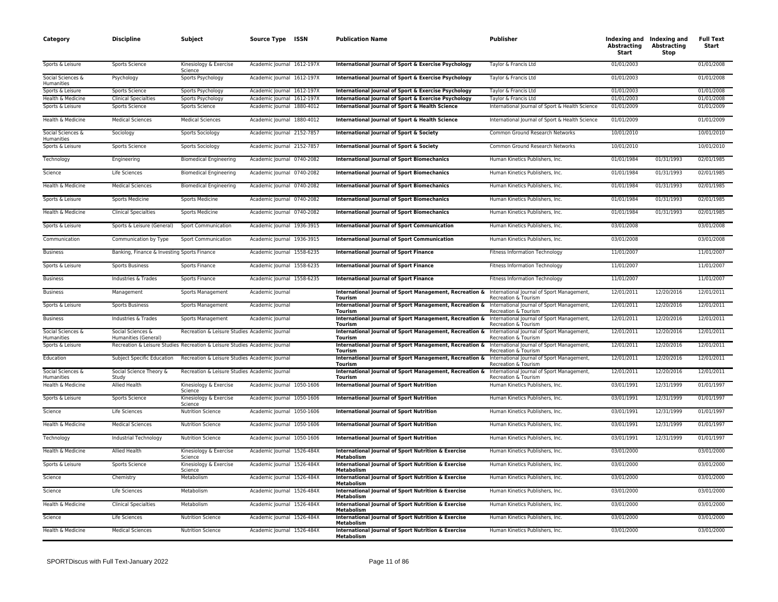| Category                               | <b>Discipline</b>                           | Subject                                                                    | Source Type ISSN           | <b>Publication Name</b>                                                      | <b>Publisher</b>                                                              | Abstracting<br>Start | Indexing and Indexing and<br><b>Abstracting</b><br>Stop | <b>Full Text</b><br>Start |
|----------------------------------------|---------------------------------------------|----------------------------------------------------------------------------|----------------------------|------------------------------------------------------------------------------|-------------------------------------------------------------------------------|----------------------|---------------------------------------------------------|---------------------------|
| Sports & Leisure                       | Sports Science                              | Kinesiology & Exercise<br>Science                                          | Academic Journal 1612-197X | International Journal of Sport & Exercise Psychology                         | Taylor & Francis Ltd                                                          | 01/01/2003           |                                                         | 01/01/2008                |
| Social Sciences &<br><b>Humanities</b> | Psychology                                  | Sports Psychology                                                          | Academic Journal 1612-197X | International Journal of Sport & Exercise Psychology                         | Taylor & Francis Ltd                                                          | 01/01/2003           |                                                         | 01/01/2008                |
| Sports & Leisure                       | Sports Science                              | Sports Psychology                                                          | Academic Journal 1612-197X | International Journal of Sport & Exercise Psychology                         | Taylor & Francis Ltd                                                          | 01/01/2003           |                                                         | 01/01/2008                |
| Health & Medicine                      | <b>Clinical Specialties</b>                 | Sports Psychology                                                          | Academic Journal 1612-197X | International Journal of Sport & Exercise Psychology                         | Taylor & Francis Ltd                                                          | 01/01/2003           |                                                         | 01/01/2008                |
| Sports & Leisure                       | Sports Science                              | Sports Science                                                             | Academic Journal 1880-4012 | International Journal of Sport & Health Science                              | International Journal of Sport & Health Science                               | 01/01/2009           |                                                         | 01/01/2009                |
| Health & Medicine                      | <b>Medical Sciences</b>                     | <b>Medical Sciences</b>                                                    | Academic Journal 1880-4012 | International Journal of Sport & Health Science                              | International Journal of Sport & Health Science                               | 01/01/2009           |                                                         | 01/01/2009                |
| Social Sciences &<br>Humanities        | Sociology                                   | Sports Sociology                                                           | Academic Journal 2152-7857 | International Journal of Sport & Society                                     | Common Ground Research Networks                                               | 10/01/2010           |                                                         | 10/01/2010                |
| Sports & Leisure                       | Sports Science                              | Sports Sociology                                                           | Academic Journal 2152-7857 | International Journal of Sport & Society                                     | Common Ground Research Networks                                               | 10/01/2010           |                                                         | 10/01/2010                |
| Technology                             | Engineering                                 | <b>Biomedical Engineering</b>                                              | Academic Journal 0740-2082 | <b>International Journal of Sport Biomechanics</b>                           | Human Kinetics Publishers, Inc.                                               | 01/01/1984           | 01/31/1993                                              | 02/01/1985                |
| Science                                | Life Sciences                               | <b>Biomedical Engineering</b>                                              | Academic Journal 0740-2082 | <b>International Journal of Sport Biomechanics</b>                           | Human Kinetics Publishers, Inc.                                               | 01/01/1984           | 01/31/1993                                              | 02/01/1985                |
| Health & Medicine                      | <b>Medical Sciences</b>                     | <b>Biomedical Engineering</b>                                              | Academic Journal 0740-2082 | <b>International Journal of Sport Biomechanics</b>                           | Human Kinetics Publishers, Inc.                                               | 01/01/1984           | 01/31/1993                                              | 02/01/1985                |
| Sports & Leisure                       | Sports Medicine                             | Sports Medicine                                                            | Academic Journal 0740-2082 | <b>International Journal of Sport Biomechanics</b>                           | Human Kinetics Publishers, Inc.                                               | 01/01/1984           | 01/31/1993                                              | 02/01/1985                |
| Health & Medicine                      | <b>Clinical Specialties</b>                 | Sports Medicine                                                            | Academic Journal 0740-2082 | <b>International Journal of Sport Biomechanics</b>                           | Human Kinetics Publishers, Inc.                                               | 01/01/1984           | 01/31/1993                                              | 02/01/1985                |
| Sports & Leisure                       | Sports & Leisure (General)                  | <b>Sport Communication</b>                                                 | Academic Journal 1936-3915 | International Journal of Sport Communication                                 | Human Kinetics Publishers, Inc.                                               | 03/01/2008           |                                                         | 03/01/2008                |
| Communication                          | Communication by Type                       | Sport Communication                                                        | Academic Journal 1936-3915 | <b>International Journal of Sport Communication</b>                          | Human Kinetics Publishers, Inc.                                               | 03/01/2008           |                                                         | 03/01/2008                |
| <b>Business</b>                        | Banking, Finance & Investing Sports Finance |                                                                            | Academic Journal 1558-6235 | <b>International Journal of Sport Finance</b>                                | <b>Fitness Information Technology</b>                                         | 11/01/2007           |                                                         | 11/01/2007                |
| Sports & Leisure                       | <b>Sports Business</b>                      | Sports Finance                                                             | Academic Journal 1558-6235 | <b>International Journal of Sport Finance</b>                                | <b>Fitness Information Technology</b>                                         | 11/01/2007           |                                                         | 11/01/2007                |
| <b>Business</b>                        | Industries & Trades                         | Sports Finance                                                             | Academic Journal 1558-6235 | <b>International Journal of Sport Finance</b>                                | <b>Fitness Information Technology</b>                                         | 11/01/2007           |                                                         | 11/01/2007                |
| <b>Business</b>                        | Management                                  | Sports Management                                                          | Academic Journal           | International Journal of Sport Management, Recreation &<br>Tourism           | International Journal of Sport Management,<br>Recreation & Tourism            | 12/01/2011           | 12/20/2016                                              | 12/01/2011                |
| Sports & Leisure                       | <b>Sports Business</b>                      | Sports Management                                                          | Academic Journal           | International Journal of Sport Management, Recreation &<br>Tourism           | International Journal of Sport Management,<br>Recreation & Tourism            | 12/01/2011           | 12/20/2016                                              | 12/01/2011                |
| <b>Business</b>                        | Industries & Trades                         | Sports Management                                                          | Academic Journal           | International Journal of Sport Management, Recreation &<br>Tourism           | International Journal of Sport Management,<br><b>Recreation &amp; Tourism</b> | 12/01/2011           | 12/20/2016                                              | 12/01/2011                |
| Social Sciences &<br>Humanities        | Social Sciences &<br>Humanities (General)   | Recreation & Leisure Studies Academic Journal                              |                            | International Journal of Sport Management, Recreation &<br>Tourism           | International Journal of Sport Management,<br><b>Recreation &amp; Tourism</b> | 12/01/2011           | 12/20/2016                                              | 12/01/2011                |
| Sports & Leisure                       |                                             | Recreation & Leisure Studies Recreation & Leisure Studies Academic Journal |                            | International Journal of Sport Management, Recreation &<br>Tourism           | International Journal of Sport Management,<br><b>Recreation &amp; Tourism</b> | 12/01/2011           | 12/20/2016                                              | 12/01/2011                |
| Education                              | Subject Specific Education                  | Recreation & Leisure Studies Academic Journal                              |                            | International Journal of Sport Management, Recreation &<br>Tourism           | International Journal of Sport Management,<br>Recreation & Tourism            | 12/01/2011           | 12/20/2016                                              | 12/01/2011                |
| Social Sciences &<br>Humanities        | Social Science Theory &<br>Study            | Recreation & Leisure Studies Academic Journal                              |                            | International Journal of Sport Management, Recreation &<br>Tourism           | International Journal of Sport Management,<br>Recreation & Tourism            | 12/01/2011           | 12/20/2016                                              | 12/01/2011                |
| Health & Medicine                      | Allied Health                               | Kinesiology & Exercise<br>Science                                          | Academic Journal 1050-1606 | <b>International Journal of Sport Nutrition</b>                              | Human Kinetics Publishers, Inc.                                               | 03/01/1991           | 12/31/1999                                              | 01/01/1997                |
| Sports & Leisure                       | Sports Science                              | Kinesiology & Exercise<br>Science                                          | Academic Journal 1050-1606 | <b>International Journal of Sport Nutrition</b>                              | Human Kinetics Publishers, Inc.                                               | 03/01/1991           | 12/31/1999                                              | 01/01/1997                |
| Science                                | Life Sciences                               | <b>Nutrition Science</b>                                                   | Academic Journal 1050-1606 | <b>International Journal of Sport Nutrition</b>                              | Human Kinetics Publishers, Inc.                                               | 03/01/1991           | 12/31/1999                                              | 01/01/1997                |
| Health & Medicine                      | <b>Medical Sciences</b>                     | <b>Nutrition Science</b>                                                   | Academic Journal 1050-1606 | <b>International Journal of Sport Nutrition</b>                              | Human Kinetics Publishers, Inc.                                               | 03/01/1991           | 12/31/1999                                              | 01/01/1997                |
| Technology                             | Industrial Technology                       | <b>Nutrition Science</b>                                                   | Academic Journal 1050-1606 | <b>International Journal of Sport Nutrition</b>                              | Human Kinetics Publishers, Inc.                                               | 03/01/1991           | 12/31/1999                                              | 01/01/1997                |
| Health & Medicine                      | Allied Health                               | Kinesiology & Exercise<br>Science                                          | Academic Journal 1526-484X | International Journal of Sport Nutrition & Exercise<br>Metabolism            | Human Kinetics Publishers, Inc.                                               | 03/01/2000           |                                                         | 03/01/2000                |
| Sports & Leisure                       | Sports Science                              | Kinesiology & Exercise<br>Science                                          | Academic Journal 1526-484X | <b>International Journal of Sport Nutrition &amp; Exercise</b><br>Metabolism | Human Kinetics Publishers, Inc.                                               | 03/01/2000           |                                                         | 03/01/2000                |
| Science                                | Chemistry                                   | Metabolism                                                                 | Academic Journal 1526-484X | International Journal of Sport Nutrition & Exercise<br>Metabolism            | Human Kinetics Publishers, Inc.                                               | 03/01/2000           |                                                         | 03/01/2000                |
| Science                                | Life Sciences                               | Metabolism                                                                 | Academic Journal 1526-484X | International Journal of Sport Nutrition & Exercise<br>Metabolism            | Human Kinetics Publishers, Inc.                                               | 03/01/2000           |                                                         | 03/01/2000                |
| Health & Medicine                      | <b>Clinical Specialties</b>                 | Metabolism                                                                 | Academic Journal 1526-484X | International Journal of Sport Nutrition & Exercise<br>Metabolism            | Human Kinetics Publishers, Inc.                                               | 03/01/2000           |                                                         | 03/01/2000                |
| Science                                | Life Sciences                               | <b>Nutrition Science</b>                                                   | Academic Journal 1526-484X | International Journal of Sport Nutrition & Exercise<br><b>Metabolism</b>     | Human Kinetics Publishers, Inc.                                               | 03/01/2000           |                                                         | 03/01/2000                |
| Health & Medicine                      | <b>Medical Sciences</b>                     | <b>Nutrition Science</b>                                                   | Academic Journal 1526-484X | International Journal of Sport Nutrition & Exercise<br>Metabolism            | Human Kinetics Publishers, Inc.                                               | 03/01/2000           |                                                         | 03/01/2000                |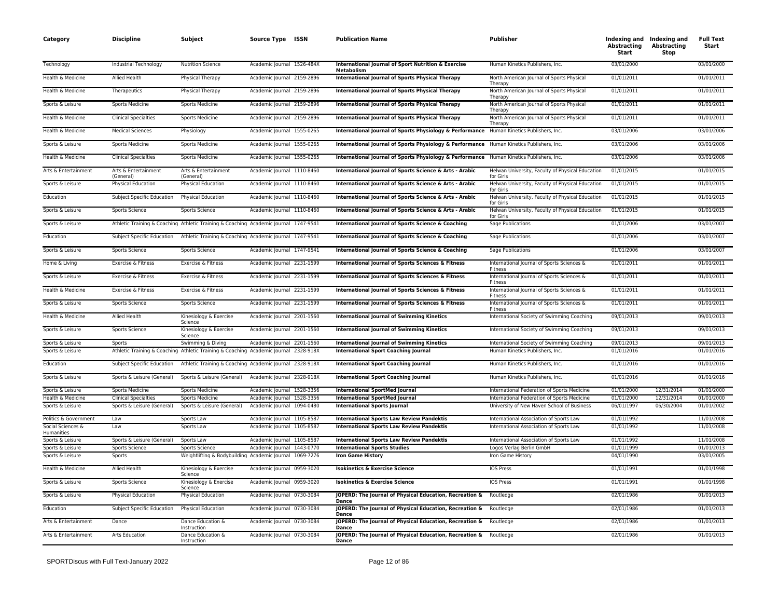| 03/01/2000<br>Technology<br>Academic Journal 1526-484X<br>International Journal of Sport Nutrition & Exercise<br>03/01/2000<br>Industrial Technology<br><b>Nutrition Science</b><br>Human Kinetics Publishers, Inc.<br>Metabolism<br>Health & Medicine<br><b>Allied Health</b><br>Academic Journal 2159-2896<br><b>International Journal of Sports Physical Therapy</b><br>01/01/2011<br>01/01/2011<br>Physical Therapy<br>North American Journal of Sports Physical<br>Therapy<br>Health & Medicine<br>Academic Journal 2159-2896<br>International Journal of Sports Physical Therapy<br>North American Journal of Sports Physical<br>01/01/2011<br>01/01/2011<br>Therapeutics<br>Physical Therapy<br>Therapy<br>Sports & Leisure<br>01/01/2011<br>01/01/2011<br><b>Sports Medicine</b><br>Sports Medicine<br>Academic Journal 2159-2896<br>International Journal of Sports Physical Therapy<br>North American Journal of Sports Physical<br>Therany<br>01/01/2011<br>Health & Medicine<br>Academic Journal 2159-2896<br>01/01/2011<br><b>Clinical Specialties</b><br>Sports Medicine<br>International Journal of Sports Physical Therapy<br>North American Journal of Sports Physical<br>Therany<br>Health & Medicine<br><b>Medical Sciences</b><br>Academic Journal 1555-0265<br>International Journal of Sports Physiology & Performance<br>Human Kinetics Publishers, Inc.<br>03/01/2006<br>03/01/2006<br>Physiology<br>Sports & Leisure<br><b>Sports Medicine</b><br><b>Sports Medicine</b><br>Academic Journal 1555-0265<br>International Journal of Sports Physiology & Performance Human Kinetics Publishers, Inc.<br>03/01/2006<br>03/01/2006<br>Health & Medicine<br><b>Clinical Specialties</b><br>Sports Medicine<br>Academic Journal 1555-0265<br>International Journal of Sports Physiology & Performance Human Kinetics Publishers, Inc.<br>03/01/2006<br>03/01/2006<br>Arts & Entertainment<br>Academic Journal 1110-8460<br>01/01/2015<br>01/01/2015<br>Arts & Entertainment<br>Arts & Entertainment<br>International Journal of Sports Science & Arts - Arabic<br>Helwan University, Faculty of Physical Education<br>(General)<br>(General)<br>for Girls<br>Sports & Leisure<br>Academic Journal 1110-8460<br>01/01/2015<br>01/01/2015<br>Physical Education<br><b>Physical Education</b><br>International Journal of Sports Science & Arts - Arabic<br>Helwan University, Faculty of Physical Education<br>for Girls<br>Education<br>Subject Specific Education<br><b>Physical Education</b><br>Academic Journal 1110-8460<br>International Journal of Sports Science & Arts - Arabic<br>Helwan University, Faculty of Physical Education<br>01/01/2015<br>01/01/2015<br>for Girls<br>Sports & Leisure<br>Academic Journal 1110-8460<br>Helwan University, Faculty of Physical Education<br>01/01/2015<br>01/01/2015<br>Sports Science<br>Sports Science<br>International Journal of Sports Science & Arts - Arabic<br>for Girls<br>Sports & Leisure<br>Athletic Training & Coaching Athletic Training & Coaching Academic Journal 1747-9541<br>International Journal of Sports Science & Coaching<br>Sage Publications<br>01/01/2006<br>03/01/2007<br>Education<br>Subject Specific Education<br>Athletic Training & Coaching Academic Journal 1747-9541<br>International Journal of Sports Science & Coaching<br>Sage Publications<br>01/01/2006<br>03/01/2007<br>Sports & Leisure<br>Academic Journal 1747-9541<br>01/01/2006<br>03/01/2007<br>Sports Science<br>International Journal of Sports Science & Coaching<br>Sage Publications<br><b>Sports Science</b><br>Home & Living<br>Exercise & Fitness<br>Exercise & Fitness<br>Academic Journal 2231-1599<br>International Journal of Sports Sciences & Fitness<br>International Journal of Sports Sciences &<br>01/01/2011<br>01/01/2011<br>Fitness<br>Sports & Leisure<br>Academic Journal 2231-1599<br>International Journal of Sports Sciences & Fitness<br>International Journal of Sports Sciences &<br>01/01/2011<br>01/01/2011<br>Exercise & Fitness<br>Exercise & Fitness<br>Fitness<br>Health & Medicine<br>01/01/2011<br>01/01/2011<br>Exercise & Fitness<br>Exercise & Fitness<br>Academic Journal 2231-1599<br>International Journal of Sports Sciences & Fitness<br>International Journal of Sports Sciences &<br>Fitness<br>01/01/2011<br>01/01/2011<br>Sports & Leisure<br>Sports Science<br>Academic Journal 2231-1599<br>International Journal of Sports Sciences & Fitness<br>International Journal of Sports Sciences &<br>Sports Science<br>Fitness<br>Health & Medicine<br><b>International Journal of Swimming Kinetics</b><br>09/01/2013<br>Allied Health<br>Kinesiology & Exercise<br>Academic Journal 2201-1560<br>International Society of Swimming Coaching<br>09/01/2013<br>Science<br>Sports & Leisure<br>Sports Science<br>Kinesiology & Exercise<br>Academic Journal 2201-1560<br><b>International Journal of Swimming Kinetics</b><br>International Society of Swimming Coaching<br>09/01/2013<br>09/01/2013<br>Science<br><b>International Journal of Swimming Kinetics</b><br>09/01/2013<br>09/01/2013<br>Sports & Leisure<br>Swimming & Diving<br>Academic Journal 2201-1560<br>International Society of Swimming Coaching<br>Sports<br>Athletic Training & Coaching Athletic Training & Coaching Academic Journal 2328-918X<br>Sports & Leisure<br><b>International Sport Coaching Journal</b><br>Human Kinetics Publishers, Inc.<br>01/01/2016<br>01/01/2016<br>Education<br>Subject Specific Education<br>Athletic Training & Coaching Academic Journal 2328-918X<br><b>International Sport Coaching Journal</b><br>Human Kinetics Publishers, Inc.<br>01/01/2016<br>01/01/2016<br>01/01/2016<br>Sports & Leisure<br>Academic Journal 2328-918X<br><b>International Sport Coaching Journal</b><br>Human Kinetics Publishers, Inc.<br>01/01/2016<br>Sports & Leisure (General)<br>Sports & Leisure (General)<br>12/31/2014<br>Sports & Leisure<br>Sports Medicine<br>Sports Medicine<br>Academic lournal 1528-3356<br><b>International SportMed lournal</b><br>International Federation of Sports Medicine<br>01/01/2000<br>01/01/2000<br>Health & Medicine<br>12/31/2014<br><b>Clinical Specialties</b><br>Sports Medicine<br>Academic Journal 1528-3356<br><b>International SportMed Journal</b><br>International Federation of Sports Medicine<br>01/01/2000<br>01/01/2000<br>Sports & Leisure<br>Sports & Leisure (General)<br>Academic Journal 1094-0480<br><b>International Sports Journal</b><br>University of New Haven School of Business<br>06/01/1997<br>06/30/2004<br>01/01/2002<br>Sports & Leisure (General)<br>Politics & Government<br>Sports Law<br>Academic Journal 1105-8587<br><b>International Sports Law Review Pandektis</b><br>International Association of Sports Law<br>01/01/1992<br>11/01/2008<br>Law<br>Social Sciences &<br>01/01/1992<br>11/01/2008<br>Law<br>Academic Journal 1105-8587<br><b>International Sports Law Review Pandektis</b><br>International Association of Sports Law<br>Sports Law<br>Humanities<br>11/01/2008<br>Sports & Leisure<br>Sports & Leisure (General)<br>Sports Law<br>Academic Journal 1105-8587<br><b>International Sports Law Review Pandektis</b><br>International Association of Sports Law<br>01/01/1992<br>Academic Journal 1443-0770<br><b>International Sports Studies</b><br>Logos Verlag Berlin GmbH<br>01/01/1999<br>01/01/2013<br>Sports & Leisure<br>Sports Science<br><b>Sports Science</b><br>04/01/1990<br>Sports & Leisure<br>Sports<br>Weightlifting & Bodybuilding Academic Journal 1069-7276<br><b>Iron Game History</b><br>Iron Game History<br>03/01/2005<br>Health & Medicine<br>IOS Press<br>01/01/1991<br>01/01/1998<br>Allied Health<br>Kinesiology & Exercise<br>Academic Journal 0959-3020<br><b>Isokinetics &amp; Exercise Science</b><br>Science<br>Sports & Leisure<br><b>IOS Press</b><br>01/01/1991<br>01/01/1998<br>Sports Science<br>Kinesiology & Exercise<br>Academic Journal 0959-3020<br><b>Isokinetics &amp; Exercise Science</b><br>Science<br>Sports & Leisure<br>Physical Education<br>Physical Education<br>Academic Journal 0730-3084<br>JOPERD: The Journal of Physical Education, Recreation &<br>Routledge<br>02/01/1986<br>01/01/2013<br><b>Dance</b><br>Education<br>Subject Specific Education<br><b>Physical Education</b><br>Academic Journal 0730-3084<br>JOPERD: The Journal of Physical Education, Recreation &<br>Routledge<br>02/01/1986<br>01/01/2013<br>Dance<br>Arts & Entertainment<br>JOPERD: The Journal of Physical Education, Recreation &<br>Dance Education &<br>Academic Journal 0730-3084<br>02/01/1986<br>01/01/2013<br>Dance<br>Routledge<br>Instruction<br>Dance<br>Arts & Entertainment<br><b>Arts Education</b><br>Dance Education &<br>Academic Journal 0730-3084<br>JOPERD: The Journal of Physical Education, Recreation & Routledge<br>02/01/1986<br>01/01/2013<br>Instruction<br>Dance | Category | <b>Discipline</b> | Subject | Source Type ISSN | <b>Publication Name</b> | <b>Publisher</b> | Abstracting<br>Start | Indexing and Indexing and<br><b>Abstracting</b><br>Stop | <b>Full Text</b><br>Start |
|-------------------------------------------------------------------------------------------------------------------------------------------------------------------------------------------------------------------------------------------------------------------------------------------------------------------------------------------------------------------------------------------------------------------------------------------------------------------------------------------------------------------------------------------------------------------------------------------------------------------------------------------------------------------------------------------------------------------------------------------------------------------------------------------------------------------------------------------------------------------------------------------------------------------------------------------------------------------------------------------------------------------------------------------------------------------------------------------------------------------------------------------------------------------------------------------------------------------------------------------------------------------------------------------------------------------------------------------------------------------------------------------------------------------------------------------------------------------------------------------------------------------------------------------------------------------------------------------------------------------------------------------------------------------------------------------------------------------------------------------------------------------------------------------------------------------------------------------------------------------------------------------------------------------------------------------------------------------------------------------------------------------------------------------------------------------------------------------------------------------------------------------------------------------------------------------------------------------------------------------------------------------------------------------------------------------------------------------------------------------------------------------------------------------------------------------------------------------------------------------------------------------------------------------------------------------------------------------------------------------------------------------------------------------------------------------------------------------------------------------------------------------------------------------------------------------------------------------------------------------------------------------------------------------------------------------------------------------------------------------------------------------------------------------------------------------------------------------------------------------------------------------------------------------------------------------------------------------------------------------------------------------------------------------------------------------------------------------------------------------------------------------------------------------------------------------------------------------------------------------------------------------------------------------------------------------------------------------------------------------------------------------------------------------------------------------------------------------------------------------------------------------------------------------------------------------------------------------------------------------------------------------------------------------------------------------------------------------------------------------------------------------------------------------------------------------------------------------------------------------------------------------------------------------------------------------------------------------------------------------------------------------------------------------------------------------------------------------------------------------------------------------------------------------------------------------------------------------------------------------------------------------------------------------------------------------------------------------------------------------------------------------------------------------------------------------------------------------------------------------------------------------------------------------------------------------------------------------------------------------------------------------------------------------------------------------------------------------------------------------------------------------------------------------------------------------------------------------------------------------------------------------------------------------------------------------------------------------------------------------------------------------------------------------------------------------------------------------------------------------------------------------------------------------------------------------------------------------------------------------------------------------------------------------------------------------------------------------------------------------------------------------------------------------------------------------------------------------------------------------------------------------------------------------------------------------------------------------------------------------------------------------------------------------------------------------------------------------------------------------------------------------------------------------------------------------------------------------------------------------------------------------------------------------------------------------------------------------------------------------------------------------------------------------------------------------------------------------------------------------------------------------------------------------------------------------------------------------------------------------------------------------------------------------------------------------------------------------------------------------------------------------------------------------------------------------------------------------------------------------------------------------------------------------------------------------------------------------------------------------------------------------------------------------------------------------------------------------------------------------------------------------------------------------------------------------------------------------------------------------------------------------------------------------------------------------------------------------------------------------------------------------------------------------------------------------------------------------------------------------------------------------------------------------------------------------------------------------------------------------------------------------------------------------------------------------------------------------------------------------------------------------------------------------------------------------------------------------------------------------------------------------------------------------------------------------------------------------------------------------------------------------------------------------------------------------------------------------------------------------------------------------------------------------------------------------------------------------------------------------------------------------------------------------------------------------------------------------------------------------------------------------------------------------------------------------------------------------------------------------------------------------------------------------------------------------------------------------------------------------------------------------------------------------------------------------------------------------------------------------------------------------------------------------------------------------------------------------------------------------------------------------------------------------------------------------------------------------------------------------------------------------------------------------------------------------------------|----------|-------------------|---------|------------------|-------------------------|------------------|----------------------|---------------------------------------------------------|---------------------------|
|                                                                                                                                                                                                                                                                                                                                                                                                                                                                                                                                                                                                                                                                                                                                                                                                                                                                                                                                                                                                                                                                                                                                                                                                                                                                                                                                                                                                                                                                                                                                                                                                                                                                                                                                                                                                                                                                                                                                                                                                                                                                                                                                                                                                                                                                                                                                                                                                                                                                                                                                                                                                                                                                                                                                                                                                                                                                                                                                                                                                                                                                                                                                                                                                                                                                                                                                                                                                                                                                                                                                                                                                                                                                                                                                                                                                                                                                                                                                                                                                                                                                                                                                                                                                                                                                                                                                                                                                                                                                                                                                                                                                                                                                                                                                                                                                                                                                                                                                                                                                                                                                                                                                                                                                                                                                                                                                                                                                                                                                                                                                                                                                                                                                                                                                                                                                                                                                                                                                                                                                                                                                                                                                                                                                                                                                                                                                                                                                                                                                                                                                                                                                                                                                                                                                                                                                                                                                                                                                                                                                                                                                                                                                                                                                                                                                                                                                                                                                                                                                                                                                                                                                                                                                                                                                                                                                                                                                                                                                                                                                                                                                                                                                                                                                                                                                                                                                                                                                                                                                                                                                                                                                                                                                                                                                                                                                                                                                                                                                                       |          |                   |         |                  |                         |                  |                      |                                                         |                           |
|                                                                                                                                                                                                                                                                                                                                                                                                                                                                                                                                                                                                                                                                                                                                                                                                                                                                                                                                                                                                                                                                                                                                                                                                                                                                                                                                                                                                                                                                                                                                                                                                                                                                                                                                                                                                                                                                                                                                                                                                                                                                                                                                                                                                                                                                                                                                                                                                                                                                                                                                                                                                                                                                                                                                                                                                                                                                                                                                                                                                                                                                                                                                                                                                                                                                                                                                                                                                                                                                                                                                                                                                                                                                                                                                                                                                                                                                                                                                                                                                                                                                                                                                                                                                                                                                                                                                                                                                                                                                                                                                                                                                                                                                                                                                                                                                                                                                                                                                                                                                                                                                                                                                                                                                                                                                                                                                                                                                                                                                                                                                                                                                                                                                                                                                                                                                                                                                                                                                                                                                                                                                                                                                                                                                                                                                                                                                                                                                                                                                                                                                                                                                                                                                                                                                                                                                                                                                                                                                                                                                                                                                                                                                                                                                                                                                                                                                                                                                                                                                                                                                                                                                                                                                                                                                                                                                                                                                                                                                                                                                                                                                                                                                                                                                                                                                                                                                                                                                                                                                                                                                                                                                                                                                                                                                                                                                                                                                                                                                                       |          |                   |         |                  |                         |                  |                      |                                                         |                           |
|                                                                                                                                                                                                                                                                                                                                                                                                                                                                                                                                                                                                                                                                                                                                                                                                                                                                                                                                                                                                                                                                                                                                                                                                                                                                                                                                                                                                                                                                                                                                                                                                                                                                                                                                                                                                                                                                                                                                                                                                                                                                                                                                                                                                                                                                                                                                                                                                                                                                                                                                                                                                                                                                                                                                                                                                                                                                                                                                                                                                                                                                                                                                                                                                                                                                                                                                                                                                                                                                                                                                                                                                                                                                                                                                                                                                                                                                                                                                                                                                                                                                                                                                                                                                                                                                                                                                                                                                                                                                                                                                                                                                                                                                                                                                                                                                                                                                                                                                                                                                                                                                                                                                                                                                                                                                                                                                                                                                                                                                                                                                                                                                                                                                                                                                                                                                                                                                                                                                                                                                                                                                                                                                                                                                                                                                                                                                                                                                                                                                                                                                                                                                                                                                                                                                                                                                                                                                                                                                                                                                                                                                                                                                                                                                                                                                                                                                                                                                                                                                                                                                                                                                                                                                                                                                                                                                                                                                                                                                                                                                                                                                                                                                                                                                                                                                                                                                                                                                                                                                                                                                                                                                                                                                                                                                                                                                                                                                                                                                                       |          |                   |         |                  |                         |                  |                      |                                                         |                           |
|                                                                                                                                                                                                                                                                                                                                                                                                                                                                                                                                                                                                                                                                                                                                                                                                                                                                                                                                                                                                                                                                                                                                                                                                                                                                                                                                                                                                                                                                                                                                                                                                                                                                                                                                                                                                                                                                                                                                                                                                                                                                                                                                                                                                                                                                                                                                                                                                                                                                                                                                                                                                                                                                                                                                                                                                                                                                                                                                                                                                                                                                                                                                                                                                                                                                                                                                                                                                                                                                                                                                                                                                                                                                                                                                                                                                                                                                                                                                                                                                                                                                                                                                                                                                                                                                                                                                                                                                                                                                                                                                                                                                                                                                                                                                                                                                                                                                                                                                                                                                                                                                                                                                                                                                                                                                                                                                                                                                                                                                                                                                                                                                                                                                                                                                                                                                                                                                                                                                                                                                                                                                                                                                                                                                                                                                                                                                                                                                                                                                                                                                                                                                                                                                                                                                                                                                                                                                                                                                                                                                                                                                                                                                                                                                                                                                                                                                                                                                                                                                                                                                                                                                                                                                                                                                                                                                                                                                                                                                                                                                                                                                                                                                                                                                                                                                                                                                                                                                                                                                                                                                                                                                                                                                                                                                                                                                                                                                                                                                                       |          |                   |         |                  |                         |                  |                      |                                                         |                           |
|                                                                                                                                                                                                                                                                                                                                                                                                                                                                                                                                                                                                                                                                                                                                                                                                                                                                                                                                                                                                                                                                                                                                                                                                                                                                                                                                                                                                                                                                                                                                                                                                                                                                                                                                                                                                                                                                                                                                                                                                                                                                                                                                                                                                                                                                                                                                                                                                                                                                                                                                                                                                                                                                                                                                                                                                                                                                                                                                                                                                                                                                                                                                                                                                                                                                                                                                                                                                                                                                                                                                                                                                                                                                                                                                                                                                                                                                                                                                                                                                                                                                                                                                                                                                                                                                                                                                                                                                                                                                                                                                                                                                                                                                                                                                                                                                                                                                                                                                                                                                                                                                                                                                                                                                                                                                                                                                                                                                                                                                                                                                                                                                                                                                                                                                                                                                                                                                                                                                                                                                                                                                                                                                                                                                                                                                                                                                                                                                                                                                                                                                                                                                                                                                                                                                                                                                                                                                                                                                                                                                                                                                                                                                                                                                                                                                                                                                                                                                                                                                                                                                                                                                                                                                                                                                                                                                                                                                                                                                                                                                                                                                                                                                                                                                                                                                                                                                                                                                                                                                                                                                                                                                                                                                                                                                                                                                                                                                                                                                                       |          |                   |         |                  |                         |                  |                      |                                                         |                           |
|                                                                                                                                                                                                                                                                                                                                                                                                                                                                                                                                                                                                                                                                                                                                                                                                                                                                                                                                                                                                                                                                                                                                                                                                                                                                                                                                                                                                                                                                                                                                                                                                                                                                                                                                                                                                                                                                                                                                                                                                                                                                                                                                                                                                                                                                                                                                                                                                                                                                                                                                                                                                                                                                                                                                                                                                                                                                                                                                                                                                                                                                                                                                                                                                                                                                                                                                                                                                                                                                                                                                                                                                                                                                                                                                                                                                                                                                                                                                                                                                                                                                                                                                                                                                                                                                                                                                                                                                                                                                                                                                                                                                                                                                                                                                                                                                                                                                                                                                                                                                                                                                                                                                                                                                                                                                                                                                                                                                                                                                                                                                                                                                                                                                                                                                                                                                                                                                                                                                                                                                                                                                                                                                                                                                                                                                                                                                                                                                                                                                                                                                                                                                                                                                                                                                                                                                                                                                                                                                                                                                                                                                                                                                                                                                                                                                                                                                                                                                                                                                                                                                                                                                                                                                                                                                                                                                                                                                                                                                                                                                                                                                                                                                                                                                                                                                                                                                                                                                                                                                                                                                                                                                                                                                                                                                                                                                                                                                                                                                                       |          |                   |         |                  |                         |                  |                      |                                                         |                           |
|                                                                                                                                                                                                                                                                                                                                                                                                                                                                                                                                                                                                                                                                                                                                                                                                                                                                                                                                                                                                                                                                                                                                                                                                                                                                                                                                                                                                                                                                                                                                                                                                                                                                                                                                                                                                                                                                                                                                                                                                                                                                                                                                                                                                                                                                                                                                                                                                                                                                                                                                                                                                                                                                                                                                                                                                                                                                                                                                                                                                                                                                                                                                                                                                                                                                                                                                                                                                                                                                                                                                                                                                                                                                                                                                                                                                                                                                                                                                                                                                                                                                                                                                                                                                                                                                                                                                                                                                                                                                                                                                                                                                                                                                                                                                                                                                                                                                                                                                                                                                                                                                                                                                                                                                                                                                                                                                                                                                                                                                                                                                                                                                                                                                                                                                                                                                                                                                                                                                                                                                                                                                                                                                                                                                                                                                                                                                                                                                                                                                                                                                                                                                                                                                                                                                                                                                                                                                                                                                                                                                                                                                                                                                                                                                                                                                                                                                                                                                                                                                                                                                                                                                                                                                                                                                                                                                                                                                                                                                                                                                                                                                                                                                                                                                                                                                                                                                                                                                                                                                                                                                                                                                                                                                                                                                                                                                                                                                                                                                                       |          |                   |         |                  |                         |                  |                      |                                                         |                           |
|                                                                                                                                                                                                                                                                                                                                                                                                                                                                                                                                                                                                                                                                                                                                                                                                                                                                                                                                                                                                                                                                                                                                                                                                                                                                                                                                                                                                                                                                                                                                                                                                                                                                                                                                                                                                                                                                                                                                                                                                                                                                                                                                                                                                                                                                                                                                                                                                                                                                                                                                                                                                                                                                                                                                                                                                                                                                                                                                                                                                                                                                                                                                                                                                                                                                                                                                                                                                                                                                                                                                                                                                                                                                                                                                                                                                                                                                                                                                                                                                                                                                                                                                                                                                                                                                                                                                                                                                                                                                                                                                                                                                                                                                                                                                                                                                                                                                                                                                                                                                                                                                                                                                                                                                                                                                                                                                                                                                                                                                                                                                                                                                                                                                                                                                                                                                                                                                                                                                                                                                                                                                                                                                                                                                                                                                                                                                                                                                                                                                                                                                                                                                                                                                                                                                                                                                                                                                                                                                                                                                                                                                                                                                                                                                                                                                                                                                                                                                                                                                                                                                                                                                                                                                                                                                                                                                                                                                                                                                                                                                                                                                                                                                                                                                                                                                                                                                                                                                                                                                                                                                                                                                                                                                                                                                                                                                                                                                                                                                                       |          |                   |         |                  |                         |                  |                      |                                                         |                           |
|                                                                                                                                                                                                                                                                                                                                                                                                                                                                                                                                                                                                                                                                                                                                                                                                                                                                                                                                                                                                                                                                                                                                                                                                                                                                                                                                                                                                                                                                                                                                                                                                                                                                                                                                                                                                                                                                                                                                                                                                                                                                                                                                                                                                                                                                                                                                                                                                                                                                                                                                                                                                                                                                                                                                                                                                                                                                                                                                                                                                                                                                                                                                                                                                                                                                                                                                                                                                                                                                                                                                                                                                                                                                                                                                                                                                                                                                                                                                                                                                                                                                                                                                                                                                                                                                                                                                                                                                                                                                                                                                                                                                                                                                                                                                                                                                                                                                                                                                                                                                                                                                                                                                                                                                                                                                                                                                                                                                                                                                                                                                                                                                                                                                                                                                                                                                                                                                                                                                                                                                                                                                                                                                                                                                                                                                                                                                                                                                                                                                                                                                                                                                                                                                                                                                                                                                                                                                                                                                                                                                                                                                                                                                                                                                                                                                                                                                                                                                                                                                                                                                                                                                                                                                                                                                                                                                                                                                                                                                                                                                                                                                                                                                                                                                                                                                                                                                                                                                                                                                                                                                                                                                                                                                                                                                                                                                                                                                                                                                                       |          |                   |         |                  |                         |                  |                      |                                                         |                           |
|                                                                                                                                                                                                                                                                                                                                                                                                                                                                                                                                                                                                                                                                                                                                                                                                                                                                                                                                                                                                                                                                                                                                                                                                                                                                                                                                                                                                                                                                                                                                                                                                                                                                                                                                                                                                                                                                                                                                                                                                                                                                                                                                                                                                                                                                                                                                                                                                                                                                                                                                                                                                                                                                                                                                                                                                                                                                                                                                                                                                                                                                                                                                                                                                                                                                                                                                                                                                                                                                                                                                                                                                                                                                                                                                                                                                                                                                                                                                                                                                                                                                                                                                                                                                                                                                                                                                                                                                                                                                                                                                                                                                                                                                                                                                                                                                                                                                                                                                                                                                                                                                                                                                                                                                                                                                                                                                                                                                                                                                                                                                                                                                                                                                                                                                                                                                                                                                                                                                                                                                                                                                                                                                                                                                                                                                                                                                                                                                                                                                                                                                                                                                                                                                                                                                                                                                                                                                                                                                                                                                                                                                                                                                                                                                                                                                                                                                                                                                                                                                                                                                                                                                                                                                                                                                                                                                                                                                                                                                                                                                                                                                                                                                                                                                                                                                                                                                                                                                                                                                                                                                                                                                                                                                                                                                                                                                                                                                                                                                                       |          |                   |         |                  |                         |                  |                      |                                                         |                           |
|                                                                                                                                                                                                                                                                                                                                                                                                                                                                                                                                                                                                                                                                                                                                                                                                                                                                                                                                                                                                                                                                                                                                                                                                                                                                                                                                                                                                                                                                                                                                                                                                                                                                                                                                                                                                                                                                                                                                                                                                                                                                                                                                                                                                                                                                                                                                                                                                                                                                                                                                                                                                                                                                                                                                                                                                                                                                                                                                                                                                                                                                                                                                                                                                                                                                                                                                                                                                                                                                                                                                                                                                                                                                                                                                                                                                                                                                                                                                                                                                                                                                                                                                                                                                                                                                                                                                                                                                                                                                                                                                                                                                                                                                                                                                                                                                                                                                                                                                                                                                                                                                                                                                                                                                                                                                                                                                                                                                                                                                                                                                                                                                                                                                                                                                                                                                                                                                                                                                                                                                                                                                                                                                                                                                                                                                                                                                                                                                                                                                                                                                                                                                                                                                                                                                                                                                                                                                                                                                                                                                                                                                                                                                                                                                                                                                                                                                                                                                                                                                                                                                                                                                                                                                                                                                                                                                                                                                                                                                                                                                                                                                                                                                                                                                                                                                                                                                                                                                                                                                                                                                                                                                                                                                                                                                                                                                                                                                                                                                                       |          |                   |         |                  |                         |                  |                      |                                                         |                           |
|                                                                                                                                                                                                                                                                                                                                                                                                                                                                                                                                                                                                                                                                                                                                                                                                                                                                                                                                                                                                                                                                                                                                                                                                                                                                                                                                                                                                                                                                                                                                                                                                                                                                                                                                                                                                                                                                                                                                                                                                                                                                                                                                                                                                                                                                                                                                                                                                                                                                                                                                                                                                                                                                                                                                                                                                                                                                                                                                                                                                                                                                                                                                                                                                                                                                                                                                                                                                                                                                                                                                                                                                                                                                                                                                                                                                                                                                                                                                                                                                                                                                                                                                                                                                                                                                                                                                                                                                                                                                                                                                                                                                                                                                                                                                                                                                                                                                                                                                                                                                                                                                                                                                                                                                                                                                                                                                                                                                                                                                                                                                                                                                                                                                                                                                                                                                                                                                                                                                                                                                                                                                                                                                                                                                                                                                                                                                                                                                                                                                                                                                                                                                                                                                                                                                                                                                                                                                                                                                                                                                                                                                                                                                                                                                                                                                                                                                                                                                                                                                                                                                                                                                                                                                                                                                                                                                                                                                                                                                                                                                                                                                                                                                                                                                                                                                                                                                                                                                                                                                                                                                                                                                                                                                                                                                                                                                                                                                                                                                                       |          |                   |         |                  |                         |                  |                      |                                                         |                           |
|                                                                                                                                                                                                                                                                                                                                                                                                                                                                                                                                                                                                                                                                                                                                                                                                                                                                                                                                                                                                                                                                                                                                                                                                                                                                                                                                                                                                                                                                                                                                                                                                                                                                                                                                                                                                                                                                                                                                                                                                                                                                                                                                                                                                                                                                                                                                                                                                                                                                                                                                                                                                                                                                                                                                                                                                                                                                                                                                                                                                                                                                                                                                                                                                                                                                                                                                                                                                                                                                                                                                                                                                                                                                                                                                                                                                                                                                                                                                                                                                                                                                                                                                                                                                                                                                                                                                                                                                                                                                                                                                                                                                                                                                                                                                                                                                                                                                                                                                                                                                                                                                                                                                                                                                                                                                                                                                                                                                                                                                                                                                                                                                                                                                                                                                                                                                                                                                                                                                                                                                                                                                                                                                                                                                                                                                                                                                                                                                                                                                                                                                                                                                                                                                                                                                                                                                                                                                                                                                                                                                                                                                                                                                                                                                                                                                                                                                                                                                                                                                                                                                                                                                                                                                                                                                                                                                                                                                                                                                                                                                                                                                                                                                                                                                                                                                                                                                                                                                                                                                                                                                                                                                                                                                                                                                                                                                                                                                                                                                                       |          |                   |         |                  |                         |                  |                      |                                                         |                           |
|                                                                                                                                                                                                                                                                                                                                                                                                                                                                                                                                                                                                                                                                                                                                                                                                                                                                                                                                                                                                                                                                                                                                                                                                                                                                                                                                                                                                                                                                                                                                                                                                                                                                                                                                                                                                                                                                                                                                                                                                                                                                                                                                                                                                                                                                                                                                                                                                                                                                                                                                                                                                                                                                                                                                                                                                                                                                                                                                                                                                                                                                                                                                                                                                                                                                                                                                                                                                                                                                                                                                                                                                                                                                                                                                                                                                                                                                                                                                                                                                                                                                                                                                                                                                                                                                                                                                                                                                                                                                                                                                                                                                                                                                                                                                                                                                                                                                                                                                                                                                                                                                                                                                                                                                                                                                                                                                                                                                                                                                                                                                                                                                                                                                                                                                                                                                                                                                                                                                                                                                                                                                                                                                                                                                                                                                                                                                                                                                                                                                                                                                                                                                                                                                                                                                                                                                                                                                                                                                                                                                                                                                                                                                                                                                                                                                                                                                                                                                                                                                                                                                                                                                                                                                                                                                                                                                                                                                                                                                                                                                                                                                                                                                                                                                                                                                                                                                                                                                                                                                                                                                                                                                                                                                                                                                                                                                                                                                                                                                                       |          |                   |         |                  |                         |                  |                      |                                                         |                           |
|                                                                                                                                                                                                                                                                                                                                                                                                                                                                                                                                                                                                                                                                                                                                                                                                                                                                                                                                                                                                                                                                                                                                                                                                                                                                                                                                                                                                                                                                                                                                                                                                                                                                                                                                                                                                                                                                                                                                                                                                                                                                                                                                                                                                                                                                                                                                                                                                                                                                                                                                                                                                                                                                                                                                                                                                                                                                                                                                                                                                                                                                                                                                                                                                                                                                                                                                                                                                                                                                                                                                                                                                                                                                                                                                                                                                                                                                                                                                                                                                                                                                                                                                                                                                                                                                                                                                                                                                                                                                                                                                                                                                                                                                                                                                                                                                                                                                                                                                                                                                                                                                                                                                                                                                                                                                                                                                                                                                                                                                                                                                                                                                                                                                                                                                                                                                                                                                                                                                                                                                                                                                                                                                                                                                                                                                                                                                                                                                                                                                                                                                                                                                                                                                                                                                                                                                                                                                                                                                                                                                                                                                                                                                                                                                                                                                                                                                                                                                                                                                                                                                                                                                                                                                                                                                                                                                                                                                                                                                                                                                                                                                                                                                                                                                                                                                                                                                                                                                                                                                                                                                                                                                                                                                                                                                                                                                                                                                                                                                                       |          |                   |         |                  |                         |                  |                      |                                                         |                           |
|                                                                                                                                                                                                                                                                                                                                                                                                                                                                                                                                                                                                                                                                                                                                                                                                                                                                                                                                                                                                                                                                                                                                                                                                                                                                                                                                                                                                                                                                                                                                                                                                                                                                                                                                                                                                                                                                                                                                                                                                                                                                                                                                                                                                                                                                                                                                                                                                                                                                                                                                                                                                                                                                                                                                                                                                                                                                                                                                                                                                                                                                                                                                                                                                                                                                                                                                                                                                                                                                                                                                                                                                                                                                                                                                                                                                                                                                                                                                                                                                                                                                                                                                                                                                                                                                                                                                                                                                                                                                                                                                                                                                                                                                                                                                                                                                                                                                                                                                                                                                                                                                                                                                                                                                                                                                                                                                                                                                                                                                                                                                                                                                                                                                                                                                                                                                                                                                                                                                                                                                                                                                                                                                                                                                                                                                                                                                                                                                                                                                                                                                                                                                                                                                                                                                                                                                                                                                                                                                                                                                                                                                                                                                                                                                                                                                                                                                                                                                                                                                                                                                                                                                                                                                                                                                                                                                                                                                                                                                                                                                                                                                                                                                                                                                                                                                                                                                                                                                                                                                                                                                                                                                                                                                                                                                                                                                                                                                                                                                                       |          |                   |         |                  |                         |                  |                      |                                                         |                           |
|                                                                                                                                                                                                                                                                                                                                                                                                                                                                                                                                                                                                                                                                                                                                                                                                                                                                                                                                                                                                                                                                                                                                                                                                                                                                                                                                                                                                                                                                                                                                                                                                                                                                                                                                                                                                                                                                                                                                                                                                                                                                                                                                                                                                                                                                                                                                                                                                                                                                                                                                                                                                                                                                                                                                                                                                                                                                                                                                                                                                                                                                                                                                                                                                                                                                                                                                                                                                                                                                                                                                                                                                                                                                                                                                                                                                                                                                                                                                                                                                                                                                                                                                                                                                                                                                                                                                                                                                                                                                                                                                                                                                                                                                                                                                                                                                                                                                                                                                                                                                                                                                                                                                                                                                                                                                                                                                                                                                                                                                                                                                                                                                                                                                                                                                                                                                                                                                                                                                                                                                                                                                                                                                                                                                                                                                                                                                                                                                                                                                                                                                                                                                                                                                                                                                                                                                                                                                                                                                                                                                                                                                                                                                                                                                                                                                                                                                                                                                                                                                                                                                                                                                                                                                                                                                                                                                                                                                                                                                                                                                                                                                                                                                                                                                                                                                                                                                                                                                                                                                                                                                                                                                                                                                                                                                                                                                                                                                                                                                                       |          |                   |         |                  |                         |                  |                      |                                                         |                           |
|                                                                                                                                                                                                                                                                                                                                                                                                                                                                                                                                                                                                                                                                                                                                                                                                                                                                                                                                                                                                                                                                                                                                                                                                                                                                                                                                                                                                                                                                                                                                                                                                                                                                                                                                                                                                                                                                                                                                                                                                                                                                                                                                                                                                                                                                                                                                                                                                                                                                                                                                                                                                                                                                                                                                                                                                                                                                                                                                                                                                                                                                                                                                                                                                                                                                                                                                                                                                                                                                                                                                                                                                                                                                                                                                                                                                                                                                                                                                                                                                                                                                                                                                                                                                                                                                                                                                                                                                                                                                                                                                                                                                                                                                                                                                                                                                                                                                                                                                                                                                                                                                                                                                                                                                                                                                                                                                                                                                                                                                                                                                                                                                                                                                                                                                                                                                                                                                                                                                                                                                                                                                                                                                                                                                                                                                                                                                                                                                                                                                                                                                                                                                                                                                                                                                                                                                                                                                                                                                                                                                                                                                                                                                                                                                                                                                                                                                                                                                                                                                                                                                                                                                                                                                                                                                                                                                                                                                                                                                                                                                                                                                                                                                                                                                                                                                                                                                                                                                                                                                                                                                                                                                                                                                                                                                                                                                                                                                                                                                                       |          |                   |         |                  |                         |                  |                      |                                                         |                           |
|                                                                                                                                                                                                                                                                                                                                                                                                                                                                                                                                                                                                                                                                                                                                                                                                                                                                                                                                                                                                                                                                                                                                                                                                                                                                                                                                                                                                                                                                                                                                                                                                                                                                                                                                                                                                                                                                                                                                                                                                                                                                                                                                                                                                                                                                                                                                                                                                                                                                                                                                                                                                                                                                                                                                                                                                                                                                                                                                                                                                                                                                                                                                                                                                                                                                                                                                                                                                                                                                                                                                                                                                                                                                                                                                                                                                                                                                                                                                                                                                                                                                                                                                                                                                                                                                                                                                                                                                                                                                                                                                                                                                                                                                                                                                                                                                                                                                                                                                                                                                                                                                                                                                                                                                                                                                                                                                                                                                                                                                                                                                                                                                                                                                                                                                                                                                                                                                                                                                                                                                                                                                                                                                                                                                                                                                                                                                                                                                                                                                                                                                                                                                                                                                                                                                                                                                                                                                                                                                                                                                                                                                                                                                                                                                                                                                                                                                                                                                                                                                                                                                                                                                                                                                                                                                                                                                                                                                                                                                                                                                                                                                                                                                                                                                                                                                                                                                                                                                                                                                                                                                                                                                                                                                                                                                                                                                                                                                                                                                                       |          |                   |         |                  |                         |                  |                      |                                                         |                           |
|                                                                                                                                                                                                                                                                                                                                                                                                                                                                                                                                                                                                                                                                                                                                                                                                                                                                                                                                                                                                                                                                                                                                                                                                                                                                                                                                                                                                                                                                                                                                                                                                                                                                                                                                                                                                                                                                                                                                                                                                                                                                                                                                                                                                                                                                                                                                                                                                                                                                                                                                                                                                                                                                                                                                                                                                                                                                                                                                                                                                                                                                                                                                                                                                                                                                                                                                                                                                                                                                                                                                                                                                                                                                                                                                                                                                                                                                                                                                                                                                                                                                                                                                                                                                                                                                                                                                                                                                                                                                                                                                                                                                                                                                                                                                                                                                                                                                                                                                                                                                                                                                                                                                                                                                                                                                                                                                                                                                                                                                                                                                                                                                                                                                                                                                                                                                                                                                                                                                                                                                                                                                                                                                                                                                                                                                                                                                                                                                                                                                                                                                                                                                                                                                                                                                                                                                                                                                                                                                                                                                                                                                                                                                                                                                                                                                                                                                                                                                                                                                                                                                                                                                                                                                                                                                                                                                                                                                                                                                                                                                                                                                                                                                                                                                                                                                                                                                                                                                                                                                                                                                                                                                                                                                                                                                                                                                                                                                                                                                                       |          |                   |         |                  |                         |                  |                      |                                                         |                           |
|                                                                                                                                                                                                                                                                                                                                                                                                                                                                                                                                                                                                                                                                                                                                                                                                                                                                                                                                                                                                                                                                                                                                                                                                                                                                                                                                                                                                                                                                                                                                                                                                                                                                                                                                                                                                                                                                                                                                                                                                                                                                                                                                                                                                                                                                                                                                                                                                                                                                                                                                                                                                                                                                                                                                                                                                                                                                                                                                                                                                                                                                                                                                                                                                                                                                                                                                                                                                                                                                                                                                                                                                                                                                                                                                                                                                                                                                                                                                                                                                                                                                                                                                                                                                                                                                                                                                                                                                                                                                                                                                                                                                                                                                                                                                                                                                                                                                                                                                                                                                                                                                                                                                                                                                                                                                                                                                                                                                                                                                                                                                                                                                                                                                                                                                                                                                                                                                                                                                                                                                                                                                                                                                                                                                                                                                                                                                                                                                                                                                                                                                                                                                                                                                                                                                                                                                                                                                                                                                                                                                                                                                                                                                                                                                                                                                                                                                                                                                                                                                                                                                                                                                                                                                                                                                                                                                                                                                                                                                                                                                                                                                                                                                                                                                                                                                                                                                                                                                                                                                                                                                                                                                                                                                                                                                                                                                                                                                                                                                                       |          |                   |         |                  |                         |                  |                      |                                                         |                           |
|                                                                                                                                                                                                                                                                                                                                                                                                                                                                                                                                                                                                                                                                                                                                                                                                                                                                                                                                                                                                                                                                                                                                                                                                                                                                                                                                                                                                                                                                                                                                                                                                                                                                                                                                                                                                                                                                                                                                                                                                                                                                                                                                                                                                                                                                                                                                                                                                                                                                                                                                                                                                                                                                                                                                                                                                                                                                                                                                                                                                                                                                                                                                                                                                                                                                                                                                                                                                                                                                                                                                                                                                                                                                                                                                                                                                                                                                                                                                                                                                                                                                                                                                                                                                                                                                                                                                                                                                                                                                                                                                                                                                                                                                                                                                                                                                                                                                                                                                                                                                                                                                                                                                                                                                                                                                                                                                                                                                                                                                                                                                                                                                                                                                                                                                                                                                                                                                                                                                                                                                                                                                                                                                                                                                                                                                                                                                                                                                                                                                                                                                                                                                                                                                                                                                                                                                                                                                                                                                                                                                                                                                                                                                                                                                                                                                                                                                                                                                                                                                                                                                                                                                                                                                                                                                                                                                                                                                                                                                                                                                                                                                                                                                                                                                                                                                                                                                                                                                                                                                                                                                                                                                                                                                                                                                                                                                                                                                                                                                                       |          |                   |         |                  |                         |                  |                      |                                                         |                           |
|                                                                                                                                                                                                                                                                                                                                                                                                                                                                                                                                                                                                                                                                                                                                                                                                                                                                                                                                                                                                                                                                                                                                                                                                                                                                                                                                                                                                                                                                                                                                                                                                                                                                                                                                                                                                                                                                                                                                                                                                                                                                                                                                                                                                                                                                                                                                                                                                                                                                                                                                                                                                                                                                                                                                                                                                                                                                                                                                                                                                                                                                                                                                                                                                                                                                                                                                                                                                                                                                                                                                                                                                                                                                                                                                                                                                                                                                                                                                                                                                                                                                                                                                                                                                                                                                                                                                                                                                                                                                                                                                                                                                                                                                                                                                                                                                                                                                                                                                                                                                                                                                                                                                                                                                                                                                                                                                                                                                                                                                                                                                                                                                                                                                                                                                                                                                                                                                                                                                                                                                                                                                                                                                                                                                                                                                                                                                                                                                                                                                                                                                                                                                                                                                                                                                                                                                                                                                                                                                                                                                                                                                                                                                                                                                                                                                                                                                                                                                                                                                                                                                                                                                                                                                                                                                                                                                                                                                                                                                                                                                                                                                                                                                                                                                                                                                                                                                                                                                                                                                                                                                                                                                                                                                                                                                                                                                                                                                                                                                                       |          |                   |         |                  |                         |                  |                      |                                                         |                           |
|                                                                                                                                                                                                                                                                                                                                                                                                                                                                                                                                                                                                                                                                                                                                                                                                                                                                                                                                                                                                                                                                                                                                                                                                                                                                                                                                                                                                                                                                                                                                                                                                                                                                                                                                                                                                                                                                                                                                                                                                                                                                                                                                                                                                                                                                                                                                                                                                                                                                                                                                                                                                                                                                                                                                                                                                                                                                                                                                                                                                                                                                                                                                                                                                                                                                                                                                                                                                                                                                                                                                                                                                                                                                                                                                                                                                                                                                                                                                                                                                                                                                                                                                                                                                                                                                                                                                                                                                                                                                                                                                                                                                                                                                                                                                                                                                                                                                                                                                                                                                                                                                                                                                                                                                                                                                                                                                                                                                                                                                                                                                                                                                                                                                                                                                                                                                                                                                                                                                                                                                                                                                                                                                                                                                                                                                                                                                                                                                                                                                                                                                                                                                                                                                                                                                                                                                                                                                                                                                                                                                                                                                                                                                                                                                                                                                                                                                                                                                                                                                                                                                                                                                                                                                                                                                                                                                                                                                                                                                                                                                                                                                                                                                                                                                                                                                                                                                                                                                                                                                                                                                                                                                                                                                                                                                                                                                                                                                                                                                                       |          |                   |         |                  |                         |                  |                      |                                                         |                           |
|                                                                                                                                                                                                                                                                                                                                                                                                                                                                                                                                                                                                                                                                                                                                                                                                                                                                                                                                                                                                                                                                                                                                                                                                                                                                                                                                                                                                                                                                                                                                                                                                                                                                                                                                                                                                                                                                                                                                                                                                                                                                                                                                                                                                                                                                                                                                                                                                                                                                                                                                                                                                                                                                                                                                                                                                                                                                                                                                                                                                                                                                                                                                                                                                                                                                                                                                                                                                                                                                                                                                                                                                                                                                                                                                                                                                                                                                                                                                                                                                                                                                                                                                                                                                                                                                                                                                                                                                                                                                                                                                                                                                                                                                                                                                                                                                                                                                                                                                                                                                                                                                                                                                                                                                                                                                                                                                                                                                                                                                                                                                                                                                                                                                                                                                                                                                                                                                                                                                                                                                                                                                                                                                                                                                                                                                                                                                                                                                                                                                                                                                                                                                                                                                                                                                                                                                                                                                                                                                                                                                                                                                                                                                                                                                                                                                                                                                                                                                                                                                                                                                                                                                                                                                                                                                                                                                                                                                                                                                                                                                                                                                                                                                                                                                                                                                                                                                                                                                                                                                                                                                                                                                                                                                                                                                                                                                                                                                                                                                                       |          |                   |         |                  |                         |                  |                      |                                                         |                           |
|                                                                                                                                                                                                                                                                                                                                                                                                                                                                                                                                                                                                                                                                                                                                                                                                                                                                                                                                                                                                                                                                                                                                                                                                                                                                                                                                                                                                                                                                                                                                                                                                                                                                                                                                                                                                                                                                                                                                                                                                                                                                                                                                                                                                                                                                                                                                                                                                                                                                                                                                                                                                                                                                                                                                                                                                                                                                                                                                                                                                                                                                                                                                                                                                                                                                                                                                                                                                                                                                                                                                                                                                                                                                                                                                                                                                                                                                                                                                                                                                                                                                                                                                                                                                                                                                                                                                                                                                                                                                                                                                                                                                                                                                                                                                                                                                                                                                                                                                                                                                                                                                                                                                                                                                                                                                                                                                                                                                                                                                                                                                                                                                                                                                                                                                                                                                                                                                                                                                                                                                                                                                                                                                                                                                                                                                                                                                                                                                                                                                                                                                                                                                                                                                                                                                                                                                                                                                                                                                                                                                                                                                                                                                                                                                                                                                                                                                                                                                                                                                                                                                                                                                                                                                                                                                                                                                                                                                                                                                                                                                                                                                                                                                                                                                                                                                                                                                                                                                                                                                                                                                                                                                                                                                                                                                                                                                                                                                                                                                                       |          |                   |         |                  |                         |                  |                      |                                                         |                           |
|                                                                                                                                                                                                                                                                                                                                                                                                                                                                                                                                                                                                                                                                                                                                                                                                                                                                                                                                                                                                                                                                                                                                                                                                                                                                                                                                                                                                                                                                                                                                                                                                                                                                                                                                                                                                                                                                                                                                                                                                                                                                                                                                                                                                                                                                                                                                                                                                                                                                                                                                                                                                                                                                                                                                                                                                                                                                                                                                                                                                                                                                                                                                                                                                                                                                                                                                                                                                                                                                                                                                                                                                                                                                                                                                                                                                                                                                                                                                                                                                                                                                                                                                                                                                                                                                                                                                                                                                                                                                                                                                                                                                                                                                                                                                                                                                                                                                                                                                                                                                                                                                                                                                                                                                                                                                                                                                                                                                                                                                                                                                                                                                                                                                                                                                                                                                                                                                                                                                                                                                                                                                                                                                                                                                                                                                                                                                                                                                                                                                                                                                                                                                                                                                                                                                                                                                                                                                                                                                                                                                                                                                                                                                                                                                                                                                                                                                                                                                                                                                                                                                                                                                                                                                                                                                                                                                                                                                                                                                                                                                                                                                                                                                                                                                                                                                                                                                                                                                                                                                                                                                                                                                                                                                                                                                                                                                                                                                                                                                                       |          |                   |         |                  |                         |                  |                      |                                                         |                           |
|                                                                                                                                                                                                                                                                                                                                                                                                                                                                                                                                                                                                                                                                                                                                                                                                                                                                                                                                                                                                                                                                                                                                                                                                                                                                                                                                                                                                                                                                                                                                                                                                                                                                                                                                                                                                                                                                                                                                                                                                                                                                                                                                                                                                                                                                                                                                                                                                                                                                                                                                                                                                                                                                                                                                                                                                                                                                                                                                                                                                                                                                                                                                                                                                                                                                                                                                                                                                                                                                                                                                                                                                                                                                                                                                                                                                                                                                                                                                                                                                                                                                                                                                                                                                                                                                                                                                                                                                                                                                                                                                                                                                                                                                                                                                                                                                                                                                                                                                                                                                                                                                                                                                                                                                                                                                                                                                                                                                                                                                                                                                                                                                                                                                                                                                                                                                                                                                                                                                                                                                                                                                                                                                                                                                                                                                                                                                                                                                                                                                                                                                                                                                                                                                                                                                                                                                                                                                                                                                                                                                                                                                                                                                                                                                                                                                                                                                                                                                                                                                                                                                                                                                                                                                                                                                                                                                                                                                                                                                                                                                                                                                                                                                                                                                                                                                                                                                                                                                                                                                                                                                                                                                                                                                                                                                                                                                                                                                                                                                                       |          |                   |         |                  |                         |                  |                      |                                                         |                           |
|                                                                                                                                                                                                                                                                                                                                                                                                                                                                                                                                                                                                                                                                                                                                                                                                                                                                                                                                                                                                                                                                                                                                                                                                                                                                                                                                                                                                                                                                                                                                                                                                                                                                                                                                                                                                                                                                                                                                                                                                                                                                                                                                                                                                                                                                                                                                                                                                                                                                                                                                                                                                                                                                                                                                                                                                                                                                                                                                                                                                                                                                                                                                                                                                                                                                                                                                                                                                                                                                                                                                                                                                                                                                                                                                                                                                                                                                                                                                                                                                                                                                                                                                                                                                                                                                                                                                                                                                                                                                                                                                                                                                                                                                                                                                                                                                                                                                                                                                                                                                                                                                                                                                                                                                                                                                                                                                                                                                                                                                                                                                                                                                                                                                                                                                                                                                                                                                                                                                                                                                                                                                                                                                                                                                                                                                                                                                                                                                                                                                                                                                                                                                                                                                                                                                                                                                                                                                                                                                                                                                                                                                                                                                                                                                                                                                                                                                                                                                                                                                                                                                                                                                                                                                                                                                                                                                                                                                                                                                                                                                                                                                                                                                                                                                                                                                                                                                                                                                                                                                                                                                                                                                                                                                                                                                                                                                                                                                                                                                                       |          |                   |         |                  |                         |                  |                      |                                                         |                           |
|                                                                                                                                                                                                                                                                                                                                                                                                                                                                                                                                                                                                                                                                                                                                                                                                                                                                                                                                                                                                                                                                                                                                                                                                                                                                                                                                                                                                                                                                                                                                                                                                                                                                                                                                                                                                                                                                                                                                                                                                                                                                                                                                                                                                                                                                                                                                                                                                                                                                                                                                                                                                                                                                                                                                                                                                                                                                                                                                                                                                                                                                                                                                                                                                                                                                                                                                                                                                                                                                                                                                                                                                                                                                                                                                                                                                                                                                                                                                                                                                                                                                                                                                                                                                                                                                                                                                                                                                                                                                                                                                                                                                                                                                                                                                                                                                                                                                                                                                                                                                                                                                                                                                                                                                                                                                                                                                                                                                                                                                                                                                                                                                                                                                                                                                                                                                                                                                                                                                                                                                                                                                                                                                                                                                                                                                                                                                                                                                                                                                                                                                                                                                                                                                                                                                                                                                                                                                                                                                                                                                                                                                                                                                                                                                                                                                                                                                                                                                                                                                                                                                                                                                                                                                                                                                                                                                                                                                                                                                                                                                                                                                                                                                                                                                                                                                                                                                                                                                                                                                                                                                                                                                                                                                                                                                                                                                                                                                                                                                                       |          |                   |         |                  |                         |                  |                      |                                                         |                           |
|                                                                                                                                                                                                                                                                                                                                                                                                                                                                                                                                                                                                                                                                                                                                                                                                                                                                                                                                                                                                                                                                                                                                                                                                                                                                                                                                                                                                                                                                                                                                                                                                                                                                                                                                                                                                                                                                                                                                                                                                                                                                                                                                                                                                                                                                                                                                                                                                                                                                                                                                                                                                                                                                                                                                                                                                                                                                                                                                                                                                                                                                                                                                                                                                                                                                                                                                                                                                                                                                                                                                                                                                                                                                                                                                                                                                                                                                                                                                                                                                                                                                                                                                                                                                                                                                                                                                                                                                                                                                                                                                                                                                                                                                                                                                                                                                                                                                                                                                                                                                                                                                                                                                                                                                                                                                                                                                                                                                                                                                                                                                                                                                                                                                                                                                                                                                                                                                                                                                                                                                                                                                                                                                                                                                                                                                                                                                                                                                                                                                                                                                                                                                                                                                                                                                                                                                                                                                                                                                                                                                                                                                                                                                                                                                                                                                                                                                                                                                                                                                                                                                                                                                                                                                                                                                                                                                                                                                                                                                                                                                                                                                                                                                                                                                                                                                                                                                                                                                                                                                                                                                                                                                                                                                                                                                                                                                                                                                                                                                                       |          |                   |         |                  |                         |                  |                      |                                                         |                           |
|                                                                                                                                                                                                                                                                                                                                                                                                                                                                                                                                                                                                                                                                                                                                                                                                                                                                                                                                                                                                                                                                                                                                                                                                                                                                                                                                                                                                                                                                                                                                                                                                                                                                                                                                                                                                                                                                                                                                                                                                                                                                                                                                                                                                                                                                                                                                                                                                                                                                                                                                                                                                                                                                                                                                                                                                                                                                                                                                                                                                                                                                                                                                                                                                                                                                                                                                                                                                                                                                                                                                                                                                                                                                                                                                                                                                                                                                                                                                                                                                                                                                                                                                                                                                                                                                                                                                                                                                                                                                                                                                                                                                                                                                                                                                                                                                                                                                                                                                                                                                                                                                                                                                                                                                                                                                                                                                                                                                                                                                                                                                                                                                                                                                                                                                                                                                                                                                                                                                                                                                                                                                                                                                                                                                                                                                                                                                                                                                                                                                                                                                                                                                                                                                                                                                                                                                                                                                                                                                                                                                                                                                                                                                                                                                                                                                                                                                                                                                                                                                                                                                                                                                                                                                                                                                                                                                                                                                                                                                                                                                                                                                                                                                                                                                                                                                                                                                                                                                                                                                                                                                                                                                                                                                                                                                                                                                                                                                                                                                                       |          |                   |         |                  |                         |                  |                      |                                                         |                           |
|                                                                                                                                                                                                                                                                                                                                                                                                                                                                                                                                                                                                                                                                                                                                                                                                                                                                                                                                                                                                                                                                                                                                                                                                                                                                                                                                                                                                                                                                                                                                                                                                                                                                                                                                                                                                                                                                                                                                                                                                                                                                                                                                                                                                                                                                                                                                                                                                                                                                                                                                                                                                                                                                                                                                                                                                                                                                                                                                                                                                                                                                                                                                                                                                                                                                                                                                                                                                                                                                                                                                                                                                                                                                                                                                                                                                                                                                                                                                                                                                                                                                                                                                                                                                                                                                                                                                                                                                                                                                                                                                                                                                                                                                                                                                                                                                                                                                                                                                                                                                                                                                                                                                                                                                                                                                                                                                                                                                                                                                                                                                                                                                                                                                                                                                                                                                                                                                                                                                                                                                                                                                                                                                                                                                                                                                                                                                                                                                                                                                                                                                                                                                                                                                                                                                                                                                                                                                                                                                                                                                                                                                                                                                                                                                                                                                                                                                                                                                                                                                                                                                                                                                                                                                                                                                                                                                                                                                                                                                                                                                                                                                                                                                                                                                                                                                                                                                                                                                                                                                                                                                                                                                                                                                                                                                                                                                                                                                                                                                                       |          |                   |         |                  |                         |                  |                      |                                                         |                           |
|                                                                                                                                                                                                                                                                                                                                                                                                                                                                                                                                                                                                                                                                                                                                                                                                                                                                                                                                                                                                                                                                                                                                                                                                                                                                                                                                                                                                                                                                                                                                                                                                                                                                                                                                                                                                                                                                                                                                                                                                                                                                                                                                                                                                                                                                                                                                                                                                                                                                                                                                                                                                                                                                                                                                                                                                                                                                                                                                                                                                                                                                                                                                                                                                                                                                                                                                                                                                                                                                                                                                                                                                                                                                                                                                                                                                                                                                                                                                                                                                                                                                                                                                                                                                                                                                                                                                                                                                                                                                                                                                                                                                                                                                                                                                                                                                                                                                                                                                                                                                                                                                                                                                                                                                                                                                                                                                                                                                                                                                                                                                                                                                                                                                                                                                                                                                                                                                                                                                                                                                                                                                                                                                                                                                                                                                                                                                                                                                                                                                                                                                                                                                                                                                                                                                                                                                                                                                                                                                                                                                                                                                                                                                                                                                                                                                                                                                                                                                                                                                                                                                                                                                                                                                                                                                                                                                                                                                                                                                                                                                                                                                                                                                                                                                                                                                                                                                                                                                                                                                                                                                                                                                                                                                                                                                                                                                                                                                                                                                                       |          |                   |         |                  |                         |                  |                      |                                                         |                           |
|                                                                                                                                                                                                                                                                                                                                                                                                                                                                                                                                                                                                                                                                                                                                                                                                                                                                                                                                                                                                                                                                                                                                                                                                                                                                                                                                                                                                                                                                                                                                                                                                                                                                                                                                                                                                                                                                                                                                                                                                                                                                                                                                                                                                                                                                                                                                                                                                                                                                                                                                                                                                                                                                                                                                                                                                                                                                                                                                                                                                                                                                                                                                                                                                                                                                                                                                                                                                                                                                                                                                                                                                                                                                                                                                                                                                                                                                                                                                                                                                                                                                                                                                                                                                                                                                                                                                                                                                                                                                                                                                                                                                                                                                                                                                                                                                                                                                                                                                                                                                                                                                                                                                                                                                                                                                                                                                                                                                                                                                                                                                                                                                                                                                                                                                                                                                                                                                                                                                                                                                                                                                                                                                                                                                                                                                                                                                                                                                                                                                                                                                                                                                                                                                                                                                                                                                                                                                                                                                                                                                                                                                                                                                                                                                                                                                                                                                                                                                                                                                                                                                                                                                                                                                                                                                                                                                                                                                                                                                                                                                                                                                                                                                                                                                                                                                                                                                                                                                                                                                                                                                                                                                                                                                                                                                                                                                                                                                                                                                                       |          |                   |         |                  |                         |                  |                      |                                                         |                           |
|                                                                                                                                                                                                                                                                                                                                                                                                                                                                                                                                                                                                                                                                                                                                                                                                                                                                                                                                                                                                                                                                                                                                                                                                                                                                                                                                                                                                                                                                                                                                                                                                                                                                                                                                                                                                                                                                                                                                                                                                                                                                                                                                                                                                                                                                                                                                                                                                                                                                                                                                                                                                                                                                                                                                                                                                                                                                                                                                                                                                                                                                                                                                                                                                                                                                                                                                                                                                                                                                                                                                                                                                                                                                                                                                                                                                                                                                                                                                                                                                                                                                                                                                                                                                                                                                                                                                                                                                                                                                                                                                                                                                                                                                                                                                                                                                                                                                                                                                                                                                                                                                                                                                                                                                                                                                                                                                                                                                                                                                                                                                                                                                                                                                                                                                                                                                                                                                                                                                                                                                                                                                                                                                                                                                                                                                                                                                                                                                                                                                                                                                                                                                                                                                                                                                                                                                                                                                                                                                                                                                                                                                                                                                                                                                                                                                                                                                                                                                                                                                                                                                                                                                                                                                                                                                                                                                                                                                                                                                                                                                                                                                                                                                                                                                                                                                                                                                                                                                                                                                                                                                                                                                                                                                                                                                                                                                                                                                                                                                                       |          |                   |         |                  |                         |                  |                      |                                                         |                           |
|                                                                                                                                                                                                                                                                                                                                                                                                                                                                                                                                                                                                                                                                                                                                                                                                                                                                                                                                                                                                                                                                                                                                                                                                                                                                                                                                                                                                                                                                                                                                                                                                                                                                                                                                                                                                                                                                                                                                                                                                                                                                                                                                                                                                                                                                                                                                                                                                                                                                                                                                                                                                                                                                                                                                                                                                                                                                                                                                                                                                                                                                                                                                                                                                                                                                                                                                                                                                                                                                                                                                                                                                                                                                                                                                                                                                                                                                                                                                                                                                                                                                                                                                                                                                                                                                                                                                                                                                                                                                                                                                                                                                                                                                                                                                                                                                                                                                                                                                                                                                                                                                                                                                                                                                                                                                                                                                                                                                                                                                                                                                                                                                                                                                                                                                                                                                                                                                                                                                                                                                                                                                                                                                                                                                                                                                                                                                                                                                                                                                                                                                                                                                                                                                                                                                                                                                                                                                                                                                                                                                                                                                                                                                                                                                                                                                                                                                                                                                                                                                                                                                                                                                                                                                                                                                                                                                                                                                                                                                                                                                                                                                                                                                                                                                                                                                                                                                                                                                                                                                                                                                                                                                                                                                                                                                                                                                                                                                                                                                                       |          |                   |         |                  |                         |                  |                      |                                                         |                           |
|                                                                                                                                                                                                                                                                                                                                                                                                                                                                                                                                                                                                                                                                                                                                                                                                                                                                                                                                                                                                                                                                                                                                                                                                                                                                                                                                                                                                                                                                                                                                                                                                                                                                                                                                                                                                                                                                                                                                                                                                                                                                                                                                                                                                                                                                                                                                                                                                                                                                                                                                                                                                                                                                                                                                                                                                                                                                                                                                                                                                                                                                                                                                                                                                                                                                                                                                                                                                                                                                                                                                                                                                                                                                                                                                                                                                                                                                                                                                                                                                                                                                                                                                                                                                                                                                                                                                                                                                                                                                                                                                                                                                                                                                                                                                                                                                                                                                                                                                                                                                                                                                                                                                                                                                                                                                                                                                                                                                                                                                                                                                                                                                                                                                                                                                                                                                                                                                                                                                                                                                                                                                                                                                                                                                                                                                                                                                                                                                                                                                                                                                                                                                                                                                                                                                                                                                                                                                                                                                                                                                                                                                                                                                                                                                                                                                                                                                                                                                                                                                                                                                                                                                                                                                                                                                                                                                                                                                                                                                                                                                                                                                                                                                                                                                                                                                                                                                                                                                                                                                                                                                                                                                                                                                                                                                                                                                                                                                                                                                                       |          |                   |         |                  |                         |                  |                      |                                                         |                           |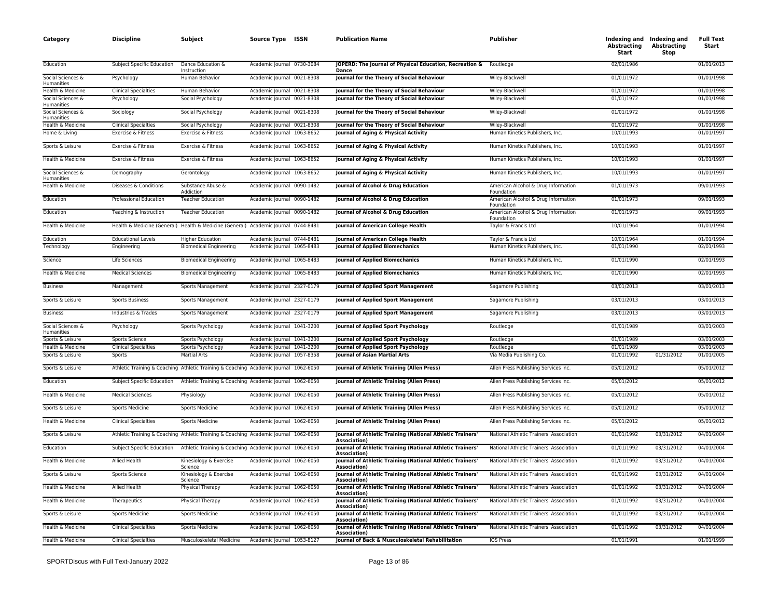| Category                        | <b>Discipline</b>                 | Subject                                                                              | Source Type ISSN           | <b>Publication Name</b>                                                           | <b>Publisher</b>                                  | Abstracting<br>Start | Indexing and Indexing and<br><b>Abstracting</b><br>Stop | <b>Full Text</b><br>Start |
|---------------------------------|-----------------------------------|--------------------------------------------------------------------------------------|----------------------------|-----------------------------------------------------------------------------------|---------------------------------------------------|----------------------|---------------------------------------------------------|---------------------------|
| Education                       | <b>Subject Specific Education</b> | Dance Education &<br>Instruction                                                     | Academic Journal 0730-3084 | JOPERD: The Journal of Physical Education, Recreation &<br><b>Dance</b>           | Routledge                                         | 02/01/1986           |                                                         | 01/01/2013                |
| Social Sciences &<br>Humanities | Psychology                        | Human Behavior                                                                       | Academic Journal 0021-8308 | Journal for the Theory of Social Behaviour                                        | Wiley-Blackwell                                   | 01/01/1972           |                                                         | 01/01/1998                |
| Health & Medicine               | <b>Clinical Specialties</b>       | Human Behavior                                                                       | Academic Journal 0021-8308 | Journal for the Theory of Social Behaviour                                        | Wiley-Blackwell                                   | 01/01/1972           |                                                         | 01/01/1998                |
| Social Sciences &<br>Humanities | Psychology                        | Social Psychology                                                                    | Academic Journal 0021-8308 | Journal for the Theory of Social Behaviour                                        | Wiley-Blackwell                                   | 01/01/1972           |                                                         | 01/01/1998                |
| Social Sciences &<br>Humanities | Sociology                         | Social Psychology                                                                    | Academic Journal 0021-8308 | Journal for the Theory of Social Behaviour                                        | Wiley-Blackwell                                   | 01/01/1972           |                                                         | 01/01/1998                |
| Health & Medicine               | <b>Clinical Specialties</b>       | Social Psychology                                                                    | Academic Journal 0021-8308 | Journal for the Theory of Social Behaviour                                        | Wiley-Blackwell                                   | 01/01/1972           |                                                         | 01/01/1998                |
| Home & Living                   | Exercise & Fitness                | Exercise & Fitness                                                                   | Academic Journal 1063-8652 | Journal of Aging & Physical Activity                                              | Human Kinetics Publishers, Inc.                   | 10/01/1993           |                                                         | 01/01/1997                |
| Sports & Leisure                | Exercise & Fitness                | Exercise & Fitness                                                                   | Academic Journal 1063-8652 | Journal of Aging & Physical Activity                                              | Human Kinetics Publishers, Inc.                   | 10/01/1993           |                                                         | 01/01/1997                |
| Health & Medicine               | Exercise & Fitness                | Exercise & Fitness                                                                   | Academic Journal 1063-8652 | Journal of Aging & Physical Activity                                              | Human Kinetics Publishers, Inc.                   | 10/01/1993           |                                                         | 01/01/1997                |
| Social Sciences &<br>Humanities | Demography                        | Gerontology                                                                          | Academic Journal 1063-8652 | Journal of Aging & Physical Activity                                              | Human Kinetics Publishers, Inc.                   | 10/01/1993           |                                                         | 01/01/1997                |
| Health & Medicine               | Diseases & Conditions             | Substance Abuse &<br>Addiction                                                       | Academic Journal 0090-1482 | Journal of Alcohol & Drug Education                                               | American Alcohol & Drug Information<br>Foundation | 01/01/1973           |                                                         | 09/01/1993                |
| Education                       | Professional Education            | <b>Teacher Education</b>                                                             | Academic Journal 0090-1482 | Journal of Alcohol & Drug Education                                               | American Alcohol & Drug Information<br>Foundation | 01/01/1973           |                                                         | 09/01/1993                |
| Education                       | Teaching & Instruction            | <b>Teacher Education</b>                                                             | Academic Journal 0090-1482 | Journal of Alcohol & Drug Education                                               | American Alcohol & Drug Information<br>Foundation | 01/01/1973           |                                                         | 09/01/1993                |
| Health & Medicine               |                                   | Health & Medicine (General) Health & Medicine (General) Academic Journal 0744-8481   |                            | <b>Journal of American College Health</b>                                         | Taylor & Francis Ltd                              | 10/01/1964           |                                                         | 01/01/1994                |
| Education                       | <b>Educational Levels</b>         | <b>Higher Education</b>                                                              | Academic Journal 0744-8481 | <b>Journal of American College Health</b>                                         | Taylor & Francis Ltd                              | 10/01/1964           |                                                         | 01/01/1994                |
| Technology                      | Engineering                       | <b>Biomedical Engineering</b>                                                        | Academic Journal 1065-8483 | <b>Journal of Applied Biomechanics</b>                                            | Human Kinetics Publishers, Inc.                   | 01/01/1990           |                                                         | 02/01/1993                |
| Science                         | Life Sciences                     | <b>Biomedical Engineering</b>                                                        | Academic Journal 1065-8483 | <b>Journal of Applied Biomechanics</b>                                            | Human Kinetics Publishers, Inc.                   | 01/01/1990           |                                                         | 02/01/1993                |
| Health & Medicine               | <b>Medical Sciences</b>           | <b>Biomedical Engineering</b>                                                        | Academic Journal 1065-8483 | <b>Journal of Applied Biomechanics</b>                                            | Human Kinetics Publishers, Inc.                   | 01/01/1990           |                                                         | 02/01/1993                |
| <b>Business</b>                 | Management                        | Sports Management                                                                    | Academic Journal 2327-0179 | Journal of Applied Sport Management                                               | Sagamore Publishing                               | 03/01/2013           |                                                         | 03/01/2013                |
| Sports & Leisure                | <b>Sports Business</b>            | Sports Management                                                                    | Academic Journal 2327-0179 | Journal of Applied Sport Management                                               | Sagamore Publishing                               | 03/01/2013           |                                                         | 03/01/2013                |
| <b>Business</b>                 | Industries & Trades               | Sports Management                                                                    | Academic Journal 2327-0179 | Journal of Applied Sport Management                                               | Sagamore Publishing                               | 03/01/2013           |                                                         | 03/01/2013                |
| Social Sciences &<br>Humanities | Psychology                        | Sports Psychology                                                                    | Academic Journal 1041-3200 | Journal of Applied Sport Psychology                                               | Routledge                                         | 01/01/1989           |                                                         | 03/01/2003                |
| Sports & Leisure                | Sports Science                    | Sports Psychology                                                                    | Academic Journal 1041-3200 | Journal of Applied Sport Psychology                                               | Routledge                                         | 01/01/1989           |                                                         | 03/01/2003                |
| Health & Medicine               | <b>Clinical Specialties</b>       | Sports Psychology                                                                    | Academic Journal 1041-3200 | Journal of Applied Sport Psychology                                               | Routledge                                         | 01/01/1989           |                                                         | 03/01/2003                |
| Sports & Leisure                | Sports                            | <b>Martial Arts</b>                                                                  | Academic Journal 1057-8358 | Journal of Asian Martial Arts                                                     | Via Media Publishing Co.                          | 01/01/1992           | 01/31/2012                                              | 01/01/2005                |
| Sports & Leisure                |                                   | Athletic Training & Coaching Athletic Training & Coaching Academic Journal 1062-6050 |                            | Journal of Athletic Training (Allen Press)                                        | Allen Press Publishing Services Inc.              | 05/01/2012           |                                                         | 05/01/2012                |
| Education                       | Subject Specific Education        | Athletic Training & Coaching Academic Journal 1062-6050                              |                            | Journal of Athletic Training (Allen Press)                                        | Allen Press Publishing Services Inc.              | 05/01/2012           |                                                         | 05/01/2012                |
| Health & Medicine               | <b>Medical Sciences</b>           | Physiology                                                                           | Academic Journal 1062-6050 | Journal of Athletic Training (Allen Press)                                        | Allen Press Publishing Services Inc.              | 05/01/2012           |                                                         | 05/01/2012                |
| Sports & Leisure                | Sports Medicine                   | Sports Medicine                                                                      | Academic Journal 1062-6050 | Journal of Athletic Training (Allen Press)                                        | Allen Press Publishing Services Inc.              | 05/01/2012           |                                                         | 05/01/2012                |
| Health & Medicine               | <b>Clinical Specialties</b>       | Sports Medicine                                                                      | Academic Journal 1062-6050 | Journal of Athletic Training (Allen Press)                                        | Allen Press Publishing Services Inc.              | 05/01/2012           |                                                         | 05/01/2012                |
| Sports & Leisure                |                                   | Athletic Training & Coaching Athletic Training & Coaching Academic Journal 1062-6050 |                            | Journal of Athletic Training (National Athletic Trainers<br>Association)          | National Athletic Trainers' Association           | 01/01/1992           | 03/31/2012                                              | 04/01/2004                |
| Education                       | Subject Specific Education        | Athletic Training & Coaching Academic Journal 1062-6050                              |                            | Journal of Athletic Training (National Athletic Trainers'<br>Association)         | National Athletic Trainers' Association           | 01/01/1992           | 03/31/2012                                              | 04/01/2004                |
| Health & Medicine               | <b>Allied Health</b>              | Kinesiology & Exercise<br>Science                                                    | Academic Journal 1062-6050 | Journal of Athletic Training (National Athletic Trainers<br>Association)          | National Athletic Trainers' Association           | 01/01/1992           | 03/31/2012                                              | 04/01/2004                |
| Sports & Leisure                | Sports Science                    | Kinesiology & Exercise<br>Science                                                    | Academic Journal 1062-6050 | Journal of Athletic Training (National Athletic Trainers<br>Association)          | National Athletic Trainers' Association           | 01/01/1992           | 03/31/2012                                              | 04/01/2004                |
| Health & Medicine               | Allied Health                     | Physical Therapy                                                                     | Academic Journal 1062-6050 | Journal of Athletic Training (National Athletic Trainers'<br>Association)         | National Athletic Trainers' Association           | 01/01/1992           | 03/31/2012                                              | 04/01/2004                |
| Health & Medicine               | Therapeutics                      | Physical Therapy                                                                     | Academic Journal 1062-6050 | Journal of Athletic Training (National Athletic Trainers'<br><b>Association</b> ) | National Athletic Trainers' Association           | 01/01/1992           | 03/31/2012                                              | 04/01/2004                |
| Sports & Leisure                | Sports Medicine                   | Sports Medicine                                                                      | Academic Journal 1062-6050 | <b>Journal of Athletic Training (National Athletic Trainers'</b><br>Association)  | National Athletic Trainers' Association           | 01/01/1992           | 03/31/2012                                              | 04/01/2004                |
| Health & Medicine               | <b>Clinical Specialties</b>       | Sports Medicine                                                                      | Academic Journal 1062-6050 | Journal of Athletic Training (National Athletic Trainers'<br><b>Association</b> ) | National Athletic Trainers' Association           | 01/01/1992           | 03/31/2012                                              | 04/01/2004                |
| Health & Medicine               | <b>Clinical Specialties</b>       | Musculoskeletal Medicine                                                             | Academic Journal 1053-8127 | Journal of Back & Musculoskeletal Rehabilitation                                  | <b>IOS Press</b>                                  | 01/01/1991           |                                                         | 01/01/1999                |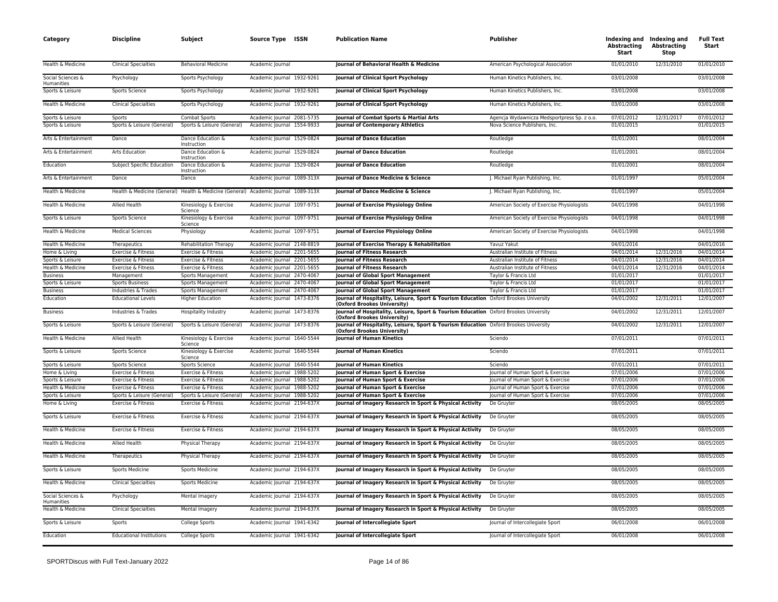| Category                        | <b>Discipline</b>               | Subject                                                                            | Source Type ISSN           | <b>Publication Name</b>                                                                                             | <b>Publisher</b>                            | Abstracting<br>Start | Indexing and Indexing and<br><b>Abstracting</b><br>Stop | <b>Full Text</b><br>Start |
|---------------------------------|---------------------------------|------------------------------------------------------------------------------------|----------------------------|---------------------------------------------------------------------------------------------------------------------|---------------------------------------------|----------------------|---------------------------------------------------------|---------------------------|
| Health & Medicine               | <b>Clinical Specialties</b>     | <b>Behavioral Medicine</b>                                                         | Academic Journal           | Journal of Behavioral Health & Medicine                                                                             | American Psychological Association          | 01/01/2010           | 12/31/2010                                              | 01/01/2010                |
| Social Sciences &<br>Humanities | Psychology                      | Sports Psychology                                                                  | Academic Journal 1932-9261 | Journal of Clinical Sport Psychology                                                                                | Human Kinetics Publishers, Inc.             | 03/01/2008           |                                                         | 03/01/2008                |
| Sports & Leisure                | Sports Science                  | Sports Psychology                                                                  | Academic Journal 1932-9261 | Journal of Clinical Sport Psychology                                                                                | Human Kinetics Publishers, Inc.             | 03/01/2008           |                                                         | 03/01/2008                |
| Health & Medicine               | <b>Clinical Specialties</b>     | Sports Psychology                                                                  | Academic Journal 1932-9261 | Journal of Clinical Sport Psychology                                                                                | Human Kinetics Publishers, Inc.             | 03/01/2008           |                                                         | 03/01/2008                |
| Sports & Leisure                | Sports                          | <b>Combat Sports</b>                                                               | Academic Journal 2081-5735 | Journal of Combat Sports & Martial Arts                                                                             | Agencja Wydawnicza Medsportpress Sp. z o.o. | 07/01/2012           | 12/31/2017                                              | 07/01/2012                |
| Sports & Leisure                | Sports & Leisure (General)      | Sports & Leisure (General)                                                         | Academic Journal 1554-9933 | <b>Journal of Contemporary Athletics</b>                                                                            | Nova Science Publishers, Inc.               | 01/01/2015           |                                                         | 01/01/2015                |
| Arts & Entertainment            | Dance                           | Dance Education &<br>Instruction                                                   | Academic Journal 1529-0824 | <b>Journal of Dance Education</b>                                                                                   | Routledge                                   | 01/01/2001           |                                                         | 08/01/2004                |
| Arts & Entertainment            | Arts Education                  | Dance Education &<br>Instruction                                                   | Academic Journal 1529-0824 | <b>Journal of Dance Education</b>                                                                                   | Routledge                                   | 01/01/2001           |                                                         | 08/01/2004                |
| Education                       | Subject Specific Education      | Dance Education &<br>Instruction                                                   | Academic Journal 1529-0824 | <b>Journal of Dance Education</b>                                                                                   | Routledge                                   | 01/01/2001           |                                                         | 08/01/2004                |
| Arts & Entertainment            | Dance                           | Dance                                                                              | Academic Journal 1089-313X | Journal of Dance Medicine & Science                                                                                 | J. Michael Ryan Publishing, Inc.            | 01/01/1997           |                                                         | 05/01/2004                |
| Health & Medicine               |                                 | Health & Medicine (General) Health & Medicine (General) Academic Journal 1089-313X |                            | Journal of Dance Medicine & Science                                                                                 | J. Michael Ryan Publishing, Inc.            | 01/01/1997           |                                                         | 05/01/2004                |
| Health & Medicine               | Allied Health                   | Kinesiology & Exercise<br>Science                                                  | Academic Journal 1097-9751 | Journal of Exercise Physiology Online                                                                               | American Society of Exercise Physiologists  | 04/01/1998           |                                                         | 04/01/1998                |
| Sports & Leisure                | Sports Science                  | Kinesiology & Exercise<br>Science                                                  | Academic Journal 1097-9751 | Journal of Exercise Physiology Online                                                                               | American Society of Exercise Physiologists  | 04/01/1998           |                                                         | 04/01/1998                |
| Health & Medicine               | <b>Medical Sciences</b>         | Physiology                                                                         | Academic Journal 1097-9751 | Journal of Exercise Physiology Online                                                                               | American Society of Exercise Physiologists  | 04/01/1998           |                                                         | 04/01/1998                |
| Health & Medicine               | Therapeutics                    | <b>Rehabilitation Therapy</b>                                                      | Academic Journal 2148-8819 | Journal of Exercise Therapy & Rehabilitation                                                                        | Yavuz Yakut                                 | 04/01/2016           |                                                         | 04/01/2016                |
| Home & Living                   | Exercise & Fitness              | Exercise & Fitness                                                                 | Academic Journal 2201-5655 | Journal of Fitness Research                                                                                         | Australian Institute of Fitness             | 04/01/2014           | 12/31/2016                                              | 04/01/2014                |
| Sports & Leisure                | Exercise & Fitness              | Exercise & Fitness                                                                 | Academic Journal 2201-5655 | Journal of Fitness Research                                                                                         | Australian Institute of Fitness             | 04/01/2014           | 12/31/2016                                              | 04/01/2014                |
| Health & Medicine               | Exercise & Fitness              | Exercise & Fitness                                                                 | Academic Journal 2201-5655 | Journal of Fitness Research                                                                                         | Australian Institute of Fitness             | 04/01/2014           | 12/31/2016                                              | 04/01/2014                |
| <b>Business</b>                 | Management                      | Sports Management                                                                  | Academic Journal 2470-4067 | <b>Journal of Global Sport Management</b>                                                                           | Taylor & Francis Ltd                        | 01/01/2017           |                                                         | 01/01/2017                |
| Sports & Leisure                | <b>Sports Business</b>          | Sports Management                                                                  | Academic Journal 2470-4067 | Journal of Global Sport Management                                                                                  | Taylor & Francis Ltd                        | 01/01/2017           |                                                         | 01/01/2017                |
| <b>Business</b>                 | Industries & Trades             | Sports Management                                                                  | Academic Journal 2470-4067 | Journal of Global Sport Management                                                                                  | Taylor & Francis Ltd                        | 01/01/2017           |                                                         | 01/01/2017                |
| Education                       | <b>Educational Levels</b>       | <b>Higher Education</b>                                                            | Academic Journal 1473-8376 | Journal of Hospitality, Leisure, Sport & Tourism Education Oxford Brookes University<br>(Oxford Brookes University) |                                             | 04/01/2002           | 12/31/2011                                              | 12/01/2007                |
| <b>Business</b>                 | Industries & Trades             | Hospitality Industry                                                               | Academic Journal 1473-8376 | Journal of Hospitality, Leisure, Sport & Tourism Education Oxford Brookes University<br>(Oxford Brookes University) |                                             | 04/01/2002           | 12/31/2011                                              | 12/01/2007                |
| Sports & Leisure                | Sports & Leisure (General)      | Sports & Leisure (General)                                                         | Academic Journal 1473-8376 | Journal of Hospitality, Leisure, Sport & Tourism Education Oxford Brookes University<br>(Oxford Brookes University) |                                             | 04/01/2002           | 12/31/2011                                              | 12/01/2007                |
| Health & Medicine               | <b>Allied Health</b>            | Kinesiology & Exercise<br>Science                                                  | Academic Journal 1640-5544 | <b>Iournal of Human Kinetics</b>                                                                                    | Sciendo                                     | 07/01/2011           |                                                         | 07/01/2011                |
| Sports & Leisure                | <b>Sports Science</b>           | Kinesiology & Exercise<br>Science                                                  | Academic Journal 1640-5544 | <b>Journal of Human Kinetics</b>                                                                                    | Sciendo                                     | 07/01/2011           |                                                         | 07/01/2011                |
| Sports & Leisure                | Sports Science                  | Sports Science                                                                     | Academic Journal 1640-5544 | <b>Journal of Human Kinetics</b>                                                                                    | Sciendo                                     | 07/01/2011           |                                                         | 07/01/2011                |
| Home & Living                   | Exercise & Fitness              | Exercise & Fitness                                                                 | Academic Journal 1988-5202 | Journal of Human Sport & Exercise                                                                                   | Journal of Human Sport & Exercise           | 07/01/2006           |                                                         | 07/01/2006                |
| Sports & Leisure                | Exercise & Fitness              | Exercise & Fitness                                                                 | Academic Journal 1988-5202 | Journal of Human Sport & Exercise                                                                                   | Journal of Human Sport & Exercise           | 07/01/2006           |                                                         | 07/01/2006                |
| Health & Medicine               | Exercise & Fitness              | Exercise & Fitness                                                                 | Academic lournal 1988-5202 | Journal of Human Sport & Exercise                                                                                   | Journal of Human Sport & Exercise           | 07/01/2006           |                                                         | 07/01/2006                |
| Sports & Leisure                | Sports & Leisure (General)      | Sports & Leisure (General)                                                         | Academic Journal 1988-5202 | Journal of Human Sport & Exercise                                                                                   | Journal of Human Sport & Exercise           | 07/01/2006           |                                                         | 07/01/2006                |
| Home & Living                   | Exercise & Fitness              | Exercise & Fitness                                                                 | Academic Journal 2194-637X | Journal of Imagery Research in Sport & Physical Activity                                                            | De Gruyter                                  | 08/05/2005           |                                                         | 08/05/2005                |
| Sports & Leisure                | Exercise & Fitness              | Exercise & Fitness                                                                 | Academic Journal 2194-637X | Journal of Imagery Research in Sport & Physical Activity                                                            | De Gruyter                                  | 08/05/2005           |                                                         | 08/05/2005                |
| Health & Medicine               | Exercise & Fitness              | Exercise & Fitness                                                                 | Academic Journal 2194-637X | Journal of Imagery Research in Sport & Physical Activity                                                            | De Gruyter                                  | 08/05/2005           |                                                         | 08/05/2005                |
| Health & Medicine               | <b>Allied Health</b>            | Physical Therapy                                                                   | Academic Journal 2194-637X | Journal of Imagery Research in Sport & Physical Activity                                                            | De Gruyter                                  | 08/05/2005           |                                                         | 08/05/2005                |
| Health & Medicine               | Therapeutics                    | Physical Therapy                                                                   | Academic Journal 2194-637X | Journal of Imagery Research in Sport & Physical Activity                                                            | De Gruyter                                  | 08/05/2005           |                                                         | 08/05/2005                |
| Sports & Leisure                | <b>Sports Medicine</b>          | <b>Sports Medicine</b>                                                             | Academic Journal 2194-637X | Journal of Imagery Research in Sport & Physical Activity                                                            | De Gruyter                                  | 08/05/2005           |                                                         | 08/05/2005                |
| Health & Medicine               | <b>Clinical Specialties</b>     | <b>Sports Medicine</b>                                                             | Academic Journal 2194-637X | Journal of Imagery Research in Sport & Physical Activity                                                            | De Gruyter                                  | 08/05/2005           |                                                         | 08/05/2005                |
| Social Sciences &<br>Humanities | Psychology                      | Mental Imagery                                                                     | Academic Journal 2194-637X | Journal of Imagery Research in Sport & Physical Activity                                                            | De Gruyter                                  | 08/05/2005           |                                                         | 08/05/2005                |
| Health & Medicine               | <b>Clinical Specialties</b>     | Mental Imagery                                                                     | Academic Journal 2194-637X | Journal of Imagery Research in Sport & Physical Activity                                                            | De Gruyter                                  | 08/05/2005           |                                                         | 08/05/2005                |
| Sports & Leisure                | Sports                          | College Sports                                                                     | Academic Journal 1941-6342 | Journal of Intercollegiate Sport                                                                                    | Journal of Intercollegiate Sport            | 06/01/2008           |                                                         | 06/01/2008                |
| Education                       | <b>Educational Institutions</b> | College Sports                                                                     | Academic Journal 1941-6342 | Journal of Intercollegiate Sport                                                                                    | Journal of Intercollegiate Sport            | 06/01/2008           |                                                         | 06/01/2008                |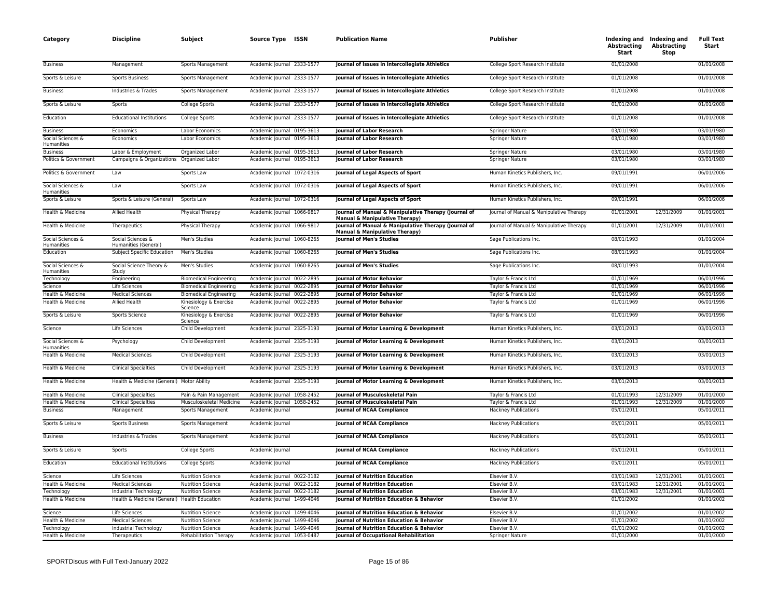| Category                        | <b>Discipline</b>                            | Subject                           | Source Type ISSN           | <b>Publication Name</b>                                                                           | Publisher                                | Abstracting<br>Start | Indexing and Indexing and<br><b>Abstracting</b><br>Stop | <b>Full Text</b><br>Start |
|---------------------------------|----------------------------------------------|-----------------------------------|----------------------------|---------------------------------------------------------------------------------------------------|------------------------------------------|----------------------|---------------------------------------------------------|---------------------------|
| <b>Business</b>                 | Management                                   | Sports Management                 | Academic Journal 2333-1577 | Journal of Issues in Intercollegiate Athletics                                                    | College Sport Research Institute         | 01/01/2008           |                                                         | 01/01/2008                |
| Sports & Leisure                | <b>Sports Business</b>                       | Sports Management                 | Academic Journal 2333-1577 | Journal of Issues in Intercollegiate Athletics                                                    | College Sport Research Institute         | 01/01/2008           |                                                         | 01/01/2008                |
| <b>Business</b>                 | Industries & Trades                          | Sports Management                 | Academic Journal 2333-1577 | Journal of Issues in Intercollegiate Athletics                                                    | College Sport Research Institute         | 01/01/2008           |                                                         | 01/01/2008                |
| Sports & Leisure                | Sports                                       | College Sports                    | Academic Journal 2333-1577 | Journal of Issues in Intercollegiate Athletics                                                    | College Sport Research Institute         | 01/01/2008           |                                                         | 01/01/2008                |
| Education                       | <b>Educational Institutions</b>              | College Sports                    | Academic Journal 2333-1577 | Journal of Issues in Intercollegiate Athletics                                                    | College Sport Research Institute         | 01/01/2008           |                                                         | 01/01/2008                |
| <b>Business</b>                 | Economics                                    | Labor Economics                   | Academic Journal 0195-3613 | <b>Journal of Labor Research</b>                                                                  | Springer Nature                          | 03/01/1980           |                                                         | 03/01/1980                |
| Social Sciences &<br>Humanities | Economics                                    | Labor Economics                   | Academic Journal 0195-3613 | <b>Journal of Labor Research</b>                                                                  | <b>Springer Nature</b>                   | 03/01/1980           |                                                         | 03/01/1980                |
| <b>Business</b>                 | Labor & Employment                           | Organized Labor                   | Academic Journal 0195-3613 | <b>Iournal of Labor Research</b>                                                                  | Springer Nature                          | 03/01/1980           |                                                         | 03/01/1980                |
| Politics & Government           | Campaigns & Organizations                    | Organized Labor                   | Academic Journal 0195-3613 | <b>Journal of Labor Research</b>                                                                  | <b>Springer Nature</b>                   | 03/01/1980           |                                                         | 03/01/1980                |
| Politics & Government           | Law                                          | Sports Law                        | Academic Journal 1072-0316 | Journal of Legal Aspects of Sport                                                                 | Human Kinetics Publishers, Inc.          | 09/01/1991           |                                                         | 06/01/2006                |
| Social Sciences &<br>Humanities | Law                                          | Sports Law                        | Academic Journal 1072-0316 | Journal of Legal Aspects of Sport                                                                 | Human Kinetics Publishers, Inc.          | 09/01/1991           |                                                         | 06/01/2006                |
| Sports & Leisure                | Sports & Leisure (General)                   | Sports Law                        | Academic Journal 1072-0316 | Journal of Legal Aspects of Sport                                                                 | Human Kinetics Publishers, Inc.          | 09/01/1991           |                                                         | 06/01/2006                |
| Health & Medicine               | Allied Health                                | Physical Therapy                  | Academic Journal 1066-9817 | Journal of Manual & Manipulative Therapy (Journal of<br><b>Manual &amp; Manipulative Therapy)</b> | Journal of Manual & Manipulative Therapy | 01/01/2001           | 12/31/2009                                              | 01/01/2001                |
| Health & Medicine               | Therapeutics                                 | Physical Therapy                  | Academic Journal 1066-9817 | Journal of Manual & Manipulative Therapy (Journal of<br>Manual & Manipulative Therapy)            | Journal of Manual & Manipulative Therapy | 01/01/2001           | 12/31/2009                                              | 01/01/2001                |
| Social Sciences &<br>Humanities | Social Sciences &<br>Humanities (General)    | Men's Studies                     | Academic Journal 1060-8265 | <b>Journal of Men's Studies</b>                                                                   | Sage Publications Inc.                   | 08/01/1993           |                                                         | 01/01/2004                |
| Education                       | Subject Specific Education                   | Men's Studies                     | Academic Journal 1060-8265 | <b>Journal of Men's Studies</b>                                                                   | Sage Publications Inc.                   | 08/01/1993           |                                                         | 01/01/2004                |
| Social Sciences &<br>Humanities | Social Science Theory &<br>Study             | Men's Studies                     | Academic Journal 1060-8265 | Journal of Men's Studies                                                                          | Sage Publications Inc.                   | 08/01/1993           |                                                         | 01/01/2004                |
| Technology                      | Engineering                                  | <b>Biomedical Engineering</b>     | Academic Journal 0022-2895 | <b>Journal of Motor Behavior</b>                                                                  | Taylor & Francis Ltd                     | 01/01/1969           |                                                         | 06/01/1996                |
| Science                         | Life Sciences                                | <b>Biomedical Engineering</b>     | Academic Journal 0022-2895 | Journal of Motor Behavior                                                                         | Taylor & Francis Ltd                     | 01/01/1969           |                                                         | 06/01/1996                |
| Health & Medicine               | <b>Medical Sciences</b>                      | <b>Biomedical Engineering</b>     | Academic Journal 0022-2895 | <b>Journal of Motor Behavior</b>                                                                  | Taylor & Francis Ltd                     | 01/01/1969           |                                                         | 06/01/1996                |
| Health & Medicine               | Allied Health                                | Kinesiology & Exercise<br>Science | Academic Journal 0022-2895 | Journal of Motor Behavior                                                                         | Taylor & Francis Ltd                     | 01/01/1969           |                                                         | 06/01/1996                |
| Sports & Leisure                | Sports Science                               | Kinesiology & Exercise<br>Science | Academic Journal 0022-2895 | <b>Journal of Motor Behavior</b>                                                                  | Taylor & Francis Ltd                     | 01/01/1969           |                                                         | 06/01/1996                |
| Science                         | Life Sciences                                | Child Development                 | Academic Journal 2325-3193 | Journal of Motor Learning & Development                                                           | Human Kinetics Publishers, Inc.          | 03/01/2013           |                                                         | 03/01/2013                |
| Social Sciences &<br>Humanities | Psychology                                   | Child Development                 | Academic Journal 2325-3193 | Journal of Motor Learning & Development                                                           | Human Kinetics Publishers, Inc.          | 03/01/2013           |                                                         | 03/01/2013                |
| Health & Medicine               | <b>Medical Sciences</b>                      | Child Development                 | Academic Journal 2325-3193 | Journal of Motor Learning & Development                                                           | Human Kinetics Publishers, Inc.          | 03/01/2013           |                                                         | 03/01/2013                |
| Health & Medicine               | <b>Clinical Specialties</b>                  | Child Development                 | Academic Journal 2325-3193 | Journal of Motor Learning & Development                                                           | Human Kinetics Publishers, Inc.          | 03/01/2013           |                                                         | 03/01/2013                |
| Health & Medicine               | Health & Medicine (General) Motor Ability    |                                   | Academic Journal 2325-3193 | Journal of Motor Learning & Development                                                           | Human Kinetics Publishers, Inc.          | 03/01/2013           |                                                         | 03/01/2013                |
| Health & Medicine               | <b>Clinical Specialties</b>                  | Pain & Pain Management            | Academic Journal 1058-2452 | <b>Journal of Musculoskeletal Pain</b>                                                            | Taylor & Francis Ltd                     | 01/01/1993           | 12/31/2009                                              | 01/01/2000                |
| Health & Medicine               | <b>Clinical Specialties</b>                  | Musculoskeletal Medicine          | Academic Journal 1058-2452 | Journal of Musculoskeletal Pain                                                                   | Taylor & Francis Ltd                     | 01/01/1993           | 12/31/2009                                              | 01/01/2000                |
| <b>Business</b>                 | Management                                   | Sports Management                 | Academic Journal           | <b>Journal of NCAA Compliance</b>                                                                 | <b>Hackney Publications</b>              | 05/01/2011           |                                                         | 05/01/2011                |
| Sports & Leisure                | <b>Sports Business</b>                       | Sports Management                 | Academic Journal           | <b>Journal of NCAA Compliance</b>                                                                 | <b>Hackney Publications</b>              | 05/01/2011           |                                                         | 05/01/2011                |
| <b>Business</b>                 | Industries & Trades                          | Sports Management                 | Academic Journal           | <b>Journal of NCAA Compliance</b>                                                                 | <b>Hackney Publications</b>              | 05/01/2011           |                                                         | 05/01/2011                |
| Sports & Leisure                | Sports                                       | College Sports                    | Academic Journal           | <b>Journal of NCAA Compliance</b>                                                                 | <b>Hackney Publications</b>              | 05/01/2011           |                                                         | 05/01/2011                |
| Education                       | <b>Educational Institutions</b>              | College Sports                    | Academic Journal           | <b>Journal of NCAA Compliance</b>                                                                 | <b>Hackney Publications</b>              | 05/01/2011           |                                                         | 05/01/2011                |
| Science                         | Life Sciences                                | <b>Nutrition Science</b>          | Academic Journal 0022-3182 | Journal of Nutrition Education                                                                    | Elsevier B.V.                            | 03/01/1983           | 12/31/2001                                              | 01/01/2001                |
| Health & Medicine               | <b>Medical Sciences</b>                      | <b>Nutrition Science</b>          | Academic Journal 0022-3182 | <b>Journal of Nutrition Education</b>                                                             | Elsevier B.V.                            | 03/01/1983           | 12/31/2001                                              | 01/01/2001                |
| Technology                      | Industrial Technology                        | <b>Nutrition Science</b>          | Academic Journal 0022-3182 | Journal of Nutrition Education                                                                    | Elsevier B.V.                            | 03/01/1983           | 12/31/2001                                              | 01/01/2001                |
| Health & Medicine               | Health & Medicine (General) Health Education |                                   | Academic Journal 1499-4046 | Journal of Nutrition Education & Behavior                                                         | Elsevier B.V.                            | 01/01/2002           |                                                         | 01/01/2002                |
| Science                         | Life Sciences                                | <b>Nutrition Science</b>          | Academic Journal 1499-4046 | Journal of Nutrition Education & Behavior                                                         | Elsevier B.V.                            | 01/01/2002           |                                                         | 01/01/2002                |
| Health & Medicine               | <b>Medical Sciences</b>                      | <b>Nutrition Science</b>          | Academic Journal 1499-4046 | Journal of Nutrition Education & Behavior                                                         | Elsevier B.V.                            | 01/01/2002           |                                                         | 01/01/2002                |
| Technology                      | Industrial Technology                        | <b>Nutrition Science</b>          | Academic Journal 1499-4046 | Journal of Nutrition Education & Behavior                                                         | Elsevier B.V.                            | 01/01/2002           |                                                         | 01/01/2002                |
| Health & Medicine               | Therapeutics                                 | <b>Rehabilitation Therapy</b>     | Academic Journal 1053-0487 | Journal of Occupational Rehabilitation                                                            | Springer Nature                          | 01/01/2000           |                                                         | 01/01/2000                |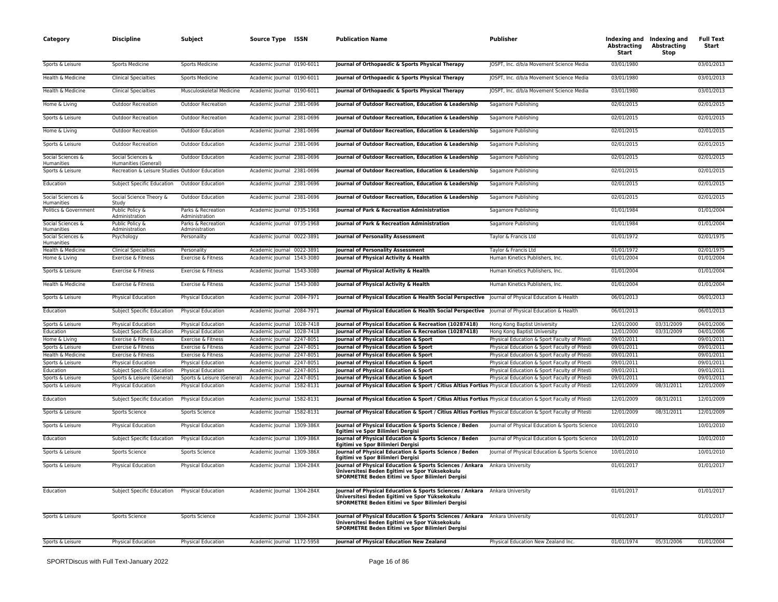| Category                              | <b>Discipline</b>                              | Subject                                  | Source Type ISSN                                         | <b>Publication Name</b>                                                                                                                                                          | Publisher                                                                                      | Abstracting<br>Start     | Indexing and Indexing and<br><b>Abstracting</b><br>Stop | <b>Full Text</b><br>Start |
|---------------------------------------|------------------------------------------------|------------------------------------------|----------------------------------------------------------|----------------------------------------------------------------------------------------------------------------------------------------------------------------------------------|------------------------------------------------------------------------------------------------|--------------------------|---------------------------------------------------------|---------------------------|
| Sports & Leisure                      | Sports Medicine                                | Sports Medicine                          | Academic Journal 0190-6011                               | Journal of Orthopaedic & Sports Physical Therapy                                                                                                                                 | JOSPT, Inc. d/b/a Movement Science Media                                                       | 03/01/1980               |                                                         | 03/01/2013                |
| Health & Medicine                     | <b>Clinical Specialties</b>                    | Sports Medicine                          | Academic Journal 0190-6011                               | Journal of Orthopaedic & Sports Physical Therapy                                                                                                                                 | JOSPT, Inc. d/b/a Movement Science Media                                                       | 03/01/1980               |                                                         | 03/01/2013                |
| Health & Medicine                     | <b>Clinical Specialties</b>                    | Musculoskeletal Medicine                 | Academic Journal 0190-6011                               | Journal of Orthopaedic & Sports Physical Therapy                                                                                                                                 | JOSPT, Inc. d/b/a Movement Science Media                                                       | 03/01/1980               |                                                         | 03/01/2013                |
| Home & Living                         | <b>Outdoor Recreation</b>                      | <b>Outdoor Recreation</b>                | Academic Journal 2381-0696                               | Journal of Outdoor Recreation, Education & Leadership                                                                                                                            | Sagamore Publishing                                                                            | 02/01/2015               |                                                         | 02/01/2015                |
| Sports & Leisure                      | <b>Outdoor Recreation</b>                      | <b>Outdoor Recreation</b>                | Academic Journal 2381-0696                               | Journal of Outdoor Recreation, Education & Leadership                                                                                                                            | Sagamore Publishing                                                                            | 02/01/2015               |                                                         | 02/01/2015                |
| Home & Living                         | <b>Outdoor Recreation</b>                      | <b>Outdoor Education</b>                 | Academic Journal 2381-0696                               | Journal of Outdoor Recreation, Education & Leadership                                                                                                                            | Sagamore Publishing                                                                            | 02/01/2015               |                                                         | 02/01/2015                |
| Sports & Leisure                      | <b>Outdoor Recreation</b>                      | <b>Outdoor Education</b>                 | Academic Journal 2381-0696                               | Journal of Outdoor Recreation, Education & Leadership                                                                                                                            | Sagamore Publishing                                                                            | 02/01/2015               |                                                         | 02/01/2015                |
| Social Sciences &<br>Humanities       | Social Sciences &<br>Humanities (General)      | Outdoor Education                        | Academic Journal 2381-0696                               | Journal of Outdoor Recreation, Education & Leadership                                                                                                                            | Sagamore Publishing                                                                            | 02/01/2015               |                                                         | 02/01/2015                |
| Sports & Leisure                      | Recreation & Leisure Studies Outdoor Education |                                          | Academic Journal 2381-0696                               | Journal of Outdoor Recreation, Education & Leadership                                                                                                                            | Sagamore Publishing                                                                            | 02/01/2015               |                                                         | 02/01/2015                |
| Education                             | Subject Specific Education                     | <b>Outdoor Education</b>                 | Academic Journal 2381-0696                               | Journal of Outdoor Recreation, Education & Leadership                                                                                                                            | Sagamore Publishing                                                                            | 02/01/2015               |                                                         | 02/01/2015                |
| Social Sciences &<br>Humanities       | Social Science Theory &<br>Study               | <b>Outdoor Education</b>                 | Academic Journal 2381-0696                               | Journal of Outdoor Recreation, Education & Leadership                                                                                                                            | Sagamore Publishing                                                                            | 02/01/2015               |                                                         | 02/01/2015                |
| Politics & Government                 | Public Policy &<br>Administration              | Parks & Recreation<br>Administration     | Academic Journal 0735-1968                               | Journal of Park & Recreation Administration                                                                                                                                      | Sagamore Publishing                                                                            | 01/01/1984               |                                                         | 01/01/2004                |
| Social Sciences &<br>Humanities       | Public Policy &<br>Administration              | Parks & Recreation<br>Administration     | Academic Journal 0735-1968                               | Journal of Park & Recreation Administration                                                                                                                                      | Sagamore Publishing                                                                            | 01/01/1984               |                                                         | 01/01/2004                |
| Social Sciences &<br>Humanities       | Psychology                                     | Personality                              | Academic Journal 0022-3891                               | Journal of Personality Assessment                                                                                                                                                | Taylor & Francis Ltd                                                                           | 01/01/1972               |                                                         | 02/01/1975                |
| Health & Medicine                     | <b>Clinical Specialties</b>                    | Personality                              | Academic Journal 0022-3891                               | <b>Journal of Personality Assessment</b>                                                                                                                                         | Taylor & Francis Ltd                                                                           | 01/01/1972               |                                                         | 02/01/1975                |
| Home & Living                         | Exercise & Fitness                             | Exercise & Fitness                       | Academic Journal 1543-3080                               | Journal of Physical Activity & Health                                                                                                                                            | Human Kinetics Publishers, Inc.                                                                | 01/01/2004               |                                                         | 01/01/2004                |
| Sports & Leisure                      | Exercise & Fitness                             | Exercise & Fitness                       | Academic Journal 1543-3080                               | Journal of Physical Activity & Health                                                                                                                                            | Human Kinetics Publishers, Inc.                                                                | 01/01/2004               |                                                         | 01/01/2004                |
| Health & Medicine                     | Exercise & Fitness                             | Exercise & Fitness                       | Academic Journal 1543-3080                               | Journal of Physical Activity & Health                                                                                                                                            | Human Kinetics Publishers, Inc.                                                                | 01/01/2004               |                                                         | 01/01/2004                |
| Sports & Leisure                      | Physical Education                             | Physical Education                       | Academic Journal 2084-7971                               | Journal of Physical Education & Health Social Perspective   Journal of Physical Education & Health                                                                               |                                                                                                | 06/01/2013               |                                                         | 06/01/2013                |
| Education                             | Subject Specific Education                     | Physical Education                       | Academic Journal 2084-7971                               | Journal of Physical Education & Health Social Perspective Journal of Physical Education & Health                                                                                 |                                                                                                | 06/01/2013               |                                                         | 06/01/2013                |
| Sports & Leisure                      | <b>Physical Education</b>                      | Physical Education                       | Academic Journal 1028-7418                               | Journal of Physical Education & Recreation (10287418)                                                                                                                            | Hong Kong Baptist University                                                                   | 12/01/2000               | 03/31/2009                                              | 04/01/2006                |
| Education                             | Subject Specific Education                     | Physical Education                       | Academic Journal 1028-7418                               | Journal of Physical Education & Recreation (10287418)                                                                                                                            | Hong Kong Baptist University                                                                   | 12/01/2000               | 03/31/2009                                              | 04/01/2006                |
| Home & Living                         | Exercise & Fitness                             | Exercise & Fitness                       | Academic Journal 2247-8051                               | Journal of Physical Education & Sport                                                                                                                                            | Physical Education & Sport Faculty of Pitesti                                                  | 09/01/2011               |                                                         | 09/01/2011                |
| Sports & Leisure                      | Exercise & Fitness                             | Exercise & Fitness                       | Academic Journal 2247-8051                               | Journal of Physical Education & Sport                                                                                                                                            | Physical Education & Sport Faculty of Pitesti                                                  | 09/01/2011               |                                                         | 09/01/2011                |
| Health & Medicine<br>Sports & Leisure | Exercise & Fitness<br>Physical Education       | Exercise & Fitness<br>Physical Education | Academic Journal 2247-8051<br>Academic Journal 2247-8051 | Journal of Physical Education & Sport<br>Journal of Physical Education & Sport                                                                                                   | Physical Education & Sport Faculty of Pitesti<br>Physical Education & Sport Faculty of Pitesti | 09/01/2011<br>09/01/2011 |                                                         | 09/01/2011<br>09/01/2011  |
| Education                             | Subject Specific Education                     | Physical Education                       | Academic Journal 2247-8051                               | Journal of Physical Education & Sport                                                                                                                                            | Physical Education & Sport Faculty of Pitesti                                                  | 09/01/2011               |                                                         | 09/01/2011                |
| Sports & Leisure                      | Sports & Leisure (General)                     | Sports & Leisure (General)               | Academic Journal 2247-8051                               | Journal of Physical Education & Sport                                                                                                                                            | Physical Education & Sport Faculty of Pitesti                                                  | 09/01/2011               |                                                         | 09/01/2011                |
| Sports & Leisure                      | Physical Education                             | Physical Education                       | Academic Journal 1582-8131                               | Journal of Physical Education & Sport / Citius Altius Fortius Physical Education & Sport Faculty of Pitesti                                                                      |                                                                                                | 12/01/2009               | 08/31/2011                                              | 12/01/2009                |
| Education                             | Subject Specific Education                     | Physical Education                       | Academic Journal 1582-8131                               | Journal of Physical Education & Sport / Citius Altius Fortius Physical Education & Sport Faculty of Pitesti                                                                      |                                                                                                | 12/01/2009               | 08/31/2011                                              | 12/01/2009                |
| Sports & Leisure                      | Sports Science                                 | Sports Science                           | Academic Journal 1582-8131                               | Journal of Physical Education & Sport / Citius Altius Fortius Physical Education & Sport Faculty of Pitesti                                                                      |                                                                                                | 12/01/2009               | 08/31/2011                                              | 12/01/2009                |
| Sports & Leisure                      | Physical Education                             | Physical Education                       | Academic Journal 1309-386X                               | Journal of Physical Education & Sports Science / Beden<br>Egitimi ve Spor Bilimleri Dergisi                                                                                      | Journal of Physical Education & Sports Science                                                 | 10/01/2010               |                                                         | 10/01/2010                |
| Education                             | Subject Specific Education                     | Physical Education                       | Academic Journal 1309-386X                               | Journal of Physical Education & Sports Science / Beden<br>Egitimi ve Spor Bilimleri Dergisi                                                                                      | Journal of Physical Education & Sports Science                                                 | 10/01/2010               |                                                         | 10/01/2010                |
| Sports & Leisure                      | Sports Science                                 | Sports Science                           | Academic Journal 1309-386X                               | <b>Iournal of Physical Education &amp; Sports Science / Beden</b><br>Egitimi ve Spor Bilimleri Dergisi                                                                           | Journal of Physical Education & Sports Science                                                 | 10/01/2010               |                                                         | 10/01/2010                |
| Sports & Leisure                      | Physical Education                             | <b>Physical Education</b>                | Academic Journal 1304-284X                               | <b>Iournal of Physical Education &amp; Sports Sciences / Ankara</b><br>Üniversitesi Beden Egitimi ve Spor Yüksekokulu<br>SPORMETRE Beden Eitimi ve Spor Bilimleri Dergisi        | Ankara University                                                                              | 01/01/2017               |                                                         | 01/01/2017                |
| Education                             | Subject Specific Education                     | <b>Physical Education</b>                | Academic Journal 1304-284X                               | Journal of Physical Education & Sports Sciences / Ankara Ankara University<br>Üniversitesi Beden Egitimi ve Spor Yüksekokulu<br>SPORMETRE Beden Eitimi ve Spor Bilimleri Dergisi |                                                                                                | 01/01/2017               |                                                         | 01/01/2017                |
| Sports & Leisure                      | Sports Science                                 | Sports Science                           | Academic Journal 1304-284X                               | Journal of Physical Education & Sports Sciences / Ankara Ankara University<br>Üniversitesi Beden Egitimi ve Spor Yüksekokulu<br>SPORMETRE Beden Eitimi ve Spor Bilimleri Dergisi |                                                                                                | 01/01/2017               |                                                         | 01/01/2017                |
| Sports & Leisure                      | Physical Education                             | Physical Education                       | Academic Journal 1172-5958                               | Journal of Physical Education New Zealand                                                                                                                                        | Physical Education New Zealand Inc.                                                            | 01/01/1974               | 05/31/2006                                              | 01/01/2004                |
|                                       |                                                |                                          |                                                          |                                                                                                                                                                                  |                                                                                                |                          |                                                         |                           |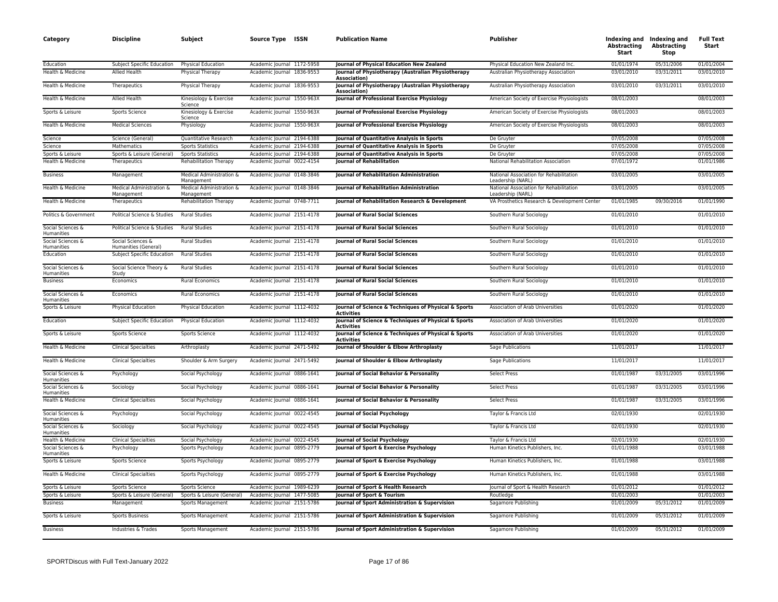| Category                        | <b>Discipline</b>                         | Subject                                | Source Type ISSN           | <b>Publication Name</b>                                                    | Publisher                                                    | <b>Abstracting</b><br>Start | Indexing and Indexing and<br><b>Abstracting</b><br>Stop | <b>Full Text</b><br>Start |
|---------------------------------|-------------------------------------------|----------------------------------------|----------------------------|----------------------------------------------------------------------------|--------------------------------------------------------------|-----------------------------|---------------------------------------------------------|---------------------------|
| Education                       | Subject Specific Education                | Physical Education                     | Academic lournal 1172-5958 | Journal of Physical Education New Zealand                                  | Physical Education New Zealand Inc                           | 01/01/1974                  | 05/31/2006                                              | 01/01/2004                |
| Health & Medicine               | Allied Health                             | Physical Therapy                       | Academic Journal 1836-9553 | Journal of Physiotherapy (Australian Physiotherapy<br>Association)         | Australian Physiotherapy Association                         | 03/01/2010                  | 03/31/2011                                              | 03/01/2010                |
| Health & Medicine               | Therapeutics                              | Physical Therapy                       | Academic Journal 1836-9553 | Journal of Physiotherapy (Australian Physiotherapy<br><b>Association</b> ) | Australian Physiotherapy Association                         | 03/01/2010                  | 03/31/2011                                              | 03/01/2010                |
| Health & Medicine               | Allied Health                             | Kinesiology & Exercise<br>Science      | Academic Journal 1550-963X | Journal of Professional Exercise Physiology                                | American Society of Exercise Physiologists                   | 08/01/2003                  |                                                         | 08/01/2003                |
| Sports & Leisure                | Sports Science                            | Kinesiology & Exercise<br>Science      | Academic Journal 1550-963X | Journal of Professional Exercise Physiology                                | American Society of Exercise Physiologists                   | 08/01/2003                  |                                                         | 08/01/2003                |
| Health & Medicine               | <b>Medical Sciences</b>                   | Physiology                             | Academic Journal 1550-963X | Journal of Professional Exercise Physiology                                | American Society of Exercise Physiologists                   | 08/01/2003                  |                                                         | 08/01/2003                |
| Science                         | Science (General)                         | Quantitative Research                  | Academic Journal 2194-6388 | Journal of Quantitative Analysis in Sports                                 | De Gruyter                                                   | 07/05/2008                  |                                                         | 07/05/2008                |
| Science                         | Mathematics                               | <b>Sports Statistics</b>               | Academic Journal 2194-6388 | Journal of Quantitative Analysis in Sports                                 | De Gruyter                                                   | 07/05/2008                  |                                                         | 07/05/2008                |
| Sports & Leisure                | Sports & Leisure (General)                | <b>Sports Statistics</b>               | Academic Journal 2194-6388 | Journal of Quantitative Analysis in Sports                                 | De Gruyter                                                   | 07/05/2008                  |                                                         | 07/05/2008                |
| Health & Medicine               | Therapeutics                              | <b>Rehabilitation Therapy</b>          | Academic Journal 0022-4154 | <b>Journal of Rehabilitation</b>                                           | National Rehabilitation Association                          | 07/01/1972                  |                                                         | 01/01/1986                |
| <b>Business</b>                 | Management                                | Medical Administration &<br>Management | Academic Journal 0148-3846 | Journal of Rehabilitation Administration                                   | National Association for Rehabilitation<br>Leadership (NARL) | 03/01/2005                  |                                                         | 03/01/2005                |
| Health & Medicine               | Medical Administration &<br>Management    | Medical Administration &<br>Management | Academic Journal 0148-3846 | Journal of Rehabilitation Administration                                   | National Association for Rehabilitation<br>Leadership (NARL) | 03/01/2005                  |                                                         | 03/01/2005                |
| Health & Medicine               | Therapeutics                              | Rehabilitation Therapy                 | Academic Journal 0748-7711 | Journal of Rehabilitation Research & Development                           | VA Prosthetics Research & Development Center                 | 01/01/1985                  | 09/30/2016                                              | 01/01/1990                |
| Politics & Government           | Political Science & Studies               | <b>Rural Studies</b>                   | Academic Journal 2151-4178 | <b>Journal of Rural Social Sciences</b>                                    | Southern Rural Sociology                                     | 01/01/2010                  |                                                         | 01/01/2010                |
| Social Sciences &<br>Humanities | Political Science & Studies               | <b>Rural Studies</b>                   | Academic Journal 2151-4178 | <b>Journal of Rural Social Sciences</b>                                    | Southern Rural Sociology                                     | 01/01/2010                  |                                                         | 01/01/2010                |
| Social Sciences &<br>Humanities | Social Sciences &<br>Humanities (General) | <b>Rural Studies</b>                   | Academic Journal 2151-4178 | Journal of Rural Social Sciences                                           | Southern Rural Sociology                                     | 01/01/2010                  |                                                         | 01/01/2010                |
| Education                       | Subject Specific Education                | <b>Rural Studies</b>                   | Academic Journal 2151-4178 | <b>Journal of Rural Social Sciences</b>                                    | Southern Rural Sociology                                     | 01/01/2010                  |                                                         | 01/01/2010                |
| Social Sciences &<br>Humanities | Social Science Theory &<br>Study          | <b>Rural Studies</b>                   | Academic Journal 2151-4178 | <b>Journal of Rural Social Sciences</b>                                    | Southern Rural Sociology                                     | 01/01/2010                  |                                                         | 01/01/2010                |
| <b>Business</b>                 | Economics                                 | <b>Rural Economics</b>                 | Academic Journal 2151-4178 | <b>Journal of Rural Social Sciences</b>                                    | Southern Rural Sociology                                     | 01/01/2010                  |                                                         | 01/01/2010                |
| Social Sciences &<br>Humanities | Economics                                 | <b>Rural Economics</b>                 | Academic Journal 2151-4178 | <b>Journal of Rural Social Sciences</b>                                    | Southern Rural Sociology                                     | 01/01/2010                  |                                                         | 01/01/2010                |
| Sports & Leisure                | Physical Education                        | Physical Education                     | Academic Journal 1112-4032 | Journal of Science & Techniques of Physical & Sports<br>Activities         | Association of Arab Universities                             | 01/01/2020                  |                                                         | 01/01/2020                |
| Education                       | Subject Specific Education                | <b>Physical Education</b>              | Academic Journal 1112-4032 | Journal of Science & Techniques of Physical & Sports<br><b>Activities</b>  | Association of Arab Universities                             | 01/01/2020                  |                                                         | 01/01/2020                |
| Sports & Leisure                | Sports Science                            | Sports Science                         | Academic Journal 1112-4032 | Journal of Science & Techniques of Physical & Sports<br><b>Activities</b>  | Association of Arab Universities                             | 01/01/2020                  |                                                         | 01/01/2020                |
| Health & Medicine               | <b>Clinical Specialties</b>               | Arthroplasty                           | Academic Journal 2471-5492 | Journal of Shoulder & Elbow Arthroplasty                                   | Sage Publications                                            | 11/01/2017                  |                                                         | 11/01/2017                |
| Health & Medicine               | <b>Clinical Specialties</b>               | Shoulder & Arm Surgery                 | Academic Journal 2471-5492 | Journal of Shoulder & Elbow Arthroplasty                                   | Sage Publications                                            | 11/01/2017                  |                                                         | 11/01/2017                |
| Social Sciences &<br>Humanities | Psychology                                | Social Psychology                      | Academic Journal 0886-1641 | Journal of Social Behavior & Personality                                   | <b>Select Press</b>                                          | 01/01/1987                  | 03/31/2005                                              | 03/01/1996                |
| Social Sciences &<br>Humanities | Sociology                                 | Social Psychology                      | Academic Journal 0886-1641 | Journal of Social Behavior & Personality                                   | <b>Select Press</b>                                          | 01/01/1987                  | 03/31/2005                                              | 03/01/1996                |
| Health & Medicine               | <b>Clinical Specialties</b>               | Social Psychology                      | Academic Journal 0886-1641 | Journal of Social Behavior & Personality                                   | <b>Select Press</b>                                          | 01/01/1987                  | 03/31/2005                                              | 03/01/1996                |
| Social Sciences &<br>Humanities | Psychology                                | Social Psychology                      | Academic Journal 0022-4545 | Journal of Social Psychology                                               | Taylor & Francis Ltd                                         | 02/01/1930                  |                                                         | 02/01/1930                |
| Social Sciences &<br>Humanities | Sociology                                 | Social Psychology                      | Academic Journal 0022-4545 | Journal of Social Psychology                                               | Taylor & Francis Ltd                                         | 02/01/1930                  |                                                         | 02/01/1930                |
| Health & Medicine               | <b>Clinical Specialties</b>               | Social Psychology                      | Academic Journal 0022-4545 | Journal of Social Psychology                                               | Taylor & Francis Ltd                                         | 02/01/1930                  |                                                         | 02/01/1930                |
| Social Sciences &<br>Humanities | Psychology                                | Sports Psychology                      | Academic Journal 0895-2779 | Journal of Sport & Exercise Psychology                                     | Human Kinetics Publishers, Inc.                              | 01/01/1988                  |                                                         | 03/01/1988                |
| Sports & Leisure                | Sports Science                            | Sports Psychology                      | Academic Journal 0895-2779 | Journal of Sport & Exercise Psychology                                     | Human Kinetics Publishers, Inc.                              | 01/01/1988                  |                                                         | 03/01/1988                |
| Health & Medicine               | <b>Clinical Specialties</b>               | Sports Psychology                      | Academic Journal 0895-2779 | Journal of Sport & Exercise Psychology                                     | Human Kinetics Publishers, Inc.                              | 01/01/1988                  |                                                         | 03/01/1988                |
| Sports & Leisure                | Sports Science                            | Sports Science                         | Academic Journal 1989-6239 | Journal of Sport & Health Research                                         | Journal of Sport & Health Research                           | 01/01/2012                  |                                                         | 01/01/2012                |
| Sports & Leisure                | Sports & Leisure (General)                | Sports & Leisure (General)             | Academic Journal 1477-5085 | Journal of Sport & Tourism                                                 | Routledge                                                    | 01/01/2003                  |                                                         | 01/01/2003                |
| <b>Business</b>                 | Management                                | Sports Management                      | Academic Journal 2151-5786 | Journal of Sport Administration & Supervision                              | Sagamore Publishing                                          | 01/01/2009                  | 05/31/2012                                              | 01/01/2009                |
| Sports & Leisure                | <b>Sports Business</b>                    | Sports Management                      | Academic Journal 2151-5786 | Journal of Sport Administration & Supervision                              | Sagamore Publishing                                          | 01/01/2009                  | 05/31/2012                                              | 01/01/2009                |
| <b>Business</b>                 | Industries & Trades                       | Sports Management                      | Academic Journal 2151-5786 | Journal of Sport Administration & Supervision                              | Sagamore Publishing                                          | 01/01/2009                  | 05/31/2012                                              | 01/01/2009                |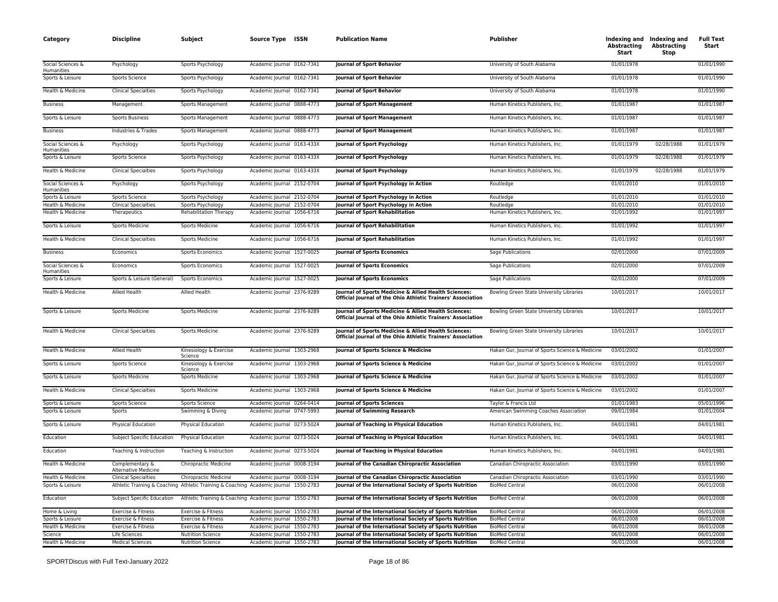| Category                        | <b>Discipline</b>                       | Subject                                                                              | Source Type ISSN           | <b>Publication Name</b>                                                                                             | <b>Publisher</b>                                | Abstracting<br>Start | Indexing and Indexing and<br><b>Abstracting</b><br>Stop | <b>Full Text</b><br>Start |
|---------------------------------|-----------------------------------------|--------------------------------------------------------------------------------------|----------------------------|---------------------------------------------------------------------------------------------------------------------|-------------------------------------------------|----------------------|---------------------------------------------------------|---------------------------|
| Social Sciences &<br>Humanities | Psychology                              | Sports Psychology                                                                    | Academic Journal 0162-7341 | Journal of Sport Behavior                                                                                           | University of South Alabama                     | 01/01/1978           |                                                         | 01/01/1990                |
| Sports & Leisure                | Sports Science                          | Sports Psychology                                                                    | Academic Journal 0162-7341 | <b>Journal of Sport Behavior</b>                                                                                    | University of South Alabama                     | 01/01/1978           |                                                         | 01/01/1990                |
| Health & Medicine               | <b>Clinical Specialties</b>             | Sports Psychology                                                                    | Academic Journal 0162-7341 | Journal of Sport Behavior                                                                                           | University of South Alabama                     | 01/01/1978           |                                                         | 01/01/1990                |
| <b>Business</b>                 | Management                              | Sports Management                                                                    | Academic Journal 0888-4773 | <b>Journal of Sport Management</b>                                                                                  | Human Kinetics Publishers, Inc.                 | 01/01/1987           |                                                         | 01/01/1987                |
| Sports & Leisure                | <b>Sports Business</b>                  | Sports Management                                                                    | Academic Journal 0888-4773 | <b>Journal of Sport Management</b>                                                                                  | Human Kinetics Publishers, Inc.                 | 01/01/1987           |                                                         | 01/01/1987                |
| <b>Business</b>                 | Industries & Trades                     | Sports Management                                                                    | Academic Journal 0888-4773 | <b>Journal of Sport Management</b>                                                                                  | Human Kinetics Publishers, Inc.                 | 01/01/1987           |                                                         | 01/01/1987                |
| Social Sciences &<br>Humanities | Psychology                              | Sports Psychology                                                                    | Academic Journal 0163-433X | <b>Journal of Sport Psychology</b>                                                                                  | Human Kinetics Publishers, Inc.                 | 01/01/1979           | 02/28/1988                                              | 01/01/1979                |
| Sports & Leisure                | Sports Science                          | Sports Psychology                                                                    | Academic Journal 0163-433X | Journal of Sport Psychology                                                                                         | Human Kinetics Publishers, Inc.                 | 01/01/1979           | 02/28/1988                                              | 01/01/1979                |
| Health & Medicine               | <b>Clinical Specialties</b>             | Sports Psychology                                                                    | Academic Journal 0163-433X | Journal of Sport Psychology                                                                                         | Human Kinetics Publishers, Inc.                 | 01/01/1979           | 02/28/1988                                              | 01/01/1979                |
| Social Sciences &<br>Humanities | Psychology                              | Sports Psychology                                                                    | Academic Journal 2152-0704 | Journal of Sport Psychology in Action                                                                               | Routledge                                       | 01/01/2010           |                                                         | 01/01/2010                |
| Sports & Leisure                | Sports Science                          | Sports Psychology                                                                    | Academic Journal 2152-0704 | Journal of Sport Psychology in Action                                                                               | Routledge                                       | 01/01/2010           |                                                         | 01/01/2010                |
| Health & Medicine               | <b>Clinical Specialties</b>             | Sports Psychology                                                                    | Academic Journal 2152-0704 | Journal of Sport Psychology in Action                                                                               | Routledge                                       | 01/01/2010           |                                                         | 01/01/2010                |
| Health & Medicine               | Therapeutics                            | <b>Rehabilitation Therapy</b>                                                        | Academic Journal 1056-6716 | <b>Journal of Sport Rehabilitation</b>                                                                              | Human Kinetics Publishers, Inc.                 | 01/01/1992           |                                                         | 01/01/1997                |
| Sports & Leisure                | <b>Sports Medicine</b>                  | <b>Sports Medicine</b>                                                               | Academic Journal 1056-6716 | Journal of Sport Rehabilitation                                                                                     | Human Kinetics Publishers, Inc.                 | 01/01/1992           |                                                         | 01/01/1997                |
| Health & Medicine               | <b>Clinical Specialties</b>             | Sports Medicine                                                                      | Academic Journal 1056-6716 | <b>Journal of Sport Rehabilitation</b>                                                                              | Human Kinetics Publishers, Inc.                 | 01/01/1992           |                                                         | 01/01/1997                |
| <b>Business</b>                 | Economics                               | <b>Sports Economics</b>                                                              | Academic Journal 1527-0025 | <b>Journal of Sports Economics</b>                                                                                  | Sage Publications                               | 02/01/2000           |                                                         | 07/01/2009                |
| Social Sciences &               | Economics                               | <b>Sports Economics</b>                                                              | Academic Journal 1527-0025 | <b>Journal of Sports Economics</b>                                                                                  | Sage Publications                               | 02/01/2000           |                                                         | 07/01/2009                |
| Humanities<br>Sports & Leisure  | Sports & Leisure (General)              | Sports Economics                                                                     | Academic Journal 1527-0025 | <b>Journal of Sports Economics</b>                                                                                  | Sage Publications                               | 02/01/2000           |                                                         | 07/01/2009                |
| Health & Medicine               | <b>Allied Health</b>                    | <b>Allied Health</b>                                                                 | Academic Journal 2376-9289 | Journal of Sports Medicine & Allied Health Sciences:<br>Official Journal of the Ohio Athletic Trainers' Association | Bowling Green State University Libraries        | 10/01/2017           |                                                         | 10/01/2017                |
| Sports & Leisure                | <b>Sports Medicine</b>                  | Sports Medicine                                                                      | Academic Journal 2376-9289 | Journal of Sports Medicine & Allied Health Sciences:<br>Official Journal of the Ohio Athletic Trainers' Association | Bowling Green State University Libraries        | 10/01/2017           |                                                         | 10/01/2017                |
| Health & Medicine               | <b>Clinical Specialties</b>             | <b>Sports Medicine</b>                                                               | Academic Journal 2376-9289 | Journal of Sports Medicine & Allied Health Sciences:<br>Official Journal of the Ohio Athletic Trainers' Association | Bowling Green State University Libraries        | 10/01/2017           |                                                         | 10/01/2017                |
| Health & Medicine               | Allied Health                           | Kinesiology & Exercise<br>Science                                                    | Academic Journal 1303-2968 | Journal of Sports Science & Medicine                                                                                | Hakan Gur, Journal of Sports Science & Medicine | 03/01/2002           |                                                         | 01/01/2007                |
| Sports & Leisure                | Sports Science                          | Kinesiology & Exercise<br>Science                                                    | Academic Journal 1303-2968 | Journal of Sports Science & Medicine                                                                                | Hakan Gur, Journal of Sports Science & Medicine | 03/01/2002           |                                                         | 01/01/2007                |
| Sports & Leisure                | <b>Sports Medicine</b>                  | Sports Medicine                                                                      | Academic Journal 1303-2968 | Journal of Sports Science & Medicine                                                                                | Hakan Gur, Journal of Sports Science & Medicine | 03/01/2002           |                                                         | 01/01/2007                |
| Health & Medicine               | <b>Clinical Specialties</b>             | Sports Medicine                                                                      | Academic Journal 1303-2968 | Journal of Sports Science & Medicine                                                                                | Hakan Gur, Journal of Sports Science & Medicine | 03/01/2002           |                                                         | 01/01/2007                |
| Sports & Leisure                | Sports Science                          | Sports Science                                                                       | Academic Journal 0264-0414 | <b>Journal of Sports Sciences</b>                                                                                   | Taylor & Francis Ltd                            | 01/01/1983           |                                                         | 05/01/1996                |
| Sports & Leisure                | Sports                                  | Swimming & Diving                                                                    | Academic Journal 0747-5993 | Journal of Swimming Research                                                                                        | American Swimming Coaches Association           | 09/01/1984           |                                                         | 01/01/2004                |
| Sports & Leisure                | Physical Education                      | Physical Education                                                                   | Academic Journal 0273-5024 | Journal of Teaching in Physical Education                                                                           | Human Kinetics Publishers, Inc.                 | 04/01/1981           |                                                         | 04/01/1981                |
| Education                       | Subject Specific Education              | Physical Education                                                                   | Academic Journal 0273-5024 | Journal of Teaching in Physical Education                                                                           | Human Kinetics Publishers, Inc.                 | 04/01/1981           |                                                         | 04/01/1981                |
| Education                       | Teaching & Instruction                  | Teaching & Instruction                                                               | Academic Journal 0273-5024 | Journal of Teaching in Physical Education                                                                           | Human Kinetics Publishers, Inc.                 | 04/01/1981           |                                                         | 04/01/1981                |
| Health & Medicine               | Complementary &<br>Alternative Medicine | <b>Chiropractic Medicine</b>                                                         | Academic Journal 0008-3194 | Journal of the Canadian Chiropractic Association                                                                    | Canadian Chiropractic Association               | 03/01/1990           |                                                         | 03/01/1990                |
| Health & Medicine               | <b>Clinical Specialties</b>             | <b>Chiropractic Medicine</b>                                                         | Academic Journal 0008-3194 | Journal of the Canadian Chiropractic Association                                                                    | Canadian Chiropractic Association               | 03/01/1990           |                                                         | 03/01/1990                |
| Sports & Leisure                |                                         | Athletic Training & Coaching Athletic Training & Coaching Academic Journal 1550-2783 |                            | Journal of the International Society of Sports Nutrition                                                            | <b>BioMed Central</b>                           | 06/01/2008           |                                                         | 06/01/2008                |
| Education                       | Subject Specific Education              | Athletic Training & Coaching Academic Journal 1550-2783                              |                            | Journal of the International Society of Sports Nutrition                                                            | <b>BioMed Central</b>                           | 06/01/2008           |                                                         | 06/01/2008                |
| Home & Living                   | Exercise & Fitness                      | Exercise & Fitness                                                                   | Academic Journal 1550-2783 | Journal of the International Society of Sports Nutrition                                                            | <b>BioMed Central</b>                           | 06/01/2008           |                                                         | 06/01/2008                |
| Sports & Leisure                | Exercise & Fitness                      | Exercise & Fitness                                                                   | Academic Journal 1550-2783 | Journal of the International Society of Sports Nutrition                                                            | <b>BioMed Central</b>                           | 06/01/2008           |                                                         | 06/01/2008                |
| Health & Medicine               | Exercise & Fitness                      | Exercise & Fitness                                                                   | Academic Journal 1550-2783 | Journal of the International Society of Sports Nutrition                                                            | <b>BioMed Central</b>                           | 06/01/2008           |                                                         | 06/01/2008                |
| Science                         | Life Sciences                           | Nutrition Science                                                                    | Academic Journal 1550-2783 | Journal of the International Society of Sports Nutrition                                                            | <b>BioMed Central</b>                           | 06/01/2008           |                                                         | 06/01/2008                |
| Health & Medicine               | <b>Medical Sciences</b>                 | Nutrition Science                                                                    | Academic Journal 1550-2783 | Journal of the International Society of Sports Nutrition                                                            | <b>BioMed Central</b>                           | 06/01/2008           |                                                         | 06/01/2008                |
|                                 |                                         |                                                                                      |                            |                                                                                                                     |                                                 |                      |                                                         |                           |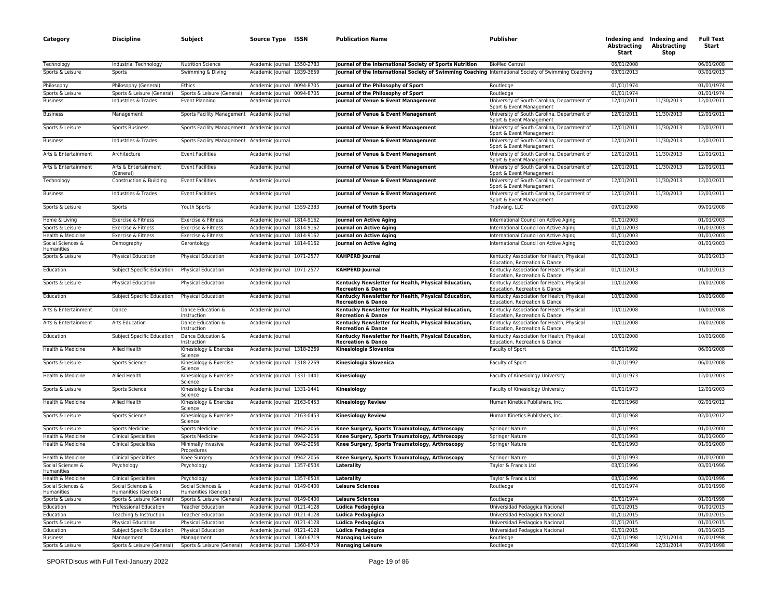| Category                                            | <b>Discipline</b>                                     | Subject                                                     | Source Type ISSN                                         | <b>Publication Name</b>                                                                              | Publisher                                                                          | Abstracting<br>Start     | Indexing and Indexing and<br><b>Abstracting</b><br>Stop | <b>Full Text</b><br>Start |
|-----------------------------------------------------|-------------------------------------------------------|-------------------------------------------------------------|----------------------------------------------------------|------------------------------------------------------------------------------------------------------|------------------------------------------------------------------------------------|--------------------------|---------------------------------------------------------|---------------------------|
| Technology                                          | Industrial Technology                                 | <b>Nutrition Science</b>                                    | Academic Journal 1550-2783                               | Journal of the International Society of Sports Nutrition                                             | <b>BioMed Central</b>                                                              | 06/01/2008               |                                                         | 06/01/2008                |
| Sports & Leisure                                    | Sports                                                | Swimming & Diving                                           | Academic Journal 1839-3659                               | Journal of the International Society of Swimming Coaching International Society of Swimming Coaching |                                                                                    | 03/01/2013               |                                                         | 03/01/2013                |
| Philosophy                                          | Philosophy (General)                                  | Ethics                                                      | Academic Journal 0094-8705                               | Journal of the Philosophy of Sport                                                                   | Routledge                                                                          | 01/01/1974               |                                                         | 01/01/1974                |
| Sports & Leisure                                    | Sports & Leisure (General)                            | Sports & Leisure (General)                                  | Academic Journal 0094-8705                               | Journal of the Philosophy of Sport                                                                   | Routledge                                                                          | 01/01/1974               |                                                         | 01/01/1974                |
| <b>Business</b>                                     | Industries & Trades                                   | Event Planning                                              | Academic Journal                                         | Journal of Venue & Event Management                                                                  | University of South Carolina, Department of<br>Sport & Event Management            | 12/01/2011               | 11/30/2013                                              | 12/01/2011                |
| <b>Business</b>                                     | Management                                            | Sports Facility Management Academic Journal                 |                                                          | Journal of Venue & Event Management                                                                  | University of South Carolina, Department of<br>Sport & Event Management            | 12/01/2011               | 11/30/2013                                              | 12/01/2011                |
| Sports & Leisure                                    | <b>Sports Business</b>                                | Sports Facility Management Academic Journal                 |                                                          | Journal of Venue & Event Management                                                                  | University of South Carolina, Department of<br>Sport & Event Management            | 12/01/2011               | 11/30/2013                                              | 12/01/2011                |
| <b>Business</b>                                     | Industries & Trades                                   | Sports Facility Management Academic Journal                 |                                                          | Journal of Venue & Event Management                                                                  | University of South Carolina, Department of<br>Sport & Event Management            | 12/01/2011               | 11/30/2013                                              | 12/01/2011                |
| Arts & Entertainment                                | Architecture                                          | <b>Event Facilities</b>                                     | Academic Journal                                         | Journal of Venue & Event Management                                                                  | University of South Carolina, Department of<br>Sport & Event Management            | 12/01/2011               | 11/30/2013                                              | 12/01/2011                |
| Arts & Entertainment                                | Arts & Entertainment<br>(General)                     | <b>Event Facilities</b>                                     | Academic Journal                                         | Journal of Venue & Event Management                                                                  | University of South Carolina, Department of<br>Sport & Event Management            | 12/01/2011               | 11/30/2013                                              | 12/01/2011                |
| Technology                                          | Construction & Building                               | <b>Event Facilities</b>                                     | Academic Journal                                         | Journal of Venue & Event Management                                                                  | University of South Carolina, Department of<br>Sport & Event Management            | 12/01/2011               | 11/30/2013                                              | 12/01/2011                |
| <b>Business</b>                                     | Industries & Trades                                   | <b>Event Facilities</b>                                     | Academic Journal                                         | Journal of Venue & Event Management                                                                  | University of South Carolina, Department of<br>Sport & Event Management            | 12/01/2011               | 11/30/2013                                              | 12/01/2011                |
| Sports & Leisure                                    | Sports                                                | Youth Sports                                                | Academic Journal 1559-2383                               | Journal of Youth Sports                                                                              | Trudvang, LLC                                                                      | 09/01/2008               |                                                         | 09/01/2008                |
| Home & Living                                       | Exercise & Fitness                                    | Exercise & Fitness                                          | Academic Journal 1814-9162                               | Journal on Active Aging                                                                              | International Council on Active Aging                                              | 01/01/2003               |                                                         | 01/01/2003                |
| Sports & Leisure                                    | Exercise & Fitness                                    | Exercise & Fitness                                          | Academic Journal 1814-9162                               | Journal on Active Aging                                                                              | International Council on Active Aging                                              | 01/01/2003               |                                                         | 01/01/2003                |
| Health & Medicine                                   | Exercise & Fitness                                    | Exercise & Fitness                                          | Academic Journal 1814-9162                               | Journal on Active Aging                                                                              | International Council on Active Aging                                              | 01/01/2003               |                                                         | 01/01/2003                |
| Social Sciences &<br>Humanities<br>Sports & Leisure | Demography<br>Physical Education                      | Gerontology<br><b>Physical Education</b>                    | Academic Journal 1814-9162<br>Academic Journal 1071-2577 | Journal on Active Aging<br><b>KAHPERD Journal</b>                                                    | International Council on Active Aging<br>Kentucky Association for Health, Physical | 01/01/2003<br>01/01/2013 |                                                         | 01/01/2003<br>01/01/2013  |
| Education                                           | Subject Specific Education                            | Physical Education                                          | Academic Journal 1071-2577                               | <b>KAHPERD Journal</b>                                                                               | Education, Recreation & Dance<br>Kentucky Association for Health, Physical         | 01/01/2013               |                                                         | 01/01/2013                |
| Sports & Leisure                                    | Physical Education                                    | Physical Education                                          | Academic Journal                                         | Kentucky Newsletter for Health, Physical Education,                                                  | Education, Recreation & Dance<br>Kentucky Association for Health, Physical         | 10/01/2008               |                                                         | 10/01/2008                |
| Education                                           | Subject Specific Education                            | <b>Physical Education</b>                                   | Academic Journal                                         | <b>Recreation &amp; Dance</b><br>Kentucky Newsletter for Health, Physical Education,                 | Education, Recreation & Dance<br>Kentucky Association for Health, Physical         | 10/01/2008               |                                                         | 10/01/2008                |
| Arts & Entertainment                                | Dance                                                 | Dance Education &                                           | Academic Journal                                         | <b>Recreation &amp; Dance</b><br>Kentucky Newsletter for Health, Physical Education,                 | Education, Recreation & Dance<br>Kentucky Association for Health, Physical         | 10/01/2008               |                                                         | 10/01/2008                |
| Arts & Entertainment                                | Arts Education                                        | Instruction<br>Dance Education &                            | Academic Journal                                         | <b>Recreation &amp; Dance</b><br>Kentucky Newsletter for Health, Physical Education,                 | Education, Recreation & Dance<br>Kentucky Association for Health, Physical         | 10/01/2008               |                                                         | 10/01/2008                |
| Education                                           | Subject Specific Education                            | Instruction<br>Dance Education &                            | Academic Journal                                         | <b>Recreation &amp; Dance</b><br>Kentucky Newsletter for Health, Physical Education,                 | Education, Recreation & Dance<br>Kentucky Association for Health, Physical         | 10/01/2008               |                                                         | 10/01/2008                |
| Health & Medicine                                   |                                                       | Instruction<br>Kinesiology & Exercise                       | Academic Journal 1318-2269                               | <b>Recreation &amp; Dance</b><br>Kinesiologia Slovenica                                              | Education, Recreation & Dance<br>Faculty of Sport                                  | 01/01/1992               |                                                         | 06/01/2008                |
|                                                     | Allied Health                                         | Science<br>Kinesiology & Exercise                           |                                                          |                                                                                                      |                                                                                    |                          |                                                         | 06/01/2008                |
| Sports & Leisure                                    | Sports Science                                        | Science                                                     | Academic Journal 1318-2269                               | Kinesiologia Slovenica                                                                               | Faculty of Sport                                                                   | 01/01/1992               |                                                         |                           |
| Health & Medicine                                   | Allied Health                                         | Kinesiology & Exercise<br>Science                           | Academic Journal 1331-1441                               | Kinesiology                                                                                          | Faculty of Kinesiology University                                                  | 01/01/1973               |                                                         | 12/01/2003                |
| Sports & Leisure<br>Health & Medicine               | Sports Science<br>Allied Health                       | Kinesiology & Exercise<br>Science<br>Kinesiology & Exercise | Academic Journal 1331-1441<br>Academic Journal 2163-0453 | Kinesiology                                                                                          | Faculty of Kinesiology University                                                  | 01/01/1973<br>01/01/1968 |                                                         | 12/01/2003<br>02/01/2012  |
|                                                     |                                                       | Science                                                     |                                                          | <b>Kinesiology Review</b>                                                                            | Human Kinetics Publishers, Inc.                                                    |                          |                                                         |                           |
| Sports & Leisure                                    | Sports Science                                        | Kinesiology & Exercise<br>Science                           | Academic Journal 2163-0453                               | <b>Kinesiology Review</b>                                                                            | Human Kinetics Publishers, Inc.                                                    | 01/01/1968<br>01/01/1993 |                                                         | 02/01/2012<br>01/01/2000  |
| Sports & Leisure<br>Health & Medicine               | <b>Sports Medicine</b><br><b>Clinical Specialties</b> | Sports Medicine<br><b>Sports Medicine</b>                   | Academic Journal 0942-2056<br>Academic Journal 0942-2056 | Knee Surgery, Sports Traumatology, Arthroscopy<br>Knee Surgery, Sports Traumatology, Arthroscopy     | <b>Springer Nature</b><br><b>Springer Nature</b>                                   | 01/01/1993               |                                                         | 01/01/2000                |
| Health & Medicine                                   | <b>Clinical Specialties</b>                           | Minimally Invasive<br>Procedures                            | Academic Journal 0942-2056                               | Knee Surgery, Sports Traumatology, Arthroscopy                                                       | Springer Nature                                                                    | 01/01/1993               |                                                         | 01/01/2000                |
| Health & Medicine                                   | <b>Clinical Specialties</b>                           | Knee Surgery                                                | Academic Journal 0942-2056                               | Knee Surgery, Sports Traumatology, Arthroscopy                                                       | Springer Nature                                                                    | 01/01/1993               |                                                         | 01/01/2000                |
| Social Sciences &                                   | Psychology                                            | Psychology                                                  | Academic Journal 1357-650X                               | Laterality                                                                                           | Taylor & Francis Ltd                                                               | 03/01/1996               |                                                         | 03/01/1996                |
| Humanities<br>Health & Medicine                     | <b>Clinical Specialties</b>                           | Psychology                                                  | Academic Journal 1357-650X                               | Laterality                                                                                           | Taylor & Francis Ltd                                                               | 03/01/1996               |                                                         | 03/01/1996                |
| Social Sciences &                                   | Social Sciences &                                     | Social Sciences &                                           | Academic Journal 0149-0400                               | <b>Leisure Sciences</b>                                                                              | Routledge                                                                          | 01/01/1974               |                                                         | 01/01/1998                |
| Humanities                                          | Humanities (General)                                  | Humanities (General)                                        |                                                          |                                                                                                      |                                                                                    |                          |                                                         |                           |
| Sports & Leisure                                    | Sports & Leisure (General)                            | Sports & Leisure (General)                                  | Academic Journal 0149-0400                               | <b>Leisure Sciences</b>                                                                              | Routledge                                                                          | 01/01/1974               |                                                         | 01/01/1998                |
| Education                                           | Professional Education                                | <b>Teacher Education</b>                                    | Academic Journal 0121-4128                               | Lúdica Pedagógica                                                                                    | Universidad Pedaggica Nacional                                                     | 01/01/2015               |                                                         | 01/01/2015                |
| Education                                           | Teaching & Instruction                                | <b>Teacher Education</b>                                    | Academic Journal 0121-4128                               | Lúdica Pedagógica                                                                                    | Universidad Pedaggica Nacional                                                     | 01/01/2015               |                                                         | 01/01/2015                |
| Sports & Leisure                                    | Physical Education                                    | Physical Education                                          | Academic Journal 0121-4128                               | Lúdica Pedagógica                                                                                    | Universidad Pedaggica Nacional                                                     | 01/01/2015               |                                                         | 01/01/2015                |
| Education                                           | Subject Specific Education                            | <b>Physical Education</b>                                   | Academic Journal 0121-4128                               | Lúdica Pedagógica                                                                                    | Universidad Pedaggica Nacional                                                     | 01/01/2015               |                                                         | 01/01/2015                |
| <b>Business</b>                                     | Management                                            | Management                                                  | Academic Journal 1360-6719                               | <b>Managing Leisure</b>                                                                              | Routledge                                                                          | 07/01/1998               | 12/31/2014                                              | 07/01/1998                |
| Sports & Leisure                                    | Sports & Leisure (General)                            | Sports & Leisure (General)                                  | Academic Journal 1360-6719                               | <b>Managing Leisure</b>                                                                              | Routledge                                                                          | 07/01/1998               | 12/31/2014                                              | 07/01/1998                |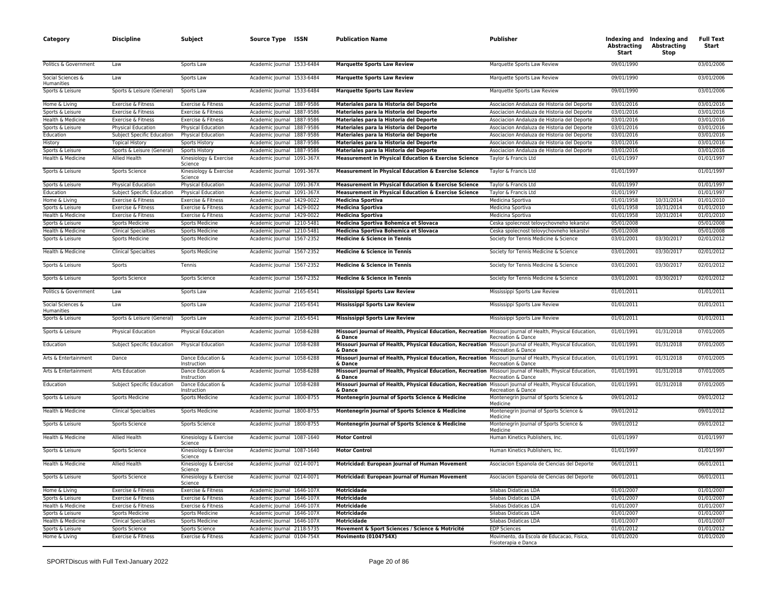| Category                             | <b>Discipline</b>           | Subject                                 | Source Type ISSN                                         | <b>Publication Name</b>                                                                                                                            | Publisher                                                         | Abstracting<br>Start     | Indexing and Indexing and<br><b>Abstracting</b><br>Stop | <b>Full Text</b><br>Start |
|--------------------------------------|-----------------------------|-----------------------------------------|----------------------------------------------------------|----------------------------------------------------------------------------------------------------------------------------------------------------|-------------------------------------------------------------------|--------------------------|---------------------------------------------------------|---------------------------|
| Politics & Government                | Law                         | Sports Law                              | Academic Journal 1533-6484                               | <b>Marquette Sports Law Review</b>                                                                                                                 | Marquette Sports Law Review                                       | 09/01/1990               |                                                         | 03/01/2006                |
| Social Sciences &<br>Humanities      | Law                         | Sports Law                              | Academic Journal 1533-6484                               | <b>Marquette Sports Law Review</b>                                                                                                                 | Marquette Sports Law Review                                       | 09/01/1990               |                                                         | 03/01/2006                |
| Sports & Leisure                     | Sports & Leisure (General)  | Sports Law                              | Academic Journal 1533-6484                               | <b>Marquette Sports Law Review</b>                                                                                                                 | Marquette Sports Law Review                                       | 09/01/1990               |                                                         | 03/01/2006                |
| Home & Living                        | Exercise & Fitness          | Exercise & Fitness                      | Academic Journal 1887-9586                               | Materiales para la Historia del Deporte                                                                                                            | Asociacion Andaluza de Historia del Deporte                       | 03/01/2016               |                                                         | 03/01/2016                |
| Sports & Leisure                     | Exercise & Fitness          | Exercise & Fitness                      | Academic Journal 1887-9586                               | Materiales para la Historia del Deporte                                                                                                            | Asociacion Andaluza de Historia del Deporte                       | 03/01/2016               |                                                         | 03/01/2016                |
| Health & Medicine                    | Exercise & Fitness          | Exercise & Fitness                      | Academic Journal 1887-9586                               | Materiales para la Historia del Deporte                                                                                                            | Asociacion Andaluza de Historia del Deporte                       | 03/01/2016               |                                                         | 03/01/2016                |
| Sports & Leisure                     | Physical Education          | Physical Education                      | Academic Journal 1887-9586                               | Materiales para la Historia del Deporte                                                                                                            | Asociacion Andaluza de Historia del Deporte                       | 03/01/2016               |                                                         | 03/01/2016                |
| Education                            | Subject Specific Education  | Physical Education                      | Academic Journal 1887-9586                               | Materiales para la Historia del Deporte                                                                                                            | Asociacion Andaluza de Historia del Deporte                       | 03/01/2016               |                                                         | 03/01/2016                |
| History                              | <b>Topical History</b>      | <b>Sports History</b>                   | Academic Journal 1887-9586                               | Materiales para la Historia del Deporte                                                                                                            | Asociacion Andaluza de Historia del Deporte                       | 03/01/2016               |                                                         | 03/01/2016                |
| Sports & Leisure                     | Sports & Leisure (General)  | Sports History                          | Academic Journal 1887-9586                               | Materiales para la Historia del Deporte                                                                                                            | Asociacion Andaluza de Historia del Deporte                       | 03/01/2016               |                                                         | 03/01/2016                |
| Health & Medicine                    | Allied Health               | Kinesiology & Exercise<br>Science       | Academic Journal 1091-367X                               | Measurement in Physical Education & Exercise Science                                                                                               | Taylor & Francis Ltd                                              | 01/01/1997               |                                                         | 01/01/1997                |
| Sports & Leisure                     | Sports Science              | Kinesiology & Exercise<br>Science       | Academic Journal 1091-367X                               | Measurement in Physical Education & Exercise Science                                                                                               | Taylor & Francis Ltd                                              | 01/01/1997               |                                                         | 01/01/1997                |
| Sports & Leisure                     | Physical Education          | Physical Education                      | Academic Journal 1091-367X                               | Measurement in Physical Education & Exercise Science                                                                                               | Taylor & Francis Ltd                                              | 01/01/1997               |                                                         | 01/01/1997                |
| Education                            | Subject Specific Education  | Physical Education                      | Academic Journal 1091-367X                               | Measurement in Physical Education & Exercise Science                                                                                               | Taylor & Francis Ltd                                              | 01/01/1997               |                                                         | 01/01/1997                |
| Home & Living                        | Exercise & Fitness          | Exercise & Fitness                      | Academic Journal 1429-0022                               | <b>Medicina Sportiva</b>                                                                                                                           | Medicina Sportiva                                                 | 01/01/1958               | 10/31/2014                                              | 01/01/2010                |
| Sports & Leisure                     | Exercise & Fitness          | Exercise & Fitness                      | Academic Journal 1429-0022                               | <b>Medicina Sportiva</b>                                                                                                                           | Medicina Sportiva                                                 | 01/01/1958               | 10/31/2014                                              | 01/01/2010                |
| Health & Medicine                    | Exercise & Fitness          | Exercise & Fitness                      | Academic Journal 1429-0022                               | <b>Medicina Sportiva</b>                                                                                                                           | Medicina Sportiva                                                 | 01/01/1958               | 10/31/2014                                              | 01/01/2010                |
| Sports & Leisure                     | <b>Sports Medicine</b>      | Sports Medicine                         | Academic Journal 1210-5481                               | Medicina Sportiva Bohemica et Slovaca                                                                                                              | Ceska spolecnost telovychovneho lekarstvi                         | 05/01/2008               |                                                         | 05/01/2008                |
| Health & Medicine                    | <b>Clinical Specialties</b> | <b>Sports Medicine</b>                  | Academic Journal 1210-5481                               | Medicina Sportiva Bohemica et Slovaca                                                                                                              | Ceska spolecnost telovychovneho lekarstvi                         | 05/01/2008               |                                                         | 05/01/2008                |
| Sports & Leisure                     | <b>Sports Medicine</b>      | Sports Medicine                         | Academic Journal 1567-2352                               | Medicine & Science in Tennis                                                                                                                       | Society for Tennis Medicine & Science                             | 03/01/2001               | 03/30/2017                                              | 02/01/2012                |
| Health & Medicine                    | <b>Clinical Specialties</b> | Sports Medicine                         | Academic Journal 1567-2352                               | Medicine & Science in Tennis                                                                                                                       | Society for Tennis Medicine & Science                             | 03/01/2001               | 03/30/2017                                              | 02/01/2012                |
| Sports & Leisure                     | Sports                      | Tennis                                  | Academic Journal 1567-2352                               | Medicine & Science in Tennis                                                                                                                       | Society for Tennis Medicine & Science                             | 03/01/2001               | 03/30/2017                                              | 02/01/2012                |
| Sports & Leisure                     | <b>Sports Science</b>       | <b>Sports Science</b>                   | Academic Journal 1567-2352                               | <b>Medicine &amp; Science in Tennis</b>                                                                                                            | Society for Tennis Medicine & Science                             | 03/01/2001               | 03/30/2017                                              | 02/01/2012                |
| Politics & Government                | Law                         | Sports Law                              | Academic Journal 2165-6541                               | <b>Mississippi Sports Law Review</b>                                                                                                               | Mississippi Sports Law Review                                     | 01/01/2011               |                                                         | 01/01/2011                |
| Social Sciences &<br>Humanities      | Law                         | Sports Law                              | Academic Journal 2165-6541                               | <b>Mississippi Sports Law Review</b>                                                                                                               | Mississippi Sports Law Review                                     | 01/01/2011               |                                                         | 01/01/2011<br>01/01/2011  |
| Sports & Leisure<br>Sports & Leisure | Sports & Leisure (General)  | Sports Law<br><b>Physical Education</b> | Academic Journal 2165-6541<br>Academic Journal 1058-6288 | <b>Mississippi Sports Law Review</b><br>Missouri Journal of Health, Physical Education, Recreation Missouri Journal of Health, Physical Education, | Mississippi Sports Law Review                                     | 01/01/2011<br>01/01/1991 | 01/31/2018                                              | 07/01/2005                |
|                                      | Physical Education          |                                         |                                                          | & Dance                                                                                                                                            | Recreation & Dance                                                |                          |                                                         |                           |
| Education                            | Subject Specific Education  | Physical Education                      | Academic Journal 1058-6288                               | Missouri Journal of Health, Physical Education, Recreation Missouri Journal of Health, Physical Education,<br>& Dance                              | Recreation & Dance                                                | 01/01/1991               | 01/31/2018                                              | 07/01/2005                |
| Arts & Entertainment                 | Dance                       | Dance Education &<br>Instruction        | Academic Journal 1058-6288                               | Missouri Journal of Health, Physical Education, Recreation Missouri Journal of Health, Physical Education,<br>& Dance                              | Recreation & Dance                                                | 01/01/1991               | 01/31/2018                                              | 07/01/2005                |
| Arts & Entertainment                 | Arts Education              | Dance Education &<br>Instruction        | Academic Journal 1058-6288                               | Missouri Journal of Health, Physical Education, Recreation Missouri Journal of Health, Physical Education,<br>& Dance                              | Recreation & Dance                                                | 01/01/1991               | 01/31/2018                                              | 07/01/2005                |
| Education                            | Subject Specific Education  | Dance Education &<br>Instruction        | Academic Journal 1058-6288                               | Missouri Journal of Health, Physical Education, Recreation Missouri Journal of Health, Physical Education,<br>& Dance                              | Recreation & Dance                                                | 01/01/1991               | 01/31/2018                                              | 07/01/2005                |
| Sports & Leisure                     | <b>Sports Medicine</b>      | Sports Medicine                         | Academic Journal 1800-8755                               | Montenegrin Journal of Sports Science & Medicine                                                                                                   | Montenegrin Journal of Sports Science &<br>Medicine               | 09/01/2012               |                                                         | 09/01/2012                |
| Health & Medicine                    | <b>Clinical Specialties</b> | Sports Medicine                         | Academic Journal 1800-8755                               | Montenegrin Journal of Sports Science & Medicine                                                                                                   | Montenegrin Journal of Sports Science &<br>Medicine               | 09/01/2012               |                                                         | 09/01/2012                |
| Sports & Leisure                     | Sports Science              | Sports Science                          | Academic Journal 1800-8755                               | Montenegrin Journal of Sports Science & Medicine                                                                                                   | Montenegrin Journal of Sports Science &<br>Medicine               | 09/01/2012               |                                                         | 09/01/2012                |
| Health & Medicine                    | <b>Allied Health</b>        | Kinesiology & Exercise<br>Science       | Academic Journal 1087-1640                               | <b>Motor Control</b>                                                                                                                               | Human Kinetics Publishers, Inc.                                   | 01/01/1997               |                                                         | 01/01/1997                |
| Sports & Leisure                     | Sports Science              | Kinesiology & Exercise<br>Science       | Academic Journal 1087-1640                               | <b>Motor Control</b>                                                                                                                               | Human Kinetics Publishers, Inc.                                   | 01/01/1997               |                                                         | 01/01/1997                |
| Health & Medicine                    | Allied Health               | Kinesiology & Exercise<br>Science       | Academic Journal 0214-0071                               | Motricidad: European Journal of Human Movement                                                                                                     | Asociacion Espanola de Ciencias del Deporte                       | 06/01/2011               |                                                         | 06/01/2011                |
| Sports & Leisure                     | Sports Science              | Kinesiology & Exercise<br>Science       | Academic Journal 0214-0071                               | Motricidad: European Journal of Human Movement                                                                                                     | Asociacion Espanola de Ciencias del Deporte                       | 06/01/2011               |                                                         | 06/01/2011                |
| Home & Living                        | Exercise & Fitness          | Exercise & Fitness                      | Academic Journal 1646-107X                               | <b>Motricidade</b>                                                                                                                                 | Silabas Didaticas LDA                                             | 01/01/2007               |                                                         | 01/01/2007                |
| Sports & Leisure                     | Exercise & Fitness          | Exercise & Fitness                      | Academic Journal 1646-107X                               | <b>Motricidade</b>                                                                                                                                 | Silabas Didaticas LDA                                             | 01/01/2007               |                                                         | 01/01/2007                |
| Health & Medicine                    | Exercise & Fitness          | Exercise & Fitness                      | Academic Journal 1646-107X                               | <b>Motricidade</b>                                                                                                                                 | Silabas Didaticas LDA                                             | 01/01/2007               |                                                         | 01/01/2007                |
| Sports & Leisure                     | <b>Sports Medicine</b>      | Sports Medicine                         | Academic Journal 1646-107X                               | Motricidade                                                                                                                                        | Silabas Didaticas LDA                                             | 01/01/2007               |                                                         | 01/01/2007                |
| Health & Medicine                    | <b>Clinical Specialties</b> | <b>Sports Medicine</b>                  | Academic Journal 1646-107X                               | <b>Motricidade</b>                                                                                                                                 | Silabas Didaticas LDA                                             | 01/01/2007               |                                                         | 01/01/2007                |
| Sports & Leisure                     | Sports Science              | Sports Science                          | Academic Journal 2118-5735                               | Movement & Sport Sciences / Science & Motricité                                                                                                    | <b>EDP Sciences</b>                                               | 01/01/2012               |                                                         | 01/01/2012                |
| Home & Living                        | Exercise & Fitness          | Exercise & Fitness                      | Academic Journal 0104-754X                               | <b>Movimento (0104754X)</b>                                                                                                                        | Movimento, da Escola de Educacao, Fisica,<br>Fisioterapia e Danca | 01/01/2020               |                                                         | 01/01/2020                |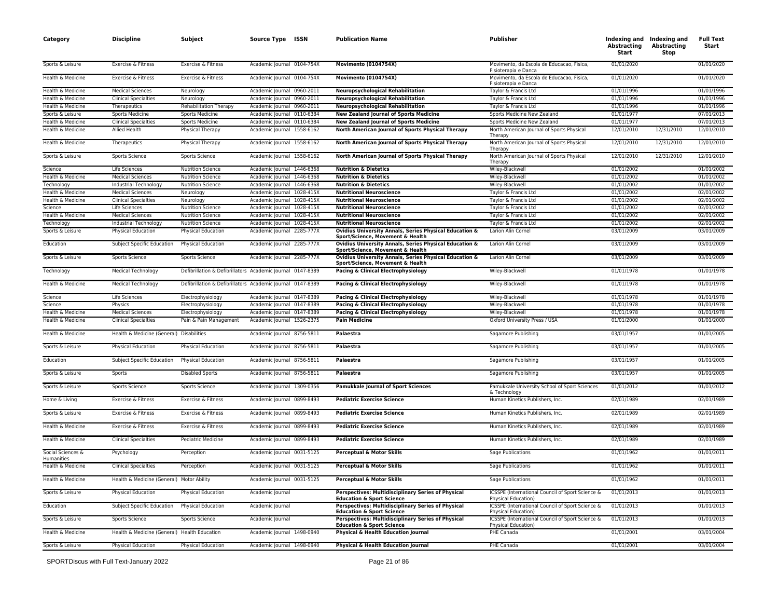| Category                        | <b>Discipline</b>                            | Subject                                                    | Source Type ISSN           |           | <b>Publication Name</b>                                                                    | Publisher                                                                      | Indexing and Indexing and<br>Abstracting<br>Start | <b>Abstracting</b><br>Stop | <b>Full Text</b><br>Start |
|---------------------------------|----------------------------------------------|------------------------------------------------------------|----------------------------|-----------|--------------------------------------------------------------------------------------------|--------------------------------------------------------------------------------|---------------------------------------------------|----------------------------|---------------------------|
| Sports & Leisure                | Exercise & Fitness                           | Exercise & Fitness                                         | Academic Journal 0104-754X |           | <b>Movimento (0104754X)</b>                                                                | Movimento, da Escola de Educacao, Fisica,<br>Fisioterapia e Danca              | 01/01/2020                                        |                            | 01/01/2020                |
| Health & Medicine               | Exercise & Fitness                           | Exercise & Fitness                                         | Academic Journal 0104-754X |           | <b>Movimento (0104754X)</b>                                                                | Movimento, da Escola de Educacao, Fisica,<br>Fisioterapia e Danca              | 01/01/2020                                        |                            | 01/01/2020                |
| Health & Medicine               | <b>Medical Sciences</b>                      | Neurology                                                  | Academic Journal 0960-2011 |           | <b>Neuropsychological Rehabilitation</b>                                                   | Taylor & Francis Ltd                                                           | 01/01/1996                                        |                            | 01/01/1996                |
| Health & Medicine               | <b>Clinical Specialties</b>                  | Neurology                                                  | Academic Journal 0960-2011 |           | <b>Neuropsychological Rehabilitation</b>                                                   | Taylor & Francis Ltd                                                           | 01/01/1996                                        |                            | 01/01/1996                |
| Health & Medicine               | Therapeutics                                 | Rehabilitation Therapy                                     | Academic Journal 0960-2011 |           | <b>Neuropsychological Rehabilitation</b>                                                   | Taylor & Francis Ltd                                                           | 01/01/1996                                        |                            | 01/01/1996                |
| Sports & Leisure                | <b>Sports Medicine</b>                       | Sports Medicine                                            | Academic Journal           | 0110-6384 | <b>New Zealand Journal of Sports Medicine</b>                                              | Sports Medicine New Zealand                                                    | 01/01/1977                                        |                            | 07/01/2013                |
| Health & Medicine               | <b>Clinical Specialties</b>                  | Sports Medicine                                            | Academic Journal 0110-6384 |           | <b>New Zealand Journal of Sports Medicine</b>                                              | Sports Medicine New Zealand                                                    | 01/01/1977                                        |                            | 07/01/2013                |
| Health & Medicine               | <b>Allied Health</b>                         | Physical Therapy                                           | Academic Journal 1558-6162 |           | North American Journal of Sports Physical Therapy                                          | North American Journal of Sports Physical<br>Therapy                           | 12/01/2010                                        | 12/31/2010                 | 12/01/2010                |
| Health & Medicine               | Therapeutics                                 | Physical Therapy                                           | Academic Journal 1558-6162 |           | North American Journal of Sports Physical Therapy                                          | North American Journal of Sports Physical<br>Therapy                           | 12/01/2010                                        | 12/31/2010                 | 12/01/2010                |
| Sports & Leisure                | Sports Science                               | Sports Science                                             | Academic Journal 1558-6162 |           | North American Journal of Sports Physical Therapy                                          | North American Journal of Sports Physical<br>Therapy                           | 12/01/2010                                        | 12/31/2010                 | 12/01/2010                |
| Science                         | Life Sciences                                | <b>Nutrition Science</b>                                   | Academic Journal 1446-6368 |           | <b>Nutrition &amp; Dietetics</b>                                                           | Wiley-Blackwell                                                                | 01/01/2002                                        |                            | 01/01/2002                |
| Health & Medicine               | <b>Medical Sciences</b>                      | <b>Nutrition Science</b>                                   | Academic Journal 1446-6368 |           | <b>Nutrition &amp; Dietetics</b>                                                           | Wiley-Blackwell                                                                | 01/01/2002                                        |                            | 01/01/2002                |
| Technology                      | Industrial Technology                        | <b>Nutrition Science</b>                                   | Academic Journal 1446-6368 |           | <b>Nutrition &amp; Dietetics</b>                                                           | Wiley-Blackwell                                                                | 01/01/2002                                        |                            | 01/01/2002                |
| Health & Medicine               | <b>Medical Sciences</b>                      | Neurology                                                  | Academic Journal 1028-415X |           | <b>Nutritional Neuroscience</b>                                                            | Taylor & Francis Ltd                                                           | 01/01/2002                                        |                            | 02/01/2002                |
| Health & Medicine               | <b>Clinical Specialties</b>                  | Neurology                                                  | Academic Journal 1028-415X |           | <b>Nutritional Neuroscience</b>                                                            | Taylor & Francis Ltd                                                           | 01/01/2002                                        |                            | 02/01/2002                |
| Science                         | Life Sciences                                | <b>Nutrition Science</b>                                   | Academic Journal 1028-415X |           | <b>Nutritional Neuroscience</b>                                                            | Taylor & Francis Ltd                                                           | 01/01/2002                                        |                            | 02/01/2002                |
| Health & Medicine               | <b>Medical Sciences</b>                      | <b>Nutrition Science</b>                                   | Academic Journal 1028-415X |           | <b>Nutritional Neuroscience</b>                                                            | Taylor & Francis Ltd                                                           | 01/01/2002                                        |                            | 02/01/2002                |
| Technology                      | Industrial Technology                        | <b>Nutrition Science</b>                                   | Academic Journal 1028-415X |           | <b>Nutritional Neuroscience</b>                                                            | Taylor & Francis Ltd                                                           | 01/01/2002                                        |                            | 02/01/2002                |
| Sports & Leisure                | Physical Education                           | Physical Education                                         | Academic Journal 2285-777X |           | Ovidius University Annals, Series Physical Education &<br>Sport/Science, Movement & Health | Larion Alin Cornel                                                             | 03/01/2009                                        |                            | 03/01/2009                |
| Education                       | Subject Specific Education                   | Physical Education                                         | Academic Journal 2285-777X |           | Ovidius University Annals, Series Physical Education &<br>Sport/Science, Movement & Health | Larion Alin Cornel                                                             | 03/01/2009                                        |                            | 03/01/2009                |
| Sports & Leisure                | Sports Science                               | Sports Science                                             | Academic Journal 2285-777X |           | Ovidius University Annals, Series Physical Education &<br>Sport/Science, Movement & Health | Larion Alin Cornel                                                             | 03/01/2009                                        |                            | 03/01/2009                |
| Technology                      | Medical Technology                           | Defibrillation & Defibrillators Academic Journal 0147-8389 |                            |           | Pacing & Clinical Electrophysiology                                                        | Wiley-Blackwell                                                                | 01/01/1978                                        |                            | 01/01/1978                |
| Health & Medicine               | <b>Medical Technology</b>                    | Defibrillation & Defibrillators Academic Journal 0147-8389 |                            |           | Pacing & Clinical Electrophysiology                                                        | Wiley-Blackwell                                                                | 01/01/1978                                        |                            | 01/01/1978                |
| Science                         | Life Sciences                                | Electrophysiology                                          | Academic Journal 0147-8389 |           | Pacing & Clinical Electrophysiology                                                        | Wiley-Blackwell                                                                | 01/01/1978                                        |                            | 01/01/1978                |
| Science                         | Physics                                      | Electrophysiology                                          | Academic Journal 0147-8389 |           | Pacing & Clinical Electrophysiology                                                        | Wiley-Blackwell                                                                | 01/01/1978                                        |                            | 01/01/1978                |
| Health & Medicine               | <b>Medical Sciences</b>                      | Electrophysiology                                          | Academic Journal 0147-8389 |           | Pacing & Clinical Electrophysiology                                                        | Wiley-Blackwell                                                                | 01/01/1978                                        |                            | 01/01/1978                |
| Health & Medicine               | <b>Clinical Specialties</b>                  | Pain & Pain Management                                     | Academic Journal 1526-2375 |           | <b>Pain Medicine</b>                                                                       | Oxford University Press / USA                                                  | 01/01/2000                                        |                            | 01/01/2000                |
| Health & Medicine               | Health & Medicine (General) Disabilities     |                                                            | Academic Journal 8756-5811 |           | Palaestra                                                                                  | Sagamore Publishing                                                            | 03/01/1957                                        |                            | 01/01/2005                |
| Sports & Leisure                | Physical Education                           | Physical Education                                         | Academic Journal 8756-5811 |           | Palaestra                                                                                  | Sagamore Publishing                                                            | 03/01/1957                                        |                            | 01/01/2005                |
| Education                       | Subject Specific Education                   | <b>Physical Education</b>                                  | Academic Journal 8756-5811 |           | Palaestra                                                                                  | Sagamore Publishing                                                            | 03/01/1957                                        |                            | 01/01/2005                |
| Sports & Leisure                | Sports                                       | <b>Disabled Sports</b>                                     | Academic Journal 8756-5811 |           | Palaestra                                                                                  | Sagamore Publishing                                                            | 03/01/1957                                        |                            | 01/01/2005                |
| Sports & Leisure                | Sports Science                               | Sports Science                                             | Academic Journal 1309-0356 |           | <b>Pamukkale Journal of Sport Sciences</b>                                                 | Pamukkale University School of Sport Sciences<br>& Technology                  | 01/01/2012                                        |                            | 01/01/2012                |
| Home & Living                   | Exercise & Fitness                           | Exercise & Fitness                                         | Academic Journal 0899-8493 |           | <b>Pediatric Exercise Science</b>                                                          | Human Kinetics Publishers, Inc.                                                | 02/01/1989                                        |                            | 02/01/1989                |
| Sports & Leisure                | Exercise & Fitness                           | Exercise & Fitness                                         | Academic Journal 0899-8493 |           | <b>Pediatric Exercise Science</b>                                                          | Human Kinetics Publishers, Inc.                                                | 02/01/1989                                        |                            | 02/01/1989                |
| Health & Medicine               | Exercise & Fitness                           | Exercise & Fitness                                         | Academic Journal 0899-8493 |           | <b>Pediatric Exercise Science</b>                                                          | Human Kinetics Publishers, Inc.                                                | 02/01/1989                                        |                            | 02/01/1989                |
| Health & Medicine               | <b>Clinical Specialties</b>                  | Pediatric Medicine                                         | Academic Journal 0899-8493 |           | <b>Pediatric Exercise Science</b>                                                          | Human Kinetics Publishers, Inc.                                                | 02/01/1989                                        |                            | 02/01/1989                |
| Social Sciences &<br>Humanities | Psychology                                   | Perception                                                 | Academic Journal 0031-5125 |           | Perceptual & Motor Skills<br><b>Perceptual &amp; Motor Skills</b>                          | Sage Publications                                                              | 01/01/1962                                        |                            | 01/01/2011                |
| Health & Medicine               | <b>Clinical Specialties</b>                  | Perception                                                 | Academic Journal 0031-5125 |           |                                                                                            | Sage Publications                                                              | 01/01/1962                                        |                            | 01/01/2011                |
| Health & Medicine               | Health & Medicine (General) Motor Ability    |                                                            | Academic Journal 0031-5125 |           | <b>Perceptual &amp; Motor Skills</b>                                                       | Sage Publications                                                              | 01/01/1962                                        |                            | 01/01/2011                |
| Sports & Leisure                | Physical Education                           | Physical Education                                         | Academic Journal           |           | Perspectives: Multidisciplinary Series of Physical<br><b>Education &amp; Sport Science</b> | ICSSPE (International Council of Sport Science &<br>Physical Education)        | 01/01/2013                                        |                            | 01/01/2013                |
| Education                       | Subject Specific Education                   | <b>Physical Education</b>                                  | Academic Journal           |           | Perspectives: Multidisciplinary Series of Physical<br><b>Education &amp; Sport Science</b> | ICSSPE (International Council of Sport Science &<br><b>Physical Education)</b> | 01/01/2013                                        |                            | 01/01/2013                |
| Sports & Leisure                | Sports Science                               | Sports Science                                             | Academic Journal           |           | Perspectives: Multidisciplinary Series of Physical<br><b>Education &amp; Sport Science</b> | ICSSPE (International Council of Sport Science &<br><b>Physical Education)</b> | 01/01/2013                                        |                            | 01/01/2013                |
| Health & Medicine               | Health & Medicine (General) Health Education |                                                            | Academic Journal 1498-0940 |           | Physical & Health Education Journal                                                        | PHE Canada                                                                     | 01/01/2001                                        |                            | 03/01/2004                |
| Sports & Leisure                | Physical Education                           | Physical Education                                         | Academic Journal 1498-0940 |           | Physical & Health Education Journal                                                        | PHE Canada                                                                     | 01/01/2001                                        |                            | 03/01/2004                |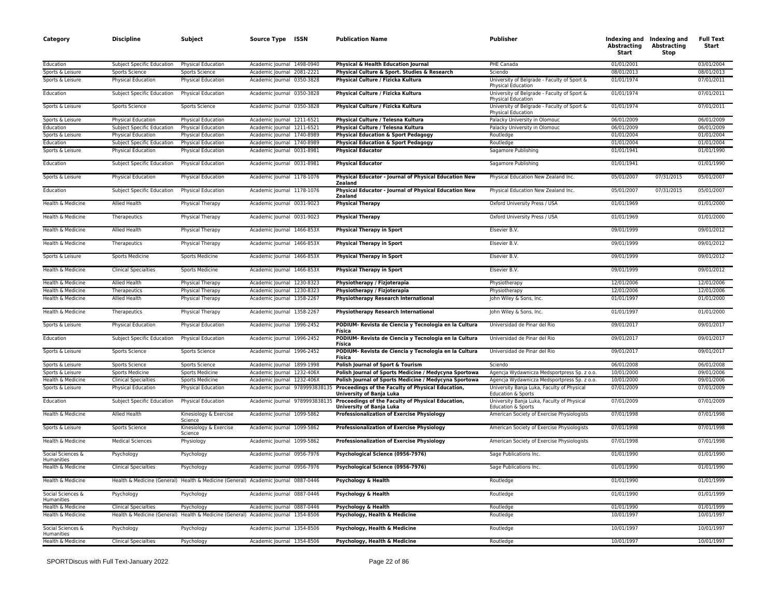| Category                               | <b>Discipline</b>                                   | Subject                                                                            | Source Type ISSN                                         |                                | <b>Publication Name</b>                                                                                                  | <b>Publisher</b>                                                         | Abstracting<br>Start     | Indexing and Indexing and<br><b>Abstracting</b><br>Stop | <b>Full Text</b><br>Start |
|----------------------------------------|-----------------------------------------------------|------------------------------------------------------------------------------------|----------------------------------------------------------|--------------------------------|--------------------------------------------------------------------------------------------------------------------------|--------------------------------------------------------------------------|--------------------------|---------------------------------------------------------|---------------------------|
| Education                              | Subject Specific Education                          | Physical Education                                                                 | Academic Journal 1498-0940                               |                                | Physical & Health Education Journal                                                                                      | PHE Canada                                                               | 01/01/2001               |                                                         | 03/01/2004                |
| Sports & Leisure                       | <b>Sports Science</b>                               | <b>Sports Science</b>                                                              | Academic Journal 2081-2221                               |                                | Physical Culture & Sport. Studies & Research                                                                             | Sciendo                                                                  | 08/01/2013               |                                                         | 08/01/2013                |
| Sports & Leisure                       | Physical Education                                  | Physical Education                                                                 | Academic Journal 0350-3828                               |                                | Physical Culture / Fizicka Kultura                                                                                       | University of Belgrade - Faculty of Sport &<br>Physical Education        | 01/01/1974               |                                                         | 07/01/2011                |
| Education                              | <b>Subject Specific Education</b>                   | <b>Physical Education</b>                                                          | Academic Journal 0350-3828                               |                                | Physical Culture / Fizicka Kultura                                                                                       | University of Belgrade - Faculty of Sport &<br><b>Physical Education</b> | 01/01/1974               |                                                         | 07/01/2011                |
| Sports & Leisure                       | Sports Science                                      | Sports Science                                                                     | Academic Journal 0350-3828                               |                                | Physical Culture / Fizicka Kultura                                                                                       | University of Belgrade - Faculty of Sport &<br>Physical Education        | 01/01/1974               |                                                         | 07/01/2011                |
| Sports & Leisure                       | <b>Physical Education</b>                           | <b>Physical Education</b>                                                          | Academic Journal 1211-6521                               |                                | Physical Culture / Telesna Kultura                                                                                       | Palacky University in Olomouc                                            | 06/01/2009               |                                                         | 06/01/2009                |
| Education                              | Subject Specific Education                          | <b>Physical Education</b>                                                          | Academic Journal 1211-6521                               |                                | Physical Culture / Telesna Kultura                                                                                       | Palacky University in Olomouc                                            | 06/01/2009               |                                                         | 06/01/2009                |
| Sports & Leisure                       | Physical Education                                  | <b>Physical Education</b>                                                          | Academic Journal 1740-8989                               |                                | <b>Physical Education &amp; Sport Pedagogy</b>                                                                           | Routledge                                                                | 01/01/2004               |                                                         | 01/01/2004                |
| Education                              | Subject Specific Education                          | <b>Physical Education</b>                                                          | Academic Journal 1740-8989                               |                                | <b>Physical Education &amp; Sport Pedagogy</b>                                                                           | Routledge                                                                | 01/01/2004               |                                                         | 01/01/2004                |
| Sports & Leisure                       | Physical Education                                  | <b>Physical Education</b>                                                          | Academic Journal 0031-8981                               |                                | <b>Physical Educator</b>                                                                                                 | Sagamore Publishing                                                      | 01/01/1941               |                                                         | 01/01/1990                |
| Education                              | <b>Subject Specific Education</b>                   | <b>Physical Education</b>                                                          | Academic Journal 0031-8981                               |                                | <b>Physical Educator</b>                                                                                                 | Sagamore Publishing                                                      | 01/01/1941               |                                                         | 01/01/1990                |
| Sports & Leisure                       | Physical Education                                  | Physical Education                                                                 | Academic Journal 1178-1076                               |                                | Physical Educator - Journal of Physical Education New<br>Zealand                                                         | Physical Education New Zealand Inc.                                      | 05/01/2007               | 07/31/2015                                              | 05/01/2007                |
| Education                              | Subject Specific Education                          | Physical Education                                                                 | Academic Journal 1178-1076                               |                                | Physical Educator - Journal of Physical Education New<br><b>Zealand</b>                                                  | Physical Education New Zealand Inc.                                      | 05/01/2007               | 07/31/2015                                              | 05/01/2007                |
| Health & Medicine                      | Allied Health                                       | Physical Therapy                                                                   | Academic Journal 0031-9023                               |                                | <b>Physical Therapy</b>                                                                                                  | Oxford University Press / USA                                            | 01/01/1969               |                                                         | 01/01/2000                |
| Health & Medicine                      | Therapeutics                                        | Physical Therapy                                                                   | Academic Journal 0031-9023                               |                                | <b>Physical Therapy</b>                                                                                                  | Oxford University Press / USA                                            | 01/01/1969               |                                                         | 01/01/2000                |
| Health & Medicine                      | Allied Health                                       | Physical Therapy                                                                   | Academic Journal 1466-853X                               |                                | <b>Physical Therapy in Sport</b>                                                                                         | Elsevier B.V.                                                            | 09/01/1999               |                                                         | 09/01/2012                |
| Health & Medicine                      | Therapeutics                                        | Physical Therapy                                                                   | Academic Journal 1466-853X                               |                                | <b>Physical Therapy in Sport</b>                                                                                         | Elsevier B.V.                                                            | 09/01/1999               |                                                         | 09/01/2012                |
| Sports & Leisure                       | <b>Sports Medicine</b>                              | <b>Sports Medicine</b>                                                             | Academic Journal 1466-853X                               |                                | <b>Physical Therapy in Sport</b>                                                                                         | Elsevier B.V.                                                            | 09/01/1999               |                                                         | 09/01/2012                |
| Health & Medicine                      | <b>Clinical Specialties</b>                         | <b>Sports Medicine</b>                                                             | Academic Journal 1466-853X                               |                                | <b>Physical Therapy in Sport</b>                                                                                         | Elsevier B.V.                                                            | 09/01/1999               |                                                         | 09/01/2012                |
| Health & Medicine                      | <b>Allied Health</b>                                | Physical Therapy                                                                   | Academic Journal 1230-8323                               |                                | Physiotherapy / Fizjoterapia                                                                                             | Physiotherapy                                                            | 12/01/2006               |                                                         | 12/01/2006                |
| Health & Medicine                      | Therapeutics                                        | Physical Therapy                                                                   | Academic Journal 1230-8323                               |                                | Physiotherapy / Fizjoterapia                                                                                             | Physiotherapy                                                            | 12/01/2006               |                                                         | 12/01/2006                |
| Health & Medicine<br>Health & Medicine | Allied Health                                       | Physical Therapy                                                                   | Academic Journal 1358-2267<br>Academic Journal 1358-2267 |                                | <b>Physiotherapy Research International</b>                                                                              | John Wiley & Sons, Inc.<br>John Wiley & Sons, Inc.                       | 01/01/1997<br>01/01/1997 |                                                         | 01/01/2000<br>01/01/2000  |
| Sports & Leisure                       | Therapeutics                                        | Physical Therapy                                                                   | Academic Journal 1996-2452                               |                                | <b>Physiotherapy Research International</b><br>PODIUM-Revista de Ciencia y Tecnologia en la Cultura                      | Universidad de Pinar del Rio                                             | 09/01/2017               |                                                         | 09/01/2017                |
|                                        | Physical Education                                  | Physical Education                                                                 |                                                          |                                | Física                                                                                                                   |                                                                          |                          |                                                         |                           |
| Education<br>Sports & Leisure          | Subject Specific Education<br><b>Sports Science</b> | Physical Education                                                                 | Academic Journal 1996-2452<br>Academic Journal 1996-2452 |                                | PODIUM- Revista de Ciencia y Tecnologia en la Cultura<br>Física<br>PODIUM- Revista de Ciencia y Tecnologia en la Cultura | Universidad de Pinar del Rio<br>Universidad de Pinar del Rio             | 09/01/2017<br>09/01/2017 |                                                         | 09/01/2017<br>09/01/2017  |
| Sports & Leisure                       | <b>Sports Science</b>                               | <b>Sports Science</b><br><b>Sports Science</b>                                     | Academic Journal 1899-1998                               |                                | Física<br>Polish Journal of Sport & Tourism                                                                              | Sciendo                                                                  | 06/01/2008               |                                                         | 06/01/2008                |
| Sports & Leisure                       | <b>Sports Medicine</b>                              | Sports Medicine                                                                    | Academic Journal 1232-406X                               |                                | Polish Journal of Sports Medicine / Medycyna Sportowa                                                                    | Agencja Wydawnicza Medsportpress Sp. z o.o.                              | 10/01/2000               |                                                         | 09/01/2006                |
| Health & Medicine                      | <b>Clinical Specialties</b>                         | Sports Medicine                                                                    | Academic Journal 1232-406X                               |                                | Polish Journal of Sports Medicine / Medycyna Sportowa                                                                    | Agencja Wydawnicza Medsportpress Sp. z o.o.                              | 10/01/2000               |                                                         | 09/01/2006                |
| Sports & Leisure                       | <b>Physical Education</b>                           | Physical Education                                                                 |                                                          | Academic Journal 9789993838135 | Proceedings of the Faculty of Physical Education,<br>University of Banja Luka                                            | University Banja Luka, Faculty of Physical<br>Education & Sports         | 07/01/2009               |                                                         | 07/01/2009                |
| Education                              | <b>Subject Specific Education</b>                   | <b>Physical Education</b>                                                          |                                                          | Academic Journal 9789993838135 | Proceedings of the Faculty of Physical Education,<br>University of Banja Luka                                            | University Banja Luka, Faculty of Physical<br>Education & Sports         | 07/01/2009               |                                                         | 07/01/2009                |
| Health & Medicine                      | Allied Health                                       | Kinesiology & Exercise<br>Science                                                  | Academic Journal 1099-5862                               |                                | <b>Professionalization of Exercise Physiology</b>                                                                        | American Society of Exercise Physiologists                               | 07/01/1998               |                                                         | 07/01/1998                |
| Sports & Leisure                       | Sports Science                                      | Kinesiology & Exercise<br>Science                                                  | Academic Journal 1099-5862                               |                                | <b>Professionalization of Exercise Physiology</b>                                                                        | American Society of Exercise Physiologists                               | 07/01/1998               |                                                         | 07/01/1998                |
| Health & Medicine                      | <b>Medical Sciences</b>                             | Physiology                                                                         | Academic Journal 1099-5862                               |                                | <b>Professionalization of Exercise Physiology</b>                                                                        | American Society of Exercise Physiologists                               | 07/01/1998               |                                                         | 07/01/1998                |
| Social Sciences &<br>Humanities        | Psychology                                          | Psychology                                                                         | Academic Journal 0956-7976                               |                                | Psychological Science (0956-7976)                                                                                        | Sage Publications Inc.                                                   | 01/01/1990               |                                                         | 01/01/1990                |
| Health & Medicine                      | <b>Clinical Specialties</b>                         | Psychology                                                                         | Academic Journal 0956-7976                               |                                | Psychological Science (0956-7976)                                                                                        | Sage Publications Inc.                                                   | 01/01/1990               |                                                         | 01/01/1990                |
| Health & Medicine                      |                                                     | Health & Medicine (General) Health & Medicine (General) Academic Journal 0887-0446 |                                                          |                                | Psychology & Health                                                                                                      | Routledge                                                                | 01/01/1990               |                                                         | 01/01/1999                |
| Social Sciences &<br>Humanities        | Psychology                                          | Psychology                                                                         | Academic Journal 0887-0446                               |                                | Psychology & Health                                                                                                      | Routledge                                                                | 01/01/1990               |                                                         | 01/01/1999                |
| Health & Medicine                      | <b>Clinical Specialties</b>                         | Psychology                                                                         | Academic Journal 0887-0446                               |                                | Psychology & Health                                                                                                      | Routledge                                                                | 01/01/1990               |                                                         | 01/01/1999                |
| Health & Medicine                      |                                                     | Health & Medicine (General) Health & Medicine (General) Academic Journal 1354-8506 |                                                          |                                | Psychology, Health & Medicine                                                                                            | Routledge                                                                | 10/01/1997               |                                                         | 10/01/1997                |
| Social Sciences &<br>Humanities        | Psychology                                          | Psychology                                                                         | Academic Journal 1354-8506                               |                                | Psychology, Health & Medicine                                                                                            | Routledge                                                                | 10/01/1997               |                                                         | 10/01/1997                |
| Health & Medicine                      | <b>Clinical Specialties</b>                         | Psychology                                                                         | Academic Journal 1354-8506                               |                                | Psychology, Health & Medicine                                                                                            | Routledge                                                                | 10/01/1997               |                                                         | 10/01/1997                |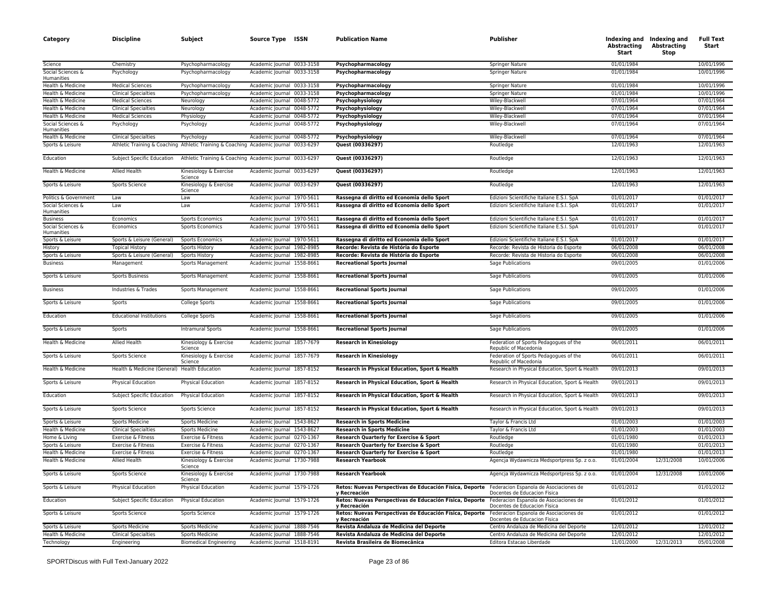| Category                        | <b>Discipline</b>                            | Subject                                                                              | Source Type ISSN           | <b>Publication Name</b>                                                                                        | Publisher                                                              | Abstracting<br>Start | Indexing and Indexing and<br><b>Abstracting</b><br>Stop | <b>Full Text</b><br>Start |
|---------------------------------|----------------------------------------------|--------------------------------------------------------------------------------------|----------------------------|----------------------------------------------------------------------------------------------------------------|------------------------------------------------------------------------|----------------------|---------------------------------------------------------|---------------------------|
| Science                         | Chemistry                                    | Psychopharmacology                                                                   | Academic Journal 0033-3158 | Psychopharmacology                                                                                             | Springer Nature                                                        | 01/01/1984           |                                                         | 10/01/1996                |
| Social Sciences &<br>Humanities | Psychology                                   | Psychopharmacology                                                                   | Academic Journal 0033-3158 | Psychopharmacology                                                                                             | <b>Springer Nature</b>                                                 | 01/01/1984           |                                                         | 10/01/1996                |
| Health & Medicine               | <b>Medical Sciences</b>                      | Psychopharmacology                                                                   | Academic Journal 0033-3158 | Psychopharmacology                                                                                             | Springer Nature                                                        | 01/01/1984           |                                                         | 10/01/1996                |
| Health & Medicine               | <b>Clinical Specialties</b>                  | Psychopharmacology                                                                   | Academic Journal 0033-3158 | Psychopharmacology                                                                                             | <b>Springer Nature</b>                                                 | 01/01/1984           |                                                         | 10/01/1996                |
| Health & Medicine               | <b>Medical Sciences</b>                      | Neurology                                                                            | Academic Journal 0048-5772 | Psychophysiology                                                                                               | Wiley-Blackwell                                                        | 07/01/1964           |                                                         | 07/01/1964                |
| Health & Medicine               | <b>Clinical Specialties</b>                  | Neurology                                                                            | Academic Journal 0048-5772 | Psychophysiology                                                                                               | Wiley-Blackwell                                                        | 07/01/1964           |                                                         | 07/01/1964                |
| Health & Medicine               | <b>Medical Sciences</b>                      | Physiology                                                                           | Academic Journal 0048-5772 | Psychophysiology                                                                                               | Wiley-Blackwell                                                        | 07/01/1964           |                                                         | 07/01/1964                |
| Social Sciences &<br>Humanities | Psychology                                   | Psychology                                                                           | Academic Journal 0048-5772 | Psychophysiology                                                                                               | Wiley-Blackwell                                                        | 07/01/1964           |                                                         | 07/01/1964                |
| Health & Medicine               | <b>Clinical Specialties</b>                  | Psychology                                                                           | Academic Journal 0048-5772 | Psychophysiology                                                                                               | Wiley-Blackwell                                                        | 07/01/1964           |                                                         | 07/01/1964                |
| Sports & Leisure                |                                              | Athletic Training & Coaching Athletic Training & Coaching Academic Journal 0033-6297 |                            | Quest (00336297)                                                                                               | Routledge                                                              | 12/01/1963           |                                                         | 12/01/1963                |
| Education                       | Subject Specific Education                   | Athletic Training & Coaching Academic Journal 0033-6297                              |                            | Quest (00336297)                                                                                               | Routledge                                                              | 12/01/1963           |                                                         | 12/01/1963                |
| Health & Medicine               | Allied Health                                | Kinesiology & Exercise<br>Science                                                    | Academic Journal 0033-6297 | Quest (00336297)                                                                                               | Routledge                                                              | 12/01/1963           |                                                         | 12/01/1963                |
| Sports & Leisure                | Sports Science                               | Kinesiology & Exercise<br>Science                                                    | Academic Journal 0033-6297 | Quest (00336297)                                                                                               | Routledge                                                              | 12/01/1963           |                                                         | 12/01/1963                |
| Politics & Government           | Law                                          | Law                                                                                  | Academic Journal 1970-5611 | Rassegna di diritto ed Economia dello Sport                                                                    | Edizioni Scientifiche Italiane E.S.I. SpA                              | 01/01/2017           |                                                         | 01/01/2017                |
| Social Sciences &<br>Humanities | Law                                          | Law                                                                                  | Academic Journal 1970-5611 | Rassegna di diritto ed Economia dello Sport                                                                    | Edizioni Scientifiche Italiane E.S.I. SpA                              | 01/01/2017           |                                                         | 01/01/2017                |
| <b>Business</b>                 | Economics                                    | Sports Economics                                                                     | Academic Journal 1970-5611 | Rassegna di diritto ed Economia dello Sport                                                                    | Edizioni Scientifiche Italiane E.S.I. SpA                              | 01/01/2017           |                                                         | 01/01/2017                |
| Social Sciences &<br>Humanities | Economics                                    | <b>Sports Economics</b>                                                              | Academic Journal 1970-5611 | Rassegna di diritto ed Economia dello Sport                                                                    | Edizioni Scientifiche Italiane E.S.I. SpA                              | 01/01/2017           |                                                         | 01/01/2017                |
| Sports & Leisure                | Sports & Leisure (General)                   | <b>Sports Economics</b>                                                              | Academic Journal 1970-5611 | Rassegna di diritto ed Economia dello Sport                                                                    | Edizioni Scientifiche Italiane E.S.I. SpA                              | 01/01/2017           |                                                         | 01/01/2017                |
| <b>History</b>                  | <b>Topical History</b>                       | Sports History                                                                       | Academic Journal 1982-8985 | Recorde: Revista de História do Esporte                                                                        | Recorde: Revista de Historia do Esporte                                | 06/01/2008           |                                                         | 06/01/2008                |
| Sports & Leisure                | Sports & Leisure (General)                   | Sports History                                                                       | Academic Journal 1982-8985 | Recorde: Revista de História do Esporte                                                                        | Recorde: Revista de Historia do Esporte                                | 06/01/2008           |                                                         | 06/01/2008                |
| <b>Business</b>                 | Management                                   | Sports Management                                                                    | Academic Journal 1558-8661 | <b>Recreational Sports Journal</b>                                                                             | Sage Publications                                                      | 09/01/2005           |                                                         | 01/01/2006                |
| Sports & Leisure                | <b>Sports Business</b>                       | Sports Management                                                                    | Academic Journal 1558-8661 | <b>Recreational Sports Journal</b>                                                                             | Sage Publications                                                      | 09/01/2005           |                                                         | 01/01/2006                |
| <b>Business</b>                 | Industries & Trades                          | Sports Management                                                                    | Academic Journal 1558-8661 | <b>Recreational Sports Journal</b>                                                                             | Sage Publications                                                      | 09/01/2005           |                                                         | 01/01/2006                |
| Sports & Leisure                | Sports                                       | College Sports                                                                       | Academic Journal 1558-8661 | <b>Recreational Sports Journal</b>                                                                             | Sage Publications                                                      | 09/01/2005           |                                                         | 01/01/2006                |
| Education                       | <b>Educational Institutions</b>              | College Sports                                                                       | Academic Journal 1558-8661 | <b>Recreational Sports Journal</b>                                                                             | <b>Sage Publications</b>                                               | 09/01/2005           |                                                         | 01/01/2006                |
| Sports & Leisure                | Sports                                       | <b>Intramural Sports</b>                                                             | Academic Journal 1558-8661 | <b>Recreational Sports Journal</b>                                                                             | Sage Publications                                                      | 09/01/2005           |                                                         | 01/01/2006                |
| Health & Medicine               | Allied Health                                | Kinesiology & Exercise<br>Science                                                    | Academic Journal 1857-7679 | <b>Research in Kinesiology</b>                                                                                 | Federation of Sports Pedagogues of the<br>Republic of Macedonia        | 06/01/2011           |                                                         | 06/01/2011                |
| Sports & Leisure                | Sports Science                               | Kinesiology & Exercise<br>Science                                                    | Academic Journal 1857-7679 | <b>Research in Kinesiology</b>                                                                                 | Federation of Sports Pedagogues of the<br>Republic of Macedonia        | 06/01/2011           |                                                         | 06/01/2011                |
| Health & Medicine               | Health & Medicine (General) Health Education |                                                                                      | Academic Journal 1857-8152 | Research in Physical Education, Sport & Health                                                                 | Research in Physical Education, Sport & Health                         | 09/01/2013           |                                                         | 09/01/2013                |
| Sports & Leisure                | <b>Physical Education</b>                    | Physical Education                                                                   | Academic Journal 1857-8152 | Research in Physical Education, Sport & Health                                                                 | Research in Physical Education, Sport & Health                         | 09/01/2013           |                                                         | 09/01/2013                |
| Education                       | Subject Specific Education                   | Physical Education                                                                   | Academic Journal 1857-8152 | Research in Physical Education, Sport & Health                                                                 | Research in Physical Education, Sport & Health                         | 09/01/2013           |                                                         | 09/01/2013                |
| Sports & Leisure                | Sports Science                               | Sports Science                                                                       | Academic Journal 1857-8152 | Research in Physical Education, Sport & Health                                                                 | Research in Physical Education, Sport & Health                         | 09/01/2013           |                                                         | 09/01/2013                |
| Sports & Leisure                | <b>Sports Medicine</b>                       | <b>Sports Medicine</b>                                                               | Academic Journal 1543-8627 | <b>Research in Sports Medicine</b>                                                                             | Taylor & Francis Ltd                                                   | 01/01/2003           |                                                         | 01/01/2003                |
| Health & Medicine               | <b>Clinical Specialties</b>                  | Sports Medicine                                                                      | Academic Journal 1543-8627 | <b>Research in Sports Medicine</b>                                                                             | Taylor & Francis Ltd                                                   | 01/01/2003           |                                                         | 01/01/2003                |
| Home & Living                   | Exercise & Fitness                           | Exercise & Fitness                                                                   | Academic Journal 0270-1367 | Research Quarterly for Exercise & Sport                                                                        | Routledge                                                              | 01/01/1980           |                                                         | 01/01/2013                |
| Sports & Leisure                | Exercise & Fitness                           | Exercise & Fitness                                                                   | Academic Journal 0270-1367 | Research Quarterly for Exercise & Sport                                                                        | Routledge                                                              | 01/01/1980           |                                                         | 01/01/2013                |
| Health & Medicine               | Exercise & Fitness                           | Exercise & Fitness                                                                   | Academic Journal 0270-1367 | Research Quarterly for Exercise & Sport                                                                        | Routledge                                                              | 01/01/1980           |                                                         | 01/01/2013                |
| Health & Medicine               | Allied Health                                | Kinesiology & Exercise<br>Science                                                    | Academic Journal 1730-7988 | <b>Research Yearbook</b>                                                                                       | Agencja Wydawnicza Medsportpress Sp. z o.o.                            | 01/01/2004           | 12/31/2008                                              | 10/01/2006                |
| Sports & Leisure                | Sports Science                               | Kinesiology & Exercise<br>Science                                                    | Academic Journal 1730-7988 | <b>Research Yearbook</b>                                                                                       | Agencja Wydawnicza Medsportpress Sp. z o.o.                            | 01/01/2004           | 12/31/2008                                              | 10/01/2006                |
| Sports & Leisure                | Physical Education                           | Physical Education                                                                   | Academic Journal 1579-1726 | Retos: Nuevas Perspectivas de Educación Física, Deporte Federacion Espanola de Asociaciones de<br>v Recreación | Docentes de Educacion Fisica                                           | 01/01/2012           |                                                         | 01/01/2012                |
| Education                       | Subject Specific Education                   | Physical Education                                                                   | Academic Journal 1579-1726 | Retos: Nuevas Perspectivas de Educación Física, Deporte<br>v Recreación                                        | Federacion Espanola de Asociaciones de<br>Docentes de Educacion Fisica | 01/01/2012           |                                                         | 01/01/2012                |
| Sports & Leisure                | Sports Science                               | Sports Science                                                                       | Academic Journal 1579-1726 | Retos: Nuevas Perspectivas de Educación Física, Deporte<br>v Recreación                                        | Federacion Espanola de Asociaciones de<br>Docentes de Educacion Fisica | 01/01/2012           |                                                         | 01/01/2012                |
| Sports & Leisure                | <b>Sports Medicine</b>                       | <b>Sports Medicine</b>                                                               | Academic Journal 1888-7546 | Revista Andaluza de Medicina del Deporte                                                                       | Centro Andaluza de Medicina del Deporte                                | 12/01/2012           |                                                         | 12/01/2012                |
| Health & Medicine               | <b>Clinical Specialties</b>                  | Sports Medicine                                                                      | Academic Journal 1888-7546 | Revista Andaluza de Medicina del Deporte                                                                       | Centro Andaluza de Medicina del Deporte                                | 12/01/2012           |                                                         | 12/01/2012                |
| Technology                      | Engineering                                  | <b>Biomedical Engineering</b>                                                        | Academic Journal 1518-8191 | Revista Brasileira de Biomecânica                                                                              | Editora Estacao Liberdade                                              | 11/01/2000           | 12/31/2013                                              | 05/01/2008                |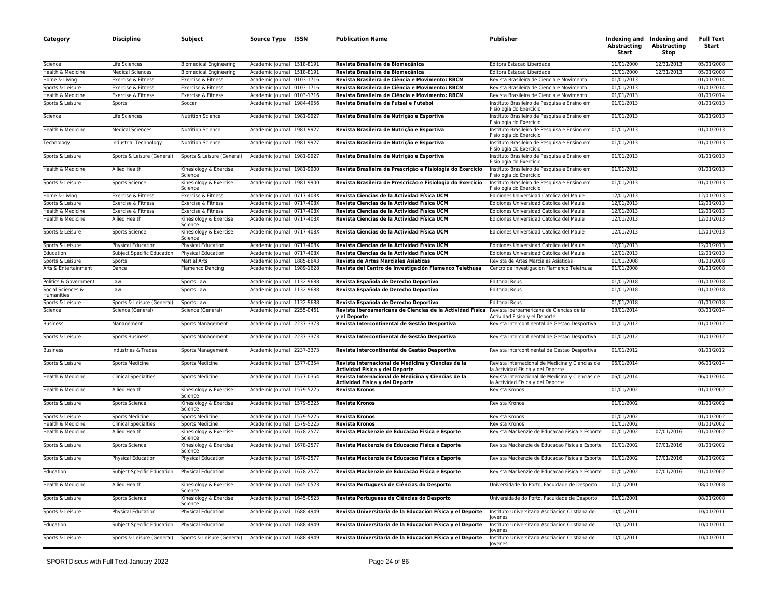| Category                        | <b>Discipline</b>                 | Subject                                               | Source Type ISSN           | <b>Publication Name</b>                                                              | <b>Publisher</b>                                                                     | Abstracting<br>Start | Indexing and Indexing and<br><b>Abstracting</b><br><b>Stop</b> | <b>Full Text</b><br>Start |
|---------------------------------|-----------------------------------|-------------------------------------------------------|----------------------------|--------------------------------------------------------------------------------------|--------------------------------------------------------------------------------------|----------------------|----------------------------------------------------------------|---------------------------|
| Science                         | Life Sciences                     | <b>Biomedical Engineering</b>                         | Academic lournal 1518-8191 | Revista Brasileira de Biomecânica                                                    | Editora Estacao Liberdade                                                            | 11/01/2000           | 12/31/2013                                                     | 05/01/2008                |
| Health & Medicine               | <b>Medical Sciences</b>           | <b>Biomedical Engineering</b>                         | Academic Journal 1518-8191 | Revista Brasileira de Biomecânica                                                    | Editora Estacao Liberdade                                                            | 11/01/2000           | 12/31/2013                                                     | 05/01/2008                |
| Home & Living                   | Exercise & Fitness                | Exercise & Fitness                                    | Academic Journal 0103-1716 | Revista Brasileira de Ciência e Movimento: RBCM                                      | Revista Brasileira de Ciencia e Movimento                                            | 01/01/2013           |                                                                | 01/01/2014                |
| Sports & Leisure                | Exercise & Fitness                | Exercise & Fitness                                    | Academic Journal 0103-1716 | Revista Brasileira de Ciência e Movimento: RBCM                                      | Revista Brasileira de Ciencia e Movimento                                            | 01/01/2013           |                                                                | 01/01/2014                |
| Health & Medicine               | Exercise & Fitness                | Exercise & Fitness                                    | Academic Journal 0103-1716 | Revista Brasileira de Ciência e Movimento: RBCM                                      | Revista Brasileira de Ciencia e Movimento                                            | 01/01/2013           |                                                                | 01/01/2014                |
| Sports & Leisure                | Sports                            | Soccer                                                | Academic Journal 1984-4956 | Revista Brasileira de Futsal e Futebol                                               | Instituto Brasileiro de Pesquisa e Ensino em<br>Fisiología do Exercicio              | 01/01/2013           |                                                                | 01/01/2013                |
| Science                         | Life Sciences                     | <b>Nutrition Science</b>                              | Academic Journal 1981-9927 | Revista Brasileira de Nutrição e Esportiva                                           | Instituto Brasileiro de Pesquisa e Ensino em<br>Fisiologia do Exercicio              | 01/01/2013           |                                                                | 01/01/2013                |
| Health & Medicine               | <b>Medical Sciences</b>           | <b>Nutrition Science</b>                              | Academic Journal 1981-9927 | Revista Brasileira de Nutrição e Esportiva                                           | Instituto Brasileiro de Pesquisa e Ensino em<br>Fisiologia do Exercicio              | 01/01/2013           |                                                                | 01/01/2013                |
| Technology                      | Industrial Technology             | <b>Nutrition Science</b>                              | Academic Journal 1981-9927 | Revista Brasileira de Nutrição e Esportiva                                           | Instituto Brasileiro de Pesquisa e Ensino em<br>Fisiologia do Exercicio              | 01/01/2013           |                                                                | 01/01/2013                |
| Sports & Leisure                | Sports & Leisure (General)        | Sports & Leisure (General)                            | Academic Journal 1981-9927 | Revista Brasileira de Nutrição e Esportiva                                           | Instituto Brasileiro de Pesquisa e Ensino em<br>Fisiologia do Exercicio              | 01/01/2013           |                                                                | 01/01/2013                |
| Health & Medicine               | Allied Health                     | Kinesiology & Exercise<br>Science                     | Academic Journal 1981-9900 | Revista Brasileira de Prescrição e Fisiologia do Exercício                           | Instituto Brasileiro de Pesquisa e Ensino em<br>Fisiologia do Exercicio              | 01/01/2013           |                                                                | 01/01/2013                |
| Sports & Leisure                | Sports Science                    | Kinesiology & Exercise<br>Science                     | Academic Journal 1981-9900 | Revista Brasileira de Prescrição e Fisiologia do Exercício                           | Instituto Brasileiro de Pesquisa e Ensino em<br>Fisiologia do Exercicio              | 01/01/2013           |                                                                | 01/01/2013                |
| Home & Living                   | Exercise & Fitness                | Exercise & Fitness                                    | Academic Journal 0717-408X | Revista Ciencias de la Actividad Física UCM                                          | Ediciones Universidad Catolica del Maule                                             | 12/01/2013           |                                                                | 12/01/2013                |
| Sports & Leisure                | Exercise & Fitness                | Exercise & Fitness                                    | Academic Journal 0717-408X | Revista Ciencias de la Actividad Física UCM                                          | Ediciones Universidad Catolica del Maule                                             | 12/01/2013           |                                                                | 12/01/2013                |
| Health & Medicine               | Exercise & Fitness                | Exercise & Fitness                                    | Academic Journal 0717-408X | Revista Ciencias de la Actividad Física UCM                                          | Ediciones Universidad Catolica del Maule                                             | 12/01/2013           |                                                                | 12/01/2013                |
| Health & Medicine               | Allied Health                     | Kinesiology & Exercise<br>Science                     | Academic Journal 0717-408X | Revista Ciencias de la Actividad Física UCM                                          | Ediciones Universidad Catolica del Maule                                             | 12/01/2013           |                                                                | 12/01/2013                |
| Sports & Leisure                | Sports Science                    | Kinesiology & Exercise<br>Science                     | Academic Journal 0717-408X | Revista Ciencias de la Actividad Física UCM                                          | Ediciones Universidad Catolica del Maule                                             | 12/01/2013           |                                                                | 12/01/2013                |
| Sports & Leisure                | Physical Education                | Physical Education                                    | Academic Journal 0717-408X | Revista Ciencias de la Actividad Física UCM                                          | Ediciones Universidad Catolica del Maule                                             | 12/01/2013           |                                                                | 12/01/2013                |
| Education                       | <b>Subject Specific Education</b> | <b>Physical Education</b>                             | Academic Journal 0717-408X | Revista Ciencias de la Actividad Física UCM                                          | Ediciones Universidad Catolica del Maule                                             | 12/01/2013           |                                                                | 12/01/2013                |
| Sports & Leisure                | Sports                            | <b>Martial Arts</b>                                   | Academic Journal 1885-8643 | Revista de Artes Marciales Asiaticas                                                 | Revista de Artes Marciales Asiaticas                                                 | 01/01/2008           |                                                                | 01/01/2008                |
| Arts & Entertainment            | Dance                             | Flamenco Dancing                                      | Academic Journal 1989-1628 | Revista del Centro de Investigación Flamenco Telethusa                               | Centro de Investigacion Flamenco Telethusa                                           | 01/01/2008           |                                                                | 01/01/2008                |
| Politics & Government           | Law                               | Sports Law                                            | Academic Journal 1132-9688 | Revista Española de Derecho Deportivo                                                | <b>Editorial Reus</b>                                                                | 01/01/2018           |                                                                | 01/01/2018                |
| Social Sciences &<br>Humanities | Law                               | Sports Law                                            | Academic Journal 1132-9688 | Revista Española de Derecho Deportivo                                                | <b>Editorial Reus</b>                                                                | 01/01/2018           |                                                                | 01/01/2018                |
| Sports & Leisure                | Sports & Leisure (General)        | Sports Law                                            | Academic Journal 1132-9688 | Revista Española de Derecho Deportivo                                                | <b>Editorial Reus</b>                                                                | 01/01/2018           |                                                                | 01/01/2018                |
| Science                         | Science (General)                 | Science (General)                                     | Academic Journal 2255-0461 | Revista Iberoamericana de Ciencias de la Actividad Física<br>v el Deporte            | Revista Iberoamericana de Ciencias de la<br>Actividad Fisica y el Deporte            | 03/01/2014           |                                                                | 03/01/2014                |
| <b>Business</b>                 | Management                        | Sports Management                                     | Academic Journal 2237-3373 | Revista Intercontinental de Gestão Desportiva                                        | Revista Intercontinental de Gestao Desportiva                                        | 01/01/2012           |                                                                | 01/01/2012                |
| Sports & Leisure                | <b>Sports Business</b>            | Sports Management                                     | Academic Journal 2237-3373 | Revista Intercontinental de Gestão Desportiva                                        | Revista Intercontinental de Gestao Desportiva                                        | 01/01/2012           |                                                                | 01/01/2012                |
| <b>Business</b>                 | Industries & Trades               | Sports Management                                     | Academic Journal 2237-3373 | Revista Intercontinental de Gestão Desportiva                                        | Revista Intercontinental de Gestao Desportiva                                        | 01/01/2012           |                                                                | 01/01/2012                |
| Sports & Leisure                | <b>Sports Medicine</b>            | <b>Sports Medicine</b>                                | Academic Journal 1577-0354 | Revista Internacional de Medicina y Ciencias de la<br>Actividad Física y del Deporte | Revista Internacional de Medicina y Ciencias de<br>la Actividad Fisica y del Deporte | 06/01/2014           |                                                                | 06/01/2014                |
| Health & Medicine               | <b>Clinical Specialties</b>       | <b>Sports Medicine</b>                                | Academic Journal 1577-0354 | Revista Internacional de Medicina y Ciencias de la<br>Actividad Física y del Deporte | Revista Internacional de Medicina y Ciencias de<br>la Actividad Fisica y del Deporte | 06/01/2014           |                                                                | 06/01/2014                |
| Health & Medicine               | Allied Health                     | Kinesiology & Exercise<br>Science                     | Academic Journal 1579-5225 | Revista Kronos                                                                       | Revista Kronos                                                                       | 01/01/2002           |                                                                | 01/01/2002                |
| Sports & Leisure                | Sports Science                    | Kinesiology & Exercise<br>Science                     | Academic Journal 1579-5225 | <b>Revista Kronos</b>                                                                | Revista Kronos                                                                       | 01/01/2002           |                                                                | 01/01/2002                |
| Sports & Leisure                | <b>Sports Medicine</b>            | <b>Sports Medicine</b>                                | Academic Journal 1579-5225 | <b>Revista Kronos</b>                                                                | Revista Kronos                                                                       | 01/01/2002           |                                                                | 01/01/2002                |
| Health & Medicine               | <b>Clinical Specialties</b>       | Sports Medicine                                       | Academic Journal 1579-5225 | Revista Kronos                                                                       | Revista Kronos                                                                       | 01/01/2002           |                                                                | 01/01/2002                |
| Health & Medicine               | Allied Health                     | Kinesiology & Exercise<br>Science                     | Academic Journal 1678-2577 | Revista Mackenzie de Educacao Fisica e Esporte                                       | Revista Mackenzie de Educacao Fisica e Esporte                                       | 01/01/2002           | 07/01/2016                                                     | 01/01/2002                |
| Sports & Leisure                | Sports Science                    | Kinesiology & Exercise<br>Science                     | Academic Journal 1678-2577 | Revista Mackenzie de Educacao Fisica e Esporte                                       | Revista Mackenzie de Educacao Fisica e Esporte                                       | 01/01/2002           | 07/01/2016                                                     | 01/01/2002                |
| Sports & Leisure                | Physical Education                | Physical Education                                    | Academic Journal 1678-2577 | Revista Mackenzie de Educacao Fisica e Esporte                                       | Revista Mackenzie de Educacao Fisica e Esporte                                       | 01/01/2002           | 07/01/2016                                                     | 01/01/2002                |
| Education                       | Subject Specific Education        | Physical Education                                    | Academic Journal 1678-2577 | Revista Mackenzie de Educacao Fisica e Esporte                                       | Revista Mackenzie de Educacao Fisica e Esporte                                       | 01/01/2002           | 07/01/2016                                                     | 01/01/2002                |
| Health & Medicine               | Allied Health                     | Kinesiology & Exercise<br>Science                     | Academic Journal 1645-0523 | Revista Portuguesa de Ciências do Desporto                                           | Universidade do Porto, Faculdade de Desporto                                         | 01/01/2001           |                                                                | 08/01/2008                |
| Sports & Leisure                | Sports Science                    | Kinesiology & Exercise<br>Science                     | Academic Journal 1645-0523 | Revista Portuguesa de Ciências do Desporto                                           | Universidade do Porto, Faculdade de Desporto                                         | 01/01/2001           |                                                                | 08/01/2008                |
| Sports & Leisure                | Physical Education                | Physical Education                                    | Academic Journal 1688-4949 | Revista Universitaria de la Educación Física y el Deporte                            | Instituto Universitaria Asociacion Cristiana de<br>lovenes                           | 10/01/2011           |                                                                | 10/01/2011                |
| Education                       | Subject Specific Education        | <b>Physical Education</b>                             | Academic Journal 1688-4949 | Revista Universitaria de la Educación Física y el Deporte                            | Instituto Universitaria Asociacion Cristiana de<br>Jovenes                           | 10/01/2011           |                                                                | 10/01/2011                |
| Sports & Leisure                |                                   | Sports & Leisure (General) Sports & Leisure (General) | Academic Journal 1688-4949 | Revista Universitaria de la Educación Física y el Deporte                            | Instituto Universitaria Asociacion Cristiana de<br>lovenes                           | 10/01/2011           |                                                                | 10/01/2011                |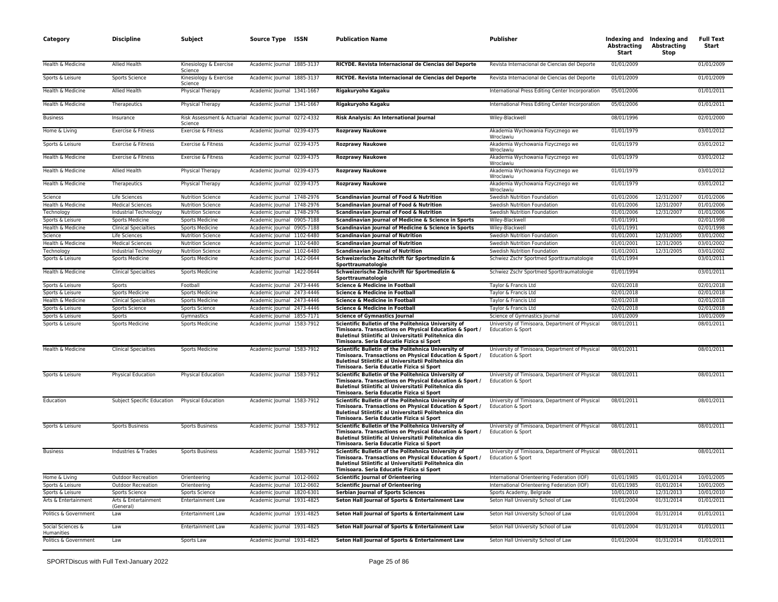| Category                        | <b>Discipline</b>                             | Subject                                                           | Source Type ISSN           | <b>Publication Name</b>                                                                                                                                                                                                      | <b>Publisher</b>                                                     | Abstracting<br>Start | Indexing and Indexing and<br><b>Abstracting</b><br>Stop | <b>Full Text</b><br>Start |
|---------------------------------|-----------------------------------------------|-------------------------------------------------------------------|----------------------------|------------------------------------------------------------------------------------------------------------------------------------------------------------------------------------------------------------------------------|----------------------------------------------------------------------|----------------------|---------------------------------------------------------|---------------------------|
| Health & Medicine               | Allied Health                                 | Kinesiology & Exercise<br>Science                                 | Academic Journal 1885-3137 | RICYDE. Revista Internacional de Ciencias del Deporte                                                                                                                                                                        | Revista Internacional de Ciencias del Deporte                        | 01/01/2009           |                                                         | 01/01/2009                |
| Sports & Leisure                | Sports Science                                | Kinesiology & Exercise<br>Science                                 | Academic Journal 1885-3137 | RICYDE. Revista Internacional de Ciencias del Deporte                                                                                                                                                                        | Revista Internacional de Ciencias del Deporte                        | 01/01/2009           |                                                         | 01/01/2009                |
| Health & Medicine               | Allied Health                                 | Physical Therapy                                                  | Academic Journal 1341-1667 | Rigakuryoho Kagaku                                                                                                                                                                                                           | International Press Editing Center Incorporation                     | 05/01/2006           |                                                         | 01/01/2011                |
| Health & Medicine               | Therapeutics                                  | Physical Therapy                                                  | Academic Journal 1341-1667 | Rigakuryoho Kagaku                                                                                                                                                                                                           | International Press Editing Center Incorporation                     | 05/01/2006           |                                                         | 01/01/2011                |
| <b>Business</b>                 | Insurance                                     | Risk Assessment & Actuarial Academic Journal 0272-4332<br>Science |                            | Risk Analysis: An International Journal                                                                                                                                                                                      | Wiley-Blackwell                                                      | 08/01/1996           |                                                         | 02/01/2000                |
| Home & Living                   | Exercise & Fitness                            | Exercise & Fitness                                                | Academic Journal 0239-4375 | <b>Rozprawy Naukowe</b>                                                                                                                                                                                                      | Akademia Wychowania Fizycznego we<br>Wroclawiu                       | 01/01/1979           |                                                         | 03/01/2012                |
| Sports & Leisure                | Exercise & Fitness                            | Exercise & Fitness                                                | Academic Journal 0239-4375 | <b>Rozprawy Naukowe</b>                                                                                                                                                                                                      | Akademia Wychowania Fizycznego we<br>Wroclawiu                       | 01/01/1979           |                                                         | 03/01/2012                |
| Health & Medicine               | Exercise & Fitness                            | Exercise & Fitness                                                | Academic Journal 0239-4375 | <b>Rozprawy Naukowe</b>                                                                                                                                                                                                      | Akademia Wychowania Fizycznego we<br>Wroclawiu                       | 01/01/1979           |                                                         | 03/01/2012                |
| Health & Medicine               | <b>Allied Health</b>                          | Physical Therapy                                                  | Academic Journal 0239-4375 | <b>Rozprawy Naukowe</b>                                                                                                                                                                                                      | Akademia Wychowania Fizycznego we<br>Wroclawiu                       | 01/01/1979           |                                                         | 03/01/2012                |
| Health & Medicine               | Therapeutics                                  | Physical Therapy                                                  | Academic Journal 0239-4375 | <b>Rozprawy Naukowe</b>                                                                                                                                                                                                      | Akademia Wychowania Fizycznego we<br>Wroclawiu                       | 01/01/1979           |                                                         | 03/01/2012                |
| Science                         | Life Sciences                                 | <b>Nutrition Science</b>                                          | Academic Journal 1748-2976 | Scandinavian Journal of Food & Nutrition                                                                                                                                                                                     | Swedish Nutrition Foundation                                         | 01/01/2006           | 12/31/2007                                              | 01/01/2006                |
| Health & Medicine               | <b>Medical Sciences</b>                       | <b>Nutrition Science</b>                                          | Academic Journal 1748-2976 | Scandinavian Journal of Food & Nutrition                                                                                                                                                                                     | Swedish Nutrition Foundation                                         | 01/01/2006           | 12/31/2007                                              | 01/01/2006                |
| Technology                      | Industrial Technology                         | <b>Nutrition Science</b>                                          | Academic Journal 1748-2976 | Scandinavian Journal of Food & Nutrition                                                                                                                                                                                     | Swedish Nutrition Foundation                                         | 01/01/2006           | 12/31/2007                                              | 01/01/2006                |
| Sports & Leisure                | <b>Sports Medicine</b>                        | <b>Sports Medicine</b>                                            | Academic Journal 0905-7188 | Scandinavian Journal of Medicine & Science in Sports                                                                                                                                                                         | Wiley-Blackwell                                                      | 01/01/1991           |                                                         | 02/01/1998                |
|                                 |                                               |                                                                   |                            |                                                                                                                                                                                                                              |                                                                      |                      |                                                         |                           |
| Health & Medicine               | <b>Clinical Specialties</b>                   | Sports Medicine                                                   | Academic Journal 0905-7188 | Scandinavian Journal of Medicine & Science in Sports                                                                                                                                                                         | Wiley-Blackwell                                                      | 01/01/1991           |                                                         | 02/01/1998                |
| Science                         | Life Sciences                                 | <b>Nutrition Science</b>                                          | Academic Journal 1102-6480 | <b>Scandinavian Journal of Nutrition</b>                                                                                                                                                                                     | Swedish Nutrition Foundation                                         | 01/01/2001           | 12/31/2005                                              | 03/01/2002                |
| Health & Medicine               | <b>Medical Sciences</b>                       | <b>Nutrition Science</b>                                          | Academic Journal 1102-6480 | <b>Scandinavian Journal of Nutrition</b>                                                                                                                                                                                     | Swedish Nutrition Foundation                                         | 01/01/2001           | 12/31/2005                                              | 03/01/2002                |
| Technology                      | <b>Industrial Technology</b>                  | <b>Nutrition Science</b>                                          | Academic Journal 1102-6480 | <b>Scandinavian Journal of Nutrition</b>                                                                                                                                                                                     | Swedish Nutrition Foundation                                         | 01/01/2001           | 12/31/2005                                              | 03/01/2002                |
| Sports & Leisure                | <b>Sports Medicine</b>                        | Sports Medicine                                                   | Academic Journal 1422-0644 | Schweizerische Zeitschrift für Sportmedizin &<br>Sporttraumatologie                                                                                                                                                          | Schwiez Zschr Sportmed Sporttraumatologie                            | 01/01/1994           |                                                         | 03/01/2011                |
| Health & Medicine               | <b>Clinical Specialties</b>                   | Sports Medicine                                                   | Academic Journal 1422-0644 | Schweizerische Zeitschrift für Sportmedizin &<br>Sporttraumatologie                                                                                                                                                          | Schwiez Zschr Sportmed Sporttraumatologie                            | 01/01/1994           |                                                         | 03/01/2011                |
| Sports & Leisure                | Sports                                        | Football                                                          | Academic Journal 2473-4446 | Science & Medicine in Football                                                                                                                                                                                               | Taylor & Francis Ltd                                                 | 02/01/2018           |                                                         | 02/01/2018                |
| Sports & Leisure                | <b>Sports Medicine</b>                        | <b>Sports Medicine</b>                                            | Academic Journal 2473-4446 | Science & Medicine in Football                                                                                                                                                                                               | Taylor & Francis Ltd                                                 | 02/01/2018           |                                                         | 02/01/2018                |
|                                 |                                               |                                                                   |                            |                                                                                                                                                                                                                              |                                                                      |                      |                                                         |                           |
| Health & Medicine               | <b>Clinical Specialties</b>                   | <b>Sports Medicine</b>                                            | Academic Journal 2473-4446 | <b>Science &amp; Medicine in Football</b>                                                                                                                                                                                    | Taylor & Francis Ltd                                                 | 02/01/2018           |                                                         | 02/01/2018                |
| Sports & Leisure                | Sports Science                                | <b>Sports Science</b>                                             | Academic Journal 2473-4446 | Science & Medicine in Football                                                                                                                                                                                               | Taylor & Francis Ltd                                                 | 02/01/2018           |                                                         | 02/01/2018                |
| Sports & Leisure                | Sports                                        | Gymnastics                                                        | Academic Journal 1855-7171 | <b>Science of Gymnastics Journal</b>                                                                                                                                                                                         | Science of Gymnastics Journal                                        | 10/01/2009           |                                                         | 10/01/2009                |
| Sports & Leisure                | <b>Sports Medicine</b>                        | Sports Medicine                                                   | Academic Journal 1583-7912 | Scientific Bulletin of the Politehnica University of<br>Timisoara. Transactions on Physical Education & Sport /<br>Buletinul Stiintific al Universitatii Politehnica din<br>Timisoara. Seria Educatie Fizica si Sport        | University of Timisoara, Department of Physical<br>Education & Sport | 08/01/2011           |                                                         | 08/01/2011                |
| Health & Medicine               | <b>Clinical Specialties</b>                   | Sports Medicine                                                   | Academic Journal 1583-7912 | Scientific Bulletin of the Politehnica University of<br>Timisoara. Transactions on Physical Education & Sport /<br>Buletinul Stiintific al Universitatii Politehnica din<br>Timisoara. Seria Educatie Fizica si Sport        | University of Timisoara, Department of Physical<br>Education & Sport | 08/01/2011           |                                                         | 08/01/2011                |
| Sports & Leisure                | Physical Education                            | Physical Education                                                | Academic Journal 1583-7912 | Scientific Bulletin of the Politehnica University of<br>Timisoara. Transactions on Physical Education & Sport /<br>Buletinul Stiintific al Universitatii Politehnica din<br>Timisoara. Seria Educatie Fizica si Sport        | University of Timisoara, Department of Physical<br>Education & Sport | 08/01/2011           |                                                         | 08/01/2011                |
| Education                       | Subject Specific Education Physical Education |                                                                   | Academic Journal 1583-7912 | Scientific Bulletin of the Politehnica University of<br>Timisoara. Transactions on Physical Education & Sport /<br><b>Buletinul Stiintific al Universitatii Politehnica din</b><br>Timisoara. Seria Educatie Fizica si Sport | University of Timisoara, Department of Physical<br>Education & Sport | 08/01/2011           |                                                         | 08/01/2011                |
| Sports & Leisure                | <b>Sports Business</b>                        | <b>Sports Business</b>                                            | Academic Journal 1583-7912 | Scientific Bulletin of the Politehnica University of<br>Timisoara. Transactions on Physical Education & Sport /<br>Buletinul Stiintific al Universitatii Politehnica din<br>Timisoara. Seria Educatie Fizica si Sport        | University of Timisoara, Department of Physical<br>Education & Sport | 08/01/2011           |                                                         | 08/01/2011                |
| <b>Business</b>                 | Industries & Trades                           | <b>Sports Business</b>                                            | Academic Journal 1583-7912 | Scientific Bulletin of the Politehnica University of<br>Timisoara. Transactions on Physical Education & Sport /<br>Buletinul Stiintific al Universitatii Politehnica din<br>Timisoara. Seria Educatie Fizica si Sport        | University of Timisoara, Department of Physical<br>Education & Sport | 08/01/2011           |                                                         | 08/01/2011                |
| Home & Living                   | <b>Outdoor Recreation</b>                     | Orienteering                                                      | Academic Journal 1012-0602 | <b>Scientific Journal of Orienteering</b>                                                                                                                                                                                    | International Orienteering Federation (IOF)                          | 01/01/1985           | 01/01/2014                                              | 10/01/2005                |
| Sports & Leisure                | Outdoor Recreation                            | Orienteering                                                      | Academic Journal 1012-0602 | <b>Scientific Journal of Orienteering</b>                                                                                                                                                                                    | International Orienteering Federation (IOF)                          | 01/01/1985           | 01/01/2014                                              | 10/01/2005                |
| Sports & Leisure                | Sports Science                                | <b>Sports Science</b>                                             | Academic lournal 1820-6301 | <b>Serbian lournal of Sports Sciences</b>                                                                                                                                                                                    | Sports Academy, Belgrade                                             | 10/01/2010           | 12/31/2013                                              | 10/01/2010                |
| Arts & Entertainment            | Arts & Entertainment<br>(General)             | Entertainment Law                                                 | Academic Journal 1931-4825 | Seton Hall Journal of Sports & Entertainment Law                                                                                                                                                                             | Seton Hall University School of Law                                  | 01/01/2004           | 01/31/2014                                              | 01/01/2011                |
| Politics & Government           | Law                                           | <b>Entertainment Law</b>                                          | Academic Journal 1931-4825 | Seton Hall Journal of Sports & Entertainment Law                                                                                                                                                                             | Seton Hall University School of Law                                  | 01/01/2004           | 01/31/2014                                              | 01/01/2011                |
| Social Sciences &<br>Humanities | Law                                           | Entertainment Law                                                 | Academic Journal 1931-4825 | Seton Hall Journal of Sports & Entertainment Law                                                                                                                                                                             | Seton Hall University School of Law                                  | 01/01/2004           | 01/31/2014                                              | 01/01/2011                |
| Politics & Government           | Law                                           | Sports Law                                                        | Academic Journal 1931-4825 | Seton Hall Journal of Sports & Entertainment Law                                                                                                                                                                             | Seton Hall University School of Law                                  | 01/01/2004           | 01/31/2014                                              | 01/01/2011                |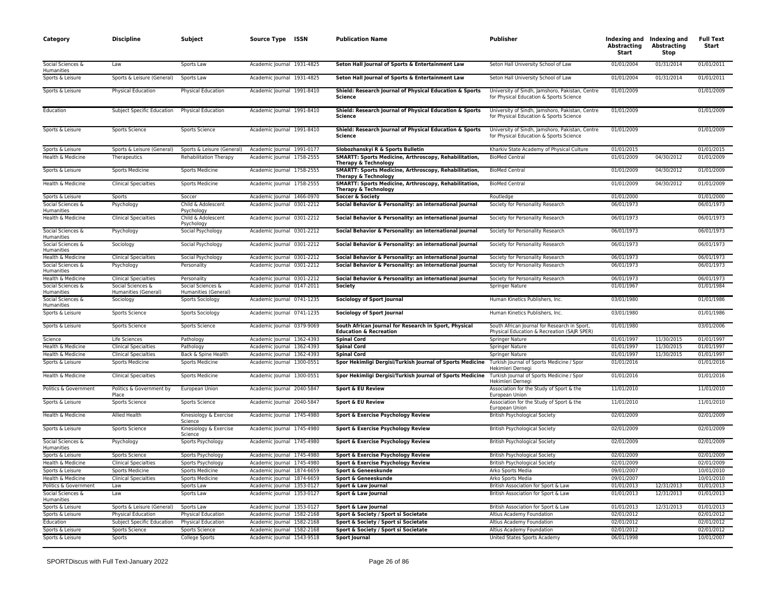| Category                                      | <b>Discipline</b>                            | Subject                                  | Source Type ISSN                                         | <b>Publication Name</b>                                                                    | Publisher                                                                                   | <b>Abstracting</b><br>Start | Indexing and Indexing and<br><b>Abstracting</b><br>Stop | <b>Full Text</b><br>Start |
|-----------------------------------------------|----------------------------------------------|------------------------------------------|----------------------------------------------------------|--------------------------------------------------------------------------------------------|---------------------------------------------------------------------------------------------|-----------------------------|---------------------------------------------------------|---------------------------|
| Social Sciences &<br>Humanities               | Law                                          | Sports Law                               | Academic Journal 1931-4825                               | Seton Hall Journal of Sports & Entertainment Law                                           | Seton Hall University School of Law                                                         | 01/01/2004                  | 01/31/2014                                              | 01/01/2011                |
| Sports & Leisure                              | Sports & Leisure (General)                   | Sports Law                               | Academic Journal 1931-4825                               | Seton Hall Journal of Sports & Entertainment Law                                           | Seton Hall University School of Law                                                         | 01/01/2004                  | 01/31/2014                                              | 01/01/2011                |
| Sports & Leisure                              | Physical Education                           | Physical Education                       | Academic Journal 1991-8410                               | Shield: Research Journal of Physical Education & Sports<br>Science                         | University of Sindh, Jamshoro, Pakistan, Centre<br>for Physical Education & Sports Science  | 01/01/2009                  |                                                         | 01/01/2009                |
| Education                                     | Subject Specific Education                   | Physical Education                       | Academic Journal 1991-8410                               | Shield: Research Journal of Physical Education & Sports<br>Science                         | University of Sindh, Jamshoro, Pakistan, Centre<br>for Physical Education & Sports Science  | 01/01/2009                  |                                                         | 01/01/2009                |
| Sports & Leisure                              | Sports Science                               | Sports Science                           | Academic Journal 1991-8410                               | Shield: Research Journal of Physical Education & Sports<br>Science                         | University of Sindh, Jamshoro, Pakistan, Centre<br>for Physical Education & Sports Science  | 01/01/2009                  |                                                         | 01/01/2009                |
| Sports & Leisure                              | Sports & Leisure (General)                   | Sports & Leisure (General)               | Academic Journal 1991-0177                               | Slobozhanskyi R & Sports Bulletin                                                          | Kharkiv State Academy of Physical Culture                                                   | 01/01/2015                  |                                                         | 01/01/2015                |
| Health & Medicine                             | Therapeutics                                 | <b>Rehabilitation Therapy</b>            | Academic Journal 1758-2555                               | SMARTT: Sports Medicine, Arthroscopy, Rehabilitation,<br><b>Therapy &amp; Technology</b>   | <b>BioMed Central</b>                                                                       | 01/01/2009                  | 04/30/2012                                              | 01/01/2009                |
| Sports & Leisure                              | Sports Medicine                              | Sports Medicine                          | Academic Journal 1758-2555                               | SMARTT: Sports Medicine, Arthroscopy, Rehabilitation,<br>Therapy & Technology              | <b>BioMed Central</b>                                                                       | 01/01/2009                  | 04/30/2012                                              | 01/01/2009                |
| Health & Medicine                             | <b>Clinical Specialties</b>                  | Sports Medicine                          | Academic Journal 1758-2555                               | SMARTT: Sports Medicine, Arthroscopy, Rehabilitation,<br>Therapy & Technology              | <b>BioMed Central</b>                                                                       | 01/01/2009                  | 04/30/2012                                              | 01/01/2009                |
| Sports & Leisure                              | Sports                                       | Soccer                                   | Academic Journal 1466-0970                               | Soccer & Society                                                                           | Routledge                                                                                   | 01/01/2000                  |                                                         | 01/01/2000                |
| Social Sciences &<br>Humanities               | Psychology                                   | Child & Adolescent<br>Psychology         | Academic Journal 0301-2212                               | Social Behavior & Personality: an international journal                                    | Society for Personality Research                                                            | 06/01/1973                  |                                                         | 06/01/1973                |
| Health & Medicine                             | <b>Clinical Specialties</b>                  | Child & Adolescent<br>Psychology         | Academic Journal 0301-2212                               | Social Behavior & Personality: an international journal                                    | Society for Personality Research                                                            | 06/01/1973                  |                                                         | 06/01/1973                |
| Social Sciences &<br><b>Humanities</b>        | Psychology                                   | Social Psychology                        | Academic Journal 0301-2212                               | Social Behavior & Personality: an international journal                                    | Society for Personality Research                                                            | 06/01/1973                  |                                                         | 06/01/1973                |
| Social Sciences &<br>Humanities               | Sociology                                    | Social Psychology                        | Academic Journal 0301-2212                               | Social Behavior & Personality: an international journal                                    | Society for Personality Research                                                            | 06/01/1973                  |                                                         | 06/01/1973                |
| Health & Medicine                             | <b>Clinical Specialties</b>                  | Social Psychology                        | Academic Journal 0301-2212                               | Social Behavior & Personality: an international journal                                    | Society for Personality Research                                                            | 06/01/1973                  |                                                         | 06/01/1973                |
| Social Sciences &<br>Humanities               | Psychology                                   | Personality                              | Academic Journal 0301-2212                               | Social Behavior & Personality: an international journal                                    | Society for Personality Research                                                            | 06/01/1973                  |                                                         | 06/01/1973                |
| Health & Medicine                             | <b>Clinical Specialties</b>                  | Personality                              | Academic Journal 0301-2212                               | Social Behavior & Personality: an international journal                                    | Society for Personality Research                                                            | 06/01/1973                  |                                                         | 06/01/1973                |
| Social Sciences &                             | Social Sciences &                            | Social Sciences &                        | Academic Journal 0147-2011                               | Society                                                                                    | Springer Nature                                                                             | 01/01/1967                  |                                                         | 01/01/1984                |
| Humanities<br>Social Sciences &<br>Humanities | Humanities (General)<br>Sociology            | Humanities (General)<br>Sports Sociology | Academic Journal 0741-1235                               | Sociology of Sport Journal                                                                 | Human Kinetics Publishers, Inc.                                                             | 03/01/1980                  |                                                         | 01/01/1986                |
| Sports & Leisure                              | Sports Science                               | <b>Sports Sociology</b>                  | Academic Journal 0741-1235                               | Sociology of Sport Journal                                                                 | Human Kinetics Publishers, Inc.                                                             | 03/01/1980                  |                                                         | 01/01/1986                |
| Sports & Leisure                              | Sports Science                               | Sports Science                           | Academic Journal 0379-9069                               | South African Journal for Research in Sport, Physical<br><b>Education &amp; Recreation</b> | South African Journal for Research in Sport,<br>Physical Education & Recreation (SAJR SPER) | 01/01/1980                  |                                                         | 03/01/2006                |
| Science                                       | Life Sciences                                | Pathology                                | Academic Journal 1362-4393                               | <b>Spinal Cord</b>                                                                         | Springer Nature                                                                             | 01/01/1997                  | 11/30/2015                                              | 01/01/1997                |
| Health & Medicine                             | <b>Clinical Specialties</b>                  | Pathology                                | Academic Journal 1362-4393                               | <b>Spinal Cord</b>                                                                         | <b>Springer Nature</b>                                                                      | 01/01/1997                  | 11/30/2015                                              | 01/01/1997                |
| Health & Medicine                             | <b>Clinical Specialties</b>                  | Back & Spine Health                      | Academic Journal 1362-4393                               | <b>Spinal Cord</b>                                                                         | Springer Nature                                                                             | 01/01/1997                  | 11/30/2015                                              | 01/01/1997                |
| Sports & Leisure                              | <b>Sports Medicine</b>                       | Sports Medicine                          | Academic Journal 1300-0551                               | Spor Hekimligi Dergisi/Turkish Journal of Sports Medicine                                  | Turkish Journal of Sports Medicine / Spor<br>Hekimleri Dernegi                              | 01/01/2016                  |                                                         | 01/01/2016                |
| Health & Medicine                             | <b>Clinical Specialties</b>                  | Sports Medicine                          | Academic Journal 1300-0551                               | Spor Hekimligi Dergisi/Turkish Journal of Sports Medicine                                  | Turkish Journal of Sports Medicine / Spor<br>Hekimleri Dernegi                              | 01/01/2016                  |                                                         | 01/01/2016                |
| Politics & Government                         | Politics & Government by<br>Place            | European Union                           | Academic Journal 2040-5847                               | Sport & EU Review                                                                          | Association for the Study of Sport & the<br>European Union                                  | 11/01/2010                  |                                                         | 11/01/2010                |
| Sports & Leisure                              | Sports Science                               | Sports Science                           | Academic Journal 2040-5847                               | Sport & EU Review                                                                          | Association for the Study of Sport & the<br>European Union                                  | 11/01/2010                  |                                                         | 11/01/2010                |
| Health & Medicine                             | Allied Health                                | Kinesiology & Exercise<br>Science        | Academic Journal 1745-4980                               | Sport & Exercise Psychology Review                                                         | <b>British Psychological Society</b>                                                        | 02/01/2009                  |                                                         | 02/01/2009                |
| Sports & Leisure                              | Sports Science                               | Kinesiology & Exercise<br>Science        | Academic Journal 1745-4980                               | Sport & Exercise Psychology Review                                                         | British Psychological Society                                                               | 02/01/2009                  |                                                         | 02/01/2009                |
| Social Sciences &<br><b>Humanities</b>        | Psychology                                   | Sports Psychology                        | Academic Journal 1745-4980                               | Sport & Exercise Psychology Review                                                         | <b>British Psychological Society</b>                                                        | 02/01/2009                  |                                                         | 02/01/2009                |
| Sports & Leisure                              | Sports Science                               | Sports Psychology                        | Academic Journal 1745-4980                               | Sport & Exercise Psychology Review                                                         | <b>British Psychological Society</b>                                                        | 02/01/2009                  |                                                         | 02/01/2009                |
| Health & Medicine                             | <b>Clinical Specialties</b>                  | Sports Psychology                        | Academic Journal 1745-4980                               | Sport & Exercise Psychology Review                                                         | <b>British Psychological Society</b>                                                        | 02/01/2009                  |                                                         | 02/01/2009                |
| Sports & Leisure                              | Sports Medicine                              | Sports Medicine                          | Academic Journal 1874-6659                               | Sport & Geneeskunde                                                                        | Arko Sports Media                                                                           | 09/01/2007                  |                                                         | 10/01/2010                |
| Health & Medicine                             | <b>Clinical Specialties</b>                  | Sports Medicine                          | Academic Journal 1874-6659                               | Sport & Geneeskunde                                                                        | Arko Sports Media                                                                           | 09/01/2007                  |                                                         | 10/01/2010                |
| Politics & Government                         | Law                                          | Sports Law                               | Academic Journal 1353-0127                               | Sport & Law Journal                                                                        | British Association for Sport & Law                                                         | 01/01/2013                  | 12/31/2013<br>12/31/2013                                | 01/01/2013                |
| Social Sciences &<br><b>Humanities</b>        | Law                                          | Sports Law                               | Academic Journal 1353-0127                               | Sport & Law Journal                                                                        | British Association for Sport & Law                                                         | 01/01/2013                  |                                                         | 01/01/2013                |
| Sports & Leisure                              | Sports & Leisure (General)                   | Sports Law                               | Academic Journal 1353-0127                               | Sport & Law Journal                                                                        | British Association for Sport & Law                                                         | 01/01/2013                  | 12/31/2013                                              | 01/01/2013                |
| Sports & Leisure                              | Physical Education                           | Physical Education                       | Academic Journal 1582-2168                               | Sport & Society / Sport si Societate                                                       | Altius Academy Foundation                                                                   | 02/01/2012<br>02/01/2012    |                                                         | 02/01/2012<br>02/01/2012  |
| Education<br>Sports & Leisure                 | Subject Specific Education<br>Sports Science | Physical Education<br>Sports Science     | Academic Journal 1582-2168<br>Academic Journal 1582-2168 | Sport & Society / Sport si Societate<br>Sport & Society / Sport si Societate               | Altius Academy Foundation<br>Altius Academy Foundation                                      | 02/01/2012                  |                                                         | 02/01/2012                |
| Sports & Leisure                              | Sports                                       | <b>College Sports</b>                    | Academic Journal 1543-9518                               | <b>Sport Journal</b>                                                                       | United States Sports Academy                                                                | 06/01/1998                  |                                                         | 10/01/2007                |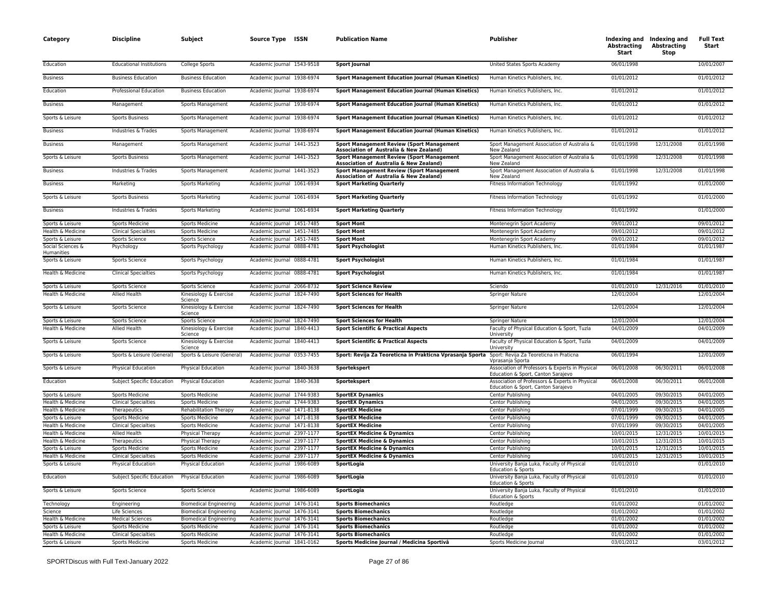| Category                               | <b>Discipline</b>               | Subject                           | Source Type ISSN           | <b>Publication Name</b>                                                                     | <b>Publisher</b>                                                                      | Abstracting<br>Start | Indexing and Indexing and<br><b>Abstracting</b><br>Stop | <b>Full Text</b><br>Start |
|----------------------------------------|---------------------------------|-----------------------------------|----------------------------|---------------------------------------------------------------------------------------------|---------------------------------------------------------------------------------------|----------------------|---------------------------------------------------------|---------------------------|
| Education                              | <b>Educational Institutions</b> | College Sports                    | Academic Journal 1543-9518 | <b>Sport Journal</b>                                                                        | United States Sports Academy                                                          | 06/01/1998           |                                                         | 10/01/2007                |
| <b>Business</b>                        | <b>Business Education</b>       | <b>Business Education</b>         | Academic Journal 1938-6974 | <b>Sport Management Education Journal (Human Kinetics)</b>                                  | Human Kinetics Publishers, Inc.                                                       | 01/01/2012           |                                                         | 01/01/2012                |
| Education                              | Professional Education          | <b>Business Education</b>         | Academic Journal 1938-6974 | <b>Sport Management Education Journal (Human Kinetics)</b>                                  | Human Kinetics Publishers, Inc.                                                       | 01/01/2012           |                                                         | 01/01/2012                |
| <b>Business</b>                        | Management                      | Sports Management                 | Academic Journal 1938-6974 | <b>Sport Management Education Journal (Human Kinetics)</b>                                  | Human Kinetics Publishers, Inc.                                                       | 01/01/2012           |                                                         | 01/01/2012                |
| Sports & Leisure                       | <b>Sports Business</b>          | Sports Management                 | Academic Journal 1938-6974 | <b>Sport Management Education Journal (Human Kinetics)</b>                                  | Human Kinetics Publishers, Inc.                                                       | 01/01/2012           |                                                         | 01/01/2012                |
| <b>Business</b>                        | Industries & Trades             | Sports Management                 | Academic Journal 1938-6974 | <b>Sport Management Education Journal (Human Kinetics)</b>                                  | Human Kinetics Publishers, Inc.                                                       | 01/01/2012           |                                                         | 01/01/2012                |
| <b>Business</b>                        | Management                      | Sports Management                 | Academic Journal 1441-3523 | <b>Sport Management Review (Sport Management</b><br>Association of Australia & New Zealand) | Sport Management Association of Australia &<br>New Zealand                            | 01/01/1998           | 12/31/2008                                              | 01/01/1998                |
| Sports & Leisure                       | <b>Sports Business</b>          | Sports Management                 | Academic Journal 1441-3523 | <b>Sport Management Review (Sport Management</b><br>Association of Australia & New Zealand) | Sport Management Association of Australia &<br>New Zealand                            | 01/01/1998           | 12/31/2008                                              | 01/01/1998                |
| <b>Business</b>                        | Industries & Trades             | Sports Management                 | Academic Journal 1441-3523 | <b>Sport Management Review (Sport Management</b><br>Association of Australia & New Zealand) | Sport Management Association of Australia &<br>New Zealand                            | 01/01/1998           | 12/31/2008                                              | 01/01/1998                |
| <b>Business</b>                        | Marketing                       | Sports Marketing                  | Academic Journal 1061-6934 | <b>Sport Marketing Quarterly</b>                                                            | <b>Fitness Information Technology</b>                                                 | 01/01/1992           |                                                         | 01/01/2000                |
| Sports & Leisure                       | <b>Sports Business</b>          | <b>Sports Marketing</b>           | Academic Journal 1061-6934 | <b>Sport Marketing Quarterly</b>                                                            | Fitness Information Technology                                                        | 01/01/1992           |                                                         | 01/01/2000                |
| <b>Business</b>                        | Industries & Trades             | Sports Marketing                  | Academic Journal 1061-6934 | <b>Sport Marketing Quarterly</b>                                                            | <b>Fitness Information Technology</b>                                                 | 01/01/1992           |                                                         | 01/01/2000                |
| Sports & Leisure                       | Sports Medicine                 | Sports Medicine                   | Academic Journal 1451-7485 | <b>Sport Mont</b>                                                                           | Montenegrin Sport Academy                                                             | 09/01/2012           |                                                         | 09/01/2012                |
| Health & Medicine                      | <b>Clinical Specialties</b>     | <b>Sports Medicine</b>            | Academic Journal 1451-7485 | <b>Sport Mont</b>                                                                           | Montenegrin Sport Academy                                                             | 09/01/2012           |                                                         | 09/01/2012                |
| Sports & Leisure                       | Sports Science                  | Sports Science                    | Academic Journal 1451-7485 | <b>Sport Mont</b>                                                                           | Montenegrin Sport Academy                                                             | 09/01/2012           |                                                         | 09/01/2012                |
| Social Sciences &<br><b>Humanities</b> | Psychology                      | Sports Psychology                 | Academic Journal 0888-4781 | <b>Sport Psychologist</b>                                                                   | Human Kinetics Publishers, Inc.                                                       | 01/01/1984           |                                                         | 01/01/1987                |
| Sports & Leisure                       | Sports Science                  | Sports Psychology                 | Academic Journal 0888-4781 | <b>Sport Psychologist</b>                                                                   | Human Kinetics Publishers, Inc.                                                       | 01/01/1984           |                                                         | 01/01/1987                |
| Health & Medicine                      | <b>Clinical Specialties</b>     | Sports Psychology                 | Academic Journal 0888-4781 | <b>Sport Psychologist</b>                                                                   | Human Kinetics Publishers, Inc.                                                       | 01/01/1984           |                                                         | 01/01/1987                |
| Sports & Leisure                       | Sports Science                  | Sports Science                    | Academic Journal 2066-8732 | <b>Sport Science Review</b>                                                                 | Sciendo                                                                               | 01/01/2010           | 12/31/2016                                              | 01/01/2010                |
| Health & Medicine                      | Allied Health                   | Kinesiology & Exercise<br>Science | Academic Journal 1824-7490 | <b>Sport Sciences for Health</b>                                                            | <b>Springer Nature</b>                                                                | 12/01/2004           |                                                         | 12/01/2004                |
| Sports & Leisure                       | Sports Science                  | Kinesiology & Exercise<br>Science | Academic Journal 1824-7490 | <b>Sport Sciences for Health</b>                                                            | Springer Nature                                                                       | 12/01/2004           |                                                         | 12/01/2004                |
| Sports & Leisure                       | Sports Science                  | Sports Science                    | Academic Journal 1824-7490 | <b>Sport Sciences for Health</b>                                                            | Springer Nature                                                                       | 12/01/2004           |                                                         | 12/01/2004                |
| Health & Medicine                      | Allied Health                   | Kinesiology & Exercise<br>Science | Academic Journal 1840-4413 | <b>Sport Scientific &amp; Practical Aspects</b>                                             | Faculty of Physical Education & Sport, Tuzla<br>University                            | 04/01/2009           |                                                         | 04/01/2009                |
| Sports & Leisure                       | Sports Science                  | Kinesiology & Exercise<br>Science | Academic Journal 1840-4413 | <b>Sport Scientific &amp; Practical Aspects</b>                                             | Faculty of Physical Education & Sport, Tuzla<br>University                            | 04/01/2009           |                                                         | 04/01/2009                |
| Sports & Leisure                       | Sports & Leisure (General)      | Sports & Leisure (General)        | Academic Journal 0353-7455 | Sport: Revija Za Teoreticna in Prakticna Vprasanja Sporta                                   | Sport: Revija Za Teoreticna in Praticna<br>Vprasanja Sporta                           | 06/01/1994           |                                                         | 12/01/2009                |
| Sports & Leisure                       | Physical Education              | Physical Education                | Academic Journal 1840-3638 | Sportekspert                                                                                | Association of Professors & Experts in Physical<br>Education & Sport, Canton Sarajevo | 06/01/2008           | 06/30/2011                                              | 06/01/2008                |
| Education                              | Subject Specific Education      | Physical Education                | Academic Journal 1840-3638 | Sportekspert                                                                                | Association of Professors & Experts in Physical<br>Education & Sport, Canton Sarajevo | 06/01/2008           | 06/30/2011                                              | 06/01/2008                |
| Sports & Leisure                       | <b>Sports Medicine</b>          | <b>Sports Medicine</b>            | Academic Journal 1744-9383 | <b>SportEX Dynamics</b>                                                                     | Centor Publishing                                                                     | 04/01/2005           | 09/30/2015                                              | 04/01/2005                |
| Health & Medicine                      | <b>Clinical Specialties</b>     | Sports Medicine                   | Academic Journal 1744-9383 | <b>SportEX Dynamics</b>                                                                     | Centor Publishing                                                                     | 04/01/2005           | 09/30/2015                                              | 04/01/2005                |
| Health & Medicine                      | Therapeutics                    | Rehabilitation Therapy            | Academic Journal 1471-8138 | <b>SportEX Medicine</b>                                                                     | Centor Publishing                                                                     | 07/01/1999           | 09/30/2015                                              | 04/01/2005                |
| Sports & Leisure                       | Sports Medicine                 | <b>Sports Medicine</b>            | Academic Journal 1471-8138 | <b>SportEX Medicine</b>                                                                     | Centor Publishing                                                                     | 07/01/1999           | 09/30/2015                                              | 04/01/2005                |
| Health & Medicine                      | <b>Clinical Specialties</b>     | Sports Medicine                   | Academic Journal 1471-8138 | <b>SportEX Medicine</b>                                                                     | Centor Publishing                                                                     | 07/01/1999           | 09/30/2015                                              | 04/01/2005                |
| Health & Medicine                      | Allied Health                   | Physical Therapy                  | Academic Journal 2397-1177 | <b>SportEX Medicine &amp; Dynamics</b>                                                      | Centor Publishing                                                                     | 10/01/2015           | 12/31/2015                                              | 10/01/2015                |
| Health & Medicine                      | Therapeutics                    | Physical Therapy                  | Academic Journal 2397-1177 | <b>SportEX Medicine &amp; Dynamics</b>                                                      | Centor Publishing                                                                     | 10/01/2015           | 12/31/2015                                              | 10/01/2015                |
| Sports & Leisure                       | <b>Sports Medicine</b>          | <b>Sports Medicine</b>            | Academic Journal 2397-1177 | <b>SportEX Medicine &amp; Dynamics</b>                                                      | Centor Publishing                                                                     | 10/01/2015           | 12/31/2015                                              | 10/01/2015                |
| Health & Medicine                      | <b>Clinical Specialties</b>     | Sports Medicine                   | Academic Journal 2397-1177 | <b>SportEX Medicine &amp; Dynamics</b>                                                      | Centor Publishing                                                                     | 10/01/2015           | 12/31/2015                                              | 10/01/2015                |
| Sports & Leisure                       | Physical Education              | Physical Education                | Academic Journal 1986-6089 | SportLogia                                                                                  | University Banja Luka, Faculty of Physical<br>Education & Sports                      | 01/01/2010           |                                                         | 01/01/2010                |
| Education                              | Subject Specific Education      | <b>Physical Education</b>         | Academic Journal 1986-6089 | SportLogia                                                                                  | University Banja Luka, Faculty of Physical<br>Education & Sports                      | 01/01/2010           |                                                         | 01/01/2010                |
| Sports & Leisure                       | Sports Science                  | Sports Science                    | Academic Journal 1986-6089 | SportLogia                                                                                  | University Banja Luka, Faculty of Physical<br>Education & Sports                      | 01/01/2010           |                                                         | 01/01/2010                |
| Technology                             | Engineering                     | <b>Biomedical Engineering</b>     | Academic Journal 1476-3141 | <b>Sports Biomechanics</b>                                                                  | Routledge                                                                             | 01/01/2002           |                                                         | 01/01/2002                |
| Science                                | Life Sciences                   | <b>Biomedical Engineering</b>     | Academic Journal 1476-3141 | <b>Sports Biomechanics</b>                                                                  | Routledge                                                                             | 01/01/2002           |                                                         | 01/01/2002                |
| Health & Medicine                      | <b>Medical Sciences</b>         | <b>Biomedical Engineering</b>     | Academic Journal 1476-3141 | <b>Sports Biomechanics</b>                                                                  | Routledge                                                                             | 01/01/2002           |                                                         | 01/01/2002                |
| Sports & Leisure                       | <b>Sports Medicine</b>          | <b>Sports Medicine</b>            | Academic Journal 1476-3141 | <b>Sports Biomechanics</b>                                                                  | Routledge                                                                             | 01/01/2002           |                                                         | 01/01/2002                |
| Health & Medicine                      | <b>Clinical Specialties</b>     | <b>Sports Medicine</b>            | Academic Journal 1476-3141 | <b>Sports Biomechanics</b>                                                                  | Routledge                                                                             | 01/01/2002           |                                                         | 01/01/2002                |
| Sports & Leisure                       | <b>Sports Medicine</b>          | Sports Medicine                   | Academic Journal 1841-0162 | Sports Medicine Journal / Medicina Sportivâ                                                 | Sports Medicine Journal                                                               | 03/01/2012           |                                                         | 03/01/2012                |
|                                        |                                 |                                   |                            |                                                                                             |                                                                                       |                      |                                                         |                           |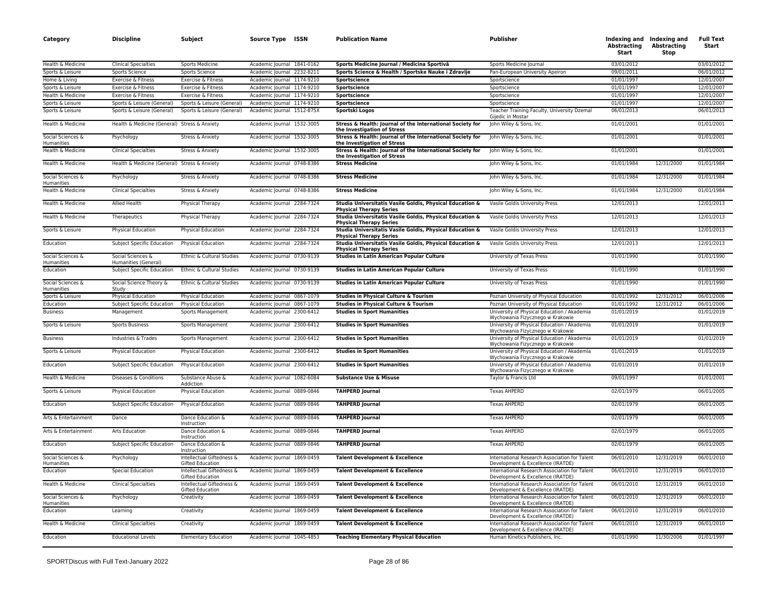| Category                               | Discipline                                   | Subject                                              | Source Type                | ISSN | <b>Publication Name</b>                                                                    | Publisher                                                                          | Indexing and<br>Abstracting<br>Start | Indexing and<br><b>Abstracting</b><br>Stop | <b>Full Text</b><br>Start |
|----------------------------------------|----------------------------------------------|------------------------------------------------------|----------------------------|------|--------------------------------------------------------------------------------------------|------------------------------------------------------------------------------------|--------------------------------------|--------------------------------------------|---------------------------|
| Health & Medicine                      | <b>Clinical Specialties</b>                  | Sports Medicine                                      | Academic Journal 1841-0162 |      | Sports Medicine Journal / Medicina Sportivâ                                                | Sports Medicine Journal                                                            | 03/01/2012                           |                                            | 03/01/2012                |
| Sports & Leisure                       | <b>Sports Science</b>                        | <b>Sports Science</b>                                | Academic Journal 2232-8211 |      | Sports Science & Health / Sportske Nauke i Zdravlje                                        | Pan-European University Apeiron                                                    | 09/01/2011                           |                                            | 06/01/2012                |
| Home & Living                          | Exercise & Fitness                           | Exercise & Fitness                                   | Academic Journal 1174-9210 |      | Sportscience                                                                               | Sportscience                                                                       | 01/01/1997                           |                                            | 12/01/2007                |
| Sports & Leisure                       | Exercise & Fitness                           | Exercise & Fitness                                   | Academic Journal 1174-9210 |      | Sportscience                                                                               | Sportscience                                                                       | 01/01/1997                           |                                            | 12/01/2007                |
| Health & Medicine                      | Exercise & Fitness                           | Exercise & Fitness                                   | Academic Journal 1174-9210 |      | Sportscience                                                                               | Sportscience                                                                       | 01/01/1997                           |                                            | 12/01/2007                |
| Sports & Leisure                       | Sports & Leisure (General)                   | Sports & Leisure (General)                           | Academic Journal 1174-9210 |      | Sportscience                                                                               | Sportscience                                                                       | 01/01/1997                           |                                            | 12/01/2007                |
| Sports & Leisure                       | Sports & Leisure (General)                   | Sports & Leisure (General)                           | Academic Journal 1512-875X |      | Sportski Logos                                                                             | Teacher Training Faculty, University Dzemal<br>Gijedic in Mostar                   | 06/01/2013                           |                                            | 06/01/2013                |
| Health & Medicine                      | Health & Medicine (General) Stress & Anxiety |                                                      | Academic Journal 1532-3005 |      | Stress & Health: Journal of the International Society for<br>the Investigation of Stress   | John Wiley & Sons, Inc.                                                            | 01/01/2001                           |                                            | 01/01/2001                |
| Social Sciences &<br>Humanities        | Psychology                                   | Stress & Anxiety                                     | Academic Journal 1532-3005 |      | Stress & Health: Journal of the International Society for<br>the Investigation of Stress   | John Wiley & Sons, Inc.                                                            | 01/01/2001                           |                                            | 01/01/2001                |
| Health & Medicine                      | <b>Clinical Specialties</b>                  | Stress & Anxiety                                     | Academic Journal 1532-3005 |      | Stress & Health: Journal of the International Society for<br>the Investigation of Stress   | John Wiley & Sons, Inc.                                                            | 01/01/2001                           |                                            | 01/01/2001                |
| Health & Medicine                      | Health & Medicine (General) Stress & Anxiety |                                                      | Academic Journal 0748-8386 |      | <b>Stress Medicine</b>                                                                     | John Wiley & Sons, Inc.                                                            | 01/01/1984                           | 12/31/2000                                 | 01/01/1984                |
| Social Sciences &<br><b>Humanities</b> | Psychology                                   | Stress & Anxiety                                     | Academic Journal 0748-8386 |      | <b>Stress Medicine</b>                                                                     | John Wiley & Sons, Inc.                                                            | 01/01/1984                           | 12/31/2000                                 | 01/01/1984                |
| Health & Medicine                      | <b>Clinical Specialties</b>                  | Stress & Anxiety                                     | Academic Journal 0748-8386 |      | <b>Stress Medicine</b>                                                                     | John Wiley & Sons, Inc.                                                            | 01/01/1984                           | 12/31/2000                                 | 01/01/1984                |
| Health & Medicine                      | Allied Health                                | Physical Therapy                                     | Academic Journal 2284-7324 |      | Studia Universitatis Vasile Goldis, Physical Education &<br><b>Physical Therapy Series</b> | Vasile Goldis University Press                                                     | 12/01/2013                           |                                            | 12/01/2013                |
| Health & Medicine                      | Therapeutics                                 | Physical Therapy                                     | Academic Journal 2284-7324 |      | Studia Universitatis Vasile Goldis, Physical Education &<br><b>Physical Therapy Series</b> | Vasile Goldis University Press                                                     | 12/01/2013                           |                                            | 12/01/2013                |
| Sports & Leisure                       | <b>Physical Education</b>                    | <b>Physical Education</b>                            | Academic Journal 2284-7324 |      | Studia Universitatis Vasile Goldis, Physical Education &<br><b>Physical Therapy Series</b> | Vasile Goldis University Press                                                     | 12/01/2013                           |                                            | 12/01/2013                |
| Education                              | Subject Specific Education                   | Physical Education                                   | Academic Journal 2284-7324 |      | Studia Universitatis Vasile Goldis, Physical Education &<br><b>Physical Therapy Series</b> | Vasile Goldis University Press                                                     | 12/01/2013                           |                                            | 12/01/2013                |
| Social Sciences &<br>Humanities        | Social Sciences &<br>Humanities (General)    | Ethnic & Cultural Studies                            | Academic Journal 0730-9139 |      | <b>Studies in Latin American Popular Culture</b>                                           | University of Texas Press                                                          | 01/01/1990                           |                                            | 01/01/1990                |
| Education                              | Subject Specific Education                   | Ethnic & Cultural Studies                            | Academic Journal 0730-9139 |      | <b>Studies in Latin American Popular Culture</b>                                           | University of Texas Press                                                          | 01/01/1990                           |                                            | 01/01/1990                |
| Social Sciences &<br>Humanities        | Social Science Theory &<br>Study             | Ethnic & Cultural Studies                            | Academic Journal 0730-9139 |      | Studies in Latin American Popular Culture                                                  | University of Texas Press                                                          | 01/01/1990                           |                                            | 01/01/1990                |
| Sports & Leisure                       | Physical Education                           | Physical Education                                   | Academic Journal 0867-1079 |      | Studies in Physical Culture & Tourism                                                      | Poznan University of Physical Education                                            | 01/01/1992                           | 12/31/2012                                 | 06/01/2006                |
| Education                              | Subject Specific Education                   | Physical Education                                   | Academic Journal 0867-1079 |      | Studies in Physical Culture & Tourism                                                      | Poznan University of Physical Education                                            | 01/01/1992                           | 12/31/2012                                 | 06/01/2006                |
| <b>Business</b>                        | Management                                   | Sports Management                                    | Academic Journal 2300-6412 |      | <b>Studies in Sport Humanities</b>                                                         | University of Physical Education / Akademia<br>Wychowania Fizycznego w Krakowie    | 01/01/2019                           |                                            | 01/01/2019                |
| Sports & Leisure                       | <b>Sports Business</b>                       | Sports Management                                    | Academic Journal 2300-6412 |      | <b>Studies in Sport Humanities</b>                                                         | University of Physical Education / Akademia<br>Wychowania Fizycznego w Krakowie    | 01/01/2019                           |                                            | 01/01/2019                |
| <b>Business</b>                        | Industries & Trades                          | Sports Management                                    | Academic Journal 2300-6412 |      | <b>Studies in Sport Humanities</b>                                                         | University of Physical Education / Akademia<br>Wychowania Fizycznego w Krakowie    | 01/01/2019                           |                                            | 01/01/2019                |
| Sports & Leisure                       | <b>Physical Education</b>                    | <b>Physical Education</b>                            | Academic Journal 2300-6412 |      | <b>Studies in Sport Humanities</b>                                                         | University of Physical Education / Akademia<br>Wychowania Fizycznego w Krakowie    | 01/01/2019                           |                                            | 01/01/2019                |
| Education                              | Subject Specific Education                   | <b>Physical Education</b>                            | Academic Journal 2300-6412 |      | <b>Studies in Sport Humanities</b>                                                         | University of Physical Education / Akademia<br>Wychowania Fizycznego w Krakowie    | 01/01/2019                           |                                            | 01/01/2019                |
| Health & Medicine                      | Diseases & Conditions                        | Substance Abuse &<br>Addiction                       | Academic Journal 1082-6084 |      | Substance Use & Misuse                                                                     | Taylor & Francis Ltd                                                               | 09/01/1997                           |                                            | 01/01/2001                |
| Sports & Leisure                       | Physical Education                           | Physical Education                                   | Academic Journal 0889-0846 |      | <b>TAHPERD Journal</b>                                                                     | <b>Texas AHPERD</b>                                                                | 02/01/1979                           |                                            | 06/01/2005                |
| Education                              | Subject Specific Education                   | <b>Physical Education</b>                            | Academic Journal 0889-0846 |      | <b>TAHPERD Journal</b>                                                                     | <b>Texas AHPERD</b>                                                                | 02/01/1979                           |                                            | 06/01/2005                |
| Arts & Entertainment                   | Dance                                        | Dance Education &<br>Instruction                     | Academic Journal 0889-0846 |      | <b>TAHPERD Journal</b>                                                                     | Texas AHPERD                                                                       | 02/01/1979                           |                                            | 06/01/2005                |
| Arts & Entertainment                   | Arts Education                               | Dance Education &<br>Instruction                     | Academic Journal 0889-0846 |      | <b>TAHPERD Journal</b>                                                                     | <b>Texas AHPERD</b>                                                                | 02/01/1979                           |                                            | 06/01/2005                |
| Education                              | Subject Specific Education                   | Dance Education &<br>Instruction                     | Academic Journal 0889-0846 |      | <b>TAHPERD Journal</b>                                                                     | <b>Texas AHPERD</b>                                                                | 02/01/1979                           |                                            | 06/01/2005                |
| Social Sciences &<br>Humanities        | Psychology                                   | Intellectual Giftedness &<br><b>Gifted Education</b> | Academic Journal 1869-0459 |      | <b>Talent Development &amp; Excellence</b>                                                 | International Research Association for Talent<br>Development & Excellence (IRATDE) | 06/01/2010                           | 12/31/2019                                 | 06/01/2010                |
| Education                              | <b>Special Education</b>                     | Intellectual Giftedness &<br>Gifted Education        | Academic Journal 1869-0459 |      | Talent Development & Excellence                                                            | International Research Association for Talent<br>Development & Excellence (IRATDE) | 06/01/2010                           | 12/31/2019                                 | 06/01/2010                |
| Health & Medicine                      | <b>Clinical Specialties</b>                  | Intellectual Giftedness &<br>Gifted Education        | Academic Journal 1869-0459 |      | <b>Talent Development &amp; Excellence</b>                                                 | International Research Association for Talent<br>Development & Excellence (IRATDE) | 06/01/2010                           | 12/31/2019                                 | 06/01/2010                |
| Social Sciences &<br>Humanities        | Psychology                                   | Creativity                                           | Academic Journal 1869-0459 |      | <b>Talent Development &amp; Excellence</b>                                                 | International Research Association for Talent<br>Development & Excellence (IRATDE) | 06/01/2010                           | 12/31/2019                                 | 06/01/2010                |
| Education                              | Learning                                     | Creativity                                           | Academic Journal 1869-0459 |      | Talent Development & Excellence                                                            | International Research Association for Talent<br>Development & Excellence (IRATDE) | 06/01/2010                           | 12/31/2019                                 | 06/01/2010                |
| Health & Medicine                      | <b>Clinical Specialties</b>                  | Creativity                                           | Academic Journal 1869-0459 |      | <b>Talent Development &amp; Excellence</b>                                                 | International Research Association for Talent<br>Development & Excellence (IRATDE) | 06/01/2010                           | 12/31/2019                                 | 06/01/2010                |
| Education                              | <b>Educational Levels</b>                    | <b>Elementary Education</b>                          | Academic Journal 1045-4853 |      | <b>Teaching Elementary Physical Education</b>                                              | Human Kinetics Publishers, Inc.                                                    | 01/01/1990                           | 11/30/2006                                 | 01/01/1997                |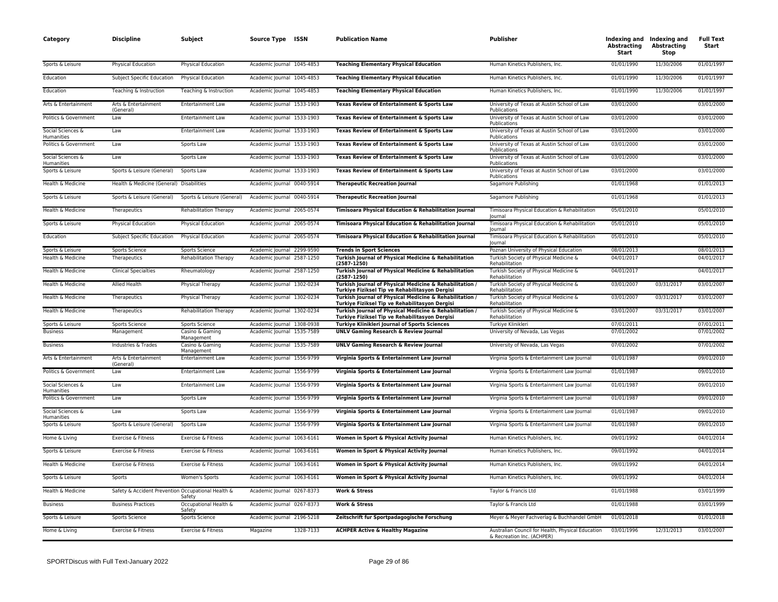| Category                               | <b>Discipline</b>                                  | Subject                         | Source Type ISSN           |           | <b>Publication Name</b>                                                                                   | Publisher                                                                       | Abstracting<br>Start | Indexing and Indexing and<br><b>Abstracting</b><br>Stop | <b>Full Text</b><br>Start |
|----------------------------------------|----------------------------------------------------|---------------------------------|----------------------------|-----------|-----------------------------------------------------------------------------------------------------------|---------------------------------------------------------------------------------|----------------------|---------------------------------------------------------|---------------------------|
| Sports & Leisure                       | <b>Physical Education</b>                          | Physical Education              | Academic Journal 1045-4853 |           | <b>Teaching Elementary Physical Education</b>                                                             | Human Kinetics Publishers, Inc.                                                 | 01/01/1990           | 11/30/2006                                              | 01/01/1997                |
| Education                              | Subject Specific Education                         | <b>Physical Education</b>       | Academic Journal 1045-4853 |           | <b>Teaching Elementary Physical Education</b>                                                             | Human Kinetics Publishers, Inc.                                                 | 01/01/1990           | 11/30/2006                                              | 01/01/1997                |
| Education                              | Teaching & Instruction                             | Teaching & Instruction          | Academic Journal 1045-4853 |           | <b>Teaching Elementary Physical Education</b>                                                             | Human Kinetics Publishers, Inc.                                                 | 01/01/1990           | 11/30/2006                                              | 01/01/1997                |
| Arts & Entertainment                   | Arts & Entertainment<br>(General)                  | Entertainment Law               | Academic Journal 1533-1903 |           | Texas Review of Entertainment & Sports Law                                                                | University of Texas at Austin School of Law<br>Publications                     | 03/01/2000           |                                                         | 03/01/2000                |
| Politics & Government                  | Law                                                | Entertainment Law               | Academic Journal 1533-1903 |           | Texas Review of Entertainment & Sports Law                                                                | University of Texas at Austin School of Law<br>Publications                     | 03/01/2000           |                                                         | 03/01/2000                |
| Social Sciences &<br><b>Humanities</b> | Law                                                | <b>Entertainment Law</b>        | Academic Journal 1533-1903 |           | Texas Review of Entertainment & Sports Law                                                                | University of Texas at Austin School of Law<br>Publications                     | 03/01/2000           |                                                         | 03/01/2000                |
| Politics & Government                  | Law                                                | Sports Law                      | Academic Journal 1533-1903 |           | Texas Review of Entertainment & Sports Law                                                                | University of Texas at Austin School of Law<br>Publications                     | 03/01/2000           |                                                         | 03/01/2000                |
| Social Sciences &<br>Humanities        | Law                                                | Sports Law                      | Academic Journal 1533-1903 |           | Texas Review of Entertainment & Sports Law                                                                | University of Texas at Austin School of Law<br>Publications                     | 03/01/2000           |                                                         | 03/01/2000                |
| Sports & Leisure                       | Sports & Leisure (General)                         | Sports Law                      | Academic Journal 1533-1903 |           | Texas Review of Entertainment & Sports Law                                                                | University of Texas at Austin School of Law<br>Publications                     | 03/01/2000           |                                                         | 03/01/2000                |
| Health & Medicine                      | Health & Medicine (General) Disabilities           |                                 | Academic Journal 0040-5914 |           | <b>Therapeutic Recreation Journal</b>                                                                     | Sagamore Publishing                                                             | 01/01/1968           |                                                         | 01/01/2013                |
| Sports & Leisure                       | Sports & Leisure (General)                         | Sports & Leisure (General)      | Academic Journal 0040-5914 |           | <b>Therapeutic Recreation Journal</b>                                                                     | Sagamore Publishing                                                             | 01/01/1968           |                                                         | 01/01/2013                |
| Health & Medicine                      | Therapeutics                                       | <b>Rehabilitation Therapy</b>   | Academic Journal 2065-0574 |           | Timisoara Physical Education & Rehabilitation Journal                                                     | Timisoara Physical Education & Rehabilitation<br>lournal                        | 05/01/2010           |                                                         | 05/01/2010                |
| Sports & Leisure                       | Physical Education                                 | Physical Education              | Academic Journal 2065-0574 |           | Timisoara Physical Education & Rehabilitation Journal                                                     | Timisoara Physical Education & Rehabilitation<br>lournal                        | 05/01/2010           |                                                         | 05/01/2010                |
| Education                              | Subject Specific Education                         | <b>Physical Education</b>       | Academic Journal 2065-0574 |           | Timisoara Physical Education & Rehabilitation Journal                                                     | Timisoara Physical Education & Rehabilitation<br>lournal                        | 05/01/2010           |                                                         | 05/01/2010                |
| Sports & Leisure                       | <b>Sports Science</b>                              | Sports Science                  | Academic Journal 2299-9590 |           | <b>Trends in Sport Sciences</b>                                                                           | Poznan University of Physical Education                                         | 08/01/2013           |                                                         | 08/01/2013                |
| Health & Medicine                      | Therapeutics                                       | <b>Rehabilitation Therapy</b>   | Academic Journal 2587-1250 |           | Turkish Journal of Physical Medicine & Rehabilitation<br>$(2587 - 1250)$                                  | Turkish Society of Physical Medicine &<br>Rehabilitation                        | 04/01/2017           |                                                         | 04/01/2017                |
| Health & Medicine                      | <b>Clinical Specialties</b>                        | Rheumatology                    | Academic Journal 2587-1250 |           | Turkish Journal of Physical Medicine & Rehabilitation<br>$(2587 - 1250)$                                  | Turkish Society of Physical Medicine &<br>Rehabilitation                        | 04/01/2017           |                                                         | 04/01/2017                |
| Health & Medicine                      | Allied Health                                      | Physical Therapy                | Academic Journal 1302-0234 |           | Turkish Journal of Physical Medicine & Rehabilitation /<br>Turkiye Fiziksel Tip ve Rehabilitasyon Dergisi | Turkish Society of Physical Medicine &<br>Rehabilitation                        | 03/01/2007           | 03/31/2017                                              | 03/01/2007                |
| Health & Medicine                      | Therapeutics                                       | Physical Therapy                | Academic Journal 1302-0234 |           | Turkish Journal of Physical Medicine & Rehabilitation /<br>Turkiye Fiziksel Tip ve Rehabilitasyon Dergisi | Turkish Society of Physical Medicine &<br>Rehabilitation                        | 03/01/2007           | 03/31/2017                                              | 03/01/2007                |
| Health & Medicine                      | Therapeutics                                       | <b>Rehabilitation Therapy</b>   | Academic Journal 1302-0234 |           | Turkish Journal of Physical Medicine & Rehabilitation /<br>Turkiye Fiziksel Tip ve Rehabilitasyon Dergisi | Turkish Society of Physical Medicine &<br>Rehabilitation                        | 03/01/2007           | 03/31/2017                                              | 03/01/2007                |
| Sports & Leisure                       | Sports Science                                     | Sports Science                  | Academic Journal 1308-0938 |           | <b>Turkiye Klinikleri Journal of Sports Sciences</b>                                                      | Turkiye Klinikleri                                                              | 07/01/2011           |                                                         | 07/01/2011                |
| <b>Business</b>                        | Management                                         | Casino & Gaming<br>Management   | Academic Journal 1535-7589 |           | <b>UNLV Gaming Research &amp; Review Journal</b>                                                          | University of Nevada, Las Vegas                                                 | 07/01/2002           |                                                         | 07/01/2002                |
| <b>Business</b>                        | Industries & Trades                                | Casino & Gaming<br>Management   | Academic Journal 1535-7589 |           | <b>UNLV Gaming Research &amp; Review Journal</b>                                                          | University of Nevada, Las Vegas                                                 | 07/01/2002           |                                                         | 07/01/2002                |
| Arts & Entertainment                   | Arts & Entertainment<br>(General)                  | Entertainment Law               | Academic Journal 1556-9799 |           | Virginia Sports & Entertainment Law Journal                                                               | Virginia Sports & Entertainment Law Journal                                     | 01/01/1987           |                                                         | 09/01/2010                |
| Politics & Government                  | Law                                                | <b>Entertainment Law</b>        | Academic Journal 1556-9799 |           | Virginia Sports & Entertainment Law Journal                                                               | Virginia Sports & Entertainment Law Journal                                     | 01/01/1987           |                                                         | 09/01/2010                |
| Social Sciences &<br>Humanities        | Law                                                | Entertainment Law               | Academic Journal 1556-9799 |           | Virginia Sports & Entertainment Law Journal                                                               | Virginia Sports & Entertainment Law Journal                                     | 01/01/1987           |                                                         | 09/01/2010                |
| Politics & Government                  | Law                                                | Sports Law                      | Academic Journal 1556-9799 |           | Virginia Sports & Entertainment Law Journal                                                               | Virginia Sports & Entertainment Law Journal                                     | 01/01/1987           |                                                         | 09/01/2010                |
| Social Sciences &<br><b>Humanities</b> | Law                                                | Sports Law                      | Academic Journal 1556-9799 |           | Virginia Sports & Entertainment Law Journal                                                               | Virginia Sports & Entertainment Law Journal                                     | 01/01/1987           |                                                         | 09/01/2010                |
| Sports & Leisure                       | Sports & Leisure (General)                         | Sports Law                      | Academic Journal 1556-9799 |           | Virginia Sports & Entertainment Law Journal                                                               | Virginia Sports & Entertainment Law Journal                                     | 01/01/1987           |                                                         | 09/01/2010                |
| Home & Living                          | Exercise & Fitness                                 | Exercise & Fitness              | Academic Journal 1063-6161 |           | Women in Sport & Physical Activity Journal                                                                | Human Kinetics Publishers, Inc.                                                 | 09/01/1992           |                                                         | 04/01/2014                |
| Sports & Leisure                       | Exercise & Fitness                                 | Exercise & Fitness              | Academic Journal 1063-6161 |           | Women in Sport & Physical Activity Journal                                                                | Human Kinetics Publishers, Inc.                                                 | 09/01/1992           |                                                         | 04/01/2014                |
| Health & Medicine                      | Exercise & Fitness                                 | Exercise & Fitness              | Academic Journal 1063-6161 |           | Women in Sport & Physical Activity Journal                                                                | Human Kinetics Publishers, Inc.                                                 | 09/01/1992           |                                                         | 04/01/2014                |
| Sports & Leisure                       | Sports                                             | Women's Sports                  | Academic Journal 1063-6161 |           | Women in Sport & Physical Activity Journal                                                                | Human Kinetics Publishers, Inc.                                                 | 09/01/1992           |                                                         | 04/01/2014                |
| Health & Medicine                      | Safety & Accident Prevention Occupational Health & | Safety                          | Academic Journal 0267-8373 |           | <b>Work &amp; Stress</b>                                                                                  | Taylor & Francis Ltd                                                            | 01/01/1988           |                                                         | 03/01/1999                |
| <b>Business</b>                        | <b>Business Practices</b>                          | Occupational Health &<br>Safety | Academic Journal 0267-8373 |           | <b>Work &amp; Stress</b>                                                                                  | Taylor & Francis Ltd                                                            | 01/01/1988           |                                                         | 03/01/1999                |
| Sports & Leisure                       | Sports Science                                     | Sports Science                  | Academic Journal 2196-5218 |           | Zeitschrift fur Sportpadagogische Forschung                                                               | Meyer & Meyer Fachverlag & Buchhandel GmbH                                      | 01/01/2018           |                                                         | 01/01/2018                |
| Home & Living                          | Exercise & Fitness                                 | Exercise & Fitness              | Magazine                   | 1328-7133 | <b>ACHPER Active &amp; Healthy Magazine</b>                                                               | Australian Council for Health, Physical Education<br>& Recreation Inc. (ACHPER) | 03/01/1996           | 12/31/2013                                              | 03/01/2007                |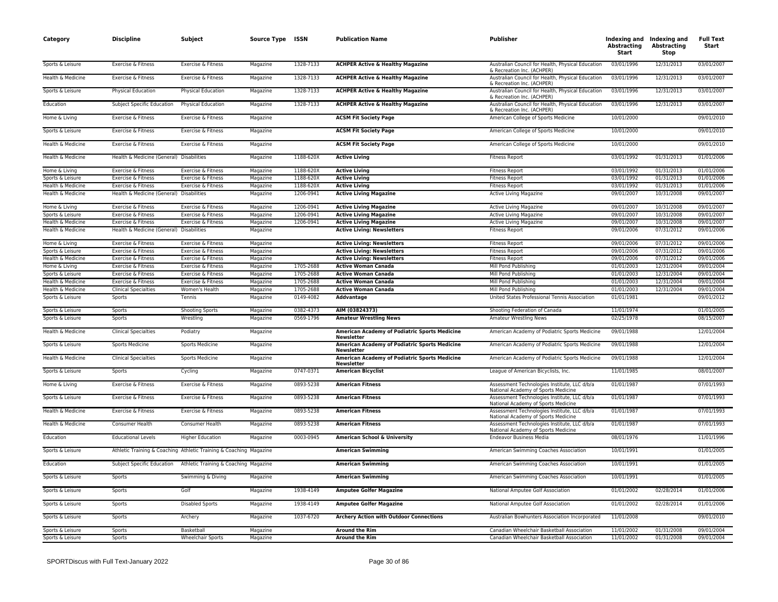| 12/31/2013<br>1328-7133<br><b>ACHPER Active &amp; Healthy Magazine</b><br>03/01/1996<br>03/01/2007<br>Sports & Leisure<br>Exercise & Fitness<br>Exercise & Fitness<br>Australian Council for Health, Physical Education<br>Magazine<br>& Recreation Inc. (ACHPER)<br>Health & Medicine<br>Exercise & Fitness<br>Exercise & Fitness<br>1328-7133<br><b>ACHPER Active &amp; Healthy Magazine</b><br>Australian Council for Health, Physical Education<br>03/01/1996<br>12/31/2013<br>03/01/2007<br>Magazine<br>& Recreation Inc. (ACHPER)<br>1328-7133<br><b>ACHPER Active &amp; Healthy Magazine</b><br>Australian Council for Health, Physical Education<br>03/01/1996<br>12/31/2013<br>03/01/2007<br>Sports & Leisure<br>Physical Education<br>Physical Education<br>Magazine<br>& Recreation Inc. (ACHPER)<br>1328-7133<br>Education<br>Subject Specific Education<br>Physical Education<br>Magazine<br><b>ACHPER Active &amp; Healthy Magazine</b><br>Australian Council for Health, Physical Education<br>03/01/1996<br>12/31/2013<br>03/01/2007<br>& Recreation Inc. (ACHPER)<br>Home & Living<br>Magazine<br>American College of Sports Medicine<br>10/01/2000<br>09/01/2010<br>Exercise & Fitness<br>Exercise & Fitness<br><b>ACSM Fit Society Page</b><br>10/01/2000<br>Sports & Leisure<br>Magazine<br><b>ACSM Fit Society Page</b><br>09/01/2010<br>Exercise & Fitness<br>Exercise & Fitness<br>American College of Sports Medicine<br>Health & Medicine<br>Exercise & Fitness<br>Exercise & Fitness<br><b>ACSM Fit Society Page</b><br>American College of Sports Medicine<br>10/01/2000<br>09/01/2010<br>Magazine<br>Health & Medicine<br>Health & Medicine (General) Disabilities<br>1188-620X<br>03/01/1992<br>01/31/2013<br>01/01/2006<br>Magazine<br><b>Active Living</b><br><b>Fitness Report</b><br>Home & Living<br>Exercise & Fitness<br>Exercise & Fitness<br>Magazine<br>1188-620X<br><b>Active Living</b><br><b>Fitness Report</b><br>03/01/1992<br>01/31/2013<br>01/01/2006<br>Sports & Leisure<br>1188-620X<br><b>Active Living</b><br>03/01/1992<br>01/31/2013<br>01/01/2006<br>Exercise & Fitness<br>Exercise & Fitness<br>Magazine<br><b>Fitness Report</b><br>Health & Medicine<br>Exercise & Fitness<br>Exercise & Fitness<br>Magazine<br>1188-620X<br><b>Active Living</b><br><b>Fitness Report</b><br>03/01/1992<br>01/31/2013<br>01/01/2006<br>Health & Medicine<br>Health & Medicine (General) Disabilities<br>Magazine<br>1206-0941<br><b>Active Living Magazine</b><br>Active Living Magazine<br>09/01/2007<br>10/31/2008<br>09/01/2007<br>1206-0941<br>09/01/2007<br>10/31/2008<br>09/01/2007<br>Home & Living<br>Exercise & Fitness<br>Exercise & Fitness<br>Magazine<br><b>Active Living Magazine</b><br><b>Active Living Magazine</b><br>10/31/2008<br>Magazine<br>1206-0941<br><b>Active Living Magazine</b><br>09/01/2007<br>09/01/2007<br>Sports & Leisure<br>Exercise & Fitness<br>Exercise & Fitness<br>Active Living Magazine<br>Health & Medicine<br>Exercise & Fitness<br>Exercise & Fitness<br>Magazine<br>1206-0941<br><b>Active Living Magazine</b><br><b>Active Living Magazine</b><br>09/01/2007<br>10/31/2008<br>09/01/2007<br>Health & Medicine<br>Magazine<br>09/01/2006<br>07/31/2012<br>09/01/2006<br>Health & Medicine (General) Disabilities<br><b>Active Living: Newsletters</b><br><b>Fitness Report</b><br>09/01/2006<br>07/31/2012<br>09/01/2006<br>Home & Living<br>Exercise & Fitness<br>Exercise & Fitness<br>Magazine<br><b>Active Living: Newsletters</b><br><b>Fitness Report</b><br>Sports & Leisure<br>Exercise & Fitness<br>Exercise & Fitness<br><b>Active Living: Newsletters</b><br><b>Fitness Report</b><br>09/01/2006<br>07/31/2012<br>09/01/2006<br>Magazine<br>Health & Medicine<br><b>Active Living: Newsletters</b><br>09/01/2006<br>07/31/2012<br>09/01/2006<br>Exercise & Fitness<br>Exercise & Fitness<br>Magazine<br><b>Fitness Report</b><br>1705-2688<br>Mill Pond Publishing<br>01/01/2003<br>12/31/2004<br>09/01/2004<br>Home & Living<br>Exercise & Fitness<br>Exercise & Fitness<br>Magazine<br><b>Active Woman Canada</b><br>1705-2688<br>01/01/2003<br>12/31/2004<br>09/01/2004<br>Sports & Leisure<br>Exercise & Fitness<br>Exercise & Fitness<br>Magazine<br><b>Active Woman Canada</b><br>Mill Pond Publishing<br>Health & Medicine<br>Exercise & Fitness<br>Magazine<br>1705-2688<br><b>Active Woman Canada</b><br>Mill Pond Publishing<br>01/01/2003<br>12/31/2004<br>09/01/2004<br>Exercise & Fitness<br>1705-2688<br><b>Active Woman Canada</b><br>01/01/2003<br>12/31/2004<br>09/01/2004<br>Health & Medicine<br><b>Clinical Specialties</b><br>Women's Health<br>Magazine<br>Mill Pond Publishing<br>Magazine<br>0149-4082<br>United States Professional Tennis Association<br>01/01/1981<br>09/01/2012<br>Sports & Leisure<br>Sports<br>Tennis<br>Addvantage<br>AIM (03824373)<br>Sports & Leisure<br>Sports<br>Shooting Sports<br>Magazine<br>0382-4373<br>Shooting Federation of Canada<br>11/01/1974<br>01/01/2005<br>Sports & Leisure<br>Wrestling<br>0569-1796<br><b>Amateur Wrestling News</b><br><b>Amateur Wrestling News</b><br>02/25/1978<br>08/15/2007<br>Sports<br>Magazine<br>American Academy of Podiatric Sports Medicine<br>09/01/1988<br>12/01/2004<br>Health & Medicine<br><b>Clinical Specialties</b><br>Podiatry<br>Magazine<br>American Academy of Podiatric Sports Medicine<br><b>Newsletter</b><br>Sports & Leisure<br><b>Sports Medicine</b><br>Sports Medicine<br>Magazine<br>American Academy of Podiatric Sports Medicine<br>American Academy of Podiatric Sports Medicine<br>09/01/1988<br>12/01/2004<br>Newsletter<br>Health & Medicine<br>American Academy of Podiatric Sports Medicine<br>American Academy of Podiatric Sports Medicine<br>12/01/2004<br><b>Clinical Specialties</b><br>Sports Medicine<br>Magazine<br>09/01/1988<br>Newsletter<br>0747-0371<br>11/01/1985<br>08/01/2007<br>Sports & Leisure<br>League of American Bicyclists, Inc.<br>Sports<br>Magazine<br><b>American Bicyclist</b><br>Cycling<br>Home & Living<br>Exercise & Fitness<br>0893-5238<br>Assessment Technologies Institute, LLC d/b/a<br>01/01/1987<br>07/01/1993<br>Exercise & Fitness<br>Magazine<br><b>American Fitness</b><br>National Academy of Sports Medicine<br>0893-5238<br>01/01/1987<br>07/01/1993<br>Sports & Leisure<br>Exercise & Fitness<br>Exercise & Fitness<br>Magazine<br><b>American Fitness</b><br>Assessment Technologies Institute, LLC d/b/a<br>National Academy of Sports Medicine<br>Health & Medicine<br>Exercise & Fitness<br>Magazine<br>0893-5238<br><b>American Fitness</b><br>Assessment Technologies Institute, LLC d/b/a<br>01/01/1987<br>07/01/1993<br>Exercise & Fitness<br>National Academy of Sports Medicine<br>0893-5238<br>07/01/1993<br>Health & Medicine<br>Magazine<br>Assessment Technologies Institute, LLC d/b/a<br>01/01/1987<br>Consumer Health<br>Consumer Health<br><b>American Fitness</b><br>National Academy of Sports Medicine<br>0003-0945<br>08/01/1976<br>11/01/1996<br>Education<br><b>Educational Levels</b><br><b>Higher Education</b><br>Magazine<br>American School & University<br><b>Endeavor Business Media</b><br>Sports & Leisure<br>Athletic Training & Coaching Athletic Training & Coaching Magazine<br><b>American Swimming</b><br>American Swimming Coaches Association<br>10/01/1991<br>01/01/2005<br>Education<br><b>Subject Specific Education</b><br>Athletic Training & Coaching Magazine<br><b>American Swimming</b><br>American Swimming Coaches Association<br>10/01/1991<br>01/01/2005<br>Sports & Leisure<br><b>American Swimming</b><br>American Swimming Coaches Association<br>10/01/1991<br>01/01/2005<br>Sports<br>Swimming & Diving<br>Magazine<br>Sports & Leisure<br>1938-4149<br>01/01/2002<br>02/28/2014<br>01/01/2006<br><b>Sports</b><br>Golf<br>Magazine<br><b>Amputee Golfer Magazine</b><br>National Amputee Golf Association<br>Sports & Leisure<br><b>Disabled Sports</b><br>Magazine<br>1938-4149<br><b>Amputee Golfer Magazine</b><br>National Amputee Golf Association<br>01/01/2002<br>02/28/2014<br>01/01/2006<br>Sports<br>Sports & Leisure<br>Magazine<br>1037-6720<br><b>Archery Action with Outdoor Connections</b><br>Australian Bowhunters Association Incorporated<br>11/01/2008<br>09/01/2010<br>Sports<br>Archery<br>01/31/2008<br>Sports & Leisure<br>Sports<br>Basketball<br>Magazine<br><b>Around the Rim</b><br>Canadian Wheelchair Basketball Association<br>11/01/2002<br>09/01/2004<br>Sports & Leisure<br><b>Sports</b><br><b>Wheelchair Sports</b><br>Magazine<br><b>Around the Rim</b><br>Canadian Wheelchair Basketball Association<br>11/01/2002<br>01/31/2008<br>09/01/2004 | Category | <b>Discipline</b> | Subject | Source Type ISSN | <b>Publication Name</b> | Publisher | Abstracting<br>Start | Indexing and Indexing and<br>Abstracting<br>Stop | <b>Full Text</b><br>Start |
|------------------------------------------------------------------------------------------------------------------------------------------------------------------------------------------------------------------------------------------------------------------------------------------------------------------------------------------------------------------------------------------------------------------------------------------------------------------------------------------------------------------------------------------------------------------------------------------------------------------------------------------------------------------------------------------------------------------------------------------------------------------------------------------------------------------------------------------------------------------------------------------------------------------------------------------------------------------------------------------------------------------------------------------------------------------------------------------------------------------------------------------------------------------------------------------------------------------------------------------------------------------------------------------------------------------------------------------------------------------------------------------------------------------------------------------------------------------------------------------------------------------------------------------------------------------------------------------------------------------------------------------------------------------------------------------------------------------------------------------------------------------------------------------------------------------------------------------------------------------------------------------------------------------------------------------------------------------------------------------------------------------------------------------------------------------------------------------------------------------------------------------------------------------------------------------------------------------------------------------------------------------------------------------------------------------------------------------------------------------------------------------------------------------------------------------------------------------------------------------------------------------------------------------------------------------------------------------------------------------------------------------------------------------------------------------------------------------------------------------------------------------------------------------------------------------------------------------------------------------------------------------------------------------------------------------------------------------------------------------------------------------------------------------------------------------------------------------------------------------------------------------------------------------------------------------------------------------------------------------------------------------------------------------------------------------------------------------------------------------------------------------------------------------------------------------------------------------------------------------------------------------------------------------------------------------------------------------------------------------------------------------------------------------------------------------------------------------------------------------------------------------------------------------------------------------------------------------------------------------------------------------------------------------------------------------------------------------------------------------------------------------------------------------------------------------------------------------------------------------------------------------------------------------------------------------------------------------------------------------------------------------------------------------------------------------------------------------------------------------------------------------------------------------------------------------------------------------------------------------------------------------------------------------------------------------------------------------------------------------------------------------------------------------------------------------------------------------------------------------------------------------------------------------------------------------------------------------------------------------------------------------------------------------------------------------------------------------------------------------------------------------------------------------------------------------------------------------------------------------------------------------------------------------------------------------------------------------------------------------------------------------------------------------------------------------------------------------------------------------------------------------------------------------------------------------------------------------------------------------------------------------------------------------------------------------------------------------------------------------------------------------------------------------------------------------------------------------------------------------------------------------------------------------------------------------------------------------------------------------------------------------------------------------------------------------------------------------------------------------------------------------------------------------------------------------------------------------------------------------------------------------------------------------------------------------------------------------------------------------------------------------------------------------------------------------------------------------------------------------------------------------------------------------------------------------------------------------------------------------------------------------------------------------------------------------------------------------------------------------------------------------------------------------------------------------------------------------------------------------------------------------------------------------------------------------------------------------------------------------------------------------------------------------------------------------------------------------------------------------------------------------------------------------------------------------------------------------------------------------------------------------------------------------------------------------------------------------------------------------------------------------------------------------------------------------------------------------------------------------------------------------------------------------------------------------------------------------------------------------------------------------------------------------------------------------------------------------------------------------------------------------------------------------------------------------------------------------------------------------------------------------------------------------------------------------------------------------------------------------------------------------------------------------------------------------------------------------------------------------------------------------------------------------------------------------------------------------------------------------------------------------------------------------------------------------------------------------------------------------------------------------------------------------------------------------------------------------------------------------------------------------------------------------------------------------------------------------------------------------------------------------------------------------------------------------------------------------------------------------------------------------------------------------------------------------------------------------------------------|----------|-------------------|---------|------------------|-------------------------|-----------|----------------------|--------------------------------------------------|---------------------------|
|                                                                                                                                                                                                                                                                                                                                                                                                                                                                                                                                                                                                                                                                                                                                                                                                                                                                                                                                                                                                                                                                                                                                                                                                                                                                                                                                                                                                                                                                                                                                                                                                                                                                                                                                                                                                                                                                                                                                                                                                                                                                                                                                                                                                                                                                                                                                                                                                                                                                                                                                                                                                                                                                                                                                                                                                                                                                                                                                                                                                                                                                                                                                                                                                                                                                                                                                                                                                                                                                                                                                                                                                                                                                                                                                                                                                                                                                                                                                                                                                                                                                                                                                                                                                                                                                                                                                                                                                                                                                                                                                                                                                                                                                                                                                                                                                                                                                                                                                                                                                                                                                                                                                                                                                                                                                                                                                                                                                                                                                                                                                                                                                                                                                                                                                                                                                                                                                                                                                                                                                                                                                                                                                                                                                                                                                                                                                                                                                                                                                                                                                                                                                                                                                                                                                                                                                                                                                                                                                                                                                                                                                                                                                                                                                                                                                                                                                                                                                                                                                                                                                                                                                                                                                                                                                                                                                                                                                                                                                                                                                                                                                                                                                                                                                                                                                                                                                                                                                                                                                                                                                                                                                                                                                                                                                    |          |                   |         |                  |                         |           |                      |                                                  |                           |
|                                                                                                                                                                                                                                                                                                                                                                                                                                                                                                                                                                                                                                                                                                                                                                                                                                                                                                                                                                                                                                                                                                                                                                                                                                                                                                                                                                                                                                                                                                                                                                                                                                                                                                                                                                                                                                                                                                                                                                                                                                                                                                                                                                                                                                                                                                                                                                                                                                                                                                                                                                                                                                                                                                                                                                                                                                                                                                                                                                                                                                                                                                                                                                                                                                                                                                                                                                                                                                                                                                                                                                                                                                                                                                                                                                                                                                                                                                                                                                                                                                                                                                                                                                                                                                                                                                                                                                                                                                                                                                                                                                                                                                                                                                                                                                                                                                                                                                                                                                                                                                                                                                                                                                                                                                                                                                                                                                                                                                                                                                                                                                                                                                                                                                                                                                                                                                                                                                                                                                                                                                                                                                                                                                                                                                                                                                                                                                                                                                                                                                                                                                                                                                                                                                                                                                                                                                                                                                                                                                                                                                                                                                                                                                                                                                                                                                                                                                                                                                                                                                                                                                                                                                                                                                                                                                                                                                                                                                                                                                                                                                                                                                                                                                                                                                                                                                                                                                                                                                                                                                                                                                                                                                                                                                                                    |          |                   |         |                  |                         |           |                      |                                                  |                           |
|                                                                                                                                                                                                                                                                                                                                                                                                                                                                                                                                                                                                                                                                                                                                                                                                                                                                                                                                                                                                                                                                                                                                                                                                                                                                                                                                                                                                                                                                                                                                                                                                                                                                                                                                                                                                                                                                                                                                                                                                                                                                                                                                                                                                                                                                                                                                                                                                                                                                                                                                                                                                                                                                                                                                                                                                                                                                                                                                                                                                                                                                                                                                                                                                                                                                                                                                                                                                                                                                                                                                                                                                                                                                                                                                                                                                                                                                                                                                                                                                                                                                                                                                                                                                                                                                                                                                                                                                                                                                                                                                                                                                                                                                                                                                                                                                                                                                                                                                                                                                                                                                                                                                                                                                                                                                                                                                                                                                                                                                                                                                                                                                                                                                                                                                                                                                                                                                                                                                                                                                                                                                                                                                                                                                                                                                                                                                                                                                                                                                                                                                                                                                                                                                                                                                                                                                                                                                                                                                                                                                                                                                                                                                                                                                                                                                                                                                                                                                                                                                                                                                                                                                                                                                                                                                                                                                                                                                                                                                                                                                                                                                                                                                                                                                                                                                                                                                                                                                                                                                                                                                                                                                                                                                                                                                    |          |                   |         |                  |                         |           |                      |                                                  |                           |
|                                                                                                                                                                                                                                                                                                                                                                                                                                                                                                                                                                                                                                                                                                                                                                                                                                                                                                                                                                                                                                                                                                                                                                                                                                                                                                                                                                                                                                                                                                                                                                                                                                                                                                                                                                                                                                                                                                                                                                                                                                                                                                                                                                                                                                                                                                                                                                                                                                                                                                                                                                                                                                                                                                                                                                                                                                                                                                                                                                                                                                                                                                                                                                                                                                                                                                                                                                                                                                                                                                                                                                                                                                                                                                                                                                                                                                                                                                                                                                                                                                                                                                                                                                                                                                                                                                                                                                                                                                                                                                                                                                                                                                                                                                                                                                                                                                                                                                                                                                                                                                                                                                                                                                                                                                                                                                                                                                                                                                                                                                                                                                                                                                                                                                                                                                                                                                                                                                                                                                                                                                                                                                                                                                                                                                                                                                                                                                                                                                                                                                                                                                                                                                                                                                                                                                                                                                                                                                                                                                                                                                                                                                                                                                                                                                                                                                                                                                                                                                                                                                                                                                                                                                                                                                                                                                                                                                                                                                                                                                                                                                                                                                                                                                                                                                                                                                                                                                                                                                                                                                                                                                                                                                                                                                                                    |          |                   |         |                  |                         |           |                      |                                                  |                           |
|                                                                                                                                                                                                                                                                                                                                                                                                                                                                                                                                                                                                                                                                                                                                                                                                                                                                                                                                                                                                                                                                                                                                                                                                                                                                                                                                                                                                                                                                                                                                                                                                                                                                                                                                                                                                                                                                                                                                                                                                                                                                                                                                                                                                                                                                                                                                                                                                                                                                                                                                                                                                                                                                                                                                                                                                                                                                                                                                                                                                                                                                                                                                                                                                                                                                                                                                                                                                                                                                                                                                                                                                                                                                                                                                                                                                                                                                                                                                                                                                                                                                                                                                                                                                                                                                                                                                                                                                                                                                                                                                                                                                                                                                                                                                                                                                                                                                                                                                                                                                                                                                                                                                                                                                                                                                                                                                                                                                                                                                                                                                                                                                                                                                                                                                                                                                                                                                                                                                                                                                                                                                                                                                                                                                                                                                                                                                                                                                                                                                                                                                                                                                                                                                                                                                                                                                                                                                                                                                                                                                                                                                                                                                                                                                                                                                                                                                                                                                                                                                                                                                                                                                                                                                                                                                                                                                                                                                                                                                                                                                                                                                                                                                                                                                                                                                                                                                                                                                                                                                                                                                                                                                                                                                                                                                    |          |                   |         |                  |                         |           |                      |                                                  |                           |
|                                                                                                                                                                                                                                                                                                                                                                                                                                                                                                                                                                                                                                                                                                                                                                                                                                                                                                                                                                                                                                                                                                                                                                                                                                                                                                                                                                                                                                                                                                                                                                                                                                                                                                                                                                                                                                                                                                                                                                                                                                                                                                                                                                                                                                                                                                                                                                                                                                                                                                                                                                                                                                                                                                                                                                                                                                                                                                                                                                                                                                                                                                                                                                                                                                                                                                                                                                                                                                                                                                                                                                                                                                                                                                                                                                                                                                                                                                                                                                                                                                                                                                                                                                                                                                                                                                                                                                                                                                                                                                                                                                                                                                                                                                                                                                                                                                                                                                                                                                                                                                                                                                                                                                                                                                                                                                                                                                                                                                                                                                                                                                                                                                                                                                                                                                                                                                                                                                                                                                                                                                                                                                                                                                                                                                                                                                                                                                                                                                                                                                                                                                                                                                                                                                                                                                                                                                                                                                                                                                                                                                                                                                                                                                                                                                                                                                                                                                                                                                                                                                                                                                                                                                                                                                                                                                                                                                                                                                                                                                                                                                                                                                                                                                                                                                                                                                                                                                                                                                                                                                                                                                                                                                                                                                                                    |          |                   |         |                  |                         |           |                      |                                                  |                           |
|                                                                                                                                                                                                                                                                                                                                                                                                                                                                                                                                                                                                                                                                                                                                                                                                                                                                                                                                                                                                                                                                                                                                                                                                                                                                                                                                                                                                                                                                                                                                                                                                                                                                                                                                                                                                                                                                                                                                                                                                                                                                                                                                                                                                                                                                                                                                                                                                                                                                                                                                                                                                                                                                                                                                                                                                                                                                                                                                                                                                                                                                                                                                                                                                                                                                                                                                                                                                                                                                                                                                                                                                                                                                                                                                                                                                                                                                                                                                                                                                                                                                                                                                                                                                                                                                                                                                                                                                                                                                                                                                                                                                                                                                                                                                                                                                                                                                                                                                                                                                                                                                                                                                                                                                                                                                                                                                                                                                                                                                                                                                                                                                                                                                                                                                                                                                                                                                                                                                                                                                                                                                                                                                                                                                                                                                                                                                                                                                                                                                                                                                                                                                                                                                                                                                                                                                                                                                                                                                                                                                                                                                                                                                                                                                                                                                                                                                                                                                                                                                                                                                                                                                                                                                                                                                                                                                                                                                                                                                                                                                                                                                                                                                                                                                                                                                                                                                                                                                                                                                                                                                                                                                                                                                                                                                    |          |                   |         |                  |                         |           |                      |                                                  |                           |
|                                                                                                                                                                                                                                                                                                                                                                                                                                                                                                                                                                                                                                                                                                                                                                                                                                                                                                                                                                                                                                                                                                                                                                                                                                                                                                                                                                                                                                                                                                                                                                                                                                                                                                                                                                                                                                                                                                                                                                                                                                                                                                                                                                                                                                                                                                                                                                                                                                                                                                                                                                                                                                                                                                                                                                                                                                                                                                                                                                                                                                                                                                                                                                                                                                                                                                                                                                                                                                                                                                                                                                                                                                                                                                                                                                                                                                                                                                                                                                                                                                                                                                                                                                                                                                                                                                                                                                                                                                                                                                                                                                                                                                                                                                                                                                                                                                                                                                                                                                                                                                                                                                                                                                                                                                                                                                                                                                                                                                                                                                                                                                                                                                                                                                                                                                                                                                                                                                                                                                                                                                                                                                                                                                                                                                                                                                                                                                                                                                                                                                                                                                                                                                                                                                                                                                                                                                                                                                                                                                                                                                                                                                                                                                                                                                                                                                                                                                                                                                                                                                                                                                                                                                                                                                                                                                                                                                                                                                                                                                                                                                                                                                                                                                                                                                                                                                                                                                                                                                                                                                                                                                                                                                                                                                                                    |          |                   |         |                  |                         |           |                      |                                                  |                           |
|                                                                                                                                                                                                                                                                                                                                                                                                                                                                                                                                                                                                                                                                                                                                                                                                                                                                                                                                                                                                                                                                                                                                                                                                                                                                                                                                                                                                                                                                                                                                                                                                                                                                                                                                                                                                                                                                                                                                                                                                                                                                                                                                                                                                                                                                                                                                                                                                                                                                                                                                                                                                                                                                                                                                                                                                                                                                                                                                                                                                                                                                                                                                                                                                                                                                                                                                                                                                                                                                                                                                                                                                                                                                                                                                                                                                                                                                                                                                                                                                                                                                                                                                                                                                                                                                                                                                                                                                                                                                                                                                                                                                                                                                                                                                                                                                                                                                                                                                                                                                                                                                                                                                                                                                                                                                                                                                                                                                                                                                                                                                                                                                                                                                                                                                                                                                                                                                                                                                                                                                                                                                                                                                                                                                                                                                                                                                                                                                                                                                                                                                                                                                                                                                                                                                                                                                                                                                                                                                                                                                                                                                                                                                                                                                                                                                                                                                                                                                                                                                                                                                                                                                                                                                                                                                                                                                                                                                                                                                                                                                                                                                                                                                                                                                                                                                                                                                                                                                                                                                                                                                                                                                                                                                                                                                    |          |                   |         |                  |                         |           |                      |                                                  |                           |
|                                                                                                                                                                                                                                                                                                                                                                                                                                                                                                                                                                                                                                                                                                                                                                                                                                                                                                                                                                                                                                                                                                                                                                                                                                                                                                                                                                                                                                                                                                                                                                                                                                                                                                                                                                                                                                                                                                                                                                                                                                                                                                                                                                                                                                                                                                                                                                                                                                                                                                                                                                                                                                                                                                                                                                                                                                                                                                                                                                                                                                                                                                                                                                                                                                                                                                                                                                                                                                                                                                                                                                                                                                                                                                                                                                                                                                                                                                                                                                                                                                                                                                                                                                                                                                                                                                                                                                                                                                                                                                                                                                                                                                                                                                                                                                                                                                                                                                                                                                                                                                                                                                                                                                                                                                                                                                                                                                                                                                                                                                                                                                                                                                                                                                                                                                                                                                                                                                                                                                                                                                                                                                                                                                                                                                                                                                                                                                                                                                                                                                                                                                                                                                                                                                                                                                                                                                                                                                                                                                                                                                                                                                                                                                                                                                                                                                                                                                                                                                                                                                                                                                                                                                                                                                                                                                                                                                                                                                                                                                                                                                                                                                                                                                                                                                                                                                                                                                                                                                                                                                                                                                                                                                                                                                                                    |          |                   |         |                  |                         |           |                      |                                                  |                           |
|                                                                                                                                                                                                                                                                                                                                                                                                                                                                                                                                                                                                                                                                                                                                                                                                                                                                                                                                                                                                                                                                                                                                                                                                                                                                                                                                                                                                                                                                                                                                                                                                                                                                                                                                                                                                                                                                                                                                                                                                                                                                                                                                                                                                                                                                                                                                                                                                                                                                                                                                                                                                                                                                                                                                                                                                                                                                                                                                                                                                                                                                                                                                                                                                                                                                                                                                                                                                                                                                                                                                                                                                                                                                                                                                                                                                                                                                                                                                                                                                                                                                                                                                                                                                                                                                                                                                                                                                                                                                                                                                                                                                                                                                                                                                                                                                                                                                                                                                                                                                                                                                                                                                                                                                                                                                                                                                                                                                                                                                                                                                                                                                                                                                                                                                                                                                                                                                                                                                                                                                                                                                                                                                                                                                                                                                                                                                                                                                                                                                                                                                                                                                                                                                                                                                                                                                                                                                                                                                                                                                                                                                                                                                                                                                                                                                                                                                                                                                                                                                                                                                                                                                                                                                                                                                                                                                                                                                                                                                                                                                                                                                                                                                                                                                                                                                                                                                                                                                                                                                                                                                                                                                                                                                                                                                    |          |                   |         |                  |                         |           |                      |                                                  |                           |
|                                                                                                                                                                                                                                                                                                                                                                                                                                                                                                                                                                                                                                                                                                                                                                                                                                                                                                                                                                                                                                                                                                                                                                                                                                                                                                                                                                                                                                                                                                                                                                                                                                                                                                                                                                                                                                                                                                                                                                                                                                                                                                                                                                                                                                                                                                                                                                                                                                                                                                                                                                                                                                                                                                                                                                                                                                                                                                                                                                                                                                                                                                                                                                                                                                                                                                                                                                                                                                                                                                                                                                                                                                                                                                                                                                                                                                                                                                                                                                                                                                                                                                                                                                                                                                                                                                                                                                                                                                                                                                                                                                                                                                                                                                                                                                                                                                                                                                                                                                                                                                                                                                                                                                                                                                                                                                                                                                                                                                                                                                                                                                                                                                                                                                                                                                                                                                                                                                                                                                                                                                                                                                                                                                                                                                                                                                                                                                                                                                                                                                                                                                                                                                                                                                                                                                                                                                                                                                                                                                                                                                                                                                                                                                                                                                                                                                                                                                                                                                                                                                                                                                                                                                                                                                                                                                                                                                                                                                                                                                                                                                                                                                                                                                                                                                                                                                                                                                                                                                                                                                                                                                                                                                                                                                                                    |          |                   |         |                  |                         |           |                      |                                                  |                           |
|                                                                                                                                                                                                                                                                                                                                                                                                                                                                                                                                                                                                                                                                                                                                                                                                                                                                                                                                                                                                                                                                                                                                                                                                                                                                                                                                                                                                                                                                                                                                                                                                                                                                                                                                                                                                                                                                                                                                                                                                                                                                                                                                                                                                                                                                                                                                                                                                                                                                                                                                                                                                                                                                                                                                                                                                                                                                                                                                                                                                                                                                                                                                                                                                                                                                                                                                                                                                                                                                                                                                                                                                                                                                                                                                                                                                                                                                                                                                                                                                                                                                                                                                                                                                                                                                                                                                                                                                                                                                                                                                                                                                                                                                                                                                                                                                                                                                                                                                                                                                                                                                                                                                                                                                                                                                                                                                                                                                                                                                                                                                                                                                                                                                                                                                                                                                                                                                                                                                                                                                                                                                                                                                                                                                                                                                                                                                                                                                                                                                                                                                                                                                                                                                                                                                                                                                                                                                                                                                                                                                                                                                                                                                                                                                                                                                                                                                                                                                                                                                                                                                                                                                                                                                                                                                                                                                                                                                                                                                                                                                                                                                                                                                                                                                                                                                                                                                                                                                                                                                                                                                                                                                                                                                                                                                    |          |                   |         |                  |                         |           |                      |                                                  |                           |
|                                                                                                                                                                                                                                                                                                                                                                                                                                                                                                                                                                                                                                                                                                                                                                                                                                                                                                                                                                                                                                                                                                                                                                                                                                                                                                                                                                                                                                                                                                                                                                                                                                                                                                                                                                                                                                                                                                                                                                                                                                                                                                                                                                                                                                                                                                                                                                                                                                                                                                                                                                                                                                                                                                                                                                                                                                                                                                                                                                                                                                                                                                                                                                                                                                                                                                                                                                                                                                                                                                                                                                                                                                                                                                                                                                                                                                                                                                                                                                                                                                                                                                                                                                                                                                                                                                                                                                                                                                                                                                                                                                                                                                                                                                                                                                                                                                                                                                                                                                                                                                                                                                                                                                                                                                                                                                                                                                                                                                                                                                                                                                                                                                                                                                                                                                                                                                                                                                                                                                                                                                                                                                                                                                                                                                                                                                                                                                                                                                                                                                                                                                                                                                                                                                                                                                                                                                                                                                                                                                                                                                                                                                                                                                                                                                                                                                                                                                                                                                                                                                                                                                                                                                                                                                                                                                                                                                                                                                                                                                                                                                                                                                                                                                                                                                                                                                                                                                                                                                                                                                                                                                                                                                                                                                                                    |          |                   |         |                  |                         |           |                      |                                                  |                           |
|                                                                                                                                                                                                                                                                                                                                                                                                                                                                                                                                                                                                                                                                                                                                                                                                                                                                                                                                                                                                                                                                                                                                                                                                                                                                                                                                                                                                                                                                                                                                                                                                                                                                                                                                                                                                                                                                                                                                                                                                                                                                                                                                                                                                                                                                                                                                                                                                                                                                                                                                                                                                                                                                                                                                                                                                                                                                                                                                                                                                                                                                                                                                                                                                                                                                                                                                                                                                                                                                                                                                                                                                                                                                                                                                                                                                                                                                                                                                                                                                                                                                                                                                                                                                                                                                                                                                                                                                                                                                                                                                                                                                                                                                                                                                                                                                                                                                                                                                                                                                                                                                                                                                                                                                                                                                                                                                                                                                                                                                                                                                                                                                                                                                                                                                                                                                                                                                                                                                                                                                                                                                                                                                                                                                                                                                                                                                                                                                                                                                                                                                                                                                                                                                                                                                                                                                                                                                                                                                                                                                                                                                                                                                                                                                                                                                                                                                                                                                                                                                                                                                                                                                                                                                                                                                                                                                                                                                                                                                                                                                                                                                                                                                                                                                                                                                                                                                                                                                                                                                                                                                                                                                                                                                                                                                    |          |                   |         |                  |                         |           |                      |                                                  |                           |
|                                                                                                                                                                                                                                                                                                                                                                                                                                                                                                                                                                                                                                                                                                                                                                                                                                                                                                                                                                                                                                                                                                                                                                                                                                                                                                                                                                                                                                                                                                                                                                                                                                                                                                                                                                                                                                                                                                                                                                                                                                                                                                                                                                                                                                                                                                                                                                                                                                                                                                                                                                                                                                                                                                                                                                                                                                                                                                                                                                                                                                                                                                                                                                                                                                                                                                                                                                                                                                                                                                                                                                                                                                                                                                                                                                                                                                                                                                                                                                                                                                                                                                                                                                                                                                                                                                                                                                                                                                                                                                                                                                                                                                                                                                                                                                                                                                                                                                                                                                                                                                                                                                                                                                                                                                                                                                                                                                                                                                                                                                                                                                                                                                                                                                                                                                                                                                                                                                                                                                                                                                                                                                                                                                                                                                                                                                                                                                                                                                                                                                                                                                                                                                                                                                                                                                                                                                                                                                                                                                                                                                                                                                                                                                                                                                                                                                                                                                                                                                                                                                                                                                                                                                                                                                                                                                                                                                                                                                                                                                                                                                                                                                                                                                                                                                                                                                                                                                                                                                                                                                                                                                                                                                                                                                                                    |          |                   |         |                  |                         |           |                      |                                                  |                           |
|                                                                                                                                                                                                                                                                                                                                                                                                                                                                                                                                                                                                                                                                                                                                                                                                                                                                                                                                                                                                                                                                                                                                                                                                                                                                                                                                                                                                                                                                                                                                                                                                                                                                                                                                                                                                                                                                                                                                                                                                                                                                                                                                                                                                                                                                                                                                                                                                                                                                                                                                                                                                                                                                                                                                                                                                                                                                                                                                                                                                                                                                                                                                                                                                                                                                                                                                                                                                                                                                                                                                                                                                                                                                                                                                                                                                                                                                                                                                                                                                                                                                                                                                                                                                                                                                                                                                                                                                                                                                                                                                                                                                                                                                                                                                                                                                                                                                                                                                                                                                                                                                                                                                                                                                                                                                                                                                                                                                                                                                                                                                                                                                                                                                                                                                                                                                                                                                                                                                                                                                                                                                                                                                                                                                                                                                                                                                                                                                                                                                                                                                                                                                                                                                                                                                                                                                                                                                                                                                                                                                                                                                                                                                                                                                                                                                                                                                                                                                                                                                                                                                                                                                                                                                                                                                                                                                                                                                                                                                                                                                                                                                                                                                                                                                                                                                                                                                                                                                                                                                                                                                                                                                                                                                                                                                    |          |                   |         |                  |                         |           |                      |                                                  |                           |
|                                                                                                                                                                                                                                                                                                                                                                                                                                                                                                                                                                                                                                                                                                                                                                                                                                                                                                                                                                                                                                                                                                                                                                                                                                                                                                                                                                                                                                                                                                                                                                                                                                                                                                                                                                                                                                                                                                                                                                                                                                                                                                                                                                                                                                                                                                                                                                                                                                                                                                                                                                                                                                                                                                                                                                                                                                                                                                                                                                                                                                                                                                                                                                                                                                                                                                                                                                                                                                                                                                                                                                                                                                                                                                                                                                                                                                                                                                                                                                                                                                                                                                                                                                                                                                                                                                                                                                                                                                                                                                                                                                                                                                                                                                                                                                                                                                                                                                                                                                                                                                                                                                                                                                                                                                                                                                                                                                                                                                                                                                                                                                                                                                                                                                                                                                                                                                                                                                                                                                                                                                                                                                                                                                                                                                                                                                                                                                                                                                                                                                                                                                                                                                                                                                                                                                                                                                                                                                                                                                                                                                                                                                                                                                                                                                                                                                                                                                                                                                                                                                                                                                                                                                                                                                                                                                                                                                                                                                                                                                                                                                                                                                                                                                                                                                                                                                                                                                                                                                                                                                                                                                                                                                                                                                                                    |          |                   |         |                  |                         |           |                      |                                                  |                           |
|                                                                                                                                                                                                                                                                                                                                                                                                                                                                                                                                                                                                                                                                                                                                                                                                                                                                                                                                                                                                                                                                                                                                                                                                                                                                                                                                                                                                                                                                                                                                                                                                                                                                                                                                                                                                                                                                                                                                                                                                                                                                                                                                                                                                                                                                                                                                                                                                                                                                                                                                                                                                                                                                                                                                                                                                                                                                                                                                                                                                                                                                                                                                                                                                                                                                                                                                                                                                                                                                                                                                                                                                                                                                                                                                                                                                                                                                                                                                                                                                                                                                                                                                                                                                                                                                                                                                                                                                                                                                                                                                                                                                                                                                                                                                                                                                                                                                                                                                                                                                                                                                                                                                                                                                                                                                                                                                                                                                                                                                                                                                                                                                                                                                                                                                                                                                                                                                                                                                                                                                                                                                                                                                                                                                                                                                                                                                                                                                                                                                                                                                                                                                                                                                                                                                                                                                                                                                                                                                                                                                                                                                                                                                                                                                                                                                                                                                                                                                                                                                                                                                                                                                                                                                                                                                                                                                                                                                                                                                                                                                                                                                                                                                                                                                                                                                                                                                                                                                                                                                                                                                                                                                                                                                                                                                    |          |                   |         |                  |                         |           |                      |                                                  |                           |
|                                                                                                                                                                                                                                                                                                                                                                                                                                                                                                                                                                                                                                                                                                                                                                                                                                                                                                                                                                                                                                                                                                                                                                                                                                                                                                                                                                                                                                                                                                                                                                                                                                                                                                                                                                                                                                                                                                                                                                                                                                                                                                                                                                                                                                                                                                                                                                                                                                                                                                                                                                                                                                                                                                                                                                                                                                                                                                                                                                                                                                                                                                                                                                                                                                                                                                                                                                                                                                                                                                                                                                                                                                                                                                                                                                                                                                                                                                                                                                                                                                                                                                                                                                                                                                                                                                                                                                                                                                                                                                                                                                                                                                                                                                                                                                                                                                                                                                                                                                                                                                                                                                                                                                                                                                                                                                                                                                                                                                                                                                                                                                                                                                                                                                                                                                                                                                                                                                                                                                                                                                                                                                                                                                                                                                                                                                                                                                                                                                                                                                                                                                                                                                                                                                                                                                                                                                                                                                                                                                                                                                                                                                                                                                                                                                                                                                                                                                                                                                                                                                                                                                                                                                                                                                                                                                                                                                                                                                                                                                                                                                                                                                                                                                                                                                                                                                                                                                                                                                                                                                                                                                                                                                                                                                                                    |          |                   |         |                  |                         |           |                      |                                                  |                           |
|                                                                                                                                                                                                                                                                                                                                                                                                                                                                                                                                                                                                                                                                                                                                                                                                                                                                                                                                                                                                                                                                                                                                                                                                                                                                                                                                                                                                                                                                                                                                                                                                                                                                                                                                                                                                                                                                                                                                                                                                                                                                                                                                                                                                                                                                                                                                                                                                                                                                                                                                                                                                                                                                                                                                                                                                                                                                                                                                                                                                                                                                                                                                                                                                                                                                                                                                                                                                                                                                                                                                                                                                                                                                                                                                                                                                                                                                                                                                                                                                                                                                                                                                                                                                                                                                                                                                                                                                                                                                                                                                                                                                                                                                                                                                                                                                                                                                                                                                                                                                                                                                                                                                                                                                                                                                                                                                                                                                                                                                                                                                                                                                                                                                                                                                                                                                                                                                                                                                                                                                                                                                                                                                                                                                                                                                                                                                                                                                                                                                                                                                                                                                                                                                                                                                                                                                                                                                                                                                                                                                                                                                                                                                                                                                                                                                                                                                                                                                                                                                                                                                                                                                                                                                                                                                                                                                                                                                                                                                                                                                                                                                                                                                                                                                                                                                                                                                                                                                                                                                                                                                                                                                                                                                                                                                    |          |                   |         |                  |                         |           |                      |                                                  |                           |
|                                                                                                                                                                                                                                                                                                                                                                                                                                                                                                                                                                                                                                                                                                                                                                                                                                                                                                                                                                                                                                                                                                                                                                                                                                                                                                                                                                                                                                                                                                                                                                                                                                                                                                                                                                                                                                                                                                                                                                                                                                                                                                                                                                                                                                                                                                                                                                                                                                                                                                                                                                                                                                                                                                                                                                                                                                                                                                                                                                                                                                                                                                                                                                                                                                                                                                                                                                                                                                                                                                                                                                                                                                                                                                                                                                                                                                                                                                                                                                                                                                                                                                                                                                                                                                                                                                                                                                                                                                                                                                                                                                                                                                                                                                                                                                                                                                                                                                                                                                                                                                                                                                                                                                                                                                                                                                                                                                                                                                                                                                                                                                                                                                                                                                                                                                                                                                                                                                                                                                                                                                                                                                                                                                                                                                                                                                                                                                                                                                                                                                                                                                                                                                                                                                                                                                                                                                                                                                                                                                                                                                                                                                                                                                                                                                                                                                                                                                                                                                                                                                                                                                                                                                                                                                                                                                                                                                                                                                                                                                                                                                                                                                                                                                                                                                                                                                                                                                                                                                                                                                                                                                                                                                                                                                                                    |          |                   |         |                  |                         |           |                      |                                                  |                           |
|                                                                                                                                                                                                                                                                                                                                                                                                                                                                                                                                                                                                                                                                                                                                                                                                                                                                                                                                                                                                                                                                                                                                                                                                                                                                                                                                                                                                                                                                                                                                                                                                                                                                                                                                                                                                                                                                                                                                                                                                                                                                                                                                                                                                                                                                                                                                                                                                                                                                                                                                                                                                                                                                                                                                                                                                                                                                                                                                                                                                                                                                                                                                                                                                                                                                                                                                                                                                                                                                                                                                                                                                                                                                                                                                                                                                                                                                                                                                                                                                                                                                                                                                                                                                                                                                                                                                                                                                                                                                                                                                                                                                                                                                                                                                                                                                                                                                                                                                                                                                                                                                                                                                                                                                                                                                                                                                                                                                                                                                                                                                                                                                                                                                                                                                                                                                                                                                                                                                                                                                                                                                                                                                                                                                                                                                                                                                                                                                                                                                                                                                                                                                                                                                                                                                                                                                                                                                                                                                                                                                                                                                                                                                                                                                                                                                                                                                                                                                                                                                                                                                                                                                                                                                                                                                                                                                                                                                                                                                                                                                                                                                                                                                                                                                                                                                                                                                                                                                                                                                                                                                                                                                                                                                                                                                    |          |                   |         |                  |                         |           |                      |                                                  |                           |
|                                                                                                                                                                                                                                                                                                                                                                                                                                                                                                                                                                                                                                                                                                                                                                                                                                                                                                                                                                                                                                                                                                                                                                                                                                                                                                                                                                                                                                                                                                                                                                                                                                                                                                                                                                                                                                                                                                                                                                                                                                                                                                                                                                                                                                                                                                                                                                                                                                                                                                                                                                                                                                                                                                                                                                                                                                                                                                                                                                                                                                                                                                                                                                                                                                                                                                                                                                                                                                                                                                                                                                                                                                                                                                                                                                                                                                                                                                                                                                                                                                                                                                                                                                                                                                                                                                                                                                                                                                                                                                                                                                                                                                                                                                                                                                                                                                                                                                                                                                                                                                                                                                                                                                                                                                                                                                                                                                                                                                                                                                                                                                                                                                                                                                                                                                                                                                                                                                                                                                                                                                                                                                                                                                                                                                                                                                                                                                                                                                                                                                                                                                                                                                                                                                                                                                                                                                                                                                                                                                                                                                                                                                                                                                                                                                                                                                                                                                                                                                                                                                                                                                                                                                                                                                                                                                                                                                                                                                                                                                                                                                                                                                                                                                                                                                                                                                                                                                                                                                                                                                                                                                                                                                                                                                                                    |          |                   |         |                  |                         |           |                      |                                                  |                           |
|                                                                                                                                                                                                                                                                                                                                                                                                                                                                                                                                                                                                                                                                                                                                                                                                                                                                                                                                                                                                                                                                                                                                                                                                                                                                                                                                                                                                                                                                                                                                                                                                                                                                                                                                                                                                                                                                                                                                                                                                                                                                                                                                                                                                                                                                                                                                                                                                                                                                                                                                                                                                                                                                                                                                                                                                                                                                                                                                                                                                                                                                                                                                                                                                                                                                                                                                                                                                                                                                                                                                                                                                                                                                                                                                                                                                                                                                                                                                                                                                                                                                                                                                                                                                                                                                                                                                                                                                                                                                                                                                                                                                                                                                                                                                                                                                                                                                                                                                                                                                                                                                                                                                                                                                                                                                                                                                                                                                                                                                                                                                                                                                                                                                                                                                                                                                                                                                                                                                                                                                                                                                                                                                                                                                                                                                                                                                                                                                                                                                                                                                                                                                                                                                                                                                                                                                                                                                                                                                                                                                                                                                                                                                                                                                                                                                                                                                                                                                                                                                                                                                                                                                                                                                                                                                                                                                                                                                                                                                                                                                                                                                                                                                                                                                                                                                                                                                                                                                                                                                                                                                                                                                                                                                                                                                    |          |                   |         |                  |                         |           |                      |                                                  |                           |
|                                                                                                                                                                                                                                                                                                                                                                                                                                                                                                                                                                                                                                                                                                                                                                                                                                                                                                                                                                                                                                                                                                                                                                                                                                                                                                                                                                                                                                                                                                                                                                                                                                                                                                                                                                                                                                                                                                                                                                                                                                                                                                                                                                                                                                                                                                                                                                                                                                                                                                                                                                                                                                                                                                                                                                                                                                                                                                                                                                                                                                                                                                                                                                                                                                                                                                                                                                                                                                                                                                                                                                                                                                                                                                                                                                                                                                                                                                                                                                                                                                                                                                                                                                                                                                                                                                                                                                                                                                                                                                                                                                                                                                                                                                                                                                                                                                                                                                                                                                                                                                                                                                                                                                                                                                                                                                                                                                                                                                                                                                                                                                                                                                                                                                                                                                                                                                                                                                                                                                                                                                                                                                                                                                                                                                                                                                                                                                                                                                                                                                                                                                                                                                                                                                                                                                                                                                                                                                                                                                                                                                                                                                                                                                                                                                                                                                                                                                                                                                                                                                                                                                                                                                                                                                                                                                                                                                                                                                                                                                                                                                                                                                                                                                                                                                                                                                                                                                                                                                                                                                                                                                                                                                                                                                                                    |          |                   |         |                  |                         |           |                      |                                                  |                           |
|                                                                                                                                                                                                                                                                                                                                                                                                                                                                                                                                                                                                                                                                                                                                                                                                                                                                                                                                                                                                                                                                                                                                                                                                                                                                                                                                                                                                                                                                                                                                                                                                                                                                                                                                                                                                                                                                                                                                                                                                                                                                                                                                                                                                                                                                                                                                                                                                                                                                                                                                                                                                                                                                                                                                                                                                                                                                                                                                                                                                                                                                                                                                                                                                                                                                                                                                                                                                                                                                                                                                                                                                                                                                                                                                                                                                                                                                                                                                                                                                                                                                                                                                                                                                                                                                                                                                                                                                                                                                                                                                                                                                                                                                                                                                                                                                                                                                                                                                                                                                                                                                                                                                                                                                                                                                                                                                                                                                                                                                                                                                                                                                                                                                                                                                                                                                                                                                                                                                                                                                                                                                                                                                                                                                                                                                                                                                                                                                                                                                                                                                                                                                                                                                                                                                                                                                                                                                                                                                                                                                                                                                                                                                                                                                                                                                                                                                                                                                                                                                                                                                                                                                                                                                                                                                                                                                                                                                                                                                                                                                                                                                                                                                                                                                                                                                                                                                                                                                                                                                                                                                                                                                                                                                                                                                    |          |                   |         |                  |                         |           |                      |                                                  |                           |
|                                                                                                                                                                                                                                                                                                                                                                                                                                                                                                                                                                                                                                                                                                                                                                                                                                                                                                                                                                                                                                                                                                                                                                                                                                                                                                                                                                                                                                                                                                                                                                                                                                                                                                                                                                                                                                                                                                                                                                                                                                                                                                                                                                                                                                                                                                                                                                                                                                                                                                                                                                                                                                                                                                                                                                                                                                                                                                                                                                                                                                                                                                                                                                                                                                                                                                                                                                                                                                                                                                                                                                                                                                                                                                                                                                                                                                                                                                                                                                                                                                                                                                                                                                                                                                                                                                                                                                                                                                                                                                                                                                                                                                                                                                                                                                                                                                                                                                                                                                                                                                                                                                                                                                                                                                                                                                                                                                                                                                                                                                                                                                                                                                                                                                                                                                                                                                                                                                                                                                                                                                                                                                                                                                                                                                                                                                                                                                                                                                                                                                                                                                                                                                                                                                                                                                                                                                                                                                                                                                                                                                                                                                                                                                                                                                                                                                                                                                                                                                                                                                                                                                                                                                                                                                                                                                                                                                                                                                                                                                                                                                                                                                                                                                                                                                                                                                                                                                                                                                                                                                                                                                                                                                                                                                                                    |          |                   |         |                  |                         |           |                      |                                                  |                           |
|                                                                                                                                                                                                                                                                                                                                                                                                                                                                                                                                                                                                                                                                                                                                                                                                                                                                                                                                                                                                                                                                                                                                                                                                                                                                                                                                                                                                                                                                                                                                                                                                                                                                                                                                                                                                                                                                                                                                                                                                                                                                                                                                                                                                                                                                                                                                                                                                                                                                                                                                                                                                                                                                                                                                                                                                                                                                                                                                                                                                                                                                                                                                                                                                                                                                                                                                                                                                                                                                                                                                                                                                                                                                                                                                                                                                                                                                                                                                                                                                                                                                                                                                                                                                                                                                                                                                                                                                                                                                                                                                                                                                                                                                                                                                                                                                                                                                                                                                                                                                                                                                                                                                                                                                                                                                                                                                                                                                                                                                                                                                                                                                                                                                                                                                                                                                                                                                                                                                                                                                                                                                                                                                                                                                                                                                                                                                                                                                                                                                                                                                                                                                                                                                                                                                                                                                                                                                                                                                                                                                                                                                                                                                                                                                                                                                                                                                                                                                                                                                                                                                                                                                                                                                                                                                                                                                                                                                                                                                                                                                                                                                                                                                                                                                                                                                                                                                                                                                                                                                                                                                                                                                                                                                                                                                    |          |                   |         |                  |                         |           |                      |                                                  |                           |
|                                                                                                                                                                                                                                                                                                                                                                                                                                                                                                                                                                                                                                                                                                                                                                                                                                                                                                                                                                                                                                                                                                                                                                                                                                                                                                                                                                                                                                                                                                                                                                                                                                                                                                                                                                                                                                                                                                                                                                                                                                                                                                                                                                                                                                                                                                                                                                                                                                                                                                                                                                                                                                                                                                                                                                                                                                                                                                                                                                                                                                                                                                                                                                                                                                                                                                                                                                                                                                                                                                                                                                                                                                                                                                                                                                                                                                                                                                                                                                                                                                                                                                                                                                                                                                                                                                                                                                                                                                                                                                                                                                                                                                                                                                                                                                                                                                                                                                                                                                                                                                                                                                                                                                                                                                                                                                                                                                                                                                                                                                                                                                                                                                                                                                                                                                                                                                                                                                                                                                                                                                                                                                                                                                                                                                                                                                                                                                                                                                                                                                                                                                                                                                                                                                                                                                                                                                                                                                                                                                                                                                                                                                                                                                                                                                                                                                                                                                                                                                                                                                                                                                                                                                                                                                                                                                                                                                                                                                                                                                                                                                                                                                                                                                                                                                                                                                                                                                                                                                                                                                                                                                                                                                                                                                                                    |          |                   |         |                  |                         |           |                      |                                                  |                           |
|                                                                                                                                                                                                                                                                                                                                                                                                                                                                                                                                                                                                                                                                                                                                                                                                                                                                                                                                                                                                                                                                                                                                                                                                                                                                                                                                                                                                                                                                                                                                                                                                                                                                                                                                                                                                                                                                                                                                                                                                                                                                                                                                                                                                                                                                                                                                                                                                                                                                                                                                                                                                                                                                                                                                                                                                                                                                                                                                                                                                                                                                                                                                                                                                                                                                                                                                                                                                                                                                                                                                                                                                                                                                                                                                                                                                                                                                                                                                                                                                                                                                                                                                                                                                                                                                                                                                                                                                                                                                                                                                                                                                                                                                                                                                                                                                                                                                                                                                                                                                                                                                                                                                                                                                                                                                                                                                                                                                                                                                                                                                                                                                                                                                                                                                                                                                                                                                                                                                                                                                                                                                                                                                                                                                                                                                                                                                                                                                                                                                                                                                                                                                                                                                                                                                                                                                                                                                                                                                                                                                                                                                                                                                                                                                                                                                                                                                                                                                                                                                                                                                                                                                                                                                                                                                                                                                                                                                                                                                                                                                                                                                                                                                                                                                                                                                                                                                                                                                                                                                                                                                                                                                                                                                                                                                    |          |                   |         |                  |                         |           |                      |                                                  |                           |
|                                                                                                                                                                                                                                                                                                                                                                                                                                                                                                                                                                                                                                                                                                                                                                                                                                                                                                                                                                                                                                                                                                                                                                                                                                                                                                                                                                                                                                                                                                                                                                                                                                                                                                                                                                                                                                                                                                                                                                                                                                                                                                                                                                                                                                                                                                                                                                                                                                                                                                                                                                                                                                                                                                                                                                                                                                                                                                                                                                                                                                                                                                                                                                                                                                                                                                                                                                                                                                                                                                                                                                                                                                                                                                                                                                                                                                                                                                                                                                                                                                                                                                                                                                                                                                                                                                                                                                                                                                                                                                                                                                                                                                                                                                                                                                                                                                                                                                                                                                                                                                                                                                                                                                                                                                                                                                                                                                                                                                                                                                                                                                                                                                                                                                                                                                                                                                                                                                                                                                                                                                                                                                                                                                                                                                                                                                                                                                                                                                                                                                                                                                                                                                                                                                                                                                                                                                                                                                                                                                                                                                                                                                                                                                                                                                                                                                                                                                                                                                                                                                                                                                                                                                                                                                                                                                                                                                                                                                                                                                                                                                                                                                                                                                                                                                                                                                                                                                                                                                                                                                                                                                                                                                                                                                                                    |          |                   |         |                  |                         |           |                      |                                                  |                           |
|                                                                                                                                                                                                                                                                                                                                                                                                                                                                                                                                                                                                                                                                                                                                                                                                                                                                                                                                                                                                                                                                                                                                                                                                                                                                                                                                                                                                                                                                                                                                                                                                                                                                                                                                                                                                                                                                                                                                                                                                                                                                                                                                                                                                                                                                                                                                                                                                                                                                                                                                                                                                                                                                                                                                                                                                                                                                                                                                                                                                                                                                                                                                                                                                                                                                                                                                                                                                                                                                                                                                                                                                                                                                                                                                                                                                                                                                                                                                                                                                                                                                                                                                                                                                                                                                                                                                                                                                                                                                                                                                                                                                                                                                                                                                                                                                                                                                                                                                                                                                                                                                                                                                                                                                                                                                                                                                                                                                                                                                                                                                                                                                                                                                                                                                                                                                                                                                                                                                                                                                                                                                                                                                                                                                                                                                                                                                                                                                                                                                                                                                                                                                                                                                                                                                                                                                                                                                                                                                                                                                                                                                                                                                                                                                                                                                                                                                                                                                                                                                                                                                                                                                                                                                                                                                                                                                                                                                                                                                                                                                                                                                                                                                                                                                                                                                                                                                                                                                                                                                                                                                                                                                                                                                                                                                    |          |                   |         |                  |                         |           |                      |                                                  |                           |
|                                                                                                                                                                                                                                                                                                                                                                                                                                                                                                                                                                                                                                                                                                                                                                                                                                                                                                                                                                                                                                                                                                                                                                                                                                                                                                                                                                                                                                                                                                                                                                                                                                                                                                                                                                                                                                                                                                                                                                                                                                                                                                                                                                                                                                                                                                                                                                                                                                                                                                                                                                                                                                                                                                                                                                                                                                                                                                                                                                                                                                                                                                                                                                                                                                                                                                                                                                                                                                                                                                                                                                                                                                                                                                                                                                                                                                                                                                                                                                                                                                                                                                                                                                                                                                                                                                                                                                                                                                                                                                                                                                                                                                                                                                                                                                                                                                                                                                                                                                                                                                                                                                                                                                                                                                                                                                                                                                                                                                                                                                                                                                                                                                                                                                                                                                                                                                                                                                                                                                                                                                                                                                                                                                                                                                                                                                                                                                                                                                                                                                                                                                                                                                                                                                                                                                                                                                                                                                                                                                                                                                                                                                                                                                                                                                                                                                                                                                                                                                                                                                                                                                                                                                                                                                                                                                                                                                                                                                                                                                                                                                                                                                                                                                                                                                                                                                                                                                                                                                                                                                                                                                                                                                                                                                                                    |          |                   |         |                  |                         |           |                      |                                                  |                           |
|                                                                                                                                                                                                                                                                                                                                                                                                                                                                                                                                                                                                                                                                                                                                                                                                                                                                                                                                                                                                                                                                                                                                                                                                                                                                                                                                                                                                                                                                                                                                                                                                                                                                                                                                                                                                                                                                                                                                                                                                                                                                                                                                                                                                                                                                                                                                                                                                                                                                                                                                                                                                                                                                                                                                                                                                                                                                                                                                                                                                                                                                                                                                                                                                                                                                                                                                                                                                                                                                                                                                                                                                                                                                                                                                                                                                                                                                                                                                                                                                                                                                                                                                                                                                                                                                                                                                                                                                                                                                                                                                                                                                                                                                                                                                                                                                                                                                                                                                                                                                                                                                                                                                                                                                                                                                                                                                                                                                                                                                                                                                                                                                                                                                                                                                                                                                                                                                                                                                                                                                                                                                                                                                                                                                                                                                                                                                                                                                                                                                                                                                                                                                                                                                                                                                                                                                                                                                                                                                                                                                                                                                                                                                                                                                                                                                                                                                                                                                                                                                                                                                                                                                                                                                                                                                                                                                                                                                                                                                                                                                                                                                                                                                                                                                                                                                                                                                                                                                                                                                                                                                                                                                                                                                                                                                    |          |                   |         |                  |                         |           |                      |                                                  |                           |
|                                                                                                                                                                                                                                                                                                                                                                                                                                                                                                                                                                                                                                                                                                                                                                                                                                                                                                                                                                                                                                                                                                                                                                                                                                                                                                                                                                                                                                                                                                                                                                                                                                                                                                                                                                                                                                                                                                                                                                                                                                                                                                                                                                                                                                                                                                                                                                                                                                                                                                                                                                                                                                                                                                                                                                                                                                                                                                                                                                                                                                                                                                                                                                                                                                                                                                                                                                                                                                                                                                                                                                                                                                                                                                                                                                                                                                                                                                                                                                                                                                                                                                                                                                                                                                                                                                                                                                                                                                                                                                                                                                                                                                                                                                                                                                                                                                                                                                                                                                                                                                                                                                                                                                                                                                                                                                                                                                                                                                                                                                                                                                                                                                                                                                                                                                                                                                                                                                                                                                                                                                                                                                                                                                                                                                                                                                                                                                                                                                                                                                                                                                                                                                                                                                                                                                                                                                                                                                                                                                                                                                                                                                                                                                                                                                                                                                                                                                                                                                                                                                                                                                                                                                                                                                                                                                                                                                                                                                                                                                                                                                                                                                                                                                                                                                                                                                                                                                                                                                                                                                                                                                                                                                                                                                                                    |          |                   |         |                  |                         |           |                      |                                                  |                           |
|                                                                                                                                                                                                                                                                                                                                                                                                                                                                                                                                                                                                                                                                                                                                                                                                                                                                                                                                                                                                                                                                                                                                                                                                                                                                                                                                                                                                                                                                                                                                                                                                                                                                                                                                                                                                                                                                                                                                                                                                                                                                                                                                                                                                                                                                                                                                                                                                                                                                                                                                                                                                                                                                                                                                                                                                                                                                                                                                                                                                                                                                                                                                                                                                                                                                                                                                                                                                                                                                                                                                                                                                                                                                                                                                                                                                                                                                                                                                                                                                                                                                                                                                                                                                                                                                                                                                                                                                                                                                                                                                                                                                                                                                                                                                                                                                                                                                                                                                                                                                                                                                                                                                                                                                                                                                                                                                                                                                                                                                                                                                                                                                                                                                                                                                                                                                                                                                                                                                                                                                                                                                                                                                                                                                                                                                                                                                                                                                                                                                                                                                                                                                                                                                                                                                                                                                                                                                                                                                                                                                                                                                                                                                                                                                                                                                                                                                                                                                                                                                                                                                                                                                                                                                                                                                                                                                                                                                                                                                                                                                                                                                                                                                                                                                                                                                                                                                                                                                                                                                                                                                                                                                                                                                                                                                    |          |                   |         |                  |                         |           |                      |                                                  |                           |
|                                                                                                                                                                                                                                                                                                                                                                                                                                                                                                                                                                                                                                                                                                                                                                                                                                                                                                                                                                                                                                                                                                                                                                                                                                                                                                                                                                                                                                                                                                                                                                                                                                                                                                                                                                                                                                                                                                                                                                                                                                                                                                                                                                                                                                                                                                                                                                                                                                                                                                                                                                                                                                                                                                                                                                                                                                                                                                                                                                                                                                                                                                                                                                                                                                                                                                                                                                                                                                                                                                                                                                                                                                                                                                                                                                                                                                                                                                                                                                                                                                                                                                                                                                                                                                                                                                                                                                                                                                                                                                                                                                                                                                                                                                                                                                                                                                                                                                                                                                                                                                                                                                                                                                                                                                                                                                                                                                                                                                                                                                                                                                                                                                                                                                                                                                                                                                                                                                                                                                                                                                                                                                                                                                                                                                                                                                                                                                                                                                                                                                                                                                                                                                                                                                                                                                                                                                                                                                                                                                                                                                                                                                                                                                                                                                                                                                                                                                                                                                                                                                                                                                                                                                                                                                                                                                                                                                                                                                                                                                                                                                                                                                                                                                                                                                                                                                                                                                                                                                                                                                                                                                                                                                                                                                                                    |          |                   |         |                  |                         |           |                      |                                                  |                           |
|                                                                                                                                                                                                                                                                                                                                                                                                                                                                                                                                                                                                                                                                                                                                                                                                                                                                                                                                                                                                                                                                                                                                                                                                                                                                                                                                                                                                                                                                                                                                                                                                                                                                                                                                                                                                                                                                                                                                                                                                                                                                                                                                                                                                                                                                                                                                                                                                                                                                                                                                                                                                                                                                                                                                                                                                                                                                                                                                                                                                                                                                                                                                                                                                                                                                                                                                                                                                                                                                                                                                                                                                                                                                                                                                                                                                                                                                                                                                                                                                                                                                                                                                                                                                                                                                                                                                                                                                                                                                                                                                                                                                                                                                                                                                                                                                                                                                                                                                                                                                                                                                                                                                                                                                                                                                                                                                                                                                                                                                                                                                                                                                                                                                                                                                                                                                                                                                                                                                                                                                                                                                                                                                                                                                                                                                                                                                                                                                                                                                                                                                                                                                                                                                                                                                                                                                                                                                                                                                                                                                                                                                                                                                                                                                                                                                                                                                                                                                                                                                                                                                                                                                                                                                                                                                                                                                                                                                                                                                                                                                                                                                                                                                                                                                                                                                                                                                                                                                                                                                                                                                                                                                                                                                                                                                    |          |                   |         |                  |                         |           |                      |                                                  |                           |
|                                                                                                                                                                                                                                                                                                                                                                                                                                                                                                                                                                                                                                                                                                                                                                                                                                                                                                                                                                                                                                                                                                                                                                                                                                                                                                                                                                                                                                                                                                                                                                                                                                                                                                                                                                                                                                                                                                                                                                                                                                                                                                                                                                                                                                                                                                                                                                                                                                                                                                                                                                                                                                                                                                                                                                                                                                                                                                                                                                                                                                                                                                                                                                                                                                                                                                                                                                                                                                                                                                                                                                                                                                                                                                                                                                                                                                                                                                                                                                                                                                                                                                                                                                                                                                                                                                                                                                                                                                                                                                                                                                                                                                                                                                                                                                                                                                                                                                                                                                                                                                                                                                                                                                                                                                                                                                                                                                                                                                                                                                                                                                                                                                                                                                                                                                                                                                                                                                                                                                                                                                                                                                                                                                                                                                                                                                                                                                                                                                                                                                                                                                                                                                                                                                                                                                                                                                                                                                                                                                                                                                                                                                                                                                                                                                                                                                                                                                                                                                                                                                                                                                                                                                                                                                                                                                                                                                                                                                                                                                                                                                                                                                                                                                                                                                                                                                                                                                                                                                                                                                                                                                                                                                                                                                                                    |          |                   |         |                  |                         |           |                      |                                                  |                           |
|                                                                                                                                                                                                                                                                                                                                                                                                                                                                                                                                                                                                                                                                                                                                                                                                                                                                                                                                                                                                                                                                                                                                                                                                                                                                                                                                                                                                                                                                                                                                                                                                                                                                                                                                                                                                                                                                                                                                                                                                                                                                                                                                                                                                                                                                                                                                                                                                                                                                                                                                                                                                                                                                                                                                                                                                                                                                                                                                                                                                                                                                                                                                                                                                                                                                                                                                                                                                                                                                                                                                                                                                                                                                                                                                                                                                                                                                                                                                                                                                                                                                                                                                                                                                                                                                                                                                                                                                                                                                                                                                                                                                                                                                                                                                                                                                                                                                                                                                                                                                                                                                                                                                                                                                                                                                                                                                                                                                                                                                                                                                                                                                                                                                                                                                                                                                                                                                                                                                                                                                                                                                                                                                                                                                                                                                                                                                                                                                                                                                                                                                                                                                                                                                                                                                                                                                                                                                                                                                                                                                                                                                                                                                                                                                                                                                                                                                                                                                                                                                                                                                                                                                                                                                                                                                                                                                                                                                                                                                                                                                                                                                                                                                                                                                                                                                                                                                                                                                                                                                                                                                                                                                                                                                                                                                    |          |                   |         |                  |                         |           |                      |                                                  |                           |
|                                                                                                                                                                                                                                                                                                                                                                                                                                                                                                                                                                                                                                                                                                                                                                                                                                                                                                                                                                                                                                                                                                                                                                                                                                                                                                                                                                                                                                                                                                                                                                                                                                                                                                                                                                                                                                                                                                                                                                                                                                                                                                                                                                                                                                                                                                                                                                                                                                                                                                                                                                                                                                                                                                                                                                                                                                                                                                                                                                                                                                                                                                                                                                                                                                                                                                                                                                                                                                                                                                                                                                                                                                                                                                                                                                                                                                                                                                                                                                                                                                                                                                                                                                                                                                                                                                                                                                                                                                                                                                                                                                                                                                                                                                                                                                                                                                                                                                                                                                                                                                                                                                                                                                                                                                                                                                                                                                                                                                                                                                                                                                                                                                                                                                                                                                                                                                                                                                                                                                                                                                                                                                                                                                                                                                                                                                                                                                                                                                                                                                                                                                                                                                                                                                                                                                                                                                                                                                                                                                                                                                                                                                                                                                                                                                                                                                                                                                                                                                                                                                                                                                                                                                                                                                                                                                                                                                                                                                                                                                                                                                                                                                                                                                                                                                                                                                                                                                                                                                                                                                                                                                                                                                                                                                                                    |          |                   |         |                  |                         |           |                      |                                                  |                           |
|                                                                                                                                                                                                                                                                                                                                                                                                                                                                                                                                                                                                                                                                                                                                                                                                                                                                                                                                                                                                                                                                                                                                                                                                                                                                                                                                                                                                                                                                                                                                                                                                                                                                                                                                                                                                                                                                                                                                                                                                                                                                                                                                                                                                                                                                                                                                                                                                                                                                                                                                                                                                                                                                                                                                                                                                                                                                                                                                                                                                                                                                                                                                                                                                                                                                                                                                                                                                                                                                                                                                                                                                                                                                                                                                                                                                                                                                                                                                                                                                                                                                                                                                                                                                                                                                                                                                                                                                                                                                                                                                                                                                                                                                                                                                                                                                                                                                                                                                                                                                                                                                                                                                                                                                                                                                                                                                                                                                                                                                                                                                                                                                                                                                                                                                                                                                                                                                                                                                                                                                                                                                                                                                                                                                                                                                                                                                                                                                                                                                                                                                                                                                                                                                                                                                                                                                                                                                                                                                                                                                                                                                                                                                                                                                                                                                                                                                                                                                                                                                                                                                                                                                                                                                                                                                                                                                                                                                                                                                                                                                                                                                                                                                                                                                                                                                                                                                                                                                                                                                                                                                                                                                                                                                                                                                    |          |                   |         |                  |                         |           |                      |                                                  |                           |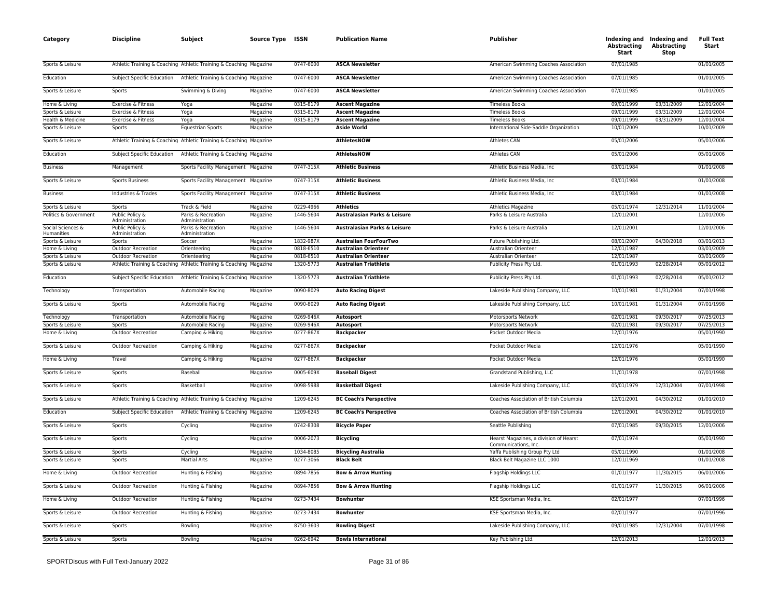| Category                        | <b>Discipline</b>                 | Subject                                                            | Source Type ISSN |           | <b>Publication Name</b>        | <b>Publisher</b>                                               | Abstracting<br>Start | Indexing and Indexing and<br><b>Abstracting</b><br>Stop | <b>Full Text</b><br>Start |
|---------------------------------|-----------------------------------|--------------------------------------------------------------------|------------------|-----------|--------------------------------|----------------------------------------------------------------|----------------------|---------------------------------------------------------|---------------------------|
| Sports & Leisure                |                                   | Athletic Training & Coaching Athletic Training & Coaching Magazine |                  | 0747-6000 | <b>ASCA Newsletter</b>         | American Swimming Coaches Association                          | 07/01/1985           |                                                         | 01/01/2005                |
| Education                       | Subject Specific Education        | Athletic Training & Coaching Magazine                              |                  | 0747-6000 | <b>ASCA Newsletter</b>         | American Swimming Coaches Association                          | 07/01/1985           |                                                         | 01/01/2005                |
| Sports & Leisure                | Sports                            | Swimming & Diving                                                  | Magazine         | 0747-6000 | <b>ASCA Newsletter</b>         | American Swimming Coaches Association                          | 07/01/1985           |                                                         | 01/01/2005                |
| Home & Living                   | Exercise & Fitness                | Yoga                                                               | Magazine         | 0315-8179 | <b>Ascent Magazine</b>         | <b>Timeless Books</b>                                          | 09/01/1999           | 03/31/2009                                              | 12/01/2004                |
| Sports & Leisure                | Exercise & Fitness                | Yoga                                                               | Magazine         | 0315-8179 | <b>Ascent Magazine</b>         | <b>Timeless Books</b>                                          | 09/01/1999           | 03/31/2009                                              | 12/01/2004                |
| Health & Medicine               | Exercise & Fitness                | Yoga                                                               | Magazine         | 0315-8179 | <b>Ascent Magazine</b>         | <b>Timeless Books</b>                                          | 09/01/1999           | 03/31/2009                                              | 12/01/2004                |
| Sports & Leisure                | Sports                            | <b>Equestrian Sports</b>                                           | Magazine         |           | <b>Aside World</b>             | International Side-Saddle Organization                         | 10/01/2009           |                                                         | 10/01/2009                |
| Sports & Leisure                |                                   | Athletic Training & Coaching Athletic Training & Coaching Magazine |                  |           | <b>AthletesNOW</b>             | <b>Athletes CAN</b>                                            | 05/01/2006           |                                                         | 05/01/2006                |
| Education                       | Subject Specific Education        | Athletic Training & Coaching Magazine                              |                  |           | <b>AthletesNOW</b>             | <b>Athletes CAN</b>                                            | 05/01/2006           |                                                         | 05/01/2006                |
| <b>Business</b>                 | Management                        | Sports Facility Management Magazine                                |                  | 0747-315X | <b>Athletic Business</b>       | Athletic Business Media, Inc.                                  | 03/01/1984           |                                                         | 01/01/2008                |
| Sports & Leisure                | <b>Sports Business</b>            | Sports Facility Management Magazine                                |                  | 0747-315X | <b>Athletic Business</b>       | Athletic Business Media, Inc.                                  | 03/01/1984           |                                                         | 01/01/2008                |
| <b>Business</b>                 | Industries & Trades               | Sports Facility Management Magazine                                |                  | 0747-315X | <b>Athletic Business</b>       | Athletic Business Media, Inc.                                  | 03/01/1984           |                                                         | 01/01/2008                |
| Sports & Leisure                | Sports                            | Track & Field                                                      | Magazine         | 0229-4966 | <b>Athletics</b>               | Athletics Magazine                                             | 05/01/1974           | 12/31/2014                                              | 11/01/2004                |
| Politics & Government           | Public Policy &<br>Administration | Parks & Recreation<br>Administration                               | Magazine         | 1446-5604 | Australasian Parks & Leisure   | Parks & Leisure Australia                                      | 12/01/2001           |                                                         | 12/01/2006                |
| Social Sciences &<br>Humanities | Public Policy &<br>Administration | Parks & Recreation<br>Administration                               | Magazine         | 1446-5604 | Australasian Parks & Leisure   | Parks & Leisure Australia                                      | 12/01/2001           |                                                         | 12/01/2006                |
| Sports & Leisure                | Sports                            | Soccer                                                             | Magazine         | 1832-987X | <b>Australian FourFourTwo</b>  | Future Publishing Ltd.                                         | 08/01/2007           | 04/30/2018                                              | 03/01/2013                |
| Home & Living                   | <b>Outdoor Recreation</b>         | Orienteering                                                       | Magazine         | 0818-6510 | <b>Australian Orienteer</b>    | Australian Orienteer                                           | 12/01/1987           |                                                         | 03/01/2009                |
| Sports & Leisure                | Outdoor Recreation                | Orienteering                                                       | Magazine         | 0818-6510 | <b>Australian Orienteer</b>    | Australian Orienteer                                           | 12/01/1987           |                                                         | 03/01/2009                |
| Sports & Leisure                |                                   | Athletic Training & Coaching Athletic Training & Coaching Magazine |                  | 1320-5773 | <b>Australian Triathlete</b>   | Publicity Press Pty Ltd.                                       | 01/01/1993           | 02/28/2014                                              | 05/01/2012                |
| Education                       | Subject Specific Education        | Athletic Training & Coaching Magazine                              |                  | 1320-5773 | <b>Australian Triathlete</b>   | Publicity Press Pty Ltd.                                       | 01/01/1993           | 02/28/2014                                              | 05/01/2012                |
| Technology                      | Transportation                    | Automobile Racing                                                  | Magazine         | 0090-8029 | <b>Auto Racing Digest</b>      | Lakeside Publishing Company, LLC                               | 10/01/1981           | 01/31/2004                                              | 07/01/1998                |
| Sports & Leisure                | Sports                            | Automobile Racing                                                  | Magazine         | 0090-8029 | <b>Auto Racing Digest</b>      | Lakeside Publishing Company, LLC                               | 10/01/1981           | 01/31/2004                                              | 07/01/1998                |
| Technology                      | Transportation                    | Automobile Racing                                                  | Magazine         | 0269-946X | Autosport                      | Motorsports Network                                            | 02/01/1981           | 09/30/2017                                              | 07/25/2013                |
| Sports & Leisure                | Sports                            | Automobile Racing                                                  | Magazine         | 0269-946X | Autosport                      | Motorsports Network                                            | 02/01/1981           | 09/30/2017                                              | 07/25/2013                |
| Home & Living                   | <b>Outdoor Recreation</b>         | Camping & Hiking                                                   | Magazine         | 0277-867X | <b>Backpacker</b>              | Pocket Outdoor Media                                           | 12/01/1976           |                                                         | 05/01/1990                |
| Sports & Leisure                | <b>Outdoor Recreation</b>         | Camping & Hiking                                                   | Magazine         | 0277-867X | <b>Backpacker</b>              | Pocket Outdoor Media                                           | 12/01/1976           |                                                         | 05/01/1990                |
| Home & Living                   | Travel                            | Camping & Hiking                                                   | Magazine         | 0277-867X | <b>Backpacker</b>              | Pocket Outdoor Media                                           | 12/01/1976           |                                                         | 05/01/1990                |
| Sports & Leisure                | Sports                            | Baseball                                                           | Magazine         | 0005-609X | <b>Baseball Digest</b>         | Grandstand Publishing, LLC                                     | 11/01/1978           |                                                         | 07/01/1998                |
| Sports & Leisure                | Sports                            | Basketball                                                         | Magazine         | 0098-5988 | <b>Basketball Digest</b>       | Lakeside Publishing Company, LLC                               | 05/01/1979           | 12/31/2004                                              | 07/01/1998                |
| Sports & Leisure                |                                   | Athletic Training & Coaching Athletic Training & Coaching Magazine |                  | 1209-6245 | <b>BC Coach's Perspective</b>  | Coaches Association of British Columbia                        | 12/01/2001           | 04/30/2012                                              | 01/01/2010                |
| Education                       | Subject Specific Education        | Athletic Training & Coaching Magazine                              |                  | 1209-6245 | <b>BC Coach's Perspective</b>  | Coaches Association of British Columbia                        | 12/01/2001           | 04/30/2012                                              | 01/01/2010                |
| Sports & Leisure                | Sports                            | Cycling                                                            | Magazine         | 0742-8308 | <b>Bicycle Paper</b>           | Seattle Publishing                                             | 07/01/1985           | 09/30/2015                                              | 12/01/2006                |
| Sports & Leisure                | Sports                            | Cycling                                                            | Magazine         | 0006-2073 | <b>Bicycling</b>               | Hearst Magazines, a division of Hearst<br>Communications, Inc. | 07/01/1974           |                                                         | 05/01/1990                |
| Sports & Leisure                | Sports                            | Cycling                                                            | Magazine         | 1034-8085 | <b>Bicycling Australia</b>     | Yaffa Publishing Group Pty Ltd                                 | 05/01/1990           |                                                         | 01/01/2008                |
| Sports & Leisure                | Sports                            | <b>Martial Arts</b>                                                | Magazine         | 0277-3066 | <b>Black Belt</b>              | Black Belt Magazine LLC 1000                                   | 12/01/1969           |                                                         | 01/01/2008                |
| Home & Living                   | <b>Outdoor Recreation</b>         | Hunting & Fishing                                                  | Magazine         | 0894-7856 | <b>Bow &amp; Arrow Hunting</b> | Flagship Holdings LLC                                          | 01/01/1977           | 11/30/2015                                              | 06/01/2006                |
| Sports & Leisure                | <b>Outdoor Recreation</b>         | Hunting & Fishing                                                  | Magazine         | 0894-7856 | <b>Bow &amp; Arrow Hunting</b> | Flagship Holdings LLC                                          | 01/01/1977           | 11/30/2015                                              | 06/01/2006                |
| Home & Living                   | <b>Outdoor Recreation</b>         | Hunting & Fishing                                                  | Magazine         | 0273-7434 | <b>Bowhunter</b>               | KSE Sportsman Media, Inc.                                      | 02/01/1977           |                                                         | 07/01/1996                |
| Sports & Leisure                | Outdoor Recreation                | Hunting & Fishing                                                  | Magazine         | 0273-7434 | <b>Bowhunter</b>               | KSE Sportsman Media, Inc.                                      | 02/01/1977           |                                                         | 07/01/1996                |
| Sports & Leisure                | Sports                            | Bowling                                                            | Magazine         | 8750-3603 | <b>Bowling Digest</b>          | Lakeside Publishing Company, LLC                               | 09/01/1985           | 12/31/2004                                              | 07/01/1998                |
| Sports & Leisure                | Sports                            | Bowling                                                            | Magazine         | 0262-6942 | <b>Bowls International</b>     | Key Publishing Ltd                                             | 12/01/2013           |                                                         | 12/01/2013                |
|                                 |                                   |                                                                    |                  |           |                                |                                                                |                      |                                                         |                           |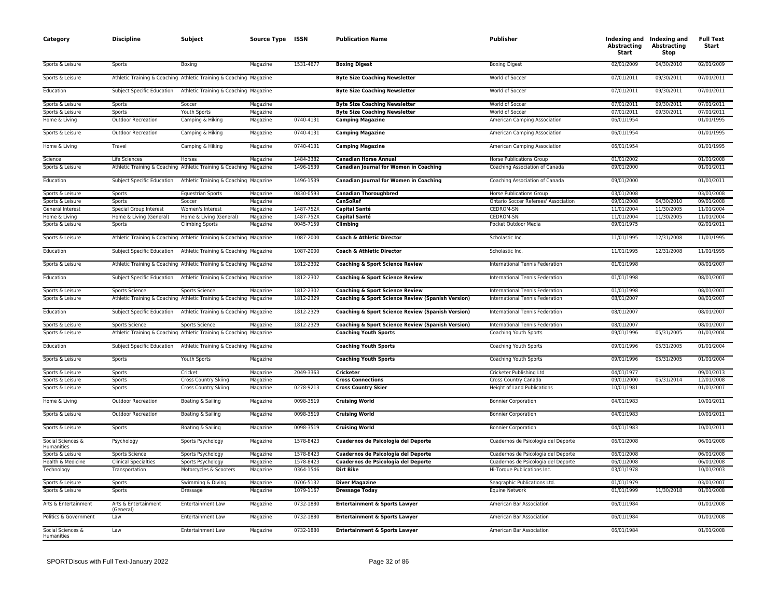| Category                        | <b>Discipline</b>                 | Subject                                                            | Source Type ISSN |           | <b>Publication Name</b>                                      | <b>Publisher</b>                     | <b>Abstracting</b><br>Start | Indexing and Indexing and<br><b>Abstracting</b><br>Stop | <b>Full Text</b><br>Start |
|---------------------------------|-----------------------------------|--------------------------------------------------------------------|------------------|-----------|--------------------------------------------------------------|--------------------------------------|-----------------------------|---------------------------------------------------------|---------------------------|
| Sports & Leisure                | Sports                            | Boxing                                                             | Magazine         | 1531-4677 | <b>Boxing Digest</b>                                         | <b>Boxing Digest</b>                 | 02/01/2009                  | 04/30/2010                                              | 02/01/2009                |
| Sports & Leisure                |                                   | Athletic Training & Coaching Athletic Training & Coaching Magazine |                  |           | <b>Byte Size Coaching Newsletter</b>                         | World of Soccer                      | 07/01/2011                  | 09/30/2011                                              | 07/01/2011                |
| Education                       | Subject Specific Education        | Athletic Training & Coaching Magazine                              |                  |           | <b>Byte Size Coaching Newsletter</b>                         | World of Soccer                      | 07/01/2011                  | 09/30/2011                                              | 07/01/2011                |
| Sports & Leisure                | Sports                            | Soccer                                                             | Magazine         |           | <b>Byte Size Coaching Newsletter</b>                         | World of Soccer                      | 07/01/2011                  | 09/30/2011                                              | 07/01/2011                |
| Sports & Leisure                | Sports                            | Youth Sports                                                       | Magazine         |           | <b>Byte Size Coaching Newsletter</b>                         | World of Soccer                      | 07/01/2011                  | 09/30/2011                                              | 07/01/2011                |
| Home & Living                   | <b>Outdoor Recreation</b>         | Camping & Hiking                                                   | Magazine         | 0740-4131 | <b>Camping Magazine</b>                                      | American Camping Association         | 06/01/1954                  |                                                         | 01/01/1995                |
| Sports & Leisure                | <b>Outdoor Recreation</b>         | Camping & Hiking                                                   | Magazine         | 0740-4131 | <b>Camping Magazine</b>                                      | American Camping Association         | 06/01/1954                  |                                                         | 01/01/1995                |
| Home & Living                   | Travel                            | Camping & Hiking                                                   | Magazine         | 0740-4131 | <b>Camping Magazine</b>                                      | American Camping Association         | 06/01/1954                  |                                                         | 01/01/1995                |
| Science                         | Life Sciences                     | Horses                                                             | Magazine         | 1484-3382 | <b>Canadian Horse Annual</b>                                 | <b>Horse Publications Group</b>      | 01/01/2002                  |                                                         | 01/01/2008                |
| Sports & Leisure                |                                   | Athletic Training & Coaching Athletic Training & Coaching Magazine |                  | 1496-1539 | <b>Canadian Journal for Women in Coaching</b>                | Coaching Association of Canada       | 09/01/2000                  |                                                         | 01/01/2011                |
| Education                       | Subject Specific Education        | Athletic Training & Coaching Magazine                              |                  | 1496-1539 | <b>Canadian Journal for Women in Coaching</b>                | Coaching Association of Canada       | 09/01/2000                  |                                                         | 01/01/2011                |
| Sports & Leisure                | Sports                            | <b>Equestrian Sports</b>                                           | Magazine         | 0830-0593 | <b>Canadian Thoroughbred</b>                                 | <b>Horse Publications Group</b>      | 03/01/2008                  |                                                         | 03/01/2008                |
| Sports & Leisure                | Sports                            | Soccer                                                             | Magazine         |           | <b>CanSoRef</b>                                              | Ontario Soccer Referees' Association | 09/01/2008                  | 04/30/2010                                              | 09/01/2008                |
| General Interest                | Special Group Interest            | Women's Interest                                                   | Magazine         | 1487-752X | <b>Capital Santé</b>                                         | <b>CEDROM-SNi</b>                    | 11/01/2004                  | 11/30/2005                                              | 11/01/2004                |
| Home & Living                   | Home & Living (General)           | Home & Living (General)                                            | Magazine         | 1487-752X | <b>Capital Santé</b>                                         | <b>CEDROM-SNi</b>                    | 11/01/2004                  | 11/30/2005                                              | 11/01/2004                |
| Sports & Leisure                | Sports                            | <b>Climbing Sports</b>                                             | Magazine         | 0045-7159 | Climbing                                                     | Pocket Outdoor Media                 | 09/01/1975                  |                                                         | 02/01/2011                |
| Sports & Leisure                |                                   | Athletic Training & Coaching Athletic Training & Coaching Magazine |                  | 1087-2000 | Coach & Athletic Director                                    | Scholastic Inc.                      | 11/01/1995                  | 12/31/2008                                              | 11/01/1995                |
| Education                       |                                   | Subject Specific Education Athletic Training & Coaching Magazine   |                  | 1087-2000 | Coach & Athletic Director                                    | Scholastic Inc.                      | 11/01/1995                  | 12/31/2008                                              | 11/01/1995                |
| Sports & Leisure                |                                   | Athletic Training & Coaching Athletic Training & Coaching Magazine |                  | 1812-2302 | <b>Coaching &amp; Sport Science Review</b>                   | International Tennis Federation      | 01/01/1998                  |                                                         | 08/01/2007                |
| Education                       | Subject Specific Education        | Athletic Training & Coaching Magazine                              |                  | 1812-2302 | <b>Coaching &amp; Sport Science Review</b>                   | International Tennis Federation      | 01/01/1998                  |                                                         | 08/01/2007                |
| Sports & Leisure                | Sports Science                    | Sports Science                                                     | Magazine         | 1812-2302 | <b>Coaching &amp; Sport Science Review</b>                   | International Tennis Federation      | 01/01/1998                  |                                                         | 08/01/2007                |
| Sports & Leisure                |                                   | Athletic Training & Coaching Athletic Training & Coaching Magazine |                  | 1812-2329 | <b>Coaching &amp; Sport Science Review (Spanish Version)</b> | International Tennis Federation      | 08/01/2007                  |                                                         | 08/01/2007                |
| Education                       |                                   | Subject Specific Education Athletic Training & Coaching Magazine   |                  | 1812-2329 | <b>Coaching &amp; Sport Science Review (Spanish Version)</b> | International Tennis Federation      | 08/01/2007                  |                                                         | 08/01/2007                |
| Sports & Leisure                | Sports Science                    | Sports Science                                                     | Magazine         | 1812-2329 | Coaching & Sport Science Review (Spanish Version)            | International Tennis Federation      | 08/01/2007                  |                                                         | 08/01/2007                |
| Sports & Leisure                |                                   | Athletic Training & Coaching Athletic Training & Coaching Magazine |                  |           | <b>Coaching Youth Sports</b>                                 | Coaching Youth Sports                | 09/01/1996                  | 05/31/2005                                              | 01/01/2004                |
| Education                       |                                   | Subject Specific Education Athletic Training & Coaching Magazine   |                  |           | <b>Coaching Youth Sports</b>                                 | Coaching Youth Sports                | 09/01/1996                  | 05/31/2005                                              | 01/01/2004                |
| Sports & Leisure                | Sports                            | Youth Sports                                                       | Magazine         |           | <b>Coaching Youth Sports</b>                                 | Coaching Youth Sports                | 09/01/1996                  | 05/31/2005                                              | 01/01/2004                |
| Sports & Leisure                | Sports                            | Cricket                                                            | Magazine         | 2049-3363 | <b>Cricketer</b>                                             | Cricketer Publishing Ltd             | 04/01/1977                  |                                                         | 09/01/2013                |
| Sports & Leisure                | Sports                            | <b>Cross Country Skiing</b>                                        | Magazine         |           | <b>Cross Connections</b>                                     | Cross Country Canada                 | 09/01/2000                  | 05/31/2014                                              | 12/01/2008                |
| Sports & Leisure                | Sports                            | <b>Cross Country Skiing</b>                                        | Magazine         | 0278-9213 | <b>Cross Country Skier</b>                                   | <b>Height of Land Publications</b>   | 10/01/1981                  |                                                         | 01/01/2007                |
| Home & Living                   | <b>Outdoor Recreation</b>         | Boating & Sailing                                                  | Magazine         | 0098-3519 | <b>Cruising World</b>                                        | <b>Bonnier Corporation</b>           | 04/01/1983                  |                                                         | 10/01/2011                |
| Sports & Leisure                | <b>Outdoor Recreation</b>         | Boating & Sailing                                                  | Magazine         | 0098-3519 | <b>Cruising World</b>                                        | <b>Bonnier Corporation</b>           | 04/01/1983                  |                                                         | 10/01/2011                |
| Sports & Leisure                | Sports                            | Boating & Sailing                                                  | Magazine         | 0098-3519 | <b>Cruising World</b>                                        | <b>Bonnier Corporation</b>           | 04/01/1983                  |                                                         | 10/01/2011                |
| Social Sciences &<br>Humanities | Psychology                        | Sports Psychology                                                  | Magazine         | 1578-8423 | Cuadernos de Psicología del Deporte                          | Cuadernos de Psicologia del Deporte  | 06/01/2008                  |                                                         | 06/01/2008                |
| Sports & Leisure                | Sports Science                    | Sports Psychology                                                  | Magazine         | 1578-8423 | Cuadernos de Psicología del Deporte                          | Cuadernos de Psicologia del Deporte  | 06/01/2008                  |                                                         | 06/01/2008                |
| Health & Medicine               | <b>Clinical Specialties</b>       | Sports Psychology                                                  | Magazine         | 1578-8423 | Cuadernos de Psicología del Deporte                          | Cuadernos de Psicologia del Deporte  | 06/01/2008                  |                                                         | 06/01/2008                |
| Technology                      | Transportation                    | Motorcycles & Scooters                                             | Magazine         | 0364-1546 | <b>Dirt Bike</b>                                             | Hi-Torque Publications Inc.          | 03/01/1978                  |                                                         | 10/01/2003                |
| Sports & Leisure                | Sports                            | Swimming & Diving                                                  | Magazine         | 0706-5132 | <b>Diver Magazine</b>                                        | Seagraphic Publications Ltd.         | 01/01/1979                  |                                                         | 03/01/2007                |
| Sports & Leisure                | Sports                            | Dressage                                                           | Magazine         | 1079-1167 | <b>Dressage Today</b>                                        | <b>Equine Network</b>                | 01/01/1999                  | 11/30/2018                                              | 01/01/2008                |
| Arts & Entertainment            | Arts & Entertainment<br>(General) | Entertainment Law                                                  | Magazine         | 0732-1880 | <b>Entertainment &amp; Sports Lawyer</b>                     | American Bar Association             | 06/01/1984                  |                                                         | 01/01/2008                |
| Politics & Government           | Law                               | <b>Entertainment Law</b>                                           | Magazine         | 0732-1880 | <b>Entertainment &amp; Sports Lawyer</b>                     | American Bar Association             | 06/01/1984                  |                                                         | 01/01/2008                |
| Social Sciences &<br>Humanities | Law                               | <b>Entertainment Law</b>                                           | Magazine         | 0732-1880 | <b>Entertainment &amp; Sports Lawyer</b>                     | American Bar Association             | 06/01/1984                  |                                                         | 01/01/2008                |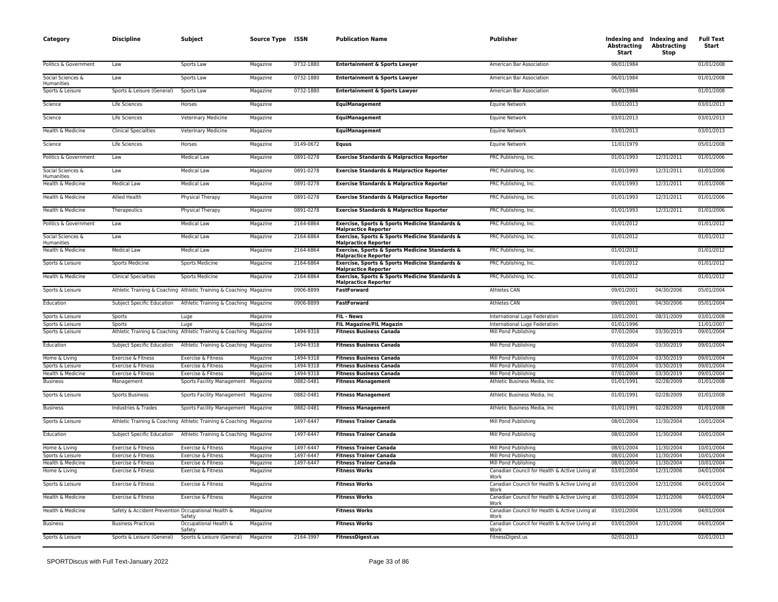| Category                        | <b>Discipline</b>                                  | Subject                                                            | Source Type ISSN |           | <b>Publication Name</b>                                                       | Publisher                                              | Abstracting<br>Start | Indexing and Indexing and<br><b>Abstracting</b><br>Stop | <b>Full Text</b><br>Start |
|---------------------------------|----------------------------------------------------|--------------------------------------------------------------------|------------------|-----------|-------------------------------------------------------------------------------|--------------------------------------------------------|----------------------|---------------------------------------------------------|---------------------------|
| Politics & Government           | Law                                                | Sports Law                                                         | Magazine         | 0732-1880 | <b>Entertainment &amp; Sports Lawyer</b>                                      | American Bar Association                               | 06/01/1984           |                                                         | 01/01/2008                |
| Social Sciences &<br>Humanities | Law                                                | Sports Law                                                         | Magazine         | 0732-1880 | <b>Entertainment &amp; Sports Lawyer</b>                                      | American Bar Association                               | 06/01/1984           |                                                         | 01/01/2008                |
| Sports & Leisure                | Sports & Leisure (General)                         | Sports Law                                                         | Magazine         | 0732-1880 | <b>Entertainment &amp; Sports Lawyer</b>                                      | American Bar Association                               | 06/01/1984           |                                                         | 01/01/2008                |
| Science                         | Life Sciences                                      | Horses                                                             | Magazine         |           | <b>EquiManagement</b>                                                         | <b>Equine Network</b>                                  | 03/01/2013           |                                                         | 03/01/2013                |
| Science                         | <b>Life Sciences</b>                               | <b>Veterinary Medicine</b>                                         | Magazine         |           | <b>EquiManagement</b>                                                         | <b>Equine Network</b>                                  | 03/01/2013           |                                                         | 03/01/2013                |
| Health & Medicine               | <b>Clinical Specialties</b>                        | Veterinary Medicine                                                | Magazine         |           | EquiManagement                                                                | Equine Network                                         | 03/01/2013           |                                                         | 03/01/2013                |
| Science                         | Life Sciences                                      | Horses                                                             | Magazine         | 0149-0672 | <b>Equus</b>                                                                  | Equine Network                                         | 11/01/1979           |                                                         | 05/01/2008                |
| Politics & Government           | Law                                                | <b>Medical Law</b>                                                 | Magazine         | 0891-0278 | <b>Exercise Standards &amp; Malpractice Reporter</b>                          | PRC Publishing, Inc.                                   | 01/01/1993           | 12/31/2011                                              | 01/01/2006                |
| Social Sciences &<br>Humanities | Law                                                | Medical Law                                                        | Magazine         | 0891-0278 | <b>Exercise Standards &amp; Malpractice Reporter</b>                          | PRC Publishing, Inc.                                   | 01/01/1993           | 12/31/2011                                              | 01/01/2006                |
| Health & Medicine               | Medical Law                                        | Medical Law                                                        | Magazine         | 0891-0278 | <b>Exercise Standards &amp; Malpractice Reporter</b>                          | PRC Publishing, Inc.                                   | 01/01/1993           | 12/31/2011                                              | 01/01/2006                |
| Health & Medicine               | Allied Health                                      | Physical Therapy                                                   | Magazine         | 0891-0278 | <b>Exercise Standards &amp; Malpractice Reporter</b>                          | PRC Publishing, Inc.                                   | 01/01/1993           | 12/31/2011                                              | 01/01/2006                |
| Health & Medicine               | Therapeutics                                       | Physical Therapy                                                   | Magazine         | 0891-0278 | Exercise Standards & Malpractice Reporter                                     | PRC Publishing, Inc.                                   | 01/01/1993           | 12/31/2011                                              | 01/01/2006                |
| Politics & Government           | Law                                                | <b>Medical Law</b>                                                 | Magazine         | 2164-6864 | Exercise, Sports & Sports Medicine Standards &                                | PRC Publishing, Inc.                                   | 01/01/2012           |                                                         | 01/01/2012                |
| Social Sciences &               | Law                                                | <b>Medical Law</b>                                                 | Magazine         | 2164-6864 | <b>Malpractice Reporter</b><br>Exercise, Sports & Sports Medicine Standards & | PRC Publishing, Inc.                                   | 01/01/2012           |                                                         | 01/01/2012                |
| Humanities<br>Health & Medicine | <b>Medical Law</b>                                 | <b>Medical Law</b>                                                 | Magazine         | 2164-6864 | <b>Malpractice Reporter</b><br>Exercise, Sports & Sports Medicine Standards & | PRC Publishing, Inc.                                   | 01/01/2012           |                                                         | 01/01/2012                |
| Sports & Leisure                | <b>Sports Medicine</b>                             | <b>Sports Medicine</b>                                             | Magazine         | 2164-6864 | <b>Malpractice Reporter</b><br>Exercise, Sports & Sports Medicine Standards & | PRC Publishing, Inc.                                   | 01/01/2012           |                                                         | 01/01/2012                |
| Health & Medicine               | <b>Clinical Specialties</b>                        | Sports Medicine                                                    | Magazine         | 2164-6864 | <b>Malpractice Reporter</b><br>Exercise, Sports & Sports Medicine Standards & | PRC Publishing, Inc.                                   | 01/01/2012           |                                                         | 01/01/2012                |
| Sports & Leisure                |                                                    | Athletic Training & Coaching Athletic Training & Coaching Magazine |                  | 0906-8899 | <b>Malpractice Reporter</b><br><b>FastForward</b>                             | Athletes CAN                                           | 09/01/2001           | 04/30/2006                                              | 05/01/2004                |
| Education                       | Subject Specific Education                         | Athletic Training & Coaching Magazine                              |                  | 0906-8899 | <b>FastForward</b>                                                            | <b>Athletes CAN</b>                                    | 09/01/2001           | 04/30/2006                                              | 05/01/2004                |
| Sports & Leisure                | Sports                                             | Luge                                                               | Magazine         |           | FIL - News                                                                    | International Luge Federation                          | 10/01/2001           | 08/31/2009                                              | 03/01/2008                |
| Sports & Leisure                | Sports                                             | Luge                                                               | Magazine         |           | FIL Magazine/FIL Magazin                                                      | International Luge Federation                          | 01/01/1996           |                                                         | 11/01/2007                |
| Sports & Leisure                |                                                    | Athletic Training & Coaching Athletic Training & Coaching Magazine |                  | 1494-9318 | <b>Fitness Business Canada</b>                                                | Mill Pond Publishing                                   | 07/01/2004           | 03/30/2019                                              | 09/01/2004                |
| Education                       |                                                    | Subject Specific Education Athletic Training & Coaching Magazine   |                  | 1494-9318 | <b>Fitness Business Canada</b>                                                | Mill Pond Publishing                                   | 07/01/2004           | 03/30/2019                                              | 09/01/2004                |
| Home & Living                   | Exercise & Fitness                                 | Exercise & Fitness                                                 | Magazine         | 1494-9318 | <b>Fitness Business Canada</b>                                                | Mill Pond Publishing                                   | 07/01/2004           | 03/30/2019                                              | 09/01/2004                |
| Sports & Leisure                | Exercise & Fitness                                 | Exercise & Fitness                                                 | Magazine         | 1494-9318 | <b>Fitness Business Canada</b>                                                | Mill Pond Publishing                                   | 07/01/2004           | 03/30/2019                                              | 09/01/2004                |
| Health & Medicine               | Exercise & Fitness                                 | Exercise & Fitness                                                 | Magazine         | 1494-9318 | <b>Fitness Business Canada</b>                                                | Mill Pond Publishing                                   | 07/01/2004           | 03/30/2019                                              | 09/01/2004                |
| <b>Business</b>                 | Management                                         | Sports Facility Management                                         | Magazine         | 0882-0481 | <b>Fitness Management</b>                                                     | Athletic Business Media, Inc.                          | 01/01/1991           | 02/28/2009                                              | 01/01/2008                |
| Sports & Leisure                | <b>Sports Business</b>                             | Sports Facility Management Magazine                                |                  | 0882-0481 | <b>Fitness Management</b>                                                     | Athletic Business Media, Inc                           | 01/01/1991           | 02/28/2009                                              | 01/01/2008                |
| <b>Business</b>                 | Industries & Trades                                | Sports Facility Management Magazine                                |                  | 0882-0481 | <b>Fitness Management</b>                                                     | Athletic Business Media, Inc                           | 01/01/1991           | 02/28/2009                                              | 01/01/2008                |
| Sports & Leisure                |                                                    | Athletic Training & Coaching Athletic Training & Coaching Magazine |                  | 1497-6447 | <b>Fitness Trainer Canada</b>                                                 | Mill Pond Publishing                                   | 08/01/2004           | 11/30/2004                                              | 10/01/2004                |
| Education                       |                                                    | Subject Specific Education Athletic Training & Coaching Magazine   |                  | 1497-6447 | <b>Fitness Trainer Canada</b>                                                 | Mill Pond Publishing                                   | 08/01/2004           | 11/30/2004                                              | 10/01/2004                |
| Home & Living                   | Exercise & Fitness                                 | Exercise & Fitness                                                 | Magazine         | 1497-6447 | <b>Fitness Trainer Canada</b>                                                 | Mill Pond Publishing                                   | 08/01/2004           | 11/30/2004                                              | 10/01/2004                |
| Sports & Leisure                | Exercise & Fitness                                 | Exercise & Fitness                                                 | Magazine         | 1497-6447 | <b>Fitness Trainer Canada</b>                                                 | Mill Pond Publishing                                   | 08/01/2004           | 11/30/2004                                              | 10/01/2004                |
| Health & Medicine               | Exercise & Fitness                                 | Exercise & Fitness                                                 | Magazine         | 1497-6447 | <b>Fitness Trainer Canada</b>                                                 | Mill Pond Publishing                                   | 08/01/2004           | 11/30/2004                                              | 10/01/2004                |
| Home & Living                   | Exercise & Fitness                                 | Exercise & Fitness                                                 | Magazine         |           | <b>Fitness Works</b>                                                          | Canadian Council for Health & Active Living at<br>Work | 03/01/2004           | 12/31/2006                                              | 04/01/2004                |
| Sports & Leisure                | Exercise & Fitness                                 | Exercise & Fitness                                                 | Magazine         |           | <b>Fitness Works</b>                                                          | Canadian Council for Health & Active Living at<br>Work | 03/01/2004           | 12/31/2006                                              | 04/01/2004                |
| Health & Medicine               | Exercise & Fitness                                 | Exercise & Fitness                                                 | Magazine         |           | <b>Fitness Works</b>                                                          | Canadian Council for Health & Active Living at<br>Work | 03/01/2004           | 12/31/2006                                              | 04/01/2004                |
| Health & Medicine               | Safety & Accident Prevention Occupational Health & | Safety                                                             | Magazine         |           | <b>Fitness Works</b>                                                          | Canadian Council for Health & Active Living at<br>Work | 03/01/2004           | 12/31/2006                                              | 04/01/2004                |
| <b>Business</b>                 | <b>Business Practices</b>                          | Occupational Health &<br>Safety                                    | Magazine         |           | <b>Fitness Works</b>                                                          | Canadian Council for Health & Active Living at<br>Work | 03/01/2004           | 12/31/2006                                              | 04/01/2004                |
| Sports & Leisure                | Sports & Leisure (General)                         | Sports & Leisure (General)                                         | Magazine         | 2164-3997 | <b>FitnessDigest.us</b>                                                       | FitnessDigest.us                                       | 02/01/2013           |                                                         | 02/01/2013                |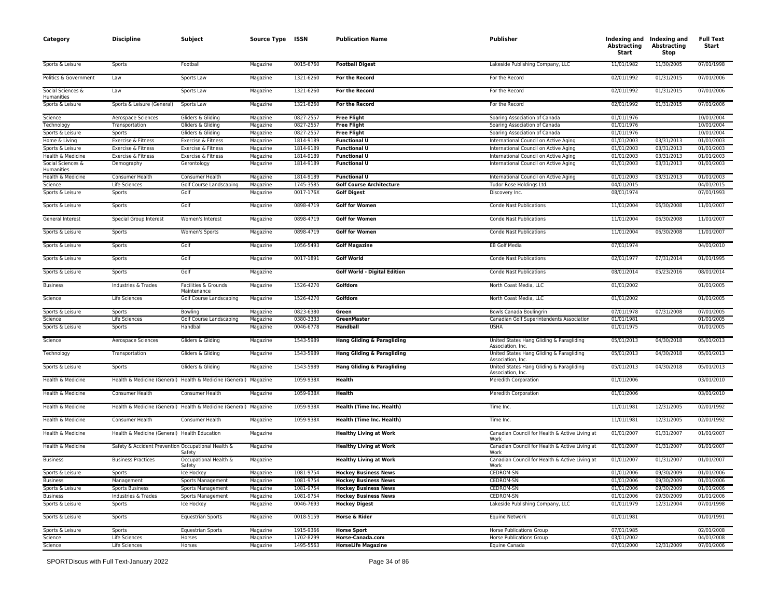| Category                        | <b>Discipline</b>                                  | Subject                                                          | Source Type ISSN |           | <b>Publication Name</b>                | Publisher                                                     | <b>Abstracting</b><br>Start | Indexing and Indexing and<br><b>Abstracting</b><br><b>Stop</b> | <b>Full Text</b><br>Start |
|---------------------------------|----------------------------------------------------|------------------------------------------------------------------|------------------|-----------|----------------------------------------|---------------------------------------------------------------|-----------------------------|----------------------------------------------------------------|---------------------------|
| Sports & Leisure                | Sports                                             | Football                                                         | Magazine         | 0015-6760 | <b>Football Digest</b>                 | Lakeside Publishing Company, LLC                              | 11/01/1982                  | 11/30/2005                                                     | 07/01/1998                |
| Politics & Government           | Law                                                | Sports Law                                                       | Magazine         | 1321-6260 | For the Record                         | For the Record                                                | 02/01/1992                  | 01/31/2015                                                     | 07/01/2006                |
| Social Sciences &<br>Humanities | Law                                                | Sports Law                                                       | Magazine         | 1321-6260 | For the Record                         | For the Record                                                | 02/01/1992                  | 01/31/2015                                                     | 07/01/2006                |
| Sports & Leisure                | Sports & Leisure (General)                         | Sports Law                                                       | Magazine         | 1321-6260 | For the Record                         | For the Record                                                | 02/01/1992                  | 01/31/2015                                                     | 07/01/2006                |
| Science                         | Aerospace Sciences                                 | Gliders & Gliding                                                | Magazine         | 0827-2557 | <b>Free Flight</b>                     | Soaring Association of Canada                                 | 01/01/1976                  |                                                                | 10/01/2004                |
| Technology                      | Transportation                                     | Gliders & Gliding                                                | Magazine         | 0827-2557 | <b>Free Flight</b>                     | Soaring Association of Canada                                 | 01/01/1976                  |                                                                | 10/01/2004                |
| Sports & Leisure                | Sports                                             | Gliders & Gliding                                                | Magazine         | 0827-2557 | <b>Free Flight</b>                     | Soaring Association of Canada                                 | 01/01/1976                  |                                                                | 10/01/2004                |
| Home & Living                   | Exercise & Fitness                                 | Exercise & Fitness                                               | Magazine         | 1814-9189 | <b>Functional U</b>                    | International Council on Active Aging                         | 01/01/2003                  | 03/31/2013                                                     | 01/01/2003                |
| Sports & Leisure                | Exercise & Fitness                                 | Exercise & Fitness                                               | Magazine         | 1814-9189 | <b>Functional U</b>                    | International Council on Active Aging                         | 01/01/2003                  | 03/31/2013                                                     | 01/01/2003                |
| Health & Medicine               | Exercise & Fitness                                 | Exercise & Fitness                                               | Magazine         | 1814-9189 | <b>Functional U</b>                    | International Council on Active Aging                         | 01/01/2003                  | 03/31/2013                                                     | 01/01/2003                |
| Social Sciences &<br>Humanities | Demography                                         | Gerontology                                                      | Magazine         | 1814-9189 | <b>Functional U</b>                    | International Council on Active Aging                         | 01/01/2003                  | 03/31/2013                                                     | 01/01/2003                |
| Health & Medicine               | Consumer Health                                    | Consumer Health                                                  | Magazine         | 1814-9189 | <b>Functional U</b>                    | International Council on Active Aging                         | 01/01/2003                  | 03/31/2013                                                     | 01/01/2003                |
| Science                         | Life Sciences                                      | Golf Course Landscaping                                          | Magazine         | 1745-3585 | <b>Golf Course Architecture</b>        | Tudor Rose Holdings Ltd.                                      | 04/01/2015                  |                                                                | 04/01/2015                |
| Sports & Leisure                | Sports                                             | Golf                                                             | Magazine         | 0017-176X | <b>Golf Digest</b>                     | Discovery Inc.                                                | 08/01/1974                  |                                                                | 07/01/1993                |
| Sports & Leisure                | Sports                                             | Golf                                                             | Magazine         | 0898-4719 | <b>Golf for Women</b>                  | <b>Conde Nast Publications</b>                                | 11/01/2004                  | 06/30/2008                                                     | 11/01/2007                |
| General Interest                | Special Group Interest                             | Women's Interest                                                 | Magazine         | 0898-4719 | <b>Golf for Women</b>                  | <b>Conde Nast Publications</b>                                | 11/01/2004                  | 06/30/2008                                                     | 11/01/2007                |
| Sports & Leisure                | Sports                                             | Women's Sports                                                   | Magazine         | 0898-4719 | <b>Golf for Women</b>                  | <b>Conde Nast Publications</b>                                | 11/01/2004                  | 06/30/2008                                                     | 11/01/2007                |
| Sports & Leisure                | Sports                                             | Golf                                                             | Magazine         | 1056-5493 | <b>Golf Magazine</b>                   | <b>EB Golf Media</b>                                          | 07/01/1974                  |                                                                | 04/01/2010                |
| Sports & Leisure                | Sports                                             | Golf                                                             | Magazine         | 0017-1891 | <b>Golf World</b>                      | <b>Conde Nast Publications</b>                                | 02/01/1977                  | 07/31/2014                                                     | 01/01/1995                |
| Sports & Leisure                | Sports                                             | Golf                                                             | Magazine         |           | <b>Golf World - Digital Edition</b>    | <b>Conde Nast Publications</b>                                | 08/01/2014                  | 05/23/2016                                                     | 08/01/2014                |
| <b>Business</b>                 | Industries & Trades                                | Facilities & Grounds<br>Maintenance                              | Magazine         | 1526-4270 | Golfdom                                | North Coast Media, LLC                                        | 01/01/2002                  |                                                                | 01/01/2005                |
| Science                         | Life Sciences                                      | Golf Course Landscaping                                          | Magazine         | 1526-4270 | Golfdom                                | North Coast Media, LLC                                        | 01/01/2002                  |                                                                | 01/01/2005                |
| Sports & Leisure                | Sports                                             | Bowling                                                          | Magazine         | 0823-6380 | Green                                  | Bowls Canada Boulingrin                                       | 07/01/1978                  | 07/31/2008                                                     | 07/01/2005                |
| Science                         | Life Sciences                                      | Golf Course Landscaping                                          | Magazine         | 0380-3333 | GreenMaster                            | Canadian Golf Superintendents Association                     | 01/01/1981                  |                                                                | 01/01/2005                |
| Sports & Leisure                | Sports                                             | Handball                                                         | Magazine         | 0046-6778 | Handball                               | <b>USHA</b>                                                   | 01/01/1975                  |                                                                | 01/01/2005                |
| Science                         | Aerospace Sciences                                 | Gliders & Gliding                                                | Magazine         | 1543-5989 | Hang Gliding & Paragliding             | United States Hang Gliding & Paragliding<br>Association, Inc. | 05/01/2013                  | 04/30/2018                                                     | 05/01/2013                |
| Technology                      | Transportation                                     | Gliders & Gliding                                                | Magazine         | 1543-5989 | Hang Gliding & Paragliding             | United States Hang Gliding & Paragliding<br>Association, Inc. | 05/01/2013                  | 04/30/2018                                                     | 05/01/2013                |
| Sports & Leisure                | Sports                                             | Gliders & Gliding                                                | Magazine         | 1543-5989 | <b>Hang Gliding &amp; Paragliding</b>  | United States Hang Gliding & Paragliding<br>Association, Inc. | 05/01/2013                  | 04/30/2018                                                     | 05/01/2013                |
| Health & Medicine               |                                                    | Health & Medicine (General) Health & Medicine (General) Magazine |                  | 1059-938X | Health                                 | Meredith Corporation                                          | 01/01/2006                  |                                                                | 03/01/2010                |
| Health & Medicine               | Consumer Health                                    | Consumer Health                                                  | Magazine         | 1059-938X | Health                                 | Meredith Corporation                                          | 01/01/2006                  |                                                                | 03/01/2010                |
| Health & Medicine               |                                                    | Health & Medicine (General) Health & Medicine (General) Magazine |                  | 1059-938X | Health (Time Inc. Health)              | Time Inc.                                                     | 11/01/1981                  | 12/31/2005                                                     | 02/01/1992                |
| Health & Medicine               | Consumer Health                                    | Consumer Health                                                  | Magazine         | 1059-938X | Health (Time Inc. Health)              | Time Inc.                                                     | 11/01/1981                  | 12/31/2005                                                     | 02/01/1992                |
| Health & Medicine               | Health & Medicine (General) Health Education       |                                                                  | Magazine         |           | <b>Healthy Living at Work</b>          | Canadian Council for Health & Active Living at<br>Work        | 01/01/2007                  | 01/31/2007                                                     | 01/01/2007                |
| Health & Medicine               | Safety & Accident Prevention Occupational Health & | Safety                                                           | Magazine         |           | <b>Healthy Living at Work</b>          | Canadian Council for Health & Active Living at<br>Work        | 01/01/2007                  | 01/31/2007                                                     | 01/01/2007                |
| <b>Business</b>                 | <b>Business Practices</b>                          | Occupational Health &<br>Safety                                  | Magazine         |           | <b>Healthy Living at Work</b>          | Canadian Council for Health & Active Living at<br>Work        | 01/01/2007                  | 01/31/2007                                                     | 01/01/2007                |
| Sports & Leisure                | Sports                                             | Ice Hockey                                                       | Magazine         | 1081-9754 | <b>Hockey Business News</b>            | <b>CEDROM-SNi</b>                                             | 01/01/2006                  | 09/30/2009                                                     | 01/01/2006                |
| <b>Business</b>                 | Management                                         | Sports Management                                                | Magazine         | 1081-9754 | <b>Hockey Business News</b>            | CEDROM-SNi                                                    | 01/01/2006                  | 09/30/2009                                                     | 01/01/2006                |
| Sports & Leisure                | <b>Sports Business</b>                             | Sports Management                                                | Magazine         | 1081-9754 | <b>Hockey Business News</b>            | CEDROM-SNi                                                    | 01/01/2006                  | 09/30/2009                                                     | 01/01/2006                |
| <b>Business</b>                 | Industries & Trades                                | Sports Management                                                | Magazine         | 1081-9754 | <b>Hockey Business News</b>            | CEDROM-SNi                                                    | 01/01/2006                  | 09/30/2009                                                     | 01/01/2006                |
| Sports & Leisure                | Sports                                             | Ice Hockey                                                       | Magazine         | 0046-7693 | <b>Hockey Digest</b>                   | Lakeside Publishing Company, LLC                              | 01/01/1979                  | 12/31/2004                                                     | 07/01/1998                |
| Sports & Leisure                | Sports                                             | <b>Equestrian Sports</b>                                         | Magazine         | 0018-5159 | Horse & Rider                          | Equine Network                                                | 01/01/1981                  |                                                                | 01/01/1991                |
| Sports & Leisure<br>Science     | Sports                                             | <b>Equestrian Sports</b>                                         | Magazine         | 1915-9366 | <b>Horse Sport</b><br>Horse-Canada.com | <b>Horse Publications Group</b>                               | 07/01/1985                  |                                                                | 02/01/2008                |
|                                 | Life Sciences                                      | Horses                                                           | Magazine         | 1702-8299 |                                        | <b>Horse Publications Group</b>                               | 03/01/2002                  |                                                                | 04/01/2008                |
| Science                         | Life Sciences                                      | Horses                                                           | Magazine         | 1495-5563 | <b>HorseLife Magazine</b>              | Equine Canada                                                 | 07/01/2000                  | 12/31/2009                                                     | 07/01/2006                |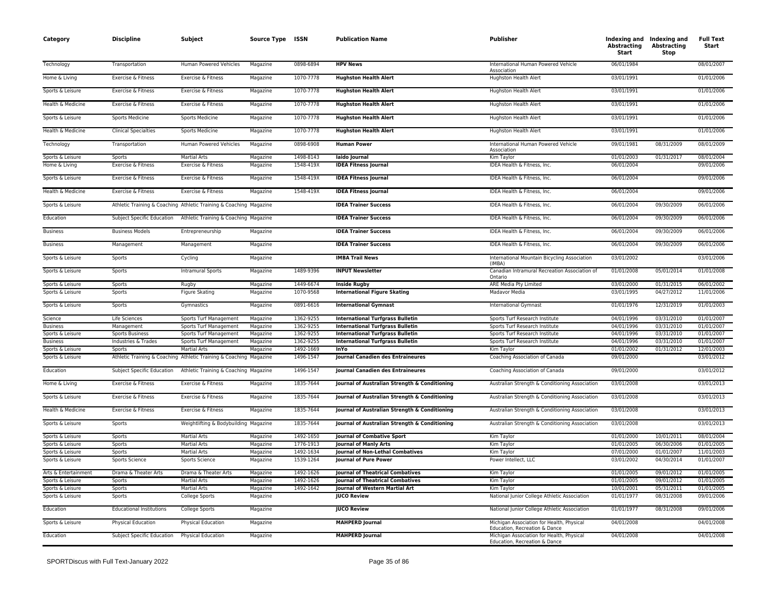| Category                             | <b>Discipline</b>                             | Subject                                                            | Source Type ISSN     |                        | <b>Publication Name</b>                                     | <b>Publisher</b>                                                           | Abstracting<br>Start     | Indexing and Indexing and<br><b>Abstracting</b><br>Stop | <b>Full Text</b><br>Start |
|--------------------------------------|-----------------------------------------------|--------------------------------------------------------------------|----------------------|------------------------|-------------------------------------------------------------|----------------------------------------------------------------------------|--------------------------|---------------------------------------------------------|---------------------------|
| Technology                           | Transportation                                | Human Powered Vehicles                                             | Magazine             | 0898-6894              | <b>HPV News</b>                                             | International Human Powered Vehicle<br>Association                         | 06/01/1984               |                                                         | 08/01/2007                |
| Home & Living                        | Exercise & Fitness                            | Exercise & Fitness                                                 | Magazine             | 1070-7778              | <b>Hughston Health Alert</b>                                | Hughston Health Alert                                                      | 03/01/1991               |                                                         | 01/01/2006                |
| Sports & Leisure                     | Exercise & Fitness                            | Exercise & Fitness                                                 | Magazine             | 1070-7778              | <b>Hughston Health Alert</b>                                | Hughston Health Alert                                                      | 03/01/1991               |                                                         | 01/01/2006                |
| Health & Medicine                    | Exercise & Fitness                            | Exercise & Fitness                                                 | Magazine             | 1070-7778              | <b>Hughston Health Alert</b>                                | Hughston Health Alert                                                      | 03/01/1991               |                                                         | 01/01/2006                |
| Sports & Leisure                     | <b>Sports Medicine</b>                        | Sports Medicine                                                    | Magazine             | 1070-7778              | <b>Hughston Health Alert</b>                                | Hughston Health Alert                                                      | 03/01/1991               |                                                         | 01/01/2006                |
| Health & Medicine                    | <b>Clinical Specialties</b>                   | Sports Medicine                                                    | Magazine             | 1070-7778              | <b>Hughston Health Alert</b>                                | Hughston Health Alert                                                      | 03/01/1991               |                                                         | 01/01/2006                |
| Technology                           | Transportation                                | Human Powered Vehicles                                             | Magazine             | 0898-6908              | <b>Human Power</b>                                          | International Human Powered Vehicle<br>Association                         | 09/01/1981               | 08/31/2009                                              | 08/01/2009                |
| Sports & Leisure                     | Sports                                        | <b>Martial Arts</b>                                                | Magazine             | 1498-8143              | laido Journal                                               | Kim Taylor                                                                 | 01/01/2003               | 01/31/2017                                              | 08/01/2004                |
| Home & Living                        | Exercise & Fitness                            | Exercise & Fitness                                                 | Magazine             | 1548-419X              | <b>IDEA Fitness Journal</b>                                 | IDEA Health & Fitness, Inc.                                                | 06/01/2004               |                                                         | 09/01/2006                |
| Sports & Leisure                     | Exercise & Fitness                            | Exercise & Fitness                                                 | Magazine             | 1548-419X              | <b>IDEA Fitness Journal</b>                                 | IDEA Health & Fitness, Inc.                                                | 06/01/2004               |                                                         | 09/01/2006                |
| Health & Medicine                    | Exercise & Fitness                            | Exercise & Fitness                                                 | Magazine             | 1548-419X              | <b>IDEA Fitness Journal</b>                                 | IDEA Health & Fitness, Inc.                                                | 06/01/2004               |                                                         | 09/01/2006                |
| Sports & Leisure                     |                                               | Athletic Training & Coaching Athletic Training & Coaching Magazine |                      |                        | <b>IDEA Trainer Success</b>                                 | IDEA Health & Fitness, Inc.                                                | 06/01/2004               | 09/30/2009                                              | 06/01/2006                |
| Education                            |                                               | Subject Specific Education Athletic Training & Coaching Magazine   |                      |                        | <b>IDEA Trainer Success</b>                                 | IDEA Health & Fitness, Inc.                                                | 06/01/2004               | 09/30/2009                                              | 06/01/2006                |
| <b>Business</b>                      | <b>Business Models</b>                        | Entrepreneurship                                                   | Magazine             |                        | <b>IDEA Trainer Success</b>                                 | IDEA Health & Fitness, Inc.                                                | 06/01/2004               | 09/30/2009                                              | 06/01/2006                |
| <b>Business</b>                      | Management                                    | Management                                                         | Magazine             |                        | <b>IDEA Trainer Success</b>                                 | IDEA Health & Fitness, Inc.                                                | 06/01/2004               | 09/30/2009                                              | 06/01/2006                |
| Sports & Leisure                     | Sports                                        | Cycling                                                            | Magazine             |                        | <b>IMBA Trail News</b>                                      | International Mountain Bicycling Association<br>(IMRA)                     | 03/01/2002               |                                                         | 03/01/2006                |
| Sports & Leisure                     | Sports                                        | <b>Intramural Sports</b>                                           | Magazine             | 1489-9396              | <b>INPUT Newsletter</b>                                     | Canadian Intramural Recreation Association of<br>Ontario                   | 01/01/2008               | 05/01/2014                                              | 01/01/2008                |
| Sports & Leisure                     | Sports                                        | Rugby                                                              | Magazine             | 1449-6674              | <b>Inside Rugby</b>                                         | ARE Media Pty Limited                                                      | 03/01/2000               | 01/31/2015                                              | 06/01/2002                |
| Sports & Leisure                     | Sports                                        | <b>Figure Skating</b>                                              | Magazine             | 1070-9568              | <b>International Figure Skating</b>                         | Madavor Media                                                              | 03/01/1995               | 04/27/2012                                              | 11/01/2006                |
| Sports & Leisure                     | Sports                                        | Gymnastics                                                         | Magazine             | 0891-6616              | <b>International Gymnast</b>                                | <b>International Gymnast</b>                                               | 01/01/1976               | 12/31/2019                                              | 01/01/2003                |
| Science                              | Life Sciences                                 | Sports Turf Management                                             | Magazine             | 1362-9255              | <b>International Turfgrass Bulletin</b>                     | Sports Turf Research Institute                                             | 04/01/1996               | 03/31/2010                                              | 01/01/2007                |
| <b>Business</b>                      | Management                                    | Sports Turf Management                                             | Magazine             | 1362-9255              | <b>International Turfgrass Bulletin</b>                     | Sports Turf Research Institute                                             | 04/01/1996               | 03/31/2010                                              | 01/01/2007                |
| Sports & Leisure<br><b>Business</b>  | <b>Sports Business</b><br>Industries & Trades | Sports Turf Management                                             | Magazine<br>Magazine | 1362-9255<br>1362-9255 | <b>International Turfgrass Bulletin</b>                     | Sports Turf Research Institute<br>Sports Turf Research Institute           | 04/01/1996<br>04/01/1996 | 03/31/2010<br>03/31/2010                                | 01/01/2007<br>01/01/2007  |
| Sports & Leisure                     | Sports                                        | Sports Turf Management<br><b>Martial Arts</b>                      | Magazine             | 1492-1669              | <b>International Turfgrass Bulletin</b><br>InYo             | Kim Taylor                                                                 | 01/01/2002               | 01/31/2012                                              | 12/01/2003                |
| Sports & Leisure                     |                                               | Athletic Training & Coaching Athletic Training & Coaching Magazine |                      | 1496-1547              | Journal Canadien des Entraineures                           | Coaching Association of Canada                                             | 09/01/2000               |                                                         | 03/01/2012                |
| Education                            | Subject Specific Education                    | Athletic Training & Coaching Magazine                              |                      | 1496-1547              | Journal Canadien des Entraineures                           | Coaching Association of Canada                                             | 09/01/2000               |                                                         | 03/01/2012                |
| Home & Living                        | Exercise & Fitness                            | Exercise & Fitness                                                 | Magazine             | 1835-7644              | Journal of Australian Strength & Conditioning               | Australian Strength & Conditioning Association                             | 03/01/2008               |                                                         | 03/01/2013                |
| Sports & Leisure                     | Exercise & Fitness                            | Exercise & Fitness                                                 | Magazine             | 1835-7644              | Journal of Australian Strength & Conditioning               | Australian Strength & Conditioning Association                             | 03/01/2008               |                                                         | 03/01/2013                |
| Health & Medicine                    | Exercise & Fitness                            | Exercise & Fitness                                                 | Magazine             | 1835-7644              | Journal of Australian Strength & Conditioning               | Australian Strength & Conditioning Association                             | 03/01/2008               |                                                         | 03/01/2013                |
| Sports & Leisure                     | <b>Sports</b>                                 | Weightlifting & Bodybuilding Magazine                              |                      | 1835-7644              | Journal of Australian Strength & Conditioning               | Australian Strength & Conditioning Association                             | 03/01/2008               |                                                         | 03/01/2013                |
| Sports & Leisure                     | <b>Sports</b>                                 | <b>Martial Arts</b>                                                | Magazine             | 1492-1650              | <b>Journal of Combative Sport</b>                           | Kim Taylor                                                                 | 01/01/2000               | 10/01/2011                                              | 08/01/2004                |
| Sports & Leisure                     | Sports                                        | <b>Martial Arts</b>                                                | Magazine             | 1776-1913              | <b>Journal of Manly Arts</b>                                | Kim Taylor                                                                 | 01/01/2005               | 06/30/2006                                              | 01/01/2005                |
| Sports & Leisure                     | Sports                                        | <b>Martial Arts</b>                                                | Magazine             | 1492-1634              | Journal of Non-Lethal Combatives                            | Kim Taylor                                                                 | 07/01/2000               | 01/01/2007                                              | 11/01/2003                |
| Sports & Leisure                     | Sports Science                                | Sports Science                                                     | Magazine             | 1539-1264              | Journal of Pure Power                                       | Power Intellect, LLC                                                       | 03/01/2002               | 04/30/2014                                              | 01/01/2007                |
| Arts & Entertainment                 | Drama & Theater Arts                          | Drama & Theater Arts                                               | Magazine             | 1492-1626              | <b>Journal of Theatrical Combatives</b>                     | Kim Taylor                                                                 | 01/01/2005               | 09/01/2012                                              | 01/01/2005                |
| Sports & Leisure                     | Sports                                        | <b>Martial Arts</b>                                                | Magazine             | 1492-1626              | Journal of Theatrical Combatives                            | Kim Taylor                                                                 | 01/01/2005               | 09/01/2012                                              | 01/01/2005                |
| Sports & Leisure<br>Sports & Leisure | Sports<br>Sports                              | <b>Martial Arts</b><br>College Sports                              | Magazine<br>Magazine | 1492-1642              | <b>Journal of Western Martial Art</b><br><b>JUCO Review</b> | Kim Taylor<br>National Junior College Athletic Association                 | 10/01/2001<br>01/01/1977 | 05/31/2011<br>08/31/2008                                | 01/01/2005<br>09/01/2006  |
| Education                            | <b>Educational Institutions</b>               | College Sports                                                     | Magazine             |                        | <b>JUCO Review</b>                                          | National Junior College Athletic Association                               | 01/01/1977               | 08/31/2008                                              | 09/01/2006                |
| Sports & Leisure                     | Physical Education                            | Physical Education                                                 | Magazine             |                        | <b>MAHPERD Journal</b>                                      | Michigan Association for Health, Physical<br>Education, Recreation & Dance | 04/01/2008               |                                                         | 04/01/2008                |
| Education                            | Subject Specific Education                    | Physical Education                                                 | Magazine             |                        | <b>MAHPERD Journal</b>                                      | Michigan Association for Health, Physical<br>Education, Recreation & Dance | 04/01/2008               |                                                         | 04/01/2008                |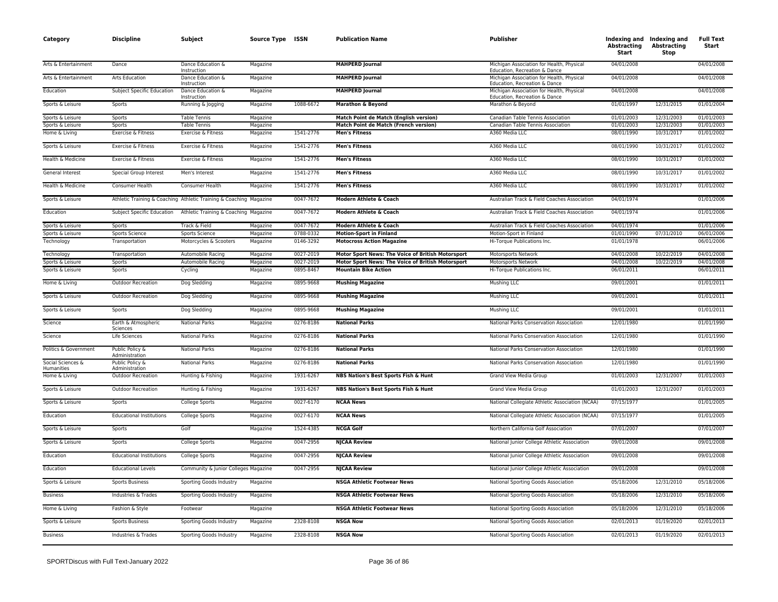| Category                        | <b>Discipline</b>                 | Subject                                                            | Source Type ISSN |           | <b>Publication Name</b>                                       | Publisher                                                                  | <b>Abstracting</b><br>Start | Indexing and Indexing and<br><b>Abstracting</b><br>Stop | <b>Full Text</b><br>Start |
|---------------------------------|-----------------------------------|--------------------------------------------------------------------|------------------|-----------|---------------------------------------------------------------|----------------------------------------------------------------------------|-----------------------------|---------------------------------------------------------|---------------------------|
| Arts & Entertainment            | Dance                             | Dance Education &<br>Instruction                                   | Magazine         |           | <b>MAHPERD Journal</b>                                        | Michigan Association for Health, Physical<br>Education, Recreation & Dance | 04/01/2008                  |                                                         | 04/01/2008                |
| Arts & Entertainment            | Arts Education                    | Dance Education &<br>Instruction                                   | Magazine         |           | <b>MAHPERD Journal</b>                                        | Michigan Association for Health, Physical<br>Education, Recreation & Dance | 04/01/2008                  |                                                         | 04/01/2008                |
| Education                       | Subject Specific Education        | Dance Education &<br>Instruction                                   | Magazine         |           | <b>MAHPERD Journal</b>                                        | Michigan Association for Health, Physical<br>Education, Recreation & Dance | 04/01/2008                  |                                                         | 04/01/2008                |
| Sports & Leisure                | Sports                            | Running & Jogging                                                  | Magazine         | 1088-6672 | Marathon & Beyond                                             | Marathon & Beyond                                                          | 01/01/1997                  | 12/31/2015                                              | 01/01/2004                |
| Sports & Leisure                | <b>Sports</b>                     | <b>Table Tennis</b>                                                | Magazine         |           | Match Point de Match (English version)                        | Canadian Table Tennis Association                                          | 01/01/2003                  | 12/31/2003                                              | 01/01/2003                |
| Sports & Leisure                | Sports                            | <b>Table Tennis</b><br>Exercise & Fitness                          | Magazine         | 1541-2776 | Match Point de Match (French version)<br><b>Men's Fitness</b> | Canadian Table Tennis Association<br>A360 Media LLC                        | 01/01/2003<br>08/01/1990    | 12/31/2003<br>10/31/2017                                | 01/01/2003<br>01/01/2002  |
| Home & Living                   | Exercise & Fitness                |                                                                    | Magazine         |           |                                                               |                                                                            |                             |                                                         |                           |
| Sports & Leisure                | Exercise & Fitness                | Exercise & Fitness                                                 | Magazine         | 1541-2776 | <b>Men's Fitness</b>                                          | A360 Media LLC                                                             | 08/01/1990                  | 10/31/2017                                              | 01/01/2002                |
| Health & Medicine               | Exercise & Fitness                | Exercise & Fitness                                                 | Magazine         | 1541-2776 | <b>Men's Fitness</b>                                          | A360 Media LLC                                                             | 08/01/1990                  | 10/31/2017                                              | 01/01/2002                |
| General Interest                | Special Group Interest            | Men's Interest                                                     | Magazine         | 1541-2776 | <b>Men's Fitness</b>                                          | A360 Media LLC                                                             | 08/01/1990                  | 10/31/2017                                              | 01/01/2002                |
| Health & Medicine               | Consumer Health                   | Consumer Health                                                    | Magazine         | 1541-2776 | <b>Men's Fitness</b>                                          | A360 Media LLC                                                             | 08/01/1990                  | 10/31/2017                                              | 01/01/2002                |
| Sports & Leisure                |                                   | Athletic Training & Coaching Athletic Training & Coaching Magazine |                  | 0047-7672 | Modern Athlete & Coach                                        | Australian Track & Field Coaches Association                               | 04/01/1974                  |                                                         | 01/01/2006                |
| Education                       | Subject Specific Education        | Athletic Training & Coaching Magazine                              |                  | 0047-7672 | Modern Athlete & Coach                                        | Australian Track & Field Coaches Association                               | 04/01/1974                  |                                                         | 01/01/2006                |
| Sports & Leisure                | Sports                            | Track & Field                                                      | Magazine         | 0047-7672 | Modern Athlete & Coach                                        | Australian Track & Field Coaches Association                               | 04/01/1974                  |                                                         | 01/01/2006                |
| Sports & Leisure                | Sports Science                    | Sports Science                                                     | Magazine         | 0788-0332 | <b>Motion-Sport in Finland</b>                                | Motion-Sport in Finland                                                    | 01/01/1990                  | 07/31/2010                                              | 06/01/2006                |
| Technology                      | Transportation                    | Motorcycles & Scooters                                             | Magazine         | 0146-3292 | <b>Motocross Action Magazine</b>                              | Hi-Torque Publications Inc.                                                | 01/01/1978                  |                                                         | 06/01/2006                |
| Technology                      | Transportation                    | Automobile Racing                                                  | Magazine         | 0027-2019 | Motor Sport News: The Voice of British Motorsport             | Motorsports Network                                                        | 04/01/2008                  | 10/22/2019                                              | 04/01/2008                |
| Sports & Leisure                | Sports                            | Automobile Racing                                                  | Magazine         | 0027-2019 | Motor Sport News: The Voice of British Motorsport             | Motorsports Network                                                        | 04/01/2008                  | 10/22/2019                                              | 04/01/2008                |
| Sports & Leisure                | Sports                            | Cycling                                                            | Magazine         | 0895-8467 | <b>Mountain Bike Action</b>                                   | Hi-Torque Publications Inc.                                                | 06/01/2011                  |                                                         | 06/01/2011                |
| Home & Living                   | <b>Outdoor Recreation</b>         | Dog Sledding                                                       | Magazine         | 0895-9668 | <b>Mushing Magazine</b>                                       | Mushing LLC                                                                | 09/01/2001                  |                                                         | 01/01/2011                |
| Sports & Leisure                | Outdoor Recreation                | Dog Sledding                                                       | Magazine         | 0895-9668 | <b>Mushing Magazine</b>                                       | <b>Mushing LLC</b>                                                         | 09/01/2001                  |                                                         | 01/01/2011                |
| Sports & Leisure                | Sports                            | Dog Sledding                                                       | Magazine         | 0895-9668 | <b>Mushing Magazine</b>                                       | Mushing LLC                                                                | 09/01/2001                  |                                                         | 01/01/2011                |
| Science                         | Earth & Atmospheric<br>Sciences   | <b>National Parks</b>                                              | Magazine         | 0276-8186 | <b>National Parks</b>                                         | National Parks Conservation Association                                    | 12/01/1980                  |                                                         | 01/01/1990                |
| Science                         | Life Sciences                     | <b>National Parks</b>                                              | Magazine         | 0276-8186 | <b>National Parks</b>                                         | National Parks Conservation Association                                    | 12/01/1980                  |                                                         | 01/01/1990                |
| Politics & Government           | Public Policy &<br>Administration | <b>National Parks</b>                                              | Magazine         | 0276-8186 | <b>National Parks</b>                                         | National Parks Conservation Association                                    | 12/01/1980                  |                                                         | 01/01/1990                |
| Social Sciences &<br>Humanities | Public Policy &<br>Administration | <b>National Parks</b>                                              | Magazine         | 0276-8186 | <b>National Parks</b>                                         | National Parks Conservation Association                                    | 12/01/1980                  |                                                         | 01/01/1990                |
| Home & Living                   | <b>Outdoor Recreation</b>         | Hunting & Fishing                                                  | Magazine         | 1931-6267 | NBS Nation's Best Sports Fish & Hunt                          | Grand View Media Group                                                     | 01/01/2003                  | 12/31/2007                                              | 01/01/2003                |
| Sports & Leisure                | <b>Outdoor Recreation</b>         | Hunting & Fishing                                                  | Magazine         | 1931-6267 | NBS Nation's Best Sports Fish & Hunt                          | Grand View Media Group                                                     | 01/01/2003                  | 12/31/2007                                              | 01/01/2003                |
| Sports & Leisure                | Sports                            | College Sports                                                     | Magazine         | 0027-6170 | <b>NCAA News</b>                                              | National Collegiate Athletic Association (NCAA)                            | 07/15/1977                  |                                                         | 01/01/2005                |
| Education                       | <b>Educational Institutions</b>   | College Sports                                                     | Magazine         | 0027-6170 | <b>NCAA News</b>                                              | National Collegiate Athletic Association (NCAA)                            | 07/15/1977                  |                                                         | 01/01/2005                |
| Sports & Leisure                | Sports                            | Golf                                                               | Magazine         | 1524-4385 | <b>NCGA Golf</b>                                              | Northern California Golf Association                                       | 07/01/2007                  |                                                         | 07/01/2007                |
| Sports & Leisure                | Sports                            | College Sports                                                     | Magazine         | 0047-2956 | <b>NJCAA Review</b>                                           | National Junior College Athletic Association                               | 09/01/2008                  |                                                         | 09/01/2008                |
| Education                       | <b>Educational Institutions</b>   | College Sports                                                     | Magazine         | 0047-2956 | <b>NJCAA Review</b>                                           | National Junior College Athletic Association                               | 09/01/2008                  |                                                         | 09/01/2008                |
| Education                       | <b>Educational Levels</b>         | Community & Junior Colleges Magazine                               |                  | 0047-2956 | <b>NJCAA Review</b>                                           | National Junior College Athletic Association                               | 09/01/2008                  |                                                         | 09/01/2008                |
| Sports & Leisure                | <b>Sports Business</b>            | Sporting Goods Industry                                            | Magazine         |           | <b>NSGA Athletic Footwear News</b>                            | National Sporting Goods Association                                        | 05/18/2006                  | 12/31/2010                                              | 05/18/2006                |
| <b>Business</b>                 | Industries & Trades               | Sporting Goods Industry                                            | Magazine         |           | <b>NSGA Athletic Footwear News</b>                            | National Sporting Goods Association                                        | 05/18/2006                  | 12/31/2010                                              | 05/18/2006                |
| Home & Living                   | Fashion & Style                   | Footwear                                                           | Magazine         |           | <b>NSGA Athletic Footwear News</b>                            | National Sporting Goods Association                                        | 05/18/2006                  | 12/31/2010                                              | 05/18/2006                |
| Sports & Leisure                | <b>Sports Business</b>            | Sporting Goods Industry                                            | Magazine         | 2328-8108 | <b>NSGA Now</b>                                               | National Sporting Goods Association                                        | 02/01/2013                  | 01/19/2020                                              | 02/01/2013                |
| <b>Business</b>                 | Industries & Trades               | Sporting Goods Industry                                            | Magazine         | 2328-8108 | <b>NSGA Now</b>                                               | National Sporting Goods Association                                        | 02/01/2013                  | 01/19/2020                                              | 02/01/2013                |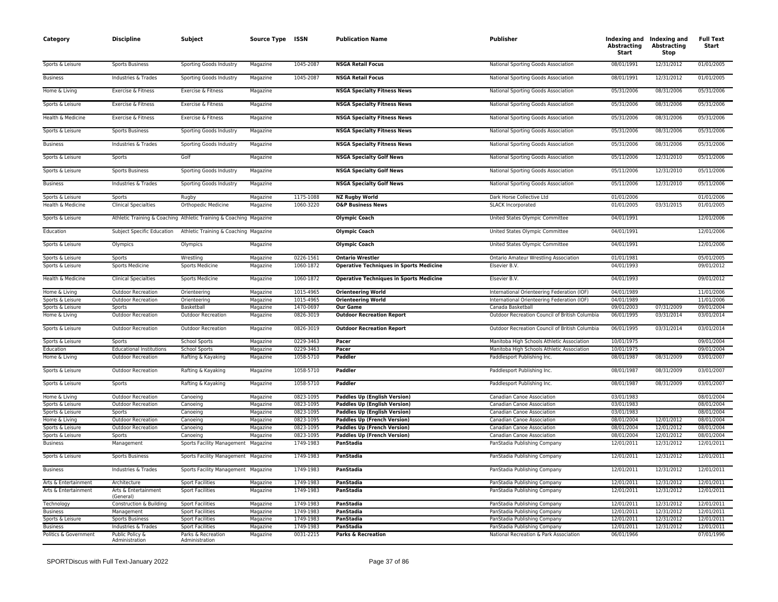| Category<br><b>Discipline</b><br>Subject     |                                        | Source Type ISSN                                                   |                      | <b>Publication Name</b> | <b>Publisher</b>                               | Abstracting<br>Start                                                   | Indexing and Indexing and<br><b>Abstracting</b><br>Stop | <b>Full Text</b><br>Start |                          |
|----------------------------------------------|----------------------------------------|--------------------------------------------------------------------|----------------------|-------------------------|------------------------------------------------|------------------------------------------------------------------------|---------------------------------------------------------|---------------------------|--------------------------|
| Sports & Leisure                             | Sports Business                        | Sporting Goods Industry                                            | Magazine             | 1045-2087               | <b>NSGA Retail Focus</b>                       | National Sporting Goods Association                                    | 08/01/1991                                              | 12/31/2012                | 01/01/2005               |
| <b>Business</b>                              | Industries & Trades                    | Sporting Goods Industry                                            | Magazine             | 1045-2087               | <b>NSGA Retail Focus</b>                       | National Sporting Goods Association                                    | 08/01/1991                                              | 12/31/2012                | 01/01/2005               |
| Home & Living                                | Exercise & Fitness                     | Exercise & Fitness                                                 | Magazine             |                         | <b>NSGA Specialty Fitness News</b>             | National Sporting Goods Association                                    | 05/31/2006                                              | 08/31/2006                | 05/31/2006               |
| Sports & Leisure                             | Exercise & Fitness                     | Exercise & Fitness                                                 | Magazine             |                         | <b>NSGA Specialty Fitness News</b>             | National Sporting Goods Association                                    | 05/31/2006                                              | 08/31/2006                | 05/31/2006               |
| Health & Medicine                            | Exercise & Fitness                     | Exercise & Fitness                                                 | Magazine             |                         | <b>NSGA Specialty Fitness News</b>             | National Sporting Goods Association                                    | 05/31/2006                                              | 08/31/2006                | 05/31/2006               |
| Sports & Leisure                             | <b>Sports Business</b>                 | Sporting Goods Industry                                            | Magazine             |                         | <b>NSGA Specialty Fitness News</b>             | National Sporting Goods Association                                    | 05/31/2006                                              | 08/31/2006                | 05/31/2006               |
| <b>Business</b>                              | Industries & Trades                    | Sporting Goods Industry                                            | Magazine             |                         | <b>NSGA Specialty Fitness News</b>             | National Sporting Goods Association                                    | 05/31/2006                                              | 08/31/2006                | 05/31/2006               |
| Sports & Leisure                             | Sports                                 | Golf                                                               | Magazine             |                         | <b>NSGA Specialty Golf News</b>                | National Sporting Goods Association                                    | 05/11/2006                                              | 12/31/2010                | 05/11/2006               |
| Sports & Leisure                             | <b>Sports Business</b>                 | Sporting Goods Industry                                            | Magazine             |                         | <b>NSGA Specialty Golf News</b>                | National Sporting Goods Association                                    | 05/11/2006                                              | 12/31/2010                | 05/11/2006               |
| <b>Business</b>                              | Industries & Trades                    | Sporting Goods Industry                                            | Magazine             |                         | <b>NSGA Specialty Golf News</b>                | National Sporting Goods Association                                    | 05/11/2006                                              | 12/31/2010                | 05/11/2006               |
| Sports & Leisure                             | Sports                                 | Rugby                                                              | Magazine             | 1175-1088               | <b>NZ Rugby World</b>                          | Dark Horse Collective Ltd                                              | 01/01/2006                                              |                           | 01/01/2006               |
| Health & Medicine                            | <b>Clinical Specialties</b>            | Orthopedic Medicine                                                | Magazine             | 1060-3220               | <b>O&amp;P Business News</b>                   | <b>SLACK Incorporated</b>                                              | 01/01/2005                                              | 03/31/2015                | 01/01/2005               |
| Sports & Leisure                             |                                        | Athletic Training & Coaching Athletic Training & Coaching Magazine |                      |                         | <b>Olympic Coach</b>                           | United States Olympic Committee                                        | 04/01/1991                                              |                           | 12/01/2006               |
| Education                                    | Subject Specific Education             | Athletic Training & Coaching Magazine                              |                      |                         | <b>Olympic Coach</b>                           | United States Olympic Committee                                        | 04/01/1991                                              |                           | 12/01/2006               |
| Sports & Leisure                             | Olympics                               | Olympics                                                           | Magazine             |                         | <b>Olympic Coach</b>                           | United States Olympic Committee                                        | 04/01/1991                                              |                           | 12/01/2006               |
| Sports & Leisure                             | Sports                                 | Wrestling                                                          | Magazine             | 0226-1561               | <b>Ontario Wrestler</b>                        | <b>Ontario Amateur Wrestling Association</b>                           | 01/01/1981                                              |                           | 05/01/2005               |
| Sports & Leisure                             | Sports Medicine                        | <b>Sports Medicine</b>                                             | Magazine             | 1060-1872               | <b>Operative Techniques in Sports Medicine</b> | Elsevier B.V.                                                          | 04/01/1993                                              |                           | 09/01/2012               |
| Health & Medicine                            | <b>Clinical Specialties</b>            | <b>Sports Medicine</b>                                             | Magazine             | 1060-1872               | <b>Operative Techniques in Sports Medicine</b> | Elsevier B.V.                                                          | 04/01/1993                                              |                           | 09/01/2012               |
| Home & Living                                | <b>Outdoor Recreation</b>              | Orienteering                                                       | Magazine             | 1015-4965               | <b>Orienteering World</b>                      | International Orienteering Federation (IOF)                            | 04/01/1989                                              |                           | 11/01/2006               |
| Sports & Leisure                             | Outdoor Recreation                     | Orienteering                                                       | Magazine             | 1015-4965               | <b>Orienteering World</b>                      | International Orienteering Federation (IOF)                            | 04/01/1989                                              |                           | 11/01/2006               |
| Sports & Leisure                             | Sports                                 | Basketball                                                         | Magazine             | 1470-0697               | <b>Our Game</b>                                | Canada Basketball                                                      | 09/01/2003                                              | 07/31/2009                | 09/01/2004               |
| Home & Living                                | Outdoor Recreation                     | Outdoor Recreation                                                 | Magazine             | 0826-3019               | <b>Outdoor Recreation Report</b>               | Outdoor Recreation Council of British Columbia                         | 06/01/1995                                              | 03/31/2014                | 03/01/2014               |
| Sports & Leisure                             | <b>Outdoor Recreation</b>              | <b>Outdoor Recreation</b>                                          | Magazine             | 0826-3019               | <b>Outdoor Recreation Report</b>               | Outdoor Recreation Council of British Columbia                         | 06/01/1995                                              | 03/31/2014                | 03/01/2014               |
| Sports & Leisure                             | Sports                                 | <b>School Sports</b>                                               | Magazine             | 0229-3463               | Pacer                                          | Manitoba High Schools Athletic Association                             | 10/01/1975                                              |                           | 09/01/2004               |
| Education                                    | <b>Educational Institutions</b>        | <b>School Sports</b>                                               | Magazine             | 0229-3463               | Pacer                                          | Manitoba High Schools Athletic Association                             | 10/01/1975                                              |                           | 09/01/2004               |
| Home & Living                                | <b>Outdoor Recreation</b>              | Rafting & Kayaking                                                 | Magazine             | 1058-5710               | Paddler                                        | Paddlesport Publishing Inc.                                            | 08/01/1987                                              | 08/31/2009                | 03/01/2007               |
| Sports & Leisure                             | <b>Outdoor Recreation</b>              | Rafting & Kayaking                                                 | Magazine             | 1058-5710               | Paddler                                        | Paddlesport Publishing Inc.                                            | 08/01/1987                                              | 08/31/2009                | 03/01/2007               |
| Sports & Leisure                             | Sports                                 | Rafting & Kayaking                                                 | Magazine             | 1058-5710               | Paddler                                        | Paddlesport Publishing Inc.                                            | 08/01/1987                                              | 08/31/2009                | 03/01/2007               |
| Home & Living                                | <b>Outdoor Recreation</b>              | Canoeing                                                           | Magazine             | 0823-1095               | <b>Paddles Up (English Version)</b>            | Canadian Canoe Association                                             | 03/01/1983                                              |                           | 08/01/2004               |
| Sports & Leisure                             | <b>Outdoor Recreation</b>              | Canoeing                                                           | Magazine             | 0823-1095               | <b>Paddles Up (English Version)</b>            | Canadian Canoe Association                                             | 03/01/1983                                              |                           | 08/01/2004               |
| Sports & Leisure                             | Sports                                 | Canoeing                                                           | Magazine             | 0823-1095               | <b>Paddles Up (English Version)</b>            | Canadian Canoe Association                                             | 03/01/1983                                              |                           | 08/01/2004               |
| Home & Living                                | <b>Outdoor Recreation</b>              | Canoeing                                                           | Magazine             | 0823-1095               | <b>Paddles Up (French Version)</b>             | Canadian Canoe Association                                             | 08/01/2004                                              | 12/01/2012                | 08/01/2004               |
| Sports & Leisure                             | Outdoor Recreation                     | Canoeing                                                           | Magazine             | 0823-1095               | <b>Paddles Up (French Version)</b>             | Canadian Canoe Association                                             | 08/01/2004                                              | 12/01/2012                | 08/01/2004               |
| Sports & Leisure                             | Sports                                 | Canoeing                                                           | Magazine             | 0823-1095               | <b>Paddles Up (French Version)</b>             | Canadian Canoe Association                                             | 08/01/2004                                              | 12/01/2012                | 08/01/2004               |
| <b>Business</b>                              | Management                             | Sports Facility Management                                         | Magazine             | 1749-1983<br>1749-1983  | PanStadia<br>PanStadia                         | PanStadia Publishing Company                                           | 12/01/2011<br>12/01/2011                                | 12/31/2012<br>12/31/2012  | 12/01/2011<br>12/01/2011 |
| Sports & Leisure                             | <b>Sports Business</b>                 | Sports Facility Management Magazine                                |                      |                         |                                                | PanStadia Publishing Company                                           |                                                         |                           |                          |
| <b>Business</b>                              | Industries & Trades                    | Sports Facility Management Magazine                                |                      | 1749-1983               | PanStadia                                      | PanStadia Publishing Company                                           | 12/01/2011                                              | 12/31/2012                | 12/01/2011               |
| Arts & Entertainment<br>Arts & Entertainment | Architecture<br>Arts & Entertainment   | <b>Sport Facilities</b><br><b>Sport Facilities</b>                 | Magazine             | 1749-1983<br>1749-1983  | PanStadia<br><b>PanStadia</b>                  | PanStadia Publishing Company<br>PanStadia Publishing Company           | 12/01/2011<br>12/01/2011                                | 12/31/2012<br>12/31/2012  | 12/01/2011<br>12/01/2011 |
|                                              | (General)                              |                                                                    | Magazine             |                         |                                                |                                                                        |                                                         |                           |                          |
| Technology                                   | Construction & Building                | <b>Sport Facilities</b>                                            | Magazine             | 1749-1983               | PanStadia                                      | PanStadia Publishing Company                                           | 12/01/2011                                              | 12/31/2012                | 12/01/2011               |
| <b>Business</b>                              | Management                             | <b>Sport Facilities</b>                                            | Magazine             | 1749-1983               | PanStadia                                      | PanStadia Publishing Company                                           | 12/01/2011                                              | 12/31/2012                | 12/01/2011               |
| Sports & Leisure                             | <b>Sports Business</b>                 | <b>Sport Facilities</b>                                            | Magazine             | 1749-1983               | PanStadia                                      | PanStadia Publishing Company                                           | 12/01/2011                                              | 12/31/2012                | 12/01/2011               |
| <b>Business</b><br>Politics & Government     | Industries & Trades<br>Public Policy & | <b>Sport Facilities</b><br>Parks & Recreation                      | Magazine<br>Magazine | 1749-1983<br>0031-2215  | PanStadia<br><b>Parks &amp; Recreation</b>     | PanStadia Publishing Company<br>National Recreation & Park Association | 12/01/2011<br>06/01/1966                                | 12/31/2012                | 12/01/2011<br>07/01/1996 |
|                                              | Administration                         | Administration                                                     |                      |                         |                                                |                                                                        |                                                         |                           |                          |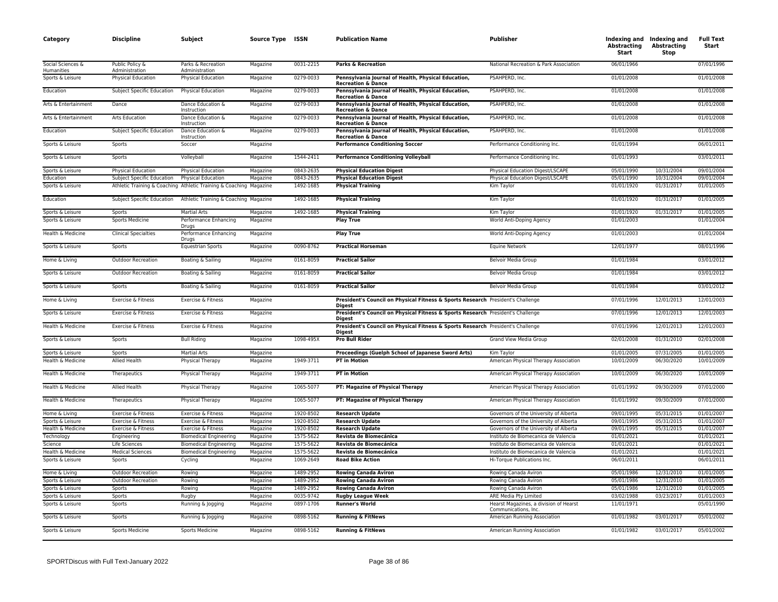| Category                        | <b>Discipline</b>                 | Subject                                                            | Source Type ISSN |           | <b>Publication Name</b>                                                                          | <b>Publisher</b>                                               | <b>Abstracting</b><br>Start | Indexing and Indexing and<br><b>Abstracting</b><br>Stop | <b>Full Text</b><br>Start |
|---------------------------------|-----------------------------------|--------------------------------------------------------------------|------------------|-----------|--------------------------------------------------------------------------------------------------|----------------------------------------------------------------|-----------------------------|---------------------------------------------------------|---------------------------|
| Social Sciences &<br>Humanities | Public Policy &<br>Administration | Parks & Recreation<br>Administration                               | Magazine         | 0031-2215 | Parks & Recreation                                                                               | National Recreation & Park Association                         | 06/01/1966                  |                                                         | 07/01/1996                |
| Sports & Leisure                | Physical Education                | Physical Education                                                 | Magazine         | 0279-0033 | Pennsylvania Journal of Health, Physical Education,<br><b>Recreation &amp; Dance</b>             | PSAHPERD, Inc.                                                 | 01/01/2008                  |                                                         | 01/01/2008                |
| Education                       | Subject Specific Education        | Physical Education                                                 | Magazine         | 0279-0033 | Pennsylvania Journal of Health, Physical Education,<br><b>Recreation &amp; Dance</b>             | PSAHPERD, Inc.                                                 | 01/01/2008                  |                                                         | 01/01/2008                |
| Arts & Entertainment            | Dance                             | Dance Education &<br>Instruction                                   | Magazine         | 0279-0033 | Pennsylvania Journal of Health, Physical Education,<br><b>Recreation &amp; Dance</b>             | PSAHPERD, Inc.                                                 | 01/01/2008                  |                                                         | 01/01/2008                |
| Arts & Entertainment            | Arts Education                    | Dance Education &<br>Instruction                                   | Magazine         | 0279-0033 | Pennsylvania Journal of Health, Physical Education,<br><b>Recreation &amp; Dance</b>             | PSAHPERD. Inc.                                                 | 01/01/2008                  |                                                         | 01/01/2008                |
| Education                       | <b>Subject Specific Education</b> | Dance Education &<br>Instruction                                   | Magazine         | 0279-0033 | Pennsylvania Journal of Health, Physical Education,<br><b>Recreation &amp; Dance</b>             | PSAHPERD, Inc.                                                 | 01/01/2008                  |                                                         | 01/01/2008                |
| Sports & Leisure                | Sports                            | Soccer                                                             | Magazine         |           | <b>Performance Conditioning Soccer</b>                                                           | Performance Conditioning Inc.                                  | 01/01/1994                  |                                                         | 06/01/2011                |
| Sports & Leisure                | Sports                            | Volleyball                                                         | Magazine         | 1544-2411 | <b>Performance Conditioning Volleyball</b>                                                       | Performance Conditioning Inc.                                  | 01/01/1993                  |                                                         | 03/01/2011                |
| Sports & Leisure                | Physical Education                | Physical Education                                                 | Magazine         | 0843-2635 | <b>Physical Education Digest</b>                                                                 | Physical Education Digest/LSCAPE                               | 05/01/1990                  | 10/31/2004                                              | 09/01/2004                |
| Education                       | Subject Specific Education        | <b>Physical Education</b>                                          | Magazine         | 0843-2635 | <b>Physical Education Digest</b>                                                                 | Physical Education Digest/LSCAPE                               | 05/01/1990                  | 10/31/2004                                              | 09/01/2004                |
| Sports & Leisure                |                                   | Athletic Training & Coaching Athletic Training & Coaching Magazine |                  | 1492-1685 | <b>Physical Training</b>                                                                         | Kim Taylor                                                     | 01/01/1920                  | 01/31/2017                                              | 01/01/2005                |
| Education                       | Subject Specific Education        | Athletic Training & Coaching Magazine                              |                  | 1492-1685 | <b>Physical Training</b>                                                                         | Kim Taylor                                                     | 01/01/1920                  | 01/31/2017                                              | 01/01/2005                |
| Sports & Leisure                | Sports                            | <b>Martial Arts</b>                                                | Magazine         | 1492-1685 | <b>Physical Training</b>                                                                         | Kim Taylor                                                     | 01/01/1920                  | 01/31/2017                                              | 01/01/2005                |
| Sports & Leisure                | Sports Medicine                   | Performance Enhancing<br>Drugs                                     | Magazine         |           | <b>Play True</b>                                                                                 | World Anti-Doping Agency                                       | 01/01/2003                  |                                                         | 01/01/2004                |
| Health & Medicine               | <b>Clinical Specialties</b>       | Performance Enhancing<br>Drugs                                     | Magazine         |           | <b>Play True</b>                                                                                 | World Anti-Doping Agency                                       | 01/01/2003                  |                                                         | 01/01/2004                |
| Sports & Leisure                | Sports                            | <b>Equestrian Sports</b>                                           | Magazine         | 0090-8762 | <b>Practical Horseman</b>                                                                        | <b>Equine Network</b>                                          | 12/01/1977                  |                                                         | 08/01/1996                |
| Home & Living                   | <b>Outdoor Recreation</b>         | Boating & Sailing                                                  | Magazine         | 0161-8059 | <b>Practical Sailor</b>                                                                          | Belvoir Media Group                                            | 01/01/1984                  |                                                         | 03/01/2012                |
| Sports & Leisure                | <b>Outdoor Recreation</b>         | Boating & Sailing                                                  | Magazine         | 0161-8059 | <b>Practical Sailor</b>                                                                          | Belvoir Media Group                                            | 01/01/1984                  |                                                         | 03/01/2012                |
| Sports & Leisure                | Sports                            | Boating & Sailing                                                  | Magazine         | 0161-8059 | <b>Practical Sailor</b>                                                                          | Belvoir Media Group                                            | 01/01/1984                  |                                                         | 03/01/2012                |
| Home & Living                   | Exercise & Fitness                | Exercise & Fitness                                                 | Magazine         |           | President's Council on Physical Fitness & Sports Research President's Challenge<br><b>Digest</b> |                                                                | 07/01/1996                  | 12/01/2013                                              | 12/01/2003                |
| Sports & Leisure                | Exercise & Fitness                | Exercise & Fitness                                                 | Magazine         |           | President's Council on Physical Fitness & Sports Research President's Challenge<br>Diaest        |                                                                | 07/01/1996                  | 12/01/2013                                              | 12/01/2003                |
| Health & Medicine               | Exercise & Fitness                | Exercise & Fitness                                                 | Magazine         |           | President's Council on Physical Fitness & Sports Research President's Challenge<br><b>Digest</b> |                                                                | 07/01/1996                  | 12/01/2013                                              | 12/01/2003                |
| Sports & Leisure                | Sports                            | <b>Bull Riding</b>                                                 | Magazine         | 1098-495X | <b>Pro Bull Rider</b>                                                                            | Grand View Media Group                                         | 02/01/2008                  | 01/31/2010                                              | 02/01/2008                |
| Sports & Leisure                | Sports                            | <b>Martial Arts</b>                                                | Magazine         |           | Proceedings (Guelph School of Japanese Sword Arts)                                               | Kim Taylor                                                     | 01/01/2005                  | 07/31/2005                                              | 01/01/2005                |
| Health & Medicine               | Allied Health                     | Physical Therapy                                                   | Magazine         | 1949-3711 | <b>PT in Motion</b>                                                                              | American Physical Therapy Association                          | 10/01/2009                  | 06/30/2020                                              | 10/01/2009                |
| Health & Medicine               | Therapeutics                      | Physical Therapy                                                   | Magazine         | 1949-3711 | <b>PT in Motion</b>                                                                              | American Physical Therapy Association                          | 10/01/2009                  | 06/30/2020                                              | 10/01/2009                |
| Health & Medicine               | Allied Health                     | Physical Therapy                                                   | Magazine         | 1065-5077 | PT: Magazine of Physical Therapy                                                                 | American Physical Therapy Association                          | 01/01/1992                  | 09/30/2009                                              | 07/01/2000                |
| Health & Medicine               | Therapeutics                      | Physical Therapy                                                   | Magazine         | 1065-5077 | PT: Magazine of Physical Therapy                                                                 | American Physical Therapy Association                          | 01/01/1992                  | 09/30/2009                                              | 07/01/2000                |
| Home & Living                   | Exercise & Fitness                | Exercise & Fitness                                                 | Magazine         | 1920-8502 | <b>Research Update</b>                                                                           | Governors of the University of Alberta                         | 09/01/1995                  | 05/31/2015                                              | 01/01/2007                |
| Sports & Leisure                | Exercise & Fitness                | Exercise & Fitness                                                 | Magazine         | 1920-8502 | <b>Research Update</b>                                                                           | Governors of the University of Alberta                         | 09/01/1995                  | 05/31/2015                                              | 01/01/2007                |
| Health & Medicine               | Exercise & Fitness                | Exercise & Fitness                                                 | Magazine         | 1920-8502 | <b>Research Update</b>                                                                           | Governors of the University of Alberta                         | 09/01/1995                  | 05/31/2015                                              | 01/01/2007                |
| Technology                      | Engineering                       | <b>Biomedical Engineering</b>                                      | Magazine         | 1575-5622 | Revista de Biomecánica                                                                           | Instituto de Biomecanica de Valencia                           | 01/01/2021                  |                                                         | 01/01/2021                |
| Science                         | Life Sciences                     | <b>Biomedical Engineering</b>                                      | Magazine         | 1575-5622 | Revista de Biomecánica                                                                           | Instituto de Biomecanica de Valencia                           | 01/01/2021                  |                                                         | 01/01/2021                |
| Health & Medicine               | <b>Medical Sciences</b>           | <b>Biomedical Engineering</b>                                      | Magazine         | 1575-5622 | Revista de Biomecánica                                                                           | Instituto de Biomecanica de Valencia                           | 01/01/2021                  |                                                         | 01/01/2021                |
| Sports & Leisure                | Sports                            | Cycling                                                            | Magazine         | 1069-2649 | <b>Road Bike Action</b>                                                                          | Hi-Torque Publications Inc.                                    | 06/01/2011                  |                                                         | 06/01/2011                |
| Home & Living                   | <b>Outdoor Recreation</b>         | Rowing                                                             | Magazine         | 1489-2952 | <b>Rowing Canada Aviron</b>                                                                      | Rowing Canada Aviron                                           | 05/01/1986                  | 12/31/2010                                              | 01/01/2005                |
| Sports & Leisure                | <b>Outdoor Recreation</b>         | Rowing                                                             | Magazine         | 1489-2952 | <b>Rowing Canada Aviron</b>                                                                      | Rowing Canada Aviron                                           | 05/01/1986                  | 12/31/2010                                              | 01/01/2005                |
| Sports & Leisure                | Sports                            | Rowing                                                             | Magazine         | 1489-2952 | <b>Rowing Canada Aviron</b>                                                                      | Rowing Canada Aviron                                           | 05/01/1986                  | 12/31/2010                                              | 01/01/2005                |
| Sports & Leisure                | Sports                            | Rugby                                                              | Magazine         | 0035-9742 | <b>Rugby League Week</b>                                                                         | ARE Media Pty Limited                                          | 03/02/1988                  | 03/23/2017                                              | 01/01/2003                |
| Sports & Leisure                | Sports                            | Running & Jogging                                                  | Magazine         | 0897-1706 | <b>Runner's World</b>                                                                            | Hearst Magazines, a division of Hearst<br>Communications, Inc. | 11/01/1971                  |                                                         | 05/01/1990                |
| Sports & Leisure                | Sports                            | Running & Jogging                                                  | Magazine         | 0898-5162 | <b>Running &amp; FitNews</b>                                                                     | American Running Association                                   | 01/01/1982                  | 03/01/2017                                              | 05/01/2002                |
| Sports & Leisure                | <b>Sports Medicine</b>            | <b>Sports Medicine</b>                                             | Magazine         | 0898-5162 | <b>Running &amp; FitNews</b>                                                                     | American Running Association                                   | 01/01/1982                  | 03/01/2017                                              | 05/01/2002                |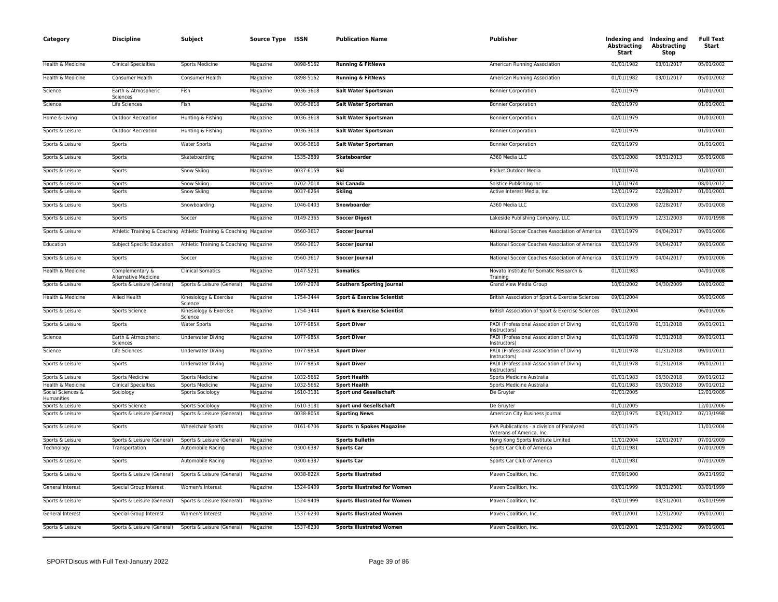| Category                        | <b>Discipline</b>                       | Subject                                                            | Source Type ISSN |           | <b>Publication Name</b>               | Publisher                                                               | Abstracting<br>Start | Indexing and Indexing and<br><b>Abstracting</b><br><b>Stop</b> | <b>Full Text</b><br>Start |
|---------------------------------|-----------------------------------------|--------------------------------------------------------------------|------------------|-----------|---------------------------------------|-------------------------------------------------------------------------|----------------------|----------------------------------------------------------------|---------------------------|
| Health & Medicine               | <b>Clinical Specialties</b>             | Sports Medicine                                                    | Magazine         | 0898-5162 | <b>Running &amp; FitNews</b>          | American Running Association                                            | 01/01/1982           | 03/01/2017                                                     | 05/01/2002                |
| Health & Medicine               | Consumer Health                         | Consumer Health                                                    | Magazine         | 0898-5162 | <b>Running &amp; FitNews</b>          | American Running Association                                            | 01/01/1982           | 03/01/2017                                                     | 05/01/2002                |
| Science                         | Earth & Atmospheric<br>Sciences         | Fish                                                               | Magazine         | 0036-3618 | <b>Salt Water Sportsman</b>           | <b>Bonnier Corporation</b>                                              | 02/01/1979           |                                                                | 01/01/2001                |
| Science                         | Life Sciences                           | Fish                                                               | Magazine         | 0036-3618 | Salt Water Sportsman                  | <b>Bonnier Corporation</b>                                              | 02/01/1979           |                                                                | 01/01/2001                |
| Home & Living                   | <b>Outdoor Recreation</b>               | Hunting & Fishing                                                  | Magazine         | 0036-3618 | <b>Salt Water Sportsman</b>           | <b>Bonnier Corporation</b>                                              | 02/01/1979           |                                                                | 01/01/2001                |
| Sports & Leisure                | <b>Outdoor Recreation</b>               | Hunting & Fishing                                                  | Magazine         | 0036-3618 | Salt Water Sportsman                  | <b>Bonnier Corporation</b>                                              | 02/01/1979           |                                                                | 01/01/2001                |
| Sports & Leisure                | Sports                                  | <b>Water Sports</b>                                                | Magazine         | 0036-3618 | <b>Salt Water Sportsman</b>           | <b>Bonnier Corporation</b>                                              | 02/01/1979           |                                                                | 01/01/2001                |
| Sports & Leisure                | Sports                                  | Skateboarding                                                      | Magazine         | 1535-2889 | Skateboarder                          | A360 Media LLC                                                          | 05/01/2008           | 08/31/2013                                                     | 05/01/2008                |
| Sports & Leisure                | Sports                                  | Snow Skiing                                                        | Magazine         | 0037-6159 | Ski                                   | Pocket Outdoor Media                                                    | 10/01/1974           |                                                                | 01/01/2001                |
| Sports & Leisure                | Sports                                  | Snow Skiing                                                        | Magazine         | 0702-701X | Ski Canada                            | Solstice Publishing Inc.                                                | 11/01/1974           |                                                                | 08/01/2012                |
| Sports & Leisure                | Sports                                  | Snow Skiing                                                        | Magazine         | 0037-6264 | Skiing                                | Active Interest Media, Inc.                                             | 12/01/1972           | 02/28/2017                                                     | 01/01/2001                |
| Sports & Leisure                | Sports                                  | Snowboarding                                                       | Magazine         | 1046-0403 | Snowboarder                           | A360 Media LLC                                                          | 05/01/2008           | 02/28/2017                                                     | 05/01/2008                |
| Sports & Leisure                | Sports                                  | Soccer                                                             | Magazine         | 0149-2365 | <b>Soccer Digest</b>                  | Lakeside Publishing Company, LLC                                        | 06/01/1979           | 12/31/2003                                                     | 07/01/1998                |
| Sports & Leisure                |                                         | Athletic Training & Coaching Athletic Training & Coaching Magazine |                  | 0560-3617 | <b>Soccer Journal</b>                 | National Soccer Coaches Association of America                          | 03/01/1979           | 04/04/2017                                                     | 09/01/2006                |
| Education                       | Subject Specific Education              | Athletic Training & Coaching Magazine                              |                  | 0560-3617 | <b>Soccer Journal</b>                 | National Soccer Coaches Association of America                          | 03/01/1979           | 04/04/2017                                                     | 09/01/2006                |
| Sports & Leisure                | Sports                                  | Soccer                                                             | Magazine         | 0560-3617 | <b>Soccer Journal</b>                 | National Soccer Coaches Association of America                          | 03/01/1979           | 04/04/2017                                                     | 09/01/2006                |
| Health & Medicine               | Complementary &<br>Alternative Medicine | <b>Clinical Somatics</b>                                           | Magazine         | 0147-5231 | <b>Somatics</b>                       | Novato Institute for Somatic Research &<br>Training                     | 01/01/1983           |                                                                | 04/01/2008                |
| Sports & Leisure                | Sports & Leisure (General)              | Sports & Leisure (General)                                         | Magazine         | 1097-2978 | Southern Sporting Journal             | Grand View Media Group                                                  | 10/01/2002           | 04/30/2009                                                     | 10/01/2002                |
| Health & Medicine               | Allied Health                           | Kinesiology & Exercise<br>Science                                  | Magazine         | 1754-3444 | <b>Sport &amp; Exercise Scientist</b> | British Association of Sport & Exercise Sciences                        | 09/01/2004           |                                                                | 06/01/2006                |
| Sports & Leisure                | Sports Science                          | Kinesiology & Exercise<br>Science                                  | Magazine         | 1754-3444 | <b>Sport &amp; Exercise Scientist</b> | British Association of Sport & Exercise Sciences                        | 09/01/2004           |                                                                | 06/01/2006                |
| Sports & Leisure                | Sports                                  | <b>Water Sports</b>                                                | Magazine         | 1077-985X | <b>Sport Diver</b>                    | PADI (Professional Association of Diving<br>Instructors)                | 01/01/1978           | 01/31/2018                                                     | 09/01/2011                |
| Science                         | Earth & Atmospheric<br>Sciences         | <b>Underwater Diving</b>                                           | Magazine         | 1077-985X | <b>Sport Diver</b>                    | PADI (Professional Association of Diving<br>Instructors)                | 01/01/1978           | 01/31/2018                                                     | 09/01/2011                |
| Science                         | Life Sciences                           | <b>Underwater Diving</b>                                           | Magazine         | 1077-985X | <b>Sport Diver</b>                    | PADI (Professional Association of Diving<br>Instructors)                | 01/01/1978           | 01/31/2018                                                     | 09/01/2011                |
| Sports & Leisure                | Sports                                  | <b>Underwater Diving</b>                                           | Magazine         | 1077-985X | <b>Sport Diver</b>                    | PADI (Professional Association of Diving<br>Instructors)                | 01/01/1978           | 01/31/2018                                                     | 09/01/2011                |
| Sports & Leisure                | <b>Sports Medicine</b>                  | Sports Medicine                                                    | Magazine         | 1032-5662 | <b>Sport Health</b>                   | Sports Medicine Australia                                               | 01/01/1983           | 06/30/2018                                                     | 09/01/2012                |
| Health & Medicine               | <b>Clinical Specialties</b>             | Sports Medicine                                                    | Magazine         | 1032-5662 | <b>Sport Health</b>                   | Sports Medicine Australia                                               | 01/01/1983           | 06/30/2018                                                     | 09/01/2012                |
| Social Sciences &<br>Humanities | Sociology                               | Sports Sociology                                                   | Magazine         | 1610-3181 | <b>Sport und Gesellschaft</b>         | De Gruyter                                                              | 01/01/2005           |                                                                | 12/01/2006                |
| Sports & Leisure                | Sports Science                          | Sports Sociology                                                   | Magazine         | 1610-3181 | <b>Sport und Gesellschaft</b>         | De Gruyter                                                              | 01/01/2005           |                                                                | 12/01/2006                |
| Sports & Leisure                | Sports & Leisure (General)              | Sports & Leisure (General)                                         | Magazine         | 0038-805X | <b>Sporting News</b>                  | American City Business Journal                                          | 02/01/1975           | 03/31/2012                                                     | 07/13/1998                |
| Sports & Leisure                | Sports                                  | <b>Wheelchair Sports</b>                                           | Magazine         | 0161-6706 | <b>Sports 'n Spokes Magazine</b>      | PVA Publications - a division of Paralyzed<br>Veterans of America, Inc. | 05/01/1975           |                                                                | 11/01/2004                |
| Sports & Leisure                | Sports & Leisure (General)              | Sports & Leisure (General)                                         | Magazine         |           | <b>Sports Bulletin</b>                | Hong Kong Sports Institute Limited                                      | 11/01/2004           | 12/01/2017                                                     | 07/01/2009                |
| Technology                      | Transportation                          | Automobile Racing                                                  | Magazine         | 0300-6387 | <b>Sports Car</b>                     | Sports Car Club of America                                              | 01/01/1981           |                                                                | 07/01/2009                |
| Sports & Leisure                | Sports                                  | Automobile Racing                                                  | Magazine         | 0300-6387 | <b>Sports Car</b>                     | Sports Car Club of America                                              | 01/01/1981           |                                                                | 07/01/2009                |
| Sports & Leisure                | Sports & Leisure (General)              | Sports & Leisure (General)                                         | Magazine         | 0038-822X | <b>Sports Illustrated</b>             | Maven Coalition, Inc.                                                   | 07/09/1900           |                                                                | 09/21/1992                |
| General Interest                | Special Group Interest                  | Women's Interest                                                   | Magazine         | 1524-9409 | <b>Sports Illustrated for Women</b>   | Maven Coalition, Inc.                                                   | 03/01/1999           | 08/31/2001                                                     | 03/01/1999                |
| Sports & Leisure                | Sports & Leisure (General)              | Sports & Leisure (General)                                         | Magazine         | 1524-9409 | <b>Sports Illustrated for Women</b>   | Maven Coalition, Inc.                                                   | 03/01/1999           | 08/31/2001                                                     | 03/01/1999                |
| General Interest                | Special Group Interest                  | Women's Interest                                                   | Magazine         | 1537-6230 | <b>Sports Illustrated Women</b>       | Maven Coalition, Inc.                                                   | 09/01/2001           | 12/31/2002                                                     | 09/01/2001                |
| Sports & Leisure                | Sports & Leisure (General)              | Sports & Leisure (General)                                         | Magazine         | 1537-6230 | <b>Sports Illustrated Women</b>       | Maven Coalition, Inc.                                                   | 09/01/2001           | 12/31/2002                                                     | 09/01/2001                |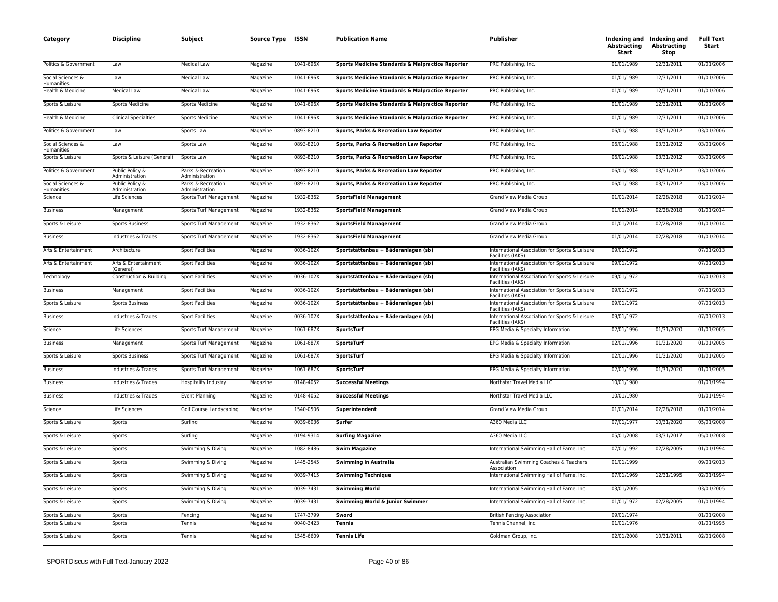| Category                        | <b>Discipline</b>                 | Subject                              | Source Type ISSN |           | <b>Publication Name</b>                          | <b>Publisher</b>                                                    | <b>Abstracting</b><br>Start | Indexing and Indexing and<br><b>Abstracting</b><br>Stop | <b>Full Text</b><br>Start |
|---------------------------------|-----------------------------------|--------------------------------------|------------------|-----------|--------------------------------------------------|---------------------------------------------------------------------|-----------------------------|---------------------------------------------------------|---------------------------|
| Politics & Government           | Law                               | <b>Medical Law</b>                   | Magazine         | 1041-696X | Sports Medicine Standards & Malpractice Reporter | PRC Publishing, Inc.                                                | 01/01/1989                  | 12/31/2011                                              | 01/01/2006                |
| Social Sciences &<br>Humanities | Law                               | Medical Law                          | Magazine         | 1041-696X | Sports Medicine Standards & Malpractice Reporter | PRC Publishing, Inc.                                                | 01/01/1989                  | 12/31/2011                                              | 01/01/2006                |
| Health & Medicine               | <b>Medical Law</b>                | Medical Law                          | Magazine         | 1041-696X | Sports Medicine Standards & Malpractice Reporter | PRC Publishing, Inc.                                                | 01/01/1989                  | 12/31/2011                                              | 01/01/2006                |
| Sports & Leisure                | Sports Medicine                   | Sports Medicine                      | Magazine         | 1041-696X | Sports Medicine Standards & Malpractice Reporter | PRC Publishing, Inc.                                                | 01/01/1989                  | 12/31/2011                                              | 01/01/2006                |
| Health & Medicine               | <b>Clinical Specialties</b>       | <b>Sports Medicine</b>               | Magazine         | 1041-696X | Sports Medicine Standards & Malpractice Reporter | PRC Publishing, Inc.                                                | 01/01/1989                  | 12/31/2011                                              | 01/01/2006                |
| Politics & Government           | Law                               | Sports Law                           | Magazine         | 0893-8210 | Sports, Parks & Recreation Law Reporter          | PRC Publishing, Inc.                                                | 06/01/1988                  | 03/31/2012                                              | 03/01/2006                |
| Social Sciences &<br>Humanities | Law                               | Sports Law                           | Magazine         | 0893-8210 | Sports, Parks & Recreation Law Reporter          | PRC Publishing, Inc.                                                | 06/01/1988                  | 03/31/2012                                              | 03/01/2006                |
| Sports & Leisure                | Sports & Leisure (General)        | Sports Law                           | Magazine         | 0893-8210 | Sports, Parks & Recreation Law Reporter          | PRC Publishing, Inc.                                                | 06/01/1988                  | 03/31/2012                                              | 03/01/2006                |
| Politics & Government           | Public Policy &<br>Administration | Parks & Recreation<br>Administration | Magazine         | 0893-8210 | Sports, Parks & Recreation Law Reporter          | PRC Publishing, Inc.                                                | 06/01/1988                  | 03/31/2012                                              | 03/01/2006                |
| Social Sciences &<br>Humanities | Public Policy &<br>Administration | Parks & Recreation<br>Administration | Magazine         | 0893-8210 | Sports, Parks & Recreation Law Reporter          | PRC Publishing, Inc.                                                | 06/01/1988                  | 03/31/2012                                              | 03/01/2006                |
| Science                         | Life Sciences                     | Sports Turf Management               | Magazine         | 1932-8362 | <b>SportsField Management</b>                    | Grand View Media Group                                              | 01/01/2014                  | 02/28/2018                                              | 01/01/2014                |
| <b>Business</b>                 | Management                        | Sports Turf Management               | Magazine         | 1932-8362 | <b>SportsField Management</b>                    | Grand View Media Group                                              | 01/01/2014                  | 02/28/2018                                              | 01/01/2014                |
| Sports & Leisure                | <b>Sports Business</b>            | Sports Turf Management               | Magazine         | 1932-8362 | <b>SportsField Management</b>                    | Grand View Media Group                                              | 01/01/2014                  | 02/28/2018                                              | 01/01/2014                |
| <b>Business</b>                 | Industries & Trades               | Sports Turf Management               | Magazine         | 1932-8362 | <b>SportsField Management</b>                    | Grand View Media Group                                              | 01/01/2014                  | 02/28/2018                                              | 01/01/2014                |
| Arts & Entertainment            | Architecture                      | <b>Sport Facilities</b>              | Magazine         | 0036-102X | Sportstättenbau + Bäderanlagen (sb)              | International Association for Sports & Leisure<br>Facilities (IAKS) | 09/01/1972                  |                                                         | 07/01/2013                |
| Arts & Entertainment            | Arts & Entertainment<br>(General) | <b>Sport Facilities</b>              | Magazine         | 0036-102X | Sportstättenbau + Bäderanlagen (sb)              | International Association for Sports & Leisure<br>Facilities (IAKS) | 09/01/1972                  |                                                         | 07/01/2013                |
| Technology                      | Construction & Building           | <b>Sport Facilities</b>              | Magazine         | 0036-102X | Sportstättenbau + Bäderanlagen (sb)              | International Association for Sports & Leisure<br>Facilities (IAKS) | 09/01/1972                  |                                                         | 07/01/2013                |
| <b>Business</b>                 | Management                        | <b>Sport Facilities</b>              | Magazine         | 0036-102X | Sportstättenbau + Bäderanlagen (sb)              | International Association for Sports & Leisure<br>Facilities (IAKS) | 09/01/1972                  |                                                         | 07/01/2013                |
| Sports & Leisure                | <b>Sports Business</b>            | <b>Sport Facilities</b>              | Magazine         | 0036-102X | Sportstättenbau + Bäderanlagen (sb)              | International Association for Sports & Leisure<br>Facilities (IAKS) | 09/01/1972                  |                                                         | 07/01/2013                |
| <b>Business</b>                 | Industries & Trades               | <b>Sport Facilities</b>              | Magazine         | 0036-102X | Sportstättenbau + Bäderanlagen (sb)              | International Association for Sports & Leisure<br>Facilities (IAKS) | 09/01/1972                  |                                                         | 07/01/2013                |
| Science                         | Life Sciences                     | Sports Turf Management               | Magazine         | 1061-687X | SportsTurf                                       | EPG Media & Specialty Information                                   | 02/01/1996                  | 01/31/2020                                              | 01/01/2005                |
| <b>Business</b>                 | Management                        | Sports Turf Management               | Magazine         | 1061-687X | SportsTurf                                       | EPG Media & Specialty Information                                   | 02/01/1996                  | 01/31/2020                                              | 01/01/2005                |
| Sports & Leisure                | Sports Business                   | Sports Turf Management               | Magazine         | 1061-687X | SportsTurf                                       | EPG Media & Specialty Information                                   | 02/01/1996                  | 01/31/2020                                              | 01/01/2005                |
| <b>Business</b>                 | Industries & Trades               | Sports Turf Management               | Magazine         | 1061-687X | <b>SportsTurf</b>                                | EPG Media & Specialty Information                                   | 02/01/1996                  | 01/31/2020                                              | 01/01/2005                |
| <b>Business</b>                 | Industries & Trades               | Hospitality Industry                 | Magazine         | 0148-4052 | <b>Successful Meetings</b>                       | Northstar Travel Media LLC                                          | 10/01/1980                  |                                                         | 01/01/1994                |
| <b>Business</b>                 | Industries & Trades               | <b>Event Planning</b>                | Magazine         | 0148-4052 | <b>Successful Meetings</b>                       | Northstar Travel Media LLC                                          | 10/01/1980                  |                                                         | 01/01/1994                |
| Science                         | Life Sciences                     | Golf Course Landscaping              | Magazine         | 1540-0506 | Superintendent                                   | Grand View Media Group                                              | 01/01/2014                  | 02/28/2018                                              | 01/01/2014                |
| Sports & Leisure                | Sports                            | Surfing                              | Magazine         | 0039-6036 | Surfer                                           | A360 Media LLC                                                      | 07/01/1977                  | 10/31/2020                                              | 05/01/2008                |
| Sports & Leisure                | Sports                            | Surfing                              | Magazine         | 0194-9314 | <b>Surfing Magazine</b>                          | A360 Media LLC                                                      | 05/01/2008                  | 03/31/2017                                              | 05/01/2008                |
| Sports & Leisure                | Sports                            | Swimming & Diving                    | Magazine         | 1082-8486 | <b>Swim Magazine</b>                             | International Swimming Hall of Fame, Inc.                           | 07/01/1992                  | 02/28/2005                                              | 01/01/1994                |
| Sports & Leisure                | Sports                            | Swimming & Diving                    | Magazine         | 1445-2545 | <b>Swimming in Australia</b>                     | Australian Swimming Coaches & Teachers<br>Association               | 01/01/1999                  |                                                         | 09/01/2013                |
| Sports & Leisure                | Sports                            | Swimming & Diving                    | Magazine         | 0039-7415 | <b>Swimming Technique</b>                        | International Swimming Hall of Fame, Inc.                           | 07/01/1969                  | 12/31/1995                                              | 02/01/1994                |
| Sports & Leisure                | Sports                            | Swimming & Diving                    | Magazine         | 0039-7431 | <b>Swimming World</b>                            | International Swimming Hall of Fame, Inc.                           | 03/01/2005                  |                                                         | 03/01/2005                |
| Sports & Leisure                | Sports                            | Swimming & Diving                    | Magazine         | 0039-7431 | Swimming World & Junior Swimmer                  | International Swimming Hall of Fame, Inc.                           | 01/01/1972                  | 02/28/2005                                              | 01/01/1994                |
| Sports & Leisure                | Sports                            | Fencing                              | Magazine         | 1747-3799 | Sword                                            | <b>British Fencing Association</b>                                  | 09/01/1974                  |                                                         | 01/01/2008                |
| Sports & Leisure                | Sports                            | Tennis                               | Magazine         | 0040-3423 | <b>Tennis</b>                                    | Tennis Channel, Inc.                                                | 01/01/1976                  |                                                         | 01/01/1995                |
| Sports & Leisure                | Sports                            | Tennis                               | Magazine         | 1545-6609 | <b>Tennis Life</b>                               | Goldman Group, Inc.                                                 | 02/01/2008                  | 10/31/2011                                              | 02/01/2008                |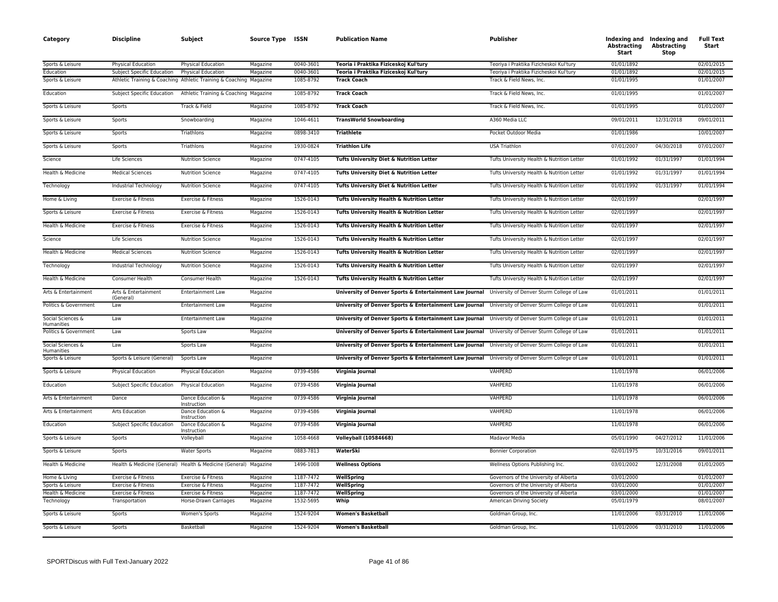| Category                               | <b>Discipline</b>                    | Subject                                                            | Source Type ISSN     |                        | <b>Publication Name</b>                                                                           | Publisher                                                                 | <b>Abstracting</b><br>Start | Indexing and Indexing and<br><b>Abstracting</b><br>Stop | <b>Full Text</b><br>Start |
|----------------------------------------|--------------------------------------|--------------------------------------------------------------------|----------------------|------------------------|---------------------------------------------------------------------------------------------------|---------------------------------------------------------------------------|-----------------------------|---------------------------------------------------------|---------------------------|
| Sports & Leisure                       | Physical Education                   | Physical Education                                                 | Magazine             | 0040-3601              | Teoria i Praktika Fiziceskoj Kul'tury                                                             | Teoriva i Praktika Fizicheskoj Kul'turv                                   | 01/01/1892                  |                                                         | 02/01/2015                |
| Education                              | Subject Specific Education           | Physical Education                                                 | Magazine             | 0040-3601              | Teoria i Praktika Fiziceskoj Kul'tury                                                             | Teoriya i Praktika Fizicheskoi Kul'tury                                   | 01/01/1892                  |                                                         | 02/01/2015                |
| Sports & Leisure                       |                                      | Athletic Training & Coaching Athletic Training & Coaching Magazine |                      | 1085-8792              | <b>Track Coach</b>                                                                                | Track & Field News, Inc.                                                  | 01/01/1995                  |                                                         | 01/01/2007                |
| Education                              |                                      | Subject Specific Education Athletic Training & Coaching Magazine   |                      | 1085-8792              | <b>Track Coach</b>                                                                                | Track & Field News, Inc.                                                  | 01/01/1995                  |                                                         | 01/01/2007                |
| Sports & Leisure                       | Sports                               | Track & Field                                                      | Magazine             | 1085-8792              | <b>Track Coach</b>                                                                                | Track & Field News, Inc.                                                  | 01/01/1995                  |                                                         | 01/01/2007                |
| Sports & Leisure                       | Sports                               | Snowboarding                                                       | Magazine             | 1046-4611              | <b>TransWorld Snowboarding</b>                                                                    | A360 Media LLC                                                            | 09/01/2011                  | 12/31/2018                                              | 09/01/2011                |
| Sports & Leisure                       | Sports                               | Triathlons                                                         | Magazine             | 0898-3410              | <b>Triathlete</b>                                                                                 | Pocket Outdoor Media                                                      | 01/01/1986                  |                                                         | 10/01/2007                |
| Sports & Leisure                       | Sports                               | Triathlons                                                         | Magazine             | 1930-0824              | <b>Triathlon Life</b>                                                                             | <b>USA Triathlon</b>                                                      | 07/01/2007                  | 04/30/2018                                              | 07/01/2007                |
| Science                                | Life Sciences                        | <b>Nutrition Science</b>                                           | Magazine             | 0747-4105              | Tufts University Diet & Nutrition Letter                                                          | Tufts University Health & Nutrition Letter                                | 01/01/1992                  | 01/31/1997                                              | 01/01/1994                |
| Health & Medicine                      | <b>Medical Sciences</b>              | <b>Nutrition Science</b>                                           | Magazine             | 0747-4105              | Tufts University Diet & Nutrition Letter                                                          | Tufts University Health & Nutrition Letter                                | 01/01/1992                  | 01/31/1997                                              | 01/01/1994                |
| Technology                             | Industrial Technology                | <b>Nutrition Science</b>                                           | Magazine             | 0747-4105              | <b>Tufts University Diet &amp; Nutrition Letter</b>                                               | Tufts University Health & Nutrition Letter                                | 01/01/1992                  | 01/31/1997                                              | 01/01/1994                |
| Home & Living                          | Exercise & Fitness                   | Exercise & Fitness                                                 | Magazine             | 1526-0143              | Tufts University Health & Nutrition Letter                                                        | Tufts University Health & Nutrition Letter                                | 02/01/1997                  |                                                         | 02/01/1997                |
| Sports & Leisure                       | Exercise & Fitness                   | Exercise & Fitness                                                 | Magazine             | 1526-0143              | Tufts University Health & Nutrition Letter                                                        | Tufts University Health & Nutrition Letter                                | 02/01/1997                  |                                                         | 02/01/1997                |
| Health & Medicine                      | Exercise & Fitness                   | Exercise & Fitness                                                 | Magazine             | 1526-0143              | Tufts University Health & Nutrition Letter                                                        | Tufts University Health & Nutrition Letter                                | 02/01/1997                  |                                                         | 02/01/1997                |
| Science                                | Life Sciences                        | <b>Nutrition Science</b>                                           | Magazine             | 1526-0143              | Tufts University Health & Nutrition Letter                                                        | Tufts University Health & Nutrition Letter                                | 02/01/1997                  |                                                         | 02/01/1997                |
| Health & Medicine                      | <b>Medical Sciences</b>              | <b>Nutrition Science</b>                                           | Magazine             | 1526-0143              | Tufts University Health & Nutrition Letter                                                        | Tufts University Health & Nutrition Letter                                | 02/01/1997                  |                                                         | 02/01/1997                |
| Technology                             | Industrial Technology                | <b>Nutrition Science</b>                                           | Magazine             | 1526-0143              | Tufts University Health & Nutrition Letter                                                        | Tufts University Health & Nutrition Letter                                | 02/01/1997                  |                                                         | 02/01/1997                |
| Health & Medicine                      | Consumer Health                      | Consumer Health                                                    | Magazine             | 1526-0143              | Tufts University Health & Nutrition Letter                                                        | Tufts University Health & Nutrition Letter                                | 02/01/1997                  |                                                         | 02/01/1997                |
| Arts & Entertainment                   | Arts & Entertainment<br>(General)    | Entertainment Law                                                  | Magazine             |                        | University of Denver Sports & Entertainment Law Journal University of Denver Sturm College of Law |                                                                           | 01/01/2011                  |                                                         | 01/01/2011                |
| Politics & Government                  | Law                                  | <b>Entertainment Law</b>                                           | Magazine             |                        | University of Denver Sports & Entertainment Law Journal University of Denver Sturm College of Law |                                                                           | 01/01/2011                  |                                                         | 01/01/2011                |
| Social Sciences &<br><b>Humanities</b> | Law                                  | Entertainment Law                                                  | Magazine             |                        | University of Denver Sports & Entertainment Law Journal University of Denver Sturm College of Law |                                                                           | 01/01/2011                  |                                                         | 01/01/2011                |
| Politics & Government                  | Law                                  | Sports Law                                                         | Magazine             |                        | University of Denver Sports & Entertainment Law Journal University of Denver Sturm College of Law |                                                                           | 01/01/2011                  |                                                         | 01/01/2011                |
| Social Sciences &<br>Humanities        | Law                                  | Sports Law                                                         | Magazine             |                        | University of Denver Sports & Entertainment Law Journal University of Denver Sturm College of Law |                                                                           | 01/01/2011                  |                                                         | 01/01/2011                |
| Sports & Leisure                       | Sports & Leisure (General)           | Sports Law                                                         | Magazine             |                        | University of Denver Sports & Entertainment Law Journal University of Denver Sturm College of Law |                                                                           | 01/01/2011                  |                                                         | 01/01/2011                |
| Sports & Leisure                       | <b>Physical Education</b>            | <b>Physical Education</b>                                          | Magazine             | 0739-4586              | Virginia Journal                                                                                  | VAHPERD                                                                   | 11/01/1978                  |                                                         | 06/01/2006                |
| Education                              | Subject Specific Education           | Physical Education                                                 | Magazine             | 0739-4586              | Virginia Journal                                                                                  | VAHPERD                                                                   | 11/01/1978                  |                                                         | 06/01/2006                |
| Arts & Entertainment                   | Dance                                | Dance Education &<br>Instruction                                   | Magazine             | 0739-4586              | Virginia Journal                                                                                  | <b>VAHPERD</b>                                                            | 11/01/1978                  |                                                         | 06/01/2006                |
| Arts & Entertainment                   | <b>Arts Education</b>                | Dance Education &<br>Instruction                                   | Magazine             | 0739-4586              | Virginia Journal                                                                                  | VAHPERD                                                                   | 11/01/1978                  |                                                         | 06/01/2006                |
| Education                              | Subject Specific Education           | Dance Education &<br>Instruction                                   | Magazine             | 0739-4586              | Virginia Journal                                                                                  | VAHPERD                                                                   | 11/01/1978                  |                                                         | 06/01/2006                |
| Sports & Leisure                       | Sports                               | Volleyball                                                         | Magazine             | 1058-4668              | <b>Volleyball (10584668)</b>                                                                      | Madavor Media                                                             | 05/01/1990                  | 04/27/2012                                              | 11/01/2006                |
| Sports & Leisure                       | Sports                               | <b>Water Sports</b>                                                | Magazine             | 0883-7813              | WaterSki                                                                                          | <b>Bonnier Corporation</b>                                                | 02/01/1975                  | 10/31/2016                                              | 09/01/2011                |
| Health & Medicine                      |                                      | Health & Medicine (General) Health & Medicine (General) Magazine   |                      | 1496-1008              | <b>Wellness Options</b>                                                                           | Wellness Options Publishing Inc.                                          | 03/01/2002                  | 12/31/2008                                              | 01/01/2005                |
| Home & Living                          | Exercise & Fitness                   | Exercise & Fitness                                                 | Magazine             | 1187-7472              | WellSpring                                                                                        | Governors of the University of Alberta                                    | 03/01/2000                  |                                                         | 01/01/2007                |
| Sports & Leisure                       | Exercise & Fitness                   | Exercise & Fitness                                                 | Magazine             | 1187-7472              | WellSpring                                                                                        | Governors of the University of Alberta                                    | 03/01/2000                  |                                                         | 01/01/2007                |
| Health & Medicine<br>Technology        | Exercise & Fitness<br>Transportation | Exercise & Fitness<br>Horse-Drawn Carriages                        | Magazine<br>Magazine | 1187-7472<br>1532-5695 | WellSpring<br>Whip                                                                                | Governors of the University of Alberta<br><b>American Driving Society</b> | 03/01/2000<br>05/01/1979    |                                                         | 01/01/2007<br>08/01/2007  |
| Sports & Leisure                       | Sports                               | Women's Sports                                                     | Magazine             | 1524-9204              | <b>Women's Basketball</b>                                                                         | Goldman Group, Inc.                                                       | 11/01/2006                  | 03/31/2010                                              | 11/01/2006                |
| Sports & Leisure                       | Sports                               | Basketball                                                         | Magazine             | 1524-9204              | <b>Women's Basketball</b>                                                                         | Goldman Group, Inc.                                                       | 11/01/2006                  | 03/31/2010                                              | 11/01/2006                |
|                                        |                                      |                                                                    |                      |                        |                                                                                                   |                                                                           |                             |                                                         |                           |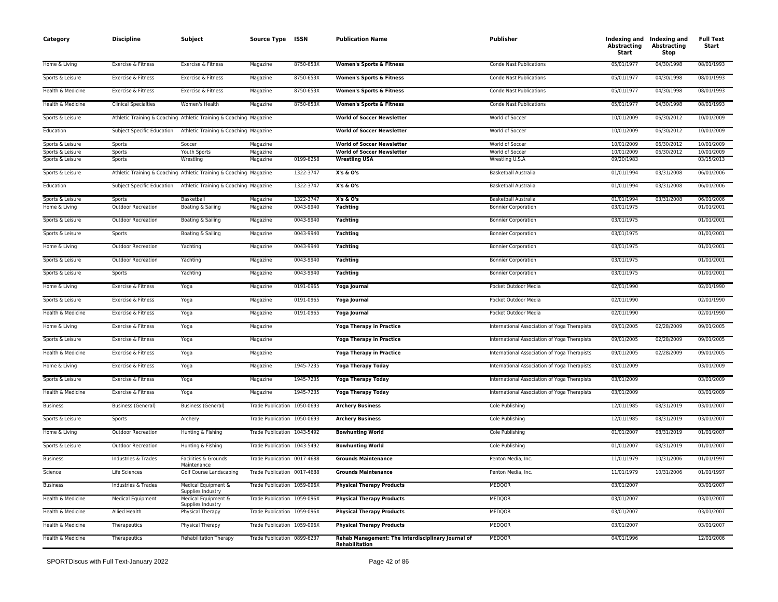| Category          | <b>Discipline</b>           | Subject                                                            | Source Type ISSN            |           | <b>Publication Name</b>                                              | Publisher                                    | <b>Abstracting</b><br>Start | Indexing and Indexing and<br><b>Abstracting</b><br>Stop | <b>Full Text</b><br>Start |
|-------------------|-----------------------------|--------------------------------------------------------------------|-----------------------------|-----------|----------------------------------------------------------------------|----------------------------------------------|-----------------------------|---------------------------------------------------------|---------------------------|
| Home & Living     | Exercise & Fitness          | Exercise & Fitness                                                 | Magazine                    | 8750-653X | <b>Women's Sports &amp; Fitness</b>                                  | <b>Conde Nast Publications</b>               | 05/01/1977                  | 04/30/1998                                              | 08/01/1993                |
| Sports & Leisure  | Exercise & Fitness          | Exercise & Fitness                                                 | Magazine                    | 8750-653X | <b>Women's Sports &amp; Fitness</b>                                  | <b>Conde Nast Publications</b>               | 05/01/1977                  | 04/30/1998                                              | 08/01/1993                |
| Health & Medicine | Exercise & Fitness          | Exercise & Fitness                                                 | Magazine                    | 8750-653X | <b>Women's Sports &amp; Fitness</b>                                  | <b>Conde Nast Publications</b>               | 05/01/1977                  | 04/30/1998                                              | 08/01/1993                |
| Health & Medicine | <b>Clinical Specialties</b> | Women's Health                                                     | Magazine                    | 8750-653X | <b>Women's Sports &amp; Fitness</b>                                  | <b>Conde Nast Publications</b>               | 05/01/1977                  | 04/30/1998                                              | 08/01/1993                |
| Sports & Leisure  |                             | Athletic Training & Coaching Athletic Training & Coaching Magazine |                             |           | <b>World of Soccer Newsletter</b>                                    | World of Soccer                              | 10/01/2009                  | 06/30/2012                                              | 10/01/2009                |
| Education         | Subject Specific Education  | Athletic Training & Coaching Magazine                              |                             |           | <b>World of Soccer Newsletter</b>                                    | World of Soccer                              | 10/01/2009                  | 06/30/2012                                              | 10/01/2009                |
| Sports & Leisure  | Sports                      | Soccer                                                             | Magazine                    |           | <b>World of Soccer Newsletter</b>                                    | World of Soccer                              | 10/01/2009                  | 06/30/2012                                              | 10/01/2009                |
| Sports & Leisure  | Sports                      | Youth Sports                                                       | Magazine                    |           | <b>World of Soccer Newsletter</b>                                    | World of Soccer                              | 10/01/2009                  | 06/30/2012                                              | 10/01/2009                |
| Sports & Leisure  | Sports                      | Wrestling                                                          | Magazine                    | 0199-6258 | <b>Wrestling USA</b>                                                 | Wrestling U.S.A                              | 09/20/1983                  |                                                         | 03/15/2013                |
| Sports & Leisure  |                             | Athletic Training & Coaching Athletic Training & Coaching Magazine |                             | 1322-3747 | X's & O's                                                            | <b>Basketball Australia</b>                  | 01/01/1994                  | 03/31/2008                                              | 06/01/2006                |
| Education         | Subject Specific Education  | Athletic Training & Coaching Magazine                              |                             | 1322-3747 | X's & O's                                                            | Basketball Australia                         | 01/01/1994                  | 03/31/2008                                              | 06/01/2006                |
| Sports & Leisure  | Sports                      | Basketball                                                         | Magazine                    | 1322-3747 | X's & O's                                                            | <b>Basketball Australia</b>                  | 01/01/1994                  | 03/31/2008                                              | 06/01/2006                |
| Home & Living     | <b>Outdoor Recreation</b>   | Boating & Sailing                                                  | Magazine                    | 0043-9940 | Yachting                                                             | <b>Bonnier Corporation</b>                   | 03/01/1975                  |                                                         | 01/01/2001                |
| Sports & Leisure  | <b>Outdoor Recreation</b>   | Boating & Sailing                                                  | Magazine                    | 0043-9940 | Yachting                                                             | <b>Bonnier Corporation</b>                   | 03/01/1975                  |                                                         | 01/01/2001                |
| Sports & Leisure  | Sports                      | Boating & Sailing                                                  | Magazine                    | 0043-9940 | Yachting                                                             | <b>Bonnier Corporation</b>                   | 03/01/1975                  |                                                         | 01/01/2001                |
| Home & Living     | <b>Outdoor Recreation</b>   | Yachting                                                           | Magazine                    | 0043-9940 | Yachting                                                             | <b>Bonnier Corporation</b>                   | 03/01/1975                  |                                                         | 01/01/2001                |
| Sports & Leisure  | <b>Outdoor Recreation</b>   | Yachting                                                           | Magazine                    | 0043-9940 | Yachting                                                             | <b>Bonnier Corporation</b>                   | 03/01/1975                  |                                                         | 01/01/2001                |
| Sports & Leisure  | Sports                      | Yachting                                                           | Magazine                    | 0043-9940 | Yachting                                                             | <b>Bonnier Corporation</b>                   | 03/01/1975                  |                                                         | 01/01/2001                |
| Home & Living     | Exercise & Fitness          | Yoga                                                               | Magazine                    | 0191-0965 | Yoga Journal                                                         | Pocket Outdoor Media                         | 02/01/1990                  |                                                         | 02/01/1990                |
| Sports & Leisure  | Exercise & Fitness          | Yoga                                                               | Magazine                    | 0191-0965 | Yoga Journal                                                         | Pocket Outdoor Media                         | 02/01/1990                  |                                                         | 02/01/1990                |
| Health & Medicine | Exercise & Fitness          | Yoga                                                               | Magazine                    | 0191-0965 | Yoga Journal                                                         | Pocket Outdoor Media                         | 02/01/1990                  |                                                         | 02/01/1990                |
| Home & Living     | Exercise & Fitness          | Yoga                                                               | Magazine                    |           | <b>Yoga Therapy in Practice</b>                                      | International Association of Yoga Therapists | 09/01/2005                  | 02/28/2009                                              | 09/01/2005                |
| Sports & Leisure  | Exercise & Fitness          | Yoga                                                               | Magazine                    |           | <b>Yoga Therapy in Practice</b>                                      | International Association of Yoga Therapists | 09/01/2005                  | 02/28/2009                                              | 09/01/2005                |
| Health & Medicine | Exercise & Fitness          | Yoga                                                               | Magazine                    |           | <b>Yoga Therapy in Practice</b>                                      | International Association of Yoga Therapists | 09/01/2005                  | 02/28/2009                                              | 09/01/2005                |
| Home & Living     | Exercise & Fitness          | Yoga                                                               | Magazine                    | 1945-7235 | <b>Yoga Therapy Today</b>                                            | International Association of Yoga Therapists | 03/01/2009                  |                                                         | 03/01/2009                |
| Sports & Leisure  | Exercise & Fitness          | Yoga                                                               | Magazine                    | 1945-7235 | <b>Yoga Therapy Today</b>                                            | International Association of Yoga Therapists | 03/01/2009                  |                                                         | 03/01/2009                |
| Health & Medicine | Exercise & Fitness          | Yoga                                                               | Magazine                    | 1945-7235 | <b>Yoga Therapy Today</b>                                            | International Association of Yoga Therapists | 03/01/2009                  |                                                         | 03/01/2009                |
| <b>Business</b>   | <b>Business (General)</b>   | <b>Business (General)</b>                                          | Trade Publication 1050-0693 |           | <b>Archery Business</b>                                              | Cole Publishing                              | 12/01/1985                  | 08/31/2019                                              | 03/01/2007                |
| Sports & Leisure  | Sports                      | Archery                                                            | Trade Publication 1050-0693 |           | <b>Archery Business</b>                                              | Cole Publishing                              | 12/01/1985                  | 08/31/2019                                              | 03/01/2007                |
| Home & Living     | <b>Outdoor Recreation</b>   | Hunting & Fishing                                                  | Trade Publication 1043-5492 |           | <b>Bowhunting World</b>                                              | Cole Publishing                              | 01/01/2007                  | 08/31/2019                                              | 01/01/2007                |
| Sports & Leisure  | <b>Outdoor Recreation</b>   | Hunting & Fishing                                                  | Trade Publication 1043-5492 |           | <b>Bowhunting World</b>                                              | Cole Publishing                              | 01/01/2007                  | 08/31/2019                                              | 01/01/2007                |
| <b>Business</b>   | Industries & Trades         | Facilities & Grounds<br>Maintenance                                | Trade Publication 0017-4688 |           | <b>Grounds Maintenance</b>                                           | Penton Media, Inc.                           | 11/01/1979                  | 10/31/2006                                              | 01/01/1997                |
| Science           | Life Sciences               | Golf Course Landscaping                                            | Trade Publication 0017-4688 |           | <b>Grounds Maintenance</b>                                           | Penton Media, Inc.                           | 11/01/1979                  | 10/31/2006                                              | 01/01/1997                |
| <b>Business</b>   | Industries & Trades         | Medical Equipment &<br>Supplies Industry                           | Trade Publication 1059-096X |           | <b>Physical Therapy Products</b>                                     | MEDQOR                                       | 03/01/2007                  |                                                         | 03/01/2007                |
| Health & Medicine | <b>Medical Equipment</b>    | Medical Equipment &<br>Supplies Industry                           | Trade Publication 1059-096X |           | <b>Physical Therapy Products</b>                                     | <b>MEDQOR</b>                                | 03/01/2007                  |                                                         | 03/01/2007                |
| Health & Medicine | Allied Health               | Physical Therapy                                                   | Trade Publication 1059-096X |           | <b>Physical Therapy Products</b>                                     | <b>MEDQOR</b>                                | 03/01/2007                  |                                                         | 03/01/2007                |
| Health & Medicine | Therapeutics                | Physical Therapy                                                   | Trade Publication 1059-096X |           | <b>Physical Therapy Products</b>                                     | <b>MEDQOR</b>                                | 03/01/2007                  |                                                         | 03/01/2007                |
| Health & Medicine | Therapeutics                | <b>Rehabilitation Therapy</b>                                      | Trade Publication 0899-6237 |           | Rehab Management: The Interdisciplinary Journal of<br>Rehabilitation | MEDQOR                                       | 04/01/1996                  |                                                         | 12/01/2006                |
|                   |                             |                                                                    |                             |           |                                                                      |                                              |                             |                                                         |                           |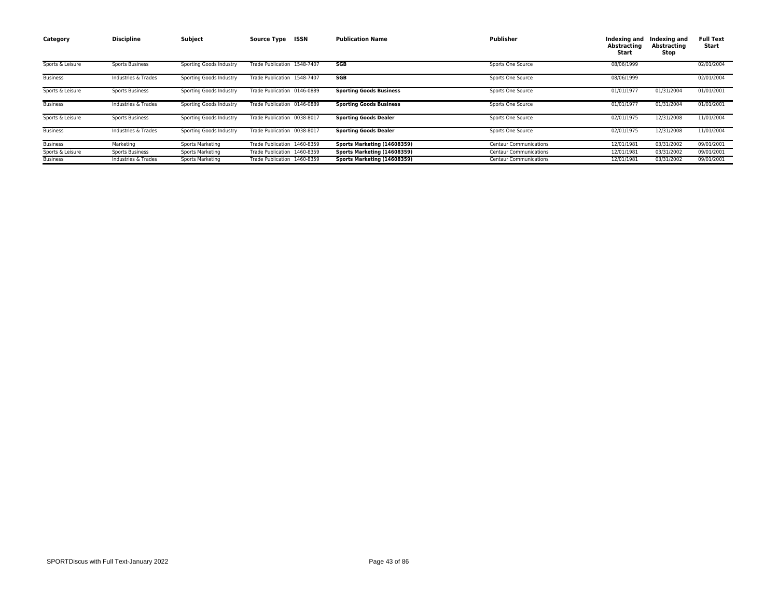| Category         | <b>Discipline</b>      | Subject                 | ISSN<br><b>Source Type</b>  | <b>Publication Name</b>        | Publisher                     | Indexing and<br>Abstracting<br>Start | Indexing and<br><b>Abstracting</b><br>Stop | <b>Full Text</b><br>Start |
|------------------|------------------------|-------------------------|-----------------------------|--------------------------------|-------------------------------|--------------------------------------|--------------------------------------------|---------------------------|
| Sports & Leisure | <b>Sports Business</b> | Sporting Goods Industry | Trade Publication 1548-7407 | <b>SGB</b>                     | Sports One Source             | 08/06/1999                           |                                            | 02/01/2004                |
| Business         | Industries & Trades    | Sporting Goods Industry | Trade Publication 1548-7407 | <b>SGB</b>                     | Sports One Source             | 08/06/1999                           |                                            | 02/01/2004                |
| Sports & Leisure | <b>Sports Business</b> | Sporting Goods Industry | Trade Publication 0146-0889 | <b>Sporting Goods Business</b> | Sports One Source             | 01/01/1977                           | 01/31/2004                                 | 01/01/2001                |
| <b>Business</b>  | Industries & Trades    | Sporting Goods Industry | Trade Publication 0146-0889 | <b>Sporting Goods Business</b> | Sports One Source             | 01/01/1977                           | 01/31/2004                                 | 01/01/2001                |
| Sports & Leisure | <b>Sports Business</b> | Sporting Goods Industry | Trade Publication 0038-8017 | <b>Sporting Goods Dealer</b>   | Sports One Source             | 02/01/1975                           | 12/31/2008                                 | 11/01/2004                |
| <b>Business</b>  | Industries & Trades    | Sporting Goods Industry | Trade Publication 0038-8017 | <b>Sporting Goods Dealer</b>   | Sports One Source             | 02/01/1975                           | 12/31/2008                                 | 11/01/2004                |
| Business         | Marketing              | Sports Marketing        | Trade Publication 1460-8359 | Sports Marketing (14608359)    | <b>Centaur Communications</b> | 12/01/1981                           | 03/31/2002                                 | 09/01/2001                |
| Sports & Leisure | <b>Sports Business</b> | Sports Marketing        | Trade Publication 1460-8359 | Sports Marketing (14608359)    | <b>Centaur Communications</b> | 12/01/1981                           | 03/31/2002                                 | 09/01/2001                |
| <b>Business</b>  | Industries & Trades    | Sports Marketing        | Trade Publication 1460-8359 | Sports Marketing (14608359)    | <b>Centaur Communications</b> | 12/01/1981                           | 03/31/2002                                 | 09/01/2001                |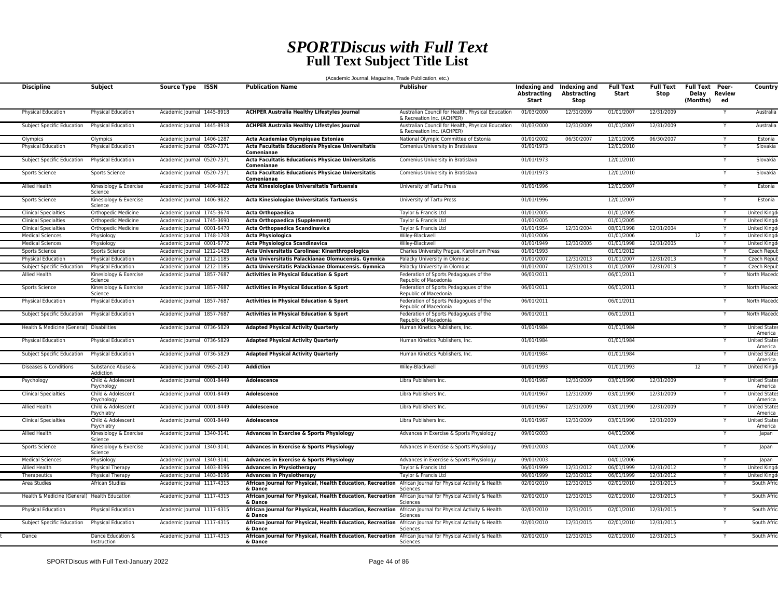## *SPORTDiscus with Full Text* **Full Text Subject Title List**

(Academic Journal, Magazine, Trade Publication, etc.)

| <b>Discipline</b>                            | Subject                                                | Source Type ISSN                                         | <b>Publication Name</b>                                                                                              | <b>Publisher</b>                                                                | <b>Abstracting</b><br>Start | Indexing and Indexing and<br>Abstracting<br>Stop | <b>Full Text</b><br>Start | <b>Full Text</b><br>Stop | <b>Full Text Peer-</b><br>Delay Review<br>(Months) | ed | Country                                                |
|----------------------------------------------|--------------------------------------------------------|----------------------------------------------------------|----------------------------------------------------------------------------------------------------------------------|---------------------------------------------------------------------------------|-----------------------------|--------------------------------------------------|---------------------------|--------------------------|----------------------------------------------------|----|--------------------------------------------------------|
| Physical Education                           | <b>Physical Education</b>                              | Academic Journal 1445-8918                               | <b>ACHPER Australia Healthy Lifestyles Journal</b>                                                                   | Australian Council for Health, Physical Education<br>& Recreation Inc. (ACHPER) | 01/03/2000                  | 12/31/2009                                       | 01/01/2007                | 12/31/2009               |                                                    |    | Australia                                              |
| Subject Specific Education                   | <b>Physical Education</b>                              | Academic Journal 1445-8918                               | <b>ACHPER Australia Healthy Lifestyles Journal</b>                                                                   | Australian Council for Health, Physical Education<br>& Recreation Inc. (ACHPER) | 01/03/2000                  | 12/31/2009                                       | 01/01/2007                | 12/31/2009               |                                                    |    | Australia                                              |
| Olympics                                     | Olympics                                               | Academic Journal 1406-1287                               | Acta Academiae Olympiquae Estoniae                                                                                   | National Olympic Committee of Estonia                                           | 01/01/2002                  | 06/30/2007                                       | 12/01/2005                | 06/30/2007               |                                                    |    | Estonia                                                |
| <b>Physical Education</b>                    | <b>Physical Education</b>                              | Academic Journal 0520-7371                               | Acta Facultatis Educationis Physicae Universitatis<br>Comenianae                                                     | Comenius University in Bratislava                                               | 01/01/1973                  |                                                  | 12/01/2010                |                          |                                                    |    | Slovakia                                               |
| Subject Specific Education                   | Physical Education                                     | Academic Journal 0520-7371                               | Acta Facultatis Educationis Physicae Universitatis<br>Comenianae                                                     | Comenius University in Bratislava                                               | 01/01/1973                  |                                                  | 12/01/2010                |                          |                                                    |    | Slovakia                                               |
| Sports Science                               | Sports Science                                         | Academic Journal 0520-7371                               | Acta Facultatis Educationis Physicae Universitatis<br>Comenianae                                                     | Comenius University in Bratislava                                               | 01/01/1973                  |                                                  | 12/01/2010                |                          |                                                    |    | Slovakia                                               |
| Allied Health                                | Kinesiology & Exercise<br>Science                      | Academic Journal 1406-9822                               | Acta Kinesiologiae Universitatis Tartuensis                                                                          | University of Tartu Press                                                       | 01/01/1996                  |                                                  | 12/01/2007                |                          |                                                    |    | Estonia                                                |
| Sports Science                               | Kinesiology & Exercise<br>Science                      | Academic Journal 1406-9822                               | Acta Kinesiologiae Universitatis Tartuensis                                                                          | University of Tartu Press                                                       | 01/01/1996                  |                                                  | 12/01/2007                |                          |                                                    |    | Estonia                                                |
| <b>Clinical Specialties</b>                  | Orthopedic Medicine                                    | Academic Journal 1745-3674                               | Acta Orthopaedica                                                                                                    | Taylor & Francis Ltd                                                            | 01/01/2005                  |                                                  | 01/01/2005                |                          |                                                    |    | <b>United Kingo</b>                                    |
| <b>Clinical Specialties</b>                  | Orthopedic Medicine                                    | Academic Journal 1745-3690                               | Acta Orthopaedica (Supplement)                                                                                       | Taylor & Francis Ltd                                                            | 01/01/2005                  |                                                  | 01/01/2005                |                          |                                                    | Y  | <b>United Kingo</b>                                    |
| <b>Clinical Specialties</b>                  | Orthopedic Medicine                                    | Academic Journal 0001-6470                               | Acta Orthopaedica Scandinavica                                                                                       | Taylor & Francis Ltd                                                            | 01/01/1954                  | 12/31/2004                                       | 08/01/1998                | 12/31/2004               |                                                    | Y  | <b>United Kingd</b>                                    |
| <b>Medical Sciences</b>                      | Physiology                                             | Academic lournal 1748-1708                               | Acta Physiologica                                                                                                    | Wiley-Blackwell                                                                 | 01/01/2006                  |                                                  | 01/01/2006                |                          | 12                                                 |    | <b>United Kingd</b>                                    |
| <b>Medical Sciences</b>                      | Physiology                                             | Academic Journal 0001-6772                               | Acta Physiologica Scandinavica                                                                                       | Wiley-Blackwell                                                                 | 01/01/1949                  | 12/31/2005                                       | 01/01/1998                | 12/31/2005               |                                                    |    | <b>United Kingd</b>                                    |
| Sports Science                               | Sports Science                                         | Academic Journal 1212-1428                               | Acta Universitatis Carolinae: Kinanthropologica                                                                      | Charles University Prague, Karolinum Press                                      | 01/01/1993                  |                                                  | 01/01/2012                |                          |                                                    |    | Czech Repub                                            |
| <b>Physical Education</b>                    | <b>Physical Education</b>                              | Academic Journal 1212-1185                               | Acta Universitatis Palackianae Olomucensis. Gymnica                                                                  | Palacky University in Olomouc                                                   | 01/01/2007                  | 12/31/2013                                       | 01/01/2007                | 12/31/2013               |                                                    |    | Czech Repub                                            |
| Subject Specific Education                   | Physical Education                                     | Academic lournal 1212-1185                               | Acta Universitatis Palackianae Olomucensis. Gymnica                                                                  | Palacky University in Olomouc                                                   | 01/01/2007                  | 12/31/2013                                       | 01/01/2007                | 12/31/2013               |                                                    |    | Czech Repub                                            |
| <b>Allied Health</b>                         | Kinesiology & Exercise<br>Science                      | Academic Journal 1857-7687                               | <b>Activities in Physical Education &amp; Sport</b>                                                                  | Federation of Sports Pedagogues of the<br>Republic of Macedonia                 | 06/01/2011                  |                                                  | 06/01/2011                |                          |                                                    |    | North Macedo                                           |
| Sports Science                               | Kinesiology & Exercise<br>Science                      | Academic Journal 1857-7687                               | Activities in Physical Education & Sport                                                                             | Federation of Sports Pedagogues of the<br>Republic of Macedonia                 | 06/01/2011                  |                                                  | 06/01/2011                |                          |                                                    |    | North Macedo                                           |
| Physical Education                           | Physical Education                                     | Academic Journal 1857-7687                               | Activities in Physical Education & Sport                                                                             | Federation of Sports Pedagogues of the<br>Republic of Macedonia                 | 06/01/2011                  |                                                  | 06/01/2011                |                          |                                                    |    | North Macedo                                           |
| Subject Specific Education                   | Physical Education                                     | Academic Journal 1857-7687                               | Activities in Physical Education & Sport                                                                             | Federation of Sports Pedagogues of the<br>Republic of Macedonia                 | 06/01/2011                  |                                                  | 06/01/2011                |                          |                                                    |    | North Macedo                                           |
| Health & Medicine (General) Disabilities     |                                                        | Academic Journal 0736-5829                               | <b>Adapted Physical Activity Quarterly</b>                                                                           | Human Kinetics Publishers, Inc.                                                 | 01/01/1984                  |                                                  | 01/01/1984                |                          |                                                    |    | <b>United States</b><br>America                        |
| Physical Education                           | Physical Education                                     | Academic Journal 0736-5829                               | <b>Adapted Physical Activity Quarterly</b>                                                                           | Human Kinetics Publishers, Inc.                                                 | 01/01/1984                  |                                                  | 01/01/1984                |                          |                                                    |    | <b>United State</b><br>America                         |
| Subject Specific Education                   | <b>Physical Education</b>                              | Academic Journal 0736-5829                               | <b>Adapted Physical Activity Quarterly</b>                                                                           | Human Kinetics Publishers, Inc.                                                 | 01/01/1984                  |                                                  | 01/01/1984                |                          |                                                    |    | <b>United States</b><br>America                        |
| Diseases & Conditions                        | Substance Abuse &<br>Addiction                         | Academic Journal 0965-2140                               | <b>Addiction</b>                                                                                                     | Wiley-Blackwell                                                                 | 01/01/1993                  |                                                  | 01/01/1993<br>03/01/1990  | 12/31/2009               | 12                                                 |    | United Kinad                                           |
| Psychology<br><b>Clinical Specialties</b>    | Child & Adolescent<br>Psychology<br>Child & Adolescent | Academic Journal 0001-8449<br>Academic Journal 0001-8449 | Adolescence<br><b>Adolescence</b>                                                                                    | Libra Publishers Inc.<br>Libra Publishers Inc.                                  | 01/01/1967<br>01/01/1967    | 12/31/2009<br>12/31/2009                         | 03/01/1990                | 12/31/2009               |                                                    |    | <b>United State</b><br>America<br><b>United States</b> |
| Allied Health                                | Psychology<br>Child & Adolescent                       | Academic Journal 0001-8449                               | Adolescence                                                                                                          | Libra Publishers Inc.                                                           | 01/01/1967                  | 12/31/2009                                       | 03/01/1990                | 12/31/2009               |                                                    |    | America<br><b>United State:</b>                        |
| <b>Clinical Specialties</b>                  | Psychiatry<br>Child & Adolescent                       | Academic Journal 0001-8449                               | <b>Adolescence</b>                                                                                                   | Libra Publishers Inc.                                                           | 01/01/1967                  | 12/31/2009                                       | 03/01/1990                | 12/31/2009               |                                                    |    | America<br><b>United States</b>                        |
| Allied Health                                | Psychiatry<br>Kinesiology & Exercise                   | Academic Journal 1340-3141                               | <b>Advances in Exercise &amp; Sports Physiology</b>                                                                  | Advances in Exercise & Sports Physiology                                        | 09/01/2003                  |                                                  | 04/01/2006                |                          |                                                    |    | America<br>Japan                                       |
| Sports Science                               | Science<br>Kinesiology & Exercise                      | Academic Journal 1340-3141                               | Advances in Exercise & Sports Physiology                                                                             | Advances in Exercise & Sports Physiology                                        | 09/01/2003                  |                                                  | 04/01/2006                |                          |                                                    |    | Japan                                                  |
| <b>Medical Sciences</b>                      | Science<br>Physiology                                  | Academic Journal 1340-3141                               | Advances in Exercise & Sports Physiology                                                                             | Advances in Exercise & Sports Physiology                                        | 09/01/2003                  |                                                  | 04/01/2006                |                          |                                                    |    | Japan                                                  |
| Allied Health                                | Physical Therapy                                       | Academic Journal 1403-8196                               | <b>Advances in Physiotherapy</b>                                                                                     | Taylor & Francis Ltd                                                            | 06/01/1999                  | 12/31/2012                                       | 06/01/1999                | 12/31/2012               |                                                    | Y  | United King                                            |
| Therapeutics                                 | Physical Therapy                                       | Academic Journal 1403-8196                               | <b>Advances in Physiotherapy</b>                                                                                     | Taylor & Francis Ltd                                                            | 06/01/1999                  | 12/31/2012                                       | 06/01/1999                | 12/31/2012               |                                                    | Y  | <b>United Kingd</b>                                    |
| Area Studies                                 | African Studies                                        | Academic Journal 1117-4315                               | African Journal for Physical, Health Education, Recreation African Journal for Physical Activity & Health<br>& Dance | Sciences                                                                        | 02/01/2010                  | 12/31/2015                                       | 02/01/2010                | 12/31/2015               |                                                    |    | South Afri                                             |
| Health & Medicine (General) Health Education |                                                        | Academic Journal 1117-4315                               | African Journal for Physical, Health Education, Recreation<br>& Dance                                                | African Journal for Physical Activity & Health<br>Sciences                      | 02/01/2010                  | 12/31/2015                                       | 02/01/2010                | 12/31/2015               |                                                    |    | South Afric                                            |
| <b>Physical Education</b>                    | <b>Physical Education</b>                              | Academic Journal 1117-4315                               | African Journal for Physical, Health Education, Recreation<br>& Dance                                                | African Journal for Physical Activity & Health<br>Sciences                      | 02/01/2010                  | 12/31/2015                                       | 02/01/2010                | 12/31/2015               |                                                    |    | South Afric                                            |
| Subject Specific Education                   | <b>Physical Education</b>                              | Academic Journal 1117-4315                               | African Journal for Physical, Health Education, Recreation African Journal for Physical Activity & Health<br>& Dance | Sciences                                                                        | 02/01/2010                  | 12/31/2015                                       | 02/01/2010                | 12/31/2015               |                                                    |    | South Afri                                             |
| Dance                                        | Dance Education &<br>Instruction                       | Academic Journal 1117-4315                               | African Journal for Physical, Health Education, Recreation African Journal for Physical Activity & Health<br>& Dance | Sciences                                                                        | 02/01/2010                  | 12/31/2015                                       | 02/01/2010                | 12/31/2015               |                                                    |    | South Afric                                            |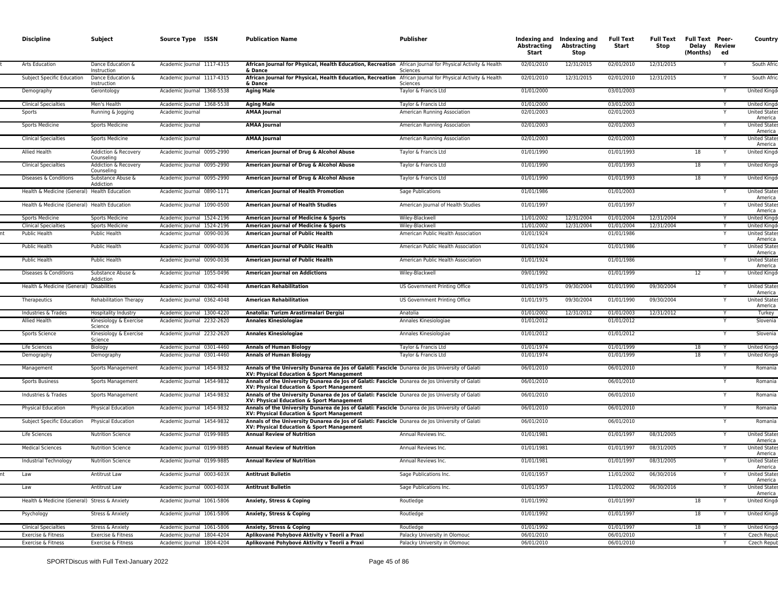| <b>Discipline</b>                            | Subject                            | Source Type ISSN           | <b>Publication Name</b>                                                                                                                      | Publisher                          | <b>Abstracting</b><br>Start | Indexing and Indexing and<br>Abstracting<br>Stop | <b>Full Text</b><br>Start | Full Text<br>Stop | <b>Full Text Peer-</b><br>Delay Review<br>(Months) | ed | Country                         |
|----------------------------------------------|------------------------------------|----------------------------|----------------------------------------------------------------------------------------------------------------------------------------------|------------------------------------|-----------------------------|--------------------------------------------------|---------------------------|-------------------|----------------------------------------------------|----|---------------------------------|
| Arts Education                               | Dance Education &<br>Instruction   | Academic Journal 1117-4315 | African Journal for Physical, Health Education, Recreation African Journal for Physical Activity & Health<br>& Dance                         | Sciences                           | 02/01/2010                  | 12/31/2015                                       | 02/01/2010                | 12/31/2015        |                                                    |    | South Afric                     |
| Subject Specific Education                   | Dance Education &<br>Instruction   | Academic Journal 1117-4315 | African Journal for Physical, Health Education, Recreation African Journal for Physical Activity & Health<br>& Dance                         | Sciences                           | 02/01/2010                  | 12/31/2015                                       | 02/01/2010                | 12/31/2015        |                                                    |    | South Afric                     |
| Demography                                   | Gerontology                        | Academic Journal 1368-5538 | <b>Aging Male</b>                                                                                                                            | Taylor & Francis Ltd               | 01/01/2000                  |                                                  | 03/01/2003                |                   |                                                    |    | United Kingd                    |
| <b>Clinical Specialties</b>                  | Men's Health                       | Academic Journal 1368-5538 | <b>Aging Male</b>                                                                                                                            | Taylor & Francis Ltd               | 01/01/2000                  |                                                  | 03/01/2003                |                   |                                                    |    | <b>United Kingd</b>             |
| Sports                                       | Running & Jogging                  | Academic Journal           | <b>AMAA Journal</b>                                                                                                                          | American Running Association       | 02/01/2003                  |                                                  | 02/01/2003                |                   |                                                    |    | <b>United State</b><br>America  |
| Sports Medicine                              | <b>Sports Medicine</b>             | Academic Journal           | <b>AMAA Journal</b>                                                                                                                          | American Running Association       | 02/01/2003                  |                                                  | 02/01/2003                |                   |                                                    |    | <b>United States</b><br>America |
| <b>Clinical Specialties</b>                  | <b>Sports Medicine</b>             | Academic Journal           | <b>AMAA Journal</b>                                                                                                                          | American Running Association       | 02/01/2003                  |                                                  | 02/01/2003                |                   |                                                    |    | <b>United States</b><br>America |
| Allied Health                                | Addiction & Recovery<br>Counseling | Academic Journal 0095-2990 | American Journal of Drug & Alcohol Abuse                                                                                                     | Taylor & Francis Ltd               | 01/01/1990                  |                                                  | 01/01/1993                |                   | 18                                                 |    | United Kingd                    |
| <b>Clinical Specialties</b>                  | Addiction & Recovery<br>Counseling | Academic Journal 0095-2990 | American Journal of Drug & Alcohol Abuse                                                                                                     | Taylor & Francis Ltd               | 01/01/1990                  |                                                  | 01/01/1993                |                   | 18                                                 |    | United Kingd                    |
| Diseases & Conditions                        | Substance Abuse &<br>Addiction     | Academic Journal 0095-2990 | American Journal of Drug & Alcohol Abuse                                                                                                     | Taylor & Francis Ltd               | 01/01/1990                  |                                                  | 01/01/1993                |                   | 18                                                 |    | United Kingd                    |
| Health & Medicine (General) Health Education |                                    | Academic Journal 0890-1171 | American Journal of Health Promotion                                                                                                         | Sage Publications                  | 01/01/1986                  |                                                  | 01/01/2003                |                   |                                                    |    | <b>United States</b><br>America |
| Health & Medicine (General) Health Education |                                    | Academic Journal 1090-0500 | <b>American Journal of Health Studies</b>                                                                                                    | American Journal of Health Studies | 01/01/1997                  |                                                  | 01/01/1997                |                   |                                                    |    | <b>United States</b><br>America |
| Sports Medicine                              | <b>Sports Medicine</b>             | Academic Journal 1524-2196 | American Journal of Medicine & Sports                                                                                                        | Wiley-Blackwell                    | 11/01/2002                  | 12/31/2004                                       | 01/01/2004                | 12/31/2004        |                                                    | Y  | United Kingd                    |
| <b>Clinical Specialties</b>                  | Sports Medicine                    | Academic Journal 1524-2196 | <b>American Journal of Medicine &amp; Sports</b>                                                                                             | Wiley-Blackwell                    | 11/01/2002                  | 12/31/2004                                       | 01/01/2004                | 12/31/2004        |                                                    |    | <b>United Kingd</b>             |
| Public Health                                | Public Health                      | Academic Journal 0090-0036 | American Journal of Public Health                                                                                                            | American Public Health Association | 01/01/1924                  |                                                  | 01/01/1986                |                   |                                                    |    | <b>United State</b><br>America  |
| Public Health                                | Public Health                      | Academic Journal 0090-0036 | American Journal of Public Health                                                                                                            | American Public Health Association | 01/01/1924                  |                                                  | 01/01/1986                |                   |                                                    |    | <b>United State:</b><br>America |
| Public Health                                | Public Health                      | Academic Journal 0090-0036 | American Journal of Public Health                                                                                                            | American Public Health Association | 01/01/1924                  |                                                  | 01/01/1986                |                   |                                                    | Y  | <b>United States</b><br>America |
| Diseases & Conditions                        | Substance Abuse &<br>Addiction     | Academic Journal 1055-0496 | <b>American Journal on Addictions</b>                                                                                                        | Wiley-Blackwell                    | 09/01/1992                  |                                                  | 01/01/1999                |                   | 12                                                 |    | United Kingd                    |
| Health & Medicine (General) Disabilities     |                                    | Academic Journal 0362-4048 | <b>American Rehabilitation</b>                                                                                                               | US Government Printing Office      | 01/01/1975                  | 09/30/2004                                       | 01/01/1990                | 09/30/2004        |                                                    | Y  | <b>United State:</b><br>America |
| Therapeutics                                 | <b>Rehabilitation Therapy</b>      | Academic Journal 0362-4048 | <b>American Rehabilitation</b>                                                                                                               | US Government Printing Office      | 01/01/1975                  | 09/30/2004                                       | 01/01/1990                | 09/30/2004        |                                                    |    | <b>United State:</b><br>America |
| Industries & Trades                          | Hospitality Industry               | Academic Journal 1300-4220 | Anatolia: Turizm Arastirmalari Dergisi                                                                                                       | Anatolia                           | 01/01/2002                  | 12/31/2012                                       | 01/01/2003                | 12/31/2012        |                                                    | Y  | Turkey                          |
| Allied Health                                | Kinesiology & Exercise<br>Science  | Academic Journal 2232-2620 | <b>Annales Kinesiologiae</b>                                                                                                                 | Annales Kinesiologiae              | 01/01/2012                  |                                                  | 01/01/2012                |                   |                                                    |    | Slovenia                        |
| Sports Science                               | Kinesiology & Exercise<br>Science  | Academic Journal 2232-2620 | <b>Annales Kinesiologiae</b>                                                                                                                 | Annales Kinesiologiae              | 01/01/2012                  |                                                  | 01/01/2012                |                   |                                                    |    | Slovenia                        |
| Life Sciences                                | Biology                            | Academic Journal 0301-4460 | <b>Annals of Human Biology</b>                                                                                                               | Taylor & Francis Ltd               | 01/01/1974                  |                                                  | 01/01/1999                |                   | 18                                                 |    | <b>United King</b>              |
| Demography                                   | Demography                         | Academic Journal 0301-4460 | <b>Annals of Human Biology</b>                                                                                                               | Taylor & Francis Ltd               | 01/01/1974                  |                                                  | 01/01/1999                |                   | 18                                                 |    | <b>United Kingd</b>             |
| Management                                   | Sports Management                  | Academic Journal 1454-9832 | Annals of the University Dunarea de Jos of Galati: Fascicle Dunarea de Jos University of Galati<br>XV: Physical Education & Sport Management |                                    | 06/01/2010                  |                                                  | 06/01/2010                |                   |                                                    |    | Romania                         |
| <b>Sports Business</b>                       | Sports Management                  | Academic Journal 1454-9832 | Annals of the University Dunarea de Jos of Galati: Fascicle Dunarea de Jos University of Galati<br>XV: Physical Education & Sport Management |                                    | 06/01/2010                  |                                                  | 06/01/2010                |                   |                                                    | Y  | Romania                         |
| Industries & Trades                          | Sports Management                  | Academic Journal 1454-9832 | Annals of the University Dunarea de Jos of Galati: Fascicle Dunarea de Jos University of Galati<br>XV: Physical Education & Sport Management |                                    | 06/01/2010                  |                                                  | 06/01/2010                |                   |                                                    |    | Romania                         |
| Physical Education                           | Physical Education                 | Academic Journal 1454-9832 | Annals of the University Dunarea de Jos of Galati: Fascicle Dunarea de Jos University of Galati<br>XV: Physical Education & Sport Management |                                    | 06/01/2010                  |                                                  | 06/01/2010                |                   |                                                    |    | Romania                         |
| Subject Specific Education                   | <b>Physical Education</b>          | Academic Journal 1454-9832 | Annals of the University Dunarea de Jos of Galati: Fascicle Dunarea de Jos University of Galati<br>XV: Physical Education & Sport Management |                                    | 06/01/2010                  |                                                  | 06/01/2010                |                   |                                                    |    | Romania                         |
| Life Sciences                                | <b>Nutrition Science</b>           | Academic Journal 0199-9885 | <b>Annual Review of Nutrition</b>                                                                                                            | Annual Reviews Inc.                | 01/01/1981                  |                                                  | 01/01/1997                | 08/31/2005        |                                                    |    | <b>United State:</b><br>America |
| <b>Medical Sciences</b>                      | <b>Nutrition Science</b>           | Academic Journal 0199-9885 | <b>Annual Review of Nutrition</b>                                                                                                            | Annual Reviews Inc.                | 01/01/1981                  |                                                  | 01/01/1997                | 08/31/2005        |                                                    |    | <b>United State:</b><br>America |
| Industrial Technology                        | <b>Nutrition Science</b>           | Academic Journal 0199-9885 | <b>Annual Review of Nutrition</b>                                                                                                            | Annual Reviews Inc.                | 01/01/1981                  |                                                  | 01/01/1997                | 08/31/2005        |                                                    |    | <b>United States</b><br>America |
|                                              | Antitrust Law                      | Academic Journal 0003-603X | Antitrust Bulletir                                                                                                                           | Sage Publications inc              | 01/01/1921                  |                                                  | <b>TIMISONS</b>           | 00/30/2010        |                                                    |    | United Stat<br>America          |
| Law                                          | Antitrust Law                      | Academic Journal 0003-603X | <b>Antitrust Bulletin</b>                                                                                                                    | Sage Publications Inc.             | 01/01/1957                  |                                                  | 11/01/2002                | 06/30/2016        |                                                    |    | <b>United States</b><br>America |
| Health & Medicine (General) Stress & Anxiety |                                    | Academic Journal 1061-5806 | Anxiety, Stress & Coping                                                                                                                     | Routledge                          | 01/01/1992                  |                                                  | 01/01/1997                |                   | 18                                                 |    | United Kingd                    |
| Psychology                                   | Stress & Anxiety                   | Academic Journal 1061-5806 | Anxiety, Stress & Coping                                                                                                                     | Routledge                          | 01/01/1992                  |                                                  | 01/01/1997                |                   | 18                                                 |    | United Kingd                    |
| <b>Clinical Specialties</b>                  | Stress & Anxiety                   | Academic Journal 1061-5806 | Anxiety, Stress & Coping                                                                                                                     | Routledge                          | 01/01/1992                  |                                                  | 01/01/1997                |                   | 18                                                 |    | United Kingd                    |
| Exercise & Fitness                           | Exercise & Fitness                 | Academic Journal 1804-4204 | Aplikované Pohybové Aktivity v Teorii a Praxi                                                                                                | Palacky University in Olomouc      | 06/01/2010                  |                                                  | 06/01/2010                |                   |                                                    |    | Czech Repub                     |
| Exercise & Fitness                           | Exercise & Fitness                 | Academic Journal 1804-4204 | Aplikované Pohybové Aktivity v Teorii a Praxi                                                                                                | Palacky University in Olomouc      | 06/01/2010                  |                                                  | 06/01/2010                |                   |                                                    |    | Czech Repub                     |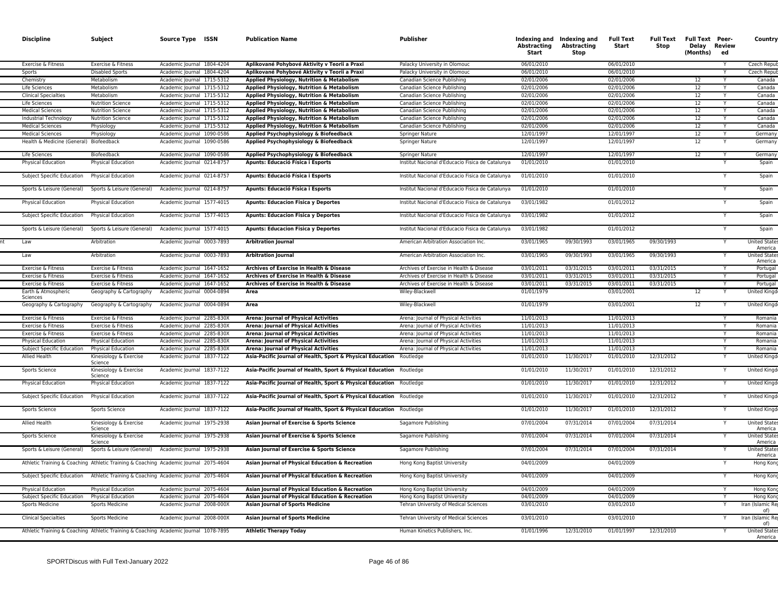| <b>Discipline</b>                       | Subject                                                                              | Source Type ISSN           | <b>Publication Name</b>                                              | Publisher                                        | Abstracting<br>Start | Indexing and Indexing and<br><b>Abstracting</b><br>Stop | <b>Full Text</b><br>Start | Full Text<br>Stop | <b>Full Text Peer-</b><br>Delay Review<br>(Months) | ed | Country                        |
|-----------------------------------------|--------------------------------------------------------------------------------------|----------------------------|----------------------------------------------------------------------|--------------------------------------------------|----------------------|---------------------------------------------------------|---------------------------|-------------------|----------------------------------------------------|----|--------------------------------|
| Exercise & Fitness                      | Exercise & Fitness                                                                   | Academic Journal 1804-4204 | Aplikované Pohybové Aktivity v Teorii a Praxi                        | Palacky University in Olomouc                    | 06/01/2010           |                                                         | 06/01/2010                |                   |                                                    |    | Czech Repu                     |
| Sports                                  | <b>Disabled Sports</b>                                                               | Academic lournal 1804-4204 | Aplikované Pohybové Aktivity v Teorii a Praxi                        | Palacky University in Olomouc                    | 06/01/2010           |                                                         | 06/01/2010                |                   |                                                    | Y  | <b>Czech Repul</b>             |
| Chemistry                               | Metabolism                                                                           | Academic Journal 1715-5312 | Applied Physiology, Nutrition & Metabolism                           | Canadian Science Publishing                      | 02/01/2006           |                                                         | 02/01/2006                |                   | 12                                                 | Y  | Canada                         |
| Life Sciences                           | Metabolism                                                                           | Academic lournal 1715-5312 | Applied Physiology, Nutrition & Metabolism                           | Canadian Science Publishing                      | 02/01/2006           |                                                         | 02/01/2006                |                   | 12                                                 | Y  | Canada                         |
| <b>Clinical Specialties</b>             | Metabolism                                                                           | Academic Journal 1715-5312 | Applied Physiology, Nutrition & Metabolism                           | Canadian Science Publishing                      | 02/01/2006           |                                                         | 02/01/2006                |                   | 12                                                 |    | Canada                         |
| Life Sciences                           | <b>Nutrition Science</b>                                                             | Academic Journal 1715-5312 | Applied Physiology, Nutrition & Metabolism                           | Canadian Science Publishing                      | 02/01/2006           |                                                         | 02/01/2006                |                   | 12                                                 | Y  | Canada                         |
| <b>Medical Sciences</b>                 | <b>Nutrition Science</b>                                                             | Academic Journal 1715-5312 | Applied Physiology, Nutrition & Metabolism                           | Canadian Science Publishing                      | 02/01/2006           |                                                         | 02/01/2006                |                   | 12                                                 |    | Canada                         |
| Industrial Technology                   | <b>Nutrition Science</b>                                                             | Academic Journal 1715-5312 | Applied Physiology, Nutrition & Metabolism                           | Canadian Science Publishing                      | 02/01/2006           |                                                         | 02/01/2006                |                   | 12                                                 |    | Canada                         |
| <b>Medical Sciences</b>                 | Physiology                                                                           | Academic Journal 1715-5312 | Applied Physiology, Nutrition & Metabolism                           | Canadian Science Publishing                      | 02/01/2006           |                                                         | 02/01/2006                |                   | 12                                                 |    | Canada                         |
| <b>Medical Sciences</b>                 | Physiology                                                                           | Academic Journal 1090-0586 | Applied Psychophysiology & Biofeedback                               | Springer Nature                                  | 12/01/1997           |                                                         | 12/01/1997                |                   | 12                                                 | Y  | Germany                        |
| Health & Medicine (General) Biofeedback |                                                                                      | Academic Journal 1090-0586 | Applied Psychophysiology & Biofeedback                               | Springer Nature                                  | 12/01/1997           |                                                         | 12/01/1997                |                   | 12                                                 |    | Germany                        |
| Life Sciences                           | Biofeedback                                                                          | Academic Journal 1090-0586 | Applied Psychophysiology & Biofeedback                               | Springer Nature                                  | 12/01/1997           |                                                         | 12/01/1997                |                   | 12                                                 | Y  | Germany                        |
| Physical Education                      | Physical Education                                                                   | Academic Journal 0214-8757 | Apunts: Educació Física i Esports                                    | Institut Nacional d'Educacio Fisica de Catalunya | 01/01/2010           |                                                         | 01/01/2010                |                   |                                                    |    | Spain                          |
| Subject Specific Education              | <b>Physical Education</b>                                                            | Academic Journal 0214-8757 | Apunts: Educació Física i Esports                                    | Institut Nacional d'Educacio Fisica de Catalunya | 01/01/2010           |                                                         | 01/01/2010                |                   |                                                    |    | Spain                          |
| Sports & Leisure (General)              | Sports & Leisure (General)                                                           | Academic Journal 0214-8757 | Apunts: Educació Física i Esports                                    | Institut Nacional d'Educacio Fisica de Catalunya | 01/01/2010           |                                                         | 01/01/2010                |                   |                                                    |    | Spain                          |
| <b>Physical Education</b>               | <b>Physical Education</b>                                                            | Academic Journal 1577-4015 | <b>Apunts: Educacion Fisica y Deportes</b>                           | Institut Nacional d'Educacio Fisica de Catalunya | 03/01/1982           |                                                         | 01/01/2012                |                   |                                                    |    | Spain                          |
| Subject Specific Education              | Physical Education                                                                   | Academic Journal 1577-4015 | <b>Apunts: Educacion Fisica y Deportes</b>                           | Institut Nacional d'Educacio Fisica de Catalunya | 03/01/1982           |                                                         | 01/01/2012                |                   |                                                    |    | Spain                          |
| Sports & Leisure (General)              | Sports & Leisure (General)                                                           | Academic Journal 1577-4015 | <b>Apunts: Educacion Fisica y Deportes</b>                           | Institut Nacional d'Educacio Fisica de Catalunya | 03/01/1982           |                                                         | 01/01/2012                |                   |                                                    |    | Spain                          |
| Law                                     | Arbitration                                                                          | Academic Journal 0003-7893 | <b>Arbitration Journal</b>                                           | American Arbitration Association Inc.            | 03/01/1965           | 09/30/1993                                              | 03/01/1965                | 09/30/1993        |                                                    |    | <b>United State</b><br>America |
| Law                                     | Arbitration                                                                          | Academic Journal 0003-7893 | <b>Arbitration Journal</b>                                           | American Arbitration Association Inc.            | 03/01/1965           | 09/30/1993                                              | 03/01/1965                | 09/30/1993        |                                                    |    | <b>United State</b><br>America |
| Exercise & Fitness                      | Exercise & Fitness                                                                   | Academic Journal 1647-1652 | Archives of Exercise in Health & Disease                             | Archives of Exercise in Health & Disease         | 03/01/2011           | 03/31/2015                                              | 03/01/2011                | 03/31/2015        |                                                    |    | Portugal                       |
| Exercise & Fitness                      | Exercise & Fitness                                                                   | Academic Journal 1647-1652 | Archives of Exercise in Health & Disease                             | Archives of Exercise in Health & Disease         | 03/01/2011           | 03/31/2015                                              | 03/01/2011                | 03/31/2015        |                                                    | Y  | Portugal                       |
| Exercise & Fitness                      | Exercise & Fitness                                                                   | Academic Journal 1647-1652 | Archives of Exercise in Health & Disease                             | Archives of Exercise in Health & Disease         | 03/01/2011           | 03/31/2015                                              | 03/01/2011                | 03/31/2015        |                                                    |    | Portugal                       |
| Earth & Atmospheric<br>Sciences         | Geography & Cartography                                                              | Academic Journal 0004-0894 | Area                                                                 | Wiley-Blackwell                                  | 01/01/1979           |                                                         | 03/01/2001                |                   | 12                                                 |    | <b>United Kingo</b>            |
| Geography & Cartography                 | Geography & Cartography                                                              | Academic Journal 0004-0894 | Area                                                                 | Wiley-Blackwell                                  | 01/01/1979           |                                                         | 03/01/2001                |                   | 12                                                 |    | <b>United Kingd</b>            |
| Exercise & Fitness                      | Exercise & Fitness                                                                   | Academic lournal 2285-830X | <b>Arena: Journal of Physical Activities</b>                         | Arena: Journal of Physical Activities            | 11/01/2013           |                                                         | 11/01/2013                |                   |                                                    |    | Romania                        |
| Exercise & Fitness                      | Exercise & Fitness                                                                   | Academic Journal 2285-830X | Arena: Journal of Physical Activities                                | Arena: Journal of Physical Activities            | 11/01/2013           |                                                         | 11/01/2013                |                   |                                                    |    | Romania                        |
| Exercise & Fitness                      | Exercise & Fitness                                                                   | Academic Journal 2285-830X | <b>Arena: Journal of Physical Activities</b>                         | Arena: Journal of Physical Activities            | 11/01/2013           |                                                         | 11/01/2013                |                   |                                                    | Y  | Romania                        |
| Physical Education                      | Physical Education                                                                   | Academic Journal 2285-830X | Arena: Journal of Physical Activities                                | Arena: Journal of Physical Activities            | 11/01/2013           |                                                         | 11/01/2013                |                   |                                                    | Y  | Romania                        |
| Subject Specific Education              | <b>Physical Education</b>                                                            | Academic Journal 2285-830X | Arena: Journal of Physical Activities                                | Arena: Journal of Physical Activities            | 11/01/2013           |                                                         | 11/01/2013                |                   |                                                    |    | Romania                        |
| Allied Health                           | Kinesiology & Exercise<br>Science                                                    | Academic Journal 1837-7122 | Asia-Pacific Journal of Health, Sport & Physical Education           | Routledge                                        | 01/01/2010           | 11/30/2017                                              | 01/01/2010                | 12/31/2012        |                                                    |    | <b>United Kingd</b>            |
| Sports Science                          | Kinesiology & Exercise<br>Science                                                    | Academic Journal 1837-7122 | Asia-Pacific Journal of Health, Sport & Physical Education Routledge |                                                  | 01/01/2010           | 11/30/2017                                              | 01/01/2010                | 12/31/2012        |                                                    |    | United Kingd                   |
| Physical Education                      | Physical Education                                                                   | Academic Journal 1837-7122 | Asia-Pacific Journal of Health, Sport & Physical Education Routledge |                                                  | 01/01/2010           | 11/30/2017                                              | 01/01/2010                | 12/31/2012        |                                                    |    | <b>United Kingd</b>            |
| Subject Specific Education              | <b>Physical Education</b>                                                            | Academic Journal 1837-7122 | Asia-Pacific Journal of Health, Sport & Physical Education Routledge |                                                  | 01/01/2010           | 11/30/2017                                              | 01/01/2010                | 12/31/2012        |                                                    |    | <b>United Kingd</b>            |
| Sports Science                          | Sports Science                                                                       | Academic Journal 1837-7122 | Asia-Pacific Journal of Health, Sport & Physical Education Routledge |                                                  | 01/01/2010           | 11/30/2017                                              | 01/01/2010                | 12/31/2012        |                                                    |    | United Kingd                   |
| Allied Health                           | Kinesiology & Exercise<br>Science                                                    | Academic Journal 1975-2938 | Asian Journal of Exercise & Sports Science                           | Sagamore Publishing                              | 07/01/2004           | 07/31/2014                                              | 07/01/2004                | 07/31/2014        |                                                    |    | <b>United State</b><br>America |
| Sports Science                          | Kinesiology & Exercise<br>Science                                                    | Academic Journal 1975-2938 | Asian Journal of Exercise & Sports Science                           | Sagamore Publishino                              | 07/01/2004           | 07/31/2014                                              | 07/01/2004                | 07/31/2014        |                                                    |    | <b>United State</b><br>America |
| Sports & Leisure (General)              | Sports & Leisure (General)                                                           | Academic Journal 1975-2938 | Asian Journal of Exercise & Sports Science                           | Sagamore Publishing                              | 07/01/2004           | 07/31/2014                                              | 07/01/2004                | 07/31/2014        |                                                    | Y  | <b>United State</b><br>America |
|                                         | Athletic Training & Coaching Athletic Training & Coaching Academic Journal 2075-4604 |                            | Asian Journal of Physical Education & Recreation                     | Hong Kong Baptist University                     | 04/01/2009           |                                                         | 04/01/2009                |                   |                                                    | Y  | Hong Kong                      |
| Subject Specific Education              | Athletic Training & Coaching Academic Journal 2075-4604                              |                            | Asian Journal of Physical Education & Recreation                     | Hong Kong Baptist University                     | 04/01/2009           |                                                         | 04/01/2009                |                   |                                                    |    | Hong Kong                      |
| <b>Physical Education</b>               | <b>Physical Education</b>                                                            | Academic Journal 2075-4604 | Asian Journal of Physical Education & Recreation                     | Hong Kong Baptist University                     | 04/01/2009           |                                                         | 04/01/2009                |                   |                                                    |    | Hong Kond                      |
| Subject Specific Education              | <b>Physical Education</b>                                                            | Academic Journal 2075-4604 | Asian Journal of Physical Education & Recreation                     | Hong Kong Baptist University                     | 04/01/2009           |                                                         | $\sqrt{04}/01/2009$       |                   |                                                    | Y  | Hong Kong                      |
| Sports Medicine                         | <b>Sports Medicine</b>                                                               | Academic Journal 2008-000X | <b>Asian Journal of Sports Medicine</b>                              | Tehran University of Medical Sciences            | 03/01/2010           |                                                         | 03/01/2010                |                   |                                                    |    | Iran (Islamic Re<br>of)        |
| <b>Clinical Specialties</b>             | <b>Sports Medicine</b>                                                               | Academic Journal 2008-000X | <b>Asian Journal of Sports Medicine</b>                              | Tehran University of Medical Sciences            | 03/01/2010           |                                                         | 03/01/2010                |                   |                                                    | Y  | Iran (Islamic Re<br>of)        |
|                                         | Athletic Training & Coaching Athletic Training & Coaching Academic Journal 1078-7895 |                            | <b>Athletic Therapy Today</b>                                        | Human Kinetics Publishers, Inc.                  | 01/01/1996           | 12/31/2010                                              | 01/01/1997                | 12/31/2010        |                                                    |    | <b>United State</b><br>America |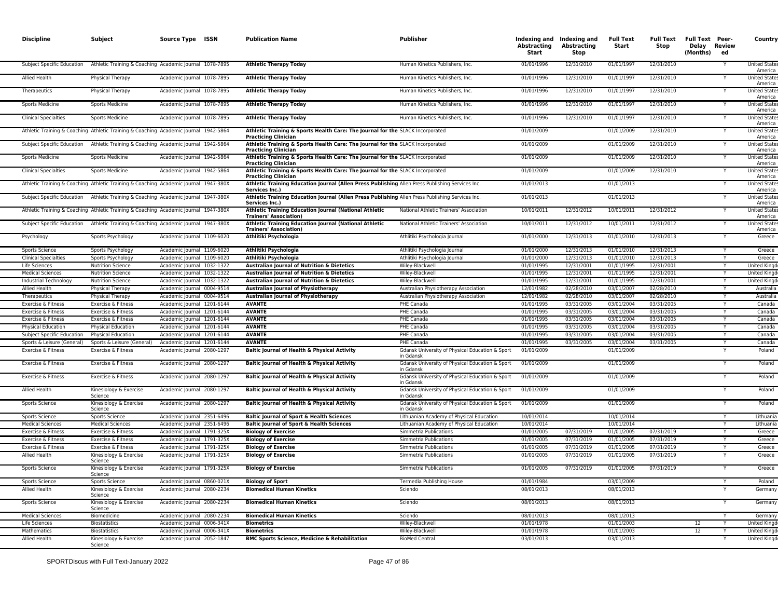| Athletic Training & Coaching Academic Journal 1078-7895<br>01/01/1996<br>12/31/2010<br>01/01/1997<br>12/31/2010<br>Subject Specific Education<br><b>Athletic Therapy Today</b><br>Human Kinetics Publishers, Inc.<br>Allied Health<br>Physical Therapy<br>Academic Journal 1078-7895<br><b>Athletic Therapy Today</b><br>Human Kinetics Publishers, Inc<br>01/01/1996<br>12/31/2010<br>01/01/1997<br>12/31/2010<br>01/01/1996<br>12/31/2010<br>Academic Journal 1078-7895<br>12/31/2010<br>01/01/1997<br><b>Athletic Therapy Today</b><br>Human Kinetics Publishers, Inc.<br>Therapeutics<br>Physical Therapy<br>Academic Journal 1078-7895<br><b>Athletic Therapy Today</b><br>01/01/1996<br>12/31/2010<br>01/01/1997<br>12/31/2010<br>Sports Medicine<br><b>Sports Medicine</b><br>Human Kinetics Publishers, Inc.<br>Academic Journal 1078-7895<br>Human Kinetics Publishers, Inc.<br>01/01/1996<br>12/31/2010<br>01/01/1997<br>12/31/2010<br><b>Clinical Specialties</b><br><b>Sports Medicine</b><br><b>Athletic Therapy Today</b><br>Athletic Training & Coaching Athletic Training & Coaching Academic Journal 1942-5864<br>01/01/2009<br>12/31/2010<br>Athletic Training & Sports Health Care: The Journal for the SLACK Incorporated<br>01/01/2009<br><b>Practicing Clinician</b><br>01/01/2009<br>01/01/2009<br>12/31/2010<br>Subject Specific Education<br>Athletic Training & Coaching Academic Journal 1942-5864<br>Athletic Training & Sports Health Care: The Journal for the SLACK Incorporated<br><b>Practicing Clinician</b><br>12/31/2010<br>Sports Medicine<br><b>Sports Medicine</b><br>Academic Journal 1942-5864<br>Athletic Training & Sports Health Care: The Journal for the SLACK Incorporated<br>01/01/2009<br>01/01/2009<br><b>Practicing Clinician</b><br><b>Sports Medicine</b><br>Academic Journal 1942-5864<br>Athletic Training & Sports Health Care: The Journal for the SLACK Incorporated<br>01/01/2009<br>01/01/2009<br>12/31/2010<br><b>Clinical Specialties</b><br><b>Practicing Clinician</b> | Υ      | <b>United State</b><br>America<br><b>United States</b><br>America<br><b>United State</b><br>America<br><b>United State</b><br>America<br><b>United State</b><br>America |
|----------------------------------------------------------------------------------------------------------------------------------------------------------------------------------------------------------------------------------------------------------------------------------------------------------------------------------------------------------------------------------------------------------------------------------------------------------------------------------------------------------------------------------------------------------------------------------------------------------------------------------------------------------------------------------------------------------------------------------------------------------------------------------------------------------------------------------------------------------------------------------------------------------------------------------------------------------------------------------------------------------------------------------------------------------------------------------------------------------------------------------------------------------------------------------------------------------------------------------------------------------------------------------------------------------------------------------------------------------------------------------------------------------------------------------------------------------------------------------------------------------------------------------------------------------------------------------------------------------------------------------------------------------------------------------------------------------------------------------------------------------------------------------------------------------------------------------------------------------------------------------------------------------------------------------------------------------------------------------------------------------------------------------------|--------|-------------------------------------------------------------------------------------------------------------------------------------------------------------------------|
|                                                                                                                                                                                                                                                                                                                                                                                                                                                                                                                                                                                                                                                                                                                                                                                                                                                                                                                                                                                                                                                                                                                                                                                                                                                                                                                                                                                                                                                                                                                                                                                                                                                                                                                                                                                                                                                                                                                                                                                                                                        |        |                                                                                                                                                                         |
|                                                                                                                                                                                                                                                                                                                                                                                                                                                                                                                                                                                                                                                                                                                                                                                                                                                                                                                                                                                                                                                                                                                                                                                                                                                                                                                                                                                                                                                                                                                                                                                                                                                                                                                                                                                                                                                                                                                                                                                                                                        |        |                                                                                                                                                                         |
|                                                                                                                                                                                                                                                                                                                                                                                                                                                                                                                                                                                                                                                                                                                                                                                                                                                                                                                                                                                                                                                                                                                                                                                                                                                                                                                                                                                                                                                                                                                                                                                                                                                                                                                                                                                                                                                                                                                                                                                                                                        |        |                                                                                                                                                                         |
|                                                                                                                                                                                                                                                                                                                                                                                                                                                                                                                                                                                                                                                                                                                                                                                                                                                                                                                                                                                                                                                                                                                                                                                                                                                                                                                                                                                                                                                                                                                                                                                                                                                                                                                                                                                                                                                                                                                                                                                                                                        |        |                                                                                                                                                                         |
|                                                                                                                                                                                                                                                                                                                                                                                                                                                                                                                                                                                                                                                                                                                                                                                                                                                                                                                                                                                                                                                                                                                                                                                                                                                                                                                                                                                                                                                                                                                                                                                                                                                                                                                                                                                                                                                                                                                                                                                                                                        |        |                                                                                                                                                                         |
|                                                                                                                                                                                                                                                                                                                                                                                                                                                                                                                                                                                                                                                                                                                                                                                                                                                                                                                                                                                                                                                                                                                                                                                                                                                                                                                                                                                                                                                                                                                                                                                                                                                                                                                                                                                                                                                                                                                                                                                                                                        |        | <b>United State</b><br>America                                                                                                                                          |
|                                                                                                                                                                                                                                                                                                                                                                                                                                                                                                                                                                                                                                                                                                                                                                                                                                                                                                                                                                                                                                                                                                                                                                                                                                                                                                                                                                                                                                                                                                                                                                                                                                                                                                                                                                                                                                                                                                                                                                                                                                        |        | <b>United States</b><br>America                                                                                                                                         |
|                                                                                                                                                                                                                                                                                                                                                                                                                                                                                                                                                                                                                                                                                                                                                                                                                                                                                                                                                                                                                                                                                                                                                                                                                                                                                                                                                                                                                                                                                                                                                                                                                                                                                                                                                                                                                                                                                                                                                                                                                                        |        | <b>United State</b><br>America                                                                                                                                          |
|                                                                                                                                                                                                                                                                                                                                                                                                                                                                                                                                                                                                                                                                                                                                                                                                                                                                                                                                                                                                                                                                                                                                                                                                                                                                                                                                                                                                                                                                                                                                                                                                                                                                                                                                                                                                                                                                                                                                                                                                                                        |        | <b>United State</b><br>America                                                                                                                                          |
| Athletic Training & Coaching Athletic Training & Coaching Academic Journal 1947-380X<br>Athletic Training Education Journal (Allen Press Publishing Allen Press Publishing Services Inc<br>01/01/2013<br>01/01/2013<br>Services Inc.)                                                                                                                                                                                                                                                                                                                                                                                                                                                                                                                                                                                                                                                                                                                                                                                                                                                                                                                                                                                                                                                                                                                                                                                                                                                                                                                                                                                                                                                                                                                                                                                                                                                                                                                                                                                                  |        | <b>United State</b><br>America                                                                                                                                          |
| Athletic Training Education Journal (Allen Press Publishing Allen Press Publishing Services Inc.<br>01/01/2013<br>01/01/2013<br>Subject Specific Education<br>Athletic Training & Coaching Academic Journal 1947-380X<br>Services Inc.)                                                                                                                                                                                                                                                                                                                                                                                                                                                                                                                                                                                                                                                                                                                                                                                                                                                                                                                                                                                                                                                                                                                                                                                                                                                                                                                                                                                                                                                                                                                                                                                                                                                                                                                                                                                                |        | <b>United State</b><br>America                                                                                                                                          |
| Athletic Training & Coaching Athletic Training & Coaching Academic Journal 1947-380X<br>Athletic Training Education Journal (National Athletic<br>12/31/2012<br>10/01/2011<br>12/31/2012<br>National Athletic Trainers' Association<br>10/01/2011<br><b>Trainers' Association</b>                                                                                                                                                                                                                                                                                                                                                                                                                                                                                                                                                                                                                                                                                                                                                                                                                                                                                                                                                                                                                                                                                                                                                                                                                                                                                                                                                                                                                                                                                                                                                                                                                                                                                                                                                      |        | <b>United State</b><br>America                                                                                                                                          |
| 12/31/2012<br>Subject Specific Education<br>Athletic Training & Coaching Academic Journal 1947-380X<br>Athletic Training Education Journal (National Athletic<br>National Athletic Trainers' Association<br>10/01/2011<br>12/31/2012<br>10/01/2011<br><b>Trainers' Association)</b>                                                                                                                                                                                                                                                                                                                                                                                                                                                                                                                                                                                                                                                                                                                                                                                                                                                                                                                                                                                                                                                                                                                                                                                                                                                                                                                                                                                                                                                                                                                                                                                                                                                                                                                                                    |        | <b>United State</b><br>America                                                                                                                                          |
| Academic Journal 1109-6020<br>Athlitiki Psychologia<br>Athlitiki Psychologia Journal<br>01/01/2000<br>12/31/2013<br>01/01/2010<br>12/31/2013<br>Psychology<br>Sports Psychology                                                                                                                                                                                                                                                                                                                                                                                                                                                                                                                                                                                                                                                                                                                                                                                                                                                                                                                                                                                                                                                                                                                                                                                                                                                                                                                                                                                                                                                                                                                                                                                                                                                                                                                                                                                                                                                        |        | Greece                                                                                                                                                                  |
| Academic Journal 1109-6020<br>Athlitiki Psychologia<br>01/01/2000<br>12/31/2013<br>01/01/2010<br>12/31/2013<br>Sports Science<br>Sports Psychology<br>Athlitiki Psychologia Journal                                                                                                                                                                                                                                                                                                                                                                                                                                                                                                                                                                                                                                                                                                                                                                                                                                                                                                                                                                                                                                                                                                                                                                                                                                                                                                                                                                                                                                                                                                                                                                                                                                                                                                                                                                                                                                                    |        | Greece                                                                                                                                                                  |
| Academic Journal 1109-6020<br>01/01/2000<br>12/31/2013<br>01/01/2010<br>12/31/2013<br><b>Clinical Specialties</b><br>Athlitiki Psychologia<br>Athlitiki Psychologia Journal<br>Sports Psychology                                                                                                                                                                                                                                                                                                                                                                                                                                                                                                                                                                                                                                                                                                                                                                                                                                                                                                                                                                                                                                                                                                                                                                                                                                                                                                                                                                                                                                                                                                                                                                                                                                                                                                                                                                                                                                       |        | Greece                                                                                                                                                                  |
| Academic Journal 1032-1322<br>Australian Journal of Nutrition & Dietetics<br>Wiley-Blackwell<br>01/01/1995<br>12/31/2001<br>01/01/1995<br>12/31/2001<br>Life Sciences<br><b>Nutrition Science</b>                                                                                                                                                                                                                                                                                                                                                                                                                                                                                                                                                                                                                                                                                                                                                                                                                                                                                                                                                                                                                                                                                                                                                                                                                                                                                                                                                                                                                                                                                                                                                                                                                                                                                                                                                                                                                                      |        | <b>United King</b>                                                                                                                                                      |
| Australian Journal of Nutrition & Dietetics<br>12/31/2001<br>Academic Journal 1032-1322<br>01/01/1995<br>01/01/1995<br>12/31/2001<br><b>Medical Sciences</b><br><b>Nutrition Science</b><br>Wiley-Blackwell                                                                                                                                                                                                                                                                                                                                                                                                                                                                                                                                                                                                                                                                                                                                                                                                                                                                                                                                                                                                                                                                                                                                                                                                                                                                                                                                                                                                                                                                                                                                                                                                                                                                                                                                                                                                                            |        | <b>United King</b>                                                                                                                                                      |
| Academic Journal 1032-1322<br>Australian Journal of Nutrition & Dietetics<br>01/01/1995<br>12/31/2001<br>01/01/1995<br>12/31/2001<br>Industrial Technology<br><b>Nutrition Science</b><br>Wiley-Blackwell                                                                                                                                                                                                                                                                                                                                                                                                                                                                                                                                                                                                                                                                                                                                                                                                                                                                                                                                                                                                                                                                                                                                                                                                                                                                                                                                                                                                                                                                                                                                                                                                                                                                                                                                                                                                                              |        | <b>United Kingo</b>                                                                                                                                                     |
| Academic lournal 0004-9514<br>12/01/1982<br>02/28/2010<br>03/01/2007<br>02/28/2010<br><b>Allied Health</b><br><b>Australian Journal of Physiotherapy</b><br>Australian Physiotherapy Association<br>Physical Therapy                                                                                                                                                                                                                                                                                                                                                                                                                                                                                                                                                                                                                                                                                                                                                                                                                                                                                                                                                                                                                                                                                                                                                                                                                                                                                                                                                                                                                                                                                                                                                                                                                                                                                                                                                                                                                   | Υ      | Australia                                                                                                                                                               |
| Academic lournal 0004-9514<br>02/28/2010                                                                                                                                                                                                                                                                                                                                                                                                                                                                                                                                                                                                                                                                                                                                                                                                                                                                                                                                                                                                                                                                                                                                                                                                                                                                                                                                                                                                                                                                                                                                                                                                                                                                                                                                                                                                                                                                                                                                                                                               |        | Australia                                                                                                                                                               |
| <b>Australian Journal of Physiotherapy</b><br>Australian Physiotherapy Association<br>12/01/1982<br>02/28/2010<br>03/01/2007<br>Therapeutics<br>Physical Therapy                                                                                                                                                                                                                                                                                                                                                                                                                                                                                                                                                                                                                                                                                                                                                                                                                                                                                                                                                                                                                                                                                                                                                                                                                                                                                                                                                                                                                                                                                                                                                                                                                                                                                                                                                                                                                                                                       |        |                                                                                                                                                                         |
| Academic lournal 1201-6144<br><b>AVANTE</b><br><b>PHE Canada</b><br>01/01/1995<br>03/01/2004<br>03/31/2005<br>03/31/2005<br>Exercise & Fitness<br>Exercise & Fitness                                                                                                                                                                                                                                                                                                                                                                                                                                                                                                                                                                                                                                                                                                                                                                                                                                                                                                                                                                                                                                                                                                                                                                                                                                                                                                                                                                                                                                                                                                                                                                                                                                                                                                                                                                                                                                                                   | Υ      | Canada                                                                                                                                                                  |
| Exercise & Fitness<br>Exercise & Fitness<br>Academic Journal 1201-6144<br><b>AVANTE</b><br>PHE Canada<br>01/01/1995<br>03/31/2005<br>03/01/2004<br>03/31/2005                                                                                                                                                                                                                                                                                                                                                                                                                                                                                                                                                                                                                                                                                                                                                                                                                                                                                                                                                                                                                                                                                                                                                                                                                                                                                                                                                                                                                                                                                                                                                                                                                                                                                                                                                                                                                                                                          | Y      | Canada                                                                                                                                                                  |
| Exercise & Fitness<br>Exercise & Fitness<br>Academic Journal 1201-6144<br><b>AVANTE</b><br><b>PHE Canada</b><br>01/01/1995<br>03/31/2005<br>03/01/2004<br>03/31/2005                                                                                                                                                                                                                                                                                                                                                                                                                                                                                                                                                                                                                                                                                                                                                                                                                                                                                                                                                                                                                                                                                                                                                                                                                                                                                                                                                                                                                                                                                                                                                                                                                                                                                                                                                                                                                                                                   |        | Canada                                                                                                                                                                  |
| <b>PHE Canada</b><br>03/01/2004<br>03/31/2005<br><b>Physical Education</b><br><b>Physical Education</b><br>Academic Journal 1201-6144<br><b>AVANTE</b><br>01/01/1995<br>03/31/2005                                                                                                                                                                                                                                                                                                                                                                                                                                                                                                                                                                                                                                                                                                                                                                                                                                                                                                                                                                                                                                                                                                                                                                                                                                                                                                                                                                                                                                                                                                                                                                                                                                                                                                                                                                                                                                                     |        | Canada                                                                                                                                                                  |
| Subject Specific Education<br><b>Physical Education</b><br>Academic lournal 1201-6144<br><b>AVANTE</b><br><b>PHE Canada</b><br>01/01/1995<br>03/31/2005<br>03/01/2004<br>03/31/2005                                                                                                                                                                                                                                                                                                                                                                                                                                                                                                                                                                                                                                                                                                                                                                                                                                                                                                                                                                                                                                                                                                                                                                                                                                                                                                                                                                                                                                                                                                                                                                                                                                                                                                                                                                                                                                                    | Y      | Canada                                                                                                                                                                  |
| Sports & Leisure (General)<br>Sports & Leisure (General)<br>Academic Journal 1201-6144<br><b>AVANTE</b><br>PHE Canada<br>01/01/1995<br>03/31/2005<br>03/01/2004<br>03/31/2005                                                                                                                                                                                                                                                                                                                                                                                                                                                                                                                                                                                                                                                                                                                                                                                                                                                                                                                                                                                                                                                                                                                                                                                                                                                                                                                                                                                                                                                                                                                                                                                                                                                                                                                                                                                                                                                          | Υ      | Canada                                                                                                                                                                  |
| Academic Journal 2080-1297<br>Baltic Journal of Health & Physical Activity<br>01/01/2009<br>01/01/2009<br>Exercise & Fitness<br>Exercise & Fitness<br>Gdansk University of Physical Education & Sport                                                                                                                                                                                                                                                                                                                                                                                                                                                                                                                                                                                                                                                                                                                                                                                                                                                                                                                                                                                                                                                                                                                                                                                                                                                                                                                                                                                                                                                                                                                                                                                                                                                                                                                                                                                                                                  |        | Poland                                                                                                                                                                  |
| in Gdansk<br>Academic Journal 2080-1297<br>Baltic Journal of Health & Physical Activity<br>01/01/2009<br>01/01/2009<br>Exercise & Fitness<br>Exercise & Fitness<br>Gdansk University of Physical Education & Sport                                                                                                                                                                                                                                                                                                                                                                                                                                                                                                                                                                                                                                                                                                                                                                                                                                                                                                                                                                                                                                                                                                                                                                                                                                                                                                                                                                                                                                                                                                                                                                                                                                                                                                                                                                                                                     |        | Poland                                                                                                                                                                  |
| in Gdansk<br>Exercise & Fitness<br>Exercise & Fitness<br>Academic Journal 2080-1297<br>Baltic Journal of Health & Physical Activity<br>Gdansk University of Physical Education & Sport<br>01/01/2009<br>01/01/2009                                                                                                                                                                                                                                                                                                                                                                                                                                                                                                                                                                                                                                                                                                                                                                                                                                                                                                                                                                                                                                                                                                                                                                                                                                                                                                                                                                                                                                                                                                                                                                                                                                                                                                                                                                                                                     |        | Poland                                                                                                                                                                  |
| in Gdansk<br>Allied Health<br>Academic Journal 2080-1297<br>Baltic Journal of Health & Physical Activity<br>Gdansk University of Physical Education & Sport<br>01/01/2009<br>01/01/2009<br>Kinesiology & Exercise                                                                                                                                                                                                                                                                                                                                                                                                                                                                                                                                                                                                                                                                                                                                                                                                                                                                                                                                                                                                                                                                                                                                                                                                                                                                                                                                                                                                                                                                                                                                                                                                                                                                                                                                                                                                                      |        | Poland                                                                                                                                                                  |
| Science<br>in Gdansk<br><b>Baltic Journal of Health &amp; Physical Activity</b><br>Kinesiology & Exercise<br>Academic Journal 2080-1297<br>Gdansk University of Physical Education & Sport<br>01/01/2009<br>01/01/2009<br>Sports Science                                                                                                                                                                                                                                                                                                                                                                                                                                                                                                                                                                                                                                                                                                                                                                                                                                                                                                                                                                                                                                                                                                                                                                                                                                                                                                                                                                                                                                                                                                                                                                                                                                                                                                                                                                                               |        | Poland                                                                                                                                                                  |
| Science<br>in Gdansk<br><b>Sports Science</b><br><b>Sports Science</b><br>Academic Journal 2351-6496<br>Baltic Journal of Sport & Health Sciences<br>Lithuanian Academy of Physical Education<br>10/01/2014<br>10/01/2014                                                                                                                                                                                                                                                                                                                                                                                                                                                                                                                                                                                                                                                                                                                                                                                                                                                                                                                                                                                                                                                                                                                                                                                                                                                                                                                                                                                                                                                                                                                                                                                                                                                                                                                                                                                                              |        | Lithuania                                                                                                                                                               |
| <b>Baltic Journal of Sport &amp; Health Sciences</b><br>10/01/2014<br><b>Medical Sciences</b><br><b>Medical Sciences</b><br>Academic Journal 2351-6496<br>Lithuanian Academy of Physical Education<br>10/01/2014                                                                                                                                                                                                                                                                                                                                                                                                                                                                                                                                                                                                                                                                                                                                                                                                                                                                                                                                                                                                                                                                                                                                                                                                                                                                                                                                                                                                                                                                                                                                                                                                                                                                                                                                                                                                                       | Υ      | Lithuania                                                                                                                                                               |
|                                                                                                                                                                                                                                                                                                                                                                                                                                                                                                                                                                                                                                                                                                                                                                                                                                                                                                                                                                                                                                                                                                                                                                                                                                                                                                                                                                                                                                                                                                                                                                                                                                                                                                                                                                                                                                                                                                                                                                                                                                        |        |                                                                                                                                                                         |
| Exercise & Fitness<br>Exercise & Fitness<br>Academic Journal 1791-325X<br><b>Biology of Exercise</b><br>Simmetria Publications<br>01/01/2005<br>07/31/2019<br>01/01/2005<br>07/31/2019                                                                                                                                                                                                                                                                                                                                                                                                                                                                                                                                                                                                                                                                                                                                                                                                                                                                                                                                                                                                                                                                                                                                                                                                                                                                                                                                                                                                                                                                                                                                                                                                                                                                                                                                                                                                                                                 | Y<br>Y | Greece                                                                                                                                                                  |
| 01/01/2005<br>01/01/2005<br>07/31/2019<br>Exercise & Fitness<br>Exercise & Fitness<br>Academic Journal 1791-325X<br><b>Biology of Exercise</b><br>Simmetria Publications<br>07/31/2019                                                                                                                                                                                                                                                                                                                                                                                                                                                                                                                                                                                                                                                                                                                                                                                                                                                                                                                                                                                                                                                                                                                                                                                                                                                                                                                                                                                                                                                                                                                                                                                                                                                                                                                                                                                                                                                 |        | Greece                                                                                                                                                                  |
| Academic Journal 1791-325X<br>07/31/2019<br>07/31/2019<br>Exercise & Fitness<br>Exercise & Fitness<br><b>Biology of Exercise</b><br>Simmetria Publications<br>01/01/2005<br>01/01/2005                                                                                                                                                                                                                                                                                                                                                                                                                                                                                                                                                                                                                                                                                                                                                                                                                                                                                                                                                                                                                                                                                                                                                                                                                                                                                                                                                                                                                                                                                                                                                                                                                                                                                                                                                                                                                                                 |        | Greece                                                                                                                                                                  |
| Allied Health<br>Academic Journal 1791-325X<br><b>Biology of Exercise</b><br>Simmetria Publications<br>01/01/2005<br>07/31/2019<br>01/01/2005<br>07/31/2019<br>Kinesiology & Exercise<br>Science                                                                                                                                                                                                                                                                                                                                                                                                                                                                                                                                                                                                                                                                                                                                                                                                                                                                                                                                                                                                                                                                                                                                                                                                                                                                                                                                                                                                                                                                                                                                                                                                                                                                                                                                                                                                                                       |        | Greece                                                                                                                                                                  |
| Sports Science<br>Academic Journal 1791-325X<br><b>Biology of Exercise</b><br>Simmetria Publications<br>01/01/2005<br>07/31/2019<br>01/01/2005<br>07/31/2019<br>Kinesiology & Exercise<br>Science                                                                                                                                                                                                                                                                                                                                                                                                                                                                                                                                                                                                                                                                                                                                                                                                                                                                                                                                                                                                                                                                                                                                                                                                                                                                                                                                                                                                                                                                                                                                                                                                                                                                                                                                                                                                                                      |        | Greece                                                                                                                                                                  |
| Academic Journal 0860-021X<br>Termedia Publishing House<br>03/01/2009<br>Sports Science<br>Sports Science<br><b>Biology of Sport</b><br>01/01/1984                                                                                                                                                                                                                                                                                                                                                                                                                                                                                                                                                                                                                                                                                                                                                                                                                                                                                                                                                                                                                                                                                                                                                                                                                                                                                                                                                                                                                                                                                                                                                                                                                                                                                                                                                                                                                                                                                     |        | Poland                                                                                                                                                                  |
|                                                                                                                                                                                                                                                                                                                                                                                                                                                                                                                                                                                                                                                                                                                                                                                                                                                                                                                                                                                                                                                                                                                                                                                                                                                                                                                                                                                                                                                                                                                                                                                                                                                                                                                                                                                                                                                                                                                                                                                                                                        |        | Germany                                                                                                                                                                 |
| Allied Health<br>Kinesiology & Exercise<br>Academic Journal 2080-2234<br><b>Biomedical Human Kinetics</b><br>Sciendo<br>08/01/2013<br>08/01/2013<br>Science                                                                                                                                                                                                                                                                                                                                                                                                                                                                                                                                                                                                                                                                                                                                                                                                                                                                                                                                                                                                                                                                                                                                                                                                                                                                                                                                                                                                                                                                                                                                                                                                                                                                                                                                                                                                                                                                            |        | Germany                                                                                                                                                                 |
| Sports Science<br>Kinesiology & Exercise<br>Academic Journal 2080-2234<br><b>Biomedical Human Kinetics</b><br>Sciendo<br>08/01/2013<br>08/01/2013<br>Science                                                                                                                                                                                                                                                                                                                                                                                                                                                                                                                                                                                                                                                                                                                                                                                                                                                                                                                                                                                                                                                                                                                                                                                                                                                                                                                                                                                                                                                                                                                                                                                                                                                                                                                                                                                                                                                                           |        |                                                                                                                                                                         |
| Academic Journal 2080-2234<br><b>Biomedical Human Kinetics</b><br>08/01/2013<br>08/01/2013<br><b>Medical Sciences</b><br>Biomedicine<br>Sciendo                                                                                                                                                                                                                                                                                                                                                                                                                                                                                                                                                                                                                                                                                                                                                                                                                                                                                                                                                                                                                                                                                                                                                                                                                                                                                                                                                                                                                                                                                                                                                                                                                                                                                                                                                                                                                                                                                        |        | German                                                                                                                                                                  |
| Life Sciences<br><b>Biostatistics</b><br>Academic Journal 0006-341X<br><b>Biometrics</b><br>Wiley-Blackwell<br>01/01/1978<br>01/01/2003<br>12                                                                                                                                                                                                                                                                                                                                                                                                                                                                                                                                                                                                                                                                                                                                                                                                                                                                                                                                                                                                                                                                                                                                                                                                                                                                                                                                                                                                                                                                                                                                                                                                                                                                                                                                                                                                                                                                                          |        | <b>United King</b>                                                                                                                                                      |
| Academic Journal 0006-341X<br>01/01/1978<br>01/01/2003<br>12<br>Mathematics<br><b>Biostatistics</b><br><b>Biometrics</b><br>Wiley-Blackwell                                                                                                                                                                                                                                                                                                                                                                                                                                                                                                                                                                                                                                                                                                                                                                                                                                                                                                                                                                                                                                                                                                                                                                                                                                                                                                                                                                                                                                                                                                                                                                                                                                                                                                                                                                                                                                                                                            | Y      | United King                                                                                                                                                             |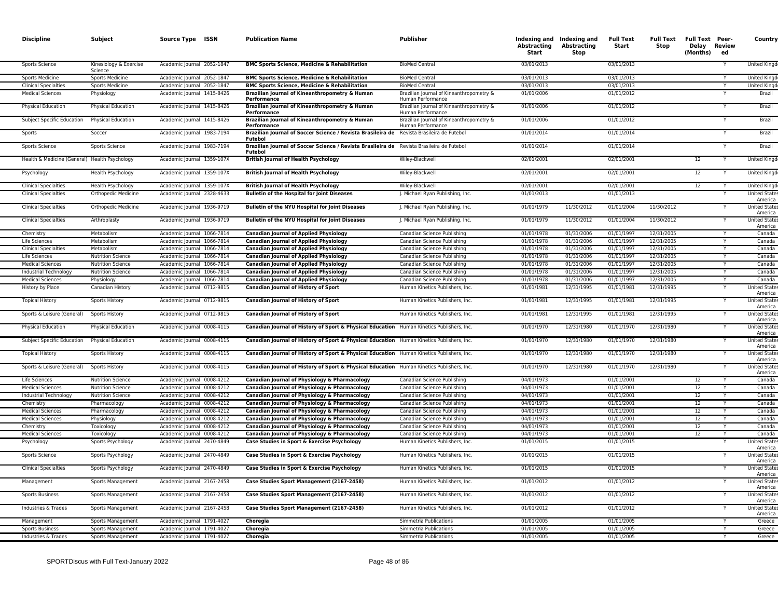| <b>Discipline</b>                                       | Subject                                     | Source Type ISSN                                         | <b>Publication Name</b>                                                                                                          | <b>Publisher</b>                                              | Abstracting<br>Start     | Indexing and Indexing and<br>Abstracting<br>Stop | <b>Full Text</b><br>Start | <b>Full Text</b><br><b>Stop</b> | <b>Full Text Peer-</b><br>Delay Review<br>(Months) | ed | Country                                                |
|---------------------------------------------------------|---------------------------------------------|----------------------------------------------------------|----------------------------------------------------------------------------------------------------------------------------------|---------------------------------------------------------------|--------------------------|--------------------------------------------------|---------------------------|---------------------------------|----------------------------------------------------|----|--------------------------------------------------------|
| Sports Science                                          | Kinesiology & Exercise<br>Science           | Academic Journal 2052-1847                               | <b>BMC Sports Science, Medicine &amp; Rehabilitation</b>                                                                         | <b>BioMed Central</b>                                         | 03/01/2013               |                                                  | 03/01/2013                |                                 |                                                    |    | United Kingd                                           |
| Sports Medicine                                         | Sports Medicine                             | Academic Journal 2052-1847                               | <b>BMC Sports Science, Medicine &amp; Rehabilitation</b>                                                                         | <b>BioMed Central</b>                                         | 03/01/2013               |                                                  | 03/01/2013                |                                 |                                                    |    | <b>United King</b>                                     |
| <b>Clinical Specialties</b>                             | <b>Sports Medicine</b>                      | Academic Journal 2052-1847                               | <b>BMC Sports Science, Medicine &amp; Rehabilitation</b>                                                                         | <b>BioMed Central</b>                                         | 03/01/2013               |                                                  | 03/01/2013                |                                 |                                                    |    | United King                                            |
| <b>Medical Sciences</b>                                 | Physiology                                  | Academic Journal 1415-8426                               | Brazilian Journal of Kineanthropometry & Human<br>Performance                                                                    | Brazilian Journal of Kineanthropometry &<br>Human Performance | 01/01/2006               |                                                  | 01/01/2012                |                                 |                                                    |    | Brazil                                                 |
| Physical Education                                      | Physical Education                          | Academic Journal 1415-8426                               | Brazilian Journal of Kineanthropometry & Human<br>Performance                                                                    | Brazilian Journal of Kineanthropometry &<br>Human Performance | 01/01/2006               |                                                  | 01/01/2012                |                                 |                                                    |    | Brazil                                                 |
| Subject Specific Education                              | <b>Physical Education</b>                   | Academic Journal 1415-8426                               | Brazilian Journal of Kineanthropometry & Human<br>Performance                                                                    | Brazilian Journal of Kineanthropometry &<br>Human Performance | 01/01/2006               |                                                  | 01/01/2012                |                                 |                                                    |    | Brazil                                                 |
| Sports                                                  | Soccer                                      | Academic Journal 1983-7194                               | Brazilian Journal of Soccer Science / Revista Brasileira de<br><b>Futebol</b>                                                    | Revista Brasileira de Futebol                                 | 01/01/2014               |                                                  | 01/01/2014                |                                 |                                                    |    | Brazil                                                 |
| Sports Science                                          | Sports Science                              | Academic Journal 1983-7194                               | Brazilian Journal of Soccer Science / Revista Brasileira de Revista Brasileira de Futebol<br><b>Futebol</b>                      |                                                               | 01/01/2014               |                                                  | 01/01/2014                |                                 |                                                    | Y  | Brazil                                                 |
| Health & Medicine (General) Health Psychology           |                                             | Academic Journal 1359-107X                               | <b>British Journal of Health Psychology</b>                                                                                      | Wiley-Blackwell                                               | 02/01/2001               |                                                  | 02/01/2001                |                                 | 12                                                 |    | <b>United Kingd</b>                                    |
| Psychology                                              | <b>Health Psychology</b>                    | Academic Journal 1359-107X                               | <b>British Journal of Health Psychology</b>                                                                                      | Wiley-Blackwell                                               | 02/01/2001               |                                                  | 02/01/2001                |                                 | 12                                                 |    | <b>United Kingd</b>                                    |
| <b>Clinical Specialties</b>                             | <b>Health Psychology</b>                    | Academic Journal 1359-107X                               | <b>British Journal of Health Psychology</b>                                                                                      | Wiley-Blackwell                                               | 02/01/2001               |                                                  | 02/01/2001                |                                 | 12                                                 |    | <b>United Kingd</b>                                    |
| <b>Clinical Specialties</b>                             | Orthopedic Medicine                         | Academic Journal 2328-4633                               | <b>Bulletin of the Hospital for Joint Diseases</b>                                                                               | J. Michael Ryan Publishing, Inc.                              | 01/01/2013               |                                                  | 01/01/2013                |                                 |                                                    |    | <b>United State</b><br>America                         |
| <b>Clinical Specialties</b>                             | Orthopedic Medicine                         | Academic Journal 1936-9719                               | Bulletin of the NYU Hospital for Joint Diseases                                                                                  | J. Michael Ryan Publishing, Inc.                              | 01/01/1979               | 11/30/2012                                       | 01/01/2004                | 11/30/2012                      |                                                    | Y  | <b>United State:</b><br>America<br><b>United State</b> |
| <b>Clinical Specialties</b>                             | Arthroplasty                                | Academic Journal 1936-9719                               | Bulletin of the NYU Hospital for Joint Diseases                                                                                  | J. Michael Ryan Publishing, Inc.                              | 01/01/1979               | 11/30/2012                                       | 01/01/2004                | 11/30/2012                      |                                                    | Y  | America                                                |
| Chemistry                                               | Metabolism                                  | Academic Journal 1066-7814                               | <b>Canadian Journal of Applied Physiology</b>                                                                                    | Canadian Science Publishino                                   | 01/01/1978               | 01/31/2006                                       | 01/01/1997                | 12/31/2005                      |                                                    |    | Canada                                                 |
| Life Sciences                                           | Metabolism                                  | Academic Journal 1066-7814                               | <b>Canadian Journal of Applied Physiology</b>                                                                                    | Canadian Science Publishing                                   | 01/01/1978               | 01/31/2006                                       | 01/01/1997                | 12/31/2005                      |                                                    | Y  | Canada                                                 |
| <b>Clinical Specialties</b>                             | Metabolism                                  | Academic Journal 1066-7814                               | <b>Canadian Journal of Applied Physiology</b>                                                                                    | Canadian Science Publishing                                   | 01/01/1978               | 01/31/2006                                       | 01/01/1997                | 12/31/2005                      |                                                    |    | Canada                                                 |
| Life Sciences                                           | <b>Nutrition Science</b>                    | Academic Journal 1066-7814                               | <b>Canadian Journal of Applied Physiology</b>                                                                                    | Canadian Science Publishino                                   | 01/01/1978               | 01/31/2006                                       | 01/01/1997                | 12/31/2005                      |                                                    |    | Canada                                                 |
| <b>Medical Sciences</b>                                 | <b>Nutrition Science</b>                    | Academic Journal 1066-7814                               | <b>Canadian Journal of Applied Physiology</b>                                                                                    | Canadian Science Publishing                                   | 01/01/1978               | 01/31/2006                                       | 01/01/1997                | 12/31/2005                      |                                                    | Y  | Canada                                                 |
| Industrial Technology                                   | <b>Nutrition Science</b>                    | Academic Journal 1066-7814                               | <b>Canadian Journal of Applied Physiology</b>                                                                                    | Canadian Science Publishing                                   | 01/01/1978               | 01/31/2006                                       | 01/01/1997                | 12/31/2005                      |                                                    | Υ  | Canada                                                 |
| <b>Medical Sciences</b>                                 | Physiology                                  | Academic lournal 1066-7814                               | <b>Canadian Journal of Applied Physiology</b>                                                                                    | Canadian Science Publishing                                   | 01/01/1978               | 01/31/2006                                       | 01/01/1997                | 12/31/2005                      |                                                    |    | Canada                                                 |
| History by Place                                        | Canadian History                            | Academic Journal 0712-9815                               | Canadian Journal of History of Sport                                                                                             | Human Kinetics Publishers, Inc.                               | 01/01/1981               | 12/31/1995                                       | 01/01/1981                | 12/31/1995                      |                                                    |    | <b>United State</b><br>America                         |
| <b>Topical History</b>                                  | Sports History                              | Academic Journal 0712-9815<br>Academic Journal 0712-9815 | Canadian Journal of History of Sport                                                                                             | Human Kinetics Publishers, Inc.                               | 01/01/1981<br>01/01/1981 | 12/31/1995<br>12/31/1995                         | 01/01/1981<br>01/01/1981  | 12/31/1995<br>12/31/1995        |                                                    | Y  | <b>United State</b><br>America<br><b>United State:</b> |
| Sports & Leisure (General)<br><b>Physical Education</b> | <b>Sports History</b><br>Physical Education | Academic Journal 0008-4115                               | Canadian Journal of History of Sport<br>Canadian Journal of History of Sport & Physical Education Human Kinetics Publishers, Inc | Human Kinetics Publishers, Inc.                               | 01/01/1970               | 12/31/1980                                       | 01/01/1970                | 12/31/1980                      |                                                    |    | America<br><b>United States</b>                        |
| Subject Specific Education                              | <b>Physical Education</b>                   | Academic Journal 0008-4115                               | Canadian Journal of History of Sport & Physical Education Human Kinetics Publishers, Inc                                         |                                                               | 01/01/1970               | 12/31/1980                                       | 01/01/1970                | 12/31/1980                      |                                                    |    | America<br><b>United States</b>                        |
| <b>Topical History</b>                                  | Sports History                              | Academic Journal 0008-4115                               | Canadian Journal of History of Sport & Physical Education Human Kinetics Publishers, Inc                                         |                                                               | 01/01/1970               | 12/31/1980                                       | 01/01/1970                | 12/31/1980                      |                                                    |    | America<br><b>United States</b>                        |
| Sports & Leisure (General)                              | <b>Sports History</b>                       | Academic Journal 0008-4115                               | Canadian Journal of History of Sport & Physical Education Human Kinetics Publishers, Inc                                         |                                                               | 01/01/1970               | 12/31/1980                                       | 01/01/1970                | 12/31/1980                      |                                                    |    | America<br><b>United State</b>                         |
| Life Sciences                                           | <b>Nutrition Science</b>                    | Academic Journal 0008-4212                               | Canadian Journal of Physiology & Pharmacology                                                                                    | Canadian Science Publishing                                   | 04/01/1973               |                                                  | 01/01/2001                |                                 | 12                                                 | Y  | America<br>Canada                                      |
| <b>Medical Sciences</b>                                 | <b>Nutrition Science</b>                    | Academic Journal 0008-4212                               | Canadian Journal of Physiology & Pharmacology                                                                                    | Canadian Science Publishing                                   | 04/01/1973               |                                                  | 01/01/2001                |                                 | 12                                                 |    | Canada                                                 |
| Industrial Technology                                   | <b>Nutrition Science</b>                    | Academic Journal 0008-4212                               | Canadian Journal of Physiology & Pharmacology                                                                                    | Canadian Science Publishing                                   | 04/01/1973               |                                                  | 01/01/2001                |                                 | $\overline{12}$                                    |    | Canada                                                 |
| Chemistry                                               | Pharmacology                                | Academic Journal 0008-4212                               | Canadian Journal of Physiology & Pharmacology                                                                                    | Canadian Science Publishing                                   | 04/01/1973               |                                                  | 01/01/2001                |                                 | 12                                                 |    | Canada                                                 |
| <b>Medical Sciences</b>                                 | Pharmacology                                | Academic Journal 0008-4212                               | Canadian Journal of Physiology & Pharmacology                                                                                    | Canadian Science Publishing                                   | 04/01/1973               |                                                  | 01/01/2001                |                                 | 12                                                 | Y  | Canada                                                 |
| <b>Medical Sciences</b>                                 | Physiology                                  | Academic Journal 0008-4212                               | Canadian Journal of Physiology & Pharmacology                                                                                    | Canadian Science Publishing                                   | 04/01/1973               |                                                  | 01/01/2001                |                                 | 12                                                 |    | Canada                                                 |
| Chemistry                                               | Toxicology                                  | Academic Journal 0008-4212                               | Canadian Journal of Physiology & Pharmacology                                                                                    | Canadian Science Publishing                                   | 04/01/1973               |                                                  | 01/01/2001                |                                 | 12                                                 |    | Canada                                                 |
| <b>Medical Sciences</b>                                 | Toxicology                                  | Academic Journal 0008-4212                               | Canadian Journal of Physiology & Pharmacology                                                                                    | Canadian Science Publishing                                   | 04/01/1973               |                                                  | 01/01/2001                |                                 | 12                                                 |    | Canada                                                 |
| Psychology                                              | Sports Psychology                           | Academic Journal 2470-4849                               | Case Studies in Sport & Exercise Psychology                                                                                      | Human Kinetics Publishers, Inc                                | 01/01/2015               |                                                  | 01/01/2015                |                                 |                                                    |    | United Stat<br>America                                 |
| Sports Science                                          | Sports Psychology                           | Academic Journal 2470-4849                               | Case Studies in Sport & Exercise Psychology                                                                                      | Human Kinetics Publishers, Inc.                               | 01/01/2015               |                                                  | 01/01/2015                |                                 |                                                    |    | <b>United State:</b><br>America                        |
| <b>Clinical Specialties</b>                             | Sports Psychology                           | Academic Journal 2470-4849                               | Case Studies in Sport & Exercise Psychology                                                                                      | Human Kinetics Publishers, Inc.                               | 01/01/2015               |                                                  | 01/01/2015                |                                 |                                                    |    | <b>United State:</b><br>America                        |
| Management                                              | Sports Management                           | Academic Journal 2167-2458                               | Case Studies Sport Management (2167-2458)                                                                                        | Human Kinetics Publishers, Inc.                               | 01/01/2012               |                                                  | 01/01/2012                |                                 |                                                    |    | <b>United State:</b><br>America                        |
| Sports Business                                         | Sports Management                           | Academic Journal 2167-2458                               | Case Studies Sport Management (2167-2458)                                                                                        | Human Kinetics Publishers, Inc.                               | 01/01/2012               |                                                  | 01/01/2012                |                                 |                                                    |    | <b>United State:</b><br>America                        |
| Industries & Trades                                     | Sports Management                           | Academic Journal 2167-2458                               | Case Studies Sport Management (2167-2458)                                                                                        | Human Kinetics Publishers, Inc.                               | 01/01/2012               |                                                  | 01/01/2012                |                                 |                                                    |    | <b>United State</b><br>America                         |
| Management                                              | Sports Management                           | Academic Journal 1791-4027                               | Choregia                                                                                                                         | Simmetria Publications                                        | 01/01/2005               |                                                  | 01/01/2005                |                                 |                                                    |    | Greece                                                 |
| <b>Sports Business</b>                                  | Sports Management                           | Academic lournal 1791-4027                               | Choregia                                                                                                                         | Simmetria Publications                                        | 01/01/2005               |                                                  | 01/01/2005                |                                 |                                                    |    | Greece                                                 |
| Industries & Trades                                     | Sports Management                           | Academic Journal 1791-4027                               | Choregia                                                                                                                         | Simmetria Publications                                        | 01/01/2005               |                                                  | 01/01/2005                |                                 |                                                    | Y  | Greece                                                 |
|                                                         |                                             |                                                          |                                                                                                                                  |                                                               |                          |                                                  |                           |                                 |                                                    |    |                                                        |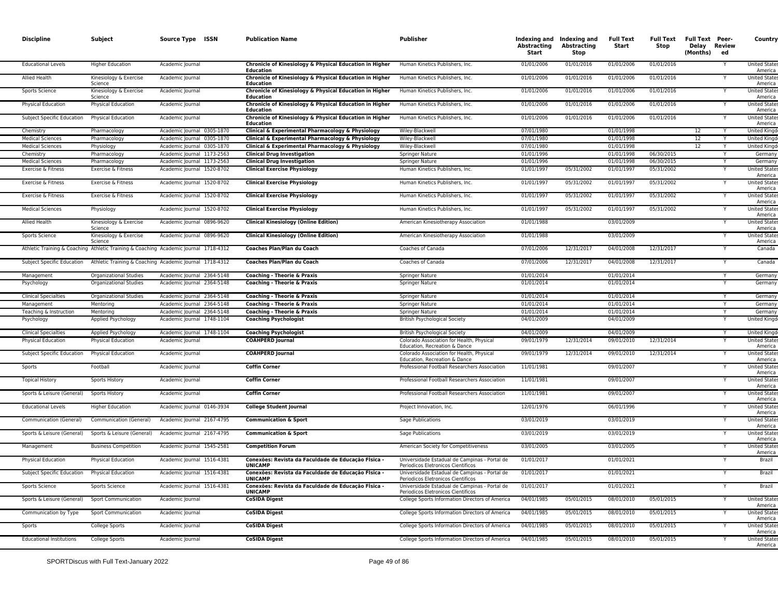| <b>Discipline</b>               | Subject                           | Source Type ISSN                                                                     | <b>Publication Name</b>                                                     | <b>Publisher</b>                                                                    | Abstracting<br>Start | Indexing and Indexing and<br><b>Abstracting</b><br>Stop | <b>Full Text</b><br>Start | Full Text<br>Stop | <b>Full Text Peer-</b><br>Delay Review<br>(Months) | ed | Country                         |
|---------------------------------|-----------------------------------|--------------------------------------------------------------------------------------|-----------------------------------------------------------------------------|-------------------------------------------------------------------------------------|----------------------|---------------------------------------------------------|---------------------------|-------------------|----------------------------------------------------|----|---------------------------------|
| <b>Educational Levels</b>       | <b>Higher Education</b>           | Academic Journal                                                                     | Chronicle of Kinesiology & Physical Education in Higher<br>Education        | Human Kinetics Publishers, Inc.                                                     | 01/01/2006           | 01/01/2016                                              | 01/01/2006                | 01/01/2016        |                                                    |    | <b>United States</b><br>America |
| <b>Allied Health</b>            | Kinesiology & Exercise<br>Science | Academic Journal                                                                     | Chronicle of Kinesiology & Physical Education in Higher<br>Education        | Human Kinetics Publishers, Inc.                                                     | 01/01/2006           | 01/01/2016                                              | 01/01/2006                | 01/01/2016        |                                                    |    | <b>United State</b><br>America  |
| <b>Sports Science</b>           | Kinesiology & Exercise<br>Science | Academic Journal                                                                     | Chronicle of Kinesiology & Physical Education in Higher<br>Education        | Human Kinetics Publishers, Inc.                                                     | 01/01/2006           | 01/01/2016                                              | 01/01/2006                | 01/01/2016        |                                                    |    | <b>United States</b><br>America |
| Physical Education              | Physical Education                | Academic Journal                                                                     | Chronicle of Kinesiology & Physical Education in Higher<br><b>Education</b> | Human Kinetics Publishers, Inc.                                                     | 01/01/2006           | 01/01/2016                                              | 01/01/2006                | 01/01/2016        |                                                    |    | <b>United State:</b><br>America |
| Subject Specific Education      | Physical Education                | Academic Journal                                                                     | Chronicle of Kinesiology & Physical Education in Higher<br>Education        | Human Kinetics Publishers, Inc.                                                     | 01/01/2006           | 01/01/2016                                              | 01/01/2006                | 01/01/2016        |                                                    |    | <b>United State:</b><br>America |
| Chemistry                       | Pharmacology                      | Academic Journal 0305-1870                                                           | Clinical & Experimental Pharmacology & Physiology                           | Wiley-Blackwell                                                                     | 07/01/1980           |                                                         | 01/01/1998                |                   | 12                                                 |    | <b>United Kingd</b>             |
| <b>Medical Sciences</b>         | Pharmacology                      | Academic Journal 0305-1870                                                           | Clinical & Experimental Pharmacology & Physiology                           | Wiley-Blackwell                                                                     | 07/01/1980           |                                                         | 01/01/1998                |                   | 12                                                 |    | <b>United Kingd</b>             |
| <b>Medical Sciences</b>         | Physiology                        | Academic Journal 0305-1870                                                           | Clinical & Experimental Pharmacology & Physiology                           | Wiley-Blackwell                                                                     | 07/01/1980           |                                                         | 01/01/1998                |                   | 12                                                 | Y  | <b>United Kingd</b>             |
| Chemistry                       | Pharmacology                      | Academic Journal 1173-2563                                                           | <b>Clinical Drug Investigation</b>                                          | Springer Nature                                                                     | 01/01/1996           |                                                         | 01/01/1998                | 06/30/2015        |                                                    |    | Germany                         |
| <b>Medical Sciences</b>         | Pharmacology                      | Academic Journal 1173-2563                                                           | <b>Clinical Drug Investigation</b>                                          | Springer Nature                                                                     | 01/01/1996           |                                                         | 01/01/1998                | 06/30/2015        |                                                    |    | Germany                         |
| Exercise & Fitness              | Exercise & Fitness                | Academic Journal 1520-8702                                                           | <b>Clinical Exercise Physiology</b>                                         | Human Kinetics Publishers, Inc.                                                     | 01/01/1997           | 05/31/2002                                              | 01/01/1997                | 05/31/2002        |                                                    |    | <b>United State</b><br>America  |
| Exercise & Fitness              | Exercise & Fitness                | Academic Journal 1520-8702                                                           | <b>Clinical Exercise Physiology</b>                                         | Human Kinetics Publishers, Inc.                                                     | 01/01/1997           | 05/31/2002                                              | 01/01/1997                | 05/31/2002        |                                                    |    | <b>United States</b><br>America |
| Exercise & Fitness              | Exercise & Fitness                | Academic Journal 1520-8702                                                           | <b>Clinical Exercise Physiology</b>                                         | Human Kinetics Publishers, Inc.                                                     | 01/01/1997           | 05/31/2002                                              | 01/01/1997                | 05/31/2002        |                                                    |    | <b>United States</b><br>America |
| <b>Medical Sciences</b>         | Physiology                        | Academic Journal 1520-8702                                                           | <b>Clinical Exercise Physiology</b>                                         | Human Kinetics Publishers, Inc.                                                     | 01/01/1997           | 05/31/2002                                              | 01/01/1997                | 05/31/2002        |                                                    |    | <b>United States</b><br>America |
| Allied Health                   | Kinesiology & Exercise<br>Science | Academic Journal 0896-9620                                                           | <b>Clinical Kinesiology (Online Edition)</b>                                | American Kinesiotherapy Association                                                 | 01/01/1988           |                                                         | 03/01/2009                |                   |                                                    |    | <b>United State</b><br>America  |
| <b>Sports Science</b>           | Kinesiology & Exercise<br>Science | Academic Journal 0896-9620                                                           | <b>Clinical Kinesiology (Online Edition)</b>                                | American Kinesiotherapy Association                                                 | 01/01/1988           |                                                         | 03/01/2009                |                   |                                                    |    | <b>United States</b><br>America |
|                                 |                                   | Athletic Training & Coaching Athletic Training & Coaching Academic Journal 1718-4312 | Coaches Plan/Plan du Coach                                                  | Coaches of Canada                                                                   | 07/01/2006           | 12/31/2017                                              | 04/01/2008                | 12/31/2017        |                                                    |    | Canada                          |
|                                 |                                   | Subject Specific Education Athletic Training & Coaching Academic Journal 1718-4312   | Coaches Plan/Plan du Coach                                                  | Coaches of Canada                                                                   | 07/01/2006           | 12/31/2017                                              | 04/01/2008                | 12/31/2017        |                                                    |    | Canada                          |
| Management                      | <b>Organizational Studies</b>     | Academic Journal 2364-5148                                                           | Coaching - Theorie & Praxis                                                 | Springer Nature                                                                     | 01/01/2014           |                                                         | 01/01/2014                |                   |                                                    |    | Germany                         |
| Psychology                      | Organizational Studies            | Academic Journal 2364-5148                                                           | <b>Coaching - Theorie &amp; Praxis</b>                                      | Springer Nature                                                                     | 01/01/2014           |                                                         | 01/01/2014                |                   |                                                    |    | Germany                         |
| <b>Clinical Specialties</b>     | Organizational Studies            | Academic Journal 2364-5148                                                           | <b>Coaching - Theorie &amp; Praxis</b>                                      | Springer Nature                                                                     | 01/01/2014           |                                                         | 01/01/2014                |                   |                                                    |    | Germany                         |
| Management                      | Mentoring                         | Academic Journal 2364-5148                                                           | <b>Coaching - Theorie &amp; Praxis</b>                                      | Springer Nature                                                                     | 01/01/2014           |                                                         | 01/01/2014                |                   |                                                    |    | Germany                         |
| Teaching & Instruction          | Mentoring                         | Academic Journal 2364-5148                                                           | Coaching - Theorie & Praxis                                                 | <b>Springer Nature</b>                                                              | 01/01/2014           |                                                         | 01/01/2014                |                   |                                                    | Y  | Germany                         |
| Psychology                      | Applied Psychology                | Academic Journal 1748-1104                                                           | <b>Coaching Psychologist</b>                                                | <b>British Psychological Society</b>                                                | 04/01/2009           |                                                         | 04/01/2009                |                   |                                                    |    | United Kingd                    |
| <b>Clinical Specialties</b>     | Applied Psychology                | Academic Journal 1748-1104                                                           | <b>Coaching Psychologist</b>                                                | <b>British Psychological Society</b>                                                | 04/01/2009           |                                                         | 04/01/2009                |                   |                                                    | Y  | <b>United Kingd</b>             |
| <b>Physical Education</b>       | Physical Education                | Academic Journal                                                                     | <b>COAHPERD Journal</b>                                                     | Colorado Association for Health, Physical<br>Education, Recreation & Dance          | 09/01/1979           | 12/31/2014                                              | 09/01/2010                | 12/31/2014        |                                                    |    | <b>United State:</b><br>America |
| Subject Specific Education      | <b>Physical Education</b>         | Academic Journal                                                                     | <b>COAHPERD Journal</b>                                                     | Colorado Association for Health, Physical<br>Education, Recreation & Dance          | 09/01/1979           | 12/31/2014                                              | 09/01/2010                | 12/31/2014        |                                                    |    | <b>United States</b><br>America |
| Sports                          | Football                          | Academic Journal                                                                     | <b>Coffin Corner</b>                                                        | Professional Football Researchers Association                                       | 11/01/1981           |                                                         | 09/01/2007                |                   |                                                    |    | <b>United State:</b><br>America |
| <b>Topical History</b>          | <b>Sports History</b>             | Academic Journal                                                                     | <b>Coffin Corner</b>                                                        | Professional Football Researchers Association                                       | 11/01/1981           |                                                         | 09/01/2007                |                   |                                                    |    | <b>United States</b><br>America |
| Sports & Leisure (General)      | Sports History                    | Academic Journal                                                                     | <b>Coffin Corner</b>                                                        | Professional Football Researchers Association                                       | 11/01/1981           |                                                         | 09/01/2007                |                   |                                                    |    | <b>United State:</b><br>America |
| <b>Educational Levels</b>       | <b>Higher Education</b>           | Academic Journal 0146-3934                                                           | <b>College Student Journal</b>                                              | Project Innovation, Inc.                                                            | 12/01/1976           |                                                         | 06/01/1996                |                   |                                                    |    | <b>United State:</b><br>America |
| Communication (General)         | Communication (General)           | Academic Journal 2167-4795                                                           | <b>Communication &amp; Sport</b>                                            | Sage Publications                                                                   | 03/01/2019           |                                                         | 03/01/2019                |                   |                                                    |    | <b>United State:</b><br>America |
| Sports & Leisure (General)      | Sports & Leisure (General)        | Academic Journal 2167-4795                                                           | <b>Communication &amp; Sport</b>                                            | Sage Publications                                                                   | 03/01/2019           |                                                         | 03/01/2019                |                   |                                                    |    | <b>United States</b><br>America |
| Management                      | <b>Business Competition</b>       | Academic Journal 1545-2581                                                           | <b>Competition Forum</b>                                                    | American Society for Competitiveness                                                | 03/01/2005           |                                                         | 03/01/2005                |                   |                                                    |    | <b>United State:</b><br>America |
| <b>Physical Education</b>       | <b>Physical Education</b>         | Academic Journal 1516-4381                                                           | Conexões: Revista da Faculdade de Educação FÍsica -<br><b>UNICAMP</b>       | Universidade Estadual de Campinas - Portal de<br>Periodicos Eletronicos Científicos | 01/01/2017           |                                                         | 01/01/2021                |                   |                                                    |    | Brazil                          |
| Subject Specific Education      | <b>Physical Education</b>         | Academic Journal 1516-4381                                                           | Conexões: Revista da Faculdade de Educação FÍsica -<br><b>UNICAMP</b>       | Universidade Estadual de Campinas - Portal de<br>Periodicos Eletronicos Científicos | 01/01/2017           |                                                         | 01/01/2021                |                   |                                                    |    | Brazil                          |
| Sports Science                  | Sports Science                    | Academic Journal 1516-4381                                                           | Conexões: Revista da Faculdade de Educação FÍsica -<br><b>UNICAMP</b>       | Universidade Estadual de Campinas - Portal de<br>Periodicos Eletronicos Científicos | 01/01/2017           |                                                         | 01/01/2021                |                   |                                                    |    | Brazil                          |
| Sports & Leisure (General)      | Sport Communication               | Academic Journal                                                                     | <b>CoSIDA Digest</b>                                                        | College Sports Information Directors of America                                     | 04/01/1985           | 05/01/2015                                              | 08/01/2010                | 05/01/2015        |                                                    |    | <b>United State:</b><br>America |
| Communication by Type           | Sport Communication               | Academic Journal                                                                     | <b>CoSIDA Digest</b>                                                        | College Sports Information Directors of America                                     | 04/01/1985           | 05/01/2015                                              | 08/01/2010                | 05/01/2015        |                                                    |    | <b>United State:</b><br>America |
| Sports                          | College Sports                    | Academic Journal                                                                     | <b>CoSIDA Digest</b>                                                        | College Sports Information Directors of America                                     | 04/01/1985           | 05/01/2015                                              | 08/01/2010                | 05/01/2015        |                                                    |    | <b>United State:</b><br>America |
| <b>Educational Institutions</b> | College Sports                    | Academic Journal                                                                     | <b>CoSIDA Digest</b>                                                        | College Sports Information Directors of America                                     | 04/01/1985           | 05/01/2015                                              | 08/01/2010                | 05/01/2015        |                                                    |    | <b>United State:</b><br>America |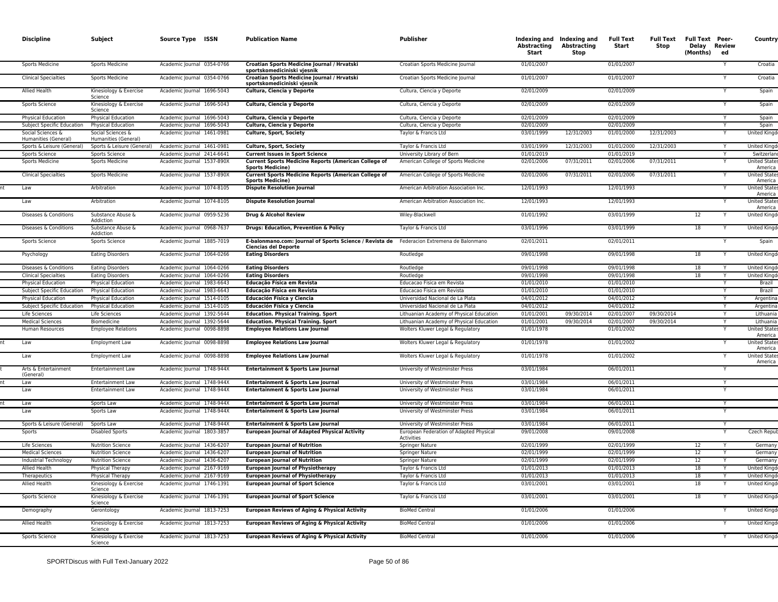| <b>Discipline</b>                         | Subject                                            | Source Type ISSN                                         | <b>Publication Name</b>                                                                | <b>Publisher</b>                                                       | Abstracting<br>Start     | Indexing and Indexing and<br>Abstracting<br>Stop | Full Text<br>Start       | Full Text<br>Stop | <b>Full Text Peer-</b><br>Delay Review<br>(Months) | ed | Country                                               |
|-------------------------------------------|----------------------------------------------------|----------------------------------------------------------|----------------------------------------------------------------------------------------|------------------------------------------------------------------------|--------------------------|--------------------------------------------------|--------------------------|-------------------|----------------------------------------------------|----|-------------------------------------------------------|
| Sports Medicine                           | <b>Sports Medicine</b>                             | Academic Journal 0354-0766                               | Croatian Sports Medicine Journal / Hrvatski<br>sportskomediciniski vjesnik             | Croatian Sports Medicine Journal                                       | 01/01/2007               |                                                  | 01/01/2007               |                   |                                                    |    | Croatia                                               |
| <b>Clinical Specialties</b>               | <b>Sports Medicine</b>                             | Academic Journal 0354-0766                               | Croatian Sports Medicine Journal / Hrvatski<br>sportskomediciniski vjesnik             | Croatian Sports Medicine Journal                                       | 01/01/2007               |                                                  | 01/01/2007               |                   |                                                    |    | Croatia                                               |
| Allied Health                             | Kinesiology & Exercise<br>Science                  | Academic Journal 1696-5043                               | Cultura, Ciencia y Deporte                                                             | Cultura, Ciencia y Deporte                                             | 02/01/2009               |                                                  | 02/01/2009               |                   |                                                    |    | Spain                                                 |
| Sports Science                            | Kinesiology & Exercise<br>Science                  | Academic Journal 1696-5043                               | Cultura, Ciencia y Deporte                                                             | Cultura, Ciencia y Deporte                                             | 02/01/2009               |                                                  | 02/01/2009               |                   |                                                    |    | Spain                                                 |
| <b>Physical Education</b>                 | <b>Physical Education</b>                          | Academic Journal 1696-5043                               | Cultura, Ciencia y Deporte                                                             | Cultura, Ciencia y Deporte                                             | 02/01/2009               |                                                  | 02/01/2009               |                   |                                                    | Y  | Spain                                                 |
| Subject Specific Education                | <b>Physical Education</b>                          | Academic Journal 1696-5043                               | Cultura, Ciencia y Deporte                                                             | Cultura, Ciencia y Deporte                                             | 02/01/2009               |                                                  | 02/01/2009               |                   |                                                    |    | Spain                                                 |
| Social Sciences &<br>Humanities (General) | Social Sciences &<br>Humanities (General)          | Academic Journal 1461-0981                               | Culture, Sport, Society                                                                | Taylor & Francis Ltd                                                   | 03/01/1999               | 12/31/2003                                       | 01/01/2000               | 12/31/2003        |                                                    |    | <b>United Kingd</b>                                   |
| Sports & Leisure (General)                | Sports & Leisure (General)                         | Academic Journal 1461-0981                               | Culture, Sport, Society                                                                | Taylor & Francis Ltd                                                   | 03/01/1999               | 12/31/2003                                       | 01/01/2000               | 12/31/2003        |                                                    |    | <b>United Kingd</b>                                   |
| <b>Sports Science</b>                     | <b>Sports Science</b>                              | Academic Journal 2414-6641                               | <b>Current Issues in Sport Science</b>                                                 | University Library of Bern                                             | 01/01/2019               |                                                  | 01/01/2019               |                   |                                                    |    | Switzerlan                                            |
| <b>Sports Medicine</b>                    | <b>Sports Medicine</b>                             | Academic Journal 1537-890X                               | <b>Current Sports Medicine Reports (American College of</b><br><b>Sports Medicine)</b> | American College of Sports Medicine                                    | 02/01/2006               | 07/31/2011                                       | 02/01/2006               | 07/31/2011        |                                                    |    | <b>United State</b><br>America                        |
| <b>Clinical Specialties</b>               | <b>Sports Medicine</b>                             | Academic Journal 1537-890X                               | <b>Current Sports Medicine Reports (American College of</b><br><b>Sports Medicine)</b> | American College of Sports Medicine                                    | 02/01/2006               | 07/31/2011                                       | 02/01/2006               | 07/31/2011        |                                                    |    | <b>United State</b><br>America                        |
| Law                                       | Arbitration                                        | Academic Journal 1074-8105                               | <b>Dispute Resolution Journal</b>                                                      | American Arbitration Association Inc.                                  | 12/01/1993               |                                                  | 12/01/1993               |                   |                                                    |    | <b>United States</b><br>America                       |
| Law                                       | Arbitration                                        | Academic Journal 1074-8105                               | <b>Dispute Resolution Journal</b>                                                      | American Arbitration Association Inc.                                  | 12/01/1993               |                                                  | 12/01/1993               |                   |                                                    |    | <b>United States</b><br>America                       |
| Diseases & Conditions                     | Substance Abuse &<br>Addiction                     | Academic Journal 0959-5236                               | Drug & Alcohol Review                                                                  | Wiley-Blackwell                                                        | 01/01/1992               |                                                  | 03/01/1999               |                   | 12                                                 |    | <b>United Kingd</b>                                   |
| Diseases & Conditions                     | Substance Abuse &<br>Addiction                     | Academic Journal 0968-7637                               | Drugs: Education, Prevention & Policy                                                  | Taylor & Francis Ltd                                                   | 03/01/1996               |                                                  | 03/01/1999               |                   | 18                                                 |    | <b>United Kingo</b>                                   |
| Sports Science                            | Sports Science                                     | Academic Journal 1885-7019                               | E-balonmano.com: Journal of Sports Science / Revista de<br><b>Ciencias del Deporte</b> | Federacion Extremena de Balonmano                                      | 02/01/2011               |                                                  | 02/01/2011               |                   |                                                    | Υ  | Spain                                                 |
| Psychology                                | <b>Eating Disorders</b>                            | Academic Journal 1064-0266                               | <b>Eating Disorders</b>                                                                | Routledge                                                              | 09/01/1998               |                                                  | 09/01/1998               |                   | 18                                                 |    | <b>United Kingo</b>                                   |
| Diseases & Conditions                     | <b>Eating Disorders</b>                            | Academic Journal 1064-0266<br>Academic lournal 1064-0266 | <b>Eating Disorders</b><br><b>Eating Disorders</b>                                     | Routledge<br>Routledge                                                 | 09/01/1998<br>09/01/1998 |                                                  | 09/01/1998<br>09/01/1998 |                   | 18<br>18                                           |    | <b>United Kingo</b><br><b>United King</b>             |
| <b>Clinical Specialties</b>               | <b>Eating Disorders</b>                            |                                                          |                                                                                        |                                                                        |                          |                                                  |                          |                   |                                                    | Y  |                                                       |
| <b>Physical Education</b>                 | <b>Physical Education</b>                          | Academic Journal 1983-6643                               | Educação Física em Revista                                                             | Educacao Fisica em Revista                                             | 01/01/2010               |                                                  | 01/01/2010               |                   |                                                    | Y  | Brazil                                                |
| <b>Subject Specific Education</b>         | <b>Physical Education</b>                          | Academic Journal 1983-6643                               | Educação Física em Revista                                                             | Educação Física em Revista                                             | 01/01/2010               |                                                  | 01/01/2010               |                   |                                                    |    | Brazil                                                |
| <b>Physical Education</b>                 | Physical Education                                 | Academic Journal 1514-0105                               | Educación Física y Ciencia                                                             | Universidad Nacional de La Plata                                       | 04/01/2012               |                                                  | 04/01/2012               |                   |                                                    |    | Argentin                                              |
| <b>Subject Specific Education</b>         | <b>Physical Education</b>                          | Academic Journal 1514-0105                               | Educación Física y Ciencia                                                             | Universidad Nacional de La Plata                                       | 04/01/2012               |                                                  | 04/01/2012               |                   |                                                    |    | Argentin                                              |
| Life Sciences                             | Life Sciences                                      | Academic Journal 1392-5644                               | <b>Education. Physical Training. Sport</b>                                             | Lithuanian Academy of Physical Education                               | 01/01/2001               | 09/30/2014                                       | 02/01/2007               | 09/30/2014        |                                                    | Y  | Lithuani                                              |
| <b>Medical Sciences</b>                   | Biomedicine                                        | Academic Journal 1392-5644                               | <b>Education. Physical Training. Sport</b>                                             | Lithuanian Academy of Physical Education                               | 01/01/2001               | 09/30/2014                                       | 02/01/2007               | 09/30/2014        |                                                    |    | Lithuania                                             |
| Human Resources<br>Law                    | <b>Employee Relations</b><br><b>Employment Law</b> | Academic Journal 0098-8898<br>Academic Journal 0098-8898 | <b>Employee Relations Law Journal</b><br><b>Employee Relations Law Journal</b>         | Wolters Kluwer Legal & Regulatory<br>Wolters Kluwer Legal & Regulatory | 01/01/1978<br>01/01/1978 |                                                  | 01/01/2002<br>01/01/2002 |                   |                                                    |    | <b>United State</b><br>America<br><b>United State</b> |
| Law                                       | <b>Employment Law</b>                              | Academic Journal 0098-8898                               | <b>Employee Relations Law Journal</b>                                                  | Wolters Kluwer Legal & Regulatory                                      | 01/01/1978               |                                                  | 01/01/2002               |                   |                                                    |    | America<br><b>United States</b>                       |
| Arts & Entertainment                      | <b>Entertainment Law</b>                           | Academic Journal 1748-944X                               | Entertainment & Sports Law Journal                                                     | University of Westminster Press                                        | 03/01/1984               |                                                  | 06/01/2011               |                   |                                                    |    | America                                               |
| (General)<br>Law                          | <b>Entertainment Law</b>                           | Academic Journal 1748-944X                               | Entertainment & Sports Law Journal                                                     | University of Westminster Press                                        | 03/01/1984               |                                                  | 06/01/2011               |                   |                                                    | Y  |                                                       |
| Law                                       | <b>Entertainment Law</b>                           | Academic Journal 1748-944X                               | Entertainment & Sports Law Journal                                                     | University of Westminster Press                                        | 03/01/1984               |                                                  | 06/01/2011               |                   |                                                    |    |                                                       |
|                                           |                                                    |                                                          |                                                                                        |                                                                        |                          |                                                  |                          |                   |                                                    |    |                                                       |
| Law<br>Law                                | Sports Law<br>Sports Law                           | Academic Journal 1748-944X<br>Academic Journal 1748-944X | Entertainment & Sports Law Journal<br>Entertainment & Sports Law Journal               | University of Westminster Press<br>University of Westminster Press     | 03/01/1984<br>03/01/1984 |                                                  | 06/01/2011<br>06/01/2011 |                   |                                                    | Υ  |                                                       |
| Sports & Leisure (General)                | Sports Law                                         | Academic Journal 1748-944X                               | Entertainment & Sports Law Journal                                                     | University of Westminster Press                                        | 03/01/1984               |                                                  | 06/01/2011               |                   |                                                    |    |                                                       |
| Sports                                    | <b>Disabled Sports</b>                             | Academic Journal 1803-3857                               | <b>European Journal of Adapted Physical Activity</b>                                   | European Federation of Adapted Physical<br>Activities                  | 09/01/2008               |                                                  | 09/01/2008               |                   |                                                    |    | Czech Repu                                            |
| Life Sciences                             | <b>Nutrition Science</b>                           | Academic Journal 1436-6207                               | <b>European Journal of Nutrition</b>                                                   | Springer Nature                                                        | 02/01/1999               |                                                  | 02/01/1999               |                   | 12                                                 | Υ  | Germany                                               |
| <b>Medical Sciences</b>                   | <b>Nutrition Science</b>                           | Academic Journal 1436-6207                               | <b>European Journal of Nutrition</b>                                                   | Springer Nature                                                        | 02/01/1999               |                                                  | 02/01/1999               |                   | $\overline{12}$                                    |    | Germany                                               |
| Industrial Technology                     | <b>Nutrition Science</b>                           | Academic Journal 1436-6207                               | <b>European Journal of Nutrition</b>                                                   | Springer Nature                                                        | 02/01/1999               |                                                  | 02/01/1999               |                   | 12                                                 | Y  | Germany                                               |
| Allied Health                             | Physical Therapy                                   | Academic Journal 2167-9169                               | <b>European Journal of Physiotherapy</b>                                               | Taylor & Francis Ltd                                                   | 01/01/2013               |                                                  | 01/01/2013               |                   | 18                                                 | Υ  | United Kingo                                          |
| Therapeutics                              | Physical Therapy                                   | Academic Journal 2167-9169                               | <b>European Journal of Physiotherapy</b>                                               | Taylor & Francis Ltd                                                   | 01/01/2013               |                                                  | 01/01/2013               |                   | 18                                                 |    | <b>United Kingo</b>                                   |
| Allied Health                             | Kinesiology & Exercise<br>Science                  | Academic Journal 1746-1391                               | <b>European Journal of Sport Science</b>                                               | Taylor & Francis Ltd                                                   | 03/01/2001               |                                                  | 03/01/2001               |                   | 18                                                 |    | <b>United Kingo</b>                                   |
| Sports Science                            | Kinesiology & Exercise<br>Science                  | Academic Journal 1746-1391                               | <b>European Journal of Sport Science</b>                                               | Taylor & Francis Ltd                                                   | 03/01/2001               |                                                  | 03/01/2001               |                   | 18                                                 |    | <b>United Kingo</b>                                   |
| Demography                                | Gerontology                                        | Academic Journal 1813-7253                               | <b>European Reviews of Aging &amp; Physical Activity</b>                               | <b>BioMed Central</b>                                                  | 01/01/2006               |                                                  | 01/01/2006               |                   |                                                    |    | <b>United Kingd</b>                                   |
| Allied Health                             | Kinesiology & Exercise<br>Science                  | Academic Journal 1813-7253                               | <b>European Reviews of Aging &amp; Physical Activity</b>                               | <b>BioMed Central</b>                                                  | 01/01/2006               |                                                  | 01/01/2006               |                   |                                                    |    | United King                                           |
| Sports Science                            | Kinesiology & Exercise<br>Science                  | Academic Journal 1813-7253                               | <b>European Reviews of Aging &amp; Physical Activity</b>                               | <b>BioMed Central</b>                                                  | 01/01/2006               |                                                  | 01/01/2006               |                   |                                                    |    | United King                                           |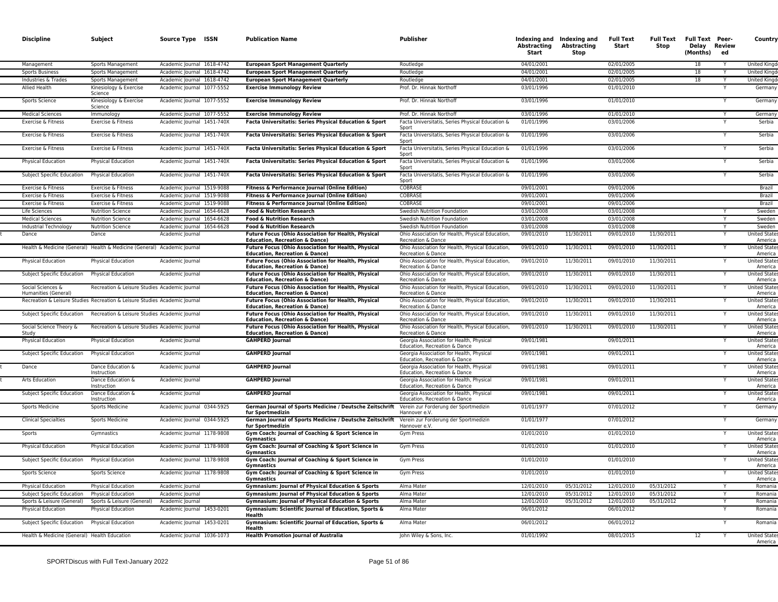| <b>Discipline</b>                                | Subject                                                                    | Source Type ISSN                                         | <b>Publication Name</b>                                                                                          | <b>Publisher</b>                                                                                                      | Abstracting<br>Start     | Indexing and Indexing and<br>Abstracting<br>Stop | <b>Full Text</b><br>Start | <b>Full Text</b><br>Stop | <b>Full Text Peer-</b><br>Delay Review<br>(Months) | ed | Country                                                 |
|--------------------------------------------------|----------------------------------------------------------------------------|----------------------------------------------------------|------------------------------------------------------------------------------------------------------------------|-----------------------------------------------------------------------------------------------------------------------|--------------------------|--------------------------------------------------|---------------------------|--------------------------|----------------------------------------------------|----|---------------------------------------------------------|
| Management                                       | Sports Management                                                          | Academic Journal 1618-4742                               | <b>European Sport Management Quarterly</b>                                                                       | Routledge                                                                                                             | 04/01/2001               |                                                  | 02/01/2005                |                          | 18                                                 |    | <b>United Kingo</b>                                     |
| <b>Sports Business</b>                           | Sports Management                                                          | Academic Journal 1618-4742                               | <b>European Sport Management Quarterly</b>                                                                       | Routledge                                                                                                             | 04/01/2001               |                                                  | 02/01/2005                |                          | 18                                                 |    | <b>United King</b>                                      |
| Industries & Trades                              | Sports Management                                                          | Academic Journal 1618-4742                               | <b>European Sport Management Quarterly</b>                                                                       | Routledge                                                                                                             | 04/01/2001               |                                                  | 02/01/2005                |                          | 18                                                 |    | <b>United Kingd</b>                                     |
| Allied Health                                    | Kinesiology & Exercise<br>Science                                          | Academic Journal 1077-5552                               | <b>Exercise Immunology Review</b>                                                                                | Prof. Dr. Hinnak Northof                                                                                              | 03/01/1996               |                                                  | 01/01/2010                |                          |                                                    |    | Germany                                                 |
| Sports Science                                   | Kinesiology & Exercise<br>Science                                          | Academic Journal 1077-5552                               | <b>Exercise Immunology Review</b>                                                                                | Prof. Dr. Hinnak Northoff                                                                                             | 03/01/1996               |                                                  | 01/01/2010                |                          |                                                    |    | Germany                                                 |
| <b>Medical Sciences</b>                          | Immunology                                                                 | Academic Journal 1077-5552                               | <b>Exercise Immunology Review</b>                                                                                | Prof. Dr. Hinnak Northoff                                                                                             | 03/01/1996               |                                                  | 01/01/2010                |                          |                                                    |    | Germany                                                 |
| Exercise & Fitness                               | Exercise & Fitness                                                         | Academic Journal 1451-740X                               | Facta Universitatis: Series Physical Education & Sport                                                           | Facta Universitatis, Series Physical Education &<br>Snort                                                             | 01/01/1996               |                                                  | 03/01/2006                |                          |                                                    |    | Serbia                                                  |
| Exercise & Fitness<br>Exercise & Fitness         | Exercise & Fitness<br>Exercise & Fitness                                   | Academic Journal 1451-740X<br>Academic Journal 1451-740X | Facta Universitatis: Series Physical Education & Sport<br>Facta Universitatis: Series Physical Education & Sport | Facta Universitatis, Series Physical Education &<br>Sport<br>Facta Universitatis, Series Physical Education &         | 01/01/1996<br>01/01/1996 |                                                  | 03/01/2006<br>03/01/2006  |                          |                                                    |    | Serbia<br>Serbia                                        |
| Physical Education                               | Physical Education                                                         | Academic Journal 1451-740X                               | Facta Universitatis: Series Physical Education & Sport                                                           | Sport<br>Facta Universitatis, Series Physical Education &                                                             | 01/01/1996               |                                                  | 03/01/2006                |                          |                                                    |    | Serbia                                                  |
| Subject Specific Education                       | <b>Physical Education</b>                                                  | Academic Journal 1451-740X                               | Facta Universitatis: Series Physical Education & Sport                                                           | Sport<br>Facta Universitatis, Series Physical Education &                                                             | 01/01/1996               |                                                  | 03/01/2006                |                          |                                                    |    | Serbia                                                  |
| Exercise & Fitness                               | Exercise & Fitness                                                         | Academic Journal 1519-9088                               | Fitness & Performance Journal (Online Edition)                                                                   | Sport<br>COBRASE                                                                                                      | 09/01/2001               |                                                  | 09/01/2006                |                          |                                                    |    | Brazil                                                  |
| Exercise & Fitness                               | Exercise & Fitness                                                         | Academic Journal 1519-9088                               | Fitness & Performance Journal (Online Edition)                                                                   | COBRASE                                                                                                               | 09/01/2001               |                                                  | 09/01/2006                |                          |                                                    |    | Brazil                                                  |
| Exercise & Fitness                               | Exercise & Fitness                                                         | Academic Journal 1519-9088                               | Fitness & Performance Journal (Online Edition)                                                                   | COBRASE                                                                                                               | 09/01/2001               |                                                  | 09/01/2006                |                          |                                                    |    | Brazil                                                  |
| Life Sciences                                    | <b>Nutrition Science</b>                                                   | Academic Journal 1654-6628                               | <b>Food &amp; Nutrition Research</b>                                                                             | Swedish Nutrition Foundation                                                                                          | 03/01/2008               |                                                  | 03/01/2008                |                          |                                                    |    | Sweder                                                  |
|                                                  |                                                                            | Academic Journal 1654-6628                               | <b>Food &amp; Nutrition Research</b>                                                                             |                                                                                                                       | 03/01/2008               |                                                  | 03/01/2008                |                          |                                                    |    | Sweden                                                  |
| <b>Medical Sciences</b><br>Industrial Technology | <b>Nutrition Science</b><br><b>Nutrition Science</b>                       | Academic Journal 1654-6628                               | <b>Food &amp; Nutrition Research</b>                                                                             | Swedish Nutrition Foundation<br><b>Swedish Nutrition Foundation</b>                                                   | 03/01/2008               |                                                  | 03/01/2008                |                          |                                                    |    | Sweden                                                  |
| Dance                                            | Dance                                                                      | Academic Journal                                         | <b>Future Focus (Ohio Association for Health, Physical</b><br><b>Education, Recreation &amp; Dance)</b>          | Ohio Association for Health, Physical Education,<br><b>Recreation &amp; Dance</b>                                     | 09/01/2010               | 11/30/2011                                       | 09/01/2010                | 11/30/2011               |                                                    |    | <b>United State</b><br>America                          |
|                                                  | Health & Medicine (General) Health & Medicine (General) Academic Journal   |                                                          | <b>Future Focus (Ohio Association for Health, Physical</b><br><b>Education, Recreation &amp; Dance)</b>          | Ohio Association for Health, Physical Education,<br>Recreation & Dance                                                | 09/01/2010               | 11/30/2011                                       | 09/01/2010                | 11/30/2011               |                                                    |    | <b>United State</b><br>America                          |
| Physical Education                               | Physical Education                                                         | Academic Journal                                         | Future Focus (Ohio Association for Health, Physical<br><b>Education, Recreation &amp; Dance)</b>                 | Ohio Association for Health, Physical Education<br>Recreation & Dance                                                 | 09/01/2010               | 11/30/2011                                       | 09/01/2010                | 11/30/2011               |                                                    |    | <b>United State:</b><br>America                         |
| Subject Specific Education                       | <b>Physical Education</b>                                                  | Academic Journal                                         | Future Focus (Ohio Association for Health, Physical<br><b>Education, Recreation &amp; Dance)</b>                 | Ohio Association for Health, Physical Education<br>Recreation & Dance                                                 | 09/01/2010               | 11/30/2011                                       | 09/01/2010                | 11/30/2011               |                                                    |    | <b>United States</b><br>America                         |
| Social Sciences &<br>Humanities (General)        | Recreation & Leisure Studies Academic Journal                              |                                                          | Future Focus (Ohio Association for Health, Physical<br><b>Education, Recreation &amp; Dance)</b>                 | Ohio Association for Health, Physical Education<br><b>Recreation &amp; Dance</b>                                      | 09/01/2010               | 11/30/2011                                       | 09/01/2010                | 11/30/2011               |                                                    |    | <b>United State:</b><br>America                         |
|                                                  | Recreation & Leisure Studies Recreation & Leisure Studies Academic Journal |                                                          | Future Focus (Ohio Association for Health, Physical<br><b>Education, Recreation &amp; Dance)</b>                 | Ohio Association for Health, Physical Education<br>Recreation & Dance                                                 | 09/01/2010               | 11/30/2011                                       | 09/01/2010                | 11/30/2011               |                                                    |    | <b>United State</b><br>America                          |
| Subject Specific Education                       | Recreation & Leisure Studies Academic Journal                              |                                                          | <b>Future Focus (Ohio Association for Health, Physical</b><br><b>Education, Recreation &amp; Dance)</b>          | Ohio Association for Health, Physical Education<br>Recreation & Dance                                                 | 09/01/2010               | 11/30/2011                                       | 09/01/2010                | 11/30/2011               |                                                    |    | <b>United State</b><br>America                          |
| Social Science Theory &<br>Study                 | Recreation & Leisure Studies Academic Journal                              |                                                          | <b>Future Focus (Ohio Association for Health, Physical</b><br><b>Education, Recreation &amp; Dance)</b>          | Ohio Association for Health, Physical Education<br><b>Recreation &amp; Dance</b>                                      | 09/01/2010               | 11/30/2011                                       | 09/01/2010                | 11/30/2011               |                                                    |    | <b>United State</b><br>America                          |
| Physical Education                               | Physical Education                                                         | Academic Journal                                         | <b>GAHPERD Journal</b>                                                                                           | Georgia Association for Health, Physical<br>Education, Recreation & Dance                                             | 09/01/1981               |                                                  | 09/01/2011                |                          |                                                    |    | <b>United State:</b><br>America                         |
| Subject Specific Education                       | <b>Physical Education</b>                                                  | Academic Journal                                         | <b>GAHPERD Journal</b>                                                                                           | Georgia Association for Health, Physical<br>Education, Recreation & Dance                                             | 09/01/1981               |                                                  | 09/01/2011                |                          |                                                    |    | <b>United State:</b><br>America                         |
| Dance<br>Arts Education                          | Dance Education &<br>Instruction<br>Dance Education &                      | Academic Journal                                         | <b>GAHPERD Journal</b><br><b>GAHPERD Journal</b>                                                                 | Georgia Association for Health, Physical<br>Education, Recreation & Dance<br>Georgia Association for Health, Physical | 09/01/1981<br>09/01/1981 |                                                  | 09/01/2011<br>09/01/2011  |                          |                                                    |    | <b>United States</b><br>America<br><b>United State:</b> |
|                                                  | Instruction<br>Dance Education &                                           | Academic Journal                                         | <b>GAHPERD Journal</b>                                                                                           | Education, Recreation & Dance<br>Georgia Association for Health, Physical                                             | 09/01/1981               |                                                  | 09/01/2011                |                          |                                                    |    | America<br><b>United State:</b>                         |
| Subject Specific Education<br>Sports Medicine    | Instruction<br><b>Sports Medicine</b>                                      | Academic Journal<br>Academic Journal 0344-5925           | German Journal of Sports Medicine / Deutsche Zeitschrift                                                         | Education, Recreation & Dance<br>Verein zur Forderung der Sportmedizin                                                | 01/01/1977               |                                                  | 07/01/2012                |                          |                                                    |    | America<br>Germany                                      |
| <b>Clinical Specialties</b>                      | <b>Sports Medicine</b>                                                     | Academic Journal 0344-5925                               | fur Sportmedizin<br>German Journal of Sports Medicine / Deutsche Zeitschrift                                     | Hannover e.V.<br>Verein zur Forderung der Sportmedizin                                                                | 01/01/1977               |                                                  | 07/01/2012                |                          |                                                    |    | Germany                                                 |
| Sports                                           | Gymnastics                                                                 | Academic Journal 1178-9808                               | fur Sportmedizin<br>Gym Coach: Journal of Coaching & Sport Science in                                            | Hannover e.V<br>Gym Press                                                                                             | 01/01/2010               |                                                  | 01/01/2010                |                          |                                                    |    | <b>United State</b>                                     |
| Physical Education                               | Physical Education                                                         | Academic Journal 1178-9808                               | <b>Gymnastics</b><br>Gym Coach: Journal of Coaching & Sport Science in                                           | Gym Press                                                                                                             | 01/01/2010               |                                                  | 01/01/2010                |                          |                                                    |    | America<br><b>United State:</b>                         |
| Subject Specific Education                       | Physical Education                                                         | Academic Journal 1178-9808                               | <b>Gymnastics</b><br>Gym Coach: Journal of Coaching & Sport Science in                                           | <b>Gym Press</b>                                                                                                      | 01/01/2010               |                                                  | 01/01/2010                |                          |                                                    |    | America<br><b>United State:</b>                         |
| Sports Science                                   | Sports Science                                                             | Academic Journal 1178-9808                               | Gymnastics<br>Gym Coach: Journal of Coaching & Sport Science in                                                  | <b>Gym Press</b>                                                                                                      | 01/01/2010               |                                                  | 01/01/2010                |                          |                                                    |    | America<br><b>United State</b>                          |
| <b>Physical Education</b>                        | Physical Education                                                         | Academic Journal                                         | Gymnastics<br><b>Gymnasium: Journal of Physical Education &amp; Sports</b>                                       | Alma Mater                                                                                                            | 12/01/2010               | 05/31/2012                                       | 12/01/2010                | 05/31/2012               |                                                    | Y  | America<br>Romania                                      |
| Subject Specific Education                       | <b>Physical Education</b>                                                  | Academic Journal                                         | <b>Gymnasium: Journal of Physical Education &amp; Sports</b>                                                     | Alma Mater                                                                                                            | 12/01/2010               | 05/31/2012                                       | 12/01/2010                | 05/31/2012               |                                                    |    | Romania                                                 |
| Sports & Leisure (General)                       | Sports & Leisure (General)                                                 | Academic Journal                                         | Gymnasium: Journal of Physical Education & Sports                                                                | Alma Mater                                                                                                            | 12/01/2010               | 05/31/2012                                       | 12/01/2010                | 05/31/2012               |                                                    |    | Romania                                                 |
| <b>Physical Education</b>                        | Physical Education                                                         | Academic Journal 1453-0201                               | Gymnasium: Scientific Journal of Education, Sports &<br>Health                                                   | Alma Mater                                                                                                            | 06/01/2012               |                                                  | 06/01/2012                |                          |                                                    |    | Romani                                                  |
| Subject Specific Education                       | Physical Education                                                         | Academic Journal 1453-0201                               | Gymnasium: Scientific Journal of Education, Sports &<br>Health                                                   | Alma Mater                                                                                                            | 06/01/2012               |                                                  | 06/01/2012                |                          |                                                    |    | Romania                                                 |
| Health & Medicine (General) Health Education     |                                                                            | Academic Journal 1036-1073                               | <b>Health Promotion Journal of Australia</b>                                                                     | John Wiley & Sons, Inc.                                                                                               | 01/01/1992               |                                                  | 08/01/2015                |                          | 12                                                 |    | <b>United State</b><br>America                          |
|                                                  |                                                                            |                                                          |                                                                                                                  |                                                                                                                       |                          |                                                  |                           |                          |                                                    |    |                                                         |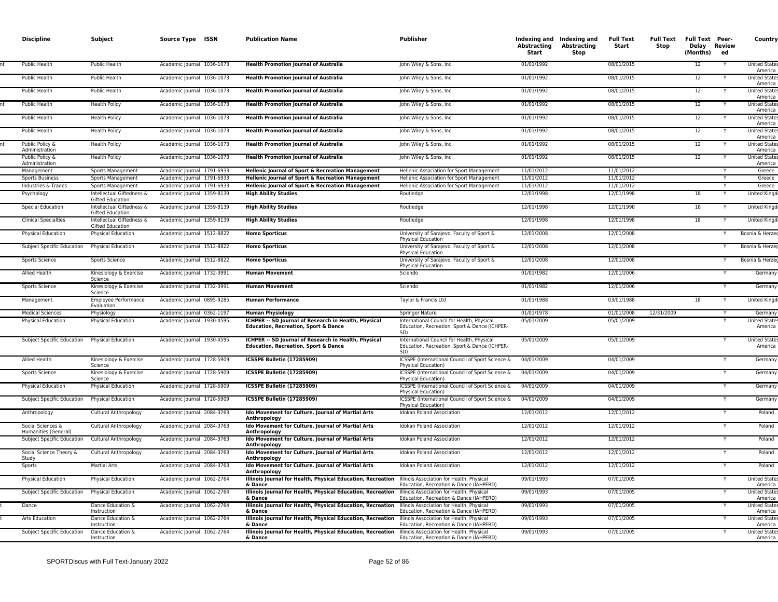| <b>Discipline</b>                         | Subject                                              | Source Type ISSN           | <b>Publication Name</b>                                                                                 | <b>Publisher</b>                                                                                   | Abstracting<br>Start | Indexing and Indexing and<br>Abstracting<br>Stop | <b>Full Text</b><br>Start | <b>Full Text</b><br>Stop | <b>Full Text Peer-</b><br>Delay Review<br>(Months) | ed | Country                         |
|-------------------------------------------|------------------------------------------------------|----------------------------|---------------------------------------------------------------------------------------------------------|----------------------------------------------------------------------------------------------------|----------------------|--------------------------------------------------|---------------------------|--------------------------|----------------------------------------------------|----|---------------------------------|
| Public Health                             | Public Health                                        | Academic Journal 1036-1073 | <b>Health Promotion Journal of Australia</b>                                                            | John Wiley & Sons, Inc.                                                                            | 01/01/1992           |                                                  | 08/01/2015                |                          | 12                                                 |    | <b>United State</b><br>America  |
| <b>Public Health</b>                      | <b>Public Health</b>                                 | Academic Journal 1036-1073 | <b>Health Promotion Journal of Australia</b>                                                            | John Wiley & Sons, Inc.                                                                            | 01/01/1992           |                                                  | 08/01/2015                |                          | 12                                                 |    | <b>United States</b><br>America |
| <b>Public Health</b>                      | <b>Public Health</b>                                 | Academic Journal 1036-1073 | <b>Health Promotion Journal of Australia</b>                                                            | John Wiley & Sons, Inc.                                                                            | 01/01/1992           |                                                  | 08/01/2015                |                          | 12                                                 |    | <b>United States</b><br>America |
| Public Health                             | <b>Health Policy</b>                                 | Academic Journal 1036-1073 | <b>Health Promotion Journal of Australia</b>                                                            | John Wiley & Sons, Inc.                                                                            | 01/01/1992           |                                                  | 08/01/2015                |                          | 12                                                 |    | <b>United States</b><br>America |
| Public Health                             | <b>Health Policy</b>                                 | Academic Journal 1036-1073 | <b>Health Promotion Journal of Australia</b>                                                            | John Wiley & Sons, Inc.                                                                            | 01/01/1992           |                                                  | 08/01/2015                |                          | 12                                                 |    | <b>United State</b><br>America  |
| Public Health                             | <b>Health Policy</b>                                 | Academic Journal 1036-1073 | <b>Health Promotion Journal of Australia</b>                                                            | John Wiley & Sons, Inc.                                                                            | 01/01/1992           |                                                  | 08/01/2015                |                          | 12                                                 |    | <b>United State</b><br>America  |
| Public Policy &<br>Administration         | <b>Health Policy</b>                                 | Academic Journal 1036-1073 | <b>Health Promotion Journal of Australia</b>                                                            | John Wiley & Sons, Inc.                                                                            | 01/01/1992           |                                                  | 08/01/2015                |                          | 12                                                 |    | <b>United States</b><br>America |
| Public Policy &<br>Administration         | <b>Health Policy</b>                                 | Academic Journal 1036-1073 | <b>Health Promotion Journal of Australia</b>                                                            | John Wiley & Sons, Inc.                                                                            | 01/01/1992           |                                                  | 08/01/2015                |                          | 12                                                 |    | <b>United States</b><br>America |
| Management                                | Sports Management                                    | Academic Journal 1791-6933 | Hellenic Journal of Sport & Recreation Management                                                       | Hellenic Association for Sport Management                                                          | 11/01/2012           |                                                  | 11/01/2012                |                          |                                                    |    | Greece                          |
| <b>Sports Business</b>                    | <b>Sports Management</b>                             | Academic Journal 1791-6933 | Hellenic Journal of Sport & Recreation Management                                                       | Hellenic Association for Sport Management                                                          | 11/01/2012           |                                                  | 11/01/2012                |                          |                                                    |    | Greece                          |
| Industries & Trades                       | Sports Management                                    | Academic Journal 1791-6933 | Hellenic Journal of Sport & Recreation Management                                                       | Hellenic Association for Sport Management                                                          | 11/01/2012           |                                                  | 11/01/2012                |                          |                                                    |    | Greece                          |
| Psychology                                | Intellectual Giftedness &<br><b>Gifted Education</b> | Academic Journal 1359-8139 | <b>High Ability Studies</b>                                                                             | Routledge                                                                                          | 12/01/1998           |                                                  | 12/01/1998                |                          | 18                                                 |    | <b>United Kingo</b>             |
| <b>Special Education</b>                  | Intellectual Giftedness &<br>Gifted Education        | Academic Journal 1359-8139 | <b>High Ability Studies</b>                                                                             | Routledge                                                                                          | 12/01/1998           |                                                  | 12/01/1998                |                          | 18                                                 |    | <b>United Kingo</b>             |
| <b>Clinical Specialties</b>               | Intellectual Giftedness &<br><b>Gifted Education</b> | Academic Journal 1359-8139 | <b>High Ability Studies</b>                                                                             | Routledge                                                                                          | 12/01/1998           |                                                  | 12/01/1998                |                          | 18                                                 |    | <b>United Kingo</b>             |
| Physical Education                        | Physical Education                                   | Academic Journal 1512-8822 | <b>Homo Sporticus</b>                                                                                   | University of Sarajevo, Faculty of Sport &<br><b>Physical Education</b>                            | 12/01/2008           |                                                  | 12/01/2008                |                          |                                                    |    | Bosnia & Herzeo                 |
| Subject Specific Education                | Physical Education                                   | Academic Journal 1512-8822 | <b>Homo Sporticus</b>                                                                                   | University of Sarajevo, Faculty of Sport &<br>Physical Education                                   | 12/01/2008           |                                                  | 12/01/2008                |                          |                                                    |    | Bosnia & Herzeg                 |
| Sports Science                            | Sports Science                                       | Academic Journal 1512-8822 | <b>Homo Sporticus</b>                                                                                   | University of Sarajevo, Faculty of Sport &<br>Physical Education                                   | 12/01/2008           |                                                  | 12/01/2008                |                          |                                                    |    | Bosnia & Herzeo                 |
| Allied Health                             | Kinesiology & Exercise<br>Science                    | Academic Journal 1732-3991 | <b>Human Movement</b>                                                                                   | Sciendo                                                                                            | 01/01/1982           |                                                  | 12/01/2006                |                          |                                                    |    | Germany                         |
| Sports Science                            | Kinesiology & Exercise<br>Science                    | Academic Journal 1732-3991 | <b>Human Movement</b>                                                                                   | Sciendo                                                                                            | 01/01/1982           |                                                  | 12/01/2006                |                          |                                                    |    | Germany                         |
| Management                                | Employee Performance<br>Evaluation                   | Academic Journal 0895-9285 | <b>Human Performance</b>                                                                                | Taylor & Francis Ltd                                                                               | 01/01/1988           |                                                  | 03/01/1988                |                          | 18                                                 |    | United Kingd                    |
| <b>Medical Sciences</b>                   | Physiology                                           | Academic Journal 0362-1197 | <b>Human Physiology</b>                                                                                 | <b>Springer Nature</b>                                                                             | 01/01/1978           |                                                  | 01/01/2008                | 12/31/2009               |                                                    |    | Germany                         |
| <b>Physical Education</b>                 | <b>Physical Education</b>                            | Academic Journal 1930-4595 | ICHPER -- SD Journal of Research in Health, Physical<br><b>Education, Recreation, Sport &amp; Dance</b> | International Council for Health, Physical<br>Education, Recreation, Sport & Dance (ICHPER-<br>SD) | 05/01/2009           |                                                  | 05/01/2009                |                          |                                                    |    | <b>United States</b><br>America |
| Subject Specific Education                | <b>Physical Education</b>                            | Academic Journal 1930-4595 | ICHPER -- SD Journal of Research in Health, Physical<br><b>Education, Recreation, Sport &amp; Dance</b> | International Council for Health, Physical<br>Education, Recreation, Sport & Dance (ICHPER-<br>SDI | 05/01/2009           |                                                  | 05/01/2009                |                          |                                                    |    | <b>United States</b><br>America |
| Allied Health                             | Kinesiology & Exercise<br>Science                    | Academic Journal 1728-5909 | ICSSPE Bulletin (17285909)                                                                              | ICSSPE (International Council of Sport Science &<br>Physical Education)                            | 04/01/2009           |                                                  | 04/01/2009                |                          |                                                    |    | Germany                         |
| Sports Science                            | Kinesiology & Exercise<br>Science                    | Academic Journal 1728-5909 | ICSSPE Bulletin (17285909)                                                                              | ICSSPE (International Council of Sport Science &<br>Physical Education)                            | 04/01/2009           |                                                  | 04/01/2009                |                          |                                                    |    | Germany                         |
| Physical Education                        | <b>Physical Education</b>                            | Academic Journal 1728-5909 | ICSSPE Bulletin (17285909)                                                                              | ICSSPE (International Council of Sport Science &<br><b>Physical Education)</b>                     | 04/01/2009           |                                                  | 04/01/2009                |                          |                                                    |    | Germany                         |
| Subject Specific Education                | <b>Physical Education</b>                            | Academic Journal 1728-5909 | ICSSPE Bulletin (17285909)                                                                              | ICSSPE (International Council of Sport Science &<br>Physical Education)                            | 04/01/2009           |                                                  | 04/01/2009                |                          |                                                    |    | Germany                         |
| Anthropology                              | Cultural Anthropology                                | Academic Journal 2084-3763 | Ido Movement for Culture. Journal of Martial Arts<br>Anthropology                                       | <b>Idokan Poland Association</b>                                                                   | 12/01/2012           |                                                  | 12/01/2012                |                          |                                                    |    | Poland                          |
| Social Sciences &<br>Humanities (General) | Cultural Anthropology                                | Academic Journal 2084-3763 | Ido Movement for Culture. Journal of Martial Arts<br>Anthropology                                       | Idokan Poland Association                                                                          | 12/01/2012           |                                                  | 12/01/2012                |                          |                                                    |    | Poland                          |
| Subject Specific Education                | Cultural Anthropology                                | Academic Journal 2084-3763 | Ido Movement for Culture. Journal of Martial Arts<br>Anthropology                                       | Idokan Poland Association                                                                          | 12/01/2012           |                                                  | 12/01/2012                |                          |                                                    |    | Poland                          |
| Social Science Theory &<br>Study          | Cultural Anthropology                                | Academic Journal 2084-3763 | Ido Movement for Culture. Journal of Martial Arts<br>Anthropology                                       | <b>Idokan Poland Association</b>                                                                   | 12/01/2012           |                                                  | 12/01/2012                |                          |                                                    |    | Poland                          |
| Sports                                    | <b>Martial Arts</b>                                  | Academic Journal 2084-3763 | Ido Movement for Culture. Journal of Martial Arts<br>Anthropology                                       | Idokan Poland Association                                                                          | 12/01/2012           |                                                  | 12/01/2012                |                          |                                                    |    | Poland                          |
| <b>Physical Education</b>                 | <b>Physical Education</b>                            | Academic Journal 1062-2764 | Illinois Journal for Health, Physical Education, Recreation<br>& Dance                                  | Illinois Association for Health, Physical<br>Education, Recreation & Dance (IAHPERD)               | 09/01/1993           |                                                  | 07/01/2005                |                          |                                                    |    | <b>United State</b><br>America  |
| Subject Specific Education                | <b>Physical Education</b>                            | Academic Journal 1062-2764 | Illinois Journal for Health, Physical Education, Recreation<br>& Dance                                  | Illinois Association for Health, Physical<br>Education, Recreation & Dance (IAHPERD)               | 09/01/1993           |                                                  | 07/01/2005                |                          |                                                    |    | <b>United State</b><br>America  |
| Dance                                     | Dance Education &<br>Instruction                     | Academic Journal 1062-2764 | Illinois Journal for Health, Physical Education, Recreation<br>& Dance                                  | Illinois Association for Health, Physical<br>Education, Recreation & Dance (IAHPERD)               | 09/01/1993           |                                                  | 07/01/2005                |                          |                                                    |    | <b>United States</b><br>America |
| Arts Education                            | Dance Education &<br>Instruction                     | Academic Journal 1062-2764 | Illinois Journal for Health, Physical Education, Recreation<br>& Dance                                  | Illinois Association for Health, Physical<br>Education, Recreation & Dance (IAHPERD)               | 09/01/1993           |                                                  | 07/01/2005                |                          |                                                    |    | <b>United State</b><br>America  |
| Subject Specific Education                | Dance Education &<br>Instruction                     | Academic Journal 1062-2764 | Illinois Journal for Health, Physical Education, Recreation<br>& Dance                                  | Illinois Association for Health, Physical<br>Education, Recreation & Dance (IAHPERD)               | 09/01/1993           |                                                  | 07/01/2005                |                          |                                                    |    | <b>United States</b><br>America |
|                                           |                                                      |                            |                                                                                                         |                                                                                                    |                      |                                                  |                           |                          |                                                    |    |                                 |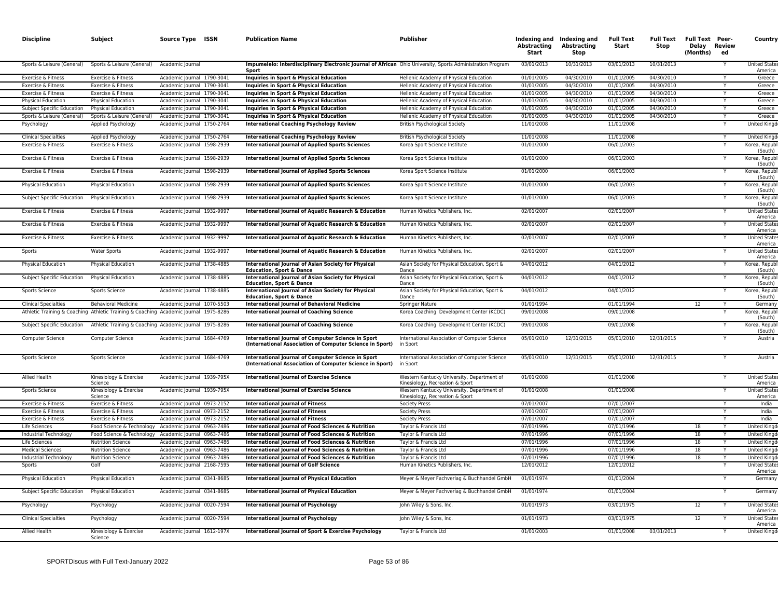| <b>Discipline</b>           | Subject                           | Source Type ISSN                                                                     | <b>Publication Name</b>                                                                                             | <b>Publisher</b>                                                              | Abstracting<br><b>Start</b> | Indexing and Indexing and<br>Abstracting<br><b>Stop</b> | <b>Full Text</b><br>Start | Stop       | Full Text Full Text Peer-<br>Delay Review<br>(Months) | ed | Country                         |
|-----------------------------|-----------------------------------|--------------------------------------------------------------------------------------|---------------------------------------------------------------------------------------------------------------------|-------------------------------------------------------------------------------|-----------------------------|---------------------------------------------------------|---------------------------|------------|-------------------------------------------------------|----|---------------------------------|
| Sports & Leisure (General)  | Sports & Leisure (General)        | Academic Journal                                                                     | Impumelelo: Interdisciplinary Electronic Journal of African Ohio University, Sports Administration Program<br>Sport |                                                                               | 03/01/2013                  | 10/31/2013                                              | 03/01/2013                | 10/31/2013 |                                                       |    | <b>United State</b><br>America  |
| Exercise & Fitness          | Exercise & Fitness                | Academic Journal 1790-3041                                                           | Inquiries in Sport & Physical Education                                                                             | Hellenic Academy of Physical Education                                        | 01/01/2005                  | 04/30/2010                                              | 01/01/2005                | 04/30/2010 |                                                       |    | Greece                          |
| Exercise & Fitness          | Exercise & Fitness                | Academic Journal 1790-3041                                                           | Inquiries in Sport & Physical Education                                                                             | Hellenic Academy of Physical Education                                        | 01/01/2005                  | 04/30/2010                                              | 01/01/2005                | 04/30/2010 |                                                       |    | Greece                          |
| Exercise & Fitness          | Exercise & Fitness                | Academic Journal 1790-3041                                                           | Inquiries in Sport & Physical Education                                                                             | Hellenic Academy of Physical Education                                        | 01/01/2005                  | 04/30/2010                                              | 01/01/2005                | 04/30/2010 |                                                       | Y  | Greece                          |
| <b>Physical Education</b>   | Physical Education                | Academic Journal 1790-3041                                                           | Inquiries in Sport & Physical Education                                                                             | Hellenic Academy of Physical Education                                        | 01/01/2005                  | 04/30/2010                                              | 01/01/2005                | 04/30/2010 |                                                       | Y  | Greece                          |
| Subject Specific Education  | <b>Physical Education</b>         | Academic Journal 1790-3041                                                           | Inquiries in Sport & Physical Education                                                                             | Hellenic Academy of Physical Education                                        | 01/01/2005                  | 04/30/2010                                              | 01/01/2005                | 04/30/2010 |                                                       | Υ  | Greece                          |
| Sports & Leisure (General)  | Sports & Leisure (General)        | Academic Journal 1790-3041                                                           | Inquiries in Sport & Physical Education                                                                             | Hellenic Academy of Physical Education                                        | 01/01/2005                  | 04/30/2010                                              | 01/01/2005                | 04/30/2010 |                                                       |    | Greece                          |
| Psychology                  | Applied Psychology                | Academic Journal 1750-2764                                                           | <b>International Coaching Psychology Review</b>                                                                     | <b>British Psychological Society</b>                                          | 11/01/2008                  |                                                         | 11/01/2008                |            |                                                       |    | <b>United Kingd</b>             |
| <b>Clinical Specialties</b> | Applied Psychology                | Academic Journal 1750-2764                                                           | <b>International Coaching Psychology Review</b>                                                                     | <b>British Psychological Society</b>                                          | 11/01/2008                  |                                                         | 11/01/2008                |            |                                                       |    | <b>United Kingd</b>             |
| Exercise & Fitness          | Exercise & Fitness                | Academic Journal 1598-2939                                                           | <b>International Journal of Applied Sports Sciences</b>                                                             | Korea Sport Science Institute                                                 | 01/01/2000                  |                                                         | 06/01/2003                |            |                                                       |    | Korea, Repub<br>(South)         |
| Exercise & Fitness          | Exercise & Fitness                | Academic Journal 1598-2939                                                           | <b>International Journal of Applied Sports Sciences</b>                                                             | Korea Sport Science Institute                                                 | 01/01/2000                  |                                                         | 06/01/2003                |            |                                                       |    | Korea, Repub<br>(South)         |
| Exercise & Fitness          | Exercise & Fitness                | Academic Journal 1598-2939                                                           | <b>International Journal of Applied Sports Sciences</b>                                                             | Korea Sport Science Institute                                                 | 01/01/2000                  |                                                         | 06/01/2003                |            |                                                       | Υ  | Korea, Repub<br>(South)         |
| Physical Education          | Physical Education                | Academic Journal 1598-2939                                                           | <b>International Journal of Applied Sports Sciences</b>                                                             | Korea Sport Science Institute                                                 | 01/01/2000                  |                                                         | 06/01/2003                |            |                                                       |    | Korea, Repub<br>(South)         |
| Subject Specific Education  | <b>Physical Education</b>         | Academic Journal 1598-2939                                                           | <b>International Journal of Applied Sports Sciences</b>                                                             | Korea Sport Science Institute                                                 | 01/01/2000                  |                                                         | 06/01/2003                |            |                                                       |    | Korea, Repub<br>(South)         |
| Exercise & Fitness          | Exercise & Fitness                | Academic Journal 1932-9997                                                           | International Journal of Aquatic Research & Education                                                               | Human Kinetics Publishers, Inc.                                               | 02/01/2007                  |                                                         | 02/01/2007                |            |                                                       |    | <b>United State</b><br>America  |
| Exercise & Fitness          | Exercise & Fitness                | Academic Journal 1932-9997                                                           | International Journal of Aquatic Research & Education                                                               | Human Kinetics Publishers, Inc.                                               | 02/01/2007                  |                                                         | 02/01/2007                |            |                                                       |    | United State<br>America         |
| Exercise & Fitness          | Exercise & Fitness                | Academic Journal 1932-9997                                                           | International Journal of Aquatic Research & Education                                                               | Human Kinetics Publishers, Inc.                                               | 02/01/2007                  |                                                         | 02/01/2007                |            |                                                       |    | <b>United State</b><br>America  |
| Sports                      | <b>Water Sports</b>               | Academic Journal 1932-9997                                                           | International Journal of Aquatic Research & Education                                                               | Human Kinetics Publishers, Inc.                                               | 02/01/2007                  |                                                         | 02/01/2007                |            |                                                       |    | <b>United States</b><br>America |
| Physical Education          | Physical Education                | Academic Journal 1738-4885                                                           | <b>International Journal of Asian Society for Physical</b><br><b>Education, Sport &amp; Dance</b>                   | Asian Society for Physical Education, Sport &<br>Dance                        | 04/01/2012                  |                                                         | 04/01/2012                |            |                                                       |    | Korea, Repub<br>(South)         |
| Subject Specific Education  | <b>Physical Education</b>         | Academic Journal 1738-4885                                                           | <b>International Journal of Asian Society for Physical</b><br><b>Education, Sport &amp; Dance</b>                   | Asian Society for Physical Education, Sport &<br>Dance                        | 04/01/2012                  |                                                         | 04/01/2012                |            |                                                       |    | Korea, Repub<br>(South)         |
| Sports Science              | Sports Science                    | Academic Journal 1738-4885                                                           | <b>International Journal of Asian Society for Physical</b><br><b>Education, Sport &amp; Dance</b>                   | Asian Society for Physical Education, Sport &<br>Dance                        | 04/01/2012                  |                                                         | 04/01/2012                |            |                                                       |    | Korea, Repub<br>(South)         |
| <b>Clinical Specialties</b> | <b>Behavioral Medicine</b>        | Academic Journal 1070-5503                                                           | <b>International Journal of Behavioral Medicine</b>                                                                 | <b>Springer Nature</b>                                                        | 01/01/1994                  |                                                         | 01/01/1994                |            | 12                                                    |    | Germany                         |
|                             |                                   | Athletic Training & Coaching Athletic Training & Coaching Academic Journal 1975-8286 | <b>International Journal of Coaching Science</b>                                                                    | Korea Coaching Development Center (KCDC)                                      | 09/01/2008                  |                                                         | 09/01/2008                |            |                                                       |    | Korea, Repub<br>(South)         |
| Subject Specific Education  |                                   | Athletic Training & Coaching Academic Journal 1975-8286                              | <b>International Journal of Coaching Science</b>                                                                    | Korea Coaching Development Center (KCDC)                                      | 09/01/2008                  |                                                         | 09/01/2008                |            |                                                       | Y  | Korea, Republ<br>(South)        |
| <b>Computer Science</b>     | <b>Computer Science</b>           | Academic Journal 1684-4769                                                           | International Journal of Computer Science in Sport<br>(International Association of Computer Science in Sport)      | International Association of Computer Science<br>in Sport                     | 05/01/2010                  | 12/31/2015                                              | 05/01/2010                | 12/31/2015 |                                                       |    | Austria                         |
| Sports Science              | Sports Science                    | Academic Journal 1684-4769                                                           | International Journal of Computer Science in Sport<br>(International Association of Computer Science in Sport)      | International Association of Computer Science<br>in Sport                     | 05/01/2010                  | 12/31/2015                                              | 05/01/2010                | 12/31/2015 |                                                       |    | Austria                         |
| Allied Health               | Kinesiology & Exercise<br>Science | Academic Journal 1939-795X                                                           | <b>International Journal of Exercise Science</b>                                                                    | Western Kentucky University, Department of<br>Kinesiology, Recreation & Sport | 01/01/2008                  |                                                         | 01/01/2008                |            |                                                       |    | <b>United State</b><br>America  |
| Sports Science              | Kinesiology & Exercise<br>Science | Academic Journal 1939-795X                                                           | <b>International Journal of Exercise Science</b>                                                                    | Western Kentucky University, Department of<br>Kinesiology, Recreation & Sport | 01/01/2008                  |                                                         | 01/01/2008                |            |                                                       |    | <b>United State</b><br>America  |
| Exercise & Fitness          | Exercise & Fitness                | Academic Journal 0973-2152                                                           | <b>International Journal of Fitness</b>                                                                             | <b>Society Press</b>                                                          | 07/01/2007                  |                                                         | 07/01/2007                |            |                                                       |    | India                           |
| Exercise & Fitness          | Exercise & Fitness                | Academic Journal 0973-2152                                                           | <b>International Journal of Fitness</b>                                                                             | <b>Society Press</b>                                                          | 07/01/2007                  |                                                         | 07/01/2007                |            |                                                       |    | India                           |
| Exercise & Fitness          | Exercise & Fitness                | Academic Journal 0973-2152                                                           | <b>International Journal of Fitness</b>                                                                             | Society Press                                                                 | 07/01/2007                  |                                                         | 07/01/2007                |            |                                                       | Y  | India                           |
| Life Sciences               |                                   | Food Science & Technology Academic Journal 0963-7486                                 | International Journal of Food Sciences & Nutrition                                                                  | Taylor & Francis Ltd                                                          | 07/01/1996                  |                                                         | 07/01/1996                |            | 18                                                    |    | <b>United Kingd</b>             |
| Industrial Technology       |                                   | Food Science & Technology Academic Journal 0963-7486                                 | International Journal of Food Sciences & Nutrition                                                                  | Taylor & Francis Ltd                                                          | 07/01/1996                  |                                                         | 07/01/1996                |            | 18                                                    | Y  | <b>United Kingo</b>             |
| Life Sciences               | <b>Nutrition Science</b>          | Academic Journal 0963-7486                                                           | International Journal of Food Sciences & Nutrition                                                                  | Taylor & Francis Ltd                                                          | 07/01/1996                  |                                                         | 07/01/1996                |            | 18                                                    |    | <b>United King</b>              |
| <b>Medical Sciences</b>     | <b>Nutrition Science</b>          | Academic Journal 0963-7486                                                           | International Journal of Food Sciences & Nutrition                                                                  | Taylor & Francis Ltd                                                          | 07/01/1996                  |                                                         | 07/01/1996                |            | 18                                                    |    | <b>United King</b>              |
| Industrial Technology       | <b>Nutrition Science</b>          | Academic Journal 0963-7486                                                           | <b>International Journal of Food Sciences &amp; Nutrition</b>                                                       | Taylor & Francis Ltd                                                          | 07/01/1996                  |                                                         | 07/01/1996                |            | 18                                                    |    | <b>United King</b>              |
| Sports                      | Golf                              | Academic Journal 2168-7595                                                           | <b>International Journal of Golf Science</b>                                                                        | Human Kinetics Publishers, Inc.                                               | 12/01/2012                  |                                                         | 12/01/2012                |            |                                                       |    | <b>United State</b><br>America  |
| Physical Education          | Physical Education                | Academic Journal 0341-8685                                                           | <b>International Journal of Physical Education</b>                                                                  | Meyer & Meyer Fachverlag & Buchhandel GmbH                                    | 01/01/1974                  |                                                         | 01/01/2004                |            |                                                       |    | Germany                         |
| Subject Specific Education  | <b>Physical Education</b>         | Academic Journal 0341-8685                                                           | <b>International Journal of Physical Education</b>                                                                  | Meyer & Meyer Fachverlag & Buchhandel GmbH                                    | 01/01/1974                  |                                                         | 01/01/2004                |            |                                                       |    | Germany                         |
| Psychology                  | Psychology                        | Academic Journal 0020-7594                                                           | International Journal of Psychology                                                                                 | John Wiley & Sons, Inc.                                                       | 01/01/1973                  |                                                         | 03/01/1975                |            | 12                                                    |    | <b>United States</b><br>America |
| <b>Clinical Specialties</b> | Psychology                        | Academic Journal 0020-7594                                                           | <b>International Journal of Psychology</b>                                                                          | John Wiley & Sons, Inc.                                                       | 01/01/1973                  |                                                         | 03/01/1975                |            | 12                                                    |    | <b>United States</b><br>America |
| Allied Health               | Kinesiology & Exercise<br>Science | Academic Journal 1612-197X                                                           | International Journal of Sport & Exercise Psychology                                                                | Taylor & Francis Ltd                                                          | 01/01/2003                  |                                                         | 01/01/2008                | 03/31/2013 |                                                       |    | <b>United Kingd</b>             |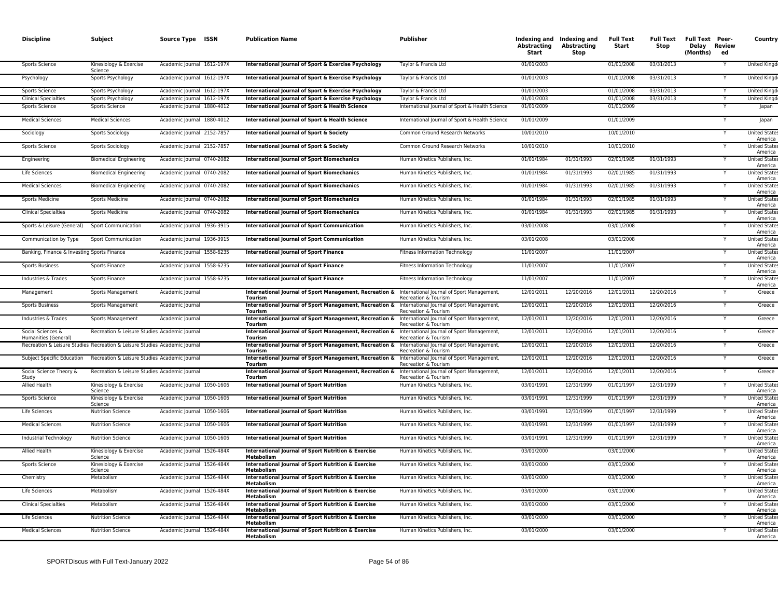| <b>Discipline</b>                           | Subject                                                                    | Source Type ISSN           | <b>Publication Name</b>                                                   | <b>Publisher</b>                                                              | Abstracting<br>Start | Indexing and Indexing and<br>Abstracting<br>Stop | <b>Full Text</b><br>Start | <b>Full Text</b><br>Stop | Full Text Peer-<br>Delay Review<br>(Months)<br>ed | Country                         |
|---------------------------------------------|----------------------------------------------------------------------------|----------------------------|---------------------------------------------------------------------------|-------------------------------------------------------------------------------|----------------------|--------------------------------------------------|---------------------------|--------------------------|---------------------------------------------------|---------------------------------|
| Sports Science                              | Kinesiology & Exercise<br>Science                                          | Academic Journal 1612-197X | International Journal of Sport & Exercise Psychology                      | Taylor & Francis Ltd                                                          | 01/01/2003           |                                                  | 01/01/2008                | 03/31/2013               |                                                   | United Kingd                    |
| Psychology                                  | Sports Psychology                                                          | Academic Journal 1612-197X | International Journal of Sport & Exercise Psychology                      | Taylor & Francis Ltd                                                          | 01/01/2003           |                                                  | 01/01/2008                | 03/31/2013               |                                                   | <b>United Kingo</b>             |
| Sports Science                              | Sports Psychology                                                          | Academic Journal 1612-197X | International Journal of Sport & Exercise Psychology                      | Taylor & Francis Ltd                                                          | 01/01/2003           |                                                  | 01/01/2008                | 03/31/2013               | Y                                                 | <b>United Kingd</b>             |
| <b>Clinical Specialties</b>                 | Sports Psychology                                                          | Academic Journal 1612-197X | International Journal of Sport & Exercise Psychology                      | Taylor & Francis Ltd                                                          | 01/01/2003           |                                                  | 01/01/2008                | 03/31/2013               |                                                   | <b>United Kingd</b>             |
| Sports Science                              | Sports Science                                                             | Academic Journal 1880-4012 | International Journal of Sport & Health Science                           | International Journal of Sport & Health Science                               | 01/01/2009           |                                                  | 01/01/2009                |                          |                                                   | Japan                           |
| <b>Medical Sciences</b>                     | <b>Medical Sciences</b>                                                    | Academic Journal 1880-4012 | International Journal of Sport & Health Science                           | International Journal of Sport & Health Science                               | 01/01/2009           |                                                  | 01/01/2009                |                          |                                                   | Japan                           |
| Sociology                                   | Sports Sociology                                                           | Academic Journal 2152-7857 | International Journal of Sport & Society                                  | Common Ground Research Networks                                               | 10/01/2010           |                                                  | 10/01/2010                |                          |                                                   | <b>United State:</b><br>America |
| Sports Science                              | Sports Sociology                                                           | Academic Journal 2152-7857 | International Journal of Sport & Society                                  | Common Ground Research Networks                                               | 10/01/2010           |                                                  | 10/01/2010                |                          |                                                   | <b>United States</b><br>America |
| Engineering                                 | <b>Biomedical Engineering</b>                                              | Academic Journal 0740-2082 | <b>International Journal of Sport Biomechanics</b>                        | Human Kinetics Publishers, Inc                                                | 01/01/1984           | 01/31/1993                                       | 02/01/1985                | 01/31/1993               | Y                                                 | <b>United States</b><br>America |
| Life Sciences                               | <b>Biomedical Engineering</b>                                              | Academic Journal 0740-2082 | <b>International Journal of Sport Biomechanics</b>                        | Human Kinetics Publishers, Inc.                                               | 01/01/1984           | 01/31/1993                                       | 02/01/1985                | 01/31/1993               |                                                   | <b>United State:</b><br>America |
| <b>Medical Sciences</b>                     | <b>Biomedical Engineering</b>                                              | Academic Journal 0740-2082 | <b>International Journal of Sport Biomechanics</b>                        | Human Kinetics Publishers, Inc.                                               | 01/01/1984           | 01/31/1993                                       | 02/01/1985                | 01/31/1993               | Y                                                 | <b>United States</b><br>America |
| Sports Medicine                             | <b>Sports Medicine</b>                                                     | Academic Journal 0740-2082 | <b>International Journal of Sport Biomechanics</b>                        | Human Kinetics Publishers, Inc                                                | 01/01/1984           | 01/31/1993                                       | 02/01/1985                | 01/31/1993               | Y                                                 | <b>United States</b><br>America |
| <b>Clinical Specialties</b>                 | <b>Sports Medicine</b>                                                     | Academic Journal 0740-2082 | <b>International Journal of Sport Biomechanics</b>                        | Human Kinetics Publishers, Inc.                                               | 01/01/1984           | 01/31/1993                                       | 02/01/1985                | 01/31/1993               |                                                   | <b>United State:</b><br>America |
| Sports & Leisure (General)                  | Sport Communication                                                        | Academic Journal 1936-3915 | <b>International Journal of Sport Communication</b>                       | Human Kinetics Publishers, Inc.                                               | 03/01/2008           |                                                  | 03/01/2008                |                          |                                                   | <b>United States</b><br>America |
| Communication by Type                       | Sport Communication                                                        | Academic Journal 1936-3915 | <b>International Journal of Sport Communication</b>                       | Human Kinetics Publishers, Inc.                                               | 03/01/2008           |                                                  | 03/01/2008                |                          |                                                   | <b>United State:</b><br>America |
| Banking, Finance & Investing Sports Finance |                                                                            | Academic Journal 1558-6235 | <b>International Journal of Sport Finance</b>                             | Fitness Information Technology                                                | 11/01/2007           |                                                  | 11/01/2007                |                          | Y                                                 | <b>United State:</b><br>America |
| Sports Business                             | Sports Finance                                                             | Academic Journal 1558-6235 | <b>International Journal of Sport Finance</b>                             | Fitness Information Technology                                                | 11/01/2007           |                                                  | 11/01/2007                |                          |                                                   | <b>United States</b><br>America |
| Industries & Trades                         | Sports Finance                                                             | Academic Journal 1558-6235 | <b>International Journal of Sport Finance</b>                             | <b>Fitness Information Technology</b>                                         | 11/01/2007           |                                                  | 11/01/2007                |                          |                                                   | <b>United States</b><br>America |
| Management                                  | Sports Management                                                          | Academic Journal           | International Journal of Sport Management, Recreation &<br><b>Tourism</b> | International Journal of Sport Management,<br><b>Recreation &amp; Tourism</b> | 12/01/2011           | 12/20/2016                                       | 12/01/2011                | 12/20/2016               |                                                   | Greece                          |
| <b>Sports Business</b>                      | Sports Management                                                          | Academic Journal           | International Journal of Sport Management, Recreation &<br>Tourism        | International Journal of Sport Management,<br><b>Recreation &amp; Tourism</b> | 12/01/2011           | 12/20/2016                                       | 12/01/2011                | 12/20/2016               |                                                   | Greece                          |
| Industries & Trades                         | Sports Management                                                          | Academic Journal           | International Journal of Sport Management, Recreation &<br><b>Tourism</b> | International Journal of Sport Management,<br><b>Recreation &amp; Tourism</b> | 12/01/2011           | 12/20/2016                                       | 12/01/2011                | 12/20/2016               |                                                   | Greece                          |
| Social Sciences &<br>Humanities (General)   | Recreation & Leisure Studies Academic Journal                              |                            | International Journal of Sport Management, Recreation &<br><b>Tourism</b> | International Journal of Sport Management,<br><b>Recreation &amp; Tourism</b> | 12/01/2011           | 12/20/2016                                       | 12/01/2011                | 12/20/2016               |                                                   | Greece                          |
|                                             | Recreation & Leisure Studies Recreation & Leisure Studies Academic Journal |                            | International Journal of Sport Management, Recreation &<br>Tourism        | International Journal of Sport Management,<br><b>Recreation &amp; Tourism</b> | 12/01/2011           | 12/20/2016                                       | 12/01/2011                | 12/20/2016               |                                                   | Greece                          |
| Subject Specific Education                  | Recreation & Leisure Studies Academic Journal                              |                            | International Journal of Sport Management, Recreation &<br><b>Tourism</b> | International Journal of Sport Management,<br><b>Recreation &amp; Tourism</b> | 12/01/2011           | 12/20/2016                                       | 12/01/2011                | 12/20/2016               |                                                   | Greece                          |
| Social Science Theory &<br>Study            | Recreation & Leisure Studies Academic Journal                              |                            | International Journal of Sport Management, Recreation &<br>Tourism        | International Journal of Sport Management,<br>Recreation & Tourism            | 12/01/2011           | 12/20/2016                                       | 12/01/2011                | 12/20/2016               |                                                   | Greece                          |
| Allied Health                               | Kinesiology & Exercise<br>Science                                          | Academic Journal 1050-1606 | <b>International Journal of Sport Nutrition</b>                           | Human Kinetics Publishers, Inc.                                               | 03/01/1991           | 12/31/1999                                       | 01/01/1997                | 12/31/1999               |                                                   | <b>United State</b><br>America  |
| Sports Science                              | Kinesiology & Exercise<br>Science                                          | Academic Journal 1050-1606 | <b>International Journal of Sport Nutrition</b>                           | Human Kinetics Publishers, Inc.                                               | 03/01/1991           | 12/31/1999                                       | 01/01/1997                | 12/31/1999               |                                                   | <b>United State:</b><br>America |
| Life Sciences                               | <b>Nutrition Science</b>                                                   | Academic Journal 1050-1606 | <b>International Journal of Sport Nutrition</b>                           | Human Kinetics Publishers, Inc.                                               | 03/01/1991           | 12/31/1999                                       | 01/01/1997                | 12/31/1999               |                                                   | <b>United State:</b><br>America |
| <b>Medical Sciences</b>                     | <b>Nutrition Science</b>                                                   | Academic Journal 1050-1606 | <b>International Journal of Sport Nutrition</b>                           | Human Kinetics Publishers, Inc.                                               | 03/01/1991           | 12/31/1999                                       | 01/01/1997                | 12/31/1999               |                                                   | <b>United States</b><br>America |
| Industrial Technology                       | Nutrition Science                                                          | Academic Journal 1050-1606 | <b>International Journal of Sport Nutrition</b>                           | Human Kinetics Publishers, Inc.                                               | 03/01/1991           | 12/31/1999                                       | 01/01/1997                | 12/31/1999               |                                                   | <b>United States</b><br>America |
| <b>Allied Health</b>                        | Kinesiology & Exercise<br>Science                                          | Academic Journal 1526-484X | International Journal of Sport Nutrition & Exercise<br><b>Metabolism</b>  | Human Kinetics Publishers, Inc.                                               | 03/01/2000           |                                                  | 03/01/2000                |                          |                                                   | <b>United States</b><br>America |
| Sports Science                              | Kinesiology & Exercise<br>Science                                          | Academic Journal 1526-484X | International Journal of Sport Nutrition & Exercise<br><b>Metabolism</b>  | Human Kinetics Publishers, Inc.                                               | 03/01/2000           |                                                  | 03/01/2000                |                          |                                                   | <b>United States</b><br>America |
| Chemistry                                   | Metabolism                                                                 | Academic Journal 1526-484X | International Journal of Sport Nutrition & Exercise<br>Metabolism         | Human Kinetics Publishers, Inc                                                | 03/01/2000           |                                                  | 03/01/2000                |                          |                                                   | <b>United States</b><br>America |
| Life Sciences                               | Metabolism                                                                 | Academic Journal 1526-484X | International Journal of Sport Nutrition & Exercise<br>Metabolism         | Human Kinetics Publishers, Inc.                                               | 03/01/2000           |                                                  | 03/01/2000                |                          | Y                                                 | <b>United States</b><br>America |
| <b>Clinical Specialties</b>                 | Metabolism                                                                 | Academic Journal 1526-484X | International Journal of Sport Nutrition & Exercise<br><b>Metabolism</b>  | Human Kinetics Publishers, Inc.                                               | 03/01/2000           |                                                  | 03/01/2000                |                          |                                                   | <b>United State:</b><br>America |
| Life Sciences                               | <b>Nutrition Science</b>                                                   | Academic Journal 1526-484X | International Journal of Sport Nutrition & Exercise<br>Metabolism         | Human Kinetics Publishers, Inc.                                               | 03/01/2000           |                                                  | 03/01/2000                |                          | Y                                                 | <b>United States</b><br>America |
| <b>Medical Sciences</b>                     | <b>Nutrition Science</b>                                                   | Academic Journal 1526-484X | International Journal of Sport Nutrition & Exercise<br>Metabolism         | Human Kinetics Publishers, Inc.                                               | 03/01/2000           |                                                  | 03/01/2000                |                          |                                                   | <b>United States</b><br>America |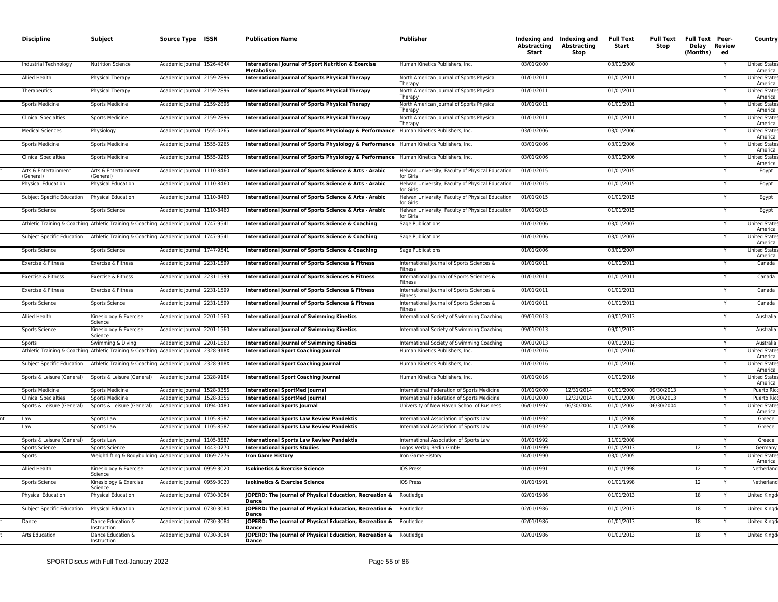| <b>Discipline</b>                              | Subject                                                                              | Source Type ISSN                                         | <b>Publication Name</b>                                                                  | Publisher                                                                                  | Abstracting<br><b>Start</b> | Indexing and Indexing and<br>Abstracting<br>Stop | Full Text<br>Start       | Full Text Full Text Peer-<br>Stop | Delay Review<br>(Months) | ed | Country                                               |
|------------------------------------------------|--------------------------------------------------------------------------------------|----------------------------------------------------------|------------------------------------------------------------------------------------------|--------------------------------------------------------------------------------------------|-----------------------------|--------------------------------------------------|--------------------------|-----------------------------------|--------------------------|----|-------------------------------------------------------|
| <b>Industrial Technology</b>                   | <b>Nutrition Science</b>                                                             | Academic Journal 1526-484X                               | International Journal of Sport Nutrition & Exercise<br>Metabolism                        | Human Kinetics Publishers, Inc.                                                            | 03/01/2000                  |                                                  | 03/01/2000               |                                   |                          |    | <b>United States</b><br>America                       |
| <b>Allied Health</b>                           | Physical Therapy                                                                     | Academic Journal 2159-2896                               | <b>International Journal of Sports Physical Therapy</b>                                  | North American Journal of Sports Physical<br>Therapy                                       | 01/01/2011                  |                                                  | 01/01/2011               |                                   |                          |    | <b>United States</b><br>America                       |
| Therapeutics                                   | Physical Therapy                                                                     | Academic Journal 2159-2896                               | International Journal of Sports Physical Therapy                                         | North American Journal of Sports Physical<br>Therapy                                       | 01/01/2011                  |                                                  | 01/01/2011               |                                   |                          |    | <b>United States</b><br>America                       |
| Sports Medicine                                | <b>Sports Medicine</b>                                                               | Academic Journal 2159-2896                               | International Journal of Sports Physical Therapy                                         | North American Journal of Sports Physical<br>Therapy                                       | 01/01/2011                  |                                                  | 01/01/2011               |                                   |                          |    | <b>United States</b><br>America                       |
| <b>Clinical Specialties</b>                    | <b>Sports Medicine</b>                                                               | Academic Journal 2159-2896                               | International Journal of Sports Physical Therapy                                         | North American Journal of Sports Physical<br>Therapy                                       | 01/01/2011                  |                                                  | 01/01/2011               |                                   |                          | Y  | <b>United States</b><br>America                       |
| <b>Medical Sciences</b>                        | Physiology                                                                           | Academic Journal 1555-0265                               | International Journal of Sports Physiology & Performance                                 | Human Kinetics Publishers, Inc.                                                            | 03/01/2006                  |                                                  | 03/01/2006               |                                   |                          |    | <b>United State</b><br>America                        |
| Sports Medicine                                | <b>Sports Medicine</b>                                                               | Academic Journal 1555-0265                               | International Journal of Sports Physiology & Performance Human Kinetics Publishers, Inc. |                                                                                            | 03/01/2006                  |                                                  | 03/01/2006               |                                   |                          |    | <b>United State</b><br>America                        |
| <b>Clinical Specialties</b>                    | <b>Sports Medicine</b>                                                               | Academic Journal 1555-0265                               | International Journal of Sports Physiology & Performance Human Kinetics Publishers, Inc. |                                                                                            | 03/01/2006                  |                                                  | 03/01/2006               |                                   |                          | Υ  | <b>United States</b><br>America                       |
| Arts & Entertainment<br>(General)              | Arts & Entertainment<br>(General)                                                    | Academic Journal 1110-8460                               | International Journal of Sports Science & Arts - Arabic                                  | Helwan University, Faculty of Physical Education<br>for Girls                              | 01/01/2015                  |                                                  | 01/01/2015               |                                   |                          |    | Egypt                                                 |
| <b>Physical Education</b>                      | Physical Education                                                                   | Academic Journal 1110-8460                               | International Journal of Sports Science & Arts - Arabic                                  | Helwan University, Faculty of Physical Education<br>for Girls                              | 01/01/2015                  |                                                  | 01/01/2015               |                                   |                          |    | Egypt                                                 |
| Subject Specific Education                     | Physical Education                                                                   | Academic Journal 1110-8460                               | International Journal of Sports Science & Arts - Arabic                                  | Helwan University, Faculty of Physical Education<br>for Girls                              | 01/01/2015                  |                                                  | 01/01/2015               |                                   |                          |    | Egypt                                                 |
| Sports Science                                 | Sports Science                                                                       | Academic Journal 1110-8460                               | International Journal of Sports Science & Arts - Arabic                                  | Helwan University, Faculty of Physical Education<br>for Girls                              | 01/01/2015                  |                                                  | 01/01/2015               |                                   |                          |    | Egypt                                                 |
|                                                | Athletic Training & Coaching Athletic Training & Coaching Academic Journal 1747-9541 |                                                          | International Journal of Sports Science & Coaching                                       | Sage Publications                                                                          | 01/01/2006                  |                                                  | 03/01/2007               |                                   |                          |    | <b>United State</b><br>America                        |
| Subject Specific Education                     | Athletic Training & Coaching Academic Journal 1747-9541                              |                                                          | International Journal of Sports Science & Coaching                                       | <b>Sage Publications</b>                                                                   | 01/01/2006                  |                                                  | 03/01/2007               |                                   |                          |    | <b>United State</b><br>America                        |
| Sports Science                                 | Sports Science                                                                       | Academic Journal 1747-9541                               | International Journal of Sports Science & Coaching                                       | <b>Sage Publications</b>                                                                   | 01/01/2006                  |                                                  | 03/01/2007               |                                   |                          |    | <b>United States</b><br>America                       |
| Exercise & Fitness                             | Exercise & Fitness                                                                   | Academic Journal 2231-1599                               | International Journal of Sports Sciences & Fitness                                       | International Journal of Sports Sciences &<br>Fitness                                      | 01/01/2011                  |                                                  | 01/01/2011               |                                   |                          |    | Canada                                                |
| Exercise & Fitness                             | Exercise & Fitness                                                                   | Academic Journal 2231-1599                               | International Journal of Sports Sciences & Fitness                                       | International Journal of Sports Sciences &<br>Fitness                                      | 01/01/2011                  |                                                  | 01/01/2011               |                                   |                          |    | Canada                                                |
| Exercise & Fitness                             | Exercise & Fitness                                                                   | Academic Journal 2231-1599                               | International Journal of Sports Sciences & Fitness                                       | International Journal of Sports Sciences &<br><b>Fitness</b>                               | 01/01/2011                  |                                                  | 01/01/2011               |                                   |                          |    | Canada                                                |
| Sports Science                                 | Sports Science                                                                       | Academic Journal 2231-1599                               | International Journal of Sports Sciences & Fitness                                       | International Journal of Sports Sciences &<br>Fitness                                      | 01/01/2011                  |                                                  | 01/01/2011               |                                   |                          | Y  | Canada                                                |
| <b>Allied Health</b>                           | Kinesiology & Exercise<br>Science                                                    | Academic Journal 2201-1560                               | <b>International Journal of Swimming Kinetics</b>                                        | International Society of Swimming Coaching                                                 | 09/01/2013                  |                                                  | 09/01/2013               |                                   |                          |    | Australia                                             |
| Sports Science                                 | Kinesiology & Exercise<br>Science                                                    | Academic Journal 2201-1560                               | <b>International Journal of Swimming Kinetics</b>                                        | International Society of Swimming Coaching                                                 | 09/01/2013                  |                                                  | 09/01/2013               |                                   |                          |    | Australia                                             |
| Sports                                         | Swimming & Diving                                                                    | Academic Journal 2201-1560                               | <b>International Journal of Swimming Kinetics</b>                                        | International Society of Swimming Coaching                                                 | 09/01/2013                  |                                                  | 09/01/2013               |                                   |                          |    | Australia                                             |
|                                                | Athletic Training & Coaching Athletic Training & Coaching Academic Journal 2328-918X |                                                          | <b>International Sport Coaching Journal</b>                                              | Human Kinetics Publishers, Inc.                                                            | 01/01/2016                  |                                                  | 01/01/2016               |                                   |                          | Y  | <b>United State</b><br>America                        |
| Subject Specific Education                     | Athletic Training & Coaching Academic Journal 2328-918X                              |                                                          | <b>International Sport Coaching Journal</b>                                              | Human Kinetics Publishers, Inc.<br>Human Kinetics Publishers, Inc.                         | 01/01/2016                  |                                                  | 01/01/2016<br>01/01/2016 |                                   |                          |    | <b>United State</b><br>America<br><b>United State</b> |
| Sports & Leisure (General)                     | Sports & Leisure (General)                                                           | Academic Journal 2328-918X                               | <b>International Sport Coaching Journal</b>                                              |                                                                                            | 01/01/2016                  |                                                  |                          | 09/30/2013                        |                          |    | America                                               |
| Sports Medicine<br><b>Clinical Specialties</b> | <b>Sports Medicine</b><br><b>Sports Medicine</b>                                     | Academic Journal 1528-3356<br>Academic Journal 1528-3356 | <b>International SportMed Journal</b><br><b>International SportMed Journal</b>           | International Federation of Sports Medicine<br>International Federation of Sports Medicine | 01/01/2000<br>01/01/2000    | 12/31/2014<br>12/31/2014                         | 01/01/2000<br>01/01/2000 | 09/30/2013                        |                          |    | Puerto Ric<br>Puerto Ric                              |
| Sports & Leisure (General)                     | Sports & Leisure (General)                                                           | Academic Journal 1094-0480                               | <b>International Sports Journal</b>                                                      | University of New Haven School of Business                                                 | 06/01/1997                  | 06/30/2004                                       | 01/01/2002               | 06/30/2004                        |                          | Y  | <b>United State</b><br>America                        |
| Law                                            | Sports Law                                                                           | Academic Journal 1105-8587                               | <b>International Sports Law Review Pandektis</b>                                         | International Association of Sports Law                                                    | 01/01/1992                  |                                                  | 11/01/2008               |                                   |                          | Y  | Greece                                                |
| Law                                            | Sports Law                                                                           | Academic Journal 1105-8587                               | <b>International Sports Law Review Pandektis</b>                                         | International Association of Sports Law                                                    | 01/01/1992                  |                                                  | 11/01/2008               |                                   |                          |    | Greece                                                |
| Sports & Leisure (General)                     | Sports Law                                                                           | Academic Journal 1105-8587                               | <b>International Sports Law Review Pandektis</b>                                         | International Association of Sports Law                                                    | 01/01/1992                  |                                                  | 11/01/2008               |                                   |                          |    | Greece                                                |
| Sports Science                                 | <b>Sports Science</b>                                                                | Academic Journal 1443-0770                               | <b>International Sports Studies</b>                                                      | Logos Verlag Berlin GmbH                                                                   | 01/01/1999                  |                                                  | 01/01/2013               |                                   | 12                       |    | Germany                                               |
| Sports                                         | Weightlifting & Bodybuilding Academic Journal 1069-7276                              |                                                          | <b>Iron Game History</b>                                                                 | Iron Game History                                                                          | 04/01/1990                  |                                                  | 03/01/2005               |                                   |                          |    | <b>United State</b><br>America                        |
| <b>Allied Health</b>                           | Kinesiology & Exercise<br>Science                                                    | Academic Journal 0959-3020                               | <b>Isokinetics &amp; Exercise Science</b>                                                | <b>IOS Press</b>                                                                           | 01/01/1991                  |                                                  | 01/01/1998               |                                   | 12                       |    | Netherland                                            |
| Sports Science                                 | Kinesiology & Exercise<br>Science                                                    | Academic Journal 0959-3020                               | <b>Isokinetics &amp; Exercise Science</b>                                                | <b>IOS Press</b>                                                                           | 01/01/1991                  |                                                  | 01/01/1998               |                                   | 12                       |    | Netherland                                            |
| Physical Education                             | Physical Education                                                                   | Academic Journal 0730-3084                               | JOPERD: The Journal of Physical Education, Recreation &<br>Dance                         | Routledge                                                                                  | 02/01/1986                  |                                                  | 01/01/2013               |                                   | 18                       |    | <b>United Kingd</b>                                   |
|                                                | Physical Education                                                                   | Academic Journal 0730-3084                               | JOPERD: The Journal of Physical Education, Recreation &                                  | Routledge                                                                                  | 02/01/1986                  |                                                  | 01/01/2013               |                                   | 18                       |    | United Kingo                                          |
| Subject Specific Education                     |                                                                                      |                                                          | <b>Dance</b>                                                                             |                                                                                            |                             |                                                  |                          |                                   |                          |    |                                                       |
| Dance                                          | Dance Education &<br>Instruction                                                     | Academic Journal 0730-3084                               | JOPERD: The Journal of Physical Education, Recreation &<br>Dance                         | Routledge                                                                                  | 02/01/1986                  |                                                  | 01/01/2013               |                                   | 18                       |    | <b>United Kingo</b>                                   |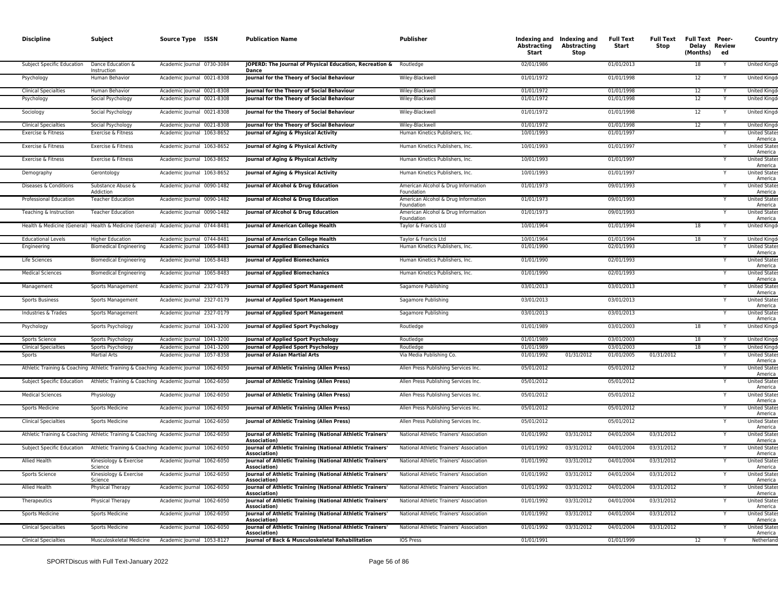| <b>Discipline</b>                                     | Subject                                          | Source Type ISSN                                                                     | <b>Publication Name</b>                                                                                                                | <b>Publisher</b>                                                                   | Abstracting<br><b>Start</b> | Indexing and Indexing and<br>Abstracting<br>Stop | <b>Full Text</b><br>Start | <b>Full Text</b><br>Stop | <b>Full Text Peer-</b><br>Delay Review<br>(Months) | ed | Country                                                 |
|-------------------------------------------------------|--------------------------------------------------|--------------------------------------------------------------------------------------|----------------------------------------------------------------------------------------------------------------------------------------|------------------------------------------------------------------------------------|-----------------------------|--------------------------------------------------|---------------------------|--------------------------|----------------------------------------------------|----|---------------------------------------------------------|
| Subject Specific Education                            | Dance Education &<br>Instruction                 | Academic Journal 0730-3084                                                           | JOPERD: The Journal of Physical Education, Recreation &<br>Dance                                                                       | Routledge                                                                          | 02/01/1986                  |                                                  | 01/01/2013                |                          | 18                                                 |    | United Kingd                                            |
| Psychology                                            | Human Behavior                                   | Academic Journal 0021-8308                                                           | Journal for the Theory of Social Behaviour                                                                                             | Wiley-Blackwell                                                                    | 01/01/1972                  |                                                  | 01/01/1998                |                          | 12                                                 |    | <b>United Kingd</b>                                     |
| <b>Clinical Specialties</b>                           | Human Behavior                                   | Academic Journal 0021-8308                                                           | Journal for the Theory of Social Behaviour                                                                                             | Wiley-Blackwell                                                                    | 01/01/1972                  |                                                  | 01/01/1998                |                          | 12                                                 |    | <b>United Kingd</b>                                     |
| Psychology                                            | Social Psychology                                | Academic Journal 0021-8308                                                           | Journal for the Theory of Social Behaviour                                                                                             | Wiley-Blackwell                                                                    | 01/01/1972                  |                                                  | 01/01/1998                |                          | 12                                                 |    | United Kingd                                            |
| Sociology                                             | Social Psychology                                | Academic Journal 0021-8308                                                           | Journal for the Theory of Social Behaviour                                                                                             | Wiley-Blackwell                                                                    | 01/01/1972                  |                                                  | 01/01/1998                |                          | 12                                                 | Y  | United Kingd                                            |
| <b>Clinical Specialties</b>                           | Social Psychology                                | Academic Journal 0021-8308                                                           | Journal for the Theory of Social Behaviour                                                                                             | Wiley-Blackwell                                                                    | 01/01/1972                  |                                                  | 01/01/1998                |                          | 12                                                 |    | <b>United Kingd</b>                                     |
| Exercise & Fitness                                    | Exercise & Fitness                               | Academic Journal 1063-8652                                                           | Journal of Aging & Physical Activity                                                                                                   | Human Kinetics Publishers, Inc.                                                    | 10/01/1993                  |                                                  | 01/01/1997                |                          |                                                    |    | <b>United States</b><br>America                         |
| Exercise & Fitness                                    | Exercise & Fitness                               | Academic Journal 1063-8652                                                           | Journal of Aging & Physical Activity                                                                                                   | Human Kinetics Publishers, Inc.                                                    | 10/01/1993                  |                                                  | 01/01/1997                |                          |                                                    |    | <b>United State:</b><br>America                         |
| Exercise & Fitness                                    | Exercise & Fitness                               | Academic Journal 1063-8652                                                           | Journal of Aging & Physical Activity                                                                                                   | Human Kinetics Publishers, Inc.                                                    | 10/01/1993                  |                                                  | 01/01/1997                |                          |                                                    | Υ  | <b>United States</b><br>America                         |
| Demography                                            | Gerontology                                      | Academic Journal 1063-8652                                                           | Journal of Aging & Physical Activity                                                                                                   | Human Kinetics Publishers, Inc.                                                    | 10/01/1993                  |                                                  | 01/01/1997                |                          |                                                    |    | <b>United State:</b><br>America                         |
| Diseases & Conditions                                 | Substance Abuse &<br>Addiction                   | Academic Journal 0090-1482                                                           | Journal of Alcohol & Drug Education                                                                                                    | American Alcohol & Drug Information<br>Foundation                                  | 01/01/1973                  |                                                  | 09/01/1993                |                          |                                                    | Y  | <b>United State:</b><br>America                         |
| Professional Education                                | <b>Teacher Education</b>                         | Academic Journal 0090-1482                                                           | Journal of Alcohol & Drug Education                                                                                                    | American Alcohol & Drug Information<br>Foundation                                  | 01/01/1973                  |                                                  | 09/01/1993                |                          |                                                    |    | <b>United State</b><br>America                          |
| Teaching & Instruction                                | <b>Teacher Education</b>                         | Academic Journal 0090-1482                                                           | Journal of Alcohol & Drug Education                                                                                                    | American Alcohol & Drug Information<br>Foundation                                  | 01/01/1973                  |                                                  | 09/01/1993                |                          |                                                    |    | <b>United States</b><br>America                         |
|                                                       |                                                  | Health & Medicine (General) Health & Medicine (General) Academic Journal 0744-8481   | Journal of American College Health                                                                                                     | Taylor & Francis Ltd                                                               | 10/01/1964                  |                                                  | 01/01/1994                |                          | 18                                                 |    | United Kingd                                            |
| <b>Educational Levels</b>                             | <b>Higher Education</b>                          | Academic Journal 0744-8481                                                           | Journal of American College Health                                                                                                     | Taylor & Francis Ltd                                                               | 10/01/1964                  |                                                  | 01/01/1994                |                          | 18                                                 |    | <b>United Kingd</b>                                     |
| Engineering                                           | <b>Biomedical Engineering</b>                    | Academic Journal 1065-8483                                                           | <b>Journal of Applied Biomechanics</b>                                                                                                 | Human Kinetics Publishers, Inc.                                                    | 01/01/1990                  |                                                  | 02/01/1993                |                          |                                                    |    | <b>United State</b><br>America                          |
| Life Sciences                                         | <b>Biomedical Engineering</b>                    | Academic Journal 1065-8483                                                           | <b>Journal of Applied Biomechanics</b>                                                                                                 | Human Kinetics Publishers, Inc.                                                    | 01/01/1990                  |                                                  | 02/01/1993                |                          |                                                    |    | <b>United States</b><br>America                         |
| <b>Medical Sciences</b>                               | <b>Biomedical Engineering</b>                    | Academic Journal 1065-8483                                                           | <b>Journal of Applied Biomechanics</b>                                                                                                 | Human Kinetics Publishers, Inc.                                                    | 01/01/1990                  |                                                  | 02/01/1993                |                          |                                                    |    | <b>United State:</b><br>America                         |
| Management                                            | Sports Management                                | Academic Journal 2327-0179                                                           | Journal of Applied Sport Management                                                                                                    | Sagamore Publishing                                                                | 03/01/2013                  |                                                  | 03/01/2013                |                          |                                                    |    | <b>United State</b><br>America                          |
| Sports Business                                       | Sports Management                                | Academic Journal 2327-0179                                                           | Journal of Applied Sport Management                                                                                                    | Sagamore Publishing                                                                | 03/01/2013                  |                                                  | 03/01/2013                |                          |                                                    |    | <b>United States</b><br>America                         |
| Industries & Trades                                   | Sports Management                                | Academic Journal 2327-0179                                                           | Journal of Applied Sport Management                                                                                                    | Sagamore Publishing                                                                | 03/01/2013                  |                                                  | 03/01/2013                |                          |                                                    |    | <b>United State</b><br>America                          |
| Psychology                                            | Sports Psychology                                | Academic Journal 1041-3200                                                           | Journal of Applied Sport Psychology                                                                                                    | Routledge                                                                          | 01/01/1989                  |                                                  | 03/01/2003                |                          | 18                                                 |    | United Kingd                                            |
| Sports Science                                        | Sports Psychology                                | Academic Journal 1041-3200                                                           | Journal of Applied Sport Psychology                                                                                                    | Routledge                                                                          | 01/01/1989                  |                                                  | 03/01/2003                |                          | 18                                                 |    | <b>United Kingd</b>                                     |
| <b>Clinical Specialties</b>                           | Sports Psychology                                | Academic Journal 1041-3200                                                           | Journal of Applied Sport Psychology                                                                                                    | Routledge                                                                          | 01/01/1989                  |                                                  | 03/01/2003                |                          | 18                                                 |    | United Kingd                                            |
| Sports                                                | <b>Martial Arts</b>                              | Academic Journal 1057-8358                                                           | <b>Journal of Asian Martial Arts</b>                                                                                                   | Via Media Publishing Co.                                                           | 01/01/1992                  | 01/31/2012                                       | 01/01/2005                | 01/31/2012               |                                                    | Y  | <b>United State</b><br>America                          |
|                                                       |                                                  | Athletic Training & Coaching Athletic Training & Coaching Academic Journal 1062-6050 | Journal of Athletic Training (Allen Press)                                                                                             | Allen Press Publishing Services Inc.                                               | 05/01/2012                  |                                                  | 05/01/2012                |                          |                                                    |    | <b>United States</b><br>America                         |
| Subject Specific Education                            |                                                  | Athletic Training & Coaching Academic Journal 1062-6050                              | Journal of Athletic Training (Allen Press)                                                                                             | Allen Press Publishing Services Inc.                                               | 05/01/2012                  |                                                  | 05/01/2012                |                          |                                                    |    | <b>United States</b><br>America                         |
| <b>Medical Sciences</b>                               | Physiology                                       | Academic Journal 1062-6050                                                           | Journal of Athletic Training (Allen Press)                                                                                             | Allen Press Publishing Services Inc.                                               | 05/01/2012                  |                                                  | 05/01/2012                |                          |                                                    |    | <b>United State</b><br>America                          |
| <b>Sports Medicine</b>                                | <b>Sports Medicine</b>                           | Academic Journal 1062-6050                                                           | Journal of Athletic Training (Allen Press)                                                                                             | Allen Press Publishing Services Inc.                                               | 05/01/2012                  |                                                  | 05/01/2012                |                          |                                                    |    | <b>United States</b><br>America                         |
| <b>Clinical Specialties</b>                           | <b>Sports Medicine</b>                           | Academic Journal 1062-6050                                                           | Journal of Athletic Training (Allen Press)                                                                                             | Allen Press Publishing Services Inc                                                | 05/01/2012                  |                                                  | 05/01/2012                |                          |                                                    |    | <b>United States</b><br>America                         |
|                                                       |                                                  | Athletic Training & Coaching Athletic Training & Coaching Academic Journal 1062-6050 | Journal of Athletic Training (National Athletic Trainers'<br><b>Association</b>                                                        | National Athletic Trainers' Association                                            | 01/01/1992                  | 03/31/2012                                       | 04/01/2004                | 03/31/2012               |                                                    |    | <b>United States</b><br>America                         |
| Subject Specific Education                            |                                                  | Athletic Training & Coaching Academic Journal 1062-6050                              | Journal of Athletic Training (National Athletic Trainers'<br>Association)                                                              | National Athletic Trainers' Association                                            | 01/01/1992                  | 03/31/2012                                       | 04/01/2004                | 03/31/2012               |                                                    |    | <b>United State:</b><br>America                         |
| <b>Allied Health</b>                                  | Kinesiology & Exercise<br>Science                | Academic Journal 1062-6050                                                           | Journal of Athletic Training (National Athletic Trainers'<br><b>Association</b>                                                        | National Athletic Trainers' Association                                            | 01/01/1992                  | 03/31/2012                                       | 04/01/2004                | 03/31/2012               |                                                    |    | <b>United States</b><br>America                         |
| Sports Science                                        | Kinesiology & Exercise<br>Science                | Academic Journal 1062-6050                                                           | Journal of Athletic Training (National Athletic Trainers'<br><b>Association</b>                                                        | National Athletic Trainers' Association                                            | 01/01/1992                  | 03/31/2012                                       | 04/01/2004                | 03/31/2012               |                                                    |    | <b>United State:</b><br>America                         |
| Allied Health                                         | Physical Therapy                                 | Academic Journal 1062-6050                                                           | Journal of Athletic Training (National Athletic Trainers'<br><b>Association</b>                                                        | National Athletic Trainers' Association                                            | 01/01/1992                  | 03/31/2012                                       | 04/01/2004                | 03/31/2012               |                                                    |    | <b>United States</b><br>America                         |
| Therapeutics                                          | Physical Therapy                                 | Academic Journal 1062-6050                                                           | Journal of Athletic Training (National Athletic Trainers'<br>Association)                                                              | National Athletic Trainers' Association                                            | 01/01/1992                  | 03/31/2012                                       | 04/01/2004                | 03/31/2012               |                                                    |    | <b>United States</b><br>America                         |
| <b>Sports Medicine</b><br><b>Clinical Specialties</b> | <b>Sports Medicine</b><br><b>Sports Medicine</b> | Academic Journal 1062-6050<br>Academic Journal 1062-6050                             | Journal of Athletic Training (National Athletic Trainers'<br>Association)<br>Journal of Athletic Training (National Athletic Trainers' | National Athletic Trainers' Association<br>National Athletic Trainers' Association | 01/01/1992<br>01/01/1992    | 03/31/2012<br>03/31/2012                         | 04/01/2004<br>04/01/2004  | 03/31/2012<br>03/31/2012 |                                                    |    | <b>United States</b><br>America<br><b>United State:</b> |
|                                                       |                                                  |                                                                                      | <b>Association</b> )                                                                                                                   |                                                                                    |                             |                                                  |                           |                          |                                                    |    | America                                                 |
| <b>Clinical Specialties</b>                           | Musculoskeletal Medicine                         | Academic Journal 1053-8127                                                           | Journal of Back & Musculoskeletal Rehabilitation                                                                                       | <b>IOS Press</b>                                                                   | 01/01/1991                  |                                                  | 01/01/1999                |                          | 12                                                 |    | Netherland                                              |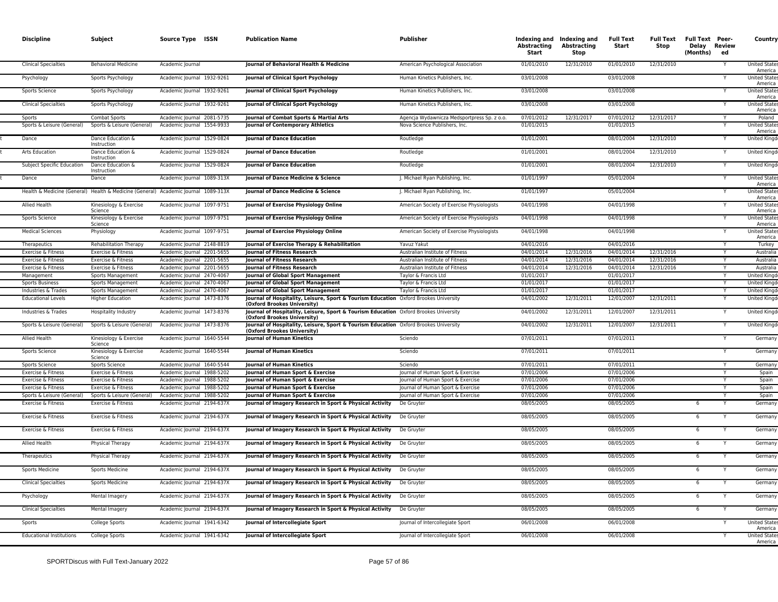| <b>Discipline</b>                                | Subject                                            | Source Type ISSN                                                                   | <b>Publication Name</b>                                                                                                                                                                                     | <b>Publisher</b>                            | Abstracting<br>Start     | Indexing and Indexing and<br>Abstracting<br><b>Stop</b> | <b>Full Text</b><br>Start | <b>Full Text</b><br>Stop | <b>Full Text Peer-</b><br>Delay Review<br>(Months)<br>ed | Country                                    |
|--------------------------------------------------|----------------------------------------------------|------------------------------------------------------------------------------------|-------------------------------------------------------------------------------------------------------------------------------------------------------------------------------------------------------------|---------------------------------------------|--------------------------|---------------------------------------------------------|---------------------------|--------------------------|----------------------------------------------------------|--------------------------------------------|
| <b>Clinical Specialties</b>                      | <b>Behavioral Medicine</b>                         | Academic Journal                                                                   | Journal of Behavioral Health & Medicine                                                                                                                                                                     | American Psychological Association          | 01/01/2010               | 12/31/2010                                              | 01/01/2010                | 12/31/2010               |                                                          | <b>United State</b><br>America             |
| Psychology                                       | Sports Psychology                                  | Academic Journal 1932-9261                                                         | Journal of Clinical Sport Psychology                                                                                                                                                                        | Human Kinetics Publishers, Inc.             | 03/01/2008               |                                                         | 03/01/2008                |                          |                                                          | <b>United States</b><br>America            |
| Sports Science                                   | Sports Psychology                                  | Academic Journal 1932-9261                                                         | Journal of Clinical Sport Psychology                                                                                                                                                                        | Human Kinetics Publishers, Inc.             | 03/01/2008               |                                                         | 03/01/2008                |                          |                                                          | <b>United State</b><br>America             |
| <b>Clinical Specialties</b>                      | Sports Psychology                                  | Academic Journal 1932-9261                                                         | Journal of Clinical Sport Psychology                                                                                                                                                                        | Human Kinetics Publishers, Inc              | 03/01/2008               |                                                         | 03/01/2008                |                          |                                                          | <b>United State</b><br>America             |
| Sports                                           | <b>Combat Sports</b>                               | Academic Journal 2081-5735                                                         | Journal of Combat Sports & Martial Arts                                                                                                                                                                     | Agencja Wydawnicza Medsportpress Sp. z o.o. | 07/01/2012               | 12/31/2017                                              | 07/01/2012                | 12/31/2017               |                                                          | Poland                                     |
| Sports & Leisure (General)                       | Sports & Leisure (General)                         | Academic Journal 1554-9933                                                         | Journal of Contemporary Athletics                                                                                                                                                                           | Nova Science Publishers, Inc.               | 01/01/2015               |                                                         | 01/01/2015                |                          |                                                          | <b>United State</b><br>America             |
| Dance                                            | Dance Education &<br>Instruction                   | Academic Journal 1529-0824                                                         | <b>Journal of Dance Education</b>                                                                                                                                                                           | Routledge                                   | 01/01/2001               |                                                         | 08/01/2004                | 12/31/2010               |                                                          | <b>United Kingd</b>                        |
| Arts Education                                   | Dance Education &<br>Instruction                   | Academic Journal 1529-0824                                                         | <b>Iournal of Dance Education</b>                                                                                                                                                                           | Routledge                                   | 01/01/2001               |                                                         | 08/01/2004                | 12/31/2010               |                                                          | <b>United Kingo</b>                        |
| <b>Subject Specific Education</b>                | Dance Education &<br>Instruction                   | Academic Journal 1529-0824                                                         | <b>Journal of Dance Education</b>                                                                                                                                                                           | Routledge                                   | 01/01/2001               |                                                         | 08/01/2004                | 12/31/2010               |                                                          | <b>United Kingd</b>                        |
| Dance                                            | Dance                                              | Academic Journal 1089-313X                                                         | Journal of Dance Medicine & Science                                                                                                                                                                         | J. Michael Ryan Publishing, Inc.            | 01/01/1997               |                                                         | 05/01/2004                |                          |                                                          | <b>United States</b><br>America            |
|                                                  |                                                    | Health & Medicine (General) Health & Medicine (General) Academic Journal 1089-313X | Journal of Dance Medicine & Science                                                                                                                                                                         | J. Michael Ryan Publishing, Inc.            | 01/01/1997               |                                                         | 05/01/2004                |                          |                                                          | <b>United State</b><br>America             |
| Allied Health                                    | Kinesiology & Exercise<br>Science                  | Academic Journal 1097-9751                                                         | Journal of Exercise Physiology Online                                                                                                                                                                       | American Society of Exercise Physiologists  | 04/01/1998               |                                                         | 04/01/1998                |                          |                                                          | <b>United State</b><br>America             |
| Sports Science                                   | Kinesiology & Exercise<br>Science                  | Academic Journal 1097-9751                                                         | Journal of Exercise Physiology Online                                                                                                                                                                       | American Society of Exercise Physiologists  | 04/01/1998               |                                                         | 04/01/1998                |                          |                                                          | <b>United States</b><br>America            |
| <b>Medical Sciences</b>                          | Physiology                                         | Academic Journal 1097-9751                                                         | Journal of Exercise Physiology Online                                                                                                                                                                       | American Society of Exercise Physiologists  | 04/01/1998               |                                                         | 04/01/1998                |                          |                                                          | <b>United State</b><br>America             |
| Therapeutics                                     | <b>Rehabilitation Therapy</b>                      | Academic Journal 2148-8819                                                         | Journal of Exercise Therapy & Rehabilitation                                                                                                                                                                | Yavuz Yakut                                 | 04/01/2016               |                                                         | 04/01/2016                |                          |                                                          | Turkey                                     |
| Exercise & Fitness                               | Exercise & Fitness                                 | Academic lournal 2201-5655                                                         | Journal of Fitness Research                                                                                                                                                                                 | Australian Institute of Fitness             | 04/01/2014               | 12/31/2016                                              | 04/01/2014                | 12/31/2016               |                                                          | Australia                                  |
| Exercise & Fitness                               | Exercise & Fitness                                 | Academic lournal 2201-5655                                                         | <b>Journal of Fitness Research</b>                                                                                                                                                                          | Australian Institute of Fitness             | 04/01/2014               | 12/31/2016                                              | 04/01/2014                | 12/31/2016               | Y                                                        | Australia                                  |
| Exercise & Fitness                               | Exercise & Fitness                                 | Academic Journal 2201-5655                                                         | Journal of Fitness Research                                                                                                                                                                                 | Australian Institute of Fitness             | 04/01/2014               | 12/31/2016                                              | 04/01/2014                | 12/31/2016               | Υ                                                        | Australia                                  |
| Management                                       | <b>Sports Management</b>                           | Academic Journal 2470-4067                                                         | <b>Journal of Global Sport Management</b>                                                                                                                                                                   | Taylor & Francis Ltd                        | 01/01/2017               |                                                         | 01/01/2017                |                          |                                                          | <b>United Kingd</b>                        |
| <b>Sports Business</b>                           | Sports Management                                  | Academic Journal 2470-4067                                                         | Journal of Global Sport Management                                                                                                                                                                          | Taylor & Francis Ltd                        | 01/01/2017               |                                                         | 01/01/2017                |                          |                                                          | <b>United Kingd</b>                        |
| Industries & Trades                              | Sports Management                                  | Academic Journal 2470-4067                                                         | <b>Journal of Global Sport Management</b>                                                                                                                                                                   | Taylor & Francis Ltd                        | 01/01/2017               |                                                         | 01/01/2017                |                          | Y                                                        | <b>United Kingd</b>                        |
| <b>Educational Levels</b><br>Industries & Trades | <b>Higher Education</b>                            | Academic Journal 1473-8376<br>Academic Journal 1473-8376                           | Journal of Hospitality, Leisure, Sport & Tourism Education Oxford Brookes University<br>(Oxford Brookes University)                                                                                         |                                             | 04/01/2002<br>04/01/2002 | 12/31/2011<br>12/31/2011                                | 12/01/2007<br>12/01/2007  | 12/31/2011<br>12/31/2011 | Υ                                                        | <b>United Kingd</b><br><b>United Kingd</b> |
| Sports & Leisure (General)                       | Hospitality Industry<br>Sports & Leisure (General) | Academic Journal 1473-8376                                                         | Journal of Hospitality, Leisure, Sport & Tourism Education Oxford Brookes University<br>(Oxford Brookes University)<br>Journal of Hospitality, Leisure, Sport & Tourism Education Oxford Brookes University |                                             | 04/01/2002               | 12/31/2011                                              | 12/01/2007                | 12/31/2011               |                                                          | <b>United Kingo</b>                        |
| <b>Allied Health</b>                             | Kinesiology & Exercise                             | Academic Journal 1640-5544                                                         | (Oxford Brookes University)<br><b>Iournal of Human Kinetics</b>                                                                                                                                             | Sciendo                                     | 07/01/2011               |                                                         | 07/01/2011                |                          |                                                          | Germany                                    |
| Sports Science                                   | Science<br>Kinesiology & Exercise                  | Academic Journal 1640-5544                                                         | <b>Journal of Human Kinetics</b>                                                                                                                                                                            | Sciendo                                     | 07/01/2011               |                                                         | 07/01/2011                |                          |                                                          | Germany                                    |
| Sports Science                                   | Science<br>Sports Science                          | Academic Journal 1640-5544                                                         | <b>Iournal of Human Kinetics</b>                                                                                                                                                                            | Sciendo                                     | 07/01/2011               |                                                         | 07/01/2011                |                          |                                                          | Germany                                    |
| Exercise & Fitness                               | Exercise & Fitness                                 | Academic Journal 1988-5202                                                         | Journal of Human Sport & Exercise                                                                                                                                                                           | Journal of Human Sport & Exercise           | 07/01/2006               |                                                         | 07/01/2006                |                          |                                                          | Spain                                      |
| Exercise & Fitness                               | Exercise & Fitness                                 | Academic lournal 1988-5202                                                         | Journal of Human Sport & Exercise                                                                                                                                                                           | Journal of Human Sport & Exercise           | 07/01/2006               |                                                         | 07/01/2006                |                          | Y                                                        | Spain                                      |
| Exercise & Fitness                               | Exercise & Fitness                                 | Academic Journal 1988-5202                                                         | Journal of Human Sport & Exercise                                                                                                                                                                           | Journal of Human Sport & Exercise           | 07/01/2006               |                                                         | 07/01/2006                |                          |                                                          | Spain                                      |
| Sports & Leisure (General)                       | Sports & Leisure (General)                         | Academic Journal 1988-5202                                                         | Journal of Human Sport & Exercise                                                                                                                                                                           | Journal of Human Sport & Exercise           | 07/01/2006               |                                                         | 07/01/2006                |                          |                                                          | Spain                                      |
| Exercise & Fitness                               | Exercise & Fitness                                 | Academic Journal 2194-637X                                                         | Journal of Imagery Research in Sport & Physical Activity                                                                                                                                                    | De Gruyter                                  | 08/05/2005               |                                                         | 08/05/2005                |                          |                                                          | Germany                                    |
| Exercise & Fitness                               | Exercise & Fitness                                 | Academic Journal 2194-637X                                                         | Journal of Imagery Research in Sport & Physical Activity                                                                                                                                                    | De Gruyter                                  | 08/05/2005               |                                                         | 08/05/2005                |                          | -6                                                       | Germany                                    |
| Exercise & Fitness                               | Exercise & Fitness                                 | Academic Journal 2194-637X                                                         | Journal of Imagery Research in Sport & Physical Activity                                                                                                                                                    | De Gruyter                                  | 08/05/2005               |                                                         | 08/05/2005                |                          |                                                          | Germany                                    |
| <b>Allied Health</b>                             | Physical Therapy                                   | Academic Journal 2194-637X                                                         | Journal of Imagery Research in Sport & Physical Activity                                                                                                                                                    | De Gruyter                                  | 08/05/2005               |                                                         | 08/05/2005                |                          | -6                                                       | Germany                                    |
| Therapeutics                                     | Physical Therapy                                   | Academic Journal 2194-637X                                                         | Journal of Imagery Research in Sport & Physical Activity                                                                                                                                                    | De Gruyter                                  | 08/05/2005               |                                                         | 08/05/2005                |                          | -6                                                       | Germany                                    |
| Sports Medicine                                  | <b>Sports Medicine</b>                             | Academic Journal 2194-637X                                                         | Journal of Imagery Research in Sport & Physical Activity                                                                                                                                                    | De Gruyter                                  | 08/05/2005               |                                                         | 08/05/2005                |                          | - 6                                                      | Germany                                    |
| <b>Clinical Specialties</b>                      | <b>Sports Medicine</b>                             | Academic Journal 2194-637X                                                         | Journal of Imagery Research in Sport & Physical Activity                                                                                                                                                    | De Gruyter                                  | 08/05/2005               |                                                         | 08/05/2005                |                          | - 6<br>Υ                                                 | Germany                                    |
| Psychology                                       | Mental Imagery                                     | Academic Journal 2194-637X                                                         | Journal of Imagery Research in Sport & Physical Activity                                                                                                                                                    | De Gruyter                                  | 08/05/2005               |                                                         | 08/05/2005                |                          |                                                          | Germany                                    |
| <b>Clinical Specialties</b>                      | Mental Imagery                                     | Academic Journal 2194-637X                                                         | Journal of Imagery Research in Sport & Physical Activity                                                                                                                                                    | De Gruyter                                  | 08/05/2005               |                                                         | 08/05/2005                |                          | 6                                                        | Germany                                    |
| Sports                                           | College Sports                                     | Academic Journal 1941-6342                                                         | Journal of Intercollegiate Sport                                                                                                                                                                            | Journal of Intercollegiate Sport            | 06/01/2008               |                                                         | 06/01/2008                |                          |                                                          | <b>United State</b><br>America             |
| <b>Educational Institutions</b>                  | College Sports                                     | Academic Journal 1941-6342                                                         | Journal of Intercollegiate Sport                                                                                                                                                                            | Journal of Intercollegiate Sport            | 06/01/2008               |                                                         | 06/01/2008                |                          |                                                          | <b>United States</b><br>America            |
|                                                  |                                                    |                                                                                    |                                                                                                                                                                                                             |                                             |                          |                                                         |                           |                          |                                                          |                                            |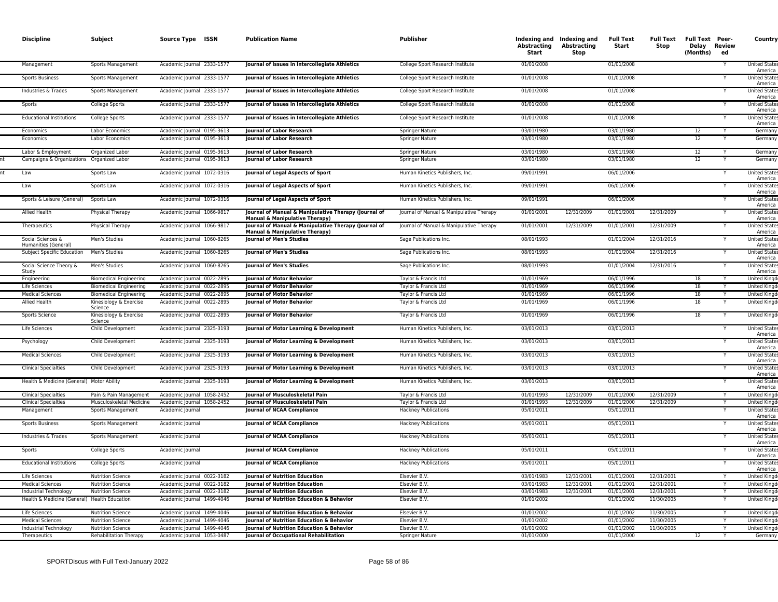| <b>Discipline</b>                                                     | Subject                           | Source Type ISSN                                         | <b>Publication Name</b>                                                                           | Publisher                                | Abstracting<br>Start     | Indexing and Indexing and<br>Abstracting<br>Stop | <b>Full Text</b><br>Start | <b>Full Text</b><br>Stop | <b>Full Text Peer-</b><br>Delay Review<br>(Months) | ed           | Country                             |
|-----------------------------------------------------------------------|-----------------------------------|----------------------------------------------------------|---------------------------------------------------------------------------------------------------|------------------------------------------|--------------------------|--------------------------------------------------|---------------------------|--------------------------|----------------------------------------------------|--------------|-------------------------------------|
| Management                                                            | Sports Management                 | Academic Journal 2333-1577                               | Journal of Issues in Intercollegiate Athletics                                                    | College Sport Research Institute         | 01/01/2008               |                                                  | 01/01/2008                |                          |                                                    | Y            | United State<br>America             |
| <b>Sports Business</b>                                                | <b>Sports Management</b>          | Academic Journal 2333-1577                               | Journal of Issues in Intercollegiate Athletics                                                    | College Sport Research Institute         | 01/01/2008               |                                                  | 01/01/2008                |                          |                                                    |              | <b>United State</b><br>America      |
| Industries & Trades                                                   | Sports Management                 | Academic Journal 2333-1577                               | Journal of Issues in Intercollegiate Athletics                                                    | College Sport Research Institute         | 01/01/2008               |                                                  | 01/01/2008                |                          |                                                    | Y            | <b>United State</b><br>America      |
| Sports                                                                | College Sports                    | Academic Journal 2333-1577                               | Journal of Issues in Intercollegiate Athletics                                                    | College Sport Research Institute         | 01/01/2008               |                                                  | 01/01/2008                |                          |                                                    |              | <b>United State</b><br>America      |
| <b>Educational Institutions</b>                                       | College Sports                    | Academic Journal 2333-1577                               | Journal of Issues in Intercollegiate Athletics                                                    | College Sport Research Institute         | 01/01/2008               |                                                  | 01/01/2008                |                          |                                                    |              | <b>United State</b><br>America      |
| Economics                                                             | Labor Economics                   | Academic Journal 0195-3613                               | Journal of Labor Research                                                                         | Springer Nature                          | 03/01/1980               |                                                  | 03/01/1980                |                          | 12                                                 |              | Germany                             |
| Economics                                                             | Labor Economics                   | Academic Journal 0195-3613                               | Journal of Labor Research                                                                         | Springer Nature                          | 03/01/1980               |                                                  | 03/01/1980                |                          | 12                                                 | Y            | Germany                             |
| Labor & Employment                                                    | Organized Labor                   | Academic Journal 0195-3613                               | <b>Iournal of Labor Research</b>                                                                  | <b>Springer Nature</b>                   | 03/01/1980               |                                                  | 03/01/1980                |                          | 12                                                 |              | Germany                             |
| Campaigns & Organizations Organized Labor                             |                                   | Academic Journal 0195-3613                               | Journal of Labor Research                                                                         | Springer Nature                          | 03/01/1980               |                                                  | 03/01/1980                |                          | 12                                                 | Y            | Germany                             |
| Law                                                                   | Sports Law                        | Academic Journal 1072-0316                               | Journal of Legal Aspects of Sport                                                                 | Human Kinetics Publishers, Inc           | 09/01/1991               |                                                  | 06/01/2006                |                          |                                                    |              | <b>United State</b><br>America      |
| <b>Law</b>                                                            | Sports Law                        | Academic Journal 1072-0316                               | Journal of Legal Aspects of Sport                                                                 | Human Kinetics Publishers, Inc.          | 09/01/1991               |                                                  | 06/01/2006                |                          |                                                    | Y            | <b>United State</b><br>America      |
| Sports & Leisure (General)                                            | Sports Law                        | Academic Journal 1072-0316                               | Journal of Legal Aspects of Sport                                                                 | Human Kinetics Publishers, Inc.          | 09/01/1991               |                                                  | 06/01/2006                |                          |                                                    |              | <b>United State</b><br>America      |
| Allied Health                                                         | Physical Therapy                  | Academic Journal 1066-9817                               | Journal of Manual & Manipulative Therapy (Journal of<br><b>Manual &amp; Manipulative Therapy)</b> | Journal of Manual & Manipulative Therapy | 01/01/2001               | 12/31/2009                                       | 01/01/2001                | 12/31/2009               |                                                    |              | <b>United State</b><br>America      |
| Therapeutics                                                          | Physical Therapy                  | Academic Journal 1066-9817                               | Journal of Manual & Manipulative Therapy (Journal of<br>Manual & Manipulative Therapy)            | Journal of Manual & Manipulative Therapy | 01/01/2001               | 12/31/2009                                       | 01/01/2001                | 12/31/2009               |                                                    |              | United State<br>America             |
| Social Sciences &<br>Humanities (General)                             | Men's Studies                     | Academic Journal 1060-8265                               | <b>Journal of Men's Studies</b>                                                                   | Sage Publications Inc.                   | 08/01/1993               |                                                  | 01/01/2004                | 12/31/2016               |                                                    | Y            | United State<br>America             |
| Subject Specific Education                                            | Men's Studies                     | Academic Journal 1060-8265                               | <b>Journal of Men's Studies</b>                                                                   | Sage Publications Inc.                   | 08/01/1993               |                                                  | 01/01/2004                | 12/31/2016               |                                                    | Y            | <b>United States</b><br>America     |
| Social Science Theory &<br>Study                                      | Men's Studies                     | Academic Journal 1060-8265                               | Journal of Men's Studies                                                                          | Sage Publications Inc.                   | 08/01/1993               |                                                  | 01/01/2004                | 12/31/2016               |                                                    |              | <b>United States</b><br>America     |
| Engineering                                                           | <b>Biomedical Engineering</b>     | Academic Journal 0022-2895                               | <b>Journal of Motor Behavior</b>                                                                  | Taylor & Francis Ltd                     | 01/01/1969               |                                                  | 06/01/1996                |                          | 18                                                 |              | <b>United Kingd</b>                 |
| Life Sciences                                                         | <b>Biomedical Engineering</b>     | Academic Journal 0022-2895                               | Journal of Motor Behavior                                                                         | Taylor & Francis Ltd                     | 01/01/1969               |                                                  | 06/01/1996                |                          | 18                                                 | Y            | <b>United Kingo</b>                 |
| <b>Medical Sciences</b>                                               | <b>Biomedical Engineering</b>     | Academic Journal 0022-2895                               | <b>Journal of Motor Behavior</b>                                                                  | Taylor & Francis Ltd                     | 01/01/1969               |                                                  | 06/01/1996                |                          | 18                                                 |              | <b>United Kingd</b>                 |
| Allied Health                                                         | Kinesiology & Exercise<br>Science | Academic Journal 0022-2895                               | Journal of Motor Behavior                                                                         | Taylor & Francis Ltd                     | 01/01/1969               |                                                  | 06/01/1996                |                          | 18                                                 |              | United Kingd                        |
| Sports Science                                                        | Kinesiology & Exercise<br>Science | Academic Journal 0022-2895                               | Journal of Motor Behavior                                                                         | Taylor & Francis Ltd                     | 01/01/1969               |                                                  | 06/01/1996                |                          | 18                                                 |              | <b>United Kingd</b>                 |
| Life Sciences                                                         | Child Development                 | Academic Journal 2325-3193                               | Journal of Motor Learning & Development                                                           | Human Kinetics Publishers, Inc.          | 03/01/2013               |                                                  | 03/01/2013                |                          |                                                    | Y            | <b>United State</b><br>America      |
| Psychology                                                            | Child Development                 | Academic Journal 2325-3193                               | Journal of Motor Learning & Development                                                           | Human Kinetics Publishers, Inc.          | 03/01/2013               |                                                  | 03/01/2013                |                          |                                                    |              | <b>United State</b><br>America      |
| <b>Medical Sciences</b>                                               | Child Development                 | Academic Journal 2325-3193                               | Journal of Motor Learning & Development                                                           | Human Kinetics Publishers, Inc.          | 03/01/2013               |                                                  | 03/01/2013                |                          |                                                    |              | <b>United State</b><br>America      |
| <b>Clinical Specialties</b>                                           | Child Development                 | Academic Journal 2325-3193                               | Journal of Motor Learning & Development                                                           | Human Kinetics Publishers, Inc.          | 03/01/2013               |                                                  | 03/01/2013                |                          |                                                    |              | <b>United State</b><br>America      |
| Health & Medicine (General) Motor Ability                             |                                   | Academic Journal 2325-3193                               | Journal of Motor Learning & Development                                                           | Human Kinetics Publishers, Inc.          | 03/01/2013               |                                                  | 03/01/2013                |                          |                                                    | Y            | <b>United State</b><br>America      |
| <b>Clinical Specialties</b>                                           | Pain & Pain Management            | Academic Journal 1058-2452                               | <b>Iournal of Musculoskeletal Pain</b>                                                            | Taylor & Francis Ltd                     | 01/01/1993               | 12/31/2009                                       | 01/01/2000                | 12/31/2009               |                                                    | $\mathsf{v}$ | <b>United Kingd</b>                 |
| <b>Clinical Specialties</b>                                           | Musculoskeletal Medicine          | Academic Journal 1058-2452                               | Journal of Musculoskeletal Pain                                                                   | Taylor & Francis Ltd                     | 01/01/1993               | 12/31/2009                                       | 01/01/2000                | 12/31/2009               |                                                    |              | <b>United Kingd</b>                 |
| Management                                                            | Sports Management                 | Academic Journal                                         | <b>Journal of NCAA Compliance</b>                                                                 | <b>Hackney Publications</b>              | 05/01/2011               |                                                  | 05/01/2011                |                          |                                                    | Y            | <b>United State</b><br>America      |
| <b>Sports Business</b>                                                | Sports Management                 | Academic Journal                                         | Journal of NCAA Compliance                                                                        | <b>Hackney Publications</b>              | 05/01/2011               |                                                  | 05/01/2011                |                          |                                                    |              | <b>United State</b><br>America      |
| Industries & Trades                                                   | Sports Management                 | Academic Journal                                         | <b>Journal of NCAA Compliance</b>                                                                 | <b>Hackney Publications</b>              | 05/01/2011               |                                                  | 05/01/2011                |                          |                                                    |              | <b>United State</b><br>America      |
| Sports                                                                | College Sports                    | Academic Journal                                         | <b>Journal of NCAA Compliance</b>                                                                 | <b>Hackney Publications</b>              | 05/01/2011               |                                                  | 05/01/2011                |                          |                                                    |              | <b>United State</b><br>America      |
| <b>Educational Institutions</b>                                       | College Sports                    | Academic Journal                                         | <b>Journal of NCAA Compliance</b>                                                                 | <b>Hackney Publications</b>              | 05/01/2011               |                                                  | 05/01/2011                |                          |                                                    |              | United State<br>America             |
| Life Sciences                                                         | <b>Nutrition Science</b>          | Academic Journal 0022-3182                               | <b>Journal of Nutrition Education</b>                                                             | Elsevier B.V.                            | 03/01/1983               | 12/31/2001                                       | 01/01/2001                | 12/31/2001               |                                                    | Y            | <b>United Kingd</b>                 |
| <b>Medical Sciences</b>                                               | <b>Nutrition Science</b>          | Academic Journal 0022-3182                               | <b>Journal of Nutrition Education</b>                                                             | Elsevier B.V                             | 03/01/1983               | 12/31/2001                                       | 01/01/2001                | 12/31/2001               |                                                    | Y            | <b>United Kingd</b>                 |
| Industrial Technology<br>Health & Medicine (General) Health Education | <b>Nutrition Science</b>          | Academic Journal 0022-3182<br>Academic Journal 1499-4046 | Journal of Nutrition Education<br><b>Journal of Nutrition Education &amp; Behavior</b>            | Elsevier B.V<br>Elsevier B.V.            | 03/01/1983<br>01/01/2002 | 12/31/2001                                       | 01/01/2001<br>01/01/2002  | 12/31/2001<br>11/30/2005 |                                                    | Y            | United Kingd<br><b>United Kinad</b> |
| Life Sciences                                                         | <b>Nutrition Science</b>          | Academic Journal 1499-4046                               | Journal of Nutrition Education & Behavior                                                         | Elsevier B.V                             | 01/01/2002               |                                                  | 01/01/2002                | 11/30/2005               |                                                    |              | <b>United Kingd</b>                 |
| <b>Medical Sciences</b>                                               | <b>Nutrition Science</b>          | Academic Journal 1499-4046                               | Journal of Nutrition Education & Behavior                                                         | Elsevier B.V                             | 01/01/2002               |                                                  | 01/01/2002                | 11/30/2005               |                                                    |              | <b>United Kingo</b>                 |
| Industrial Technology                                                 | <b>Nutrition Science</b>          | Academic Journal 1499-4046                               | Journal of Nutrition Education & Behavior                                                         | Elsevier B.V.                            | 01/01/2002               |                                                  | 01/01/2002                | 11/30/2005               |                                                    |              | <b>United Kingd</b>                 |
| Therapeutics                                                          | <b>Rehabilitation Therapy</b>     | Academic Journal 1053-0487                               | Journal of Occupational Rehabilitation                                                            | Springer Nature                          | 01/01/2000               |                                                  | 01/01/2000                |                          | 12                                                 | Y            | Germany                             |
|                                                                       |                                   |                                                          |                                                                                                   |                                          |                          |                                                  |                           |                          |                                                    |              |                                     |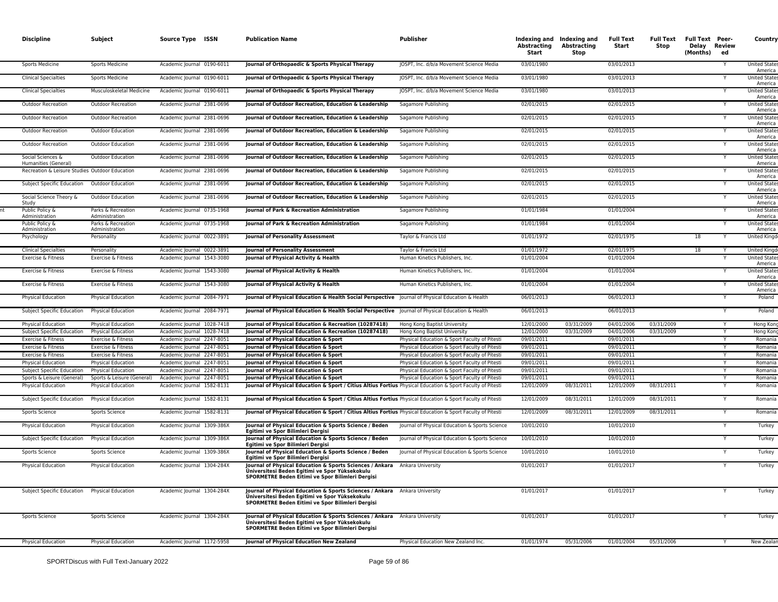| <b>Discipline</b>                              | Subject                              | Source Type ISSN           | <b>Publication Name</b>                                                                                                                                                          | Publisher                                      | <b>Abstracting</b><br>Start | Indexing and Indexing and<br><b>Abstracting</b><br><b>Stop</b> | <b>Full Text</b><br>Start | <b>Full Text</b><br>Stop | <b>Full Text Peer-</b><br>Delay Review<br>(Months) | ed | Country                         |
|------------------------------------------------|--------------------------------------|----------------------------|----------------------------------------------------------------------------------------------------------------------------------------------------------------------------------|------------------------------------------------|-----------------------------|----------------------------------------------------------------|---------------------------|--------------------------|----------------------------------------------------|----|---------------------------------|
| Sports Medicine                                | Sports Medicine                      | Academic Journal 0190-6011 | Journal of Orthopaedic & Sports Physical Therapy                                                                                                                                 | JOSPT, Inc. d/b/a Movement Science Media       | 03/01/1980                  |                                                                | 03/01/2013                |                          |                                                    |    | <b>United State</b><br>America  |
| <b>Clinical Specialties</b>                    | <b>Sports Medicine</b>               | Academic Journal 0190-6011 | Journal of Orthopaedic & Sports Physical Therapy                                                                                                                                 | JOSPT, Inc. d/b/a Movement Science Media       | 03/01/1980                  |                                                                | 03/01/2013                |                          |                                                    |    | <b>United State:</b><br>America |
| <b>Clinical Specialties</b>                    | Musculoskeletal Medicine             | Academic Journal 0190-6011 | Journal of Orthopaedic & Sports Physical Therapy                                                                                                                                 | JOSPT, Inc. d/b/a Movement Science Media       | 03/01/1980                  |                                                                | 03/01/2013                |                          |                                                    |    | <b>United State</b><br>America  |
| <b>Outdoor Recreation</b>                      | <b>Outdoor Recreation</b>            | Academic Journal 2381-0696 | Journal of Outdoor Recreation, Education & Leadership                                                                                                                            | Sagamore Publishing                            | 02/01/2015                  |                                                                | 02/01/2015                |                          |                                                    |    | <b>United State</b><br>America  |
| <b>Outdoor Recreation</b>                      | <b>Outdoor Recreation</b>            | Academic Journal 2381-0696 | Journal of Outdoor Recreation, Education & Leadership                                                                                                                            | Sagamore Publishing                            | 02/01/2015                  |                                                                | 02/01/2015                |                          |                                                    |    | <b>United State:</b><br>America |
| <b>Outdoor Recreation</b>                      | <b>Outdoor Education</b>             | Academic Journal 2381-0696 | Journal of Outdoor Recreation, Education & Leadership                                                                                                                            | Sagamore Publishing                            | 02/01/2015                  |                                                                | 02/01/2015                |                          |                                                    |    | <b>United State</b><br>America  |
| <b>Outdoor Recreation</b>                      | <b>Outdoor Education</b>             | Academic Journal 2381-0696 | Journal of Outdoor Recreation, Education & Leadership                                                                                                                            | Sagamore Publishing                            | 02/01/2015                  |                                                                | 02/01/2015                |                          |                                                    |    | <b>United State</b><br>America  |
| Social Sciences &<br>Humanities (General)      | <b>Outdoor Education</b>             | Academic Journal 2381-0696 | Journal of Outdoor Recreation, Education & Leadership                                                                                                                            | Sagamore Publishing                            | 02/01/2015                  |                                                                | 02/01/2015                |                          |                                                    |    | <b>United State</b><br>America  |
| Recreation & Leisure Studies Outdoor Education |                                      | Academic Journal 2381-0696 | Journal of Outdoor Recreation, Education & Leadership                                                                                                                            | Sagamore Publishing                            | 02/01/2015                  |                                                                | 02/01/2015                |                          |                                                    |    | <b>United State</b><br>America  |
| Subject Specific Education                     | Outdoor Education                    | Academic Journal 2381-0696 | Journal of Outdoor Recreation, Education & Leadership                                                                                                                            | Sagamore Publishing                            | 02/01/2015                  |                                                                | 02/01/2015                |                          |                                                    |    | <b>United State:</b><br>America |
| Social Science Theory &<br>Study               | <b>Outdoor Education</b>             | Academic Journal 2381-0696 | Journal of Outdoor Recreation, Education & Leadership                                                                                                                            | Sagamore Publishing                            | 02/01/2015                  |                                                                | 02/01/2015                |                          |                                                    |    | <b>United State</b><br>America  |
| Public Policy &<br>Administration              | Parks & Recreation<br>Administration | Academic Journal 0735-1968 | Journal of Park & Recreation Administration                                                                                                                                      | Sagamore Publishing                            | 01/01/1984                  |                                                                | 01/01/2004                |                          |                                                    | Y  | <b>United State</b><br>America  |
| Public Policy &<br>Administration              | Parks & Recreation<br>Administration | Academic Journal 0735-1968 | Journal of Park & Recreation Administration                                                                                                                                      | Sagamore Publishing                            | 01/01/1984                  |                                                                | 01/01/2004                |                          |                                                    |    | <b>United State</b><br>America  |
| Psychology                                     | Personality                          | Academic Journal 0022-3891 | <b>Journal of Personality Assessment</b>                                                                                                                                         | Taylor & Francis Ltd                           | 01/01/1972                  |                                                                | 02/01/1975                |                          | 18                                                 | Y  | United Kingd                    |
| <b>Clinical Specialties</b>                    | Personality                          | Academic Journal 0022-3891 | <b>Journal of Personality Assessment</b>                                                                                                                                         | Taylor & Francis Ltd                           | 01/01/1972                  |                                                                | 02/01/1975                |                          | 18                                                 |    | <b>United Kingd</b>             |
| Exercise & Fitness                             | Exercise & Fitness                   | Academic Journal 1543-3080 | Journal of Physical Activity & Health                                                                                                                                            | Human Kinetics Publishers, Inc.                | 01/01/2004                  |                                                                | 01/01/2004                |                          |                                                    | Y  | <b>United State:</b><br>America |
| Exercise & Fitness                             | Exercise & Fitness                   | Academic Journal 1543-3080 | Journal of Physical Activity & Health                                                                                                                                            | Human Kinetics Publishers, Inc.                | 01/01/2004                  |                                                                | 01/01/2004                |                          |                                                    |    | <b>United State</b><br>America  |
| Exercise & Fitness                             | Exercise & Fitness                   | Academic Journal 1543-3080 | Journal of Physical Activity & Health                                                                                                                                            | Human Kinetics Publishers, Inc.                | 01/01/2004                  |                                                                | 01/01/2004                |                          |                                                    |    | <b>United State:</b><br>America |
| Physical Education                             | Physical Education                   | Academic Journal 2084-7971 | Journal of Physical Education & Health Social Perspective Journal of Physical Education & Health                                                                                 |                                                | 06/01/2013                  |                                                                | 06/01/2013                |                          |                                                    |    | Poland                          |
| Subject Specific Education                     | <b>Physical Education</b>            | Academic Journal 2084-7971 | Journal of Physical Education & Health Social Perspective   Journal of Physical Education & Health                                                                               |                                                | 06/01/2013                  |                                                                | 06/01/2013                |                          |                                                    |    | Poland                          |
| <b>Physical Education</b>                      | <b>Physical Education</b>            | Academic Journal 1028-7418 | Journal of Physical Education & Recreation (10287418)                                                                                                                            | Hong Kong Baptist University                   | 12/01/2000                  | 03/31/2009                                                     | 04/01/2006                | 03/31/2009               |                                                    |    | Hong Kong                       |
| Subject Specific Education                     | <b>Physical Education</b>            | Academic Journal 1028-7418 | Journal of Physical Education & Recreation (10287418)                                                                                                                            | Hong Kong Baptist University                   | 12/01/2000                  | 03/31/2009                                                     | 04/01/2006                | 03/31/2009               |                                                    | Y  | Hong Kong                       |
| Exercise & Fitness                             | Exercise & Fitness                   | Academic Journal 2247-8051 | Journal of Physical Education & Sport                                                                                                                                            | Physical Education & Sport Faculty of Pitesti  | 09/01/2011                  |                                                                | 09/01/2011                |                          |                                                    |    | Romania                         |
| Exercise & Fitness                             | Exercise & Fitness                   | Academic Journal 2247-8051 | Journal of Physical Education & Sport                                                                                                                                            | Physical Education & Sport Faculty of Pitesti  | 09/01/2011                  |                                                                | 09/01/2011                |                          |                                                    |    | Romania                         |
| Exercise & Fitness                             | Exercise & Fitness                   | Academic Journal 2247-8051 | Journal of Physical Education & Sport                                                                                                                                            | Physical Education & Sport Faculty of Pitesti  | 09/01/2011                  |                                                                | 09/01/2011                |                          |                                                    | Y  | Romania                         |
| <b>Physical Education</b>                      | <b>Physical Education</b>            | Academic Journal 2247-8051 | Journal of Physical Education & Sport                                                                                                                                            | Physical Education & Sport Faculty of Pitesti  | 09/01/2011                  |                                                                | 09/01/2011                |                          |                                                    |    | Romania                         |
| Subject Specific Education                     | Physical Education                   | Academic Journal 2247-8051 | Journal of Physical Education & Sport                                                                                                                                            | Physical Education & Sport Faculty of Pitesti  | 09/01/2011                  |                                                                | 09/01/2011                |                          |                                                    |    | Romania                         |
| Sports & Leisure (General)                     | Sports & Leisure (General)           | Academic Journal 2247-8051 | Journal of Physical Education & Sport                                                                                                                                            | Physical Education & Sport Faculty of Pitesti  | 09/01/2011                  |                                                                | 09/01/2011                |                          |                                                    | Y  | Romania                         |
| Physical Education                             | Physical Education                   | Academic Journal 1582-8131 | Journal of Physical Education & Sport / Citius Altius Fortius Physical Education & Sport Faculty of Pitesti                                                                      |                                                | 12/01/2009                  | 08/31/2011                                                     | 12/01/2009                | 08/31/2011               |                                                    |    | Romania                         |
| Subject Specific Education                     | Physical Education                   | Academic Journal 1582-8131 | Journal of Physical Education & Sport / Citius Altius Fortius Physical Education & Sport Faculty of Pitesti                                                                      |                                                | 12/01/2009                  | 08/31/2011                                                     | 12/01/2009                | 08/31/2011               |                                                    |    | Romania                         |
| Sports Science                                 | Sports Science                       | Academic Journal 1582-8131 | Journal of Physical Education & Sport / Citius Altius Fortius Physical Education & Sport Faculty of Pitesti                                                                      |                                                | 12/01/2009                  | 08/31/2011                                                     | 12/01/2009                | 08/31/2011               |                                                    |    | Romania                         |
| Physical Education                             | Physical Education                   | Academic Journal 1309-386X | Journal of Physical Education & Sports Science / Beden<br>Egitimi ve Spor Bilimleri Dergisi                                                                                      | Journal of Physical Education & Sports Science | 10/01/2010                  |                                                                | 10/01/2010                |                          |                                                    |    | Turkey                          |
| Subject Specific Education                     | <b>Physical Education</b>            | Academic Journal 1309-386X | Journal of Physical Education & Sports Science / Beden<br>Egitimi ve Spor Bilimleri Dergisi                                                                                      | Journal of Physical Education & Sports Science | 10/01/2010                  |                                                                | 10/01/2010                |                          |                                                    |    | Turkey                          |
| Sports Science                                 | Sports Science                       | Academic Journal 1309-386X | Journal of Physical Education & Sports Science / Beden<br>Egitimi ve Spor Bilimleri Dergisi                                                                                      | Journal of Physical Education & Sports Science | 10/01/2010                  |                                                                | 10/01/2010                |                          |                                                    |    | Turkey                          |
| Physical Education                             | Physical Education                   | Academic Journal 1304-284X | Journal of Physical Education & Sports Sciences / Ankara Ankara University<br>Üniversitesi Beden Egitimi ve Spor Yüksekokulu<br>SPORMETRE Beden Eitimi ve Spor Bilimleri Dergisi |                                                | 01/01/2017                  |                                                                | 01/01/2017                |                          |                                                    |    | Turkey                          |
| Subject Specific Education                     | <b>Physical Education</b>            | Academic Journal 1304-284X | Journal of Physical Education & Sports Sciences / Ankara Ankara University<br>Üniversitesi Beden Egitimi ve Spor Yüksekokulu<br>SPORMETRE Beden Eitimi ve Spor Bilimleri Dergisi |                                                | 01/01/2017                  |                                                                | 01/01/2017                |                          |                                                    |    | Turkey                          |
| Sports Science                                 | Sports Science                       | Academic Journal 1304-284X | Journal of Physical Education & Sports Sciences / Ankara Ankara University<br>Üniversitesi Beden Egitimi ve Spor Yüksekokulu<br>SPORMETRE Beden Eitimi ve Spor Bilimleri Dergisi |                                                | 01/01/2017                  |                                                                | 01/01/2017                |                          |                                                    |    | Turkey                          |
| Physical Education                             | <b>Physical Education</b>            | Academic Journal 1172-5958 | Journal of Physical Education New Zealand                                                                                                                                        | Physical Education New Zealand Inc.            | 01/01/1974                  | 05/31/2006                                                     | 01/01/2004                | 05/31/2006               |                                                    |    | New Zealar                      |
|                                                |                                      |                            |                                                                                                                                                                                  |                                                |                             |                                                                |                           |                          |                                                    |    |                                 |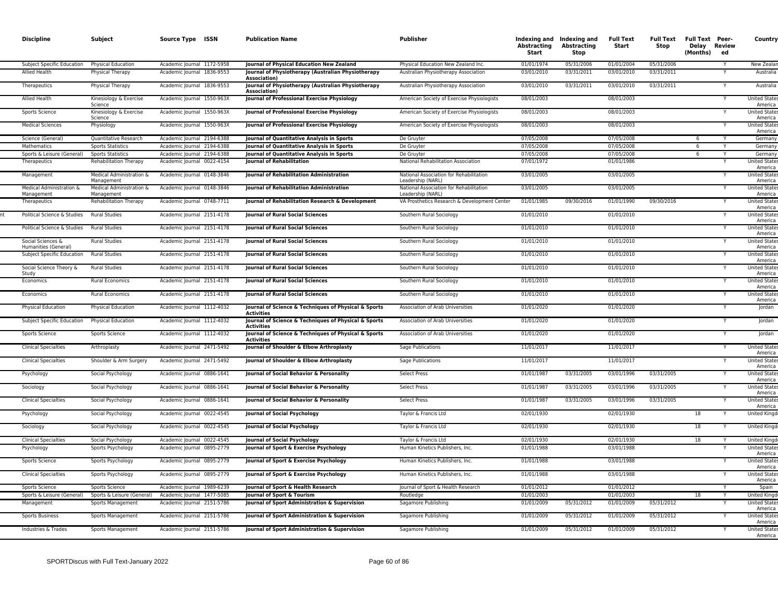| <b>Discipline</b>                                  | Subject                                      | Source Type ISSN                                         | <b>Publication Name</b>                                                                        | Publisher                                                    | Abstracting<br>Start     | Indexing and Indexing and<br>Abstracting<br><b>Stop</b> | <b>Full Text</b><br>Start | <b>Full Text</b><br>Stop | <b>Full Text Peer-</b><br>Delay Review<br>(Months) ed |   | Country                                                |
|----------------------------------------------------|----------------------------------------------|----------------------------------------------------------|------------------------------------------------------------------------------------------------|--------------------------------------------------------------|--------------------------|---------------------------------------------------------|---------------------------|--------------------------|-------------------------------------------------------|---|--------------------------------------------------------|
| Subject Specific Education                         | Physical Education                           | Academic Journal 1172-5958                               | Journal of Physical Education New Zealand                                                      | Physical Education New Zealand Inc                           | 01/01/1974               | 05/31/2006                                              | 01/01/2004                | 05/31/2006               |                                                       |   | New Zealar                                             |
| <b>Allied Health</b>                               | Physical Therapy                             | Academic Journal 1836-9553                               | Journal of Physiotherapy (Australian Physiotherapy<br>Association)                             | Australian Physiotherapy Association                         | 03/01/2010               | 03/31/2011                                              | 03/01/2010                | 03/31/2011               |                                                       |   | Australia                                              |
| Therapeutics                                       | Physical Therapy                             | Academic Journal 1836-9553                               | Journal of Physiotherapy (Australian Physiotherapy<br>Association)                             | Australian Physiotherapy Association                         | 03/01/2010               | 03/31/2011                                              | 03/01/2010                | 03/31/2011               |                                                       |   | Australia                                              |
| Allied Health                                      | Kinesiology & Exercise<br>Science            | Academic Journal 1550-963X                               | Journal of Professional Exercise Physiology                                                    | American Society of Exercise Physiologists                   | 08/01/2003               |                                                         | 08/01/2003                |                          |                                                       |   | <b>United States</b><br>America                        |
| Sports Science                                     | Kinesiology & Exercise<br>Science            | Academic Journal 1550-963X                               | Journal of Professional Exercise Physiology                                                    | American Society of Exercise Physiologists                   | 08/01/2003               |                                                         | 08/01/2003                |                          |                                                       |   | <b>United State</b><br>America                         |
| <b>Medical Sciences</b>                            | Physiology                                   | Academic Journal 1550-963X                               | Journal of Professional Exercise Physiology                                                    | American Society of Exercise Physiologists                   | 08/01/2003               |                                                         | 08/01/2003                |                          |                                                       | Y | United State<br>America                                |
| Science (General)                                  | Quantitative Research                        | Academic Journal 2194-6388                               | Journal of Quantitative Analysis in Sports                                                     | De Gruyter                                                   | 07/05/2008               |                                                         | 07/05/2008                |                          | -6                                                    |   | Germany                                                |
| Mathematics                                        | <b>Sports Statistics</b>                     | Academic Journal 2194-6388                               | Journal of Quantitative Analysis in Sports                                                     | De Gruyter                                                   | 07/05/2008               |                                                         | 07/05/2008                |                          | 6                                                     | Y | Germany                                                |
| Sports & Leisure (General)                         | <b>Sports Statistics</b>                     | Academic Journal 2194-6388                               | Journal of Quantitative Analysis in Sports                                                     | De Gruyter                                                   | 07/05/2008               |                                                         | 07/05/2008                |                          | - 6                                                   | Υ | Germany                                                |
| Therapeutics                                       | <b>Rehabilitation Therapy</b>                | Academic Journal 0022-4154                               | <b>Journal of Rehabilitation</b>                                                               | National Rehabilitation Association                          | 07/01/1972               |                                                         | 01/01/1986                |                          |                                                       |   | <b>United State</b><br>America                         |
| Management                                         | Medical Administration &<br>Management       | Academic Journal 0148-3846                               | Journal of Rehabilitation Administration                                                       | National Association for Rehabilitation<br>Leadership (NARL) | 03/01/2005               |                                                         | 03/01/2005                |                          |                                                       |   | <b>United State</b><br>America                         |
| Medical Administration &<br>Management             | Medical Administration &<br>Management       | Academic Journal 0148-3846                               | Journal of Rehabilitation Administration                                                       | National Association for Rehabilitation<br>Leadership (NARL) | 03/01/2005               |                                                         | 03/01/2005                |                          |                                                       |   | <b>United State</b><br>America                         |
| Therapeutics                                       | Rehabilitation Therapy                       | Academic Journal 0748-7711                               | Journal of Rehabilitation Research & Development                                               | VA Prosthetics Research & Development Center                 | 01/01/1985               | 09/30/2016                                              | 01/01/1990                | 09/30/2016               |                                                       |   | <b>United State</b><br>America                         |
| Political Science & Studies                        | <b>Rural Studies</b><br><b>Rural Studies</b> | Academic Journal 2151-4178                               | Journal of Rural Social Sciences                                                               | Southern Rural Sociology                                     | 01/01/2010<br>01/01/2010 |                                                         | 01/01/2010                |                          |                                                       |   | <b>United States</b><br>America                        |
| Political Science & Studies<br>Social Sciences &   | <b>Rural Studies</b>                         | Academic Journal 2151-4178<br>Academic Journal 2151-4178 | Journal of Rural Social Sciences<br>Journal of Rural Social Sciences                           | Southern Rural Sociology<br>Southern Rural Sociology         | 01/01/2010               |                                                         | 01/01/2010<br>01/01/2010  |                          |                                                       |   | <b>United State</b><br>America<br><b>United States</b> |
| Humanities (General)<br>Subject Specific Education | <b>Rural Studies</b>                         | Academic Journal 2151-4178                               | <b>Journal of Rural Social Sciences</b>                                                        | Southern Rural Sociology                                     | 01/01/2010               |                                                         | 01/01/2010                |                          |                                                       |   | America<br><b>United States</b>                        |
| Social Science Theory &                            | <b>Rural Studies</b>                         | Academic Journal 2151-4178                               | <b>Journal of Rural Social Sciences</b>                                                        | Southern Rural Sociology                                     | 01/01/2010               |                                                         | 01/01/2010                |                          |                                                       |   | America<br><b>United States</b>                        |
| Study<br>Economics                                 | <b>Rural Economics</b>                       | Academic Journal 2151-4178                               | <b>Journal of Rural Social Sciences</b>                                                        | Southern Rural Sociology                                     | 01/01/2010               |                                                         | 01/01/2010                |                          |                                                       |   | America<br><b>United States</b>                        |
| Economics                                          | <b>Rural Economics</b>                       | Academic Journal 2151-4178                               | Journal of Rural Social Sciences                                                               | Southern Rural Sociology                                     | 01/01/2010               |                                                         | 01/01/2010                |                          |                                                       | Υ | America<br><b>United States</b>                        |
| Physical Education                                 | Physical Education                           | Academic Journal 1112-4032                               | Journal of Science & Techniques of Physical & Sports                                           | Association of Arab Universities                             | 01/01/2020               |                                                         | 01/01/2020                |                          |                                                       |   | America<br>Jordan                                      |
| Subject Specific Education                         | Physical Education                           | Academic Journal 1112-4032                               | <b>Activities</b><br>Journal of Science & Techniques of Physical & Sports                      | Association of Arab Universities                             | 01/01/2020               |                                                         | 01/01/2020                |                          |                                                       |   | Jordan                                                 |
| Sports Science                                     | Sports Science                               | Academic Journal 1112-4032                               | <b>Activities</b><br>Journal of Science & Techniques of Physical & Sports                      | Association of Arab Universities                             | 01/01/2020               |                                                         | 01/01/2020                |                          |                                                       | Υ | Jordan                                                 |
| <b>Clinical Specialties</b>                        | Arthroplasty                                 | Academic Journal 2471-5492                               | <b>Activities</b><br>Journal of Shoulder & Elbow Arthroplasty                                  | Sage Publications                                            | 11/01/2017               |                                                         | 11/01/2017                |                          |                                                       |   | <b>United State</b><br>America                         |
| <b>Clinical Specialties</b>                        | Shoulder & Arm Surgery                       | Academic Journal 2471-5492                               | Journal of Shoulder & Elbow Arthroplasty                                                       | <b>Sage Publications</b>                                     | 11/01/2017               |                                                         | 11/01/2017                |                          |                                                       | Υ | <b>United States</b><br>America                        |
| Psychology                                         | Social Psychology                            | Academic Journal 0886-1641                               | <b>Iournal of Social Behavior &amp; Personality</b>                                            | <b>Select Press</b>                                          | 01/01/1987               | 03/31/2005                                              | 03/01/1996                | 03/31/2005               |                                                       |   | United State<br>America                                |
| Sociology                                          | Social Psychology                            | Academic Journal 0886-1641                               | Journal of Social Behavior & Personality                                                       | <b>Select Press</b>                                          | 01/01/1987               | 03/31/2005                                              | 03/01/1996                | 03/31/2005               |                                                       |   | <b>United States</b><br>America                        |
| <b>Clinical Specialties</b>                        | Social Psychology                            | Academic Journal 0886-1641                               | Journal of Social Behavior & Personality                                                       | <b>Select Press</b>                                          | 01/01/1987               | 03/31/2005                                              | 03/01/1996                | 03/31/2005               |                                                       |   | United State<br>America                                |
| Psychology                                         | Social Psychology                            | Academic Journal 0022-4545                               | Journal of Social Psychology                                                                   | Taylor & Francis Ltd                                         | 02/01/1930               |                                                         | 02/01/1930                |                          | 18                                                    |   | United Kingd                                           |
| Sociology                                          | Social Psychology                            | Academic Journal 0022-4545                               | Journal of Social Psychology                                                                   | Taylor & Francis Ltd                                         | 02/01/1930               |                                                         | 02/01/1930                |                          | 18                                                    |   | <b>United Kingd</b>                                    |
| <b>Clinical Specialties</b><br>Psychology          | Social Psychology<br>Sports Psychology       | Academic Journal 0022-4545<br>Academic Journal 0895-2779 | Journal of Social Psychology<br>Journal of Sport & Exercise Psychology                         | Taylor & Francis Ltd<br>Human Kinetics Publishers, Inc.      | 02/01/1930<br>01/01/1988 |                                                         | 02/01/1930<br>03/01/1988  |                          | 18                                                    |   | <b>United Kingd</b><br><b>United State</b>             |
| <b>Sports Science</b>                              | Sports Psychology                            | Academic Journal 0895-2779                               | Journal of Sport & Exercise Psychology                                                         | Human Kinetics Publishers, Inc.                              | 01/01/1988               |                                                         | 03/01/1988                |                          |                                                       |   | America<br><b>United State</b>                         |
| <b>Clinical Specialties</b>                        | Sports Psychology                            | Academic Journal 0895-2779                               | Journal of Sport & Exercise Psychology                                                         | Human Kinetics Publishers, Inc.                              | 01/01/1988               |                                                         | 03/01/1988                |                          |                                                       |   | America<br><b>United State</b><br>America              |
|                                                    |                                              |                                                          |                                                                                                |                                                              | 01/01/2012               |                                                         |                           |                          |                                                       |   |                                                        |
| Sports Science                                     | Sports Science<br>Sports & Leisure (General) | Academic Journal 1989-6239<br>Academic Journal 1477-5085 | Journal of Sport & Health Research<br>Journal of Sport & Tourism                               | Journal of Sport & Health Research<br>Routledge              | 01/01/2003               |                                                         | 01/01/2012<br>01/01/2003  |                          | 18                                                    |   | Spain<br><b>United Kingo</b>                           |
| Sports & Leisure (General)                         | Sports Management                            | Academic Journal 2151-5786                               |                                                                                                |                                                              | 01/01/2009               | 05/31/2012                                              | 01/01/2009                | 05/31/2012               |                                                       |   | <b>United State</b>                                    |
| Management<br><b>Sports Business</b>               | Sports Management                            | Academic Journal 2151-5786                               | Journal of Sport Administration & Supervision<br>Journal of Sport Administration & Supervision | Sagamore Publishing<br>Sagamore Publishing                   | 01/01/2009               | 05/31/2012                                              | 01/01/2009                | 05/31/2012               |                                                       |   | America<br><b>United State</b>                         |
| Industries & Trades                                | Sports Management                            | Academic Journal 2151-5786                               | Journal of Sport Administration & Supervision                                                  | Sagamore Publishing                                          | 01/01/2009               | 05/31/2012                                              | 01/01/2009                | 05/31/2012               |                                                       |   | America<br><b>United States</b>                        |
|                                                    |                                              |                                                          |                                                                                                |                                                              |                          |                                                         |                           |                          |                                                       |   | America                                                |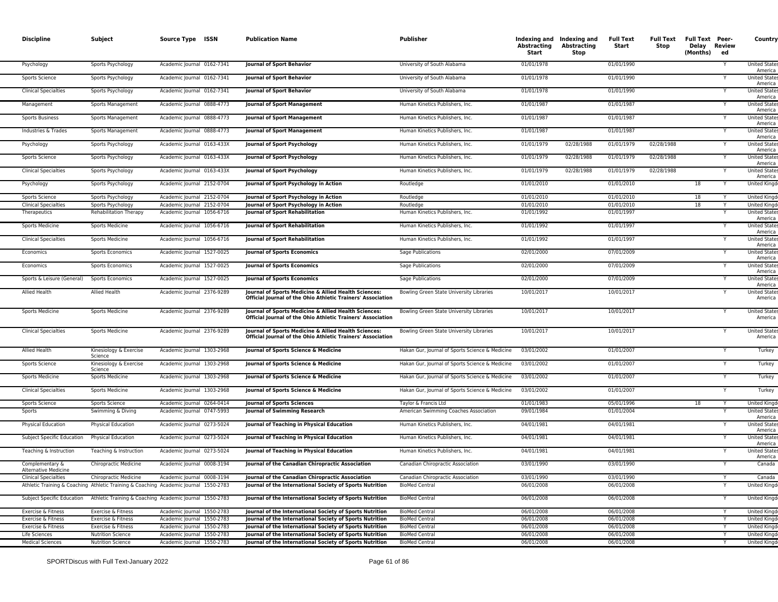| <b>Discipline</b>                              | Subject                                        | Source Type ISSN                                                                     | <b>Publication Name</b>                                                                                              | <b>Publisher</b>                                | Abstracting<br>Start     | Indexing and Indexing and<br>Abstracting<br>Stop | <b>Full Text</b><br>Start | Full Text<br>Stop | <b>Full Text Peer-</b><br>Delay Review<br>(Months) | ed | Country                             |
|------------------------------------------------|------------------------------------------------|--------------------------------------------------------------------------------------|----------------------------------------------------------------------------------------------------------------------|-------------------------------------------------|--------------------------|--------------------------------------------------|---------------------------|-------------------|----------------------------------------------------|----|-------------------------------------|
| Psychology                                     | Sports Psychology                              | Academic Journal 0162-7341                                                           | <b>Journal of Sport Behavior</b>                                                                                     | University of South Alabama                     | 01/01/1978               |                                                  | 01/01/1990                |                   |                                                    |    | <b>United State</b><br>America      |
| Sports Science                                 | Sports Psychology                              | Academic Journal 0162-7341                                                           | Journal of Sport Behavior                                                                                            | University of South Alabama                     | 01/01/1978               |                                                  | 01/01/1990                |                   |                                                    |    | <b>United States</b><br>America     |
| <b>Clinical Specialties</b>                    | Sports Psychology                              | Academic Journal 0162-7341                                                           | <b>Journal of Sport Behavior</b>                                                                                     | University of South Alabama                     | 01/01/1978               |                                                  | 01/01/1990                |                   |                                                    |    | <b>United States</b><br>America     |
| Management                                     | Sports Management                              | Academic Journal 0888-4773                                                           | <b>Journal of Sport Management</b>                                                                                   | Human Kinetics Publishers, Inc                  | 01/01/1987               |                                                  | 01/01/1987                |                   |                                                    |    | <b>United States</b><br>America     |
| <b>Sports Business</b>                         | Sports Management                              | Academic Journal 0888-4773                                                           | <b>Journal of Sport Management</b>                                                                                   | Human Kinetics Publishers, Inc.                 | 01/01/1987               |                                                  | 01/01/1987                |                   |                                                    | Y  | <b>United States</b><br>America     |
| Industries & Trades                            | Sports Management                              | Academic Journal 0888-4773                                                           | <b>Journal of Sport Management</b>                                                                                   | Human Kinetics Publishers, Inc                  | 01/01/1987               |                                                  | 01/01/1987                |                   |                                                    |    | <b>United States</b><br>America     |
| Psychology                                     | Sports Psychology                              | Academic Journal 0163-433X                                                           | Journal of Sport Psychology                                                                                          | Human Kinetics Publishers, Inc.                 | 01/01/1979               | 02/28/1988                                       | 01/01/1979                | 02/28/1988        |                                                    |    | <b>United States</b><br>America     |
| Sports Science                                 | Sports Psychology                              | Academic Journal 0163-433X                                                           | <b>Journal of Sport Psychology</b>                                                                                   | Human Kinetics Publishers, Inc                  | 01/01/1979               | 02/28/1988                                       | 01/01/1979                | 02/28/1988        |                                                    |    | United State<br>America             |
| <b>Clinical Specialties</b>                    | Sports Psychology                              | Academic Journal 0163-433X                                                           | <b>Journal of Sport Psychology</b>                                                                                   | Human Kinetics Publishers, Inc.                 | 01/01/1979               | 02/28/1988                                       | 01/01/1979                | 02/28/1988        |                                                    | Y  | <b>United States</b><br>America     |
| Psychology                                     | Sports Psychology                              | Academic Journal 2152-0704                                                           | Journal of Sport Psychology in Action                                                                                | Routledge                                       | 01/01/2010               |                                                  | 01/01/2010                |                   | 18                                                 | Y  | United Kingd                        |
| Sports Science                                 | Sports Psychology                              | Academic Journal 2152-0704                                                           | Journal of Sport Psychology in Action                                                                                | Routledge                                       | 01/01/2010               |                                                  | 01/01/2010                |                   | 18                                                 |    | <b>United Kingd</b>                 |
| <b>Clinical Specialties</b>                    | Sports Psychology                              | Academic Journal 2152-0704                                                           | <b>Journal of Sport Psychology in Action</b>                                                                         | Routledge                                       | 01/01/2010               |                                                  | 01/01/2010                |                   | 18                                                 |    | <b>United King</b>                  |
| Therapeutics                                   | Rehabilitation Therapy                         | Academic Journal 1056-6716                                                           | Journal of Sport Rehabilitation                                                                                      | Human Kinetics Publishers, Inc.                 | 01/01/1992               |                                                  | 01/01/1997                |                   |                                                    |    | <b>United State</b><br>America      |
| Sports Medicine                                | <b>Sports Medicine</b>                         | Academic Journal 1056-6716                                                           | Journal of Sport Rehabilitation                                                                                      | Human Kinetics Publishers, Inc.                 | 01/01/1992               |                                                  | 01/01/1997                |                   |                                                    |    | <b>United States</b><br>America     |
| <b>Clinical Specialties</b>                    | <b>Sports Medicine</b>                         | Academic Journal 1056-6716                                                           | <b>Iournal of Sport Rehabilitation</b>                                                                               | Human Kinetics Publishers, Inc.                 | 01/01/1992               |                                                  | 01/01/1997                |                   |                                                    |    | <b>United State</b><br>America      |
| Economics                                      | <b>Sports Economics</b>                        | Academic Journal 1527-0025                                                           | <b>Journal of Sports Economics</b>                                                                                   | Sage Publications                               | 02/01/2000               |                                                  | 07/01/2009                |                   |                                                    |    | <b>United States</b><br>America     |
| Economics                                      | <b>Sports Economics</b>                        | Academic Journal 1527-0025                                                           | <b>Journal of Sports Economics</b>                                                                                   | Sage Publications                               | 02/01/2000               |                                                  | 07/01/2009                |                   |                                                    |    | <b>United States</b><br>America     |
| Sports & Leisure (General)                     | <b>Sports Economics</b>                        | Academic Journal 1527-0025                                                           | <b>Journal of Sports Economics</b>                                                                                   | Sage Publications                               | 02/01/2000               |                                                  | 07/01/2009                |                   |                                                    |    | <b>United States</b><br>America     |
| Allied Health                                  | Allied Health                                  | Academic Journal 2376-9289                                                           | Journal of Sports Medicine & Allied Health Sciences:<br>Official Journal of the Ohio Athletic Trainers' Association  | Bowling Green State University Libraries        | 10/01/2017               |                                                  | 10/01/2017                |                   |                                                    |    | United State<br>America             |
| Sports Medicine                                | <b>Sports Medicine</b>                         | Academic Journal 2376-9289                                                           | Journal of Sports Medicine & Allied Health Sciences:<br>Official Journal of the Ohio Athletic Trainers' Association  | Bowling Green State University Libraries        | 10/01/2017               |                                                  | 10/01/2017                |                   |                                                    |    | <b>United States</b><br>America     |
| <b>Clinical Specialties</b>                    | <b>Sports Medicine</b>                         | Academic Journal 2376-9289                                                           | Journal of Sports Medicine & Allied Health Sciences:<br>Official Journal of the Ohio Athletic Trainers' Association  | Bowling Green State University Libraries        | 10/01/2017               |                                                  | 10/01/2017                |                   |                                                    |    | <b>United States</b><br>America     |
| Allied Health                                  | Kinesiology & Exercise<br>Science              | Academic Journal 1303-2968                                                           | Journal of Sports Science & Medicine                                                                                 | Hakan Gur, Journal of Sports Science & Medicine | 03/01/2002               |                                                  | 01/01/2007                |                   |                                                    |    | Turkey                              |
| Sports Science                                 | Kinesiology & Exercise<br>Science              | Academic Journal 1303-2968                                                           | Journal of Sports Science & Medicine                                                                                 | Hakan Gur, Journal of Sports Science & Medicine | 03/01/2002               |                                                  | 01/01/2007                |                   |                                                    |    | Turkey                              |
| <b>Sports Medicine</b>                         | <b>Sports Medicine</b>                         | Academic Journal 1303-2968                                                           | Journal of Sports Science & Medicine                                                                                 | Hakan Gur, Journal of Sports Science & Medicine | 03/01/2002               |                                                  | 01/01/2007                |                   |                                                    |    | Turkey                              |
| <b>Clinical Specialties</b>                    | <b>Sports Medicine</b>                         | Academic Journal 1303-2968                                                           | Journal of Sports Science & Medicine                                                                                 | Hakan Gur, Journal of Sports Science & Medicine | 03/01/2002               |                                                  | 01/01/2007                |                   |                                                    | Υ  | Turkey                              |
| Sports Science                                 | Sports Science                                 | Academic Journal 0264-0414                                                           | <b>Journal of Sports Sciences</b>                                                                                    | Taylor & Francis Ltd                            | 01/01/1983               |                                                  | 05/01/1996                |                   | 18                                                 |    | <b>United Kingo</b>                 |
| Sports                                         | Swimming & Diving                              | Academic Journal 0747-5993                                                           | Journal of Swimming Research                                                                                         | American Swimming Coaches Association           | 09/01/1984               |                                                  | 01/01/2004                |                   |                                                    | Y  | <b>United State</b><br>America      |
| <b>Physical Education</b>                      | Physical Education                             | Academic Journal 0273-5024                                                           | Journal of Teaching in Physical Education                                                                            | Human Kinetics Publishers, Inc.                 | 04/01/1981               |                                                  | 04/01/1981                |                   |                                                    |    | <b>United States</b><br>America     |
| Subject Specific Education                     | <b>Physical Education</b>                      | Academic Journal 0273-5024                                                           | Journal of Teaching in Physical Education                                                                            | Human Kinetics Publishers, Inc.                 | 04/01/1981               |                                                  | 04/01/1981                |                   |                                                    | Υ  | <b>United States</b><br>America     |
| Teaching & Instruction                         | Teaching & Instruction                         | Academic Journal 0273-5024                                                           | Journal of Teaching in Physical Education                                                                            | Human Kinetics Publishers, Inc.                 | 04/01/1981               |                                                  | 04/01/1981                |                   |                                                    |    | <b>United State</b><br>America      |
| Complementary &<br><b>Alternative Medicine</b> | Chiropractic Medicine                          | Academic Journal 0008-3194                                                           | Journal of the Canadian Chiropractic Association                                                                     | Canadian Chiropractic Association               | 03/01/1990               |                                                  | 03/01/1990                |                   |                                                    |    | Canada                              |
| <b>Clinical Specialties</b>                    | Chiropractic Medicine                          | Academic Journal 0008-3194                                                           | Journal of the Canadian Chiropractic Association                                                                     | Canadian Chiropractic Association               | 03/01/1990               |                                                  | 03/01/1990                |                   |                                                    |    | Canada                              |
|                                                |                                                | Athletic Training & Coaching Athletic Training & Coaching Academic Journal 1550-2783 | Journal of the International Society of Sports Nutrition                                                             | <b>BioMed Central</b>                           | 06/01/2008               |                                                  | 06/01/2008                |                   |                                                    |    | <b>United Kingd</b>                 |
| Subject Specific Education                     |                                                | Athletic Training & Coaching Academic Journal 1550-2783                              | Journal of the International Society of Sports Nutrition                                                             | <b>BioMed Central</b>                           | 06/01/2008               |                                                  | 06/01/2008                |                   |                                                    |    | <b>United Kingd</b>                 |
| Exercise & Fitness                             | Exercise & Fitness                             | Academic Journal 1550-2783                                                           | Journal of the International Society of Sports Nutrition                                                             | <b>BioMed Central</b>                           | 06/01/2008               |                                                  | 06/01/2008                |                   |                                                    | Y  | <b>United Kingo</b>                 |
| Exercise & Fitness                             | Exercise & Fitness                             | Academic Journal 1550-2783                                                           | Journal of the International Society of Sports Nutrition<br>Journal of the International Society of Sports Nutrition | <b>BioMed Central</b>                           | 06/01/2008               |                                                  | 06/01/2008                |                   |                                                    |    | <b>United Kingo</b>                 |
| Exercise & Fitness<br>Life Sciences            | Exercise & Fitness<br><b>Nutrition Science</b> | Academic Journal 1550-2783<br>Academic Journal 1550-2783                             | Journal of the International Society of Sports Nutrition                                                             | <b>BioMed Central</b><br><b>BioMed Central</b>  | 06/01/2008<br>06/01/2008 |                                                  | 06/01/2008<br>06/01/2008  |                   |                                                    |    | <b>United Kingo</b><br>United Kingd |
|                                                |                                                |                                                                                      |                                                                                                                      |                                                 | 06/01/2008               |                                                  |                           |                   |                                                    |    |                                     |
| <b>Medical Sciences</b>                        | <b>Nutrition Science</b>                       | Academic Journal 1550-2783                                                           | Journal of the International Society of Sports Nutrition                                                             | <b>BioMed Central</b>                           |                          |                                                  | 06/01/2008                |                   |                                                    | Y  | <b>United Kingo</b>                 |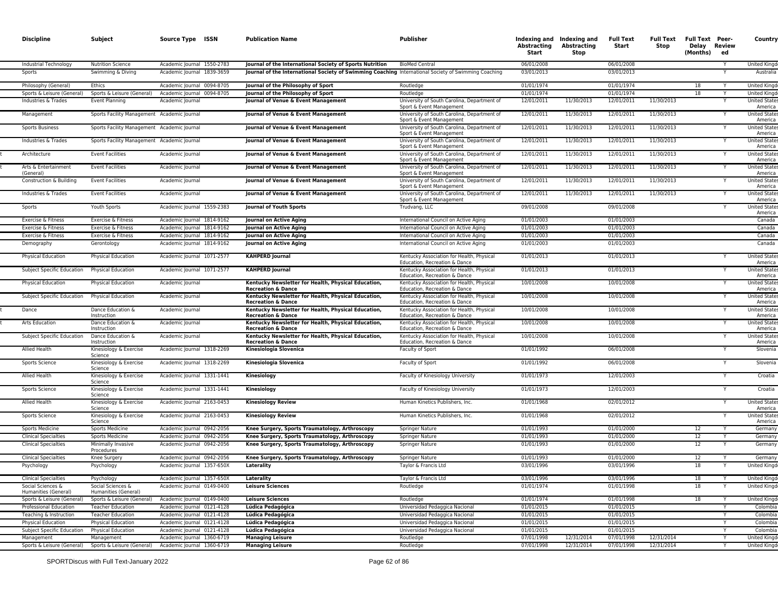| <b>Discipline</b>                                       | Subject                                               | Source Type ISSN                                         | <b>Publication Name</b>                                                                                                                     | Publisher                                                                                                               | Abstracting<br>Start     | Indexing and Indexing and<br><b>Abstracting</b><br>Stop | <b>Full Text</b><br>Start | <b>Full Text</b><br>Stop | <b>Full Text Peer-</b><br>Delay<br>(Months) | Review<br>ed | Country                                                |
|---------------------------------------------------------|-------------------------------------------------------|----------------------------------------------------------|---------------------------------------------------------------------------------------------------------------------------------------------|-------------------------------------------------------------------------------------------------------------------------|--------------------------|---------------------------------------------------------|---------------------------|--------------------------|---------------------------------------------|--------------|--------------------------------------------------------|
| Industrial Technology                                   | <b>Nutrition Science</b>                              | Academic Journal 1550-2783                               | Journal of the International Society of Sports Nutrition                                                                                    | <b>BioMed Central</b>                                                                                                   | 06/01/2008               |                                                         | 06/01/2008                |                          |                                             |              | <b>United Kingo</b>                                    |
| Sports                                                  | Swimming & Diving                                     | Academic Journal 1839-3659                               | Journal of the International Society of Swimming Coaching International Society of Swimming Coaching                                        |                                                                                                                         | 03/01/2013               |                                                         | 03/01/2013                |                          |                                             |              | Australia                                              |
| Philosophy (General)                                    | Ethics                                                | Academic Journal 0094-8705                               | Journal of the Philosophy of Sport                                                                                                          | Routledge                                                                                                               | 01/01/1974               |                                                         | 01/01/1974                |                          | 18                                          |              | <b>United Kingo</b>                                    |
| Sports & Leisure (General)                              | Sports & Leisure (General)                            | Academic Journal 0094-8705                               | Journal of the Philosophy of Sport                                                                                                          | Routledge                                                                                                               | 01/01/1974               |                                                         | 01/01/1974                |                          | 18                                          |              | <b>United Kingd</b>                                    |
| Industries & Trades                                     | <b>Event Planning</b>                                 | Academic Journal                                         | Journal of Venue & Event Management                                                                                                         | University of South Carolina, Department of<br>Sport & Event Management                                                 | 12/01/2011               | 11/30/2013                                              | 12/01/2011                | 11/30/2013               |                                             |              | <b>United State:</b><br>America                        |
| Management                                              | Sports Facility Management Academic Journal           |                                                          | Journal of Venue & Event Management                                                                                                         | University of South Carolina, Department of<br>Sport & Event Management                                                 | 12/01/2011               | 11/30/2013                                              | 12/01/2011                | 11/30/2013               |                                             |              | <b>United States</b><br>America                        |
| <b>Sports Business</b>                                  | Sports Facility Management Academic Journal           |                                                          | Journal of Venue & Event Management                                                                                                         | University of South Carolina, Department of<br>Sport & Event Management                                                 | 12/01/2011               | 11/30/2013                                              | 12/01/2011                | 11/30/2013               |                                             |              | <b>United States</b><br>America                        |
| Industries & Trades                                     | Sports Facility Management Academic Journal           |                                                          | Journal of Venue & Event Management                                                                                                         | University of South Carolina, Department of<br>Sport & Event Management                                                 | 12/01/2011               | 11/30/2013                                              | 12/01/2011                | 11/30/2013               |                                             |              | <b>United States</b><br>America                        |
| Architecture                                            | <b>Event Facilities</b>                               | Academic Journal                                         | Journal of Venue & Event Management                                                                                                         | University of South Carolina, Department of<br>Sport & Event Management                                                 | 12/01/2011               | 11/30/2013                                              | 12/01/2011                | 11/30/2013               |                                             |              | <b>United State:</b><br>America                        |
| Arts & Entertainment<br>(General)                       | <b>Event Facilities</b>                               | Academic Journal                                         | Journal of Venue & Event Management                                                                                                         | University of South Carolina, Department of<br>Sport & Event Management                                                 | 12/01/2011               | 11/30/2013                                              | 12/01/2011                | 11/30/2013               |                                             |              | <b>United States</b><br>America                        |
| Construction & Building                                 | <b>Event Facilities</b>                               | Academic Journal                                         | Journal of Venue & Event Management                                                                                                         | University of South Carolina, Department of<br>Sport & Event Management                                                 | 12/01/2011               | 11/30/2013                                              | 12/01/2011                | 11/30/2013               |                                             |              | <b>United States</b><br>America                        |
| Industries & Trades                                     | <b>Event Facilities</b>                               | Academic Journal                                         | Journal of Venue & Event Management                                                                                                         | University of South Carolina, Department of<br>Sport & Event Management                                                 | 12/01/2011               | 11/30/2013                                              | 12/01/2011                | 11/30/2013               |                                             |              | <b>United States</b><br>America                        |
| Sports                                                  | Youth Sports                                          | Academic Journal 1559-2383                               | Journal of Youth Sports                                                                                                                     | Trudvang, LLC                                                                                                           | 09/01/2008               |                                                         | 09/01/2008                |                          |                                             |              | <b>United State:</b><br>America                        |
| Exercise & Fitness                                      | Exercise & Fitness                                    | Academic Journal 1814-9162                               | Journal on Active Aging                                                                                                                     | International Council on Active Aging                                                                                   | 01/01/2003               |                                                         | 01/01/2003                |                          |                                             |              | Canada                                                 |
| Exercise & Fitness                                      | Exercise & Fitness                                    | Academic Journal 1814-9162                               | Journal on Active Aging                                                                                                                     | International Council on Active Aging                                                                                   | 01/01/2003               |                                                         | 01/01/2003                |                          |                                             |              | Canada                                                 |
| Exercise & Fitness                                      | Exercise & Fitness                                    | Academic Journal 1814-9162                               | <b>Journal on Active Aging</b>                                                                                                              | International Council on Active Aging                                                                                   | 01/01/2003               |                                                         | 01/01/2003                |                          |                                             |              | Canada                                                 |
| Demography<br>Physical Education                        | Gerontology                                           | Academic Journal 1814-9162<br>Academic Journal 1071-2577 | Journal on Active Aging<br><b>KAHPERD Journal</b>                                                                                           | International Council on Active Aging<br>Kentucky Association for Health, Physical                                      | 01/01/2003<br>01/01/2013 |                                                         | 01/01/2003<br>01/01/2013  |                          |                                             |              | Canada<br><b>United State</b>                          |
|                                                         | Physical Education                                    |                                                          |                                                                                                                                             | Education, Recreation & Dance                                                                                           |                          |                                                         |                           |                          |                                             |              | America                                                |
| Subject Specific Education                              | <b>Physical Education</b>                             | Academic Journal 1071-2577                               | <b>KAHPERD Journal</b>                                                                                                                      | Kentucky Association for Health, Physical<br>Education, Recreation & Dance                                              | 01/01/2013               |                                                         | 01/01/2013                |                          |                                             |              | <b>United States</b><br>America                        |
| Physical Education                                      | Physical Education                                    | Academic Journal                                         | Kentucky Newsletter for Health, Physical Education,<br><b>Recreation &amp; Dance</b>                                                        | Kentucky Association for Health, Physical<br>Education, Recreation & Dance                                              | 10/01/2008               |                                                         | 10/01/2008                |                          |                                             | Y            | <b>United State:</b><br>America                        |
| Subject Specific Education                              | Physical Education                                    | Academic Journal                                         | Kentucky Newsletter for Health, Physical Education,<br><b>Recreation &amp; Dance</b>                                                        | Kentucky Association for Health, Physical<br>Education, Recreation & Dance<br>Kentucky Association for Health, Physical | 10/01/2008               |                                                         | 10/01/2008                |                          |                                             |              | <b>United States</b><br>America<br><b>United State</b> |
| Dance<br>Arts Education                                 | Dance Education &<br>Instruction<br>Dance Education & | Academic Journal                                         | Kentucky Newsletter for Health, Physical Education,<br><b>Recreation &amp; Dance</b><br>Kentucky Newsletter for Health, Physical Education, | Education, Recreation & Dance<br>Kentucky Association for Health, Physical                                              | 10/01/2008<br>10/01/2008 |                                                         | 10/01/2008<br>10/01/2008  |                          |                                             |              | America<br><b>United State</b>                         |
| Subject Specific Education                              | Instruction<br>Dance Education &                      | Academic Journal<br>Academic Journal                     | <b>Recreation &amp; Dance</b><br>Kentucky Newsletter for Health, Physical Education,                                                        | Education, Recreation & Dance<br>Kentucky Association for Health, Physical                                              | 10/01/2008               |                                                         | 10/01/2008                |                          |                                             | Y            | America<br><b>United State:</b>                        |
| Allied Health                                           | Instruction<br>Kinesiology & Exercise                 | Academic Journal 1318-2269                               | <b>Recreation &amp; Dance</b><br>Kinesiologia Slovenica                                                                                     | Education, Recreation & Dance<br>Faculty of Sport                                                                       | 01/01/1992               |                                                         | 06/01/2008                |                          |                                             |              | America<br>Slovenia                                    |
| Sports Science                                          | Science<br>Kinesiology & Exercise                     | Academic Journal 1318-2269                               | Kinesiologia Slovenica                                                                                                                      | Faculty of Sport                                                                                                        | 01/01/1992               |                                                         | 06/01/2008                |                          |                                             |              | Slovenia                                               |
| Allied Health                                           | Science<br>Kinesiology & Exercise                     | Academic Journal 1331-1441                               | Kinesiology                                                                                                                                 | Faculty of Kinesiology University                                                                                       | 01/01/1973               |                                                         | 12/01/2003                |                          |                                             |              | Croatia                                                |
| Sports Science                                          | Science<br>Kinesiology & Exercise                     | Academic Journal 1331-1441                               | Kinesiology                                                                                                                                 | Faculty of Kinesiology University                                                                                       | 01/01/1973               |                                                         | 12/01/2003                |                          |                                             |              | Croatia                                                |
| Allied Health                                           | Science<br>Kinesiology & Exercise                     | Academic Journal 2163-0453                               | <b>Kinesiology Review</b>                                                                                                                   | Human Kinetics Publishers, Inc.                                                                                         | 01/01/1968               |                                                         | 02/01/2012                |                          |                                             |              | <b>United State</b>                                    |
| Sports Science                                          | Science<br>Kinesiology & Exercise                     | Academic Journal 2163-0453                               | <b>Kinesiology Review</b>                                                                                                                   | Human Kinetics Publishers, Inc.                                                                                         | 01/01/1968               |                                                         | 02/01/2012                |                          |                                             |              | America<br><b>United State:</b>                        |
| <b>Sports Medicine</b>                                  | Science<br>Sports Medicine                            | Academic Journal 0942-2056                               | Knee Surgery, Sports Traumatology, Arthroscopy                                                                                              | Springer Nature                                                                                                         | 01/01/1993               |                                                         | 01/01/2000                |                          | 12                                          | Y            | America<br>Germany                                     |
| <b>Clinical Specialties</b>                             | <b>Sports Medicine</b>                                | Academic Journal 0942-2056                               | Knee Surgery, Sports Traumatology, Arthroscopy                                                                                              | Springer Nature                                                                                                         | 01/01/1993               |                                                         | 01/01/2000                |                          | 12                                          |              | Germany                                                |
| <b>Clinical Specialties</b>                             | Minimally Invasive<br>Procedures                      | Academic Journal 0942-2056                               | Knee Surgery, Sports Traumatology, Arthroscopy                                                                                              | Springer Nature                                                                                                         | 01/01/1993               |                                                         | 01/01/2000                |                          | 12                                          |              | Germany                                                |
| <b>Clinical Specialties</b>                             | Knee Surgery                                          | Academic lournal 0942-2056                               | Knee Surgery, Sports Traumatology, Arthroscopy                                                                                              | <b>Springer Nature</b>                                                                                                  | 01/01/1993               |                                                         | 01/01/2000                |                          | 12                                          |              | Germany                                                |
| Psychology                                              | Psychology                                            | Academic Journal 1357-650X                               | Laterality                                                                                                                                  | Taylor & Francis Ltd                                                                                                    | 03/01/1996               |                                                         | 03/01/1996                |                          | 18                                          |              | United Kingd                                           |
| <b>Clinical Specialties</b>                             | Psychology                                            | Academic Journal 1357-650X                               | Laterality                                                                                                                                  | Taylor & Francis Ltd                                                                                                    | 03/01/1996               |                                                         | 03/01/1996                |                          | 18                                          |              | United Kingd                                           |
| Social Sciences &<br>Humanities (General)               | Social Sciences &<br>Humanities (General)             | Academic Journal 0149-0400                               | <b>Leisure Sciences</b>                                                                                                                     | Routledge                                                                                                               | 01/01/1974               |                                                         | 01/01/1998                |                          | 18                                          |              | United Kingd                                           |
| Sports & Leisure (General)                              | Sports & Leisure (General)                            | Academic Journal 0149-0400                               | <b>Leisure Sciences</b>                                                                                                                     | Routledge                                                                                                               | 01/01/1974               |                                                         | 01/01/1998                |                          | 18                                          | Y            | United Kingd                                           |
| Professional Education                                  | <b>Teacher Education</b>                              | Academic Journal 0121-4128                               | Lúdica Pedagógica                                                                                                                           | Universidad Pedaggica Nacional                                                                                          | 01/01/2015               |                                                         | 01/01/2015                |                          |                                             | Y            | Colombia                                               |
| Teaching & Instruction                                  | <b>Teacher Education</b>                              | Academic Journal 0121-4128                               | Lúdica Pedagógica                                                                                                                           | Universidad Pedaggica Nacional                                                                                          | 01/01/2015               |                                                         | 01/01/2015                |                          |                                             | Y            | Colombia                                               |
| <b>Physical Education</b><br>Subject Specific Education | Physical Education<br>Physical Education              | Academic Journal 0121-4128<br>Academic Journal 0121-4128 | Lúdica Pedagógica<br>Lúdica Pedagógica                                                                                                      | Universidad Pedaggica Nacional<br>Universidad Pedaggica Nacional                                                        | 01/01/2015<br>01/01/2015 |                                                         | 01/01/2015<br>01/01/2015  |                          |                                             |              | Colombia<br>Colombia                                   |
| Management                                              | Management                                            | Academic Journal 1360-6719                               | <b>Managing Leisure</b>                                                                                                                     | Routledge                                                                                                               | 07/01/1998               | 12/31/2014                                              | 07/01/1998                | 12/31/2014               |                                             | Y            | United Kingd                                           |
| Sports & Leisure (General)                              | Sports & Leisure (General)                            | Academic Journal 1360-6719                               | <b>Managing Leisure</b>                                                                                                                     | Routledge                                                                                                               | 07/01/1998               | 12/31/2014                                              | 07/01/1998                | 12/31/2014               |                                             |              | <b>United Kingd</b>                                    |
|                                                         |                                                       |                                                          |                                                                                                                                             |                                                                                                                         |                          |                                                         |                           |                          |                                             |              |                                                        |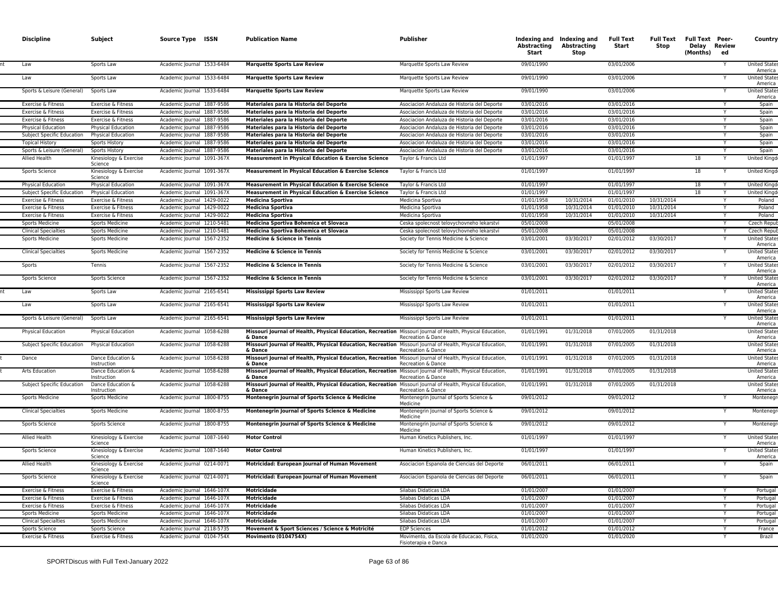| <b>Discipline</b> |                                                  | Subject                                                     | Source Type ISSN                                         | <b>Publication Name</b>                                                                                                                           | Publisher                                                          | Abstracting<br>Start     | Indexing and Indexing and<br>Abstracting<br>Stop | <b>Full Text</b><br>Start | <b>Full Text</b><br>Stop | <b>Full Text Peer-</b><br>Delay Review<br>(Months) | ed     | Country                                               |
|-------------------|--------------------------------------------------|-------------------------------------------------------------|----------------------------------------------------------|---------------------------------------------------------------------------------------------------------------------------------------------------|--------------------------------------------------------------------|--------------------------|--------------------------------------------------|---------------------------|--------------------------|----------------------------------------------------|--------|-------------------------------------------------------|
| Law               |                                                  | Sports Law                                                  | Academic Journal 1533-6484                               | <b>Marquette Sports Law Review</b>                                                                                                                | Marquette Sports Law Review                                        | 09/01/1990               |                                                  | 03/01/2006                |                          |                                                    |        | <b>United State</b><br>America                        |
| Law               |                                                  | Sports Law                                                  | Academic Journal 1533-6484                               | <b>Marquette Sports Law Review</b>                                                                                                                | Marquette Sports Law Review                                        | 09/01/1990               |                                                  | 03/01/2006                |                          |                                                    |        | <b>United State:</b><br>America                       |
|                   | Sports & Leisure (General)                       | Sports Law                                                  | Academic Journal 1533-6484                               | <b>Marquette Sports Law Review</b>                                                                                                                | Marquette Sports Law Review                                        | 09/01/1990               |                                                  | 03/01/2006                |                          |                                                    |        | <b>United State</b><br>America                        |
|                   | Exercise & Fitness                               | Exercise & Fitness                                          | Academic Journal 1887-9586                               | Materiales para la Historia del Deporte                                                                                                           | Asociacion Andaluza de Historia del Deporte                        | 03/01/2016               |                                                  | 03/01/2016                |                          |                                                    | Y      | Spain                                                 |
|                   | Exercise & Fitness                               | Exercise & Fitness                                          | Academic Journal 1887-9586                               | Materiales para la Historia del Deporte                                                                                                           | Asociacion Andaluza de Historia del Deporte                        | 03/01/2016               |                                                  | 03/01/2016                |                          |                                                    |        | Spain                                                 |
|                   | Exercise & Fitness                               | Exercise & Fitness                                          | Academic Journal 1887-9586                               | Materiales para la Historia del Deporte                                                                                                           | Asociacion Andaluza de Historia del Deporte                        | 03/01/2016               |                                                  | 03/01/2016                |                          |                                                    |        | Spain                                                 |
|                   | <b>Physical Education</b>                        | Physical Education                                          | Academic Journal 1887-9586                               | Materiales para la Historia del Deporte                                                                                                           | Asociacion Andaluza de Historia del Deporte                        | 03/01/2016               |                                                  | 03/01/2016                |                          |                                                    |        | Spain                                                 |
|                   | Subject Specific Education                       | <b>Physical Education</b>                                   | Academic Journal 1887-9586                               | Materiales para la Historia del Deporte                                                                                                           | Asociacion Andaluza de Historia del Deporte                        | 03/01/2016               |                                                  | 03/01/2016                |                          |                                                    |        | Spain                                                 |
|                   | <b>Topical History</b>                           | Sports History                                              | Academic Journal 1887-9586                               | Materiales para la Historia del Deporte                                                                                                           | Asociacion Andaluza de Historia del Deporte                        | 03/01/2016               |                                                  | 03/01/2016                |                          |                                                    |        | Spain                                                 |
|                   | Sports & Leisure (General)                       | <b>Sports History</b>                                       | Academic Journal 1887-9586                               | Materiales para la Historia del Deporte                                                                                                           | Asociacion Andaluza de Historia del Deporte                        | 03/01/2016               |                                                  | 03/01/2016                |                          |                                                    |        | Spain                                                 |
| Allied Health     |                                                  | Kinesiology & Exercise<br>Science                           | Academic Journal 1091-367X                               | Measurement in Physical Education & Exercise Science                                                                                              | Taylor & Francis Ltd                                               | 01/01/1997               |                                                  | 01/01/1997                |                          | 18                                                 |        | <b>United Kingo</b>                                   |
|                   | Sports Science                                   | Kinesiology & Exercise<br>Science                           | Academic Journal 1091-367X                               | Measurement in Physical Education & Exercise Science                                                                                              | Taylor & Francis Ltd                                               | 01/01/1997               |                                                  | 01/01/1997                |                          | 18                                                 |        | <b>United Kingo</b>                                   |
|                   | Physical Education                               | Physical Education                                          | Academic Journal 1091-367X                               | Measurement in Physical Education & Exercise Science                                                                                              | Taylor & Francis Ltd                                               | 01/01/1997               |                                                  | 01/01/1997                |                          | 18                                                 |        | <b>United King</b>                                    |
|                   | Subject Specific Education                       | Physical Education                                          | Academic Journal 1091-367X<br>Academic Journal 1429-0022 | Measurement in Physical Education & Exercise Science                                                                                              | Taylor & Francis Ltd                                               | 01/01/1997<br>01/01/1958 | 10/31/2014                                       | 01/01/1997<br>01/01/2010  | 10/31/2014               | 18                                                 |        | <b>United King</b><br>Poland                          |
|                   | Exercise & Fitness<br>Exercise & Fitness         | Exercise & Fitness<br>Exercise & Fitness                    | Academic Journal 1429-0022                               | <b>Medicina Sportiva</b>                                                                                                                          | Medicina Sportiva<br>Medicina Sportiva                             | 01/01/1958               | 10/31/2014                                       | 01/01/2010                | 10/31/2014               |                                                    | Y<br>Y | Poland                                                |
|                   | Exercise & Fitness                               | Exercise & Fitness                                          | Academic Journal 1429-0022                               | <b>Medicina Sportiva</b><br><b>Medicina Sportiva</b>                                                                                              | Medicina Sportiva                                                  | 01/01/1958               | 10/31/2014                                       | 01/01/2010                | 10/31/2014               |                                                    | Y      | Poland                                                |
|                   | Sports Medicine                                  | <b>Sports Medicine</b>                                      | Academic Journal 1210-5481                               | Medicina Sportiva Bohemica et Slovaca                                                                                                             | Ceska spolecnost telovychovneho lekarstvi                          | 05/01/2008               |                                                  | 05/01/2008                |                          |                                                    |        | Czech Repu                                            |
|                   | <b>Clinical Specialties</b>                      | <b>Sports Medicine</b>                                      | Academic Journal 1210-5481                               | Medicina Sportiva Bohemica et Slovaca                                                                                                             | Ceska spolecnost telovychovneho lekarstvi                          | 05/01/2008               |                                                  | 05/01/2008                |                          |                                                    |        | Czech Repul                                           |
|                   | Sports Medicine                                  | Sports Medicine                                             | Academic Journal 1567-2352                               | Medicine & Science in Tennis                                                                                                                      | Society for Tennis Medicine & Science                              | 03/01/2001               | 03/30/2017                                       | 02/01/2012                | 03/30/2017               |                                                    |        | United State<br>America                               |
|                   | <b>Clinical Specialties</b>                      | <b>Sports Medicine</b>                                      | Academic Journal 1567-2352                               | Medicine & Science in Tennis                                                                                                                      | Society for Tennis Medicine & Science                              | 03/01/2001               | 03/30/2017                                       | 02/01/2012                | 03/30/2017               |                                                    | Y      | <b>United State</b><br>America                        |
| Sports            |                                                  | Tennis                                                      | Academic Journal 1567-2352                               | Medicine & Science in Tennis                                                                                                                      | Society for Tennis Medicine & Science                              | 03/01/2001               | 03/30/2017                                       | 02/01/2012                | 03/30/2017               |                                                    |        | <b>United State</b><br>America                        |
|                   | Sports Science                                   | Sports Science                                              | Academic Journal 1567-2352                               | Medicine & Science in Tennis                                                                                                                      | Society for Tennis Medicine & Science                              | 03/01/2001               | 03/30/2017                                       | 02/01/2012                | 03/30/2017               |                                                    |        | <b>United State</b><br>America                        |
| Law               |                                                  | Sports Law                                                  | Academic Journal 2165-6541                               | <b>Mississippi Sports Law Review</b>                                                                                                              | Mississippi Sports Law Review                                      | 01/01/2011               |                                                  | 01/01/2011                |                          |                                                    |        | <b>United State</b><br>America                        |
| Law               |                                                  | Sports Law                                                  | Academic Journal 2165-6541                               | <b>Mississippi Sports Law Review</b>                                                                                                              | Mississippi Sports Law Review                                      | 01/01/2011               |                                                  | 01/01/2011                |                          |                                                    |        | <b>United State:</b><br>America                       |
|                   | Sports & Leisure (General)<br>Physical Education | Sports Law<br>Physical Education                            | Academic Journal 2165-6541<br>Academic Journal 1058-6288 | <b>Mississippi Sports Law Review</b><br>Missouri Journal of Health, Physical Education, Recreation Missouri Journal of Health, Physical Education | Mississippi Sports Law Review                                      | 01/01/2011<br>01/01/1991 | 01/31/2018                                       | 01/01/2011<br>07/01/2005  | 01/31/2018               |                                                    |        | <b>United State</b><br>America<br><b>United State</b> |
|                   | Subject Specific Education                       | Physical Education                                          | Academic Journal 1058-6288                               | & Dance<br>Missouri Journal of Health, Physical Education, Recreation Missouri Journal of Health, Physical Education                              | <b>Recreation &amp; Dance</b>                                      | 01/01/1991               | 01/31/2018                                       | 07/01/2005                | 01/31/2018               |                                                    |        | America<br><b>United State</b>                        |
| Dance             |                                                  | Dance Education &                                           | Academic Journal 1058-6288                               | & Dance<br>Missouri Journal of Health, Physical Education, Recreation Missouri Journal of Health, Physical Education                              | Recreation & Dance                                                 | 01/01/1991               | 01/31/2018                                       | 07/01/2005                | 01/31/2018               |                                                    |        | America<br><b>United State</b>                        |
|                   | Arts Education                                   | Instruction<br>Dance Education &                            | Academic Journal 1058-6288                               | & Dance<br>Missouri Journal of Health, Physical Education, Recreation Missouri Journal of Health, Physical Education                              | Recreation & Dance                                                 | 01/01/1991               | 01/31/2018                                       | 07/01/2005                | 01/31/2018               |                                                    |        | America<br><b>United State</b>                        |
|                   |                                                  | Instruction                                                 |                                                          | & Dance                                                                                                                                           | <b>Recreation &amp; Dance</b>                                      |                          |                                                  |                           |                          |                                                    |        | America                                               |
|                   | Subject Specific Education                       | Dance Education &<br>Instruction                            | Academic Journal 1058-6288                               | Missouri Journal of Health, Physical Education, Recreation Missouri Journal of Health, Physical Education<br>& Dance                              | Recreation & Dance                                                 | 01/01/1991               | 01/31/2018                                       | 07/01/2005                | 01/31/2018               |                                                    |        | <b>United State</b><br>America                        |
|                   | Sports Medicine                                  | <b>Sports Medicine</b>                                      | Academic Journal 1800-8755                               | Montenegrin Journal of Sports Science & Medicine                                                                                                  | Montenegrin Journal of Sports Science &<br>Medicine                | 09/01/2012               |                                                  | 09/01/2012                |                          |                                                    |        | Montenegr                                             |
|                   | <b>Clinical Specialties</b>                      | <b>Sports Medicine</b>                                      | Academic Journal 1800-8755                               | Montenegrin Journal of Sports Science & Medicine                                                                                                  | Montenegrin Journal of Sports Science &<br>Medicine                | 09/01/2012               |                                                  | 09/01/2012                |                          |                                                    |        | Montenegr                                             |
|                   | Sports Science                                   | Sports Science                                              | Academic Journal 1800-8755                               | Montenegrin Journal of Sports Science & Medicine<br><b>Motor Control</b>                                                                          | Montenegrin Journal of Sports Science &<br>Medicine                | 09/01/2012<br>01/01/1997 |                                                  | 09/01/2012                |                          |                                                    |        | Monteneg                                              |
| Allied Health     | Sports Science                                   | Kinesiology & Exercise<br>Science<br>Kinesiology & Exercise | Academic Journal 1087-1640<br>Academic Journal 1087-1640 | <b>Motor Control</b>                                                                                                                              | Human Kinetics Publishers, Inc.<br>Human Kinetics Publishers, Inc. | 01/01/1997               |                                                  | 01/01/1997<br>01/01/1997  |                          |                                                    |        | <b>United State</b><br>America<br><b>United State</b> |
| Allied Health     |                                                  | Science<br>Kinesiology & Exercise                           | Academic Journal 0214-0071                               | Motricidad: European Journal of Human Movement                                                                                                    | Asociacion Espanola de Ciencias del Deporte                        | 06/01/2011               |                                                  | 06/01/2011                |                          |                                                    |        | America<br>Spain                                      |
|                   | Sports Science                                   | Science<br>Kinesiology & Exercise                           | Academic Journal 0214-0071                               | Motricidad: European Journal of Human Movement                                                                                                    | Asociacion Espanola de Ciencias del Deporte                        | 06/01/2011               |                                                  | 06/01/2011                |                          |                                                    |        | Spain                                                 |
|                   | Exercise & Fitness                               | Science<br>Exercise & Fitness                               | Academic Journal 1646-107X                               | Motricidade                                                                                                                                       | Silabas Didaticas LDA                                              | 01/01/2007               |                                                  | 01/01/2007                |                          |                                                    |        | Portugal                                              |
|                   | Exercise & Fitness                               | Exercise & Fitness                                          | Academic Journal 1646-107X                               | Motricidade                                                                                                                                       | Silabas Didaticas LDA                                              | 01/01/2007               |                                                  | 01/01/2007                |                          |                                                    |        | Portuga                                               |
|                   | Exercise & Fitness                               | Exercise & Fitness                                          | Academic Journal 1646-107X                               | Motricidade                                                                                                                                       | Silabas Didaticas LDA                                              | 01/01/2007               |                                                  | 01/01/2007                |                          |                                                    |        | Portugal                                              |
|                   | Sports Medicine                                  | Sports Medicine                                             | Academic lournal 1646-107X                               | <b>Motricidade</b>                                                                                                                                | Silabas Didaticas LDA                                              | 01/01/2007               |                                                  | 01/01/2007                |                          |                                                    |        | Portugal                                              |
|                   | <b>Clinical Specialties</b>                      | Sports Medicine                                             | Academic Journal 1646-107X                               | Motricidade                                                                                                                                       | Silabas Didaticas LDA                                              | 01/01/2007               |                                                  | 01/01/2007                |                          |                                                    |        | Portugal                                              |
|                   | Sports Science                                   | <b>Sports Science</b>                                       | Academic Journal 2118-5735                               | Movement & Sport Sciences / Science & Motricité                                                                                                   | <b>EDP Sciences</b>                                                | 01/01/2012               |                                                  | 01/01/2012                |                          |                                                    |        | France                                                |
|                   | Exercise & Fitness                               | Exercise & Fitness                                          | Academic Journal 0104-754X                               | Movimento (0104754X)                                                                                                                              | Movimento, da Escola de Educacao, Fisica,<br>Fisioterapia e Danca  | 01/01/2020               |                                                  | 01/01/2020                |                          |                                                    |        | Brazi                                                 |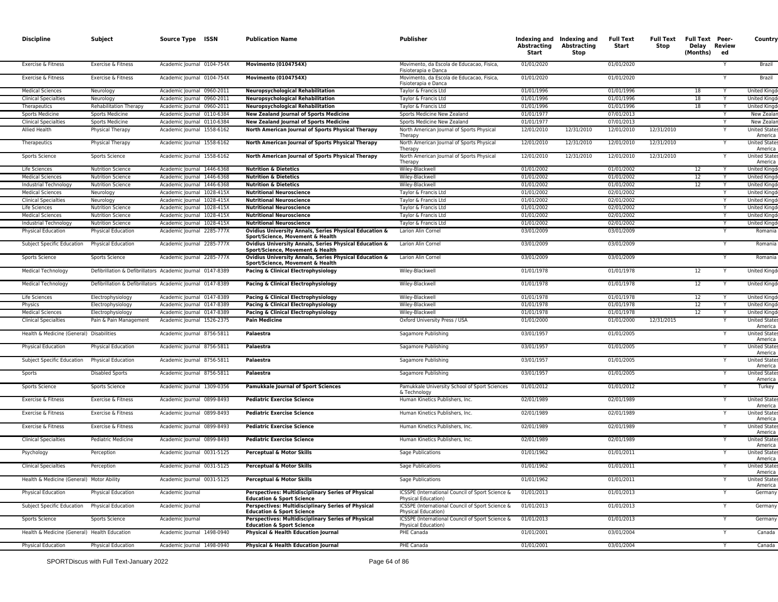| <b>Discipline</b>                                      | Subject                       | Source Type ISSN                                                                         | <b>Publication Name</b>                                                                                                            | Publisher                                                                                      | <b>Abstracting</b><br>Start | Indexing and Indexing and<br><b>Abstracting</b><br>Stop | <b>Full Text</b><br>Start | Full Text<br>Stop | <b>Full Text Peer-</b><br>Delay Review<br>(Months) | ed | Country                                         |
|--------------------------------------------------------|-------------------------------|------------------------------------------------------------------------------------------|------------------------------------------------------------------------------------------------------------------------------------|------------------------------------------------------------------------------------------------|-----------------------------|---------------------------------------------------------|---------------------------|-------------------|----------------------------------------------------|----|-------------------------------------------------|
| Exercise & Fitness                                     | Exercise & Fitness            | Academic Journal 0104-754X                                                               | <b>Movimento (0104754X)</b>                                                                                                        | Movimento, da Escola de Educacao, Fisica,<br>Fisioterapia e Danca                              | 01/01/2020                  |                                                         | 01/01/2020                |                   |                                                    |    | Brazil                                          |
| Exercise & Fitness                                     | Exercise & Fitness            | Academic Journal 0104-754X                                                               | <b>Movimento (0104754X)</b>                                                                                                        | Movimento, da Escola de Educacao, Fisica,<br>Fisioterapia e Danca                              | 01/01/2020                  |                                                         | 01/01/2020                |                   |                                                    |    | Brazil                                          |
| <b>Medical Sciences</b>                                | Neurology                     | Academic Journal 0960-2011                                                               | <b>Neuropsychological Rehabilitation</b>                                                                                           | Taylor & Francis Ltd                                                                           | 01/01/1996                  |                                                         | 01/01/1996                |                   | 18                                                 |    | <b>United Kingd</b>                             |
| <b>Clinical Specialties</b>                            | Neurology                     | Academic Journal 0960-2011                                                               | <b>Neuropsychological Rehabilitation</b>                                                                                           | Taylor & Francis Ltd                                                                           | 01/01/1996                  |                                                         | 01/01/1996                |                   | 18                                                 |    | United Kingo                                    |
| Therapeutics                                           | <b>Rehabilitation Therapy</b> | Academic Journal 0960-2011                                                               | <b>Neuropsychological Rehabilitation</b>                                                                                           | Taylor & Francis Ltd                                                                           | 01/01/1996                  |                                                         | 01/01/1996                |                   | 18                                                 | Y  | <b>United Kingo</b>                             |
| <b>Sports Medicine</b>                                 | <b>Sports Medicine</b>        | Academic Journal 0110-6384                                                               | <b>New Zealand Journal of Sports Medicine</b>                                                                                      | Sports Medicine New Zealand                                                                    | 01/01/1977                  |                                                         | 07/01/2013                |                   |                                                    |    | New Zealar                                      |
| <b>Clinical Specialties</b>                            | <b>Sports Medicine</b>        | Academic Journal 0110-6384                                                               | <b>New Zealand Journal of Sports Medicine</b>                                                                                      | Sports Medicine New Zealand                                                                    | 01/01/1977                  |                                                         | 07/01/2013                |                   |                                                    | Y  | New Zealar                                      |
| Allied Health                                          | Physical Therapy              | Academic Journal 1558-6162                                                               | North American Journal of Sports Physical Therapy                                                                                  | North American Journal of Sports Physical<br>Therapy                                           | 12/01/2010                  | 12/31/2010                                              | 12/01/2010                | 12/31/2010        |                                                    |    | United State<br>America                         |
| Therapeutics                                           | Physical Therapy              | Academic Journal 1558-6162                                                               | North American Journal of Sports Physical Therapy                                                                                  | North American Journal of Sports Physical<br>Therapy                                           | 12/01/2010                  | 12/31/2010                                              | 12/01/2010                | 12/31/2010        |                                                    |    | <b>United States</b><br>America                 |
| Sports Science                                         | Sports Science                | Academic Journal 1558-6162                                                               | North American Journal of Sports Physical Therapy                                                                                  | North American Journal of Sports Physical<br>Therapy                                           | 12/01/2010                  | 12/31/2010                                              | 12/01/2010                | 12/31/2010        |                                                    |    | United State<br>America                         |
| Life Sciences                                          | <b>Nutrition Science</b>      | Academic Journal 1446-6368                                                               | <b>Nutrition &amp; Dietetics</b>                                                                                                   | Wiley-Blackwell                                                                                | 01/01/2002                  |                                                         | 01/01/2002                |                   | 12                                                 |    | <b>United Kingd</b>                             |
| <b>Medical Sciences</b>                                | <b>Nutrition Science</b>      | Academic Journal 1446-6368                                                               | <b>Nutrition &amp; Dietetics</b>                                                                                                   | Wiley-Blackwell                                                                                | 01/01/2002                  |                                                         | 01/01/2002                |                   | 12                                                 |    | United Kingo                                    |
| Industrial Technology                                  | <b>Nutrition Science</b>      | Academic Journal 1446-6368                                                               | <b>Nutrition &amp; Dietetics</b>                                                                                                   | Wiley-Blackwell                                                                                | 01/01/2002                  |                                                         | 01/01/2002                |                   | 12                                                 |    | <b>United Kingo</b>                             |
| <b>Medical Sciences</b>                                | Neurology                     | Academic Journal 1028-415X                                                               | <b>Nutritional Neuroscience</b>                                                                                                    | Taylor & Francis Ltd                                                                           | 01/01/2002                  |                                                         | 02/01/2002                |                   |                                                    | Y  | <b>United King</b>                              |
| <b>Clinical Specialties</b>                            | Neurology                     | Academic Journal 1028-415X                                                               | <b>Nutritional Neuroscience</b>                                                                                                    | Taylor & Francis Ltd                                                                           | 01/01/2002                  |                                                         | 02/01/2002                |                   |                                                    |    | <b>United Kingo</b>                             |
| Life Sciences                                          | <b>Nutrition Science</b>      | Academic Journal 1028-415X                                                               | <b>Nutritional Neuroscience</b>                                                                                                    | Taylor & Francis Ltd                                                                           | 01/01/2002                  |                                                         | 02/01/2002                |                   |                                                    |    | United King                                     |
| <b>Medical Sciences</b>                                | <b>Nutrition Science</b>      | Academic Journal 1028-415X                                                               | <b>Nutritional Neuroscience</b>                                                                                                    | Taylor & Francis Ltd                                                                           | 01/01/2002                  |                                                         | 02/01/2002                |                   |                                                    | Y  | United Kingo                                    |
| Industrial Technology                                  | <b>Nutrition Science</b>      | Academic Journal 1028-415X                                                               | <b>Nutritional Neuroscience</b>                                                                                                    | Taylor & Francis Ltd                                                                           | 01/01/2002                  |                                                         | 02/01/2002                |                   |                                                    |    | United Kingo                                    |
| Physical Education                                     | Physical Education            | Academic Journal 2285-777X                                                               | Ovidius University Annals, Series Physical Education &<br>Sport/Science, Movement & Health                                         | Larion Alin Cornel                                                                             | 03/01/2009                  |                                                         | 03/01/2009                |                   |                                                    |    | Romania                                         |
| Subject Specific Education                             | <b>Physical Education</b>     | Academic Journal 2285-777X                                                               | Ovidius University Annals, Series Physical Education &<br>Sport/Science, Movement & Health                                         | Larion Alin Cornel                                                                             | 03/01/2009                  |                                                         | 03/01/2009                |                   |                                                    |    | Romania                                         |
| Sports Science                                         | Sports Science                | Academic Journal 2285-777X<br>Defibrillation & Defibrillators Academic Journal 0147-8389 | Ovidius University Annals, Series Physical Education &<br>Sport/Science, Movement & Health<br>Pacing & Clinical Electrophysiology  | Larion Alin Cornel<br>Wiley-Blackwell                                                          | 03/01/2009<br>01/01/1978    |                                                         | 03/01/2009<br>01/01/1978  |                   | 12                                                 |    | Romania<br>United Kingd                         |
| <b>Medical Technology</b><br><b>Medical Technology</b> |                               | Defibrillation & Defibrillators Academic Journal 0147-8389                               | Pacing & Clinical Electrophysiology                                                                                                | Wiley-Blackwell                                                                                | 01/01/1978                  |                                                         | 01/01/1978                |                   | 12                                                 |    | <b>United Kingd</b>                             |
| Life Sciences                                          | Electrophysiology             | Academic Journal 0147-8389                                                               | Pacing & Clinical Electrophysiology                                                                                                | Wiley-Blackwell                                                                                | 01/01/1978                  |                                                         | 01/01/1978                |                   | 12                                                 |    | <b>United Kingo</b>                             |
| Physics                                                | Electrophysiology             | Academic Journal 0147-8389                                                               | Pacing & Clinical Electrophysiology                                                                                                | Wiley-Blackwell                                                                                | 01/01/1978                  |                                                         | 01/01/1978                |                   | 12                                                 |    | <b>United Kingo</b>                             |
| <b>Medical Sciences</b>                                | Electrophysiology             | Academic Journal 0147-8389                                                               | Pacing & Clinical Electrophysiology                                                                                                | Wiley-Blackwell                                                                                | 01/01/1978                  |                                                         | 01/01/1978                |                   | 12                                                 |    | United Kingo                                    |
| <b>Clinical Specialties</b>                            | Pain & Pain Management        | Academic Journal 1526-2375                                                               | <b>Pain Medicine</b>                                                                                                               | Oxford University Press / USA                                                                  | 01/01/2000                  |                                                         | 01/01/2000                | 12/31/2015        |                                                    |    | <b>United State</b>                             |
| Health & Medicine (General) Disabilities               |                               | Academic Journal 8756-5811                                                               | Palaestra                                                                                                                          | Sagamore Publishing                                                                            | 03/01/1957                  |                                                         | 01/01/2005                |                   |                                                    |    | America<br>United State                         |
| Physical Education                                     | Physical Education            | Academic Journal 8756-5811                                                               | Palaestra                                                                                                                          | Sagamore Publishing                                                                            | 03/01/1957                  |                                                         | 01/01/2005                |                   |                                                    | Y  | America<br><b>United States</b>                 |
| Subject Specific Education                             | <b>Physical Education</b>     | Academic Journal 8756-5811                                                               | Palaestra                                                                                                                          | Sagamore Publishing                                                                            | 03/01/1957                  |                                                         | 01/01/2005                |                   |                                                    |    | America<br><b>United States</b>                 |
| Sports                                                 | <b>Disabled Sports</b>        | Academic Journal 8756-5811                                                               | Palaestra                                                                                                                          | Sagamore Publishing                                                                            | 03/01/1957                  |                                                         | 01/01/2005                |                   |                                                    |    | America<br><b>United State</b>                  |
| Sports Science                                         | Sports Science                | Academic Journal 1309-0356                                                               | <b>Pamukkale Journal of Sport Sciences</b>                                                                                         | Pamukkale University School of Sport Sciences<br>& Technology                                  | 01/01/2012                  |                                                         | 01/01/2012                |                   |                                                    | Υ  | America<br>Turkey                               |
| Exercise & Fitness                                     | Exercise & Fitness            | Academic Journal 0899-8493                                                               | <b>Pediatric Exercise Science</b>                                                                                                  | Human Kinetics Publishers, Inc.                                                                | 02/01/1989                  |                                                         | 02/01/1989                |                   |                                                    |    | United State<br>America                         |
| Exercise & Fitness                                     | Exercise & Fitness            | Academic Journal 0899-8493                                                               | <b>Pediatric Exercise Science</b>                                                                                                  | Human Kinetics Publishers, Inc.                                                                | 02/01/1989                  |                                                         | 02/01/1989                |                   |                                                    | Y  | <b>United States</b><br>America                 |
| Exercise & Fitness                                     | Exercise & Fitness            | Academic Journal 0899-8493                                                               | <b>Pediatric Exercise Science</b>                                                                                                  | Human Kinetics Publishers, Inc.                                                                | 02/01/1989                  |                                                         | 02/01/1989                |                   |                                                    |    | <b>United State:</b><br>America                 |
| <b>Clinical Specialties</b>                            | Pediatric Medicine            | Academic Journal 0899-8493                                                               | <b>Pediatric Exercise Science</b>                                                                                                  | Human Kinetics Publishers, Inc.                                                                | 02/01/1989                  |                                                         | 02/01/1989                |                   |                                                    | Y  | <b>United States</b><br>America                 |
| Psychology<br><b>Clinical Specialties</b>              | Perception<br>Perception      | Academic Journal 0031-5125<br>Academic Journal 0031-5125                                 | Perceptual & Motor Skills<br>Perceptual & Motor Skills                                                                             | Sage Publications<br>Sage Publications                                                         | 01/01/1962<br>01/01/1962    |                                                         | 01/01/2011<br>01/01/2011  |                   |                                                    |    | <b>United States</b><br>America<br>United State |
| Health & Medicine (General) Motor Ability              |                               | Academic Journal 0031-5125                                                               | Perceptual & Motor Skills                                                                                                          | Sage Publications                                                                              | 01/01/1962                  |                                                         | 01/01/2011                |                   |                                                    |    | America<br><b>United States</b>                 |
| Physical Education                                     | Physical Education            | Academic Journal                                                                         | Perspectives: Multidisciplinary Series of Physical                                                                                 | ICSSPE (International Council of Sport Science &                                               | 01/01/2013                  |                                                         | 01/01/2013                |                   |                                                    |    | America<br>Germany                              |
| Subject Specific Education                             | <b>Physical Education</b>     | Academic Journal                                                                         | <b>Education &amp; Sport Science</b><br>Perspectives: Multidisciplinary Series of Physical                                         | <b>Physical Education)</b><br>ICSSPE (International Council of Sport Science &                 | 01/01/2013                  |                                                         | 01/01/2013                |                   |                                                    | Υ  | Germany                                         |
| Sports Science                                         | Sports Science                | Academic Journal                                                                         | <b>Education &amp; Sport Science</b><br>Perspectives: Multidisciplinary Series of Physical<br><b>Education &amp; Sport Science</b> | Physical Education)<br>ICSSPE (International Council of Sport Science &<br>Physical Education) | 01/01/2013                  |                                                         | 01/01/2013                |                   |                                                    | Y  | Germany                                         |
| Health & Medicine (General) Health Education           |                               | Academic Journal 1498-0940                                                               | Physical & Health Education Journal                                                                                                | PHE Canada                                                                                     | 01/01/2001                  |                                                         | 03/01/2004                |                   |                                                    |    | Canada                                          |
| <b>Physical Education</b>                              | Physical Education            | Academic Journal 1498-0940                                                               | Physical & Health Education Journal                                                                                                | PHE Canada                                                                                     | 01/01/2001                  |                                                         | 03/01/2004                |                   |                                                    |    | Canada                                          |
|                                                        |                               |                                                                                          |                                                                                                                                    |                                                                                                |                             |                                                         |                           |                   |                                                    |    |                                                 |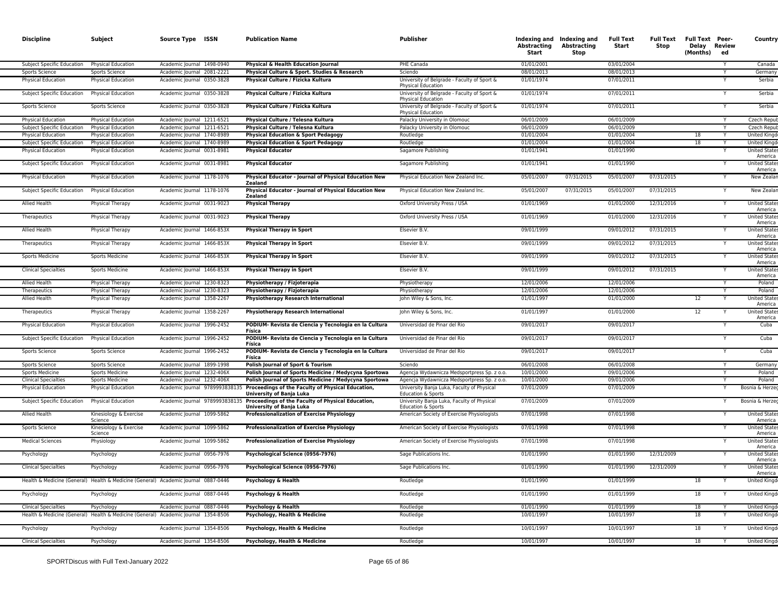| <b>Discipline</b>                                       | Subject                                         | Source Type ISSN                                                                   | <b>Publication Name</b>                                                         | <b>Publisher</b>                                                         | Abstracting<br><b>Start</b> | Indexing and Indexing and<br>Abstracting<br>Stop | <b>Full Text</b><br>Start | <b>Full Text</b><br>Stop | <b>Full Text Peer-</b><br>Delay Review<br>(Months) | ed | Country                                                 |
|---------------------------------------------------------|-------------------------------------------------|------------------------------------------------------------------------------------|---------------------------------------------------------------------------------|--------------------------------------------------------------------------|-----------------------------|--------------------------------------------------|---------------------------|--------------------------|----------------------------------------------------|----|---------------------------------------------------------|
| Subject Specific Education                              | Physical Education                              | Academic Journal 1498-0940                                                         | Physical & Health Education Journal                                             | PHE Canada                                                               | 01/01/2001                  |                                                  | 03/01/2004                |                          |                                                    |    | Canada                                                  |
| <b>Sports Science</b>                                   | <b>Sports Science</b>                           | Academic Journal 2081-2221                                                         | Physical Culture & Sport. Studies & Research                                    | Sciendo                                                                  | 08/01/2013                  |                                                  | 08/01/2013                |                          |                                                    |    | Germany                                                 |
| Physical Education                                      | Physical Education                              | Academic Journal 0350-3828                                                         | Physical Culture / Fizicka Kultura                                              | University of Belgrade - Faculty of Sport &<br><b>Physical Education</b> | 01/01/1974                  |                                                  | 07/01/2011                |                          |                                                    |    | Serbia                                                  |
| Subject Specific Education                              | Physical Education                              | Academic Journal 0350-3828                                                         | Physical Culture / Fizicka Kultura                                              | University of Belgrade - Faculty of Sport &<br>Physical Education        | 01/01/1974                  |                                                  | 07/01/2011                |                          |                                                    |    | Serbia                                                  |
| Sports Science                                          | Sports Science                                  | Academic Journal 0350-3828                                                         | Physical Culture / Fizicka Kultura                                              | University of Belgrade - Faculty of Sport &<br><b>Physical Education</b> | 01/01/1974                  |                                                  | 07/01/2011                |                          |                                                    |    | Serbia                                                  |
| <b>Physical Education</b>                               | <b>Physical Education</b>                       | Academic Journal 1211-6521                                                         | Physical Culture / Telesna Kultura                                              | Palacky University in Olomouc                                            | 06/01/2009                  |                                                  | 06/01/2009                |                          |                                                    |    | <b>Czech Repu</b>                                       |
| <b>Subject Specific Education</b><br>Physical Education | <b>Physical Education</b><br>Physical Education | Academic Journal 1211-6521<br>Academic Journal 1740-8989                           | Physical Culture / Telesna Kultura<br>Physical Education & Sport Pedagogy       | Palacky University in Olomouc<br>Routledge                               | 06/01/2009<br>01/01/2004    |                                                  | 06/01/2009<br>01/01/2004  |                          | 18                                                 |    | Czech Repu<br><b>United Kingo</b>                       |
| <b>Subject Specific Education</b>                       | Physical Education                              | Academic Journal 1740-8989                                                         | <b>Physical Education &amp; Sport Pedagogy</b>                                  | Routledge                                                                | 01/01/2004                  |                                                  | 01/01/2004                |                          | 18                                                 |    | <b>United Kingd</b>                                     |
| Physical Education                                      | Physical Education                              | Academic Journal 0031-8981                                                         | <b>Physical Educator</b>                                                        | Sagamore Publishing                                                      | 01/01/1941                  |                                                  | 01/01/1990                |                          |                                                    |    | <b>United State</b><br>America                          |
| Subject Specific Education                              | <b>Physical Education</b>                       | Academic Journal 0031-8981                                                         | <b>Physical Educator</b>                                                        | Sagamore Publishing                                                      | 01/01/1941                  |                                                  | 01/01/1990                |                          |                                                    |    | <b>United State</b><br>America                          |
| <b>Physical Education</b>                               | Physical Education                              | Academic Journal 1178-1076                                                         | Physical Educator - Journal of Physical Education New<br>Zealand                | Physical Education New Zealand Inc.                                      | 05/01/2007                  | 07/31/2015                                       | 05/01/2007                | 07/31/2015               |                                                    |    | <b>New Zealar</b>                                       |
| Subject Specific Education                              | <b>Physical Education</b>                       | Academic Journal 1178-1076                                                         | Physical Educator - Journal of Physical Education New<br>Zealand                | Physical Education New Zealand Inc.                                      | 05/01/2007                  | 07/31/2015                                       | 05/01/2007                | 07/31/2015               |                                                    |    | New Zeala                                               |
| Allied Health                                           | Physical Therapy                                | Academic Journal 0031-9023                                                         | <b>Physical Therapy</b>                                                         | Oxford University Press / USA                                            | 01/01/1969                  |                                                  | 01/01/2000                | 12/31/2016               |                                                    |    | <b>United State</b><br>America                          |
| Therapeutics                                            | Physical Therapy                                | Academic Journal 0031-9023                                                         | <b>Physical Therapy</b>                                                         | Oxford University Press / USA                                            | 01/01/1969                  |                                                  | 01/01/2000                | 12/31/2016               |                                                    |    | <b>United State</b><br>America                          |
| <b>Allied Health</b><br>Therapeutics                    | Physical Therapy<br>Physical Therapy            | Academic Journal 1466-853X<br>Academic Journal 1466-853X                           | <b>Physical Therapy in Sport</b><br><b>Physical Therapy in Sport</b>            | Elsevier B.V.<br>Elsevier B.V.                                           | 09/01/1999<br>09/01/1999    |                                                  | 09/01/2012<br>09/01/2012  | 07/31/2015<br>07/31/2015 |                                                    |    | <b>United States</b><br>America<br><b>United States</b> |
| Sports Medicine                                         | <b>Sports Medicine</b>                          | Academic Journal 1466-853X                                                         | <b>Physical Therapy in Sport</b>                                                | Elsevier B.V.                                                            | 09/01/1999                  |                                                  | 09/01/2012                | 07/31/2015               |                                                    |    | America<br>United State                                 |
| <b>Clinical Specialties</b>                             | <b>Sports Medicine</b>                          | Academic Journal 1466-853X                                                         | <b>Physical Therapy in Sport</b>                                                | Elsevier B.V.                                                            | 09/01/1999                  |                                                  | 09/01/2012                | 07/31/2015               |                                                    | Y  | America<br><b>United States</b>                         |
|                                                         |                                                 |                                                                                    |                                                                                 |                                                                          |                             |                                                  |                           |                          |                                                    |    | America                                                 |
| Allied Health                                           | Physical Therapy                                | Academic Journal 1230-8323                                                         | Physiotherapy / Fizjoterapia                                                    | Physiotherapy                                                            | 12/01/2006                  |                                                  | 12/01/2006                |                          |                                                    |    | Poland                                                  |
| Therapeutics<br><b>Allied Health</b>                    | Physical Therapy<br>Physical Therapy            | Academic Journal 1230-8323<br>Academic Journal 1358-2267                           | Physiotherapy / Fizjoterapia<br><b>Physiotherapy Research International</b>     | Physiotherapy<br>John Wiley & Sons, Inc.                                 | 12/01/2006<br>01/01/1997    |                                                  | 12/01/2006<br>01/01/2000  |                          | 12                                                 |    | Poland<br><b>United State</b>                           |
| Therapeutics                                            | Physical Therapy                                | Academic Journal 1358-2267                                                         | <b>Physiotherapy Research International</b>                                     | John Wiley & Sons, Inc.                                                  | 01/01/1997                  |                                                  | 01/01/2000                |                          | 12                                                 |    | America<br><b>United State</b>                          |
| <b>Physical Education</b>                               | Physical Education                              | Academic Journal 1996-2452                                                         | PODIUM- Revista de Ciencia y Tecnologia en la Cultura                           | Universidad de Pinar del Rio                                             | 09/01/2017                  |                                                  | 09/01/2017                |                          |                                                    | Y  | America<br>Cuba                                         |
| Subject Specific Education                              | <b>Physical Education</b>                       | Academic Journal 1996-2452                                                         | Física<br>PODIUM- Revista de Ciencia y Tecnologia en la Cultura                 | Universidad de Pinar del Rio                                             | 09/01/2017                  |                                                  | 09/01/2017                |                          |                                                    |    | Cuba                                                    |
| Sports Science                                          | Sports Science                                  | Academic Journal 1996-2452                                                         | Física<br>PODIUM- Revista de Ciencia y Tecnologia en la Cultura<br>Física       | Universidad de Pinar del Rio                                             | 09/01/2017                  |                                                  | 09/01/2017                |                          |                                                    |    | Cuba                                                    |
| Sports Science                                          | <b>Sports Science</b>                           | Academic Journal 1899-1998                                                         | Polish Journal of Sport & Tourism                                               | Sciendo                                                                  | 06/01/2008                  |                                                  | 06/01/2008                |                          |                                                    | Y  | Germany                                                 |
| <b>Sports Medicine</b>                                  | <b>Sports Medicine</b>                          | Academic Journal 1232-406X                                                         | Polish Journal of Sports Medicine / Medycyna Sportowa                           | Agencja Wydawnicza Medsportpress Sp. z o.o.                              | 10/01/2000                  |                                                  | 09/01/2006                |                          |                                                    |    | Poland                                                  |
| <b>Clinical Specialties</b>                             | <b>Sports Medicine</b>                          | Academic Journal 1232-406X                                                         | Polish Journal of Sports Medicine / Medycyna Sportowa                           | Agencja Wydawnicza Medsportpress Sp. z o.o.                              | 10/01/2000                  |                                                  | 09/01/2006                |                          |                                                    |    | Poland                                                  |
| <b>Physical Education</b>                               | Physical Education                              | Academic Journal 9789993838                                                        | 35 Proceedings of the Faculty of Physical Education<br>University of Banja Luka | University Banja Luka, Faculty of Physical<br>Education & Sports         | 07/01/2009                  |                                                  | 07/01/2009                |                          |                                                    |    | Bosnia & Herzeo                                         |
| Subject Specific Education                              | Physical Education                              | Academic Journal 9789993838                                                        | Proceedings of the Faculty of Physical Education,<br>University of Banja Luka   | University Banja Luka, Faculty of Physical<br>Education & Sports         | 07/01/2009                  |                                                  | 07/01/2009                |                          |                                                    |    | Bosnia & Herzeo                                         |
| <b>Allied Health</b>                                    | Kinesiology & Exercise<br>Science               | Academic Journal 1099-5862                                                         | Professionalization of Exercise Physiology                                      | American Society of Exercise Physiologists                               | 07/01/1998                  |                                                  | 07/01/1998                |                          |                                                    |    | <b>United State</b><br>America                          |
| <b>Sports Science</b>                                   | Kinesiology & Exercise<br>Science               | Academic Journal 1099-5862                                                         | <b>Professionalization of Exercise Physiology</b>                               | American Society of Exercise Physiologists                               | 07/01/1998                  |                                                  | 07/01/1998                |                          |                                                    |    | <b>United State</b><br>America                          |
| <b>Medical Sciences</b>                                 | Physiology                                      | Academic Journal 1099-5862                                                         | <b>Professionalization of Exercise Physiology</b>                               | American Society of Exercise Physiologists                               | 07/01/1998                  |                                                  | 07/01/1998                |                          |                                                    |    | <b>United State</b><br>America                          |
| Psychology<br><b>Clinical Specialties</b>               | Psychology<br>Psychology                        | Academic Journal 0956-7976<br>Academic Journal 0956-7976                           | Psychological Science (0956-7976)<br>Psychological Science (0956-7976)          | Sage Publications Inc.<br>Sage Publications Inc.                         | 01/01/1990<br>01/01/1990    |                                                  | 01/01/1990<br>01/01/1990  | 12/31/2009<br>12/31/2009 |                                                    | Y  | United State<br>America<br><b>United State</b>          |
|                                                         |                                                 | Health & Medicine (General) Health & Medicine (General) Academic Journal 0887-0446 | Psychology & Health                                                             | Routledge                                                                | 01/01/1990                  |                                                  | 01/01/1999                |                          | 18                                                 |    | America<br><b>United Kingd</b>                          |
| Psychology                                              | Psychology                                      | Academic Journal 0887-0446                                                         | Psychology & Health                                                             | Routledge                                                                | 01/01/1990                  |                                                  | 01/01/1999                |                          | 18                                                 |    | United Kingd                                            |
| <b>Clinical Specialties</b>                             | Psychology                                      | Academic Journal 0887-0446                                                         | Psychology & Health                                                             | Routledge                                                                | 01/01/1990                  |                                                  | 01/01/1999                |                          | 18                                                 |    | <b>United Kingo</b>                                     |
|                                                         |                                                 | Health & Medicine (General) Health & Medicine (General) Academic Journal 1354-8506 | Psychology, Health & Medicine                                                   | Routledge                                                                | 10/01/1997                  |                                                  | 10/01/1997                |                          | 18                                                 |    | <b>United Kingd</b>                                     |
| Psychology                                              | Psychology                                      | Academic Journal 1354-8506                                                         | Psychology, Health & Medicine                                                   | Routledge                                                                | 10/01/1997                  |                                                  | 10/01/1997                |                          | 18                                                 |    | <b>United Kingd</b>                                     |
| <b>Clinical Specialties</b>                             | Psychology                                      | Academic Journal 1354-8506                                                         | Psychology, Health & Medicine                                                   | Routledge                                                                | 10/01/1997                  |                                                  | 10/01/1997                |                          | 18                                                 |    | <b>United Kingo</b>                                     |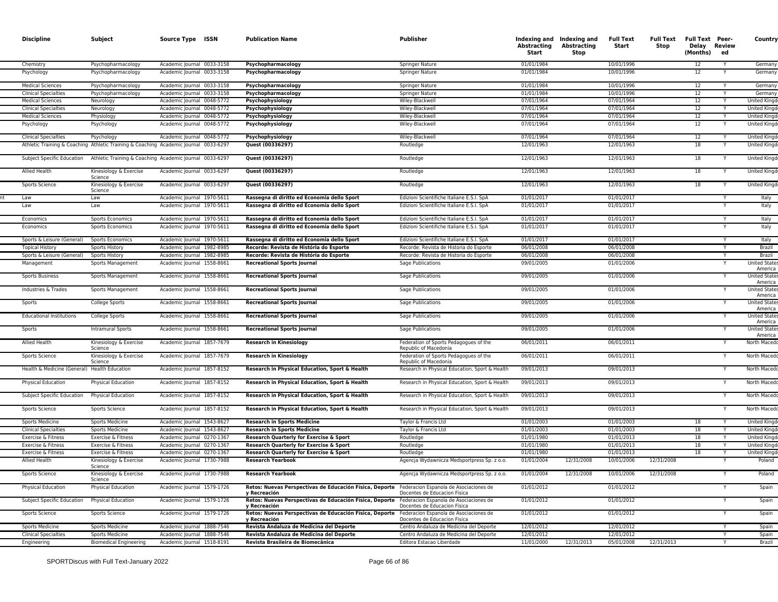| <b>Discipline</b>                            | Subject                           | Source Type ISSN                                                                     | <b>Publication Name</b>                                                 | <b>Publisher</b>                                                       | Abstracting<br>Start | Indexing and Indexing and<br><b>Abstracting</b><br>Stop | <b>Full Text</b><br>Start | Stop       | Full Text Full Text Peer-<br>Delay Review<br>(Months) | ed | Country                        |
|----------------------------------------------|-----------------------------------|--------------------------------------------------------------------------------------|-------------------------------------------------------------------------|------------------------------------------------------------------------|----------------------|---------------------------------------------------------|---------------------------|------------|-------------------------------------------------------|----|--------------------------------|
| Chemistry                                    | Psychopharmacology                | Academic Journal 0033-3158                                                           | Psychopharmacology                                                      | Springer Nature                                                        | 01/01/1984           |                                                         | 10/01/1996                |            | 12                                                    |    | Germany                        |
| Psychology                                   | Psychopharmacology                | Academic Journal 0033-3158                                                           | Psychopharmacology                                                      | Springer Nature                                                        | 01/01/1984           |                                                         | 10/01/1996                |            | 12                                                    |    | Germany                        |
| <b>Medical Sciences</b>                      | Psychopharmacology                | Academic Journal 0033-3158                                                           | Psychopharmacology                                                      | Springer Nature                                                        | 01/01/1984           |                                                         | 10/01/1996                |            | 12                                                    |    | Germany                        |
| <b>Clinical Specialties</b>                  | Psychopharmacology                | Academic Journal 0033-3158                                                           | Psychopharmacology                                                      | Springer Nature                                                        | 01/01/1984           |                                                         | 10/01/1996                |            | 12                                                    |    | Germany                        |
| <b>Medical Sciences</b>                      | Neurology                         | Academic lournal 0048-5772                                                           | Psychophysiology                                                        | Wilev-Blackwell                                                        | 07/01/1964           |                                                         | 07/01/1964                |            | 12                                                    | Y  | <b>United Kingd</b>            |
| <b>Clinical Specialties</b>                  | Neurology                         | Academic Journal 0048-5772                                                           | Psychophysiology                                                        | Wiley-Blackwell                                                        | 07/01/1964           |                                                         | 07/01/1964                |            | 12                                                    | Y  | <b>United Kingo</b>            |
| <b>Medical Sciences</b>                      | Physiology                        | Academic Journal 0048-5772                                                           | Psychophysiology                                                        | Wiley-Blackwel                                                         | 07/01/1964           |                                                         | 07/01/1964                |            | 12                                                    |    | <b>United King</b>             |
| Psychology                                   | Psychology                        | Academic Journal 0048-5772                                                           | Psychophysiology                                                        | Wiley-Blackwell                                                        | 07/01/1964           |                                                         | 07/01/1964                |            | 12                                                    |    | <b>United Kingo</b>            |
| <b>Clinical Specialties</b>                  | Psychology                        | Academic Journal 0048-5772                                                           | Psychophysiology                                                        | Wiley-Blackwell                                                        | 07/01/1964           |                                                         | 07/01/1964                |            | 12                                                    |    | United King                    |
|                                              |                                   | Athletic Training & Coaching Athletic Training & Coaching Academic Journal 0033-6297 | Quest (00336297)                                                        | Routledge                                                              | 12/01/1963           |                                                         | 12/01/1963                |            | 18                                                    |    | United King                    |
|                                              |                                   | Subject Specific Education Athletic Training & Coaching Academic Journal 0033-6297   | Quest (00336297)                                                        | Routledge                                                              | 12/01/1963           |                                                         | 12/01/1963                |            | 18                                                    |    | <b>United Kingd</b>            |
| <b>Allied Health</b>                         | Kinesiology & Exercise<br>Science | Academic Journal 0033-6297                                                           | Quest (00336297)                                                        | Routledge                                                              | 12/01/1963           |                                                         | 12/01/1963                |            | 18                                                    |    | <b>United Kingd</b>            |
| Sports Science                               | Kinesiology & Exercise<br>Science | Academic Journal 0033-6297                                                           | Quest (00336297)                                                        | Routledge                                                              | 12/01/1963           |                                                         | 12/01/1963                |            | 18                                                    |    | <b>United Kingd</b>            |
| Law                                          | Law                               | Academic Journal 1970-5611                                                           | Rassegna di diritto ed Economia dello Sport                             | Edizioni Scientifiche Italiane E.S.I. SpA                              | 01/01/2017           |                                                         | 01/01/2017                |            |                                                       |    | Italy                          |
| Law                                          | Law                               | Academic Journal 1970-5611                                                           | Rassegna di diritto ed Economia dello Sport                             | Edizioni Scientifiche Italiane E.S.I. SpA                              | 01/01/2017           |                                                         | 01/01/2017                |            |                                                       |    | Italy                          |
| Economics                                    | <b>Sports Economics</b>           | Academic Journal 1970-5611                                                           | Rassegna di diritto ed Economia dello Sport                             | Edizioni Scientifiche Italiane E.S.I. SpA                              | 01/01/2017           |                                                         | 01/01/2017                |            |                                                       |    | Italy                          |
| Economics                                    | <b>Sports Economics</b>           | Academic Journal 1970-5611                                                           | Rassegna di diritto ed Economia dello Sport                             | Edizioni Scientifiche Italiane E.S.I. SpA                              | 01/01/2017           |                                                         | 01/01/2017                |            |                                                       |    | Italy                          |
| Sports & Leisure (General)                   | Sports Economics                  | Academic Journal 1970-5611                                                           | Rassegna di diritto ed Economia dello Sport                             | Edizioni Scientifiche Italiane E.S.I. SpA                              | 01/01/2017           |                                                         | 01/01/2017                |            |                                                       |    | Italy                          |
| <b>Topical History</b>                       | Sports History                    | Academic Journal 1982-8985                                                           | Recorde: Revista de História do Esporte                                 | Recorde: Revista de Historia do Esporte                                | 06/01/2008           |                                                         | 06/01/2008                |            |                                                       |    | Brazil                         |
| Sports & Leisure (General)                   | Sports History                    | Academic Journal 1982-8985                                                           | Recorde: Revista de História do Esporte                                 | Recorde: Revista de Historia do Esporte                                | 06/01/2008           |                                                         | 06/01/2008                |            |                                                       |    | Brazil                         |
| Management                                   | Sports Management                 | Academic Journal 1558-8661                                                           | <b>Recreational Sports Journal</b>                                      | Sage Publications                                                      | 09/01/2005           |                                                         | 01/01/2006                |            |                                                       |    | United State<br>America        |
| Sports Business                              | Sports Management                 | Academic Journal 1558-8661                                                           | <b>Recreational Sports Journal</b>                                      | Sage Publications                                                      | 09/01/2005           |                                                         | 01/01/2006                |            |                                                       |    | <b>United State</b><br>America |
| Industries & Trades                          | Sports Management                 | Academic Journal 1558-8661                                                           | <b>Recreational Sports Journal</b>                                      | Sage Publications                                                      | 09/01/2005           |                                                         | 01/01/2006                |            |                                                       |    | <b>United State</b><br>America |
| Sports                                       | College Sports                    | Academic Journal 1558-8661                                                           | <b>Recreational Sports Journal</b>                                      | Sage Publications                                                      | 09/01/2005           |                                                         | 01/01/2006                |            |                                                       |    | <b>United State</b><br>America |
| <b>Educational Institutions</b>              | College Sports                    | Academic Journal 1558-8661                                                           | <b>Recreational Sports Journal</b>                                      | Sage Publications                                                      | 09/01/2005           |                                                         | 01/01/2006                |            |                                                       |    | <b>United State</b><br>America |
| Sports                                       | <b>Intramural Sports</b>          | Academic Journal 1558-8661                                                           | <b>Recreational Sports Journal</b>                                      | Sage Publications                                                      | 09/01/2005           |                                                         | 01/01/2006                |            |                                                       |    | <b>United State</b><br>America |
| Allied Health                                | Kinesiology & Exercise<br>Science | Academic Journal 1857-7679                                                           | <b>Research in Kinesiology</b>                                          | Federation of Sports Pedagogues of the<br>Republic of Macedonia        | 06/01/2011           |                                                         | 06/01/2011                |            |                                                       |    | North Macedo                   |
| Sports Science                               | Kinesiology & Exercise<br>Science | Academic Journal 1857-7679                                                           | <b>Research in Kinesiology</b>                                          | Federation of Sports Pedagogues of the<br>Republic of Macedonia        | 06/01/2011           |                                                         | 06/01/2011                |            |                                                       |    | North Macedo                   |
| Health & Medicine (General) Health Education |                                   | Academic Journal 1857-8152                                                           | Research in Physical Education, Sport & Health                          | Research in Physical Education, Sport & Health                         | 09/01/2013           |                                                         | 09/01/2013                |            |                                                       |    | North Macedo                   |
| Physical Education                           | Physical Education                | Academic Journal 1857-8152                                                           | Research in Physical Education, Sport & Health                          | Research in Physical Education, Sport & Health                         | 09/01/2013           |                                                         | 09/01/2013                |            |                                                       |    | North Macedo                   |
| Subject Specific Education                   | Physical Education                | Academic Journal 1857-8152                                                           | Research in Physical Education, Sport & Health                          | Research in Physical Education, Sport & Health                         | 09/01/2013           |                                                         | 09/01/2013                |            |                                                       |    | North Macedo                   |
| Sports Science                               | Sports Science                    | Academic Journal 1857-8152                                                           | Research in Physical Education, Sport & Health                          | Research in Physical Education, Sport & Health                         | 09/01/2013           |                                                         | 09/01/2013                |            |                                                       |    | North Macedo                   |
| <b>Sports Medicine</b>                       | <b>Sports Medicine</b>            | Academic Journal 1543-8627                                                           | <b>Research in Sports Medicine</b>                                      | Taylor & Francis Ltd                                                   | 01/01/2003           |                                                         | 01/01/2003                |            | 18                                                    |    | United King                    |
| <b>Clinical Specialties</b>                  | <b>Sports Medicine</b>            | Academic Journal 1543-8627                                                           | <b>Research in Sports Medicine</b>                                      | Taylor & Francis Ltd                                                   | 01/01/2003           |                                                         | 01/01/2003                |            | 18                                                    |    | United King                    |
| Exercise & Fitness                           | Exercise & Fitness                | Academic Journal 0270-1367                                                           | Research Quarterly for Exercise & Sport                                 | Routledge                                                              | 01/01/1980           |                                                         | 01/01/2013                |            | 18                                                    |    | United King                    |
| Exercise & Fitness                           | Exercise & Fitness                | Academic Journal 0270-1367                                                           | Research Quarterly for Exercise & Sport                                 | Routledge                                                              | 01/01/1980           |                                                         | 01/01/2013                |            | 18                                                    |    | <b>United Kingo</b>            |
| Exercise & Fitness                           | Exercise & Fitness                | Academic Journal 0270-1367                                                           | Research Quarterly for Exercise & Sport                                 | Routledge                                                              | 01/01/1980           |                                                         | 01/01/2013                |            | 18                                                    |    | <b>United Kingo</b>            |
| Allied Health                                | Kinesiology & Exercise<br>Science | Academic Journal 1730-7988                                                           | <b>Research Yearbook</b>                                                | Agencja Wydawnicza Medsportpress Sp. z o.o.                            | 01/01/2004           | 12/31/2008                                              | 10/01/2006                | 12/31/2008 |                                                       |    | Poland                         |
| Sports Science                               | Kinesiology & Exercise<br>Science | Academic Journal 1730-7988                                                           | <b>Research Yearbook</b>                                                | Agencja Wydawnicza Medsportpress Sp. z o.o.                            | 01/01/2004           | 12/31/2008                                              | 10/01/2006                | 12/31/2008 |                                                       |    | Poland                         |
| Physical Education                           | Physical Education                | Academic Journal 1579-1726                                                           | Retos: Nuevas Perspectivas de Educación Física, Deporte<br>v Recreación | Federacion Espanola de Asociaciones de<br>Docentes de Educacion Fisica | 01/01/2012           |                                                         | 01/01/2012                |            |                                                       |    | Spain                          |
| Subject Specific Education                   | Physical Education                | Academic Journal 1579-1726                                                           | Retos: Nuevas Perspectivas de Educación Física, Deporte<br>y Recreación | Federacion Espanola de Asociaciones de<br>Docentes de Educacion Fisica | 01/01/2012           |                                                         | 01/01/2012                |            |                                                       |    | Spain                          |
| Sports Science                               | Sports Science                    | Academic Journal 1579-1726                                                           | Retos: Nuevas Perspectivas de Educación Física, Deporte<br>y Recreación | Federacion Espanola de Asociaciones de<br>Docentes de Educacion Fisica | 01/01/2012           |                                                         | 01/01/2012                |            |                                                       |    | Spain                          |
| Sports Medicine                              | Sports Medicine                   | Academic Journal 1888-7546                                                           | Revista Andaluza de Medicina del Deporte                                | Centro Andaluza de Medicina del Deporte                                | 12/01/2012           |                                                         | 12/01/2012                |            |                                                       |    | Spain                          |
| <b>Clinical Specialties</b>                  | Sports Medicine                   | Academic lournal 1888-7546                                                           | Revista Andaluza de Medicina del Deporte                                | Centro Andaluza de Medicina del Deporte                                | 12/01/2012           |                                                         | 12/01/2012                |            |                                                       |    | Spain                          |
| Engineering                                  | <b>Biomedical Engineering</b>     | Academic Journal 1518-8191                                                           | Revista Brasileira de Biomecânica                                       | Editora Estacao Liberdade                                              | 11/01/2000           | 12/31/2013                                              | 05/01/2008                | 12/31/2013 |                                                       |    | <b>Brazil</b>                  |
|                                              |                                   |                                                                                      |                                                                         |                                                                        |                      |                                                         |                           |            |                                                       |    |                                |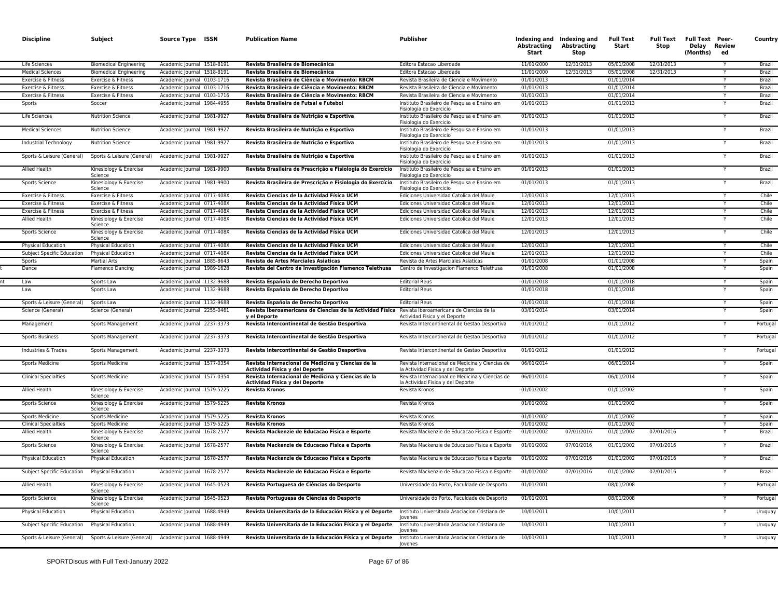| <b>Discipline</b>                                | Subject                                         | Source Type ISSN                                         | <b>Publication Name</b>                                                                                                | Publisher                                                                                       | Abstracting<br>Start     | Indexing and Indexing and<br><b>Abstracting</b><br>Stop | <b>Full Text</b><br>Start | <b>Full Text</b><br>Stop | <b>Full Text Peer-</b><br>Delay Review<br>(Months) | ed | Country            |
|--------------------------------------------------|-------------------------------------------------|----------------------------------------------------------|------------------------------------------------------------------------------------------------------------------------|-------------------------------------------------------------------------------------------------|--------------------------|---------------------------------------------------------|---------------------------|--------------------------|----------------------------------------------------|----|--------------------|
| Life Sciences                                    | <b>Biomedical Engineering</b>                   | Academic Journal 1518-8191                               | Revista Brasileira de Biomecânica                                                                                      | Editora Estacao Liberdade                                                                       | 11/01/2000               | 12/31/2013                                              | 05/01/2008                | 12/31/2013               |                                                    |    | Brazil             |
| <b>Medical Sciences</b>                          | <b>Biomedical Engineering</b>                   | Academic Journal 1518-8191                               | Revista Brasileira de Biomecânica                                                                                      | Editora Estacao Liberdade                                                                       | 11/01/2000               | 12/31/2013                                              | 05/01/2008                | 12/31/2013               |                                                    |    | Brazil             |
| Exercise & Fitness                               | Exercise & Fitness                              | Academic Journal 0103-1716                               | Revista Brasileira de Ciência e Movimento: RBCM                                                                        | Revista Brasileira de Ciencia e Movimento                                                       | 01/01/2013               |                                                         | 01/01/2014                |                          |                                                    |    | Brazil             |
| Exercise & Fitness                               | Exercise & Fitness                              | Academic Journal 0103-1716                               | Revista Brasileira de Ciência e Movimento: RBCM                                                                        | Revista Brasileira de Ciencia e Movimento                                                       | 01/01/2013               |                                                         | 01/01/2014                |                          |                                                    |    | Brazil             |
| Exercise & Fitness                               | Exercise & Fitness                              | Academic Journal 0103-1716                               | Revista Brasileira de Ciência e Movimento: RBCM                                                                        | Revista Brasileira de Ciencia e Movimento                                                       | 01/01/2013               |                                                         | 01/01/2014                |                          |                                                    |    | Brazil             |
| Sports                                           | Soccer                                          | Academic Journal 1984-4956                               | Revista Brasileira de Futsal e Futebol                                                                                 | Instituto Brasileiro de Pesquisa e Ensino em<br>Fisiologia do Exercicio                         | 01/01/2013               |                                                         | 01/01/2013                |                          |                                                    |    | Brazil             |
| Life Sciences                                    | Nutrition Science                               | Academic Journal 1981-9927                               | Revista Brasileira de Nutrição e Esportiva                                                                             | Instituto Brasileiro de Pesquisa e Ensino em<br>Fisiologia do Exercicio                         | 01/01/2013               |                                                         | 01/01/2013                |                          |                                                    |    | Brazil             |
| <b>Medical Sciences</b>                          | <b>Nutrition Science</b>                        | Academic Journal 1981-9927                               | Revista Brasileira de Nutrição e Esportiva                                                                             | Instituto Brasileiro de Pesquisa e Ensino em<br>Fisiologia do Exercicio                         | 01/01/2013               |                                                         | 01/01/2013                |                          |                                                    |    | Brazil             |
| Industrial Technology                            | <b>Nutrition Science</b>                        | Academic Journal 1981-9927                               | Revista Brasileira de Nutrição e Esportiva                                                                             | Instituto Brasileiro de Pesquisa e Ensino em<br>Fisiologia do Exercicio                         | 01/01/2013               |                                                         | 01/01/2013                |                          |                                                    |    | Brazil             |
| Sports & Leisure (General)                       | Sports & Leisure (General)                      | Academic Journal 1981-9927                               | Revista Brasileira de Nutrição e Esportiva                                                                             | Instituto Brasileiro de Pesquisa e Ensino em<br>Fisiologia do Exercicio                         | 01/01/2013               |                                                         | 01/01/2013                |                          |                                                    |    | Brazil             |
| Allied Health                                    | Kinesiology & Exercise<br>Science               | Academic Journal 1981-9900                               | Revista Brasileira de Prescrição e Fisiologia do Exercício                                                             | Instituto Brasileiro de Pesquisa e Ensino em<br>Fisiologia do Exercicio                         | 01/01/2013               |                                                         | 01/01/2013                |                          |                                                    |    | Brazil             |
| Sports Science                                   | Kinesiology & Exercise<br>Science               | Academic Journal 1981-9900                               | Revista Brasileira de Prescrição e Fisiologia do Exercício                                                             | Instituto Brasileiro de Pesquisa e Ensino em<br>Fisiologia do Exercicio                         | 01/01/2013               |                                                         | 01/01/2013                |                          |                                                    |    | Brazil             |
| Exercise & Fitness                               | Exercise & Fitness                              | Academic Journal 0717-408X                               | Revista Ciencias de la Actividad Física UCM                                                                            | Ediciones Universidad Catolica del Maule                                                        | 12/01/2013               |                                                         | 12/01/2013                |                          |                                                    |    | Chile              |
| Exercise & Fitness                               | Exercise & Fitness                              | Academic Journal 0717-408X                               | Revista Ciencias de la Actividad Física UCM                                                                            | Ediciones Universidad Catolica del Maule                                                        | 12/01/2013               |                                                         | 12/01/2013                |                          |                                                    |    | Chile              |
| Exercise & Fitness                               | Exercise & Fitness                              | Academic Journal 0717-408X                               | Revista Ciencias de la Actividad Física UCM                                                                            | Ediciones Universidad Catolica del Maule                                                        | 12/01/2013               |                                                         | 12/01/2013                |                          |                                                    |    | Chile              |
| Allied Health                                    | Kinesiology & Exercise<br>Science               | Academic Journal 0717-408X                               | Revista Ciencias de la Actividad Física UCM                                                                            | Ediciones Universidad Catolica del Maule                                                        | 12/01/2013               |                                                         | 12/01/2013                |                          |                                                    |    | Chile              |
| Sports Science                                   | Kinesiology & Exercise<br>Science               | Academic Journal 0717-408X                               | Revista Ciencias de la Actividad Física UCM                                                                            | Ediciones Universidad Catolica del Maule                                                        | 12/01/2013               |                                                         | 12/01/2013                |                          |                                                    |    | Chile              |
| Physical Education                               | Physical Education                              | Academic Journal 0717-408X                               | Revista Ciencias de la Actividad Física UCM                                                                            | Ediciones Universidad Catolica del Maule                                                        | 12/01/2013               |                                                         | 12/01/2013                |                          |                                                    |    | Chile              |
| Subject Specific Education                       | <b>Physical Education</b>                       | Academic Journal 0717-408X                               | Revista Ciencias de la Actividad Física UCM                                                                            | Ediciones Universidad Catolica del Maule                                                        | 12/01/2013               |                                                         | 12/01/2013                |                          |                                                    |    | Chile              |
| Sports                                           | <b>Martial Arts</b>                             | Academic Journal 1885-8643                               | Revista de Artes Marciales Asiaticas                                                                                   | Revista de Artes Marciales Asiaticas                                                            | 01/01/2008               |                                                         | 01/01/2008                |                          |                                                    |    | Spain              |
| Dance                                            | <b>Flamenco Dancing</b>                         | Academic Journal 1989-1628                               | Revista del Centro de Investigación Flamenco Telethusa                                                                 | Centro de Investigacion Flamenco Telethusa                                                      | 01/01/2008               |                                                         | 01/01/2008                |                          |                                                    |    | Spain              |
| Law                                              | Sports Law                                      | Academic Journal 1132-9688                               | Revista Española de Derecho Deportivo                                                                                  | <b>Editorial Reus</b>                                                                           | 01/01/2018               |                                                         | 01/01/2018                |                          |                                                    |    | Spain              |
| Law                                              | Sports Law                                      | Academic Journal 1132-9688                               | Revista Española de Derecho Deportivo                                                                                  | <b>Editorial Reus</b>                                                                           | 01/01/2018               |                                                         | 01/01/2018                |                          |                                                    |    | Spain              |
| Sports & Leisure (General)                       | Sports Law                                      | Academic Journal 1132-9688                               | Revista Española de Derecho Deportivo                                                                                  | <b>Editorial Reus</b>                                                                           | 01/01/2018               |                                                         | 01/01/2018                |                          |                                                    |    | Spain              |
| Science (General)                                | Science (General)                               | Academic Journal 2255-0461                               | Revista Iberoamericana de Ciencias de la Actividad Física<br>y el Deporte                                              | Revista Iberoamericana de Ciencias de la<br>Actividad Fisica y el Deporte                       | 03/01/2014               |                                                         | 03/01/2014                |                          |                                                    |    | Spain              |
| Management                                       | Sports Management                               | Academic Journal 2237-3373                               | Revista Intercontinental de Gestão Desportiva                                                                          | Revista Intercontinental de Gestao Desportiva                                                   | 01/01/2012               |                                                         | 01/01/2012                |                          |                                                    |    | Portugal           |
| <b>Sports Business</b>                           | Sports Management                               | Academic Journal 2237-3373                               | Revista Intercontinental de Gestão Desportiva                                                                          | Revista Intercontinental de Gestao Desportiva                                                   | 01/01/2012               |                                                         | 01/01/2012                |                          |                                                    |    | Portugal           |
| Industries & Trades                              | Sports Management                               | Academic Journal 2237-3373                               | Revista Intercontinental de Gestão Desportiva                                                                          | Revista Intercontinental de Gestao Desportiva                                                   | 01/01/2012               |                                                         | 01/01/2012                |                          |                                                    |    | Portugal           |
| Sports Medicine                                  | <b>Sports Medicine</b>                          | Academic Journal 1577-0354                               | Revista Internacional de Medicina y Ciencias de la<br>Actividad Física y del Deporte                                   | Revista Internacional de Medicina y Ciencias de<br>la Actividad Fisica y del Deporte            | 06/01/2014               |                                                         | 06/01/2014                |                          |                                                    |    | Spain              |
| <b>Clinical Specialties</b>                      | <b>Sports Medicine</b>                          | Academic Journal 1577-0354                               | Revista Internacional de Medicina y Ciencias de la<br>Actividad Física y del Deporte                                   | Revista Internacional de Medicina y Ciencias de<br>la Actividad Fisica y del Deporte            | 06/01/2014               |                                                         | 06/01/2014                |                          |                                                    |    | Spain              |
| Allied Health                                    | Kinesiology & Exercise<br>Science               | Academic Journal 1579-5225                               | <b>Revista Kronos</b>                                                                                                  | Revista Kronos                                                                                  | 01/01/2002               |                                                         | 01/01/2002                |                          |                                                    |    | Spain              |
| Sports Science                                   | Kinesiology & Exercise<br>Science               | Academic Journal 1579-5225                               | Revista Kronos                                                                                                         | Revista Kronos                                                                                  | 01/01/2002               |                                                         | 01/01/2002                |                          |                                                    |    | Spain              |
| Sports Medicine                                  | <b>Sports Medicine</b>                          | Academic Journal 1579-5225                               | <b>Revista Kronos</b>                                                                                                  | Revista Kronos                                                                                  | 01/01/2002               |                                                         | 01/01/2002                |                          |                                                    |    | Spain              |
| <b>Clinical Specialties</b>                      | <b>Sports Medicine</b>                          | Academic Journal 1579-5225                               | <b>Revista Kronos</b>                                                                                                  | Revista Kronos                                                                                  | 01/01/2002               |                                                         | 01/01/2002                |                          |                                                    |    | Spain              |
| Allied Health                                    | Kinesiology & Exercise<br>Science               | Academic Journal 1678-2577                               | Revista Mackenzie de Educacao Fisica e Esporte                                                                         | Revista Mackenzie de Educacao Fisica e Esporte                                                  | 01/01/2002               | 07/01/2016                                              | 01/01/2002                | 07/01/2016               |                                                    |    | Brazil             |
| Sports Science                                   | Kinesiology & Exercise<br>Science               | Academic Journal 1678-2577                               | Revista Mackenzie de Educacao Fisica e Esporte                                                                         | Revista Mackenzie de Educacao Fisica e Esporte                                                  | 01/01/2002               | 07/01/2016                                              | 01/01/2002                | 07/01/2016               |                                                    |    | Brazil             |
| Physical Education                               | Physical Education                              | Academic Journal 1678-2577                               | Revista Mackenzie de Educacao Fisica e Esporte                                                                         | Revista Mackenzie de Educacao Fisica e Esporte                                                  | 01/01/2002               | 07/01/2016                                              | 01/01/2002                | 07/01/2016               |                                                    |    | Brazil             |
| Subject Specific Education                       | Physical Education                              | Academic Journal 1678-2577                               | Revista Mackenzie de Educacao Fisica e Esporte                                                                         | Revista Mackenzie de Educacao Fisica e Esporte                                                  | 01/01/2002               | 07/01/2016                                              | 01/01/2002                | 07/01/2016               |                                                    |    | Brazil             |
| Allied Health                                    | Kinesiology & Exercise<br>Science               | Academic Journal 1645-0523                               | Revista Portuguesa de Ciências do Desporto                                                                             | Universidade do Porto, Faculdade de Desporto                                                    | 01/01/2001               |                                                         | 08/01/2008                |                          |                                                    |    | Portugal           |
| Sports Science                                   | Kinesiology & Exercise<br>Science               | Academic Journal 1645-0523                               | Revista Portuguesa de Ciências do Desporto                                                                             | Universidade do Porto, Faculdade de Desporto<br>Instituto Universitaria Asociacion Cristiana de | 01/01/2001<br>10/01/2011 |                                                         | 08/01/2008                |                          |                                                    | Y  | Portugal           |
| Physical Education<br>Subject Specific Education | Physical Education<br><b>Physical Education</b> | Academic Journal 1688-4949<br>Academic Journal 1688-4949 | Revista Universitaria de la Educación Física y el Deporte<br>Revista Universitaria de la Educación Física y el Deporte | Jovenes<br>Instituto Universitaria Asociacion Cristiana de                                      | 10/01/2011               |                                                         | 10/01/2011<br>10/01/2011  |                          |                                                    |    | Uruguay<br>Uruguay |
| Sports & Leisure (General)                       | Sports & Leisure (General)                      | Academic Journal 1688-4949                               | Revista Universitaria de la Educación Física y el Deporte                                                              | Jovenes<br>Instituto Universitaria Asociacion Cristiana de                                      | 10/01/2011               |                                                         | 10/01/2011                |                          |                                                    |    | Uruguay            |
|                                                  |                                                 |                                                          |                                                                                                                        | Jovenes                                                                                         |                          |                                                         |                           |                          |                                                    |    |                    |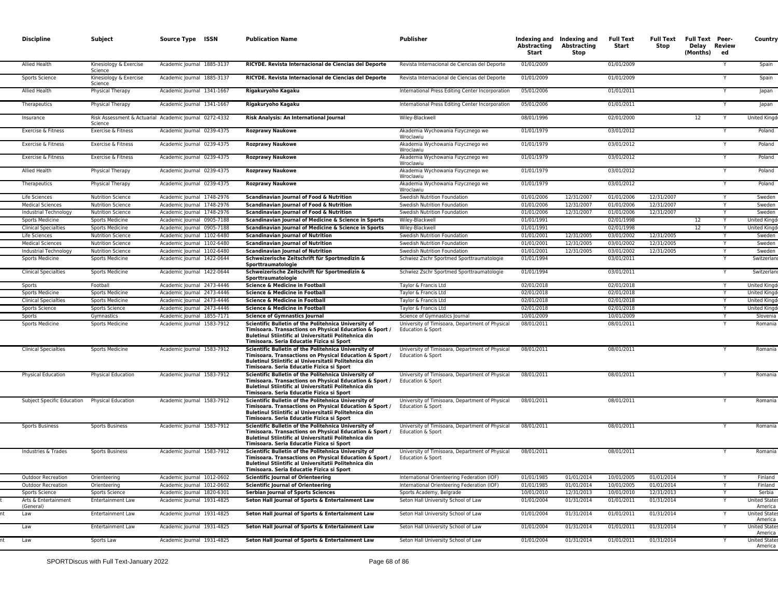|           | <b>Discipline</b>                 | Subject                                                           | Source Type ISSN           | <b>Publication Name</b>                                                                                                                                                                                               | Publisher                                                            | Abstracting<br>Start | Indexing and Indexing and<br>Abstracting<br>Stop | <b>Full Text</b><br>Start | Full Text<br>Stop | <b>Full Text Peer-</b><br>Delay Review<br>(Months) | ed | Country                         |
|-----------|-----------------------------------|-------------------------------------------------------------------|----------------------------|-----------------------------------------------------------------------------------------------------------------------------------------------------------------------------------------------------------------------|----------------------------------------------------------------------|----------------------|--------------------------------------------------|---------------------------|-------------------|----------------------------------------------------|----|---------------------------------|
|           | Allied Health                     | Kinesiology & Exercise<br>Science                                 | Academic Journal 1885-3137 | RICYDE. Revista Internacional de Ciencias del Deporte                                                                                                                                                                 | Revista Internacional de Ciencias del Deporte                        | 01/01/2009           |                                                  | 01/01/2009                |                   |                                                    | Y  | Spain                           |
|           | Sports Science                    | Kinesiology & Exercise<br>Science                                 | Academic Journal 1885-3137 | RICYDE. Revista Internacional de Ciencias del Deporte                                                                                                                                                                 | Revista Internacional de Ciencias del Deporte                        | 01/01/2009           |                                                  | 01/01/2009                |                   |                                                    |    | Spain                           |
|           | Allied Health                     | Physical Therapy                                                  | Academic Journal 1341-1667 | Rigakuryoho Kagaku                                                                                                                                                                                                    | International Press Editing Center Incorporation                     | 05/01/2006           |                                                  | 01/01/2011                |                   |                                                    |    | Japan                           |
|           | Therapeutics                      | Physical Therapy                                                  | Academic Journal 1341-1667 | Rigakuryoho Kagaku                                                                                                                                                                                                    | International Press Editing Center Incorporation                     | 05/01/2006           |                                                  | 01/01/2011                |                   |                                                    |    | Japan                           |
|           | Insurance                         | Risk Assessment & Actuarial Academic Journal 0272-4332<br>Science |                            | Risk Analysis: An International Journal                                                                                                                                                                               | Wiley-Blackwell                                                      | 08/01/1996           |                                                  | 02/01/2000                |                   | 12                                                 |    | <b>United Kingd</b>             |
|           | Exercise & Fitness                | Exercise & Fitness                                                | Academic Journal 0239-4375 | <b>Rozprawy Naukowe</b>                                                                                                                                                                                               | Akademia Wychowania Fizycznego we<br>Wroclawiu                       | 01/01/1979           |                                                  | 03/01/2012                |                   |                                                    |    | Poland                          |
|           | Exercise & Fitness                | Exercise & Fitness                                                | Academic Journal 0239-4375 | <b>Rozprawy Naukowe</b>                                                                                                                                                                                               | Akademia Wychowania Fizycznego we<br>Wroclawiu                       | 01/01/1979           |                                                  | 03/01/2012                |                   |                                                    |    | Poland                          |
|           | Exercise & Fitness                | Exercise & Fitness                                                | Academic Journal 0239-4375 | <b>Rozprawy Naukowe</b>                                                                                                                                                                                               | Akademia Wychowania Fizycznego we<br>Wroclawiu                       | 01/01/1979           |                                                  | 03/01/2012                |                   |                                                    |    | Poland                          |
|           | Allied Health                     | Physical Therapy                                                  | Academic Journal 0239-4375 | <b>Rozprawy Naukowe</b>                                                                                                                                                                                               | Akademia Wychowania Fizycznego we<br>Wroclawiu                       | 01/01/1979           |                                                  | 03/01/2012                |                   |                                                    |    | Poland                          |
|           | Therapeutics                      | Physical Therapy                                                  | Academic Journal 0239-4375 | <b>Rozprawy Naukowe</b>                                                                                                                                                                                               | Akademia Wychowania Fizycznego we<br>Wroclawiu                       | 01/01/1979           |                                                  | 03/01/2012                |                   |                                                    |    | Poland                          |
|           | Life Sciences                     | <b>Nutrition Science</b>                                          | Academic Journal 1748-2976 | Scandinavian Journal of Food & Nutrition                                                                                                                                                                              | Swedish Nutrition Foundation                                         | 01/01/2006           | 12/31/2007                                       | 01/01/2006                | 12/31/2007        |                                                    |    | Sweden                          |
|           | <b>Medical Sciences</b>           | <b>Nutrition Science</b>                                          | Academic Journal 1748-2976 | Scandinavian Journal of Food & Nutrition                                                                                                                                                                              | Swedish Nutrition Foundation                                         | 01/01/2006           | 12/31/2007                                       | 01/01/2006                | 12/31/2007        |                                                    |    | Sweden                          |
|           | Industrial Technology             | <b>Nutrition Science</b>                                          | Academic Journal 1748-2976 | Scandinavian Journal of Food & Nutrition                                                                                                                                                                              | Swedish Nutrition Foundation                                         | 01/01/2006           | 12/31/2007                                       | 01/01/2006                | 12/31/2007        |                                                    | Y  | Sweden                          |
|           | <b>Sports Medicine</b>            | <b>Sports Medicine</b>                                            | Academic Journal 0905-7188 | Scandinavian Journal of Medicine & Science in Sports                                                                                                                                                                  | Wiley-Blackwell                                                      | 01/01/1991           |                                                  | 02/01/1998                |                   | 12                                                 |    | <b>United Kingd</b>             |
|           | <b>Clinical Specialties</b>       | <b>Sports Medicine</b>                                            | Academic Journal 0905-7188 | Scandinavian Journal of Medicine & Science in Sports                                                                                                                                                                  | Wiley-Blackwell                                                      | 01/01/1991           |                                                  | 02/01/1998                |                   | 12                                                 |    | <b>United Kingd</b>             |
|           | Life Sciences                     | <b>Nutrition Science</b>                                          | Academic Journal 1102-6480 | <b>Scandinavian Journal of Nutrition</b>                                                                                                                                                                              | Swedish Nutrition Foundation                                         | 01/01/2001           | 12/31/2005                                       | 03/01/2002                | 12/31/2005        |                                                    |    | Sweden                          |
|           | <b>Medical Sciences</b>           | <b>Nutrition Science</b>                                          | Academic Journal 1102-6480 | <b>Scandinavian lournal of Nutrition</b>                                                                                                                                                                              | Swedish Nutrition Foundation                                         | 01/01/2001           | 12/31/2005                                       | 03/01/2002                | 12/31/2005        |                                                    |    | Sweden                          |
|           | Industrial Technology             | <b>Nutrition Science</b>                                          | Academic Journal 1102-6480 | <b>Scandinavian Journal of Nutrition</b>                                                                                                                                                                              | Swedish Nutrition Foundation                                         | 01/01/2001           | 12/31/2005                                       | 03/01/2002                | 12/31/2005        |                                                    | Y  | Sweden                          |
|           | Sports Medicine                   | Sports Medicine                                                   | Academic lournal 1422-0644 | Schweizerische Zeitschrift für Sportmedizin &<br>Sporttraumatologie                                                                                                                                                   | Schwiez Zschr Sportmed Sporttraumatologie                            | 01/01/1994           |                                                  | 03/01/2011                |                   |                                                    |    | Switzerlar                      |
|           | <b>Clinical Specialties</b>       | <b>Sports Medicine</b>                                            | Academic lournal 1422-0644 | Schweizerische Zeitschrift für Sportmedizin &<br>Sporttraumatologie                                                                                                                                                   | Schwiez Zschr Sportmed Sporttraumatologie                            | 01/01/1994           |                                                  | 03/01/2011                |                   |                                                    |    | Switzerlan                      |
|           | Sports                            | Football                                                          | Academic lournal 2473-4446 | Science & Medicine in Football                                                                                                                                                                                        | Taylor & Francis Ltd                                                 | 02/01/2018           |                                                  | 02/01/2018                |                   |                                                    |    | <b>United Kingd</b>             |
|           | Sports Medicine                   | <b>Sports Medicine</b>                                            | Academic lournal 2473-4446 | <b>Science &amp; Medicine in Football</b>                                                                                                                                                                             | Taylor & Francis Ltd                                                 | 02/01/2018           |                                                  | 02/01/2018                |                   |                                                    |    | <b>United Kingo</b>             |
|           | <b>Clinical Specialties</b>       | <b>Sports Medicine</b>                                            | Academic Journal 2473-4446 | Science & Medicine in Football                                                                                                                                                                                        | Taylor & Francis Ltd                                                 | 02/01/2018           |                                                  | 02/01/2018                |                   |                                                    | Y  | <b>United Kingd</b>             |
|           | Sports Science                    | Sports Science                                                    | Academic Journal 2473-4446 | Science & Medicine in Football                                                                                                                                                                                        | Taylor & Francis Ltd                                                 | 02/01/2018           |                                                  | 02/01/2018                |                   |                                                    |    | <b>United Kingo</b>             |
|           | Sports                            | Gymnastics                                                        | Academic Journal 1855-7171 | <b>Science of Gymnastics Journal</b>                                                                                                                                                                                  | Science of Gymnastics Journal                                        | 10/01/2009           |                                                  | 10/01/2009                |                   |                                                    | Y  | Slovenia                        |
|           | Sports Medicine                   | Sports Medicine                                                   | Academic Journal 1583-7912 | Scientific Bulletin of the Politehnica University of<br>Timisoara. Transactions on Physical Education & Sport /<br>Buletinul Stiintific al Universitatii Politehnica din<br>Timisoara. Seria Educatie Fizica si Sport | University of Timisoara, Department of Physical<br>Education & Sport | 08/01/2011           |                                                  | 08/01/2011                |                   |                                                    |    | Romania                         |
|           | <b>Clinical Specialties</b>       | <b>Sports Medicine</b>                                            | Academic Journal 1583-7912 | Scientific Bulletin of the Politehnica University of<br>Timisoara. Transactions on Physical Education & Sport /<br>Buletinul Stiintific al Universitatii Politehnica din<br>Timisoara. Seria Educatie Fizica si Sport | University of Timisoara, Department of Physical<br>Education & Sport | 08/01/2011           |                                                  | 08/01/2011                |                   |                                                    |    | Romania                         |
|           | <b>Physical Education</b>         | <b>Physical Education</b>                                         | Academic Journal 1583-7912 | Scientific Bulletin of the Politehnica University of<br>Timisoara. Transactions on Physical Education & Sport /<br>Buletinul Stiintific al Universitatii Politehnica din<br>Timisoara. Seria Educatie Fizica si Sport | University of Timisoara, Department of Physical<br>Education & Sport | 08/01/2011           |                                                  | 08/01/2011                |                   |                                                    |    | Romania                         |
|           | Subject Specific Education        | <b>Physical Education</b>                                         | Academic Journal 1583-7912 | Scientific Bulletin of the Politehnica University of<br>Timisoara. Transactions on Physical Education & Sport /<br>Buletinul Stiintific al Universitatii Politehnica din<br>Timisoara. Seria Educatie Fizica si Sport | University of Timisoara, Department of Physical<br>Education & Sport | 08/01/2011           |                                                  | 08/01/2011                |                   |                                                    |    | Romania                         |
|           | <b>Sports Business</b>            | <b>Sports Business</b>                                            | Academic Journal 1583-7912 | Scientific Bulletin of the Politehnica University of<br>Timisoara. Transactions on Physical Education & Sport /<br>Buletinul Stiintific al Universitatii Politehnica din<br>Timisoara, Seria Educatie Fizica și Sport | University of Timisoara, Department of Physical<br>Education & Sport | 08/01/2011           |                                                  | 08/01/2011                |                   |                                                    |    | Romania                         |
|           | Industries & Trades               | <b>Sports Business</b>                                            | Academic Journal 1583-7912 | Scientific Bulletin of the Politehnica University of<br>Timisoara. Transactions on Physical Education & Sport /<br>Buletinul Stiintific al Universitatii Politehnica din<br>Timisoara. Seria Educatie Fizica si Sport | University of Timisoara, Department of Physical<br>Education & Sport | 08/01/2011           |                                                  | 08/01/2011                |                   |                                                    |    | Romania                         |
|           | <b>Outdoor Recreation</b>         | Orienteering                                                      | Academic Journal 1012-0602 | <b>Scientific Journal of Orienteering</b>                                                                                                                                                                             | International Orienteering Federation (IOF)                          | 01/01/1985           | 01/01/2014                                       | 10/01/2005                | 01/01/2014        |                                                    | Y  | Finland                         |
|           | <b>Outdoor Recreation</b>         | Orienteering                                                      | Academic Journal 1012-0602 | <b>Scientific Journal of Orienteering</b>                                                                                                                                                                             | International Orienteering Federation (IOF)                          | 01/01/1985           | 01/01/2014                                       | 10/01/2005                | 01/01/2014        |                                                    | Y  | Finland                         |
|           | Sports Science                    | Sports Science                                                    | Academic Journal 1820-6301 | <b>Serbian Journal of Sports Sciences</b>                                                                                                                                                                             | Sports Academy, Belgrade                                             | 10/01/2010           | 12/31/2013                                       | 10/01/2010                | 12/31/2013        |                                                    | Y  | Serbia                          |
|           | Arts & Entertainment<br>(General) | Entertainment Law                                                 | Academic Journal 1931-4825 | Seton Hall Journal of Sports & Entertainment Law                                                                                                                                                                      | Seton Hall University School of Law                                  | 01/01/2004           | 01/31/2014                                       | 01/01/2011                | 01/31/2014        |                                                    | Y  | <b>United States</b><br>America |
| Law       |                                   | Entertainment Law                                                 | Academic Journal 1931-4825 | Seton Hall Journal of Sports & Entertainment Law                                                                                                                                                                      | Seton Hall University School of Law                                  | 01/01/2004           | 01/31/2014                                       | 01/01/2011                | 01/31/2014        |                                                    |    | <b>United States</b><br>America |
| Law       |                                   | Entertainment Law                                                 | Academic Journal 1931-4825 | Seton Hall Journal of Sports & Entertainment Law                                                                                                                                                                      | Seton Hall University School of Law                                  | 01/01/2004           | 01/31/2014                                       | 01/01/2011                | 01/31/2014        |                                                    |    | <b>United States</b><br>America |
| nt<br>Law |                                   | Sports Law                                                        | Academic Journal 1931-4825 | Seton Hall Journal of Sports & Entertainment Law                                                                                                                                                                      | Seton Hall University School of Law                                  | 01/01/2004           | 01/31/2014                                       | 01/01/2011                | 01/31/2014        |                                                    |    | <b>United States</b><br>America |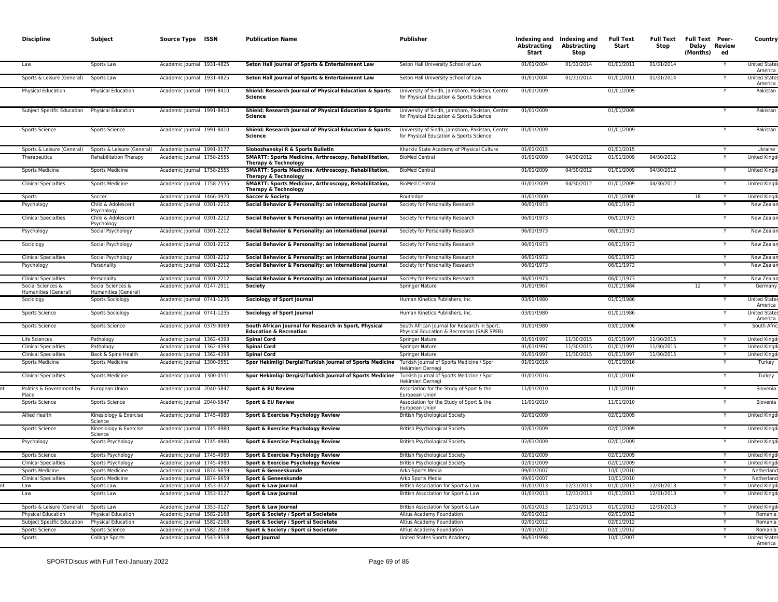| <b>Discipline</b>                         | Subject                                                | Source Type ISSN                                         | <b>Publication Name</b>                                                                    | <b>Publisher</b>                                                                            | <b>Abstracting</b><br>Start | Indexing and Indexing and<br>Abstracting<br>Stop | <b>Full Text</b><br>Start | <b>Full Text</b><br>Stop | <b>Full Text Peer-</b><br>Delay Review<br>(Months) | ed | Country                                    |
|-------------------------------------------|--------------------------------------------------------|----------------------------------------------------------|--------------------------------------------------------------------------------------------|---------------------------------------------------------------------------------------------|-----------------------------|--------------------------------------------------|---------------------------|--------------------------|----------------------------------------------------|----|--------------------------------------------|
| Law                                       | Sports Law                                             | Academic Journal 1931-4825                               | Seton Hall Journal of Sports & Entertainment Law                                           | Seton Hall University School of Law                                                         | 01/01/2004                  | 01/31/2014                                       | 01/01/2011                | 01/31/2014               |                                                    |    | United State<br>America                    |
| Sports & Leisure (General)                | Sports Law                                             | Academic Journal 1931-4825                               | Seton Hall Journal of Sports & Entertainment Law                                           | Seton Hall University School of Law                                                         | 01/01/2004                  | 01/31/2014                                       | 01/01/2011                | 01/31/2014               |                                                    | Y  | <b>United States</b><br>America            |
| <b>Physical Education</b>                 | Physical Education                                     | Academic Journal 1991-8410                               | Shield: Research Journal of Physical Education & Sports<br>Science                         | University of Sindh, Jamshoro, Pakistan, Centre<br>for Physical Education & Sports Science  | 01/01/2009                  |                                                  | 01/01/2009                |                          |                                                    |    | Pakistan                                   |
| Subject Specific Education                | <b>Physical Education</b>                              | Academic Journal 1991-8410                               | Shield: Research Journal of Physical Education & Sports<br><b>Science</b>                  | University of Sindh, Jamshoro, Pakistan, Centre<br>for Physical Education & Sports Science  | 01/01/2009                  |                                                  | 01/01/2009                |                          |                                                    |    | Pakistar                                   |
| Sports Science                            | Sports Science                                         | Academic Journal 1991-8410                               | Shield: Research Journal of Physical Education & Sports<br>Science                         | University of Sindh, Jamshoro, Pakistan, Centre<br>for Physical Education & Sports Science  | 01/01/2009                  |                                                  | 01/01/2009                |                          |                                                    |    | Pakistar                                   |
| Sports & Leisure (General)                | Sports & Leisure (General)                             | Academic Journal 1991-0177                               | Slobozhanskyi R & Sports Bulletin                                                          | Kharkiv State Academy of Physical Culture                                                   | 01/01/2015                  |                                                  | 01/01/2015                |                          |                                                    |    | Ukraine                                    |
| Therapeutics                              | Rehabilitation Therapy                                 | Academic Journal 1758-2555                               | SMARTT: Sports Medicine, Arthroscopy, Rehabilitation,<br><b>Therapy &amp; Technology</b>   | <b>BioMed Central</b>                                                                       | 01/01/2009                  | 04/30/2012                                       | 01/01/2009                | 04/30/2012               |                                                    |    | <b>United Kingd</b>                        |
| Sports Medicine                           | <b>Sports Medicine</b>                                 | Academic Journal 1758-2555                               | SMARTT: Sports Medicine, Arthroscopy, Rehabilitation,<br>Therapy & Technology              | <b>BioMed Central</b>                                                                       | 01/01/2009                  | 04/30/2012                                       | 01/01/2009                | 04/30/2012               |                                                    |    | <b>United Kinad</b>                        |
| <b>Clinical Specialties</b>               | Sports Medicine                                        | Academic Journal 1758-2555                               | SMARTT: Sports Medicine, Arthroscopy, Rehabilitation,<br><b>Therapy &amp; Technology</b>   | <b>BioMed Central</b>                                                                       | 01/01/2009                  | 04/30/2012                                       | 01/01/2009                | 04/30/2012               |                                                    |    | United Kingd                               |
| Sports                                    | Soccer                                                 | Academic Journal 1466-0970                               | Soccer & Society                                                                           | Routledae                                                                                   | 01/01/2000                  |                                                  | 01/01/2000                |                          | 18                                                 |    | United King                                |
| Psychology                                | Child & Adolescent<br>Psychology                       | Academic Journal 0301-2212                               | Social Behavior & Personality: an international journal                                    | Society for Personality Research                                                            | 06/01/1973                  |                                                  | 06/01/1973                |                          |                                                    |    | New Zealar                                 |
| <b>Clinical Specialties</b>               | Child & Adolescent<br>Psychology                       | Academic Journal 0301-2212                               | Social Behavior & Personality: an international journal                                    | Society for Personality Research                                                            | 06/01/1973                  |                                                  | 06/01/1973                |                          |                                                    |    | New Zealar                                 |
| Psychology                                | Social Psychology                                      | Academic Journal 0301-2212                               | Social Behavior & Personality: an international journal                                    | Society for Personality Research                                                            | 06/01/1973                  |                                                  | 06/01/1973                |                          |                                                    |    | New Zealar                                 |
| Sociology                                 | Social Psychology                                      | Academic Journal 0301-2212                               | Social Behavior & Personality: an international journal                                    | Society for Personality Research                                                            | 06/01/1973                  |                                                  | 06/01/1973                |                          |                                                    |    | New Zealar                                 |
| <b>Clinical Specialties</b>               | Social Psychology                                      | Academic Journal 0301-2212                               | Social Behavior & Personality: an international journal                                    | Society for Personality Research                                                            | 06/01/1973                  |                                                  | 06/01/1973                |                          |                                                    |    | New Zealan                                 |
| Psychology                                | Personality                                            | Academic Journal 0301-2212                               | Social Behavior & Personality: an international journal                                    | Society for Personality Research                                                            | 06/01/1973                  |                                                  | 06/01/1973                |                          |                                                    |    | New Zeala                                  |
| <b>Clinical Specialties</b>               | Personality                                            | Academic lournal 0301-2212                               | Social Behavior & Personality: an international journal                                    | Society for Personality Research                                                            | 06/01/1973                  |                                                  | 06/01/1973                |                          |                                                    |    | New Zealar                                 |
| Social Sciences &<br>Humanities (General) | Social Sciences &<br>Humanities (General)              | Academic Journal 0147-2011                               | Society                                                                                    | Springer Nature                                                                             | 01/01/1967                  |                                                  | 01/01/1984                |                          | 12                                                 |    | Germany                                    |
| Sociology                                 | <b>Sports Sociology</b>                                | Academic Journal 0741-1235                               | <b>Sociology of Sport Journal</b>                                                          | Human Kinetics Publishers, Inc.                                                             | 03/01/1980                  |                                                  | 01/01/1986                |                          |                                                    |    | <b>United States</b><br>America            |
| Sports Science                            | Sports Sociology                                       | Academic Journal 0741-1235                               | <b>Sociology of Sport Journal</b>                                                          | Human Kinetics Publishers, Inc                                                              | 03/01/1980                  |                                                  | 01/01/1986                |                          |                                                    |    | <b>United State:</b><br>America            |
| Sports Science                            | Sports Science                                         | Academic Journal 0379-9069                               | South African Journal for Research in Sport, Physical<br><b>Education &amp; Recreation</b> | South African Journal for Research in Sport,<br>Physical Education & Recreation (SAJR SPER) | 01/01/1980                  |                                                  | 03/01/2006                |                          |                                                    | Y  | South Afric                                |
| Life Sciences                             | Pathology                                              | Academic Journal 1362-4393                               | Spinal Cord                                                                                | Springer Nature                                                                             | 01/01/1997                  | 11/30/2015                                       | 01/01/1997                | 11/30/2015               |                                                    |    | <b>United Kingo</b>                        |
| <b>Clinical Specialties</b>               | Pathology                                              | Academic Journal 1362-4393                               | <b>Spinal Cord</b>                                                                         | Springer Nature                                                                             | 01/01/1997                  | 11/30/2015                                       | 01/01/1997                | 11/30/2015               |                                                    |    | <b>United Kingo</b>                        |
| <b>Clinical Specialties</b>               | Back & Spine Health                                    | Academic Journal 1362-4393                               | <b>Spinal Cord</b>                                                                         | Springer Nature                                                                             | 01/01/1997                  | 11/30/2015                                       | 01/01/1997                | 11/30/2015               |                                                    |    | <b>United Kingo</b>                        |
| Sports Medicine                           | <b>Sports Medicine</b>                                 | Academic Journal 1300-0551                               | Spor Hekimligi Dergisi/Turkish Journal of Sports Medicine                                  | Turkish Journal of Sports Medicine / Spor<br>Hekimleri Dernegi                              | 01/01/2016                  |                                                  | 01/01/2016                |                          |                                                    |    | Turkey                                     |
| <b>Clinical Specialties</b>               | <b>Sports Medicine</b>                                 | Academic Journal 1300-0551                               | Spor Hekimligi Dergisi/Turkish Journal of Sports Medicine                                  | Turkish Journal of Sports Medicine / Spor<br>Hekimleri Dernegi                              | 01/01/2016                  |                                                  | 01/01/2016                |                          |                                                    |    | Turkey                                     |
| Politics & Government by<br>Place         | European Union                                         | Academic Journal 2040-5847                               | Sport & EU Review                                                                          | Association for the Study of Sport & the<br>European Union                                  | 11/01/2010                  |                                                  | 11/01/2010                |                          |                                                    |    | Slovenia                                   |
| Sports Science                            | Sports Science                                         | Academic Journal 2040-5847                               | Sport & EU Review                                                                          | Association for the Study of Sport & the<br>European Union                                  | 11/01/2010                  |                                                  | 11/01/2010                |                          |                                                    |    | Slovenia                                   |
| Allied Health                             | Kinesiology & Exercise<br>Science                      | Academic Journal 1745-4980<br>Academic Journal 1745-4980 | Sport & Exercise Psychology Review                                                         | <b>British Psychological Society</b>                                                        | 02/01/2009<br>02/01/2009    |                                                  | 02/01/2009<br>02/01/2009  |                          |                                                    |    | <b>United Kingd</b><br><b>United Kingo</b> |
| Sports Science<br>Psychology              | Kinesiology & Exercise<br>Science<br>Sports Psychology | Academic Journal 1745-4980                               | Sport & Exercise Psychology Review<br>Sport & Exercise Psychology Review                   | <b>British Psychological Society</b><br><b>British Psychological Society</b>                | 02/01/2009                  |                                                  | 02/01/2009                |                          |                                                    |    | <b>United Kingd</b>                        |
| Sports Science                            | Sports Psychology                                      | Academic Journal 1745-4980                               | Sport & Exercise Psychology Review                                                         | <b>British Psychological Society</b>                                                        | 02/01/2009                  |                                                  | 02/01/2009                |                          |                                                    |    | <b>United King</b>                         |
| <b>Clinical Specialties</b>               | Sports Psychology                                      | Academic lournal 1745-4980                               | Sport & Exercise Psychology Review                                                         | <b>British Psychological Society</b>                                                        | 02/01/2009                  |                                                  | 02/01/2009                |                          |                                                    | Y  | <b>United Kingd</b>                        |
| <b>Sports Medicine</b>                    | Sports Medicine                                        | Academic Journal 1874-6659                               | Sport & Geneeskunde                                                                        | Arko Sports Media                                                                           | 09/01/2007                  |                                                  | 10/01/2010                |                          |                                                    | Y  | Netherland                                 |
| <b>Clinical Specialties</b>               | <b>Sports Medicine</b>                                 | Academic lournal 1874-6659                               | Sport & Geneeskunde                                                                        | Arko Sports Media                                                                           | 09/01/2007                  |                                                  | 10/01/2010                |                          |                                                    |    | Netherland                                 |
| Law                                       | Sports Law                                             | Academic Journal 1353-0127                               | Sport & Law Journal                                                                        | British Association for Sport & Law                                                         | 01/01/2013                  | 12/31/2013                                       | 01/01/2013                | 12/31/2013               |                                                    |    | United King                                |
| Law                                       | Sports Law                                             | Academic Journal 1353-0127                               | Sport & Law Journal                                                                        | British Association for Sport & Law                                                         | 01/01/2013                  | 12/31/2013                                       | 01/01/2013                | 12/31/2013               |                                                    |    | <b>United Kingd</b>                        |
| Sports & Leisure (General)                | Sports Law                                             | Academic Journal 1353-0127                               | Sport & Law Journal                                                                        | British Association for Sport & Law                                                         | 01/01/2013                  | 12/31/2013                                       | 01/01/2013                | 12/31/2013               |                                                    |    | <b>United Kingo</b>                        |
| <b>Physical Education</b>                 | Physical Education                                     | Academic lournal 1582-2168                               | Sport & Society / Sport si Societate                                                       | Altius Academy Foundation                                                                   | 02/01/2012                  |                                                  | 02/01/2012                |                          |                                                    | Y  | Romania                                    |
| Subiect Specific Education                | Physical Education                                     | Academic lournal 1582-2168                               | Sport & Society / Sport si Societate                                                       | Altius Academy Foundation                                                                   | 02/01/2012                  |                                                  | 02/01/2012                |                          |                                                    | Y  | Romania                                    |
| Sports Science                            | Sports Science                                         | Academic Journal 1582-2168                               | Sport & Society / Sport si Societate                                                       | Altius Academy Foundation                                                                   | 02/01/2012                  |                                                  | 02/01/2012                |                          |                                                    |    | Romani                                     |
| Sports                                    | College Sports                                         | Academic Journal 1543-9518                               | <b>Sport Journal</b>                                                                       | United States Sports Academy                                                                | 06/01/1998                  |                                                  | 10/01/2007                |                          |                                                    |    | <b>United State</b><br>America             |
|                                           |                                                        |                                                          |                                                                                            |                                                                                             |                             |                                                  |                           |                          |                                                    |    |                                            |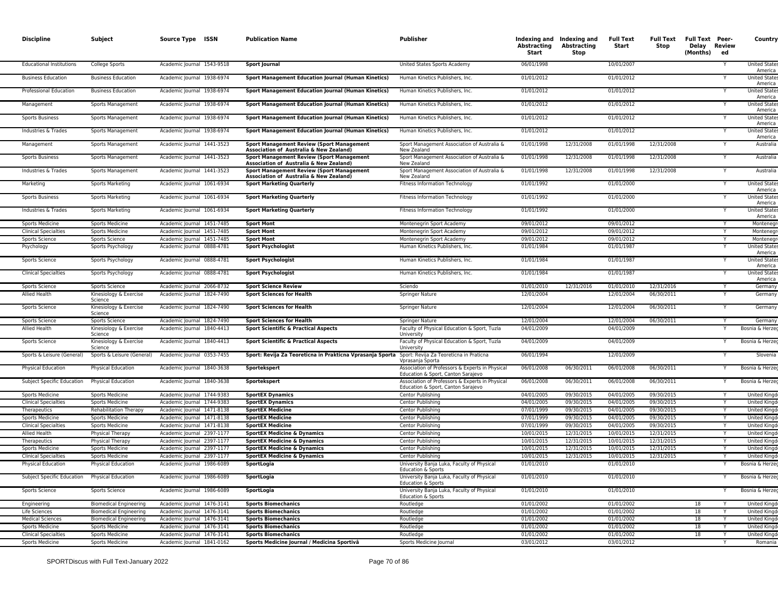| <b>Discipline</b>                            | Subject                                             | Source Type ISSN                                         | <b>Publication Name</b>                                                                      | <b>Publisher</b>                                                                      | Abstracting<br>Start     | Indexing and Indexing and<br>Abstracting<br>Stop | <b>Full Text</b><br>Start | <b>Full Text</b><br>Stop | <b>Full Text Peer-</b><br>Delay Review<br>(Months) | ed | Country                                    |
|----------------------------------------------|-----------------------------------------------------|----------------------------------------------------------|----------------------------------------------------------------------------------------------|---------------------------------------------------------------------------------------|--------------------------|--------------------------------------------------|---------------------------|--------------------------|----------------------------------------------------|----|--------------------------------------------|
| <b>Educational Institutions</b>              | College Sports                                      | Academic Journal 1543-9518                               | <b>Sport Journal</b>                                                                         | United States Sports Academy                                                          | 06/01/1998               |                                                  | 10/01/2007                |                          |                                                    |    | United State<br>America                    |
| <b>Business Education</b>                    | <b>Business Education</b>                           | Academic Journal 1938-6974                               | Sport Management Education Journal (Human Kinetics)                                          | Human Kinetics Publishers, Inc.                                                       | 01/01/2012               |                                                  | 01/01/2012                |                          |                                                    |    | <b>United States</b><br>America            |
| Professional Education                       | <b>Business Education</b>                           | Academic Journal 1938-6974                               | <b>Sport Management Education Journal (Human Kinetics)</b>                                   | Human Kinetics Publishers, Inc.                                                       | 01/01/2012               |                                                  | 01/01/2012                |                          |                                                    |    | <b>United State</b><br>America             |
| Management                                   | Sports Management                                   | Academic Journal 1938-6974                               | Sport Management Education Journal (Human Kinetics)                                          | Human Kinetics Publishers, Inc.                                                       | 01/01/2012               |                                                  | 01/01/2012                |                          |                                                    |    | <b>United State</b><br>America             |
| <b>Sports Business</b>                       | Sports Management                                   | Academic Journal 1938-6974                               | <b>Sport Management Education Journal (Human Kinetics)</b>                                   | Human Kinetics Publishers, Inc.                                                       | 01/01/2012               |                                                  | 01/01/2012                |                          |                                                    |    | <b>United States</b><br>America            |
| Industries & Trades                          | Sports Management                                   | Academic Journal 1938-6974                               | Sport Management Education Journal (Human Kinetics)                                          | Human Kinetics Publishers, Inc.                                                       | 01/01/2012               |                                                  | 01/01/2012                |                          |                                                    |    | <b>United States</b><br>America            |
| Management                                   | Sports Management                                   | Academic Journal 1441-3523                               | <b>Sport Management Review (Sport Management</b><br>Association of Australia & New Zealand)  | Sport Management Association of Australia &<br>New Zealand                            | 01/01/1998               | 12/31/2008                                       | 01/01/1998                | 12/31/2008               |                                                    |    | Australia                                  |
| <b>Sports Business</b>                       | Sports Management                                   | Academic Journal 1441-3523                               | <b>Sport Management Review (Sport Management</b><br>Association of Australia & New Zealand)  | Sport Management Association of Australia &<br>New Zealand                            | 01/01/1998               | 12/31/2008                                       | 01/01/1998                | 12/31/2008               |                                                    |    | Australia                                  |
| Industries & Trades                          | Sports Management                                   | Academic Journal 1441-3523                               | <b>Sport Management Review (Sport Management)</b><br>Association of Australia & New Zealand) | Sport Management Association of Australia &<br>New Zealand                            | 01/01/1998               | 12/31/2008                                       | 01/01/1998                | 12/31/2008               |                                                    |    | Australia                                  |
| Marketing                                    | Sports Marketing                                    | Academic Journal 1061-6934                               | <b>Sport Marketing Quarterly</b>                                                             | <b>Fitness Information Technology</b>                                                 | 01/01/1992               |                                                  | 01/01/2000                |                          |                                                    |    | <b>United State</b><br>America             |
| <b>Sports Business</b>                       | Sports Marketing                                    | Academic Journal 1061-6934                               | <b>Sport Marketing Quarterly</b>                                                             | Fitness Information Technology                                                        | 01/01/1992               |                                                  | 01/01/2000                |                          |                                                    |    | <b>United State</b><br>America             |
| Industries & Trades                          | <b>Sports Marketing</b>                             | Academic Journal 1061-6934                               | <b>Sport Marketing Quarterly</b>                                                             | Fitness Information Technology                                                        | 01/01/1992               |                                                  | 01/01/2000                |                          |                                                    |    | <b>United State</b><br>America             |
| Sports Medicine                              | <b>Sports Medicine</b>                              | Academic Journal 1451-7485                               | <b>Sport Mont</b>                                                                            | Montenegrin Sport Academy                                                             | 09/01/2012               |                                                  | 09/01/2012                |                          |                                                    | Y  | Montenegr                                  |
| <b>Clinical Specialties</b>                  | <b>Sports Medicine</b>                              | Academic Journal 1451-7485                               | <b>Sport Mont</b>                                                                            | Montenegrin Sport Academy                                                             | 09/01/2012               |                                                  | 09/01/2012                |                          |                                                    |    | Montenegi                                  |
| Sports Science                               | Sports Science                                      | Academic Journal 1451-7485                               | <b>Sport Mont</b>                                                                            | Montenegrin Sport Academy                                                             | 09/01/2012               |                                                  | 09/01/2012                |                          |                                                    |    | Montenegr                                  |
| Psychology                                   | Sports Psychology                                   | Academic Journal 0888-4781                               | <b>Sport Psychologist</b>                                                                    | Human Kinetics Publishers, Inc.                                                       | 01/01/1984               |                                                  | 01/01/1987                |                          |                                                    |    | <b>United State</b><br>America             |
| Sports Science                               | Sports Psychology                                   | Academic Journal 0888-4781                               | <b>Sport Psychologist</b>                                                                    | Human Kinetics Publishers, Inc.                                                       | 01/01/1984               |                                                  | 01/01/1987                |                          |                                                    |    | <b>United State</b><br>America             |
| <b>Clinical Specialties</b>                  | Sports Psychology                                   | Academic Journal 0888-4781                               | <b>Sport Psychologist</b>                                                                    | Human Kinetics Publishers, Inc.<br>Sciendo                                            | 01/01/1984               |                                                  | 01/01/1987                |                          |                                                    |    | <b>United State</b><br>America             |
| Sports Science<br>Allied Health              | Sports Science<br>Kinesiology & Exercise<br>Science | Academic Journal 2066-8732<br>Academic Journal 1824-7490 | <b>Sport Science Review</b><br><b>Sport Sciences for Health</b>                              | Springer Nature                                                                       | 01/01/2010<br>12/01/2004 | 12/31/2016                                       | 01/01/2010<br>12/01/2004  | 12/31/2016<br>06/30/2011 |                                                    |    | Germany<br>Germany                         |
| Sports Science                               | Kinesiology & Exercise<br>Science                   | Academic Journal 1824-7490                               | <b>Sport Sciences for Health</b>                                                             | <b>Springer Nature</b>                                                                | 12/01/2004               |                                                  | 12/01/2004                | 06/30/2011               |                                                    |    | Germany                                    |
| Sports Science                               | Sports Science                                      | Academic Journal 1824-7490                               | <b>Sport Sciences for Health</b>                                                             | Springer Nature                                                                       | 12/01/2004               |                                                  | 12/01/2004                | 06/30/2011               |                                                    |    | Germany                                    |
| Allied Health                                | Kinesiology & Exercise<br>Science                   | Academic Journal 1840-4413                               | <b>Sport Scientific &amp; Practical Aspects</b>                                              | Faculty of Physical Education & Sport, Tuzla<br>University                            | 04/01/2009               |                                                  | 04/01/2009                |                          |                                                    |    | Bosnia & Herze                             |
| Sports Science                               | Kinesiology & Exercise<br>Science                   | Academic Journal 1840-4413                               | <b>Sport Scientific &amp; Practical Aspects</b>                                              | Faculty of Physical Education & Sport, Tuzla<br>University                            | 04/01/2009               |                                                  | 04/01/2009                |                          |                                                    |    | Bosnia & Herzeo                            |
| Sports & Leisure (General)                   | Sports & Leisure (General)                          | Academic Journal 0353-7455                               | Sport: Revija Za Teoreticna in Prakticna Vprasanja Sporta                                    | Sport: Revija Za Teoreticna in Praticna<br>Vorasania Sporta                           | 06/01/1994               |                                                  | 12/01/2009                |                          |                                                    |    | Slovenia                                   |
| Physical Education                           | Physical Education                                  | Academic Journal 1840-3638                               | Sportekspert                                                                                 | Association of Professors & Experts in Physical<br>Education & Sport, Canton Sarajevo | 06/01/2008               | 06/30/2011                                       | 06/01/2008                | 06/30/2011               |                                                    |    | Bosnia & Herzeo                            |
| Subject Specific Education                   | Physical Education                                  | Academic Journal 1840-3638                               | Sportekspert                                                                                 | Association of Professors & Experts in Physical<br>Education & Sport, Canton Sarajevo | 06/01/2008               | 06/30/2011                                       | 06/01/2008                | 06/30/2011               |                                                    |    | Bosnia & Herzeg                            |
| Sports Medicine                              | <b>Sports Medicine</b>                              | Academic Journal 1744-9383                               | <b>SportEX Dynamics</b>                                                                      | Centor Publishing                                                                     | 04/01/2005               | 09/30/2015                                       | 04/01/2005                | 09/30/2015               |                                                    |    | United King                                |
| <b>Clinical Specialties</b>                  | <b>Sports Medicine</b>                              | Academic Journal 1744-9383                               | <b>SportEX Dynamics</b>                                                                      | Centor Publishing                                                                     | 04/01/2005<br>07/01/1999 | 09/30/2015<br>09/30/2015                         | 04/01/2005<br>04/01/2005  | 09/30/2015<br>09/30/2015 |                                                    | Υ  | <b>United Kingo</b>                        |
| Therapeutics                                 | <b>Rehabilitation Therapy</b>                       | Academic Journal 1471-8138<br>Academic Journal 1471-8138 | <b>SportEX Medicine</b>                                                                      | Centor Publishing<br>Centor Publishing                                                | 07/01/1999               |                                                  |                           | 09/30/2015               |                                                    |    | <b>United Kingo</b><br><b>United Kingo</b> |
| Sports Medicine                              | <b>Sports Medicine</b><br><b>Sports Medicine</b>    | Academic Journal 1471-8138                               | <b>SportEX Medicine</b><br><b>SportEX Medicine</b>                                           | Centor Publishing                                                                     | 07/01/1999               | 09/30/2015<br>09/30/2015                         | 04/01/2005<br>04/01/2005  | 09/30/2015               |                                                    |    | <b>United King</b>                         |
| <b>Clinical Specialties</b><br>Allied Health | Physical Therapy                                    | Academic Journal 2397-1177                               | <b>SportEX Medicine &amp; Dynamics</b>                                                       | Centor Publishing                                                                     | 10/01/2015               | 12/31/2015                                       | 10/01/2015                | 12/31/2015               |                                                    |    | United King                                |
| Therapeutics                                 | Physical Therapy                                    | Academic Journal 2397-1177                               | <b>SportEX Medicine &amp; Dynamics</b>                                                       | Centor Publishing                                                                     | 10/01/2015               | 12/31/2015                                       | 10/01/2015                | 12/31/2015               |                                                    | Y  | United King                                |
| <b>Sports Medicine</b>                       | <b>Sports Medicine</b>                              | Academic Journal 2397-1177                               | <b>SportEX Medicine &amp; Dynamics</b>                                                       | Centor Publishing                                                                     | 10/01/2015               | 12/31/2015                                       | 10/01/2015                | 12/31/2015               |                                                    |    | <b>United King</b>                         |
| <b>Clinical Specialties</b>                  | <b>Sports Medicine</b>                              | Academic Journal 2397-1177                               | <b>SportEX Medicine &amp; Dynamics</b>                                                       | Centor Publishing                                                                     | 10/01/2015               | 12/31/2015                                       | 10/01/2015                | 12/31/2015               |                                                    | Υ  | United King                                |
| <b>Physical Education</b>                    | Physical Education                                  | Academic Journal 1986-6089                               | SportLogia                                                                                   | University Banja Luka, Faculty of Physical<br>Education & Sports                      | 01/01/2010               |                                                  | 01/01/2010                |                          |                                                    |    | Bosnia & Herzeg                            |
| Subject Specific Education                   | Physical Education                                  | Academic Journal 1986-6089                               | SportLogia                                                                                   | University Banja Luka, Faculty of Physical<br>Education & Sports                      | 01/01/2010               |                                                  | 01/01/2010                |                          |                                                    |    | Bosnia & Herze                             |
| <b>Sports Science</b>                        | <b>Sports Science</b>                               | Academic Journal 1986-6089                               | SportLogia                                                                                   | University Banja Luka, Faculty of Physical<br>Education & Sports                      | 01/01/2010               |                                                  | 01/01/2010                |                          |                                                    |    | Bosnia & Herzeo                            |
| Engineering                                  | <b>Biomedical Engineering</b>                       | Academic Journal 1476-3141                               | <b>Sports Biomechanics</b>                                                                   | Routledge                                                                             | 01/01/2002               |                                                  | 01/01/2002                |                          | 18                                                 |    | <b>United Kingd</b>                        |
| Life Sciences                                | <b>Biomedical Engineering</b>                       | Academic Journal 1476-3141                               | <b>Sports Biomechanics</b>                                                                   | Routledge                                                                             | 01/01/2002               |                                                  | 01/01/2002                |                          | 18                                                 | Y  | <b>United Kingo</b>                        |
| <b>Medical Sciences</b>                      | <b>Biomedical Engineering</b>                       | Academic Journal 1476-3141                               | <b>Sports Biomechanics</b>                                                                   | Routledge                                                                             | 01/01/2002               |                                                  | 01/01/2002                |                          | 18                                                 |    | United King                                |
| <b>Sports Medicine</b>                       | <b>Sports Medicine</b>                              | Academic Journal 1476-3141                               | <b>Sports Biomechanics</b>                                                                   | Routledge                                                                             | 01/01/2002               |                                                  | 01/01/2002                |                          | 18                                                 |    | <b>United King</b>                         |
| <b>Clinical Specialties</b>                  | <b>Sports Medicine</b>                              | Academic Journal 1476-3141                               | <b>Sports Biomechanics</b>                                                                   | Routledge                                                                             | 01/01/2002               |                                                  | 01/01/2002                |                          | 18                                                 |    | <b>United King</b>                         |
| <b>Sports Medicine</b>                       | <b>Sports Medicine</b>                              | Academic Journal 1841-0162                               | Sports Medicine Journal / Medicina Sportivâ                                                  | Sports Medicine Journal                                                               | 03/01/2012               |                                                  | 03/01/2012                |                          |                                                    | Y  | Romania                                    |
|                                              |                                                     |                                                          |                                                                                              |                                                                                       |                          |                                                  |                           |                          |                                                    |    |                                            |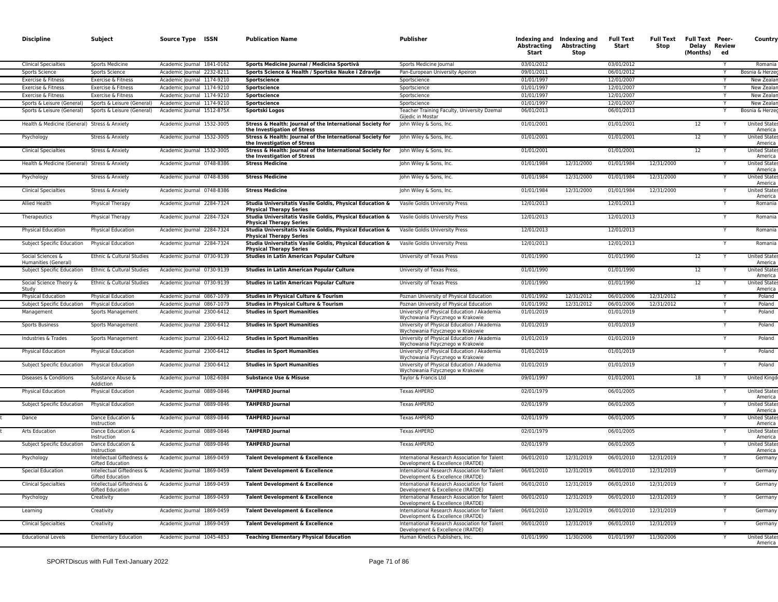| <b>Discipline</b>                            | Subject                                              | Source Type ISSN           | <b>Publication Name</b>                                                                    | <b>Publisher</b>                                                                   | <b>Abstracting</b><br>Start | Indexing and Indexing and<br>Abstracting<br>Stop | <b>Full Text</b><br>Start | Stop       | Full Text Full Text Peer-<br>Delay Review<br>(Months) | ed | Country                        |
|----------------------------------------------|------------------------------------------------------|----------------------------|--------------------------------------------------------------------------------------------|------------------------------------------------------------------------------------|-----------------------------|--------------------------------------------------|---------------------------|------------|-------------------------------------------------------|----|--------------------------------|
| <b>Clinical Specialties</b>                  | Sports Medicine                                      | Academic Journal 1841-0162 | Sports Medicine Journal / Medicina Sportivâ                                                | Sports Medicine Journal                                                            | 03/01/2012                  |                                                  | 03/01/2012                |            |                                                       |    | Romania                        |
| Sports Science                               | Sports Science                                       | Academic Journal 2232-8211 | Sports Science & Health / Sportske Nauke i Zdravlje                                        | Pan-European University Apeiron                                                    | 09/01/2011                  |                                                  | 06/01/2012                |            |                                                       |    | Bosnia & Herze                 |
| Exercise & Fitness                           | Exercise & Fitness                                   | Academic Journal 1174-9210 | Sportscience                                                                               | Sportscience                                                                       | 01/01/1997                  |                                                  | 12/01/2007                |            |                                                       | Y  | New Zeala                      |
| Exercise & Fitness                           | Exercise & Fitness                                   | Academic Journal 1174-9210 | Sportscience                                                                               | Sportscience                                                                       | 01/01/1997                  |                                                  | 12/01/2007                |            |                                                       |    | New Zeala                      |
| Exercise & Fitness                           | Exercise & Fitness                                   | Academic Journal 1174-9210 | Sportscience                                                                               | Sportscience                                                                       | 01/01/1997                  |                                                  | 12/01/2007                |            |                                                       |    | New Zeala                      |
| Sports & Leisure (General)                   | Sports & Leisure (General)                           | Academic Journal 1174-9210 | Sportscience                                                                               | Sportscience                                                                       | 01/01/1997                  |                                                  | 12/01/2007                |            |                                                       | Y  | New Zeala                      |
| Sports & Leisure (General)                   | Sports & Leisure (General)                           | Academic Journal 1512-875X | Sportski Logos                                                                             | Teacher Training Faculty, University Dzemal<br>Gijedic in Mostar                   | 06/01/2013                  |                                                  | 06/01/2013                |            |                                                       |    | Bosnia & Herze                 |
| Health & Medicine (General) Stress & Anxiety |                                                      | Academic Journal 1532-3005 | Stress & Health: Journal of the International Society for<br>the Investigation of Stress   | John Wiley & Sons, Inc.                                                            | 01/01/2001                  |                                                  | 01/01/2001                |            | 12                                                    |    | <b>United State</b><br>America |
| Psychology                                   | Stress & Anxiety                                     | Academic Journal 1532-3005 | Stress & Health: Journal of the International Society for<br>the Investigation of Stress   | John Wiley & Sons, Inc.                                                            | 01/01/2001                  |                                                  | 01/01/2001                |            | 12                                                    |    | <b>United State</b><br>America |
| <b>Clinical Specialties</b>                  | Stress & Anxiety                                     | Academic Journal 1532-3005 | Stress & Health: Journal of the International Society for<br>the Investigation of Stress   | John Wiley & Sons, Inc.                                                            | 01/01/2001                  |                                                  | 01/01/2001                |            | 12                                                    |    | <b>United State</b><br>America |
| Health & Medicine (General) Stress & Anxiety |                                                      | Academic Journal 0748-8386 | <b>Stress Medicine</b>                                                                     | John Wiley & Sons, Inc.                                                            | 01/01/1984                  | 12/31/2000                                       | 01/01/1984                | 12/31/2000 |                                                       |    | <b>United State</b><br>America |
| Psychology                                   | Stress & Anxiety                                     | Academic Journal 0748-8386 | <b>Stress Medicine</b>                                                                     | John Wiley & Sons, Inc.                                                            | 01/01/1984                  | 12/31/2000                                       | 01/01/1984                | 12/31/2000 |                                                       |    | <b>United State</b><br>America |
| <b>Clinical Specialties</b>                  | Stress & Anxiety                                     | Academic Journal 0748-8386 | <b>Stress Medicine</b>                                                                     | John Wiley & Sons, Inc.                                                            | 01/01/1984                  | 12/31/2000                                       | 01/01/1984                | 12/31/2000 |                                                       |    | <b>United State</b><br>America |
| Allied Health                                | Physical Therapy                                     | Academic Journal 2284-7324 | Studia Universitatis Vasile Goldis, Physical Education &<br><b>Physical Therapy Series</b> | Vasile Goldis University Press                                                     | 12/01/2013                  |                                                  | 12/01/2013                |            |                                                       |    | Romani                         |
| Therapeutics                                 | Physical Therapy                                     | Academic Journal 2284-7324 | Studia Universitatis Vasile Goldis, Physical Education &<br><b>Physical Therapy Series</b> | Vasile Goldis University Press                                                     | 12/01/2013                  |                                                  | 12/01/2013                |            |                                                       |    | Romania                        |
| Physical Education                           | Physical Education                                   | Academic Journal 2284-7324 | Studia Universitatis Vasile Goldis, Physical Education &<br><b>Physical Therapy Series</b> | Vasile Goldis University Press                                                     | 12/01/2013                  |                                                  | 12/01/2013                |            |                                                       |    | Romania                        |
| Subject Specific Education                   | <b>Physical Education</b>                            | Academic Journal 2284-7324 | Studia Universitatis Vasile Goldis, Physical Education &<br><b>Physical Therapy Series</b> | Vasile Goldis University Press                                                     | 12/01/2013                  |                                                  | 12/01/2013                |            |                                                       |    | Romania                        |
| Social Sciences &<br>Humanities (General)    | Ethnic & Cultural Studies                            | Academic Journal 0730-9139 | <b>Studies in Latin American Popular Culture</b>                                           | University of Texas Press                                                          | 01/01/1990                  |                                                  | 01/01/1990                |            | 12                                                    |    | <b>United State</b><br>America |
| Subject Specific Education                   | Ethnic & Cultural Studies                            | Academic Journal 0730-9139 | <b>Studies in Latin American Popular Culture</b>                                           | University of Texas Press                                                          | 01/01/1990                  |                                                  | 01/01/1990                |            | 12                                                    | Y  | United State<br>America        |
| Social Science Theory &<br>Study             | Ethnic & Cultural Studies                            | Academic Journal 0730-9139 | <b>Studies in Latin American Popular Culture</b>                                           | University of Texas Press                                                          | 01/01/1990                  |                                                  | 01/01/1990                |            | 12                                                    |    | <b>United State</b><br>America |
| <b>Physical Education</b>                    | Physical Education                                   | Academic Journal 0867-1079 | Studies in Physical Culture & Tourism                                                      | Poznan University of Physical Education                                            | 01/01/1992                  | 12/31/2012                                       | 06/01/2006                | 12/31/2012 |                                                       |    | Poland                         |
| Subject Specific Education                   | <b>Physical Education</b>                            | Academic Journal 0867-1079 | Studies in Physical Culture & Tourism                                                      | Poznan University of Physical Education                                            | 01/01/1992                  | 12/31/2012                                       | 06/01/2006                | 12/31/2012 |                                                       | Υ  | Poland                         |
| Management                                   | Sports Management                                    | Academic Journal 2300-6412 | <b>Studies in Sport Humanities</b>                                                         | University of Physical Education / Akademia<br>Wychowania Fizycznego w Krakowie    | 01/01/2019                  |                                                  | 01/01/2019                |            |                                                       |    | Poland                         |
| <b>Sports Business</b>                       | Sports Management                                    | Academic Journal 2300-6412 | <b>Studies in Sport Humanities</b>                                                         | University of Physical Education / Akademia<br>Wychowania Fizycznego w Krakowie    | 01/01/2019                  |                                                  | 01/01/2019                |            |                                                       |    | Poland                         |
| Industries & Trades                          | Sports Management                                    | Academic Journal 2300-6412 | <b>Studies in Sport Humanities</b>                                                         | University of Physical Education / Akademia<br>Wychowania Fizycznego w Krakowie    | 01/01/2019                  |                                                  | 01/01/2019                |            |                                                       | Y  | Poland                         |
| <b>Physical Education</b>                    | <b>Physical Education</b>                            | Academic Journal 2300-6412 | <b>Studies in Sport Humanities</b>                                                         | University of Physical Education / Akademia<br>Wychowania Fizycznego w Krakowie    | 01/01/2019                  |                                                  | 01/01/2019                |            |                                                       |    | Poland                         |
| Subject Specific Education                   | Physical Education                                   | Academic Journal 2300-6412 | <b>Studies in Sport Humanities</b>                                                         | University of Physical Education / Akademia<br>Wychowania Fizycznego w Krakowie    | 01/01/2019                  |                                                  | 01/01/2019                |            |                                                       |    | Poland                         |
| Diseases & Conditions                        | Substance Abuse &<br>Addiction                       | Academic Journal 1082-6084 | <b>Substance Use &amp; Misuse</b>                                                          | Taylor & Francis Ltd                                                               | 09/01/1997                  |                                                  | 01/01/2001                |            | 18                                                    |    | <b>United Kingd</b>            |
| <b>Physical Education</b>                    | Physical Education                                   | Academic Journal 0889-0846 | <b>TAHPERD Journal</b>                                                                     | <b>Texas AHPERD</b>                                                                | 02/01/1979                  |                                                  | 06/01/2005                |            |                                                       |    | United State<br>America        |
| Subject Specific Education                   | <b>Physical Education</b>                            | Academic Journal 0889-0846 | <b>TAHPERD Journal</b>                                                                     | <b>Texas AHPERD</b>                                                                | 02/01/1979                  |                                                  | 06/01/2005                |            |                                                       |    | <b>United State</b><br>America |
| Dance                                        | Dance Education &<br>Instruction                     | Academic Journal 0889-0846 | <b>TAHPERD Journal</b>                                                                     | <b>Texas AHPERD</b>                                                                | 02/01/1979                  |                                                  | 06/01/2005                |            |                                                       |    | <b>United State</b><br>America |
| Arts Education                               | Dance Education &<br>Instruction                     | Academic Journal 0889-0846 | <b>TAHPERD Journal</b>                                                                     | <b>Texas AHPERD</b>                                                                | 02/01/1979                  |                                                  | 06/01/2005                |            |                                                       |    | <b>United State</b><br>America |
| Subject Specific Education                   | Dance Education &<br>Instruction                     | Academic Journal 0889-0846 | <b>TAHPERD Journal</b>                                                                     | <b>Texas AHPERD</b>                                                                | 02/01/1979                  |                                                  | 06/01/2005                |            |                                                       |    | <b>United State</b><br>America |
| Psychology                                   | Intellectual Giftedness &<br>Gifted Education        | Academic Journal 1869-0459 | Talent Development & Excellence                                                            | International Research Association for Talent<br>Development & Excellence (IRATDE) | 06/01/2010                  | 12/31/2019                                       | 06/01/2010                | 12/31/2019 |                                                       |    | Germany                        |
| <b>Special Education</b>                     | Intellectual Giftedness &<br><b>Gifted Education</b> | Academic Journal 1869-0459 | Talent Development & Excellence                                                            | International Research Association for Talent<br>Development & Excellence (IRATDE) | 06/01/2010                  | 12/31/2019                                       | 06/01/2010                | 12/31/2019 |                                                       |    | German                         |
| <b>Clinical Specialties</b>                  | Intellectual Giftedness &<br>Gifted Education        | Academic Journal 1869-0459 | Talent Development & Excellence                                                            | International Research Association for Talent<br>Development & Excellence (IRATDE) | 06/01/2010                  | 12/31/2019                                       | 06/01/2010                | 12/31/2019 |                                                       |    | Germany                        |
| Psychology                                   | Creativity                                           | Academic Journal 1869-0459 | Talent Development & Excellence                                                            | International Research Association for Talent<br>Development & Excellence (IRATDE) | 06/01/2010                  | 12/31/2019                                       | 06/01/2010                | 12/31/2019 |                                                       |    | Germany                        |
| Learning                                     | Creativity                                           | Academic Journal 1869-0459 | Talent Development & Excellence                                                            | International Research Association for Talent<br>Development & Excellence (IRATDE) | 06/01/2010                  | 12/31/2019                                       | 06/01/2010                | 12/31/2019 |                                                       |    | Germany                        |
| <b>Clinical Specialties</b>                  | Creativity                                           | Academic Journal 1869-0459 | Talent Development & Excellence                                                            | International Research Association for Talent<br>Development & Excellence (IRATDE) | 06/01/2010                  | 12/31/2019                                       | 06/01/2010                | 12/31/2019 |                                                       |    | German                         |
| <b>Educational Levels</b>                    | <b>Elementary Education</b>                          | Academic Journal 1045-4853 | <b>Teaching Elementary Physical Education</b>                                              | Human Kinetics Publishers, Inc.                                                    | 01/01/1990                  | 11/30/2006                                       | 01/01/1997                | 11/30/2006 |                                                       |    | <b>United State</b><br>America |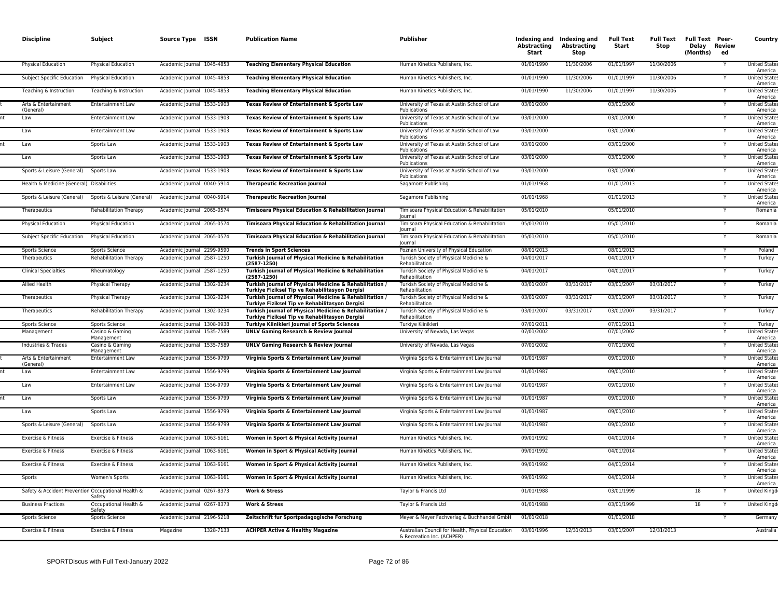| <b>Discipline</b>                                  | Subject                         | Source Type ISSN           | <b>Publication Name</b>                                                                                   | <b>Publisher</b>                                                                | Abstracting<br><b>Start</b> | Indexing and Indexing and<br><b>Abstracting</b><br><b>Stop</b> | <b>Full Text</b><br>Start | Full Text Full Text Peer-<br>Stop | Delay Review<br>(Months) | ed | Country                         |
|----------------------------------------------------|---------------------------------|----------------------------|-----------------------------------------------------------------------------------------------------------|---------------------------------------------------------------------------------|-----------------------------|----------------------------------------------------------------|---------------------------|-----------------------------------|--------------------------|----|---------------------------------|
| <b>Physical Education</b>                          | Physical Education              | Academic Journal 1045-4853 | <b>Teaching Elementary Physical Education</b>                                                             | Human Kinetics Publishers, Inc.                                                 | 01/01/1990                  | 11/30/2006                                                     | 01/01/1997                | 11/30/2006                        |                          |    | <b>United State</b><br>America  |
| Subject Specific Education                         | Physical Education              | Academic Journal 1045-4853 | <b>Teaching Elementary Physical Education</b>                                                             | Human Kinetics Publishers, Inc.                                                 | 01/01/1990                  | 11/30/2006                                                     | 01/01/1997                | 11/30/2006                        |                          |    | <b>United State:</b><br>America |
| Teaching & Instruction                             | Teaching & Instruction          | Academic Journal 1045-4853 | <b>Teaching Elementary Physical Education</b>                                                             | Human Kinetics Publishers, Inc.                                                 | 01/01/1990                  | 11/30/2006                                                     | 01/01/1997                | 11/30/2006                        |                          |    | <b>United State</b><br>America  |
| Arts & Entertainment<br>(General)                  | <b>Entertainment Law</b>        | Academic Journal 1533-1903 | Texas Review of Entertainment & Sports Law                                                                | University of Texas at Austin School of Law<br>Publications                     | 03/01/2000                  |                                                                | 03/01/2000                |                                   |                          |    | <b>United State:</b><br>America |
| Law                                                | <b>Entertainment Law</b>        | Academic Journal 1533-1903 | Texas Review of Entertainment & Sports Law                                                                | University of Texas at Austin School of Law<br>Publications                     | 03/01/2000                  |                                                                | 03/01/2000                |                                   |                          |    | <b>United State</b><br>America  |
| Law                                                | <b>Entertainment Law</b>        | Academic Journal 1533-1903 | Texas Review of Entertainment & Sports Law                                                                | University of Texas at Austin School of Law<br>Publications                     | 03/01/2000                  |                                                                | 03/01/2000                |                                   |                          |    | <b>United State</b><br>America  |
| Law                                                | Sports Law                      | Academic Journal 1533-1903 | Texas Review of Entertainment & Sports Law                                                                | University of Texas at Austin School of Law<br>Publications                     | 03/01/2000                  |                                                                | 03/01/2000                |                                   |                          |    | <b>United States</b><br>America |
| Law                                                | Sports Law                      | Academic Journal 1533-1903 | Texas Review of Entertainment & Sports Law                                                                | University of Texas at Austin School of Law<br>Publications                     | 03/01/2000                  |                                                                | 03/01/2000                |                                   |                          |    | <b>United State</b><br>America  |
| Sports & Leisure (General)                         | Sports Law                      | Academic Journal 1533-1903 | Texas Review of Entertainment & Sports Law                                                                | University of Texas at Austin School of Law<br>Publications                     | 03/01/2000                  |                                                                | 03/01/2000                |                                   |                          |    | <b>United State</b><br>America  |
| Health & Medicine (General) Disabilities           |                                 | Academic Journal 0040-5914 | <b>Therapeutic Recreation Journal</b>                                                                     | Sagamore Publishing                                                             | 01/01/1968                  |                                                                | 01/01/2013                |                                   |                          |    | <b>United State</b><br>America  |
| Sports & Leisure (General)                         | Sports & Leisure (General)      | Academic Journal 0040-5914 | <b>Therapeutic Recreation Journal</b>                                                                     | Sagamore Publishing                                                             | 01/01/1968                  |                                                                | 01/01/2013                |                                   |                          |    | <b>United State</b><br>America  |
| Therapeutics                                       | Rehabilitation Therapy          | Academic Journal 2065-0574 | Timisoara Physical Education & Rehabilitation Journal                                                     | Timisoara Physical Education & Rehabilitation<br>lournal                        | 05/01/2010                  |                                                                | 05/01/2010                |                                   |                          |    | Romania                         |
| <b>Physical Education</b>                          | Physical Education              | Academic Journal 2065-0574 | Timisoara Physical Education & Rehabilitation Journal                                                     | Timisoara Physical Education & Rehabilitation<br>lournal                        | 05/01/2010                  |                                                                | 05/01/2010                |                                   |                          |    | Romania                         |
| Subject Specific Education                         | <b>Physical Education</b>       | Academic Journal 2065-0574 | Timisoara Physical Education & Rehabilitation Journal                                                     | Timisoara Physical Education & Rehabilitation<br>lournal                        | 05/01/2010                  |                                                                | 05/01/2010                |                                   |                          |    | Romania                         |
| Sports Science                                     | Sports Science                  | Academic Journal 2299-9590 | <b>Trends in Sport Sciences</b>                                                                           | Poznan University of Physical Education                                         | 08/01/2013                  |                                                                | 08/01/2013                |                                   |                          |    | Poland                          |
| Therapeutics                                       | Rehabilitation Therapy          | Academic Journal 2587-1250 | Turkish Journal of Physical Medicine & Rehabilitation<br>$(2587 - 1250)$                                  | Turkish Society of Physical Medicine &<br>Rehabilitation                        | 04/01/2017                  |                                                                | 04/01/2017                |                                   |                          |    | Turkey                          |
| <b>Clinical Specialties</b>                        | Rheumatology                    | Academic Journal 2587-1250 | Turkish Journal of Physical Medicine & Rehabilitation<br>$(2587 - 1250)$                                  | Turkish Society of Physical Medicine &<br>Rehabilitation                        | 04/01/2017                  |                                                                | 04/01/2017                |                                   |                          |    | Turkey                          |
| Allied Health                                      | Physical Therapy                | Academic Journal 1302-0234 | Turkish Journal of Physical Medicine & Rehabilitation /<br>Turkiye Fiziksel Tip ve Rehabilitasyon Dergisi | Turkish Society of Physical Medicine &<br>Rehabilitation                        | 03/01/2007                  | 03/31/2017                                                     | 03/01/2007                | 03/31/2017                        |                          |    | Turkey                          |
| Therapeutics                                       | Physical Therapy                | Academic Journal 1302-0234 | Turkish Journal of Physical Medicine & Rehabilitation /<br>Turkiye Fiziksel Tip ve Rehabilitasyon Dergisi | Turkish Society of Physical Medicine &<br>Rehabilitation                        | 03/01/2007                  | 03/31/2017                                                     | 03/01/2007                | 03/31/2017                        |                          |    | Turkey                          |
| Therapeutics                                       | Rehabilitation Therapy          | Academic Journal 1302-0234 | Turkish Journal of Physical Medicine & Rehabilitation /<br>Turkiye Fiziksel Tip ve Rehabilitasyon Dergisi | Turkish Society of Physical Medicine &<br>Rehabilitation                        | 03/01/2007                  | 03/31/2017                                                     | 03/01/2007                | 03/31/2017                        |                          |    | Turkey                          |
| Sports Science                                     | Sports Science                  | Academic Journal 1308-0938 | <b>Turkiye Klinikleri Journal of Sports Sciences</b>                                                      | Turkiye Klinikleri                                                              | 07/01/2011                  |                                                                | 07/01/2011                |                                   |                          |    | Turkey                          |
| Management                                         | Casino & Gaming<br>Management   | Academic Journal 1535-7589 | <b>UNLV Gaming Research &amp; Review Journal</b>                                                          | University of Nevada, Las Vegas                                                 | 07/01/2002                  |                                                                | 07/01/2002                |                                   |                          |    | <b>United State</b><br>America  |
| Industries & Trades                                | Casino & Gaming<br>Management   | Academic Journal 1535-7589 | <b>UNLV Gaming Research &amp; Review Journal</b>                                                          | University of Nevada, Las Vegas                                                 | 07/01/2002                  |                                                                | 07/01/2002                |                                   |                          |    | <b>United State</b><br>America  |
| Arts & Entertainment<br>(General)                  | <b>Entertainment Law</b>        | Academic Journal 1556-9799 | Virginia Sports & Entertainment Law Journal                                                               | Virginia Sports & Entertainment Law Journal                                     | 01/01/1987                  |                                                                | 09/01/2010                |                                   |                          |    | <b>United State</b><br>America  |
| Law                                                | <b>Entertainment Law</b>        | Academic Journal 1556-9799 | Virginia Sports & Entertainment Law Journal                                                               | Virginia Sports & Entertainment Law Journal                                     | 01/01/1987                  |                                                                | 09/01/2010                |                                   |                          |    | <b>United State</b><br>America  |
| Law                                                | Entertainment Law               | Academic Journal 1556-9799 | Virginia Sports & Entertainment Law Journal                                                               | Virginia Sports & Entertainment Law Journal                                     | 01/01/1987                  |                                                                | 09/01/2010                |                                   |                          |    | <b>United States</b><br>America |
| Law                                                | Sports Law                      | Academic Journal 1556-9799 | Virginia Sports & Entertainment Law Journal                                                               | Virginia Sports & Entertainment Law Journal                                     | 01/01/1987                  |                                                                | 09/01/2010                |                                   |                          |    | <b>United State</b><br>America  |
| Law                                                | Sports Law                      | Academic Journal 1556-9799 | Virginia Sports & Entertainment Law Journal                                                               | Virginia Sports & Entertainment Law Journal                                     | 01/01/1987                  |                                                                | 09/01/2010                |                                   |                          |    | <b>United State</b><br>America  |
| Sports & Leisure (General)                         | Sports Law                      | Academic Journal 1556-9799 | Virginia Sports & Entertainment Law Journal                                                               | Virginia Sports & Entertainment Law Journal                                     | 01/01/1987                  |                                                                | 09/01/2010                |                                   |                          |    | <b>United State</b><br>America  |
| Exercise & Fitness                                 | Exercise & Fitness              | Academic Journal 1063-6161 | Women in Sport & Physical Activity Journal                                                                | Human Kinetics Publishers, Inc.                                                 | 09/01/1992                  |                                                                | 04/01/2014                |                                   |                          |    | <b>United State</b><br>America  |
| Exercise & Fitness                                 | Exercise & Fitness              | Academic Journal 1063-6161 | Women in Sport & Physical Activity Journal                                                                | Human Kinetics Publishers, Inc.                                                 | 09/01/1992                  |                                                                | 04/01/2014                |                                   |                          |    | <b>United States</b><br>America |
| Exercise & Fitness                                 | Exercise & Fitness              | Academic Journal 1063-6161 | Women in Sport & Physical Activity Journal                                                                | Human Kinetics Publishers, Inc.                                                 | 09/01/1992                  |                                                                | 04/01/2014                |                                   |                          |    | <b>United State:</b><br>America |
| Sports                                             | Women's Sports                  | Academic Journal 1063-6161 | Women in Sport & Physical Activity Journal                                                                | Human Kinetics Publishers, Inc.                                                 | 09/01/1992                  |                                                                | 04/01/2014                |                                   |                          |    | <b>United State:</b><br>America |
| Safety & Accident Prevention Occupational Health & | Safety                          | Academic Journal 0267-8373 | <b>Work &amp; Stress</b>                                                                                  | Taylor & Francis Ltd                                                            | 01/01/1988                  |                                                                | 03/01/1999                |                                   | 18                       |    | <b>United Kingde</b>            |
| <b>Business Practices</b>                          | Occupational Health &<br>Safety | Academic Journal 0267-8373 | <b>Work &amp; Stress</b>                                                                                  | Taylor & Francis Ltd                                                            | 01/01/1988                  |                                                                | 03/01/1999                |                                   | 18                       |    | <b>United Kingd</b>             |
| Sports Science                                     | <b>Sports Science</b>           | Academic Journal 2196-5218 | Zeitschrift fur Sportpadagogische Forschung                                                               | Meyer & Meyer Fachverlag & Buchhandel GmbH                                      | 01/01/2018                  |                                                                | 01/01/2018                |                                   |                          |    | Germany                         |
| Exercise & Fitness                                 | Exercise & Fitness              | 1328-7133<br>Magazine      | <b>ACHPER Active &amp; Healthy Magazine</b>                                                               | Australian Council for Health, Physical Education<br>& Recreation Inc. (ACHPER) | 03/01/1996                  | 12/31/2013                                                     | 03/01/2007                | 12/31/2013                        |                          |    | Australia                       |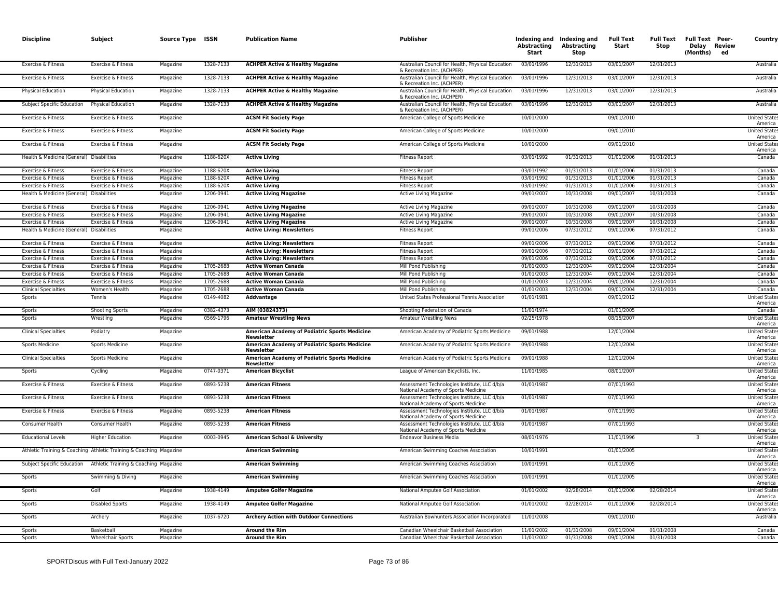| <b>Discipline</b>                              | Subject                                                            | Source Type ISSN     |           | <b>Publication Name</b>                                                        | <b>Publisher</b>                                                                               | Abstracting<br>Start     | Indexing and Indexing and<br>Abstracting<br>Stop | <b>Full Text</b><br>Start | <b>Full Text</b><br>Stop | <b>Full Text Peer-</b><br>Delay Review<br>(Months)<br>ed | Country                                                |
|------------------------------------------------|--------------------------------------------------------------------|----------------------|-----------|--------------------------------------------------------------------------------|------------------------------------------------------------------------------------------------|--------------------------|--------------------------------------------------|---------------------------|--------------------------|----------------------------------------------------------|--------------------------------------------------------|
| Exercise & Fitness                             | Exercise & Fitness                                                 | Magazine             | 1328-7133 | <b>ACHPER Active &amp; Healthy Magazine</b>                                    | Australian Council for Health, Physical Education<br>& Recreation Inc. (ACHPER)                | 03/01/1996               | 12/31/2013                                       | 03/01/2007                | 12/31/2013               |                                                          | Australia                                              |
| Exercise & Fitness                             | Exercise & Fitness                                                 | Magazine             | 1328-7133 | <b>ACHPER Active &amp; Healthy Magazine</b>                                    | Australian Council for Health, Physical Education<br>& Recreation Inc. (ACHPER)                | 03/01/1996               | 12/31/2013                                       | 03/01/2007                | 12/31/2013               |                                                          | Australia                                              |
| <b>Physical Education</b>                      | Physical Education                                                 | Magazine             | 1328-7133 | <b>ACHPER Active &amp; Healthy Magazine</b>                                    | Australian Council for Health, Physical Education<br>& Recreation Inc. (ACHPER)                | 03/01/1996               | 12/31/2013                                       | 03/01/2007                | 12/31/2013               |                                                          | Australia                                              |
| Subject Specific Education                     | Physical Education                                                 | Magazine             | 1328-7133 | <b>ACHPER Active &amp; Healthy Magazine</b>                                    | Australian Council for Health, Physical Education<br>& Recreation Inc. (ACHPER)                | 03/01/1996               | 12/31/2013                                       | 03/01/2007                | 12/31/2013               |                                                          | Australia                                              |
| Exercise & Fitness                             | Exercise & Fitness                                                 | Magazine             |           | <b>ACSM Fit Society Page</b>                                                   | American College of Sports Medicine                                                            | 10/01/2000               |                                                  | 09/01/2010                |                          |                                                          | <b>United State</b><br>America                         |
| Exercise & Fitness                             | Exercise & Fitness                                                 | Magazine             |           | <b>ACSM Fit Society Page</b>                                                   | American College of Sports Medicine                                                            | 10/01/2000               |                                                  | 09/01/2010                |                          |                                                          | <b>United State</b><br>America                         |
| Exercise & Fitness                             | Exercise & Fitness                                                 | Magazine             |           | <b>ACSM Fit Society Page</b>                                                   | American College of Sports Medicine                                                            | 10/01/2000               |                                                  | 09/01/2010                |                          |                                                          | <b>United State</b><br>America                         |
| Health & Medicine (General) Disabilities       |                                                                    | Magazine             | 1188-620X | <b>Active Living</b>                                                           | <b>Fitness Report</b>                                                                          | 03/01/1992               | 01/31/2013                                       | 01/01/2006                | 01/31/2013               |                                                          | Canada                                                 |
| Exercise & Fitness                             | Exercise & Fitness                                                 | Magazine             | 1188-620X | <b>Active Living</b>                                                           | <b>Fitness Report</b>                                                                          | 03/01/1992               | 01/31/2013                                       | 01/01/2006                | 01/31/2013               |                                                          | Canada                                                 |
| Exercise & Fitness                             | Exercise & Fitness                                                 | Magazine             | 1188-620X | <b>Active Living</b>                                                           | <b>Fitness Report</b>                                                                          | 03/01/1992               | 01/31/2013                                       | 01/01/2006                | 01/31/2013               |                                                          | Canada                                                 |
| Exercise & Fitness                             | Exercise & Fitness                                                 | Magazine             | 1188-620X | <b>Active Living</b>                                                           | <b>Fitness Report</b>                                                                          | 03/01/1992               | 01/31/2013                                       | 01/01/2006                | 01/31/2013               |                                                          | Canada                                                 |
| Health & Medicine (General)                    | Disabilities                                                       | Magazine             | 1206-0941 | <b>Active Living Magazine</b>                                                  | Active Living Magazine                                                                         | 09/01/2007               | 10/31/2008                                       | 09/01/2007                | 10/31/2008               |                                                          | Canada                                                 |
| Exercise & Fitness                             | Exercise & Fitness                                                 | Magazine             | 1206-0941 | <b>Active Living Magazine</b>                                                  | Active Living Magazine                                                                         | 09/01/2007               | 10/31/2008                                       | 09/01/2007                | 10/31/2008               |                                                          | Canada                                                 |
| Exercise & Fitness                             | Exercise & Fitness                                                 | Magazine             | 1206-0941 | <b>Active Living Magazine</b>                                                  | <b>Active Living Magazine</b>                                                                  | 09/01/2007               | 10/31/2008                                       | 09/01/2007                | 10/31/2008               |                                                          | Canada                                                 |
| Exercise & Fitness                             | Exercise & Fitness                                                 | Magazine             | 1206-0941 | <b>Active Living Magazine</b>                                                  | Active Living Magazine                                                                         | 09/01/2007               | 10/31/2008                                       | 09/01/2007                | 10/31/2008               |                                                          | Canada                                                 |
| Health & Medicine (General) Disabilities       |                                                                    | Magazine             |           | <b>Active Living: Newsletters</b>                                              | <b>Fitness Report</b>                                                                          | 09/01/2006               | 07/31/2012                                       | 09/01/2006                | 07/31/2012               |                                                          | Canada                                                 |
| Exercise & Fitness                             | Exercise & Fitness                                                 | Magazine             |           | <b>Active Living: Newsletters</b>                                              | <b>Fitness Report</b>                                                                          | 09/01/2006               | 07/31/2012                                       | 09/01/2006                | 07/31/2012               |                                                          | Canada                                                 |
| Exercise & Fitness                             | Exercise & Fitness                                                 | Magazine             |           | <b>Active Living: Newsletters</b>                                              | <b>Fitness Report</b>                                                                          | 09/01/2006               | 07/31/2012                                       | 09/01/2006                | 07/31/2012               |                                                          | Canada                                                 |
| Exercise & Fitness                             | Exercise & Fitness                                                 | Magazine             |           | <b>Active Living: Newsletters</b>                                              | <b>Fitness Report</b>                                                                          | 09/01/2006               | 07/31/2012                                       | 09/01/2006                | 07/31/2012               |                                                          | Canada                                                 |
| Exercise & Fitness                             | Exercise & Fitness                                                 | Magazine             | 1705-2688 | <b>Active Woman Canada</b>                                                     | Mill Pond Publishing                                                                           | 01/01/2003               | 12/31/2004                                       | 09/01/2004                | 12/31/2004               |                                                          | Canada                                                 |
| Exercise & Fitness                             | Exercise & Fitness                                                 | Magazine             | 1705-2688 | <b>Active Woman Canada</b>                                                     | Mill Pond Publishing                                                                           | 01/01/2003               | 12/31/2004                                       | 09/01/2004                | 12/31/2004               |                                                          | Canada                                                 |
| Exercise & Fitness                             | Exercise & Fitness                                                 | Magazine             | 1705-2688 | <b>Active Woman Canada</b>                                                     | Mill Pond Publishing                                                                           | 01/01/2003               | 12/31/2004                                       | 09/01/2004                | 12/31/2004               |                                                          | Canada                                                 |
| <b>Clinical Specialties</b>                    | Women's Health                                                     | Magazine             | 1705-2688 | <b>Active Woman Canada</b>                                                     | Mill Pond Publishing                                                                           | 01/01/2003               | 12/31/2004                                       | 09/01/2004                | 12/31/2004               |                                                          | Canada                                                 |
| Sports                                         | Tennis                                                             | Magazine             | 0149-4082 | Addvantage                                                                     | United States Professional Tennis Association                                                  | 01/01/1981               |                                                  | 09/01/2012                |                          |                                                          | <b>United State</b><br>America                         |
| Sports                                         | <b>Shooting Sports</b>                                             | Magazine             | 0382-4373 | AIM (03824373)                                                                 | Shooting Federation of Canada                                                                  | 11/01/1974               |                                                  | 01/01/2005                |                          |                                                          | Canada                                                 |
| Sports                                         | Wrestling                                                          | Magazine<br>Magazine | 0569-1796 | <b>Amateur Wrestling News</b><br>American Academy of Podiatric Sports Medicine | <b>Amateur Wrestling News</b>                                                                  | 02/25/1978<br>09/01/1988 |                                                  | 08/15/2007<br>12/01/2004  |                          |                                                          | <b>United State</b><br>America                         |
| <b>Clinical Specialties</b><br>Sports Medicine | Podiatry<br><b>Sports Medicine</b>                                 | Magazine             |           | <b>Newsletter</b><br>American Academy of Podiatric Sports Medicine             | American Academy of Podiatric Sports Medicine<br>American Academy of Podiatric Sports Medicine | 09/01/1988               |                                                  | 12/01/2004                |                          |                                                          | <b>United State:</b><br>America<br><b>United State</b> |
| <b>Clinical Specialties</b>                    | <b>Sports Medicine</b>                                             | Magazine             |           | <b>Newsletter</b><br>American Academy of Podiatric Sports Medicine             | American Academy of Podiatric Sports Medicine                                                  | 09/01/1988               |                                                  | 12/01/2004                |                          |                                                          | America<br><b>United State:</b>                        |
| Sports                                         | Cycling                                                            | Magazine             | 0747-0371 | Newsletter<br><b>American Bicyclist</b>                                        | League of American Bicyclists, Inc.                                                            | 11/01/1985               |                                                  | 08/01/2007                |                          |                                                          | America<br><b>United State</b>                         |
| Exercise & Fitness                             | Exercise & Fitness                                                 | Magazine             | 0893-5238 | <b>American Fitness</b>                                                        | Assessment Technologies Institute, LLC d/b/a                                                   | 01/01/1987               |                                                  | 07/01/1993                |                          |                                                          | America<br><b>United State</b>                         |
|                                                |                                                                    |                      |           |                                                                                | National Academy of Sports Medicine                                                            |                          |                                                  |                           |                          |                                                          | America                                                |
| Exercise & Fitness                             | Exercise & Fitness                                                 | Magazine             | 0893-5238 | <b>American Fitness</b>                                                        | Assessment Technologies Institute, LLC d/b/a<br>National Academy of Sports Medicine            | 01/01/1987               |                                                  | 07/01/1993                |                          |                                                          | <b>United State</b><br>America                         |
| Exercise & Fitness                             | Exercise & Fitness                                                 | Magazine             | 0893-5238 | <b>American Fitness</b>                                                        | Assessment Technologies Institute, LLC d/b/a<br>National Academy of Sports Medicine            | 01/01/1987               |                                                  | 07/01/1993                |                          |                                                          | <b>United States</b><br>America                        |
| Consumer Health                                | Consumer Health                                                    | Magazine             | 0893-5238 | <b>American Fitness</b>                                                        | Assessment Technologies Institute, LLC d/b/a<br>National Academy of Sports Medicine            | 01/01/1987               |                                                  | 07/01/1993                |                          |                                                          | <b>United State</b><br>America                         |
| <b>Educational Levels</b>                      | <b>Higher Education</b>                                            | Magazine             | 0003-0945 | American School & University                                                   | Endeavor Business Media                                                                        | 08/01/1976               |                                                  | 11/01/1996                |                          | 3                                                        | <b>United State</b><br>America                         |
|                                                | Athletic Training & Coaching Athletic Training & Coaching Magazine |                      |           | <b>American Swimming</b>                                                       | American Swimming Coaches Association                                                          | 10/01/1991               |                                                  | 01/01/2005                |                          |                                                          | <b>United State</b><br>America                         |
|                                                | Subject Specific Education Athletic Training & Coaching Magazine   |                      |           | <b>American Swimming</b>                                                       | American Swimming Coaches Association                                                          | 10/01/1991<br>10/01/1991 |                                                  | 01/01/2005<br>01/01/2005  |                          |                                                          | <b>United State</b><br>America<br><b>United States</b> |
| Sports<br>Sports                               | Swimming & Diving<br>Golf                                          | Magazine<br>Magazine | 1938-4149 | <b>American Swimming</b><br><b>Amputee Golfer Magazine</b>                     | American Swimming Coaches Association<br>National Amputee Golf Association                     | 01/01/2002               | 02/28/2014                                       | 01/01/2006                | 02/28/2014               |                                                          | America<br><b>United State:</b>                        |
| Sports                                         | <b>Disabled Sports</b>                                             | Magazine             | 1938-4149 | <b>Amputee Golfer Magazine</b>                                                 | National Amputee Golf Association                                                              | 01/01/2002               | 02/28/2014                                       | 01/01/2006                | 02/28/2014               |                                                          | America<br><b>United State:</b>                        |
| Sports                                         | Archery                                                            | Magazine             | 1037-6720 | <b>Archery Action with Outdoor Connections</b>                                 | Australian Bowhunters Association Incorporated                                                 | 11/01/2008               |                                                  | 09/01/2010                |                          |                                                          | America<br>Australia                                   |
|                                                |                                                                    |                      |           |                                                                                |                                                                                                |                          |                                                  |                           |                          |                                                          |                                                        |
| Sports                                         | <b>Raskethall</b>                                                  | Magazine             |           | <b>Around the Rim</b>                                                          | Canadian Wheelchair Basketball Association                                                     | 11/01/2002               | 01/31/2008                                       | 09/01/2004                | 01/31/2008               |                                                          | Canada                                                 |
| Sports                                         | <b>Wheelchair Sports</b>                                           | Magazine             |           | <b>Around the Rim</b>                                                          | Canadian Wheelchair Basketball Association                                                     | 11/01/2002               | 01/31/2008                                       | 09/01/2004                | 01/31/2008               |                                                          | Canada                                                 |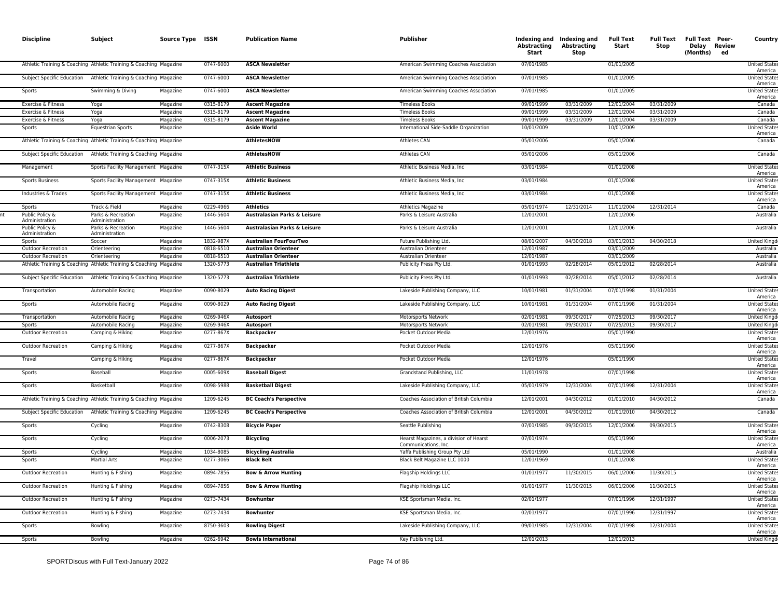| <b>Discipline</b>                                      | Subject                                                            | Source Type ISSN     |                        | <b>Publication Name</b>                                       | Publisher                                                      | Abstracting<br>Start     | Indexing and Indexing and<br>Abstracting<br>Stop | <b>Full Text</b><br>Start | <b>Full Text</b><br>Stop | <b>Full Text Peer-</b><br>Delay Review<br>(Months) ed | Country                                               |
|--------------------------------------------------------|--------------------------------------------------------------------|----------------------|------------------------|---------------------------------------------------------------|----------------------------------------------------------------|--------------------------|--------------------------------------------------|---------------------------|--------------------------|-------------------------------------------------------|-------------------------------------------------------|
|                                                        | Athletic Training & Coaching Athletic Training & Coaching Magazine |                      | 0747-6000              | <b>ASCA Newsletter</b>                                        | American Swimming Coaches Association                          | 07/01/1985               |                                                  | 01/01/2005                |                          |                                                       | <b>United State</b><br>America                        |
| Subject Specific Education                             | Athletic Training & Coaching Magazine                              |                      | 0747-6000              | <b>ASCA Newsletter</b>                                        | American Swimming Coaches Association                          | 07/01/1985               |                                                  | 01/01/2005                |                          |                                                       | <b>United States</b><br>America                       |
| Sports                                                 | Swimming & Diving                                                  | Magazine             | 0747-6000              | <b>ASCA Newsletter</b>                                        | American Swimming Coaches Association                          | 07/01/1985               |                                                  | 01/01/2005                |                          |                                                       | <b>United State</b><br>America                        |
| Exercise & Fitness                                     | Yoga                                                               | Magazine             | 0315-8179              | <b>Ascent Magazine</b>                                        | <b>Timeless Books</b>                                          | 09/01/1999               | 03/31/2009                                       | 12/01/2004                | 03/31/2009               |                                                       | Canada                                                |
| Exercise & Fitness                                     | Yoga                                                               | Magazine             | 0315-8179              | <b>Ascent Magazine</b>                                        | <b>Timeless Books</b>                                          | 09/01/1999               | 03/31/2009                                       | 12/01/2004                | 03/31/2009               |                                                       | Canada                                                |
| Exercise & Fitness                                     | Yoga                                                               | Magazine             | 0315-8179              | <b>Ascent Magazine</b>                                        | <b>Timeless Books</b>                                          | 09/01/1999               | 03/31/2009                                       | 12/01/2004                | 03/31/2009               |                                                       | Canada                                                |
| Sports                                                 | <b>Equestrian Sports</b>                                           | Magazine             |                        | <b>Aside World</b>                                            | International Side-Saddle Organization                         | 10/01/2009               |                                                  | 10/01/2009                |                          |                                                       | <b>United States</b><br>America                       |
|                                                        | Athletic Training & Coaching Athletic Training & Coaching Magazine |                      |                        | <b>AthletesNOW</b>                                            | Athletes CAN                                                   | 05/01/2006               |                                                  | 05/01/2006                |                          |                                                       | Canada                                                |
| Subject Specific Education                             | Athletic Training & Coaching Magazine                              |                      |                        | <b>AthletesNOW</b>                                            | <b>Athletes CAN</b>                                            | 05/01/2006               |                                                  | 05/01/2006                |                          |                                                       | Canada                                                |
| Management                                             | Sports Facility Management Magazine                                |                      | 0747-315X              | <b>Athletic Business</b>                                      | Athletic Business Media, Inc.                                  | 03/01/1984               |                                                  | 01/01/2008                |                          |                                                       | <b>United States</b><br>America                       |
| <b>Sports Business</b>                                 | Sports Facility Management Magazine                                |                      | 0747-315X              | <b>Athletic Business</b>                                      | Athletic Business Media, Inc.                                  | 03/01/1984               |                                                  | 01/01/2008                |                          |                                                       | <b>United State</b><br>America                        |
| Industries & Trades                                    | Sports Facility Management Magazine                                |                      | 0747-315X              | <b>Athletic Business</b>                                      | Athletic Business Media, Inc                                   | 03/01/1984               |                                                  | 01/01/2008                |                          |                                                       | <b>United States</b><br>America                       |
| Sports                                                 | Track & Field                                                      | Magazine             | 0229-4966              | <b>Athletics</b>                                              | Athletics Magazine                                             | 05/01/1974               | 12/31/2014                                       | 11/01/2004                | 12/31/2014               |                                                       | Canada                                                |
| Public Policy &<br>Administration                      | Parks & Recreation<br>Administration                               | Magazine             | 1446-5604              | Australasian Parks & Leisure                                  | Parks & Leisure Australia                                      | 12/01/2001               |                                                  | 12/01/2006                |                          |                                                       | Australia                                             |
| Public Policy &<br>Administration<br>Sports            | Parks & Recreation<br>Administration<br>Soccer                     | Magazine<br>Magazine | 1446-5604<br>1832-987X | Australasian Parks & Leisure<br><b>Australian FourFourTwo</b> | Parks & Leisure Australia<br>Future Publishing Ltd.            | 12/01/2001<br>08/01/2007 | 04/30/2018                                       | 12/01/2006<br>03/01/2013  | 04/30/2018               |                                                       | Australia<br><b>United Kingo</b>                      |
|                                                        |                                                                    | Magazine             | 0818-6510              |                                                               | Australian Orienteer                                           | 12/01/1987               |                                                  | 03/01/2009                |                          |                                                       |                                                       |
| <b>Outdoor Recreation</b><br><b>Outdoor Recreation</b> | Orienteering<br>Orienteering                                       | Magazine             | 0818-6510              | <b>Australian Orienteer</b><br><b>Australian Orienteer</b>    | Australian Orienteer                                           | 12/01/1987               |                                                  | 03/01/2009                |                          |                                                       | Australia<br>Australia                                |
|                                                        | Athletic Training & Coaching Athletic Training & Coaching Magazine |                      | 1320-5773              | <b>Australian Triathlete</b>                                  | Publicity Press Pty Ltd                                        | 01/01/1993               | 02/28/2014                                       | 05/01/2012                | 02/28/2014               |                                                       | Australia                                             |
| Subject Specific Education                             | Athletic Training & Coaching Magazine                              |                      | 1320-5773              | <b>Australian Triathlete</b>                                  | Publicity Press Pty Ltd.                                       | 01/01/1993               | 02/28/2014                                       | 05/01/2012                | 02/28/2014               |                                                       | Australia                                             |
| Transportation                                         | Automobile Racing                                                  | Magazine             | 0090-8029              | <b>Auto Racing Digest</b>                                     | Lakeside Publishing Company, LLC                               | 10/01/1981               | 01/31/2004                                       | 07/01/1998                | 01/31/2004               |                                                       | <b>United States</b><br>America                       |
| Sports                                                 | Automobile Racing                                                  | Magazine             | 0090-8029              | <b>Auto Racing Digest</b>                                     | Lakeside Publishing Company, LLC                               | 10/01/1981               | 01/31/2004                                       | 07/01/1998                | 01/31/2004               |                                                       | <b>United State</b><br>America                        |
| Transportation                                         | Automobile Racing                                                  | Magazine             | 0269-946X              | Autosport                                                     | Motorsports Network                                            | 02/01/1981               | 09/30/2017                                       | 07/25/2013                | 09/30/2017               |                                                       | <b>United Kingo</b>                                   |
| Sports                                                 | Automobile Racing                                                  | Magazine             | 0269-946X              | Autosport                                                     | Motorsports Network                                            | 02/01/1981               | 09/30/2017                                       | 07/25/2013                | 09/30/2017               |                                                       | United Kingd                                          |
| <b>Outdoor Recreation</b>                              | Camping & Hiking                                                   | Magazine             | 0277-867X              | <b>Backpacker</b>                                             | Pocket Outdoor Media                                           | 12/01/1976               |                                                  | 05/01/1990                |                          |                                                       | <b>United State</b><br>America                        |
| Outdoor Recreation                                     | Camping & Hiking                                                   | Magazine             | 0277-867X              | <b>Backpacker</b>                                             | Pocket Outdoor Media                                           | 12/01/1976               |                                                  | 05/01/1990                |                          |                                                       | <b>United States</b><br>America                       |
| Travel                                                 | Camping & Hiking                                                   | Magazine             | 0277-867X              | <b>Backpacker</b>                                             | Pocket Outdoor Media                                           | 12/01/1976               |                                                  | 05/01/1990                |                          |                                                       | United State<br>America                               |
| Sports                                                 | Baseball                                                           | Magazine             | 0005-609X              | <b>Baseball Digest</b>                                        | Grandstand Publishing, LLC                                     | 11/01/1978               |                                                  | 07/01/1998                |                          |                                                       | <b>United State</b><br>America                        |
| Sports                                                 | Basketball                                                         | Magazine             | 0098-5988              | <b>Basketball Digest</b>                                      | Lakeside Publishing Company, LLC                               | 05/01/1979               | 12/31/2004                                       | 07/01/1998                | 12/31/2004               |                                                       | <b>United State</b><br>America                        |
|                                                        | Athletic Training & Coaching Athletic Training & Coaching Magazine |                      | 1209-6245              | <b>BC Coach's Perspective</b>                                 | Coaches Association of British Columbia                        | 12/01/2001               | 04/30/2012                                       | 01/01/2010                | 04/30/2012               |                                                       | Canada                                                |
| Subject Specific Education                             | Athletic Training & Coaching Magazine                              |                      | 1209-6245              | <b>BC Coach's Perspective</b>                                 | Coaches Association of British Columbia                        | 12/01/2001               | 04/30/2012                                       | 01/01/2010                | 04/30/2012               |                                                       | Canada                                                |
| Sports                                                 | Cycling                                                            | Magazine             | 0742-8308              | <b>Bicycle Paper</b>                                          | Seattle Publishing                                             | 07/01/1985               | 09/30/2015                                       | 12/01/2006                | 09/30/2015               |                                                       | <b>United State</b><br>America                        |
| Sports                                                 | Cycling                                                            | Magazine             | 0006-2073              | <b>Bicycling</b>                                              | Hearst Magazines, a division of Hearst<br>Communications, Inc. | 07/01/1974               |                                                  | 05/01/1990                |                          |                                                       | <b>United States</b><br>America                       |
| Sports                                                 | Cycling                                                            | Magazine             | 1034-8085              | <b>Bicycling Australia</b>                                    | Yaffa Publishing Group Pty Ltd                                 | 05/01/1990               |                                                  | 01/01/2008                |                          |                                                       | Australia                                             |
| Sports                                                 | <b>Martial Arts</b>                                                | Magazine             | 0277-3066              | <b>Black Belt</b>                                             | Black Belt Magazine LLC 1000                                   | 12/01/1969               |                                                  | 01/01/2008                |                          |                                                       | <b>United States</b><br>America                       |
| Outdoor Recreation                                     | Hunting & Fishing                                                  | Magazine             | 0894-7856              | <b>Bow &amp; Arrow Hunting</b>                                | Flagship Holdings LLC                                          | 01/01/1977               | 11/30/2015                                       | 06/01/2006                | 11/30/2015               |                                                       | <b>United States</b><br>America                       |
| <b>Outdoor Recreation</b>                              | Hunting & Fishing                                                  | Magazine             | 0894-7856              | <b>Bow &amp; Arrow Hunting</b>                                | Flagship Holdings LLC                                          | 01/01/1977               | 11/30/2015                                       | 06/01/2006                | 11/30/2015               |                                                       | United State<br>America                               |
| Outdoor Recreation                                     | Hunting & Fishing                                                  | Magazine             | 0273-7434              | <b>Bowhunter</b>                                              | KSE Sportsman Media, Inc.                                      | 02/01/1977               |                                                  | 07/01/1996                | 12/31/1997               |                                                       | <b>United State</b><br>America                        |
| <b>Outdoor Recreation</b>                              | Hunting & Fishing                                                  | Magazine             | 0273-7434<br>8750-3603 | <b>Bowhunter</b>                                              | KSE Sportsman Media, Inc.                                      | 02/01/1977               |                                                  | 07/01/1996                | 12/31/1997<br>12/31/2004 |                                                       | <b>United State</b><br>America                        |
| Sports<br>Sports                                       | Bowling<br>Bowling                                                 | Magazine<br>Magazine | 0262-6942              | <b>Bowling Digest</b><br><b>Bowls International</b>           | Lakeside Publishing Company, LLC                               | 09/01/1985<br>12/01/2013 | 12/31/2004                                       | 07/01/1998<br>12/01/2013  |                          |                                                       | <b>United State</b><br>America<br><b>United Kingo</b> |
|                                                        |                                                                    |                      |                        |                                                               | Key Publishing Ltd.                                            |                          |                                                  |                           |                          |                                                       |                                                       |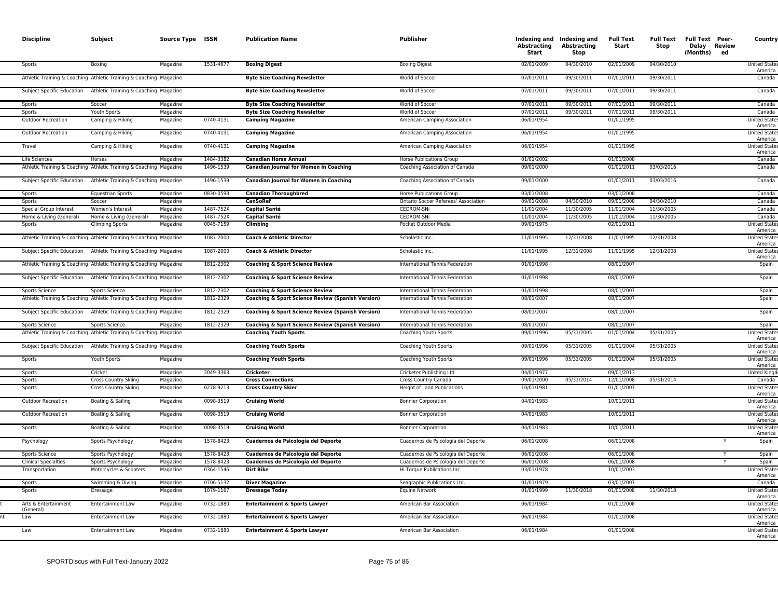| <b>Discipline</b>                 | Subject                                                            | Source Type ISSN |           | <b>Publication Name</b>                                      | <b>Publisher</b>                     | Abstracting<br>Start | Indexing and Indexing and<br>Abstracting<br><b>Stop</b> | <b>Full Text</b><br>Start | <b>Full Text</b><br>Stop | <b>Full Text Peer-</b><br>Delay Review<br>(Months) ed | Country                         |
|-----------------------------------|--------------------------------------------------------------------|------------------|-----------|--------------------------------------------------------------|--------------------------------------|----------------------|---------------------------------------------------------|---------------------------|--------------------------|-------------------------------------------------------|---------------------------------|
| Sports                            | Boxing                                                             | Magazine         | 1531-4677 | <b>Boxing Digest</b>                                         | <b>Boxing Digest</b>                 | 02/01/2009           | 04/30/2010                                              | 02/01/2009                | 04/30/2010               |                                                       | <b>United State</b><br>America  |
|                                   | Athletic Training & Coaching Athletic Training & Coaching Magazine |                  |           | <b>Byte Size Coaching Newsletter</b>                         | World of Soccer                      | 07/01/2011           | 09/30/2011                                              | 07/01/2011                | 09/30/2011               |                                                       | Canada                          |
| Subject Specific Education        | Athletic Training & Coaching Magazine                              |                  |           | <b>Byte Size Coaching Newsletter</b>                         | World of Soccer                      | 07/01/2011           | 09/30/2011                                              | 07/01/2011                | 09/30/2011               |                                                       | Canada                          |
| Sports                            | Soccer                                                             | Magazine         |           | <b>Byte Size Coaching Newsletter</b>                         | World of Soccer                      | 07/01/2011           | 09/30/2011                                              | 07/01/2011                | 09/30/2011               |                                                       | Canada                          |
| Sports                            | Youth Sports                                                       | Magazine         |           | <b>Byte Size Coaching Newsletter</b>                         | World of Soccer                      | 07/01/2011           | 09/30/2011                                              | 07/01/2011                | 09/30/2011               |                                                       | Canada                          |
| <b>Outdoor Recreation</b>         | Camping & Hiking                                                   | Magazine         | 0740-4131 | <b>Camping Magazine</b>                                      | American Camping Association         | 06/01/1954           |                                                         | 01/01/1995                |                          |                                                       | <b>United State</b><br>America  |
| Outdoor Recreation                | Camping & Hiking                                                   | Magazine         | 0740-4131 | <b>Camping Magazine</b>                                      | American Camping Association         | 06/01/1954           |                                                         | 01/01/1995                |                          |                                                       | <b>United State</b><br>America  |
| Travel                            | Camping & Hiking                                                   | Magazine         | 0740-4131 | <b>Camping Magazine</b>                                      | American Camping Association         | 06/01/1954           |                                                         | 01/01/1995                |                          |                                                       | <b>United State</b><br>America  |
| Life Sciences                     | Horses                                                             | Magazine         | 1484-3382 | <b>Canadian Horse Annual</b>                                 | <b>Horse Publications Group</b>      | 01/01/2002           |                                                         | 01/01/2008                |                          |                                                       | Canada                          |
|                                   | Athletic Training & Coaching Athletic Training & Coaching Magazine |                  | 1496-1539 | <b>Canadian Journal for Women in Coaching</b>                | Coaching Association of Canada       | 09/01/2000           |                                                         | 01/01/2011                | 03/03/2016               |                                                       | Canada                          |
| Subject Specific Education        | Athletic Training & Coaching Magazine                              |                  | 1496-1539 | <b>Canadian Journal for Women in Coaching</b>                | Coaching Association of Canada       | 09/01/2000           |                                                         | 01/01/2011                | 03/03/2016               |                                                       | Canada                          |
| Sports                            | <b>Equestrian Sports</b>                                           | Magazine         | 0830-0593 | <b>Canadian Thoroughbred</b>                                 | <b>Horse Publications Group</b>      | 03/01/2008           |                                                         | 03/01/2008                |                          |                                                       | Canada                          |
| Sports                            | Soccer                                                             | Magazine         |           | <b>CanSoRef</b>                                              | Ontario Soccer Referees' Association | 09/01/2008           | 04/30/2010                                              | 09/01/2008                | 04/30/2010               |                                                       | Canada                          |
| Special Group Interest            | Women's Interest                                                   | Magazine         | 1487-752X | <b>Capital Santé</b>                                         | <b>CEDROM-SNi</b>                    | 11/01/2004           | 11/30/2005                                              | 11/01/2004                | 11/30/2005               |                                                       | Canada                          |
| Home & Living (General)           | Home & Living (General)                                            | Magazine         | 1487-752X | <b>Capital Santé</b>                                         | <b>CEDROM-SNi</b>                    | 11/01/2004           | 11/30/2005                                              | 11/01/2004                | 11/30/2005               |                                                       | Canada                          |
| Sports                            | <b>Climbing Sports</b>                                             | Magazine         | 0045-7159 | Climbing                                                     | Pocket Outdoor Media                 | 09/01/1975           |                                                         | 02/01/2011                |                          |                                                       | <b>United State</b><br>America  |
|                                   | Athletic Training & Coaching Athletic Training & Coaching Magazine |                  | 1087-2000 | Coach & Athletic Director                                    | Scholastic Inc.                      | 11/01/1995           | 12/31/2008                                              | 11/01/1995                | 12/31/2008               |                                                       | <b>United State</b><br>America  |
| Subject Specific Education        | Athletic Training & Coaching Magazine                              |                  | 1087-2000 | Coach & Athletic Director                                    | Scholastic Inc.                      | 11/01/1995           | 12/31/2008                                              | 11/01/1995                | 12/31/2008               |                                                       | <b>United State</b><br>America  |
|                                   | Athletic Training & Coaching Athletic Training & Coaching Magazine |                  | 1812-2302 | <b>Coaching &amp; Sport Science Review</b>                   | International Tennis Federation      | 01/01/1998           |                                                         | 08/01/2007                |                          |                                                       | Spain                           |
| Subject Specific Education        | Athletic Training & Coaching Magazine                              |                  | 1812-2302 | <b>Coaching &amp; Sport Science Review</b>                   | International Tennis Federation      | 01/01/1998           |                                                         | 08/01/2007                |                          |                                                       | Spain                           |
| Sports Science                    | Sports Science                                                     | Magazine         | 1812-2302 | <b>Coaching &amp; Sport Science Review</b>                   | International Tennis Federation      | 01/01/1998           |                                                         | 08/01/2007                |                          |                                                       | Spain                           |
|                                   | Athletic Training & Coaching Athletic Training & Coaching Magazine |                  | 1812-2329 | <b>Coaching &amp; Sport Science Review (Spanish Version)</b> | International Tennis Federation      | 08/01/2007           |                                                         | 08/01/2007                |                          |                                                       | Spain                           |
| Subject Specific Education        | Athletic Training & Coaching Magazine                              |                  | 1812-2329 | Coaching & Sport Science Review (Spanish Version)            | International Tennis Federation      | 08/01/2007           |                                                         | 08/01/2007                |                          |                                                       | Spain                           |
| <b>Sports Science</b>             | Sports Science                                                     | Magazine         | 1812-2329 | Coaching & Sport Science Review (Spanish Version)            | International Tennis Federation      | 08/01/2007           |                                                         | 08/01/2007                |                          |                                                       | Spain                           |
|                                   | Athletic Training & Coaching Athletic Training & Coaching Magazine |                  |           | <b>Coaching Youth Sports</b>                                 | Coaching Youth Sports                | 09/01/1996           | 05/31/2005                                              | 01/01/2004                | 05/31/2005               |                                                       | <b>United State</b><br>America  |
|                                   | Subject Specific Education Athletic Training & Coaching Magazine   |                  |           | <b>Coaching Youth Sports</b>                                 | Coaching Youth Sports                | 09/01/1996           | 05/31/2005                                              | 01/01/2004                | 05/31/2005               |                                                       | <b>United State</b><br>America  |
| Sports                            | Youth Sports                                                       | Magazine         |           | <b>Coaching Youth Sports</b>                                 | Coaching Youth Sports                | 09/01/1996           | 05/31/2005                                              | 01/01/2004                | 05/31/2005               |                                                       | <b>United State</b><br>America  |
| Sports                            | Cricket                                                            | Magazine         | 2049-3363 | <b>Cricketer</b>                                             | Cricketer Publishing Ltd             | 04/01/1977           |                                                         | 09/01/2013                |                          |                                                       | <b>United Kingd</b>             |
| Sports                            | Cross Country Skiing                                               | Magazine         |           | <b>Cross Connections</b>                                     | Cross Country Canada                 | 09/01/2000           | 05/31/2014                                              | 12/01/2008                | 05/31/2014               |                                                       | Canada                          |
| Sports                            | Cross Country Skiing                                               | Magazine         | 0278-9213 | <b>Cross Country Skier</b>                                   | <b>Height of Land Publications</b>   | 10/01/1981           |                                                         | 01/01/2007                |                          |                                                       | <b>United State</b><br>America  |
| <b>Outdoor Recreation</b>         | Boating & Sailing                                                  | Magazine         | 0098-3519 | <b>Cruising World</b>                                        | <b>Bonnier Corporation</b>           | 04/01/1983           |                                                         | 10/01/2011                |                          |                                                       | <b>United States</b><br>America |
| <b>Outdoor Recreation</b>         | Boating & Sailing                                                  | Magazine         | 0098-3519 | <b>Cruising World</b>                                        | <b>Bonnier Corporation</b>           | 04/01/1983           |                                                         | 10/01/2011                |                          |                                                       | <b>United State:</b><br>America |
| Sports                            | Boating & Sailing                                                  | Magazine         | 0098-3519 | <b>Cruising World</b>                                        | <b>Bonnier Corporation</b>           | 04/01/1983           |                                                         | 10/01/2011                |                          |                                                       | <b>United State</b><br>America  |
| Psychology                        | Sports Psychology                                                  | Magazine         | 1578-8423 | Cuadernos de Psicología del Deporte                          | Cuadernos de Psicologia del Deporte  | 06/01/2008           |                                                         | 06/01/2008                |                          | Y                                                     | Spain                           |
| Sports Science                    | Sports Psychology                                                  | Magazine         | 1578-8423 | Cuadernos de Psicología del Deporte                          | Cuadernos de Psicologia del Deporte  | 06/01/2008           |                                                         | 06/01/2008                |                          |                                                       | Spain                           |
| <b>Clinical Specialties</b>       | Sports Psychology                                                  | Magazine         | 1578-8423 | Cuadernos de Psicología del Deporte                          | Cuadernos de Psicologia del Deporte  | 06/01/2008           |                                                         | 06/01/2008                |                          | Y                                                     | Spain                           |
| Transportation                    | Motorcycles & Scooters                                             | Magazine         | 0364-1546 | <b>Dirt Bike</b>                                             | Hi-Torque Publications Inc.          | 03/01/1978           |                                                         | 10/01/2003                |                          |                                                       | <b>United State</b><br>America  |
| Sports                            | Swimming & Diving                                                  | Magazine         | 0706-5132 | <b>Diver Magazine</b>                                        | Seagraphic Publications Ltd.         | 01/01/1979           |                                                         | 03/01/2007                |                          |                                                       | Canada                          |
| Sports                            | Dressage                                                           | Magazine         | 1079-1167 | <b>Dressage Today</b>                                        | Equine Network                       | 01/01/1999           | 11/30/2018                                              | 01/01/2008                | 11/30/2018               |                                                       | <b>United State</b><br>America  |
| Arts & Entertainment<br>(General) | <b>Entertainment Law</b>                                           | Magazine         | 0732-1880 | <b>Entertainment &amp; Sports Lawyer</b>                     | American Bar Association             | 06/01/1984           |                                                         | 01/01/2008                |                          |                                                       | <b>United States</b><br>America |
| Law                               | <b>Entertainment Law</b>                                           | Magazine         | 0732-1880 | <b>Entertainment &amp; Sports Lawyer</b>                     | American Bar Association             | 06/01/1984           |                                                         | 01/01/2008                |                          |                                                       | <b>United State</b>             |
| Law                               | <b>Entertainment Law</b>                                           | Magazine         | 0732-1880 | <b>Entertainment &amp; Sports Lawyer</b>                     | American Bar Association             | 06/01/1984           |                                                         | 01/01/2008                |                          |                                                       | America<br><b>United State</b>  |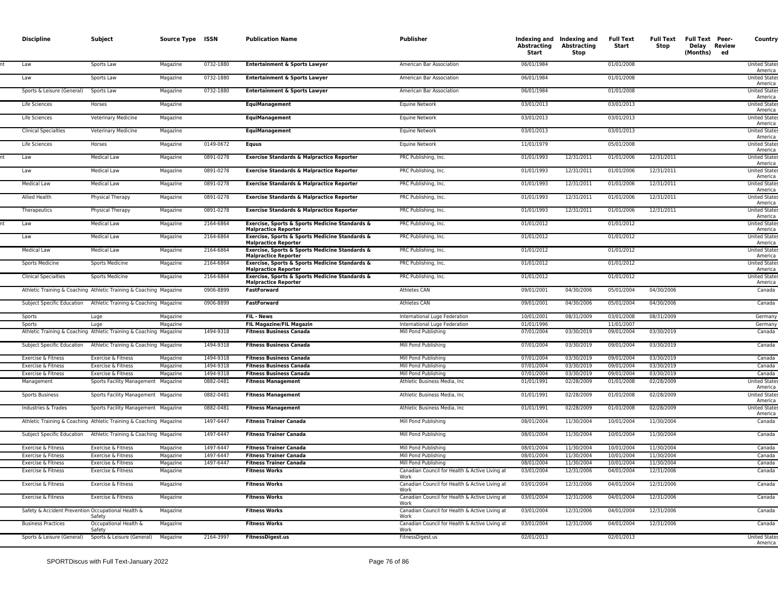| <b>Discipline</b>                                  | Subject                                                            | Source Type ISSN     |                        | <b>Publication Name</b>                                                       | Publisher                                                      | Abstracting<br>Start     | Indexing and Indexing and<br>Abstracting<br>Stop | <b>Full Text</b><br>Start | Stop                     | Full Text Full Text Peer-<br>Delay Review<br>(Months)<br>ed | <b>Country</b>                  |
|----------------------------------------------------|--------------------------------------------------------------------|----------------------|------------------------|-------------------------------------------------------------------------------|----------------------------------------------------------------|--------------------------|--------------------------------------------------|---------------------------|--------------------------|-------------------------------------------------------------|---------------------------------|
| Law                                                | Sports Law                                                         | Magazine             | 0732-1880              | <b>Entertainment &amp; Sports Lawyer</b>                                      | American Bar Association                                       | 06/01/1984               |                                                  | 01/01/2008                |                          |                                                             | <b>United State</b><br>America  |
| Law                                                | Sports Law                                                         | Magazine             | 0732-1880              | <b>Entertainment &amp; Sports Lawyer</b>                                      | American Bar Association                                       | 06/01/1984               |                                                  | 01/01/2008                |                          |                                                             | <b>United State</b><br>America  |
| Sports & Leisure (General)                         | Sports Law                                                         | Magazine             | 0732-1880              | <b>Entertainment &amp; Sports Lawyer</b>                                      | American Bar Association                                       | 06/01/1984               |                                                  | 01/01/2008                |                          |                                                             | <b>United State</b><br>America  |
| Life Sciences                                      | Horses                                                             | Magazine             |                        | <b>EquiManagement</b>                                                         | <b>Equine Network</b>                                          | 03/01/2013               |                                                  | 03/01/2013                |                          |                                                             | <b>United State</b><br>America  |
| Life Sciences                                      | Veterinary Medicine                                                | Magazine             |                        | <b>EquiManagement</b>                                                         | Equine Network                                                 | 03/01/2013               |                                                  | 03/01/2013                |                          |                                                             | <b>United State</b><br>America  |
| <b>Clinical Specialties</b>                        | Veterinary Medicine                                                | Magazine             |                        | <b>EquiManagement</b>                                                         | Equine Network                                                 | 03/01/2013               |                                                  | 03/01/2013                |                          |                                                             | <b>United State</b><br>America  |
| Life Sciences                                      | Horses                                                             | Magazine             | 0149-0672              | <b>Equus</b>                                                                  | Equine Network                                                 | 11/01/1979               |                                                  | 05/01/2008                |                          |                                                             | United State<br>America         |
| Law                                                | <b>Medical Law</b>                                                 | Magazine             | 0891-0278              | Exercise Standards & Malpractice Reporter                                     | PRC Publishing, Inc.                                           | 01/01/1993               | 12/31/2011                                       | 01/01/2006                | 12/31/2011               |                                                             | <b>United States</b><br>America |
| Law                                                | <b>Medical Law</b>                                                 | Magazine             | 0891-0278              | <b>Exercise Standards &amp; Malpractice Reporter</b>                          | PRC Publishing, Inc.                                           | 01/01/1993               | 12/31/2011                                       | 01/01/2006                | 12/31/2011               |                                                             | <b>United States</b><br>America |
| <b>Medical Law</b>                                 | <b>Medical Law</b>                                                 | Magazine             | 0891-0278              | <b>Exercise Standards &amp; Malpractice Reporter</b>                          | PRC Publishing, Inc.                                           | 01/01/1993               | 12/31/2011                                       | 01/01/2006                | 12/31/2011               |                                                             | <b>United State</b><br>America  |
| Allied Health                                      | Physical Therapy                                                   | Magazine             | 0891-0278              | <b>Exercise Standards &amp; Malpractice Reporter</b>                          | PRC Publishing, Inc.                                           | 01/01/1993               | 12/31/2011                                       | 01/01/2006                | 12/31/2011               |                                                             | <b>United State</b><br>America  |
| Therapeutics                                       | Physical Therapy                                                   | Magazine             | 0891-0278              | Exercise Standards & Malpractice Reporter                                     | PRC Publishing, Inc.                                           | 01/01/1993               | 12/31/2011                                       | 01/01/2006                | 12/31/2011               |                                                             | <b>United State</b><br>America  |
| Law                                                | <b>Medical Law</b>                                                 | Magazine             | 2164-6864              | Exercise, Sports & Sports Medicine Standards &<br><b>Malpractice Reporter</b> | PRC Publishing, Inc.                                           | 01/01/2012               |                                                  | 01/01/2012                |                          |                                                             | <b>United State</b><br>America  |
| Law                                                | <b>Medical Law</b>                                                 | Magazine             | 2164-6864              | Exercise, Sports & Sports Medicine Standards &<br><b>Malpractice Reporter</b> | PRC Publishing, Inc.                                           | 01/01/2012               |                                                  | 01/01/2012                |                          |                                                             | <b>United State</b><br>America  |
| <b>Medical Law</b>                                 | <b>Medical Law</b>                                                 | Magazine             | 2164-6864              | Exercise, Sports & Sports Medicine Standards &<br><b>Malpractice Reporter</b> | PRC Publishing, Inc.                                           | 01/01/2012               |                                                  | 01/01/2012                |                          |                                                             | <b>United States</b><br>America |
| <b>Sports Medicine</b>                             | <b>Sports Medicine</b>                                             | Magazine             | 2164-6864              | Exercise, Sports & Sports Medicine Standards &<br><b>Malpractice Reporter</b> | PRC Publishing, Inc.                                           | 01/01/2012               |                                                  | 01/01/2012                |                          |                                                             | <b>United States</b><br>America |
| <b>Clinical Specialties</b>                        | <b>Sports Medicine</b>                                             | Magazine             | 2164-6864              | Exercise, Sports & Sports Medicine Standards &<br><b>Malpractice Reporter</b> | PRC Publishing, Inc.                                           | 01/01/2012               |                                                  | 01/01/2012                |                          |                                                             | <b>United State</b><br>America  |
|                                                    | Athletic Training & Coaching Athletic Training & Coaching Magazine |                      | 0906-8899              | <b>FastForward</b>                                                            | <b>Athletes CAN</b>                                            | 09/01/2001               | 04/30/2006                                       | 05/01/2004                | 04/30/2006               |                                                             | Canada                          |
| Subject Specific Education                         | Athletic Training & Coaching Magazine                              |                      | 0906-8899              | <b>FastForward</b>                                                            | <b>Athletes CAN</b>                                            | 09/01/2001               | 04/30/2006                                       | 05/01/2004                | 04/30/2006               |                                                             | Canada                          |
| Sports                                             | Luge                                                               | Magazine             |                        | <b>FIL</b> News                                                               | International Luge Federation                                  | 10/01/2001               | 08/31/2009                                       | 03/01/2008                | 08/31/2009               |                                                             | Germany                         |
| Sports                                             | Luge                                                               | Magazine             |                        | <b>FIL Magazine/FIL Magazin</b>                                               | International Luge Federation                                  | 01/01/1996               |                                                  | 11/01/2007                |                          |                                                             | Germany                         |
|                                                    | Athletic Training & Coaching Athletic Training & Coaching Magazine |                      | 1494-9318              | <b>Fitness Business Canada</b>                                                | Mill Pond Publishing                                           | 07/01/2004               | 03/30/2019                                       | 09/01/2004                | 03/30/2019               |                                                             | Canada                          |
| Subject Specific Education                         | Athletic Training & Coaching Magazine                              |                      | 1494-9318              | <b>Fitness Business Canada</b>                                                | Mill Pond Publishing                                           | 07/01/2004               | 03/30/2019                                       | 09/01/2004                | 03/30/2019               |                                                             | Canada                          |
| Exercise & Fitness                                 | Exercise & Fitness                                                 | Magazine             | 1494-9318              | <b>Fitness Business Canada</b>                                                | Mill Pond Publishing                                           | 07/01/2004               | 03/30/2019                                       | 09/01/2004                | 03/30/2019               |                                                             | Canada                          |
| Exercise & Fitness                                 | Exercise & Fitness                                                 | Magazine             | 1494-9318              | <b>Fitness Business Canada</b>                                                | Mill Pond Publishing                                           | 07/01/2004               | 03/30/2019                                       | 09/01/2004                | 03/30/2019               |                                                             | Canada                          |
| Exercise & Fitness                                 | Exercise & Fitness                                                 | Magazine             | 1494-9318              | <b>Fitness Business Canada</b>                                                | Mill Pond Publishing                                           | 07/01/2004               | 03/30/2019                                       | 09/01/2004                | 03/30/2019               |                                                             | Canada                          |
| Management                                         | Sports Facility Management Magazine                                |                      | 0882-0481              | <b>Fitness Management</b>                                                     | Athletic Business Media, Inc.                                  | 01/01/1991               | 02/28/2009                                       | 01/01/2008                | 02/28/2009               |                                                             | <b>United State</b><br>America  |
| Sports Business                                    | Sports Facility Management Magazine                                |                      | 0882-0481              | <b>Fitness Management</b>                                                     | Athletic Business Media, Inc.                                  | 01/01/1991               | 02/28/2009                                       | 01/01/2008                | 02/28/2009               |                                                             | <b>United State</b><br>America  |
| Industries & Trades                                | Sports Facility Management Magazine                                |                      | 0882-0481              | <b>Fitness Management</b>                                                     | Athletic Business Media, Inc.                                  | 01/01/1991               | 02/28/2009                                       | 01/01/2008                | 02/28/2009               |                                                             | <b>United State</b><br>America  |
|                                                    | Athletic Training & Coaching Athletic Training & Coaching Magazine |                      | 1497-6447              | <b>Fitness Trainer Canada</b>                                                 | Mill Pond Publishing                                           | 08/01/2004               | 11/30/2004                                       | 10/01/2004                | 11/30/2004               |                                                             | Canada                          |
| Subject Specific Education                         | Athletic Training & Coaching Magazine                              |                      | 1497-6447<br>1497-6447 | <b>Fitness Trainer Canada</b><br><b>Fitness Trainer Canada</b>                | Mill Pond Publishing                                           | 08/01/2004               | 11/30/2004                                       | 10/01/2004                | 11/30/2004               |                                                             | Canada                          |
| Exercise & Fitness<br>Exercise & Fitness           | Exercise & Fitness<br>Exercise & Fitness                           | Magazine<br>Magazine | 1497-6447              | <b>Fitness Trainer Canada</b>                                                 | Mill Pond Publishing<br>Mill Pond Publishing                   | 08/01/2004<br>08/01/2004 | 11/30/2004                                       | 10/01/2004<br>10/01/2004  | 11/30/2004<br>11/30/2004 |                                                             | Canada<br>Canada                |
| Exercise & Fitness                                 | Exercise & Fitness                                                 | Magazine             | 1497-6447              | <b>Fitness Trainer Canada</b>                                                 | Mill Pond Publishing                                           | 08/01/2004               | 11/30/2004<br>11/30/2004                         | 10/01/2004                | 11/30/2004               |                                                             | Canada                          |
| Exercise & Fitness                                 | Exercise & Fitness                                                 | Magazine             |                        | <b>Fitness Works</b>                                                          | Canadian Council for Health & Active Living at                 | 03/01/2004               | 12/31/2006                                       | 04/01/2004                | 12/31/2006               |                                                             | Canada                          |
| Exercise & Fitness                                 | Exercise & Fitness                                                 | Magazine             |                        | <b>Fitness Works</b>                                                          | Work<br>Canadian Council for Health & Active Living at         | 03/01/2004               | 12/31/2006                                       | 04/01/2004                | 12/31/2006               |                                                             | Canada                          |
| Exercise & Fitness                                 | Exercise & Fitness                                                 | Magazine             |                        | <b>Fitness Works</b>                                                          | Work<br>Canadian Council for Health & Active Living at<br>Work | 03/01/2004               | 12/31/2006                                       | 04/01/2004                | 12/31/2006               |                                                             | Canada                          |
| Safety & Accident Prevention Occupational Health & | Safety                                                             | Magazine             |                        | <b>Fitness Works</b>                                                          | Canadian Council for Health & Active Living at<br>Work         | 03/01/2004               | 12/31/2006                                       | 04/01/2004                | 12/31/2006               |                                                             | Canada                          |
| <b>Business Practices</b>                          | Occupational Health &<br>Safety                                    | Magazine             |                        | <b>Fitness Works</b>                                                          | Canadian Council for Health & Active Living at<br>Work         | 03/01/2004               | 12/31/2006                                       | 04/01/2004                | 12/31/2006               |                                                             | Canada                          |
| Sports & Leisure (General)                         | Sports & Leisure (General)                                         | Magazine             | 2164-3997              | <b>FitnessDigest.us</b>                                                       | FitnessDigest.us                                               | 02/01/2013               |                                                  | 02/01/2013                |                          |                                                             | <b>United State</b><br>America  |
|                                                    |                                                                    |                      |                        |                                                                               |                                                                |                          |                                                  |                           |                          |                                                             |                                 |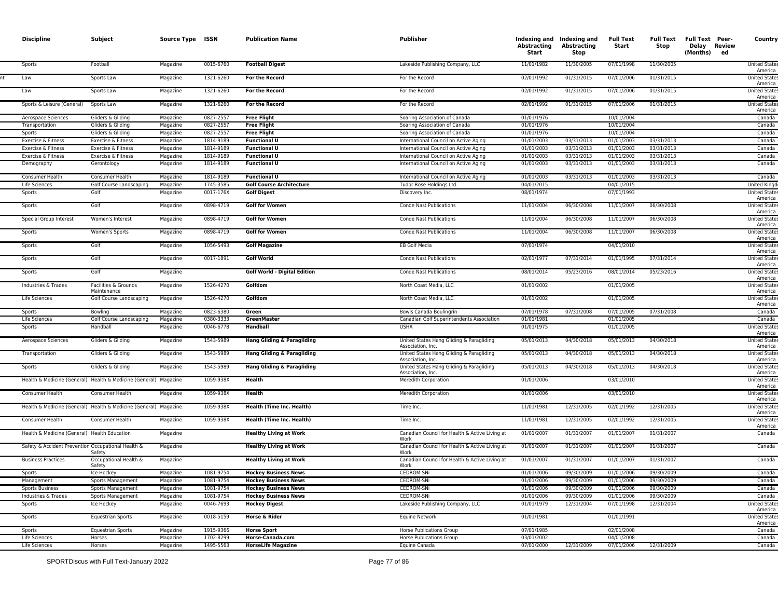| <b>Discipline</b>                                  | Subject                                                                             | Source Type ISSN     |                        | <b>Publication Name</b>                                       | Publisher                                                                                                 | <b>Abstracting</b><br>Start | Indexing and Indexing and<br>Abstracting<br>Stop | <b>Full Text</b><br>Start | Full Text<br>Stop        | <b>Full Text Peer-</b><br>Delay Review<br>(Months)<br>ed | Country                                                 |
|----------------------------------------------------|-------------------------------------------------------------------------------------|----------------------|------------------------|---------------------------------------------------------------|-----------------------------------------------------------------------------------------------------------|-----------------------------|--------------------------------------------------|---------------------------|--------------------------|----------------------------------------------------------|---------------------------------------------------------|
| Sports                                             | Football                                                                            | Magazine             | 0015-6760              | <b>Football Digest</b>                                        | Lakeside Publishing Company, LLC                                                                          | 11/01/1982                  | 11/30/2005                                       | 07/01/1998                | 11/30/2005               |                                                          | <b>United State:</b><br>America                         |
| Law                                                | Sports Law                                                                          | Magazine             | 1321-6260              | For the Record                                                | For the Record                                                                                            | 02/01/1992                  | 01/31/2015                                       | 07/01/2006                | 01/31/2015               |                                                          | <b>United States</b><br>America                         |
| Law                                                | Sports Law                                                                          | Magazine             | 1321-6260              | For the Record                                                | For the Record                                                                                            | 02/01/1992                  | 01/31/2015                                       | 07/01/2006                | 01/31/2015               |                                                          | <b>United States</b><br>America                         |
| Sports & Leisure (General)                         | Sports Law                                                                          | Magazine             | 1321-6260              | For the Record                                                | For the Record                                                                                            | 02/01/1992                  | 01/31/2015                                       | 07/01/2006                | 01/31/2015               |                                                          | <b>United States</b><br>America                         |
| Aerospace Sciences                                 | Gliders & Gliding                                                                   | Magazine             | 0827-2557              | <b>Free Flight</b>                                            | Soaring Association of Canada                                                                             | 01/01/1976                  |                                                  | 10/01/2004                |                          |                                                          | Canada                                                  |
| Transportation                                     | Gliders & Gliding                                                                   | Magazine             | 0827-2557              | <b>Free Flight</b>                                            | Soaring Association of Canada                                                                             | 01/01/1976                  |                                                  | 10/01/2004                |                          |                                                          | Canada                                                  |
| Sports                                             | Gliders & Gliding                                                                   | Magazine             | 0827-2557              | <b>Free Flight</b>                                            | Soaring Association of Canada                                                                             | 01/01/1976                  |                                                  | 10/01/2004                |                          |                                                          | Canada                                                  |
| Exercise & Fitness                                 | Exercise & Fitness                                                                  | Magazine             | 1814-9189              | <b>Functional U</b>                                           | International Council on Active Aging                                                                     | 01/01/2003                  | 03/31/2013                                       | 01/01/2003                | 03/31/2013               |                                                          | Canada                                                  |
| Exercise & Fitness                                 | Exercise & Fitness                                                                  | Magazine             | 1814-9189              | <b>Functional U</b>                                           | International Council on Active Aging                                                                     | 01/01/2003                  | 03/31/2013                                       | 01/01/2003                | 03/31/2013               |                                                          | Canada                                                  |
| Exercise & Fitness                                 | Exercise & Fitness                                                                  | Magazine             | 1814-9189              | <b>Functional U</b>                                           | International Council on Active Aging                                                                     | 01/01/2003                  | 03/31/2013                                       | 01/01/2003                | 03/31/2013               |                                                          | Canada                                                  |
| Demography                                         | Gerontology                                                                         | Magazine             | 1814-9189              | <b>Functional U</b>                                           | International Council on Active Aging                                                                     | 01/01/2003                  | 03/31/2013                                       | 01/01/2003                | 03/31/2013               |                                                          | Canada                                                  |
| Consumer Health                                    | Consumer Health                                                                     | Magazine             | 1814-9189              | <b>Functional U</b>                                           | International Council on Active Aging                                                                     | 01/01/2003                  | 03/31/2013                                       | 01/01/2003                | 03/31/2013               |                                                          | Canada                                                  |
| Life Sciences                                      | <b>Golf Course Landscaping</b>                                                      | Magazine             | 1745-3585              | <b>Golf Course Architecture</b>                               | Tudor Rose Holdings Ltd.                                                                                  | 04/01/2015                  |                                                  | 04/01/2015                |                          |                                                          | United Kingd                                            |
| Sports                                             | Golf                                                                                | Magazine             | 0017-176X              | <b>Golf Digest</b>                                            | Discovery Inc.                                                                                            | 08/01/1974                  |                                                  | 07/01/1993                |                          |                                                          | <b>United State</b><br>America                          |
| Sports                                             | Golf                                                                                | Magazine             | 0898-4719              | <b>Golf for Women</b>                                         | Conde Nast Publications                                                                                   | 11/01/2004                  | 06/30/2008                                       | 11/01/2007                | 06/30/2008               |                                                          | <b>United State:</b><br>America                         |
| Special Group Interest                             | Women's Interest                                                                    | Magazine             | 0898-4719              | <b>Golf for Women</b>                                         | <b>Conde Nast Publications</b>                                                                            | 11/01/2004                  | 06/30/2008                                       | 11/01/2007                | 06/30/2008               |                                                          | <b>United States</b><br>America                         |
| Sports                                             | Women's Sports                                                                      | Magazine             | 0898-4719              | <b>Golf for Women</b>                                         | Conde Nast Publications                                                                                   | 11/01/2004                  | 06/30/2008                                       | 11/01/2007                | 06/30/2008               |                                                          | <b>United State:</b><br>America                         |
| Sports                                             | Golf                                                                                | Magazine             | 1056-5493              | <b>Golf Magazine</b>                                          | EB Golf Media                                                                                             | 07/01/1974                  |                                                  | 04/01/2010                |                          |                                                          | <b>United States</b><br>America                         |
| Sports                                             | Golf                                                                                | Magazine             | 0017-1891              | <b>Golf World</b>                                             | Conde Nast Publications                                                                                   | 02/01/1977                  | 07/31/2014                                       | 01/01/1995                | 07/31/2014               |                                                          | <b>United State:</b><br>America                         |
| Sports                                             | Golf                                                                                | Magazine             |                        | Golf World - Digital Edition                                  | <b>Conde Nast Publications</b>                                                                            | 08/01/2014                  | 05/23/2016                                       | 08/01/2014                | 05/23/2016               |                                                          | <b>United States</b><br>America                         |
| Industries & Trades                                | Facilities & Grounds<br>Maintenance                                                 | Magazine             | 1526-4270              | Golfdom                                                       | North Coast Media, LLC                                                                                    | 01/01/2002                  |                                                  | 01/01/2005                |                          |                                                          | <b>United States</b><br>America                         |
| Life Sciences                                      | Golf Course Landscaping                                                             | Magazine             | 1526-4270              | Golfdom                                                       | North Coast Media, LLC                                                                                    | 01/01/2002                  |                                                  | 01/01/2005                |                          |                                                          | <b>United State:</b><br>America                         |
| Sports                                             | Bowling                                                                             | Magazine             | 0823-6380              | Green                                                         | Bowls Canada Boulingrin                                                                                   | 07/01/1978                  | 07/31/2008                                       | 07/01/2005                | 07/31/2008               |                                                          | Canada                                                  |
| Life Sciences<br>Sports                            | Golf Course Landscaping<br>Handball                                                 | Magazine             | 0380-3333<br>0046-6778 | GreenMaster<br>Handball                                       | Canadian Golf Superintendents Association<br><b>USHA</b>                                                  | 01/01/1981<br>01/01/1975    |                                                  | 01/01/2005<br>01/01/2005  |                          |                                                          | Canada<br><b>United State:</b>                          |
|                                                    |                                                                                     | Magazine             |                        |                                                               |                                                                                                           |                             |                                                  |                           |                          |                                                          | America                                                 |
| Aerospace Sciences                                 | Gliders & Gliding<br>Gliders & Gliding                                              | Magazine             | 1543-5989<br>1543-5989 | Hang Gliding & Paragliding                                    | United States Hang Gliding & Paragliding<br>Association, Inc.<br>United States Hang Gliding & Paragliding | 05/01/2013<br>05/01/2013    | 04/30/2018<br>04/30/2018                         | 05/01/2013<br>05/01/2013  | 04/30/2018<br>04/30/2018 |                                                          | <b>United States</b><br>America<br><b>United States</b> |
| Transportation<br>Sports                           | Gliders & Gliding                                                                   | Magazine<br>Magazine | 1543-5989              | Hang Gliding & Paragliding<br>Hang Gliding & Paragliding      | Association, Inc.<br>United States Hang Gliding & Paragliding                                             | 05/01/2013                  | 04/30/2018                                       | 05/01/2013                | 04/30/2018               |                                                          | America<br><b>United States</b>                         |
|                                                    | Health & Medicine (General) Health & Medicine (General) Magazine                    |                      | 1059-938X              | Health                                                        | Association, Inc.<br>Meredith Corporation                                                                 | 01/01/2006                  |                                                  | 03/01/2010                |                          |                                                          | America<br><b>United States</b>                         |
|                                                    |                                                                                     |                      |                        |                                                               |                                                                                                           |                             |                                                  |                           |                          |                                                          | America                                                 |
| Consumer Health                                    | Consumer Health<br>Health & Medicine (General) Health & Medicine (General) Magazine | Magazine             | 1059-938X<br>1059-938X | Health                                                        | Meredith Corporation                                                                                      | 01/01/2006<br>11/01/1981    | 12/31/2005                                       | 03/01/2010<br>02/01/1992  | 12/31/2005               |                                                          | <b>United States</b><br>America<br><b>United States</b> |
| Consumer Health                                    | Consumer Health                                                                     | Magazine             | 1059-938X              | Health (Time Inc. Health)<br><b>Health (Time Inc. Health)</b> | Time Inc.<br>Time Inc.                                                                                    | 11/01/1981                  | 12/31/2005                                       | 02/01/1992                | 12/31/2005               |                                                          | America<br><b>United States</b>                         |
| Health & Medicine (General) Health Education       |                                                                                     | Magazine             |                        | <b>Healthy Living at Work</b>                                 | Canadian Council for Health & Active Living at                                                            | 01/01/2007                  | 01/31/2007                                       | 01/01/2007                | 01/31/2007               |                                                          | America<br>Canada                                       |
| Safety & Accident Prevention Occupational Health & |                                                                                     | Magazine             |                        | <b>Healthy Living at Work</b>                                 | Work<br>Canadian Council for Health & Active Living at                                                    | 01/01/2007                  | 01/31/2007                                       | 01/01/2007                | 01/31/2007               |                                                          | Canada                                                  |
| <b>Business Practices</b>                          | Safety<br>Occupational Health &                                                     | Magazine             |                        | <b>Healthy Living at Work</b>                                 | Work<br>Canadian Council for Health & Active Living at                                                    | 01/01/2007                  | 01/31/2007                                       | 01/01/2007                | 01/31/2007               |                                                          | Canada                                                  |
|                                                    | Safety<br>Ice Hockey                                                                | Magazine             | 1081-9754              | <b>Hockey Business News</b>                                   | Work<br>CEDROM-SNi                                                                                        | 01/01/2006                  | 09/30/2009                                       | 01/01/2006                | 09/30/2009               |                                                          | Canada                                                  |
| Management                                         | Sports Management                                                                   | Magazine             | 1081-9754              | <b>Hockey Business News</b>                                   | CEDROM-SNi                                                                                                | 01/01/2006                  | 09/30/2009                                       | 01/01/2006                | 09/30/2009               |                                                          | Canada                                                  |
| <b>Sports Business</b>                             | Sports Management                                                                   | Magazine             | 1081-9754              | <b>Hockey Business News</b>                                   | CEDROM-SNi                                                                                                | 01/01/2006                  | 09/30/2009                                       | 01/01/2006                | 09/30/2009               |                                                          | Canada                                                  |
| Industries & Trades                                | Sports Management                                                                   | Magazine             | 1081-9754              | <b>Hockey Business News</b>                                   | CEDROM-SNi                                                                                                | 01/01/2006                  | 09/30/2009                                       | 01/01/2006                | 09/30/2009               |                                                          | Canada                                                  |
| Sports                                             | Ice Hockey                                                                          | Magazine             | 0046-7693              | <b>Hockey Digest</b>                                          | Lakeside Publishing Company, LLC                                                                          | 01/01/1979                  | 12/31/2004                                       | 07/01/1998                | 12/31/2004               |                                                          | <b>United State:</b><br>America                         |
| Sports                                             | <b>Equestrian Sports</b>                                                            | Magazine             | 0018-5159              | Horse & Rider                                                 | <b>Equine Network</b>                                                                                     | 01/01/1981                  |                                                  | 01/01/1991                |                          |                                                          | <b>United States</b><br>America                         |
| Sports                                             | <b>Equestrian Sports</b>                                                            | Magazine             | 1915-9366              | <b>Horse Sport</b>                                            | <b>Horse Publications Group</b>                                                                           | 07/01/1985                  |                                                  | 02/01/2008                |                          |                                                          | Canada                                                  |
| Life Sciences                                      | Horses                                                                              | Magazine             | 1702-8299              | Horse-Canada.com                                              | <b>Horse Publications Group</b>                                                                           | 03/01/2002                  |                                                  | 04/01/2008                |                          |                                                          | Canada                                                  |
| Life Sciences                                      | Horses                                                                              | Magazine             | 1495-5563              | <b>HorseLife Magazine</b>                                     | Equine Canada                                                                                             | 07/01/2000                  | 12/31/2009                                       | 07/01/2006                | 12/31/2009               |                                                          | Canada                                                  |
|                                                    |                                                                                     |                      |                        |                                                               |                                                                                                           |                             |                                                  |                           |                          |                                                          |                                                         |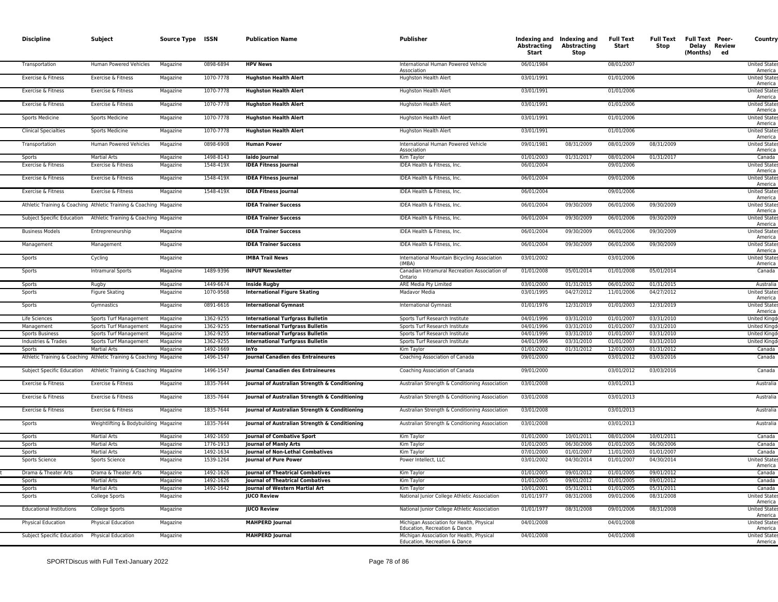| <b>Discipline</b>               | Subject                                                                                   | Source Type ISSN     |                        | <b>Publication Name</b>                              | <b>Publisher</b>                                                           | Abstracting<br>Start     | Indexing and Indexing and<br>Abstracting<br><b>Stop</b> | Full Text<br>Start       | Full Text<br>Stop        | Full Text Peer-<br>Delay Review<br>(Months) ed | Country                         |
|---------------------------------|-------------------------------------------------------------------------------------------|----------------------|------------------------|------------------------------------------------------|----------------------------------------------------------------------------|--------------------------|---------------------------------------------------------|--------------------------|--------------------------|------------------------------------------------|---------------------------------|
| Transportation                  | Human Powered Vehicles                                                                    | Magazine             | 0898-6894              | <b>HPV News</b>                                      | International Human Powered Vehicle<br>Association                         | 06/01/1984               |                                                         | 08/01/2007               |                          |                                                | <b>United States</b><br>America |
| Exercise & Fitness              | Exercise & Fitness                                                                        | Magazine             | 1070-7778              | <b>Hughston Health Alert</b>                         | <b>Hughston Health Alert</b>                                               | 03/01/1991               |                                                         | 01/01/2006               |                          |                                                | <b>United States</b><br>America |
| Exercise & Fitness              | Exercise & Fitness                                                                        | Magazine             | 1070-7778              | <b>Hughston Health Alert</b>                         | Hughston Health Alert                                                      | 03/01/1991               |                                                         | 01/01/2006               |                          |                                                | <b>United States</b><br>America |
| Exercise & Fitness              | Exercise & Fitness                                                                        | Magazine             | 1070-7778              | <b>Hughston Health Alert</b>                         | <b>Hughston Health Alert</b>                                               | 03/01/1991               |                                                         | 01/01/2006               |                          |                                                | <b>United States</b><br>America |
| Sports Medicine                 | <b>Sports Medicine</b>                                                                    | Magazine             | 1070-7778              | <b>Hughston Health Alert</b>                         | Hughston Health Alert                                                      | 03/01/1991               |                                                         | 01/01/2006               |                          |                                                | <b>United State</b><br>America  |
| <b>Clinical Specialties</b>     | <b>Sports Medicine</b>                                                                    | Magazine             | 1070-7778              | <b>Hughston Health Alert</b>                         | Hughston Health Alert                                                      | 03/01/1991               |                                                         | 01/01/2006               |                          |                                                | <b>United State</b><br>America  |
| Transportation                  | Human Powered Vehicles                                                                    | Magazine             | 0898-6908              | <b>Human Power</b>                                   | International Human Powered Vehicle<br>Association                         | 09/01/1981               | 08/31/2009                                              | 08/01/2009               | 08/31/2009               |                                                | <b>United State</b><br>America  |
| Snorts                          | <b>Martial Arts</b>                                                                       | Magazine             | 1498-8143              | laido Journal                                        | Kim Taylor                                                                 | 01/01/2003               | 01/31/2017                                              | 08/01/2004               | 01/31/2017               |                                                | Canada                          |
| Exercise & Fitness              | Exercise & Fitness                                                                        | Magazine             | 1548-419X              | <b>IDEA Fitness Journal</b>                          | IDEA Health & Fitness, Inc.                                                | 06/01/2004               |                                                         | 09/01/2006               |                          |                                                | United State<br>America         |
| Exercise & Fitness              | Exercise & Fitness                                                                        | Magazine             | 1548-419X              | <b>IDEA Fitness Journal</b>                          | IDEA Health & Fitness, Inc.                                                | 06/01/2004               |                                                         | 09/01/2006               |                          |                                                | <b>United State</b><br>America  |
| Exercise & Fitness              | Exercise & Fitness                                                                        | Magazine             | 1548-419X              | <b>IDEA Fitness Journal</b>                          | IDEA Health & Fitness, Inc.                                                | 06/01/2004               |                                                         | 09/01/2006               |                          |                                                | <b>United States</b><br>America |
|                                 | Athletic Training & Coaching Athletic Training & Coaching Magazine                        |                      |                        | <b>IDEA Trainer Success</b>                          | IDEA Health & Fitness, Inc.                                                | 06/01/2004               | 09/30/2009                                              | 06/01/2006               | 09/30/2009               |                                                | <b>United States</b><br>America |
| Subject Specific Education      | Athletic Training & Coaching Magazine                                                     |                      |                        | <b>IDEA Trainer Success</b>                          | IDEA Health & Fitness, Inc.                                                | 06/01/2004               | 09/30/2009                                              | 06/01/2006               | 09/30/2009               |                                                | <b>United State</b><br>America  |
| <b>Business Models</b>          | Entrepreneurship                                                                          | Magazine             |                        | <b>IDEA Trainer Success</b>                          | IDEA Health & Fitness, Inc.                                                | 06/01/2004               | 09/30/2009                                              | 06/01/2006               | 09/30/2009               |                                                | <b>United State</b><br>America  |
| Management                      | Management                                                                                | Magazine             |                        | <b>IDEA Trainer Success</b>                          | IDEA Health & Fitness, Inc.                                                | 06/01/2004               | 09/30/2009                                              | 06/01/2006               | 09/30/2009               |                                                | <b>United State</b><br>America  |
| Sports                          | Cycling                                                                                   | Magazine             |                        | <b>IMBA Trail News</b>                               | International Mountain Bicycling Association<br>(IMRA)                     | 03/01/2002               |                                                         | 03/01/2006               |                          |                                                | <b>United State</b><br>America  |
| Sports                          | <b>Intramural Sports</b>                                                                  | Magazine             | 1489-9396              | <b>INPUT Newsletter</b>                              | Canadian Intramural Recreation Association of<br>Ontario                   | 01/01/2008               | 05/01/2014                                              | 01/01/2008               | 05/01/2014               |                                                | Canada                          |
| Sports                          | Rugby                                                                                     | Magazine             | 1449-6674              | <b>Inside Rugby</b>                                  | ARE Media Pty Limited                                                      | 03/01/2000               | 01/31/2015                                              | 06/01/2002               | 01/31/2015               |                                                | Australia                       |
| Sports                          | Figure Skating                                                                            | Magazine             | 1070-9568              | <b>International Figure Skating</b>                  | Madavor Media                                                              | 03/01/1995               | 04/27/2012                                              | 11/01/2006               | 04/27/2012               |                                                | <b>United State</b><br>America  |
| Sports                          | Gymnastics                                                                                | Magazine             | 0891-6616              | <b>International Gymnast</b>                         | <b>International Gymnast</b>                                               | 01/01/1976               | 12/31/2019                                              | 01/01/2003               | 12/31/2019               |                                                | <b>United State</b><br>America  |
| Life Sciences                   | Sports Turf Management                                                                    | Magazine             | 1362-9255              | <b>International Turfgrass Bulletin</b>              | Sports Turf Research Institute                                             | 04/01/1996               | 03/31/2010                                              | 01/01/2007               | 03/31/2010               |                                                | <b>United Kingd</b>             |
| Management                      | Sports Turf Management                                                                    | Magazine             | 1362-9255              | <b>International Turfgrass Bulletin</b>              | Sports Turf Research Institute                                             | 04/01/1996               | 03/31/2010                                              | 01/01/2007               | 03/31/2010               |                                                | <b>United Kingo</b>             |
| Sports Business                 | <b>Sports Turf Management</b>                                                             | Magazine             | 1362-9255              | <b>International Turfgrass Bulletin</b>              | Sports Turf Research Institute                                             | 04/01/1996               | 03/31/2010                                              | 01/01/2007               | 03/31/2010               |                                                | <b>United Kingo</b>             |
| Industries & Trades             | Sports Turf Management                                                                    | Magazine             | 1362-9255              | <b>International Turfgrass Bulletin</b>              | Sports Turf Research Institute                                             | 04/01/1996               | 03/31/2010                                              | 01/01/2007               | 03/31/2010               |                                                | <b>United Kingo</b>             |
| Sports                          | <b>Martial Arts</b><br>Athletic Training & Coaching Athletic Training & Coaching Magazine | Magazine             | 1492-1669<br>1496-1547 | InYo<br>Journal Canadien des Entraineures            | Kim Taylor<br>Coaching Association of Canada                               | 01/01/2002<br>09/01/2000 | 01/31/2012                                              | 12/01/2003<br>03/01/2012 | 01/31/2012<br>03/03/2016 |                                                | Canada<br>Canada                |
| Subject Specific Education      | Athletic Training & Coaching Magazine                                                     |                      | 1496-1547              | Journal Canadien des Entraineures                    | Coaching Association of Canada                                             | 09/01/2000               |                                                         | 03/01/2012               | 03/03/2016               |                                                | Canada                          |
| Exercise & Fitness              | Exercise & Fitness                                                                        | Magazine             | 1835-7644              | Journal of Australian Strength & Conditioning        | Australian Strength & Conditioning Association                             | 03/01/2008               |                                                         | 03/01/2013               |                          |                                                | Australia                       |
| Exercise & Fitness              | Exercise & Fitness                                                                        | Magazine             | 1835-7644              | Journal of Australian Strength & Conditioning        | Australian Strength & Conditioning Association                             | 03/01/2008               |                                                         | 03/01/2013               |                          |                                                | Australia                       |
| Exercise & Fitness              | Exercise & Fitness                                                                        | Magazine             | 1835-7644              | Journal of Australian Strength & Conditioning        | Australian Strength & Conditioning Association                             | 03/01/2008               |                                                         | 03/01/2013               |                          |                                                | Australia                       |
| Sports                          | Weightlifting & Bodybuilding Magazine                                                     |                      | 1835-7644              | Journal of Australian Strength & Conditioning        | Australian Strength & Conditioning Association                             | 03/01/2008               |                                                         | 03/01/2013               |                          |                                                | Australia                       |
| Sports                          | <b>Martial Arts</b>                                                                       | Magazine             | 1492-1650              | <b>Journal of Combative Sport</b>                    | Kim Taylor                                                                 | 01/01/2000               | 10/01/2011                                              | 08/01/2004               | 10/01/2011               |                                                | Canada                          |
| Sports                          | Martial Arts                                                                              | Magazine             | 1776-1913              | <b>Journal of Manly Arts</b>                         | Kim Taylor                                                                 | 01/01/2005               | 06/30/2006                                              | 01/01/2005               | 06/30/2006               |                                                | Canada                          |
| Sports                          | <b>Martial Arts</b>                                                                       | Magazine             | 1492-1634              | Journal of Non-Lethal Combatives                     | Kim Taylor                                                                 | 07/01/2000               | 01/01/2007                                              | 11/01/2003               | 01/01/2007               |                                                | Canada                          |
| Sports Science                  | <b>Sports Science</b>                                                                     | Magazine             | 1539-1264              | Journal of Pure Power                                | Power Intellect, LLC                                                       | 03/01/2002               | 04/30/2014                                              | 01/01/2007               | 04/30/2014               |                                                | <b>United State</b><br>America  |
| Drama & Theater Arts            | Drama & Theater Arts                                                                      | Magazine             | 1492-1626              | <b>Journal of Theatrical Combatives</b>              | Kim Taylor                                                                 | 01/01/2005               | 09/01/2012                                              | 01/01/2005               | 09/01/2012               |                                                | Canada                          |
| Sports                          | <b>Martial Arts</b>                                                                       | Magazine             | 1492-1626              | Journal of Theatrical Combatives                     | Kim Taylor                                                                 | 01/01/2005               | 09/01/2012                                              | 01/01/2005               | 09/01/2012               |                                                | Canada                          |
| Sports<br>Sports                | <b>Martial Arts</b><br>College Sports                                                     | Magazine<br>Magazine | 1492-1642              | Journal of Western Martial Art<br><b>JUCO Review</b> | Kim Taylor<br>National Junior College Athletic Association                 | 10/01/2001<br>01/01/1977 | 05/31/2011<br>08/31/2008                                | 01/01/2005<br>09/01/2006 | 05/31/2011<br>08/31/2008 |                                                | Canada<br><b>United State</b>   |
| <b>Educational Institutions</b> | College Sports                                                                            | Magazine             |                        | <b>JUCO Review</b>                                   | National Junior College Athletic Association                               | 01/01/1977               | 08/31/2008                                              | 09/01/2006               | 08/31/2008               |                                                | America<br>United State         |
| <b>Physical Education</b>       | <b>Physical Education</b>                                                                 | Magazine             |                        | <b>MAHPERD Journal</b>                               | Michigan Association for Health, Physical                                  | 04/01/2008               |                                                         | 04/01/2008               |                          |                                                | America<br><b>United State</b>  |
| Subject Specific Education      | Physical Education                                                                        | Magazine             |                        | <b>MAHPERD Journal</b>                               | Education, Recreation & Dance<br>Michigan Association for Health, Physical | 04/01/2008               |                                                         | 04/01/2008               |                          |                                                | America<br><b>United State</b>  |
|                                 |                                                                                           |                      |                        |                                                      | Education, Recreation & Dance                                              |                          |                                                         |                          |                          |                                                | America                         |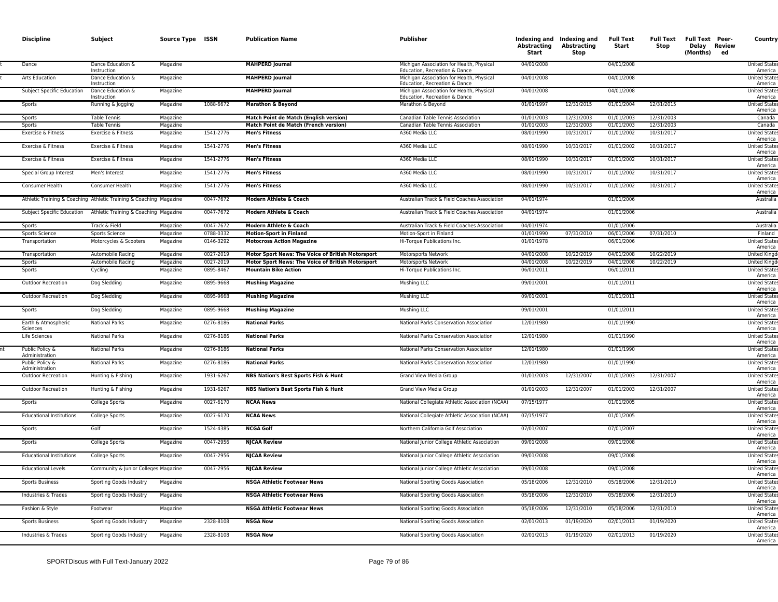| <b>MAHPERD Journal</b><br>04/01/2008<br>04/01/2008<br>Dance<br>Dance Education &<br>Magazine<br>Michigan Association for Health, Physical<br><b>United State</b><br>Instruction<br>Education, Recreation & Dance<br>America<br><b>MAHPERD Journal</b><br>Arts Education<br>Dance Education &<br>Magazine<br>Michigan Association for Health, Physical<br>04/01/2008<br>04/01/2008<br><b>United State:</b><br>Education, Recreation & Dance<br>America<br>Instruction<br><b>MAHPERD Journal</b><br>04/01/2008<br>04/01/2008<br>Subject Specific Education<br>Dance Education &<br>Magazine<br>Michigan Association for Health, Physical<br><b>United State</b><br>Education, Recreation & Dance<br>Instruction<br>America<br>1088-6672<br>Marathon & Beyond<br>Marathon & Beyond<br>01/01/1997<br>12/31/2015<br>01/01/2004<br>12/31/2015<br><b>United State</b><br>Sports<br>Running & Jogging<br>Magazine<br>America<br><b>Table Tennis</b><br>Magazine<br>Match Point de Match (English version)<br>Canadian Table Tennis Association<br>01/01/2003<br>12/31/2003<br>01/01/2003<br>12/31/2003<br>Sports<br>Canada<br>01/01/2003<br>12/31/2003<br>01/01/2003<br>12/31/2003<br><b>Sports</b><br><b>Table Tennis</b><br>Magazine<br>Match Point de Match (French version)<br>Canadian Table Tennis Association<br>Canada<br>Exercise & Fitness<br>1541-2776<br><b>Men's Fitness</b><br>A360 Media LLC<br>08/01/1990<br>10/31/2017<br>01/01/2002<br>10/31/2017<br><b>United State</b><br>Exercise & Fitness<br>Magazine<br>America<br>A360 Media LLC<br>08/01/1990<br>10/31/2017<br>Exercise & Fitness<br>Exercise & Fitness<br>Magazine<br>1541-2776<br><b>Men's Fitness</b><br>10/31/2017<br>01/01/2002<br><b>United State</b><br>America<br>1541-2776<br>08/01/1990<br>10/31/2017<br>01/01/2002<br>10/31/2017<br>Exercise & Fitness<br>Exercise & Fitness<br><b>Men's Fitness</b><br>A360 Media LLC<br><b>United States</b><br>Magazine<br>America<br>08/01/1990<br>10/31/2017<br>Special Group Interest<br>Men's Interest<br>Magazine<br>1541-2776<br><b>Men's Fitness</b><br>A360 Media LLC<br>10/31/2017<br>01/01/2002<br>America<br>Consumer Health<br>Consumer Health<br>Magazine<br>1541-2776<br><b>Men's Fitness</b><br>A360 Media LLC<br>08/01/1990<br>10/31/2017<br>01/01/2002<br>10/31/2017<br>America<br>0047-7672<br>04/01/1974<br>01/01/2006<br>Athletic Training & Coaching Athletic Training & Coaching Magazine<br>Modern Athlete & Coach<br>Australian Track & Field Coaches Association<br>Subject Specific Education<br>Athletic Training & Coaching Magazine<br>0047-7672<br><b>Modern Athlete &amp; Coach</b><br>Australian Track & Field Coaches Association<br>04/01/1974<br>01/01/2006<br>Track & Field<br>Magazine<br>0047-7672<br>Modern Athlete & Coach<br>Australian Track & Field Coaches Association<br>04/01/1974<br>01/01/2006<br>Sports<br>0788-0332<br>07/31/2010<br>07/31/2010<br>Sports Science<br>Sports Science<br>Magazine<br><b>Motion-Sport in Finland</b><br>Motion-Sport in Finland<br>01/01/1990<br>06/01/2006<br>Magazine<br>0146-3292<br><b>Motocross Action Magazine</b><br>Hi-Torque Publications Inc.<br>01/01/1978<br>06/01/2006<br>Transportation<br>Motorcycles & Scooters<br>America<br>0027-2019<br>04/01/2008<br>10/22/2019<br>04/01/2008<br>10/22/2019<br>Transportation<br>Automobile Racing<br>Magazine<br>Motor Sport News: The Voice of British Motorsport<br>Motorsports Network<br>Automobile Racing<br>Magazine<br>0027-2019<br>Motor Sport News: The Voice of British Motorsport<br>Motorsports Network<br>04/01/2008<br>10/22/2019<br>04/01/2008<br>10/22/2019<br>Sports<br>06/01/2011<br>Magazine<br>0895-8467<br><b>Mountain Bike Action</b><br>06/01/2011<br>Sports<br>Cycling<br>Hi-Torque Publications Inc.<br>America<br>0895-9668<br>09/01/2001<br>01/01/2011<br>Outdoor Recreation<br>Dog Sledding<br>Magazine<br><b>Mushing Magazine</b><br>Mushing LLC<br>America<br>0895-9668<br>09/01/2001<br><b>Outdoor Recreation</b><br>Dog Sledding<br>Magazine<br><b>Mushing Magazine</b><br>Mushing LLC<br>01/01/2011<br>America<br>0895-9668<br>Dog Sledding<br>Magazine<br><b>Mushing Magazine</b><br>Mushing LLC<br>09/01/2001<br>01/01/2011<br>Sports<br>America<br>0276-8186<br>12/01/1980<br>01/01/1990<br>Magazine<br><b>National Parks</b><br>Earth & Atmospheric<br>National Parks<br>National Parks Conservation Association<br>Sciences<br>0276-8186<br>12/01/1980<br>01/01/1990<br><b>United State:</b><br>Life Sciences<br><b>National Parks</b><br>Magazine<br><b>National Parks</b><br>National Parks Conservation Association<br>0276-8186<br><b>National Parks</b><br>12/01/1980<br>01/01/1990<br>Public Policy &<br><b>National Parks</b><br>Magazine<br>National Parks Conservation Association<br>Administration<br>Public Policy &<br><b>National Parks</b><br>Magazine<br>0276-8186<br><b>National Parks</b><br>National Parks Conservation Association<br>12/01/1980<br>01/01/1990<br>Administration<br>1931-6267<br>12/31/2007<br>12/31/2007<br>NBS Nation's Best Sports Fish & Hunt<br>01/01/2003<br>01/01/2003<br>Outdoor Recreation<br>Magazine<br>Grand View Media Group<br>Hunting & Fishing<br>1931-6267<br>NBS Nation's Best Sports Fish & Hunt<br>Grand View Media Group<br>01/01/2003<br>12/31/2007<br>01/01/2003<br>12/31/2007<br>Outdoor Recreation<br>Magazine<br>Hunting & Fishing<br>0027-6170<br><b>NCAA News</b><br>National Collegiate Athletic Association (NCAA)<br>07/15/1977<br>01/01/2005<br>Sports<br>College Sports<br>Magazine<br>America<br>0027-6170<br>Magazine<br><b>NCAA News</b><br>07/15/1977<br>01/01/2005<br><b>Educational Institutions</b><br>College Sports<br>National Collegiate Athletic Association (NCAA)<br>America<br>1524-4385<br><b>NCGA Golf</b><br>07/01/2007<br>Golf<br>Magazine<br>Northern California Golf Association<br>07/01/2007<br>Sports<br>0047-2956<br>Sports<br>College Sports<br>Magazine<br><b>NJCAA Review</b><br>National Junior College Athletic Association<br>09/01/2008<br>09/01/2008<br><b>Educational Institutions</b><br>Magazine<br>0047-2956<br><b>NJCAA Review</b><br>National Junior College Athletic Association<br>09/01/2008<br>09/01/2008<br>College Sports<br>0047-2956<br>09/01/2008<br>Community & Junior Colleges Magazine<br><b>NJCAA Review</b><br>09/01/2008<br><b>Educational Levels</b><br>National Junior College Athletic Association<br>Sports Business<br><b>NSGA Athletic Footwear News</b><br>05/18/2006<br>12/31/2010<br>05/18/2006<br>12/31/2010<br>Sporting Goods Industry<br>Magazine<br>National Sporting Goods Association<br>America<br>Industries & Trades<br>Magazine<br><b>NSGA Athletic Footwear News</b><br>National Sporting Goods Association<br>05/18/2006<br>12/31/2010<br>05/18/2006<br>12/31/2010<br>Sporting Goods Industry<br>America<br>Magazine<br><b>NSGA Athletic Footwear News</b><br>05/18/2006<br>12/31/2010<br>05/18/2006<br>12/31/2010<br>Fashion & Style<br>Footwear<br>National Sporting Goods Association<br>America<br>2328-8108<br><b>NSGA Now</b><br>02/01/2013<br>01/19/2020<br>02/01/2013<br>01/19/2020<br>National Sporting Goods Association<br>Sports Business<br>Sporting Goods Industry<br>Magazine<br>America<br>2328-8108<br><b>NSGA Now</b><br>02/01/2013<br>01/19/2020<br>02/01/2013<br>01/19/2020<br>Industries & Trades<br>Sporting Goods Industry<br>Magazine<br>National Sporting Goods Association | <b>Discipline</b> | Subject | Source Type ISSN | <b>Publication Name</b> | <b>Publisher</b> | Abstracting<br>Start | Indexing and Indexing and<br><b>Abstracting</b><br>Stop | <b>Full Text</b><br>Start | Stop | Full Text Full Text Peer-<br>Delay Review<br>(Months)<br>ed | Country                         |
|------------------------------------------------------------------------------------------------------------------------------------------------------------------------------------------------------------------------------------------------------------------------------------------------------------------------------------------------------------------------------------------------------------------------------------------------------------------------------------------------------------------------------------------------------------------------------------------------------------------------------------------------------------------------------------------------------------------------------------------------------------------------------------------------------------------------------------------------------------------------------------------------------------------------------------------------------------------------------------------------------------------------------------------------------------------------------------------------------------------------------------------------------------------------------------------------------------------------------------------------------------------------------------------------------------------------------------------------------------------------------------------------------------------------------------------------------------------------------------------------------------------------------------------------------------------------------------------------------------------------------------------------------------------------------------------------------------------------------------------------------------------------------------------------------------------------------------------------------------------------------------------------------------------------------------------------------------------------------------------------------------------------------------------------------------------------------------------------------------------------------------------------------------------------------------------------------------------------------------------------------------------------------------------------------------------------------------------------------------------------------------------------------------------------------------------------------------------------------------------------------------------------------------------------------------------------------------------------------------------------------------------------------------------------------------------------------------------------------------------------------------------------------------------------------------------------------------------------------------------------------------------------------------------------------------------------------------------------------------------------------------------------------------------------------------------------------------------------------------------------------------------------------------------------------------------------------------------------------------------------------------------------------------------------------------------------------------------------------------------------------------------------------------------------------------------------------------------------------------------------------------------------------------------------------------------------------------------------------------------------------------------------------------------------------------------------------------------------------------------------------------------------------------------------------------------------------------------------------------------------------------------------------------------------------------------------------------------------------------------------------------------------------------------------------------------------------------------------------------------------------------------------------------------------------------------------------------------------------------------------------------------------------------------------------------------------------------------------------------------------------------------------------------------------------------------------------------------------------------------------------------------------------------------------------------------------------------------------------------------------------------------------------------------------------------------------------------------------------------------------------------------------------------------------------------------------------------------------------------------------------------------------------------------------------------------------------------------------------------------------------------------------------------------------------------------------------------------------------------------------------------------------------------------------------------------------------------------------------------------------------------------------------------------------------------------------------------------------------------------------------------------------------------------------------------------------------------------------------------------------------------------------------------------------------------------------------------------------------------------------------------------------------------------------------------------------------------------------------------------------------------------------------------------------------------------------------------------------------------------------------------------------------------------------------------------------------------------------------------------------------------------------------------------------------------------------------------------------------------------------------------------------------------------------------------------------------------------------------------------------------------------------------------------------------------------------------------------------------------------------------------------------------------------------------------------------------------------------------------------------------------------------------------------------------------------------------------------------------------------------------------------------------------------------------------------------------------------------------------------------------------------------------------------------------------------------------------------------------------------------------------------------------------------------------------------------------------------------------------------------------------------------------------------------------------------------------------------------------------------------------------------------------------------------------------------------------------------------------------------------------------------------------------------------------------------------------------------------------------------------------------------------------------------------------------------------|-------------------|---------|------------------|-------------------------|------------------|----------------------|---------------------------------------------------------|---------------------------|------|-------------------------------------------------------------|---------------------------------|
|                                                                                                                                                                                                                                                                                                                                                                                                                                                                                                                                                                                                                                                                                                                                                                                                                                                                                                                                                                                                                                                                                                                                                                                                                                                                                                                                                                                                                                                                                                                                                                                                                                                                                                                                                                                                                                                                                                                                                                                                                                                                                                                                                                                                                                                                                                                                                                                                                                                                                                                                                                                                                                                                                                                                                                                                                                                                                                                                                                                                                                                                                                                                                                                                                                                                                                                                                                                                                                                                                                                                                                                                                                                                                                                                                                                                                                                                                                                                                                                                                                                                                                                                                                                                                                                                                                                                                                                                                                                                                                                                                                                                                                                                                                                                                                                                                                                                                                                                                                                                                                                                                                                                                                                                                                                                                                                                                                                                                                                                                                                                                                                                                                                                                                                                                                                                                                                                                                                                                                                                                                                                                                                                                                                                                                                                                                                                                                                                                                                                                                                                                                                                                                                                                                                                                                                                                                                                                                                                                                                                                                                                                                                                                                                                                                                                                                                                                                                                                                                |                   |         |                  |                         |                  |                      |                                                         |                           |      |                                                             |                                 |
|                                                                                                                                                                                                                                                                                                                                                                                                                                                                                                                                                                                                                                                                                                                                                                                                                                                                                                                                                                                                                                                                                                                                                                                                                                                                                                                                                                                                                                                                                                                                                                                                                                                                                                                                                                                                                                                                                                                                                                                                                                                                                                                                                                                                                                                                                                                                                                                                                                                                                                                                                                                                                                                                                                                                                                                                                                                                                                                                                                                                                                                                                                                                                                                                                                                                                                                                                                                                                                                                                                                                                                                                                                                                                                                                                                                                                                                                                                                                                                                                                                                                                                                                                                                                                                                                                                                                                                                                                                                                                                                                                                                                                                                                                                                                                                                                                                                                                                                                                                                                                                                                                                                                                                                                                                                                                                                                                                                                                                                                                                                                                                                                                                                                                                                                                                                                                                                                                                                                                                                                                                                                                                                                                                                                                                                                                                                                                                                                                                                                                                                                                                                                                                                                                                                                                                                                                                                                                                                                                                                                                                                                                                                                                                                                                                                                                                                                                                                                                                                |                   |         |                  |                         |                  |                      |                                                         |                           |      |                                                             |                                 |
|                                                                                                                                                                                                                                                                                                                                                                                                                                                                                                                                                                                                                                                                                                                                                                                                                                                                                                                                                                                                                                                                                                                                                                                                                                                                                                                                                                                                                                                                                                                                                                                                                                                                                                                                                                                                                                                                                                                                                                                                                                                                                                                                                                                                                                                                                                                                                                                                                                                                                                                                                                                                                                                                                                                                                                                                                                                                                                                                                                                                                                                                                                                                                                                                                                                                                                                                                                                                                                                                                                                                                                                                                                                                                                                                                                                                                                                                                                                                                                                                                                                                                                                                                                                                                                                                                                                                                                                                                                                                                                                                                                                                                                                                                                                                                                                                                                                                                                                                                                                                                                                                                                                                                                                                                                                                                                                                                                                                                                                                                                                                                                                                                                                                                                                                                                                                                                                                                                                                                                                                                                                                                                                                                                                                                                                                                                                                                                                                                                                                                                                                                                                                                                                                                                                                                                                                                                                                                                                                                                                                                                                                                                                                                                                                                                                                                                                                                                                                                                                |                   |         |                  |                         |                  |                      |                                                         |                           |      |                                                             |                                 |
|                                                                                                                                                                                                                                                                                                                                                                                                                                                                                                                                                                                                                                                                                                                                                                                                                                                                                                                                                                                                                                                                                                                                                                                                                                                                                                                                                                                                                                                                                                                                                                                                                                                                                                                                                                                                                                                                                                                                                                                                                                                                                                                                                                                                                                                                                                                                                                                                                                                                                                                                                                                                                                                                                                                                                                                                                                                                                                                                                                                                                                                                                                                                                                                                                                                                                                                                                                                                                                                                                                                                                                                                                                                                                                                                                                                                                                                                                                                                                                                                                                                                                                                                                                                                                                                                                                                                                                                                                                                                                                                                                                                                                                                                                                                                                                                                                                                                                                                                                                                                                                                                                                                                                                                                                                                                                                                                                                                                                                                                                                                                                                                                                                                                                                                                                                                                                                                                                                                                                                                                                                                                                                                                                                                                                                                                                                                                                                                                                                                                                                                                                                                                                                                                                                                                                                                                                                                                                                                                                                                                                                                                                                                                                                                                                                                                                                                                                                                                                                                |                   |         |                  |                         |                  |                      |                                                         |                           |      |                                                             |                                 |
|                                                                                                                                                                                                                                                                                                                                                                                                                                                                                                                                                                                                                                                                                                                                                                                                                                                                                                                                                                                                                                                                                                                                                                                                                                                                                                                                                                                                                                                                                                                                                                                                                                                                                                                                                                                                                                                                                                                                                                                                                                                                                                                                                                                                                                                                                                                                                                                                                                                                                                                                                                                                                                                                                                                                                                                                                                                                                                                                                                                                                                                                                                                                                                                                                                                                                                                                                                                                                                                                                                                                                                                                                                                                                                                                                                                                                                                                                                                                                                                                                                                                                                                                                                                                                                                                                                                                                                                                                                                                                                                                                                                                                                                                                                                                                                                                                                                                                                                                                                                                                                                                                                                                                                                                                                                                                                                                                                                                                                                                                                                                                                                                                                                                                                                                                                                                                                                                                                                                                                                                                                                                                                                                                                                                                                                                                                                                                                                                                                                                                                                                                                                                                                                                                                                                                                                                                                                                                                                                                                                                                                                                                                                                                                                                                                                                                                                                                                                                                                                |                   |         |                  |                         |                  |                      |                                                         |                           |      |                                                             |                                 |
|                                                                                                                                                                                                                                                                                                                                                                                                                                                                                                                                                                                                                                                                                                                                                                                                                                                                                                                                                                                                                                                                                                                                                                                                                                                                                                                                                                                                                                                                                                                                                                                                                                                                                                                                                                                                                                                                                                                                                                                                                                                                                                                                                                                                                                                                                                                                                                                                                                                                                                                                                                                                                                                                                                                                                                                                                                                                                                                                                                                                                                                                                                                                                                                                                                                                                                                                                                                                                                                                                                                                                                                                                                                                                                                                                                                                                                                                                                                                                                                                                                                                                                                                                                                                                                                                                                                                                                                                                                                                                                                                                                                                                                                                                                                                                                                                                                                                                                                                                                                                                                                                                                                                                                                                                                                                                                                                                                                                                                                                                                                                                                                                                                                                                                                                                                                                                                                                                                                                                                                                                                                                                                                                                                                                                                                                                                                                                                                                                                                                                                                                                                                                                                                                                                                                                                                                                                                                                                                                                                                                                                                                                                                                                                                                                                                                                                                                                                                                                                                |                   |         |                  |                         |                  |                      |                                                         |                           |      |                                                             |                                 |
|                                                                                                                                                                                                                                                                                                                                                                                                                                                                                                                                                                                                                                                                                                                                                                                                                                                                                                                                                                                                                                                                                                                                                                                                                                                                                                                                                                                                                                                                                                                                                                                                                                                                                                                                                                                                                                                                                                                                                                                                                                                                                                                                                                                                                                                                                                                                                                                                                                                                                                                                                                                                                                                                                                                                                                                                                                                                                                                                                                                                                                                                                                                                                                                                                                                                                                                                                                                                                                                                                                                                                                                                                                                                                                                                                                                                                                                                                                                                                                                                                                                                                                                                                                                                                                                                                                                                                                                                                                                                                                                                                                                                                                                                                                                                                                                                                                                                                                                                                                                                                                                                                                                                                                                                                                                                                                                                                                                                                                                                                                                                                                                                                                                                                                                                                                                                                                                                                                                                                                                                                                                                                                                                                                                                                                                                                                                                                                                                                                                                                                                                                                                                                                                                                                                                                                                                                                                                                                                                                                                                                                                                                                                                                                                                                                                                                                                                                                                                                                                |                   |         |                  |                         |                  |                      |                                                         |                           |      |                                                             |                                 |
|                                                                                                                                                                                                                                                                                                                                                                                                                                                                                                                                                                                                                                                                                                                                                                                                                                                                                                                                                                                                                                                                                                                                                                                                                                                                                                                                                                                                                                                                                                                                                                                                                                                                                                                                                                                                                                                                                                                                                                                                                                                                                                                                                                                                                                                                                                                                                                                                                                                                                                                                                                                                                                                                                                                                                                                                                                                                                                                                                                                                                                                                                                                                                                                                                                                                                                                                                                                                                                                                                                                                                                                                                                                                                                                                                                                                                                                                                                                                                                                                                                                                                                                                                                                                                                                                                                                                                                                                                                                                                                                                                                                                                                                                                                                                                                                                                                                                                                                                                                                                                                                                                                                                                                                                                                                                                                                                                                                                                                                                                                                                                                                                                                                                                                                                                                                                                                                                                                                                                                                                                                                                                                                                                                                                                                                                                                                                                                                                                                                                                                                                                                                                                                                                                                                                                                                                                                                                                                                                                                                                                                                                                                                                                                                                                                                                                                                                                                                                                                                |                   |         |                  |                         |                  |                      |                                                         |                           |      |                                                             |                                 |
|                                                                                                                                                                                                                                                                                                                                                                                                                                                                                                                                                                                                                                                                                                                                                                                                                                                                                                                                                                                                                                                                                                                                                                                                                                                                                                                                                                                                                                                                                                                                                                                                                                                                                                                                                                                                                                                                                                                                                                                                                                                                                                                                                                                                                                                                                                                                                                                                                                                                                                                                                                                                                                                                                                                                                                                                                                                                                                                                                                                                                                                                                                                                                                                                                                                                                                                                                                                                                                                                                                                                                                                                                                                                                                                                                                                                                                                                                                                                                                                                                                                                                                                                                                                                                                                                                                                                                                                                                                                                                                                                                                                                                                                                                                                                                                                                                                                                                                                                                                                                                                                                                                                                                                                                                                                                                                                                                                                                                                                                                                                                                                                                                                                                                                                                                                                                                                                                                                                                                                                                                                                                                                                                                                                                                                                                                                                                                                                                                                                                                                                                                                                                                                                                                                                                                                                                                                                                                                                                                                                                                                                                                                                                                                                                                                                                                                                                                                                                                                                |                   |         |                  |                         |                  |                      |                                                         |                           |      |                                                             |                                 |
|                                                                                                                                                                                                                                                                                                                                                                                                                                                                                                                                                                                                                                                                                                                                                                                                                                                                                                                                                                                                                                                                                                                                                                                                                                                                                                                                                                                                                                                                                                                                                                                                                                                                                                                                                                                                                                                                                                                                                                                                                                                                                                                                                                                                                                                                                                                                                                                                                                                                                                                                                                                                                                                                                                                                                                                                                                                                                                                                                                                                                                                                                                                                                                                                                                                                                                                                                                                                                                                                                                                                                                                                                                                                                                                                                                                                                                                                                                                                                                                                                                                                                                                                                                                                                                                                                                                                                                                                                                                                                                                                                                                                                                                                                                                                                                                                                                                                                                                                                                                                                                                                                                                                                                                                                                                                                                                                                                                                                                                                                                                                                                                                                                                                                                                                                                                                                                                                                                                                                                                                                                                                                                                                                                                                                                                                                                                                                                                                                                                                                                                                                                                                                                                                                                                                                                                                                                                                                                                                                                                                                                                                                                                                                                                                                                                                                                                                                                                                                                                |                   |         |                  |                         |                  |                      |                                                         |                           |      |                                                             | <b>United State</b>             |
|                                                                                                                                                                                                                                                                                                                                                                                                                                                                                                                                                                                                                                                                                                                                                                                                                                                                                                                                                                                                                                                                                                                                                                                                                                                                                                                                                                                                                                                                                                                                                                                                                                                                                                                                                                                                                                                                                                                                                                                                                                                                                                                                                                                                                                                                                                                                                                                                                                                                                                                                                                                                                                                                                                                                                                                                                                                                                                                                                                                                                                                                                                                                                                                                                                                                                                                                                                                                                                                                                                                                                                                                                                                                                                                                                                                                                                                                                                                                                                                                                                                                                                                                                                                                                                                                                                                                                                                                                                                                                                                                                                                                                                                                                                                                                                                                                                                                                                                                                                                                                                                                                                                                                                                                                                                                                                                                                                                                                                                                                                                                                                                                                                                                                                                                                                                                                                                                                                                                                                                                                                                                                                                                                                                                                                                                                                                                                                                                                                                                                                                                                                                                                                                                                                                                                                                                                                                                                                                                                                                                                                                                                                                                                                                                                                                                                                                                                                                                                                                |                   |         |                  |                         |                  |                      |                                                         |                           |      |                                                             | <b>United State</b>             |
|                                                                                                                                                                                                                                                                                                                                                                                                                                                                                                                                                                                                                                                                                                                                                                                                                                                                                                                                                                                                                                                                                                                                                                                                                                                                                                                                                                                                                                                                                                                                                                                                                                                                                                                                                                                                                                                                                                                                                                                                                                                                                                                                                                                                                                                                                                                                                                                                                                                                                                                                                                                                                                                                                                                                                                                                                                                                                                                                                                                                                                                                                                                                                                                                                                                                                                                                                                                                                                                                                                                                                                                                                                                                                                                                                                                                                                                                                                                                                                                                                                                                                                                                                                                                                                                                                                                                                                                                                                                                                                                                                                                                                                                                                                                                                                                                                                                                                                                                                                                                                                                                                                                                                                                                                                                                                                                                                                                                                                                                                                                                                                                                                                                                                                                                                                                                                                                                                                                                                                                                                                                                                                                                                                                                                                                                                                                                                                                                                                                                                                                                                                                                                                                                                                                                                                                                                                                                                                                                                                                                                                                                                                                                                                                                                                                                                                                                                                                                                                                |                   |         |                  |                         |                  |                      |                                                         |                           |      |                                                             | Australia                       |
|                                                                                                                                                                                                                                                                                                                                                                                                                                                                                                                                                                                                                                                                                                                                                                                                                                                                                                                                                                                                                                                                                                                                                                                                                                                                                                                                                                                                                                                                                                                                                                                                                                                                                                                                                                                                                                                                                                                                                                                                                                                                                                                                                                                                                                                                                                                                                                                                                                                                                                                                                                                                                                                                                                                                                                                                                                                                                                                                                                                                                                                                                                                                                                                                                                                                                                                                                                                                                                                                                                                                                                                                                                                                                                                                                                                                                                                                                                                                                                                                                                                                                                                                                                                                                                                                                                                                                                                                                                                                                                                                                                                                                                                                                                                                                                                                                                                                                                                                                                                                                                                                                                                                                                                                                                                                                                                                                                                                                                                                                                                                                                                                                                                                                                                                                                                                                                                                                                                                                                                                                                                                                                                                                                                                                                                                                                                                                                                                                                                                                                                                                                                                                                                                                                                                                                                                                                                                                                                                                                                                                                                                                                                                                                                                                                                                                                                                                                                                                                                |                   |         |                  |                         |                  |                      |                                                         |                           |      |                                                             | Australia                       |
|                                                                                                                                                                                                                                                                                                                                                                                                                                                                                                                                                                                                                                                                                                                                                                                                                                                                                                                                                                                                                                                                                                                                                                                                                                                                                                                                                                                                                                                                                                                                                                                                                                                                                                                                                                                                                                                                                                                                                                                                                                                                                                                                                                                                                                                                                                                                                                                                                                                                                                                                                                                                                                                                                                                                                                                                                                                                                                                                                                                                                                                                                                                                                                                                                                                                                                                                                                                                                                                                                                                                                                                                                                                                                                                                                                                                                                                                                                                                                                                                                                                                                                                                                                                                                                                                                                                                                                                                                                                                                                                                                                                                                                                                                                                                                                                                                                                                                                                                                                                                                                                                                                                                                                                                                                                                                                                                                                                                                                                                                                                                                                                                                                                                                                                                                                                                                                                                                                                                                                                                                                                                                                                                                                                                                                                                                                                                                                                                                                                                                                                                                                                                                                                                                                                                                                                                                                                                                                                                                                                                                                                                                                                                                                                                                                                                                                                                                                                                                                                |                   |         |                  |                         |                  |                      |                                                         |                           |      |                                                             | Australia                       |
|                                                                                                                                                                                                                                                                                                                                                                                                                                                                                                                                                                                                                                                                                                                                                                                                                                                                                                                                                                                                                                                                                                                                                                                                                                                                                                                                                                                                                                                                                                                                                                                                                                                                                                                                                                                                                                                                                                                                                                                                                                                                                                                                                                                                                                                                                                                                                                                                                                                                                                                                                                                                                                                                                                                                                                                                                                                                                                                                                                                                                                                                                                                                                                                                                                                                                                                                                                                                                                                                                                                                                                                                                                                                                                                                                                                                                                                                                                                                                                                                                                                                                                                                                                                                                                                                                                                                                                                                                                                                                                                                                                                                                                                                                                                                                                                                                                                                                                                                                                                                                                                                                                                                                                                                                                                                                                                                                                                                                                                                                                                                                                                                                                                                                                                                                                                                                                                                                                                                                                                                                                                                                                                                                                                                                                                                                                                                                                                                                                                                                                                                                                                                                                                                                                                                                                                                                                                                                                                                                                                                                                                                                                                                                                                                                                                                                                                                                                                                                                                |                   |         |                  |                         |                  |                      |                                                         |                           |      |                                                             | Finland                         |
|                                                                                                                                                                                                                                                                                                                                                                                                                                                                                                                                                                                                                                                                                                                                                                                                                                                                                                                                                                                                                                                                                                                                                                                                                                                                                                                                                                                                                                                                                                                                                                                                                                                                                                                                                                                                                                                                                                                                                                                                                                                                                                                                                                                                                                                                                                                                                                                                                                                                                                                                                                                                                                                                                                                                                                                                                                                                                                                                                                                                                                                                                                                                                                                                                                                                                                                                                                                                                                                                                                                                                                                                                                                                                                                                                                                                                                                                                                                                                                                                                                                                                                                                                                                                                                                                                                                                                                                                                                                                                                                                                                                                                                                                                                                                                                                                                                                                                                                                                                                                                                                                                                                                                                                                                                                                                                                                                                                                                                                                                                                                                                                                                                                                                                                                                                                                                                                                                                                                                                                                                                                                                                                                                                                                                                                                                                                                                                                                                                                                                                                                                                                                                                                                                                                                                                                                                                                                                                                                                                                                                                                                                                                                                                                                                                                                                                                                                                                                                                                |                   |         |                  |                         |                  |                      |                                                         |                           |      |                                                             | <b>United State</b>             |
|                                                                                                                                                                                                                                                                                                                                                                                                                                                                                                                                                                                                                                                                                                                                                                                                                                                                                                                                                                                                                                                                                                                                                                                                                                                                                                                                                                                                                                                                                                                                                                                                                                                                                                                                                                                                                                                                                                                                                                                                                                                                                                                                                                                                                                                                                                                                                                                                                                                                                                                                                                                                                                                                                                                                                                                                                                                                                                                                                                                                                                                                                                                                                                                                                                                                                                                                                                                                                                                                                                                                                                                                                                                                                                                                                                                                                                                                                                                                                                                                                                                                                                                                                                                                                                                                                                                                                                                                                                                                                                                                                                                                                                                                                                                                                                                                                                                                                                                                                                                                                                                                                                                                                                                                                                                                                                                                                                                                                                                                                                                                                                                                                                                                                                                                                                                                                                                                                                                                                                                                                                                                                                                                                                                                                                                                                                                                                                                                                                                                                                                                                                                                                                                                                                                                                                                                                                                                                                                                                                                                                                                                                                                                                                                                                                                                                                                                                                                                                                                |                   |         |                  |                         |                  |                      |                                                         |                           |      |                                                             | <b>United Kingd</b>             |
|                                                                                                                                                                                                                                                                                                                                                                                                                                                                                                                                                                                                                                                                                                                                                                                                                                                                                                                                                                                                                                                                                                                                                                                                                                                                                                                                                                                                                                                                                                                                                                                                                                                                                                                                                                                                                                                                                                                                                                                                                                                                                                                                                                                                                                                                                                                                                                                                                                                                                                                                                                                                                                                                                                                                                                                                                                                                                                                                                                                                                                                                                                                                                                                                                                                                                                                                                                                                                                                                                                                                                                                                                                                                                                                                                                                                                                                                                                                                                                                                                                                                                                                                                                                                                                                                                                                                                                                                                                                                                                                                                                                                                                                                                                                                                                                                                                                                                                                                                                                                                                                                                                                                                                                                                                                                                                                                                                                                                                                                                                                                                                                                                                                                                                                                                                                                                                                                                                                                                                                                                                                                                                                                                                                                                                                                                                                                                                                                                                                                                                                                                                                                                                                                                                                                                                                                                                                                                                                                                                                                                                                                                                                                                                                                                                                                                                                                                                                                                                                |                   |         |                  |                         |                  |                      |                                                         |                           |      |                                                             | <b>United Kingd</b>             |
|                                                                                                                                                                                                                                                                                                                                                                                                                                                                                                                                                                                                                                                                                                                                                                                                                                                                                                                                                                                                                                                                                                                                                                                                                                                                                                                                                                                                                                                                                                                                                                                                                                                                                                                                                                                                                                                                                                                                                                                                                                                                                                                                                                                                                                                                                                                                                                                                                                                                                                                                                                                                                                                                                                                                                                                                                                                                                                                                                                                                                                                                                                                                                                                                                                                                                                                                                                                                                                                                                                                                                                                                                                                                                                                                                                                                                                                                                                                                                                                                                                                                                                                                                                                                                                                                                                                                                                                                                                                                                                                                                                                                                                                                                                                                                                                                                                                                                                                                                                                                                                                                                                                                                                                                                                                                                                                                                                                                                                                                                                                                                                                                                                                                                                                                                                                                                                                                                                                                                                                                                                                                                                                                                                                                                                                                                                                                                                                                                                                                                                                                                                                                                                                                                                                                                                                                                                                                                                                                                                                                                                                                                                                                                                                                                                                                                                                                                                                                                                                |                   |         |                  |                         |                  |                      |                                                         |                           |      |                                                             | <b>United State</b>             |
|                                                                                                                                                                                                                                                                                                                                                                                                                                                                                                                                                                                                                                                                                                                                                                                                                                                                                                                                                                                                                                                                                                                                                                                                                                                                                                                                                                                                                                                                                                                                                                                                                                                                                                                                                                                                                                                                                                                                                                                                                                                                                                                                                                                                                                                                                                                                                                                                                                                                                                                                                                                                                                                                                                                                                                                                                                                                                                                                                                                                                                                                                                                                                                                                                                                                                                                                                                                                                                                                                                                                                                                                                                                                                                                                                                                                                                                                                                                                                                                                                                                                                                                                                                                                                                                                                                                                                                                                                                                                                                                                                                                                                                                                                                                                                                                                                                                                                                                                                                                                                                                                                                                                                                                                                                                                                                                                                                                                                                                                                                                                                                                                                                                                                                                                                                                                                                                                                                                                                                                                                                                                                                                                                                                                                                                                                                                                                                                                                                                                                                                                                                                                                                                                                                                                                                                                                                                                                                                                                                                                                                                                                                                                                                                                                                                                                                                                                                                                                                                |                   |         |                  |                         |                  |                      |                                                         |                           |      |                                                             | <b>United State:</b>            |
|                                                                                                                                                                                                                                                                                                                                                                                                                                                                                                                                                                                                                                                                                                                                                                                                                                                                                                                                                                                                                                                                                                                                                                                                                                                                                                                                                                                                                                                                                                                                                                                                                                                                                                                                                                                                                                                                                                                                                                                                                                                                                                                                                                                                                                                                                                                                                                                                                                                                                                                                                                                                                                                                                                                                                                                                                                                                                                                                                                                                                                                                                                                                                                                                                                                                                                                                                                                                                                                                                                                                                                                                                                                                                                                                                                                                                                                                                                                                                                                                                                                                                                                                                                                                                                                                                                                                                                                                                                                                                                                                                                                                                                                                                                                                                                                                                                                                                                                                                                                                                                                                                                                                                                                                                                                                                                                                                                                                                                                                                                                                                                                                                                                                                                                                                                                                                                                                                                                                                                                                                                                                                                                                                                                                                                                                                                                                                                                                                                                                                                                                                                                                                                                                                                                                                                                                                                                                                                                                                                                                                                                                                                                                                                                                                                                                                                                                                                                                                                                |                   |         |                  |                         |                  |                      |                                                         |                           |      |                                                             | <b>United State</b>             |
|                                                                                                                                                                                                                                                                                                                                                                                                                                                                                                                                                                                                                                                                                                                                                                                                                                                                                                                                                                                                                                                                                                                                                                                                                                                                                                                                                                                                                                                                                                                                                                                                                                                                                                                                                                                                                                                                                                                                                                                                                                                                                                                                                                                                                                                                                                                                                                                                                                                                                                                                                                                                                                                                                                                                                                                                                                                                                                                                                                                                                                                                                                                                                                                                                                                                                                                                                                                                                                                                                                                                                                                                                                                                                                                                                                                                                                                                                                                                                                                                                                                                                                                                                                                                                                                                                                                                                                                                                                                                                                                                                                                                                                                                                                                                                                                                                                                                                                                                                                                                                                                                                                                                                                                                                                                                                                                                                                                                                                                                                                                                                                                                                                                                                                                                                                                                                                                                                                                                                                                                                                                                                                                                                                                                                                                                                                                                                                                                                                                                                                                                                                                                                                                                                                                                                                                                                                                                                                                                                                                                                                                                                                                                                                                                                                                                                                                                                                                                                                                |                   |         |                  |                         |                  |                      |                                                         |                           |      |                                                             | <b>United State</b>             |
|                                                                                                                                                                                                                                                                                                                                                                                                                                                                                                                                                                                                                                                                                                                                                                                                                                                                                                                                                                                                                                                                                                                                                                                                                                                                                                                                                                                                                                                                                                                                                                                                                                                                                                                                                                                                                                                                                                                                                                                                                                                                                                                                                                                                                                                                                                                                                                                                                                                                                                                                                                                                                                                                                                                                                                                                                                                                                                                                                                                                                                                                                                                                                                                                                                                                                                                                                                                                                                                                                                                                                                                                                                                                                                                                                                                                                                                                                                                                                                                                                                                                                                                                                                                                                                                                                                                                                                                                                                                                                                                                                                                                                                                                                                                                                                                                                                                                                                                                                                                                                                                                                                                                                                                                                                                                                                                                                                                                                                                                                                                                                                                                                                                                                                                                                                                                                                                                                                                                                                                                                                                                                                                                                                                                                                                                                                                                                                                                                                                                                                                                                                                                                                                                                                                                                                                                                                                                                                                                                                                                                                                                                                                                                                                                                                                                                                                                                                                                                                                |                   |         |                  |                         |                  |                      |                                                         |                           |      |                                                             | <b>United State</b><br>America  |
|                                                                                                                                                                                                                                                                                                                                                                                                                                                                                                                                                                                                                                                                                                                                                                                                                                                                                                                                                                                                                                                                                                                                                                                                                                                                                                                                                                                                                                                                                                                                                                                                                                                                                                                                                                                                                                                                                                                                                                                                                                                                                                                                                                                                                                                                                                                                                                                                                                                                                                                                                                                                                                                                                                                                                                                                                                                                                                                                                                                                                                                                                                                                                                                                                                                                                                                                                                                                                                                                                                                                                                                                                                                                                                                                                                                                                                                                                                                                                                                                                                                                                                                                                                                                                                                                                                                                                                                                                                                                                                                                                                                                                                                                                                                                                                                                                                                                                                                                                                                                                                                                                                                                                                                                                                                                                                                                                                                                                                                                                                                                                                                                                                                                                                                                                                                                                                                                                                                                                                                                                                                                                                                                                                                                                                                                                                                                                                                                                                                                                                                                                                                                                                                                                                                                                                                                                                                                                                                                                                                                                                                                                                                                                                                                                                                                                                                                                                                                                                                |                   |         |                  |                         |                  |                      |                                                         |                           |      |                                                             | America                         |
|                                                                                                                                                                                                                                                                                                                                                                                                                                                                                                                                                                                                                                                                                                                                                                                                                                                                                                                                                                                                                                                                                                                                                                                                                                                                                                                                                                                                                                                                                                                                                                                                                                                                                                                                                                                                                                                                                                                                                                                                                                                                                                                                                                                                                                                                                                                                                                                                                                                                                                                                                                                                                                                                                                                                                                                                                                                                                                                                                                                                                                                                                                                                                                                                                                                                                                                                                                                                                                                                                                                                                                                                                                                                                                                                                                                                                                                                                                                                                                                                                                                                                                                                                                                                                                                                                                                                                                                                                                                                                                                                                                                                                                                                                                                                                                                                                                                                                                                                                                                                                                                                                                                                                                                                                                                                                                                                                                                                                                                                                                                                                                                                                                                                                                                                                                                                                                                                                                                                                                                                                                                                                                                                                                                                                                                                                                                                                                                                                                                                                                                                                                                                                                                                                                                                                                                                                                                                                                                                                                                                                                                                                                                                                                                                                                                                                                                                                                                                                                                |                   |         |                  |                         |                  |                      |                                                         |                           |      |                                                             | <b>United State:</b><br>America |
|                                                                                                                                                                                                                                                                                                                                                                                                                                                                                                                                                                                                                                                                                                                                                                                                                                                                                                                                                                                                                                                                                                                                                                                                                                                                                                                                                                                                                                                                                                                                                                                                                                                                                                                                                                                                                                                                                                                                                                                                                                                                                                                                                                                                                                                                                                                                                                                                                                                                                                                                                                                                                                                                                                                                                                                                                                                                                                                                                                                                                                                                                                                                                                                                                                                                                                                                                                                                                                                                                                                                                                                                                                                                                                                                                                                                                                                                                                                                                                                                                                                                                                                                                                                                                                                                                                                                                                                                                                                                                                                                                                                                                                                                                                                                                                                                                                                                                                                                                                                                                                                                                                                                                                                                                                                                                                                                                                                                                                                                                                                                                                                                                                                                                                                                                                                                                                                                                                                                                                                                                                                                                                                                                                                                                                                                                                                                                                                                                                                                                                                                                                                                                                                                                                                                                                                                                                                                                                                                                                                                                                                                                                                                                                                                                                                                                                                                                                                                                                                |                   |         |                  |                         |                  |                      |                                                         |                           |      |                                                             | <b>United State</b><br>America  |
|                                                                                                                                                                                                                                                                                                                                                                                                                                                                                                                                                                                                                                                                                                                                                                                                                                                                                                                                                                                                                                                                                                                                                                                                                                                                                                                                                                                                                                                                                                                                                                                                                                                                                                                                                                                                                                                                                                                                                                                                                                                                                                                                                                                                                                                                                                                                                                                                                                                                                                                                                                                                                                                                                                                                                                                                                                                                                                                                                                                                                                                                                                                                                                                                                                                                                                                                                                                                                                                                                                                                                                                                                                                                                                                                                                                                                                                                                                                                                                                                                                                                                                                                                                                                                                                                                                                                                                                                                                                                                                                                                                                                                                                                                                                                                                                                                                                                                                                                                                                                                                                                                                                                                                                                                                                                                                                                                                                                                                                                                                                                                                                                                                                                                                                                                                                                                                                                                                                                                                                                                                                                                                                                                                                                                                                                                                                                                                                                                                                                                                                                                                                                                                                                                                                                                                                                                                                                                                                                                                                                                                                                                                                                                                                                                                                                                                                                                                                                                                                |                   |         |                  |                         |                  |                      |                                                         |                           |      |                                                             | <b>United State</b><br>America  |
|                                                                                                                                                                                                                                                                                                                                                                                                                                                                                                                                                                                                                                                                                                                                                                                                                                                                                                                                                                                                                                                                                                                                                                                                                                                                                                                                                                                                                                                                                                                                                                                                                                                                                                                                                                                                                                                                                                                                                                                                                                                                                                                                                                                                                                                                                                                                                                                                                                                                                                                                                                                                                                                                                                                                                                                                                                                                                                                                                                                                                                                                                                                                                                                                                                                                                                                                                                                                                                                                                                                                                                                                                                                                                                                                                                                                                                                                                                                                                                                                                                                                                                                                                                                                                                                                                                                                                                                                                                                                                                                                                                                                                                                                                                                                                                                                                                                                                                                                                                                                                                                                                                                                                                                                                                                                                                                                                                                                                                                                                                                                                                                                                                                                                                                                                                                                                                                                                                                                                                                                                                                                                                                                                                                                                                                                                                                                                                                                                                                                                                                                                                                                                                                                                                                                                                                                                                                                                                                                                                                                                                                                                                                                                                                                                                                                                                                                                                                                                                                |                   |         |                  |                         |                  |                      |                                                         |                           |      |                                                             | <b>United State</b><br>America  |
|                                                                                                                                                                                                                                                                                                                                                                                                                                                                                                                                                                                                                                                                                                                                                                                                                                                                                                                                                                                                                                                                                                                                                                                                                                                                                                                                                                                                                                                                                                                                                                                                                                                                                                                                                                                                                                                                                                                                                                                                                                                                                                                                                                                                                                                                                                                                                                                                                                                                                                                                                                                                                                                                                                                                                                                                                                                                                                                                                                                                                                                                                                                                                                                                                                                                                                                                                                                                                                                                                                                                                                                                                                                                                                                                                                                                                                                                                                                                                                                                                                                                                                                                                                                                                                                                                                                                                                                                                                                                                                                                                                                                                                                                                                                                                                                                                                                                                                                                                                                                                                                                                                                                                                                                                                                                                                                                                                                                                                                                                                                                                                                                                                                                                                                                                                                                                                                                                                                                                                                                                                                                                                                                                                                                                                                                                                                                                                                                                                                                                                                                                                                                                                                                                                                                                                                                                                                                                                                                                                                                                                                                                                                                                                                                                                                                                                                                                                                                                                                |                   |         |                  |                         |                  |                      |                                                         |                           |      |                                                             | <b>United State</b>             |
|                                                                                                                                                                                                                                                                                                                                                                                                                                                                                                                                                                                                                                                                                                                                                                                                                                                                                                                                                                                                                                                                                                                                                                                                                                                                                                                                                                                                                                                                                                                                                                                                                                                                                                                                                                                                                                                                                                                                                                                                                                                                                                                                                                                                                                                                                                                                                                                                                                                                                                                                                                                                                                                                                                                                                                                                                                                                                                                                                                                                                                                                                                                                                                                                                                                                                                                                                                                                                                                                                                                                                                                                                                                                                                                                                                                                                                                                                                                                                                                                                                                                                                                                                                                                                                                                                                                                                                                                                                                                                                                                                                                                                                                                                                                                                                                                                                                                                                                                                                                                                                                                                                                                                                                                                                                                                                                                                                                                                                                                                                                                                                                                                                                                                                                                                                                                                                                                                                                                                                                                                                                                                                                                                                                                                                                                                                                                                                                                                                                                                                                                                                                                                                                                                                                                                                                                                                                                                                                                                                                                                                                                                                                                                                                                                                                                                                                                                                                                                                                |                   |         |                  |                         |                  |                      |                                                         |                           |      |                                                             | <b>United State</b>             |
|                                                                                                                                                                                                                                                                                                                                                                                                                                                                                                                                                                                                                                                                                                                                                                                                                                                                                                                                                                                                                                                                                                                                                                                                                                                                                                                                                                                                                                                                                                                                                                                                                                                                                                                                                                                                                                                                                                                                                                                                                                                                                                                                                                                                                                                                                                                                                                                                                                                                                                                                                                                                                                                                                                                                                                                                                                                                                                                                                                                                                                                                                                                                                                                                                                                                                                                                                                                                                                                                                                                                                                                                                                                                                                                                                                                                                                                                                                                                                                                                                                                                                                                                                                                                                                                                                                                                                                                                                                                                                                                                                                                                                                                                                                                                                                                                                                                                                                                                                                                                                                                                                                                                                                                                                                                                                                                                                                                                                                                                                                                                                                                                                                                                                                                                                                                                                                                                                                                                                                                                                                                                                                                                                                                                                                                                                                                                                                                                                                                                                                                                                                                                                                                                                                                                                                                                                                                                                                                                                                                                                                                                                                                                                                                                                                                                                                                                                                                                                                                |                   |         |                  |                         |                  |                      |                                                         |                           |      |                                                             | <b>United State:</b><br>America |
|                                                                                                                                                                                                                                                                                                                                                                                                                                                                                                                                                                                                                                                                                                                                                                                                                                                                                                                                                                                                                                                                                                                                                                                                                                                                                                                                                                                                                                                                                                                                                                                                                                                                                                                                                                                                                                                                                                                                                                                                                                                                                                                                                                                                                                                                                                                                                                                                                                                                                                                                                                                                                                                                                                                                                                                                                                                                                                                                                                                                                                                                                                                                                                                                                                                                                                                                                                                                                                                                                                                                                                                                                                                                                                                                                                                                                                                                                                                                                                                                                                                                                                                                                                                                                                                                                                                                                                                                                                                                                                                                                                                                                                                                                                                                                                                                                                                                                                                                                                                                                                                                                                                                                                                                                                                                                                                                                                                                                                                                                                                                                                                                                                                                                                                                                                                                                                                                                                                                                                                                                                                                                                                                                                                                                                                                                                                                                                                                                                                                                                                                                                                                                                                                                                                                                                                                                                                                                                                                                                                                                                                                                                                                                                                                                                                                                                                                                                                                                                                |                   |         |                  |                         |                  |                      |                                                         |                           |      |                                                             | <b>United State:</b><br>America |
|                                                                                                                                                                                                                                                                                                                                                                                                                                                                                                                                                                                                                                                                                                                                                                                                                                                                                                                                                                                                                                                                                                                                                                                                                                                                                                                                                                                                                                                                                                                                                                                                                                                                                                                                                                                                                                                                                                                                                                                                                                                                                                                                                                                                                                                                                                                                                                                                                                                                                                                                                                                                                                                                                                                                                                                                                                                                                                                                                                                                                                                                                                                                                                                                                                                                                                                                                                                                                                                                                                                                                                                                                                                                                                                                                                                                                                                                                                                                                                                                                                                                                                                                                                                                                                                                                                                                                                                                                                                                                                                                                                                                                                                                                                                                                                                                                                                                                                                                                                                                                                                                                                                                                                                                                                                                                                                                                                                                                                                                                                                                                                                                                                                                                                                                                                                                                                                                                                                                                                                                                                                                                                                                                                                                                                                                                                                                                                                                                                                                                                                                                                                                                                                                                                                                                                                                                                                                                                                                                                                                                                                                                                                                                                                                                                                                                                                                                                                                                                                |                   |         |                  |                         |                  |                      |                                                         |                           |      |                                                             | <b>United State</b><br>America  |
|                                                                                                                                                                                                                                                                                                                                                                                                                                                                                                                                                                                                                                                                                                                                                                                                                                                                                                                                                                                                                                                                                                                                                                                                                                                                                                                                                                                                                                                                                                                                                                                                                                                                                                                                                                                                                                                                                                                                                                                                                                                                                                                                                                                                                                                                                                                                                                                                                                                                                                                                                                                                                                                                                                                                                                                                                                                                                                                                                                                                                                                                                                                                                                                                                                                                                                                                                                                                                                                                                                                                                                                                                                                                                                                                                                                                                                                                                                                                                                                                                                                                                                                                                                                                                                                                                                                                                                                                                                                                                                                                                                                                                                                                                                                                                                                                                                                                                                                                                                                                                                                                                                                                                                                                                                                                                                                                                                                                                                                                                                                                                                                                                                                                                                                                                                                                                                                                                                                                                                                                                                                                                                                                                                                                                                                                                                                                                                                                                                                                                                                                                                                                                                                                                                                                                                                                                                                                                                                                                                                                                                                                                                                                                                                                                                                                                                                                                                                                                                                |                   |         |                  |                         |                  |                      |                                                         |                           |      |                                                             | <b>United State:</b><br>America |
|                                                                                                                                                                                                                                                                                                                                                                                                                                                                                                                                                                                                                                                                                                                                                                                                                                                                                                                                                                                                                                                                                                                                                                                                                                                                                                                                                                                                                                                                                                                                                                                                                                                                                                                                                                                                                                                                                                                                                                                                                                                                                                                                                                                                                                                                                                                                                                                                                                                                                                                                                                                                                                                                                                                                                                                                                                                                                                                                                                                                                                                                                                                                                                                                                                                                                                                                                                                                                                                                                                                                                                                                                                                                                                                                                                                                                                                                                                                                                                                                                                                                                                                                                                                                                                                                                                                                                                                                                                                                                                                                                                                                                                                                                                                                                                                                                                                                                                                                                                                                                                                                                                                                                                                                                                                                                                                                                                                                                                                                                                                                                                                                                                                                                                                                                                                                                                                                                                                                                                                                                                                                                                                                                                                                                                                                                                                                                                                                                                                                                                                                                                                                                                                                                                                                                                                                                                                                                                                                                                                                                                                                                                                                                                                                                                                                                                                                                                                                                                                |                   |         |                  |                         |                  |                      |                                                         |                           |      |                                                             | <b>United State</b>             |
|                                                                                                                                                                                                                                                                                                                                                                                                                                                                                                                                                                                                                                                                                                                                                                                                                                                                                                                                                                                                                                                                                                                                                                                                                                                                                                                                                                                                                                                                                                                                                                                                                                                                                                                                                                                                                                                                                                                                                                                                                                                                                                                                                                                                                                                                                                                                                                                                                                                                                                                                                                                                                                                                                                                                                                                                                                                                                                                                                                                                                                                                                                                                                                                                                                                                                                                                                                                                                                                                                                                                                                                                                                                                                                                                                                                                                                                                                                                                                                                                                                                                                                                                                                                                                                                                                                                                                                                                                                                                                                                                                                                                                                                                                                                                                                                                                                                                                                                                                                                                                                                                                                                                                                                                                                                                                                                                                                                                                                                                                                                                                                                                                                                                                                                                                                                                                                                                                                                                                                                                                                                                                                                                                                                                                                                                                                                                                                                                                                                                                                                                                                                                                                                                                                                                                                                                                                                                                                                                                                                                                                                                                                                                                                                                                                                                                                                                                                                                                                                |                   |         |                  |                         |                  |                      |                                                         |                           |      |                                                             | <b>United State</b>             |
|                                                                                                                                                                                                                                                                                                                                                                                                                                                                                                                                                                                                                                                                                                                                                                                                                                                                                                                                                                                                                                                                                                                                                                                                                                                                                                                                                                                                                                                                                                                                                                                                                                                                                                                                                                                                                                                                                                                                                                                                                                                                                                                                                                                                                                                                                                                                                                                                                                                                                                                                                                                                                                                                                                                                                                                                                                                                                                                                                                                                                                                                                                                                                                                                                                                                                                                                                                                                                                                                                                                                                                                                                                                                                                                                                                                                                                                                                                                                                                                                                                                                                                                                                                                                                                                                                                                                                                                                                                                                                                                                                                                                                                                                                                                                                                                                                                                                                                                                                                                                                                                                                                                                                                                                                                                                                                                                                                                                                                                                                                                                                                                                                                                                                                                                                                                                                                                                                                                                                                                                                                                                                                                                                                                                                                                                                                                                                                                                                                                                                                                                                                                                                                                                                                                                                                                                                                                                                                                                                                                                                                                                                                                                                                                                                                                                                                                                                                                                                                                |                   |         |                  |                         |                  |                      |                                                         |                           |      |                                                             | <b>United State</b>             |
|                                                                                                                                                                                                                                                                                                                                                                                                                                                                                                                                                                                                                                                                                                                                                                                                                                                                                                                                                                                                                                                                                                                                                                                                                                                                                                                                                                                                                                                                                                                                                                                                                                                                                                                                                                                                                                                                                                                                                                                                                                                                                                                                                                                                                                                                                                                                                                                                                                                                                                                                                                                                                                                                                                                                                                                                                                                                                                                                                                                                                                                                                                                                                                                                                                                                                                                                                                                                                                                                                                                                                                                                                                                                                                                                                                                                                                                                                                                                                                                                                                                                                                                                                                                                                                                                                                                                                                                                                                                                                                                                                                                                                                                                                                                                                                                                                                                                                                                                                                                                                                                                                                                                                                                                                                                                                                                                                                                                                                                                                                                                                                                                                                                                                                                                                                                                                                                                                                                                                                                                                                                                                                                                                                                                                                                                                                                                                                                                                                                                                                                                                                                                                                                                                                                                                                                                                                                                                                                                                                                                                                                                                                                                                                                                                                                                                                                                                                                                                                                |                   |         |                  |                         |                  |                      |                                                         |                           |      |                                                             | <b>United States</b>            |
|                                                                                                                                                                                                                                                                                                                                                                                                                                                                                                                                                                                                                                                                                                                                                                                                                                                                                                                                                                                                                                                                                                                                                                                                                                                                                                                                                                                                                                                                                                                                                                                                                                                                                                                                                                                                                                                                                                                                                                                                                                                                                                                                                                                                                                                                                                                                                                                                                                                                                                                                                                                                                                                                                                                                                                                                                                                                                                                                                                                                                                                                                                                                                                                                                                                                                                                                                                                                                                                                                                                                                                                                                                                                                                                                                                                                                                                                                                                                                                                                                                                                                                                                                                                                                                                                                                                                                                                                                                                                                                                                                                                                                                                                                                                                                                                                                                                                                                                                                                                                                                                                                                                                                                                                                                                                                                                                                                                                                                                                                                                                                                                                                                                                                                                                                                                                                                                                                                                                                                                                                                                                                                                                                                                                                                                                                                                                                                                                                                                                                                                                                                                                                                                                                                                                                                                                                                                                                                                                                                                                                                                                                                                                                                                                                                                                                                                                                                                                                                                |                   |         |                  |                         |                  |                      |                                                         |                           |      |                                                             | <b>United State:</b><br>America |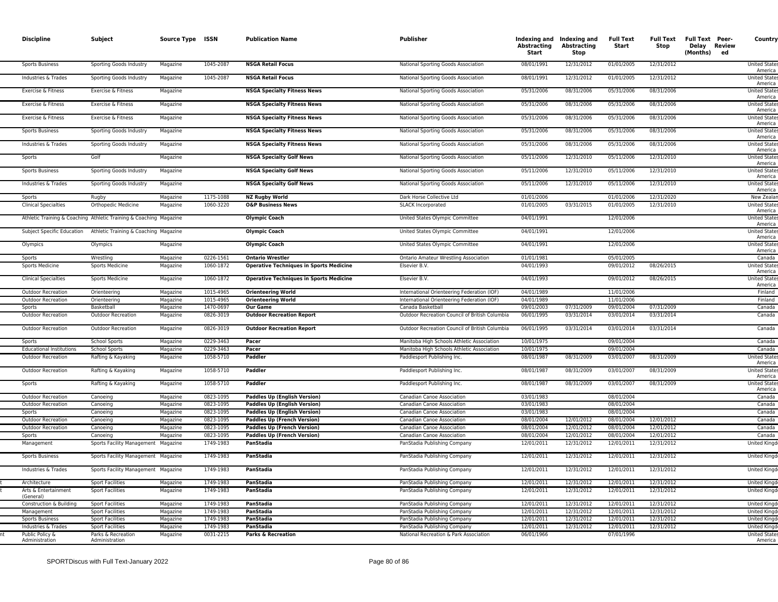| <b>Discipline</b>                      | Subject                                                            | Source Type ISSN     |                        | <b>Publication Name</b>                                                   | <b>Publisher</b>                                                       | <b>Abstracting</b><br>Start | Indexing and Indexing and<br><b>Abstracting</b><br><b>Stop</b> | <b>Full Text</b><br>Start | Full Text<br>Stop        | <b>Full Text Peer-</b><br>Delay Review<br>(Months) ed | Country                                       |
|----------------------------------------|--------------------------------------------------------------------|----------------------|------------------------|---------------------------------------------------------------------------|------------------------------------------------------------------------|-----------------------------|----------------------------------------------------------------|---------------------------|--------------------------|-------------------------------------------------------|-----------------------------------------------|
| Sports Business                        | Sporting Goods Industry                                            | Magazine             | 1045-2087              | <b>NSGA Retail Focus</b>                                                  | National Sporting Goods Association                                    | 08/01/1991                  | 12/31/2012                                                     | 01/01/2005                | 12/31/2012               |                                                       | <b>United State</b><br>America                |
| Industries & Trades                    | Sporting Goods Industry                                            | Magazine             | 1045-2087              | <b>NSGA Retail Focus</b>                                                  | National Sporting Goods Association                                    | 08/01/1991                  | 12/31/2012                                                     | 01/01/2005                | 12/31/2012               |                                                       | <b>United State:</b><br>America               |
| Exercise & Fitness                     | Exercise & Fitness                                                 | Magazine             |                        | <b>NSGA Specialty Fitness News</b>                                        | National Sporting Goods Association                                    | 05/31/2006                  | 08/31/2006                                                     | 05/31/2006                | 08/31/2006               |                                                       | <b>United State:</b><br>America               |
| Exercise & Fitness                     | Exercise & Fitness                                                 | Magazine             |                        | <b>NSGA Specialty Fitness News</b>                                        | National Sporting Goods Association                                    | 05/31/2006                  | 08/31/2006                                                     | 05/31/2006                | 08/31/2006               |                                                       | <b>United State:</b><br>America               |
| Exercise & Fitness                     | Exercise & Fitness                                                 | Magazine             |                        | <b>NSGA Specialty Fitness News</b>                                        | National Sporting Goods Association                                    | 05/31/2006                  | 08/31/2006                                                     | 05/31/2006                | 08/31/2006               |                                                       | <b>United State:</b><br>America               |
| <b>Sports Business</b>                 | Sporting Goods Industry                                            | Magazine             |                        | <b>NSGA Specialty Fitness News</b>                                        | National Sporting Goods Association                                    | 05/31/2006                  | 08/31/2006                                                     | 05/31/2006                | 08/31/2006               |                                                       | <b>United State:</b><br>America               |
| Industries & Trades                    | Sporting Goods Industry                                            | Magazine             |                        | <b>NSGA Specialty Fitness News</b>                                        | National Sporting Goods Association                                    | 05/31/2006                  | 08/31/2006                                                     | 05/31/2006                | 08/31/2006               |                                                       | <b>United State:</b><br>America               |
| Sports                                 | Golf                                                               | Magazine             |                        | <b>NSGA Specialty Golf News</b>                                           | National Sporting Goods Association                                    | 05/11/2006                  | 12/31/2010                                                     | 05/11/2006                | 12/31/2010               |                                                       | <b>United State</b><br>America                |
| <b>Sports Business</b>                 | Sporting Goods Industry                                            | Magazine             |                        | <b>NSGA Specialty Golf News</b>                                           | National Sporting Goods Association                                    | 05/11/2006                  | 12/31/2010                                                     | 05/11/2006                | 12/31/2010               |                                                       | <b>United State:</b><br>America               |
| Industries & Trades                    | Sporting Goods Industry                                            | Magazine             |                        | <b>NSGA Specialty Golf News</b>                                           | National Sporting Goods Association                                    | 05/11/2006<br>01/01/2006    | 12/31/2010                                                     | 05/11/2006                | 12/31/2010               |                                                       | <b>United State:</b><br>America<br>New Zealar |
| Sports<br><b>Clinical Specialties</b>  | Rugby<br>Orthopedic Medicine                                       | Magazine<br>Magazine | 1175-1088<br>1060-3220 | <b>NZ Rugby World</b><br><b>O&amp;P Business News</b>                     | Dark Horse Collective Ltd<br><b>SLACK Incorporated</b>                 | 01/01/2005                  | 03/31/2015                                                     | 01/01/2006<br>01/01/2005  | 12/31/2020<br>12/31/2010 |                                                       | <b>United State</b>                           |
|                                        | Athletic Training & Coaching Athletic Training & Coaching Magazine |                      |                        | <b>Olympic Coach</b>                                                      | United States Olympic Committee                                        | 04/01/1991                  |                                                                | 12/01/2006                |                          |                                                       | America<br><b>United State</b>                |
| Subject Specific Education             | Athletic Training & Coaching Magazine                              |                      |                        | <b>Olympic Coach</b>                                                      | United States Olympic Committee                                        | 04/01/1991                  |                                                                | 12/01/2006                |                          |                                                       | America<br><b>United State:</b>               |
| Olympics                               | Olympics                                                           | Magazine             |                        | <b>Olympic Coach</b>                                                      | United States Olympic Committee                                        | 04/01/1991                  |                                                                | 12/01/2006                |                          |                                                       | America<br><b>United State</b>                |
|                                        |                                                                    |                      |                        |                                                                           |                                                                        |                             |                                                                |                           |                          |                                                       | America                                       |
| Sports<br>Sports Medicine              | Wrestling<br><b>Sports Medicine</b>                                | Magazine<br>Magazine | 0226-1561<br>1060-1872 | <b>Ontario Wrestler</b><br><b>Operative Techniques in Sports Medicine</b> | Ontario Amateur Wrestling Association<br>Elsevier B.V.                 | 01/01/1981<br>04/01/1993    |                                                                | 05/01/2005<br>09/01/2012  | 08/26/2015               |                                                       | Canada<br><b>United State:</b>                |
|                                        |                                                                    |                      |                        |                                                                           |                                                                        |                             |                                                                |                           |                          |                                                       | America                                       |
| <b>Clinical Specialties</b>            | <b>Sports Medicine</b>                                             | Magazine             | 1060-1872              | <b>Operative Techniques in Sports Medicine</b>                            | Elsevier B.V.                                                          | 04/01/1993                  |                                                                | 09/01/2012                | 08/26/2015               |                                                       | <b>United State:</b><br>America               |
| <b>Outdoor Recreation</b>              | Orienteering                                                       | Magazine             | 1015-4965              | <b>Orienteering World</b>                                                 | International Orienteering Federation (IOF)                            | 04/01/1989                  |                                                                | 11/01/2006                |                          |                                                       | Finland                                       |
| <b>Outdoor Recreation</b>              | Orienteering                                                       | Magazine             | 1015-4965              | <b>Orienteering World</b>                                                 | International Orienteering Federation (IOF)                            | 04/01/1989                  |                                                                | 11/01/2006                |                          |                                                       | Finland                                       |
| Sports<br><b>Outdoor Recreation</b>    | Basketball<br><b>Outdoor Recreation</b>                            | Magazine<br>Magazine | 1470-0697<br>0826-3019 | <b>Our Game</b><br><b>Outdoor Recreation Report</b>                       | Canada Basketbal<br>Outdoor Recreation Council of British Columbia     | 09/01/2003<br>06/01/1995    | 07/31/2009<br>03/31/2014                                       | 09/01/2004<br>03/01/2014  | 07/31/2009<br>03/31/2014 |                                                       | Canada<br>Canada                              |
| <b>Outdoor Recreation</b>              | <b>Outdoor Recreation</b>                                          | Magazine             | 0826-3019              | <b>Outdoor Recreation Report</b>                                          | Outdoor Recreation Council of British Columbia                         | 06/01/1995                  | 03/31/2014                                                     | 03/01/2014                | 03/31/2014               |                                                       | Canada                                        |
| Sports                                 | <b>School Sports</b>                                               | Magazine             | 0229-3463              | Pacer                                                                     | Manitoba High Schools Athletic Association                             | 10/01/1975                  |                                                                | 09/01/2004                |                          |                                                       | Canada                                        |
| <b>Educational Institutions</b>        | <b>School Sports</b>                                               | Magazine             | 0229-3463              | Pacer                                                                     | Manitoba High Schools Athletic Association                             | 10/01/1975                  |                                                                | 09/01/2004                |                          |                                                       | Canada                                        |
| <b>Outdoor Recreation</b>              | Rafting & Kayaking                                                 | Magazine             | 1058-5710              | Paddler                                                                   | Paddlesport Publishing Inc.                                            | 08/01/1987                  | 08/31/2009                                                     | 03/01/2007                | 08/31/2009               |                                                       | <b>United State</b><br>America                |
| <b>Outdoor Recreation</b>              | Rafting & Kayaking                                                 | Magazine             | 1058-5710              | Paddler                                                                   | Paddlesport Publishing Inc.                                            | 08/01/1987                  | 08/31/2009                                                     | 03/01/2007                | 08/31/2009               |                                                       | <b>United State:</b><br>America               |
| Sports                                 | Rafting & Kayaking                                                 | Magazine             | 1058-5710              | Paddler                                                                   | Paddlesport Publishing Inc.                                            | 08/01/1987                  | 08/31/2009                                                     | 03/01/2007                | 08/31/2009               |                                                       | <b>United State</b><br>America                |
| <b>Outdoor Recreation</b>              | Canoeing                                                           | Magazine             | 0823-1095              | <b>Paddles Up (English Version)</b>                                       | Canadian Canoe Association                                             | 03/01/1983                  |                                                                | 08/01/2004                |                          |                                                       | Canada                                        |
| <b>Outdoor Recreation</b>              | Canoeing                                                           | Magazine             | 0823-1095              | <b>Paddles Up (English Version)</b>                                       | Canadian Canoe Association                                             | 03/01/1983                  |                                                                | 08/01/2004                |                          |                                                       | Canada                                        |
| Sports<br><b>Outdoor Recreation</b>    | Canoeing<br>Canoeing                                               | Magazine<br>Magazine | 0823-1095<br>0823-1095 | <b>Paddles Up (English Version)</b><br><b>Paddles Up (French Version)</b> | Canadian Canoe Association                                             | 03/01/1983<br>08/01/2004    | 12/01/2012                                                     | 08/01/2004<br>08/01/2004  | 12/01/2012               |                                                       | Canada<br>Canada                              |
| <b>Outdoor Recreation</b>              | Canoeing                                                           | Magazine             | 0823-1095              | <b>Paddles Up (French Version)</b>                                        | Canadian Canoe Association<br>Canadian Canoe Association               | 08/01/2004                  | 12/01/2012                                                     | 08/01/2004                | 12/01/2012               |                                                       | Canada                                        |
| Sports                                 | Canoeing                                                           | Magazine             | 0823-1095              | <b>Paddles Up (French Version)</b>                                        | Canadian Canoe Association                                             | 08/01/2004                  | 12/01/2012                                                     | 08/01/2004                | 12/01/2012               |                                                       | Canada                                        |
| Management                             | Sports Facility Management Magazine                                |                      | 1749-1983              | PanStadia                                                                 | PanStadia Publishing Company                                           | 12/01/2011                  | 12/31/2012                                                     | 12/01/2011                | 12/31/2012               |                                                       | United Kingd                                  |
| <b>Sports Business</b>                 | Sports Facility Management Magazine                                |                      | 1749-1983              | PanStadia                                                                 | PanStadia Publishing Company                                           | 12/01/2011                  | 12/31/2012                                                     | 12/01/2011                | 12/31/2012               |                                                       | <b>United Kingd</b>                           |
| Industries & Trades                    | Sports Facility Management Magazine                                |                      | 1749-1983              | PanStadia                                                                 | PanStadia Publishing Company                                           | 12/01/2011                  | 12/31/2012                                                     | 12/01/2011                | 12/31/2012               |                                                       | United Kingd                                  |
| Architecture                           | <b>Sport Facilities</b>                                            | Magazine             | 1749-1983              | PanStadia                                                                 | PanStadia Publishing Company                                           | 12/01/2011                  | 12/31/2012                                                     | 12/01/2011                | 12/31/2012               |                                                       | United King                                   |
| Arts & Entertainment<br>(General)      | <b>Sport Facilities</b>                                            | Magazine             | 1749-1983              | PanStadia                                                                 | PanStadia Publishing Company                                           | 12/01/2011                  | 12/31/2012                                                     | 12/01/2011                | 12/31/2012               |                                                       | <b>United Kingd</b>                           |
| Construction & Building                | <b>Sport Facilities</b>                                            | Magazine             | 1749-1983              | PanStadia                                                                 | PanStadia Publishing Company                                           | 12/01/2011                  | 12/31/2012                                                     | 12/01/2011                | 12/31/2012               |                                                       | <b>United Kingo</b>                           |
| Management                             | <b>Sport Facilities</b>                                            | Magazine             | 1749-1983              | PanStadia                                                                 | PanStadia Publishing Company                                           | 12/01/2011                  | 12/31/2012                                                     | 12/01/2011                | 12/31/2012               |                                                       | United King                                   |
| <b>Sports Business</b>                 | <b>Sport Facilities</b>                                            | Magazine             | 1749-1983<br>1749-1983 | PanStadia                                                                 | PanStadia Publishing Company                                           | 12/01/2011                  | 12/31/2012                                                     | 12/01/2011                | 12/31/2012               |                                                       | <b>United Kingo</b>                           |
| Industries & Trades<br>Public Policy & | <b>Sport Facilities</b><br>Parks & Recreation                      | Magazine<br>Magazine | 0031-2215              | PanStadia<br>Parks & Recreation                                           | PanStadia Publishing Company<br>National Recreation & Park Association | 12/01/2011<br>06/01/1966    | 12/31/2012                                                     | 12/01/2011<br>07/01/1996  | 12/31/2012               |                                                       | <b>United Kingo</b><br><b>United State</b>    |
| Administration                         | Administration                                                     |                      |                        |                                                                           |                                                                        |                             |                                                                |                           |                          |                                                       | America                                       |
|                                        |                                                                    |                      |                        |                                                                           |                                                                        |                             |                                                                |                           |                          |                                                       |                                               |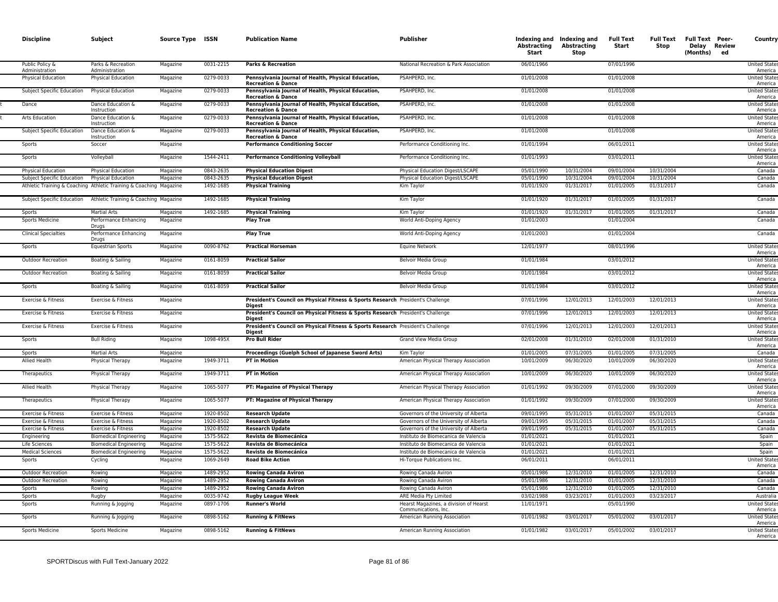| <b>Discipline</b>                        | Subject                                                            | Source Type ISSN     |                        | <b>Publication Name</b>                                                                   | <b>Publisher</b>                                                                 | Abstracting<br>Start     | Indexing and Indexing and<br>Abstracting<br><b>Stop</b> | <b>Full Text</b><br>Start | <b>Full Text</b><br>Stop | <b>Full Text Peer-</b><br>Delay Review<br>(Months)<br>ed | Country                                        |
|------------------------------------------|--------------------------------------------------------------------|----------------------|------------------------|-------------------------------------------------------------------------------------------|----------------------------------------------------------------------------------|--------------------------|---------------------------------------------------------|---------------------------|--------------------------|----------------------------------------------------------|------------------------------------------------|
| Public Policy &<br>Administration        | Parks & Recreation<br>Administration                               | Magazine             | 0031-2215              | <b>Parks &amp; Recreation</b>                                                             | National Recreation & Park Association                                           | 06/01/1966               |                                                         | 07/01/1996                |                          |                                                          | <b>United States</b><br>America                |
| <b>Physical Education</b>                | <b>Physical Education</b>                                          | Magazine             | 0279-0033              | Pennsylvania Journal of Health, Physical Education,<br><b>Recreation &amp; Dance</b>      | PSAHPERD, Inc.                                                                   | 01/01/2008               |                                                         | 01/01/2008                |                          |                                                          | <b>United States</b><br>America                |
| Subject Specific Education               | <b>Physical Education</b>                                          | Magazine             | 0279-0033              | Pennsylvania Journal of Health, Physical Education<br><b>Recreation &amp; Dance</b>       | PSAHPERD, Inc.                                                                   | 01/01/2008               |                                                         | 01/01/2008                |                          |                                                          | <b>United States</b><br>America                |
| Dance                                    | Dance Education &<br>Instruction                                   | Magazine             | 0279-0033              | Pennsylvania Journal of Health, Physical Education<br><b>Recreation &amp; Dance</b>       | PSAHPERD, Inc.                                                                   | 01/01/2008               |                                                         | 01/01/2008                |                          |                                                          | <b>United State</b><br>America                 |
| Arts Education                           | Dance Education &<br>Instruction                                   | Magazine             | 0279-0033              | Pennsylvania Journal of Health, Physical Education<br><b>Recreation &amp; Dance</b>       | PSAHPERD, Inc.                                                                   | 01/01/2008               |                                                         | 01/01/2008                |                          |                                                          | <b>United State</b><br>America                 |
| Subject Specific Education               | Dance Education &<br>Instruction                                   | Magazine             | 0279-0033              | Pennsylvania Journal of Health, Physical Education,<br><b>Recreation &amp; Dance</b>      | PSAHPERD, Inc.                                                                   | 01/01/2008               |                                                         | 01/01/2008                |                          |                                                          | <b>United States</b><br>America                |
| Sports                                   | Soccer                                                             | Magazine             |                        | <b>Performance Conditioning Soccer</b>                                                    | Performance Conditioning Inc.                                                    | 01/01/1994               |                                                         | 06/01/2011                |                          |                                                          | <b>United State</b><br>America                 |
| Sports                                   | Volleyball                                                         | Magazine             | 1544-2411              | Performance Conditioning Volleyball                                                       | Performance Conditioning Inc.                                                    | 01/01/1993               |                                                         | 03/01/2011                |                          |                                                          | <b>United States</b><br>America                |
| <b>Physical Education</b>                | <b>Physical Education</b>                                          | Magazine             | 0843-2635              | <b>Physical Education Digest</b>                                                          | Physical Education Digest/LSCAPE                                                 | 05/01/1990               | 10/31/2004                                              | 09/01/2004                | 10/31/2004               |                                                          | Canada                                         |
| Subject Specific Education               | Physical Education                                                 | Magazine             | 0843-2635              | <b>Physical Education Digest</b>                                                          | Physical Education Digest/LSCAPE                                                 | 05/01/1990               | 10/31/2004                                              | 09/01/2004                | 10/31/2004               |                                                          | Canada                                         |
|                                          | Athletic Training & Coaching Athletic Training & Coaching Magazine |                      | 1492-1685              | <b>Physical Training</b>                                                                  | Kim Taylor                                                                       | 01/01/1920               | 01/31/2017                                              | 01/01/2005                | 01/31/2017               |                                                          | Canada                                         |
| Subject Specific Education               | Athletic Training & Coaching Magazine                              |                      | 1492-1685              | <b>Physical Training</b>                                                                  | Kim Taylor                                                                       | 01/01/1920               | 01/31/2017                                              | 01/01/2005                | 01/31/2017               |                                                          | Canada                                         |
| Sports                                   | <b>Martial Arts</b>                                                | Magazine             | 1492-1685              | <b>Physical Training</b>                                                                  | Kim Taylor                                                                       | 01/01/1920               | 01/31/2017                                              | 01/01/2005                | 01/31/2017               |                                                          | Canada                                         |
| <b>Sports Medicine</b>                   | Performance Enhancing<br>Drugs                                     | Magazine             |                        | <b>Play True</b>                                                                          | World Anti-Doping Agency                                                         | 01/01/2003               |                                                         | 01/01/2004                |                          |                                                          | Canada                                         |
| <b>Clinical Specialties</b>              | Performance Enhancing<br>Drugs                                     | Magazine             |                        | <b>Play True</b>                                                                          | World Anti-Doping Agency                                                         | 01/01/2003               |                                                         | 01/01/2004                |                          |                                                          | Canada                                         |
| Sports                                   | <b>Equestrian Sports</b>                                           | Magazine             | 0090-8762              | <b>Practical Horseman</b>                                                                 | <b>Equine Network</b>                                                            | 12/01/1977               |                                                         | 08/01/1996                |                          |                                                          | <b>United States</b><br>America                |
| <b>Outdoor Recreation</b>                | Boating & Sailing                                                  | Magazine             | 0161-8059              | <b>Practical Sailor</b>                                                                   | Belvoir Media Group                                                              | 01/01/1984               |                                                         | 03/01/2012                |                          |                                                          | <b>United State</b><br>America                 |
| <b>Outdoor Recreation</b>                | Boating & Sailing                                                  | Magazine             | 0161-8059              | <b>Practical Sailor</b>                                                                   | Belvoir Media Group                                                              | 01/01/1984               |                                                         | 03/01/2012                |                          |                                                          | United State<br>America                        |
| Sports                                   | Boating & Sailing                                                  | Magazine             | 0161-8059              | <b>Practical Sailor</b>                                                                   | Belvoir Media Group                                                              | 01/01/1984               |                                                         | 03/01/2012                |                          |                                                          | <b>United State</b><br>America                 |
| Exercise & Fitness                       | Exercise & Fitness                                                 | Magazine             |                        | President's Council on Physical Fitness & Sports Research President's Challenge<br>Digest |                                                                                  | 07/01/1996               | 12/01/2013                                              | 12/01/2003                | 12/01/2013               |                                                          | <b>United States</b><br>America                |
| Exercise & Fitness                       | Exercise & Fitness                                                 | Magazine             |                        | President's Council on Physical Fitness & Sports Research President's Challenge<br>Diaest |                                                                                  | 07/01/1996               | 12/01/2013                                              | 12/01/2003                | 12/01/2013               |                                                          | <b>United State</b><br>America                 |
| Exercise & Fitness                       | Exercise & Fitness                                                 | Magazine             |                        | President's Council on Physical Fitness & Sports Research President's Challenge<br>Digest |                                                                                  | 07/01/1996               | 12/01/2013                                              | 12/01/2003                | 12/01/2013               |                                                          | <b>United States</b><br>America                |
| Sports                                   | <b>Bull Riding</b>                                                 | Magazine             | 1098-495X              | <b>Pro Bull Rider</b>                                                                     | Grand View Media Group                                                           | 02/01/2008               | 01/31/2010                                              | 02/01/2008                | 01/31/2010               |                                                          | <b>United State</b><br>America                 |
| Sports                                   | <b>Martial Arts</b>                                                | Magazine             |                        | Proceedings (Guelph School of Japanese Sword Arts)                                        | Kim Tavlor                                                                       | 01/01/2005               | 07/31/2005                                              | 01/01/2005                | 07/31/2005               |                                                          | Canada                                         |
| Allied Health                            | Physical Therapy                                                   | Magazine             | 1949-3711              | <b>PT in Motion</b>                                                                       | American Physical Therapy Association                                            | 10/01/2009               | 06/30/2020                                              | 10/01/2009                | 06/30/2020               |                                                          | <b>United State</b><br>America                 |
| Therapeutics                             | Physical Therapy                                                   | Magazine             | 1949-3711              | <b>PT in Motion</b>                                                                       | American Physical Therapy Association                                            | 10/01/2009               | 06/30/2020                                              | 10/01/2009                | 06/30/2020               |                                                          | <b>United States</b><br>America                |
| Allied Health                            | Physical Therapy                                                   | Magazine             | 1065-5077              | PT: Magazine of Physical Therapy                                                          | American Physical Therapy Association                                            | 01/01/1992               | 09/30/2009                                              | 07/01/2000                | 09/30/2009               |                                                          | <b>United State</b><br>America<br>United State |
| Therapeutics                             | Physical Therapy                                                   | Magazine             | 1065-5077              | PT: Magazine of Physical Therapy                                                          | American Physical Therapy Association                                            | 01/01/1992               | 09/30/2009                                              | 07/01/2000                | 09/30/2009               |                                                          | America                                        |
| Exercise & Fitness                       | Exercise & Fitness                                                 | Magazine             | 1920-8502<br>1920-8502 | <b>Research Update</b>                                                                    | Governors of the University of Alberta                                           | 09/01/1995<br>09/01/1995 | 05/31/2015<br>05/31/2015                                | 01/01/2007<br>01/01/2007  | 05/31/2015<br>05/31/2015 |                                                          | Canada                                         |
| Exercise & Fitness<br>Exercise & Fitness | Exercise & Fitness<br>Exercise & Fitness                           | Magazine<br>Magazine | 1920-8502              | <b>Research Update</b><br><b>Research Update</b>                                          | Governors of the University of Alberta<br>Governors of the University of Alberta | 09/01/1995               | 05/31/2015                                              | 01/01/2007                | 05/31/2015               |                                                          | Canada<br>Canada                               |
| Engineering                              | <b>Biomedical Engineering</b>                                      | Magazine             | 1575-5622              | Revista de Biomecánica                                                                    | Instituto de Biomecanica de Valencia                                             | 01/01/2021               |                                                         | 01/01/2021                |                          |                                                          | Spain                                          |
| Life Sciences                            | <b>Biomedical Engineering</b>                                      | Magazine             | 1575-5622              | Revista de Biomecánica                                                                    | Instituto de Biomecanica de Valencia                                             | 01/01/2021               |                                                         | 01/01/2021                |                          |                                                          | Spain                                          |
| <b>Medical Sciences</b>                  | <b>Biomedical Engineering</b>                                      | Magazine             | 1575-5622              | Revista de Biomecánica                                                                    | Instituto de Biomecanica de Valencia                                             | 01/01/2021               |                                                         | 01/01/2021                |                          |                                                          | Spain                                          |
| Sports                                   | Cycling                                                            | Magazine             | 1069-2649              | <b>Road Bike Action</b>                                                                   | Hi-Torque Publications Inc                                                       | 06/01/2011               |                                                         | 06/01/2011                |                          |                                                          | <b>United State</b><br>America                 |
| Outdoor Recreation                       | Rowing                                                             | Magazine             | 1489-2952              | <b>Rowing Canada Aviron</b>                                                               | Rowing Canada Aviron                                                             | 05/01/1986               | 12/31/2010                                              | 01/01/2005                | 12/31/2010               |                                                          | Canada                                         |
| <b>Outdoor Recreation</b>                | Rowing                                                             | Magazine             | 1489-2952              | <b>Rowing Canada Aviron</b>                                                               | Rowing Canada Aviron                                                             | 05/01/1986               | 12/31/2010                                              | 01/01/2005                | 12/31/2010               |                                                          | Canada                                         |
| Sports                                   | Rowing                                                             | Magazine             | 1489-2952              | <b>Rowing Canada Aviron</b>                                                               | Rowing Canada Aviron                                                             | 05/01/1986               | 12/31/2010                                              | 01/01/2005                | 12/31/2010               |                                                          | Canada                                         |
| Sports                                   | Rugby                                                              | Magazine             | 0035-9742              | <b>Rugby League Week</b>                                                                  | ARE Media Pty Limited                                                            | 03/02/1988               | 03/23/2017                                              | 01/01/2003                | 03/23/2017               |                                                          | Australia                                      |
| Sports                                   | Running & Jogging                                                  | Magazine             | 0897-1706              | <b>Runner's World</b>                                                                     | Hearst Magazines, a division of Hearst<br>Communications, Inc.                   | 11/01/1971               |                                                         | 05/01/1990                |                          |                                                          | <b>United States</b><br>America                |
| Sports                                   | Running & Jogging                                                  | Magazine             | 0898-5162              | <b>Running &amp; FitNews</b>                                                              | American Running Association                                                     | 01/01/1982               | 03/01/2017                                              | 05/01/2002                | 03/01/2017               |                                                          | <b>United State</b><br>America                 |
| <b>Sports Medicine</b>                   | <b>Sports Medicine</b>                                             | Magazine             | 0898-5162              | <b>Running &amp; FitNews</b>                                                              | American Running Association                                                     | 01/01/1982               | 03/01/2017                                              | 05/01/2002                | 03/01/2017               |                                                          | <b>United State</b><br>America                 |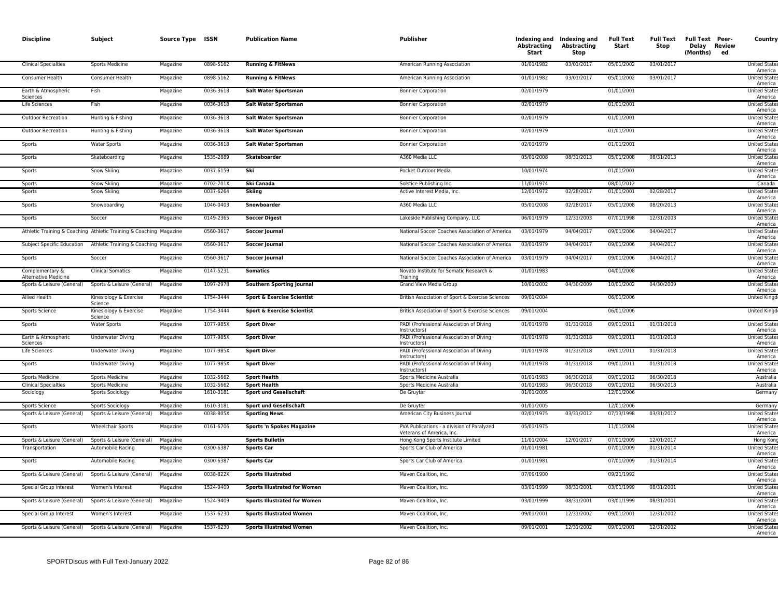| <b>Discipline</b>                              | Subject                                                            | Source Type ISSN |           | <b>Publication Name</b>               | <b>Publisher</b>                                                        | Abstracting<br>Start | Indexing and Indexing and<br>Abstracting<br><b>Stop</b> | <b>Full Text</b><br>Start | Stop       | Full Text Full Text Peer-<br>Delay Review<br>(Months) ed | Country                         |
|------------------------------------------------|--------------------------------------------------------------------|------------------|-----------|---------------------------------------|-------------------------------------------------------------------------|----------------------|---------------------------------------------------------|---------------------------|------------|----------------------------------------------------------|---------------------------------|
| <b>Clinical Specialties</b>                    | <b>Sports Medicine</b>                                             | Magazine         | 0898-5162 | <b>Running &amp; FitNews</b>          | American Running Association                                            | 01/01/1982           | 03/01/2017                                              | 05/01/2002                | 03/01/2017 |                                                          | <b>United States</b><br>America |
| Consumer Health                                | Consumer Health                                                    | Magazine         | 0898-5162 | <b>Running &amp; FitNews</b>          | American Running Association                                            | 01/01/1982           | 03/01/2017                                              | 05/01/2002                | 03/01/2017 |                                                          | <b>United States</b><br>America |
| Earth & Atmospheric<br>Sciences                | Fish                                                               | Magazine         | 0036-3618 | Salt Water Sportsman                  | <b>Bonnier Corporation</b>                                              | 02/01/1979           |                                                         | 01/01/2001                |            |                                                          | <b>United State</b><br>America  |
| Life Sciences                                  | Fish                                                               | Magazine         | 0036-3618 | <b>Salt Water Sportsman</b>           | <b>Bonnier Corporation</b>                                              | 02/01/1979           |                                                         | 01/01/2001                |            |                                                          | <b>United State</b><br>America  |
| Outdoor Recreation                             | Hunting & Fishing                                                  | Magazine         | 0036-3618 | Salt Water Sportsman                  | <b>Bonnier Corporation</b>                                              | 02/01/1979           |                                                         | 01/01/2001                |            |                                                          | United State<br>America         |
| <b>Outdoor Recreation</b>                      | Hunting & Fishing                                                  | Magazine         | 0036-3618 | Salt Water Sportsman                  | <b>Bonnier Corporation</b>                                              | 02/01/1979           |                                                         | 01/01/2001                |            |                                                          | <b>United States</b><br>America |
| Sports                                         | <b>Water Sports</b>                                                | Magazine         | 0036-3618 | Salt Water Sportsman                  | <b>Bonnier Corporation</b>                                              | 02/01/1979           |                                                         | 01/01/2001                |            |                                                          | <b>United States</b><br>America |
| Sports                                         | Skateboarding                                                      | Magazine         | 1535-2889 | Skateboarder                          | A360 Media LLC                                                          | 05/01/2008           | 08/31/2013                                              | 05/01/2008                | 08/31/2013 |                                                          | <b>United States</b><br>America |
| Sports                                         | Snow Skiing                                                        | Magazine         | 0037-6159 | Ski                                   | Pocket Outdoor Media                                                    | 10/01/1974           |                                                         | 01/01/2001                |            |                                                          | <b>United States</b><br>America |
| Sports                                         | Snow Skiing                                                        | Magazine         | 0702-701X | Ski Canada                            | Solstice Publishing Inc.                                                | 11/01/1974           |                                                         | 08/01/2012                |            |                                                          | Canada                          |
| Sports                                         | Snow Skiing                                                        | Magazine         | 0037-6264 | <b>Skiing</b>                         | Active Interest Media, Inc.                                             | 12/01/1972           | 02/28/2017                                              | 01/01/2001                | 02/28/2017 |                                                          | <b>United State</b>             |
|                                                |                                                                    |                  |           |                                       |                                                                         |                      |                                                         |                           |            |                                                          | America                         |
| Sports                                         | Snowboarding                                                       | Magazine         | 1046-0403 | Snowboarder                           | A360 Media LLC                                                          | 05/01/2008           | 02/28/2017                                              | 05/01/2008                | 08/20/2013 |                                                          | <b>United States</b><br>America |
| Sports                                         | Soccer                                                             | Magazine         | 0149-2365 | <b>Soccer Digest</b>                  | Lakeside Publishing Company, LLC                                        | 06/01/1979           | 12/31/2003                                              | 07/01/1998                | 12/31/2003 |                                                          | <b>United States</b><br>America |
|                                                | Athletic Training & Coaching Athletic Training & Coaching Magazine |                  | 0560-3617 | <b>Soccer Journal</b>                 | National Soccer Coaches Association of America                          | 03/01/1979           | 04/04/2017                                              | 09/01/2006                | 04/04/2017 |                                                          | <b>United States</b><br>America |
| Subject Specific Education                     | Athletic Training & Coaching Magazine                              |                  | 0560-3617 | Soccer Journal                        | National Soccer Coaches Association of America                          | 03/01/1979           | 04/04/2017                                              | 09/01/2006                | 04/04/2017 |                                                          | <b>United States</b><br>America |
| Sports                                         | Soccer                                                             | Magazine         | 0560-3617 | <b>Soccer Journal</b>                 | National Soccer Coaches Association of America                          | 03/01/1979           | 04/04/2017                                              | 09/01/2006                | 04/04/2017 |                                                          | <b>United States</b><br>America |
| Complementary &<br><b>Alternative Medicine</b> | <b>Clinical Somatics</b>                                           | Magazine         | 0147-5231 | <b>Somatics</b>                       | Novato Institute for Somatic Research &<br>Training                     | 01/01/1983           |                                                         | 04/01/2008                |            |                                                          | <b>United State</b><br>America  |
| Sports & Leisure (General)                     | Sports & Leisure (General)                                         | Magazine         | 1097-2978 | <b>Southern Sporting Journal</b>      | Grand View Media Group                                                  | 10/01/2002           | 04/30/2009                                              | 10/01/2002                | 04/30/2009 |                                                          | <b>United State</b><br>America  |
| Allied Health                                  | Kinesiology & Exercise<br>Science                                  | Magazine         | 1754-3444 | <b>Sport &amp; Exercise Scientist</b> | British Association of Sport & Exercise Sciences                        | 09/01/2004           |                                                         | 06/01/2006                |            |                                                          | <b>United Kingd</b>             |
| Sports Science                                 | Kinesiology & Exercise<br>Science                                  | Magazine         | 1754-3444 | <b>Sport &amp; Exercise Scientist</b> | British Association of Sport & Exercise Sciences                        | 09/01/2004           |                                                         | 06/01/2006                |            |                                                          | <b>United Kingd</b>             |
| Sports                                         | <b>Water Sports</b>                                                | Magazine         | 1077-985X | <b>Sport Diver</b>                    | PADI (Professional Association of Diving<br>Instructors)                | 01/01/1978           | 01/31/2018                                              | 09/01/2011                | 01/31/2018 |                                                          | <b>United States</b><br>America |
| Earth & Atmospheric<br>Sciences                | <b>Underwater Diving</b>                                           | Magazine         | 1077-985X | <b>Sport Diver</b>                    | PADI (Professional Association of Diving<br>Instructors)                | 01/01/1978           | 01/31/2018                                              | 09/01/2011                | 01/31/2018 |                                                          | <b>United States</b><br>America |
| Life Sciences                                  | <b>Underwater Diving</b>                                           | Magazine         | 1077-985X | <b>Sport Diver</b>                    | PADI (Professional Association of Diving<br>Instructors)                | 01/01/1978           | 01/31/2018                                              | 09/01/2011                | 01/31/2018 |                                                          | <b>United States</b><br>America |
| Sports                                         | <b>Underwater Diving</b>                                           | Magazine         | 1077-985X | <b>Sport Diver</b>                    | PADI (Professional Association of Diving<br>Instructors)                | 01/01/1978           | 01/31/2018                                              | 09/01/2011                | 01/31/2018 |                                                          | <b>United States</b><br>America |
| <b>Sports Medicine</b>                         | <b>Sports Medicine</b>                                             | Magazine         | 1032-5662 | <b>Sport Health</b>                   | Sports Medicine Australia                                               | 01/01/1983           | 06/30/2018                                              | 09/01/2012                | 06/30/2018 |                                                          | Australia                       |
| <b>Clinical Specialties</b>                    | <b>Sports Medicine</b>                                             | Magazine         | 1032-5662 | <b>Sport Health</b>                   | Sports Medicine Australia                                               | 01/01/1983           | 06/30/2018                                              | 09/01/2012                | 06/30/2018 |                                                          | Australia                       |
| Sociology                                      | Sports Sociology                                                   | Magazine         | 1610-3181 | <b>Sport und Gesellschaft</b>         | De Gruyter                                                              | 01/01/2005           |                                                         | 12/01/2006                |            |                                                          | Germany                         |
| Sports Science                                 | Sports Sociology                                                   | Magazine         | 1610-3181 | <b>Sport und Gesellschaft</b>         | De Gruyter                                                              | 01/01/2005           |                                                         | 12/01/2006                |            |                                                          | Germany                         |
| Sports & Leisure (General)                     | Sports & Leisure (General)                                         | Magazine         | 0038-805X | <b>Sporting News</b>                  | American City Business Journal                                          | 02/01/1975           | 03/31/2012                                              | 07/13/1998                | 03/31/2012 |                                                          | <b>United State</b><br>America  |
| Sports                                         | <b>Wheelchair Sports</b>                                           | Magazine         | 0161-6706 | <b>Sports 'n Spokes Magazine</b>      | PVA Publications - a division of Paralyzed<br>Veterans of America, Inc. | 05/01/1975           |                                                         | 11/01/2004                |            |                                                          | <b>United States</b><br>America |
| Sports & Leisure (General)                     | Sports & Leisure (General)                                         | Magazine         |           | <b>Sports Bulletin</b>                | Hong Kong Sports Institute Limited                                      | 11/01/2004           | 12/01/2017                                              | 07/01/2009                | 12/01/2017 |                                                          | Hong Kong                       |
| Transportation                                 | Automobile Racing                                                  | Magazine         | 0300-6387 | <b>Sports Car</b>                     | Sports Car Club of America                                              | 01/01/1981           |                                                         | 07/01/2009                | 01/31/2014 |                                                          | <b>United States</b><br>America |
| <b>Sports</b>                                  | Automobile Racing                                                  | Magazine         | 0300-6387 | <b>Sports Car</b>                     | Sports Car Club of America                                              | 01/01/1981           |                                                         | 07/01/2009                | 01/31/2014 |                                                          | <b>United States</b><br>America |
| Sports & Leisure (General)                     | Sports & Leisure (General)                                         | Magazine         | 0038-822X | <b>Sports Illustrated</b>             | Maven Coalition, Inc.                                                   | 07/09/1900           |                                                         | 09/21/1992                |            |                                                          | <b>United States</b><br>America |
| Special Group Interest                         | Women's Interest                                                   | Magazine         | 1524-9409 | <b>Sports Illustrated for Women</b>   | Maven Coalition, Inc.                                                   | 03/01/1999           | 08/31/2001                                              | 03/01/1999                | 08/31/2001 |                                                          | <b>United States</b><br>America |
| Sports & Leisure (General)                     | Sports & Leisure (General)                                         | Magazine         | 1524-9409 | <b>Sports Illustrated for Women</b>   | Maven Coalition, Inc.                                                   | 03/01/1999           | 08/31/2001                                              | 03/01/1999                | 08/31/2001 |                                                          | <b>United States</b><br>America |
| Special Group Interest                         | Women's Interest                                                   | Magazine         | 1537-6230 | <b>Sports Illustrated Women</b>       | Maven Coalition, Inc.                                                   | 09/01/2001           | 12/31/2002                                              | 09/01/2001                | 12/31/2002 |                                                          | <b>United States</b><br>America |
| Sports & Leisure (General)                     | Sports & Leisure (General)                                         | Magazine         | 1537-6230 | <b>Sports Illustrated Women</b>       | Maven Coalition, Inc.                                                   | 09/01/2001           | 12/31/2002                                              | 09/01/2001                | 12/31/2002 |                                                          | <b>United State</b><br>America  |
|                                                |                                                                    |                  |           |                                       |                                                                         |                      |                                                         |                           |            |                                                          |                                 |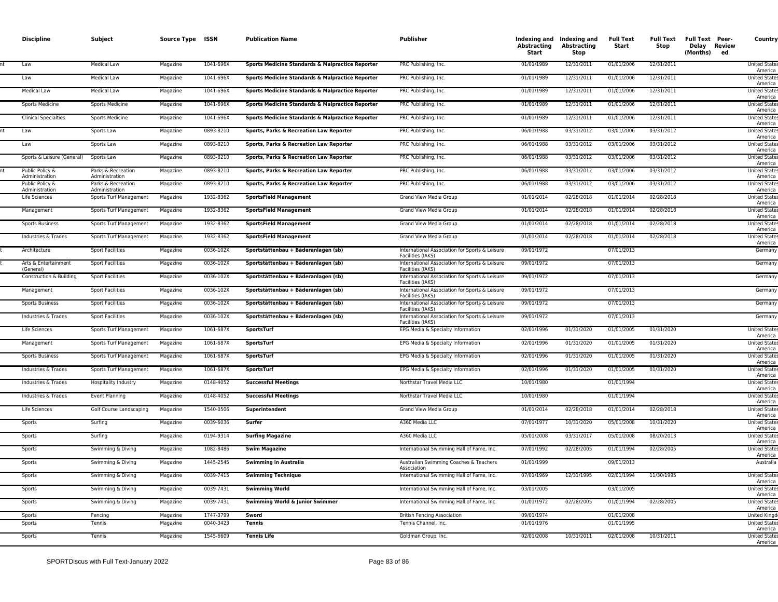| <b>Discipline</b>                 | Subject                              | Source Type ISSN     |                        | <b>Publication Name</b>                          | <b>Publisher</b>                                                    | Abstracting<br>Start     | Indexing and Indexing and<br><b>Abstracting</b><br>Stop | <b>Full Text</b><br>Start | Stop       | Full Text Full Text Peer-<br>Delay Review<br>(Months)<br>ed | Country                                    |
|-----------------------------------|--------------------------------------|----------------------|------------------------|--------------------------------------------------|---------------------------------------------------------------------|--------------------------|---------------------------------------------------------|---------------------------|------------|-------------------------------------------------------------|--------------------------------------------|
| Law                               | <b>Medical Law</b>                   | Magazine             | 1041-696X              | Sports Medicine Standards & Malpractice Reporter | PRC Publishing, Inc.                                                | 01/01/1989               | 12/31/2011                                              | 01/01/2006                | 12/31/2011 |                                                             | <b>United State</b><br>America             |
| Law                               | Medical Law                          | Magazine             | 1041-696X              | Sports Medicine Standards & Malpractice Reporter | PRC Publishing, Inc.                                                | 01/01/1989               | 12/31/2011                                              | 01/01/2006                | 12/31/2011 |                                                             | <b>United State:</b><br>America            |
| <b>Medical Law</b>                | <b>Medical Law</b>                   | Magazine             | 1041-696X              | Sports Medicine Standards & Malpractice Reporter | PRC Publishing, Inc.                                                | 01/01/1989               | 12/31/2011                                              | 01/01/2006                | 12/31/2011 |                                                             | <b>United State</b><br>America             |
| Sports Medicine                   | <b>Sports Medicine</b>               | Magazine             | 1041-696X              | Sports Medicine Standards & Malpractice Reporter | PRC Publishing, Inc.                                                | 01/01/1989               | 12/31/2011                                              | 01/01/2006                | 12/31/2011 |                                                             | <b>United State:</b><br>America            |
| <b>Clinical Specialties</b>       | <b>Sports Medicine</b>               | Magazine             | 1041-696X              | Sports Medicine Standards & Malpractice Reporter | PRC Publishing, Inc.                                                | 01/01/1989               | 12/31/2011                                              | 01/01/2006                | 12/31/2011 |                                                             | <b>United State</b><br>America             |
| Law                               | Sports Law                           | Magazine             | 0893-8210              | Sports, Parks & Recreation Law Reporter          | PRC Publishing, Inc.                                                | 06/01/1988               | 03/31/2012                                              | 03/01/2006                | 03/31/2012 |                                                             | <b>United State</b><br>America             |
| Law                               | Sports Law                           | Magazine             | 0893-8210              | Sports, Parks & Recreation Law Reporter          | PRC Publishing, Inc.                                                | 06/01/1988               | 03/31/2012                                              | 03/01/2006                | 03/31/2012 |                                                             | <b>United State:</b><br>America            |
| Sports & Leisure (General)        | Sports Law                           | Magazine             | 0893-8210              | Sports, Parks & Recreation Law Reporter          | PRC Publishing, Inc.                                                | 06/01/1988               | 03/31/2012                                              | 03/01/2006                | 03/31/2012 |                                                             | <b>United State:</b><br>America            |
| Public Policy &<br>Administration | Parks & Recreation<br>Administration | Magazine             | 0893-8210              | Sports, Parks & Recreation Law Reporter          | PRC Publishing, Inc.                                                | 06/01/1988               | 03/31/2012                                              | 03/01/2006                | 03/31/2012 |                                                             | <b>United State</b><br>America             |
| Public Policy &<br>Administration | Parks & Recreation<br>Administration | Magazine             | 0893-8210              | Sports, Parks & Recreation Law Reporter          | PRC Publishing, Inc.                                                | 06/01/1988               | 03/31/2012                                              | 03/01/2006                | 03/31/2012 |                                                             | <b>United State</b><br>America             |
| Life Sciences                     | Sports Turf Management               | Magazine             | 1932-8362              | <b>SportsField Management</b>                    | Grand View Media Group                                              | 01/01/2014               | 02/28/2018                                              | 01/01/2014                | 02/28/2018 |                                                             | <b>United State</b><br>America             |
| Management                        | Sports Turf Management               | Magazine             | 1932-8362              | <b>SportsField Management</b>                    | Grand View Media Group                                              | 01/01/2014               | 02/28/2018                                              | 01/01/2014                | 02/28/2018 |                                                             | <b>United State</b><br>America             |
| Sports Business                   | Sports Turf Management               | Magazine             | 1932-8362              | <b>SportsField Management</b>                    | Grand View Media Group                                              | 01/01/2014               | 02/28/2018                                              | 01/01/2014                | 02/28/2018 |                                                             | <b>United State</b><br>America             |
| Industries & Trades               | Sports Turf Management               | Magazine             | 1932-8362              | <b>SportsField Management</b>                    | Grand View Media Group                                              | 01/01/2014               | 02/28/2018                                              | 01/01/2014                | 02/28/2018 |                                                             | <b>United States</b><br>America            |
| Architecture                      | <b>Sport Facilities</b>              | Magazine             | 0036-102X              | Sportstättenbau + Bäderanlagen (sb)              | International Association for Sports & Leisure<br>Facilities (IAKS) | 09/01/1972               |                                                         | 07/01/2013                |            |                                                             | Germany                                    |
| Arts & Entertainment<br>(General) | <b>Sport Facilities</b>              | Magazine             | 0036-102X              | Sportstättenbau + Bäderanlagen (sb)              | International Association for Sports & Leisure<br>Facilities (IAKS) | 09/01/1972               |                                                         | 07/01/2013                |            |                                                             | Germany                                    |
| Construction & Building           | <b>Sport Facilities</b>              | Magazine             | 0036-102X              | Sportstättenbau + Bäderanlagen (sb)              | International Association for Sports & Leisure<br>Facilities (IAKS) | 09/01/1972               |                                                         | 07/01/2013                |            |                                                             | Germany                                    |
| Management                        | <b>Sport Facilities</b>              | Magazine             | 0036-102X              | Sportstättenbau + Bäderanlagen (sb)              | International Association for Sports & Leisure<br>Facilities (IAKS) | 09/01/1972               |                                                         | 07/01/2013                |            |                                                             | Germany                                    |
| Sports Business                   | <b>Sport Facilities</b>              | Magazine             | 0036-102X              | Sportstättenbau + Bäderanlagen (sb)              | International Association for Sports & Leisure<br>Facilities (IAKS) | 09/01/1972               |                                                         | 07/01/2013                |            |                                                             | Germany                                    |
| Industries & Trades               | <b>Sport Facilities</b>              | Magazine             | 0036-102X              | Sportstättenbau + Bäderanlagen (sb)              | International Association for Sports & Leisure<br>Facilities (IAKS) | 09/01/1972               |                                                         | 07/01/2013                |            |                                                             | Germany                                    |
| Life Sciences                     | Sports Turf Management               | Magazine             | 1061-687X              | <b>SportsTurf</b>                                | EPG Media & Specialty Information                                   | 02/01/1996               | 01/31/2020                                              | 01/01/2005                | 01/31/2020 |                                                             | <b>United State</b><br>America             |
| Management                        | Sports Turf Management               | Magazine             | 1061-687X              | SportsTurf                                       | EPG Media & Specialty Information                                   | 02/01/1996               | 01/31/2020                                              | 01/01/2005                | 01/31/2020 |                                                             | <b>United State</b><br>America             |
| <b>Sports Business</b>            | Sports Turf Management               | Magazine             | 1061-687X              | SportsTurf                                       | EPG Media & Specialty Information                                   | 02/01/1996               | 01/31/2020                                              | 01/01/2005                | 01/31/2020 |                                                             | <b>United State</b><br>America             |
| Industries & Trades               | Sports Turf Management               | Magazine             | 1061-687X              | SportsTurf                                       | EPG Media & Specialty Information                                   | 02/01/1996               | 01/31/2020                                              | 01/01/2005                | 01/31/2020 |                                                             | <b>United State</b><br>America             |
| Industries & Trades               | Hospitality Industry                 | Magazine             | 0148-4052              | <b>Successful Meetings</b>                       | Northstar Travel Media LLC                                          | 10/01/1980               |                                                         | 01/01/1994                |            |                                                             | <b>United State</b><br>America             |
| Industries & Trades               | <b>Event Planning</b>                | Magazine             | 0148-4052              | <b>Successful Meetings</b>                       | Northstar Travel Media LLC                                          | 10/01/1980               |                                                         | 01/01/1994                |            |                                                             | <b>United State</b><br>America             |
| Life Sciences                     | Golf Course Landscaping              | Magazine             | 1540-0506              | Superintendent                                   | Grand View Media Group                                              | 01/01/2014               | 02/28/2018                                              | 01/01/2014                | 02/28/2018 |                                                             | <b>United State</b><br>America             |
| Sports                            | Surfing                              | Magazine             | 0039-6036              | Surfer                                           | A360 Media LLC                                                      | 07/01/1977               | 10/31/2020                                              | 05/01/2008                | 10/31/2020 |                                                             | <b>United State:</b><br>America            |
| Sports                            | Surfing                              | Magazine             | 0194-9314              | <b>Surfing Magazine</b>                          | A360 Media LLC                                                      | 05/01/2008               | 03/31/2017                                              | 05/01/2008                | 08/20/2013 |                                                             | <b>United State</b><br>America             |
| Sports                            | Swimming & Diving                    | Magazine             | 1082-8486              | <b>Swim Magazine</b>                             | International Swimming Hall of Fame, Inc.                           | 07/01/1992               | 02/28/2005                                              | 01/01/1994                | 02/28/2005 |                                                             | <b>United State:</b><br>America            |
| Sports                            | Swimming & Diving                    | Magazine             | 1445-2545              | <b>Swimming in Australia</b>                     | Australian Swimming Coaches & Teachers<br>Association               | 01/01/1999               |                                                         | 09/01/2013                |            |                                                             | Australia                                  |
| Sports                            | Swimming & Diving                    | Magazine             | 0039-7415              | <b>Swimming Technique</b>                        | International Swimming Hall of Fame, Inc.                           | 07/01/1969               | 12/31/1995                                              | 02/01/1994                | 11/30/1995 |                                                             | <b>United State</b><br>America             |
| Sports                            | Swimming & Diving                    | Magazine             | 0039-7431              | <b>Swimming World</b>                            | International Swimming Hall of Fame, Inc.                           | 03/01/2005               |                                                         | 03/01/2005                |            |                                                             | <b>United State</b><br>America             |
| Sports                            | Swimming & Diving                    | Magazine             | 0039-7431              | Swimming World & Junior Swimmer                  | International Swimming Hall of Fame, Inc.                           | 01/01/1972               | 02/28/2005                                              | 01/01/1994                | 02/28/2005 |                                                             | <b>United State</b><br>America             |
| Sports<br>Sports                  | Fencing<br>Tennis                    | Magazine<br>Magazine | 1747-3799<br>0040-3423 | Sword<br><b>Tennis</b>                           | <b>British Fencing Association</b><br>Tennis Channel, Inc.          | 09/01/1974<br>01/01/1976 |                                                         | 01/01/2008<br>01/01/1995  |            |                                                             | <b>United Kingd</b><br><b>United State</b> |
| Sports                            | Tennis                               |                      | 1545-6609              | <b>Tennis Life</b>                               |                                                                     | 02/01/2008               | 10/31/2011                                              | 02/01/2008                | 10/31/2011 |                                                             | America<br><b>United State</b>             |
|                                   |                                      | Magazine             |                        |                                                  | Goldman Group, Inc.                                                 |                          |                                                         |                           |            |                                                             | America                                    |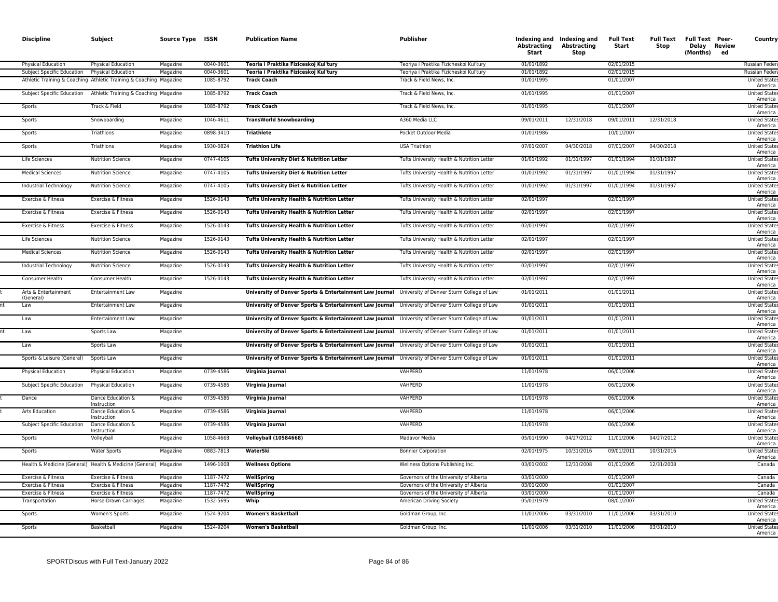| <b>Discipline</b>          | Subject                                                                                  | Source Type ISSN |                        | <b>Publication Name</b>                                                                           | <b>Publisher</b>                                                    | Abstracting<br>Start     | Indexing and Indexing and<br><b>Abstracting</b><br>Stop | <b>Full Text</b><br>Start | <b>Full Text</b><br>Stop | <b>Full Text Peer-</b><br>Delay Review<br>(Months)<br>ed | Country                               |
|----------------------------|------------------------------------------------------------------------------------------|------------------|------------------------|---------------------------------------------------------------------------------------------------|---------------------------------------------------------------------|--------------------------|---------------------------------------------------------|---------------------------|--------------------------|----------------------------------------------------------|---------------------------------------|
| <b>Physical Education</b>  | <b>Physical Education</b>                                                                | Magazine         | 0040-3601              | Teoria i Praktika Fiziceskoj Kul'tury                                                             | Teoriya i Praktika Fizicheskoi Kul'tury                             | 01/01/1892               |                                                         | 02/01/2015                |                          |                                                          | Russian Feder                         |
| Subject Specific Education | Physical Education<br>Athletic Training & Coaching Athletic Training & Coaching Magazine | Magazine         | 0040-3601<br>1085-8792 | Teoria i Praktika Fiziceskoj Kul'tury<br><b>Track Coach</b>                                       | Teoriya i Praktika Fizicheskoi Kul'tury<br>Track & Field News, Inc. | 01/01/1892<br>01/01/1995 |                                                         | 02/01/2015<br>01/01/2007  |                          |                                                          | Russian Feder<br><b>United State:</b> |
|                            |                                                                                          |                  |                        |                                                                                                   |                                                                     |                          |                                                         |                           |                          |                                                          | America                               |
| Subject Specific Education | Athletic Training & Coaching Magazine                                                    |                  | 1085-8792              | <b>Track Coach</b>                                                                                | Track & Field News, Inc.                                            | 01/01/1995               |                                                         | 01/01/2007                |                          |                                                          | <b>United State</b><br>America        |
| Sports                     | Track & Field                                                                            | Magazine         | 1085-8792              | <b>Track Coach</b>                                                                                | Track & Field News, Inc.                                            | 01/01/1995               |                                                         | 01/01/2007                |                          |                                                          | <b>United State</b><br>America        |
| Sports                     | Snowboarding                                                                             | Magazine         | 1046-4611              | <b>TransWorld Snowboarding</b>                                                                    | A360 Media LLC                                                      | 09/01/2011               | 12/31/2018                                              | 09/01/2011                | 12/31/2018               |                                                          | <b>United State</b><br>America        |
| Sports                     | Triathlons                                                                               | Magazine         | 0898-3410              | <b>Triathlete</b>                                                                                 | Pocket Outdoor Media                                                | 01/01/1986               |                                                         | 10/01/2007                |                          |                                                          | <b>United State</b><br>America        |
| Sports                     | Triathlons                                                                               | Magazine         | 1930-0824              | <b>Triathlon Life</b>                                                                             | <b>USA Triathlon</b>                                                | 07/01/2007               | 04/30/2018                                              | 07/01/2007                | 04/30/2018               |                                                          | <b>United State</b><br>America        |
| Life Sciences              | <b>Nutrition Science</b>                                                                 | Magazine         | 0747-4105              | Tufts University Diet & Nutrition Letter                                                          | Tufts University Health & Nutrition Letter                          | 01/01/1992               | 01/31/1997                                              | 01/01/1994                | 01/31/1997               |                                                          | <b>United State</b><br>America        |
| <b>Medical Sciences</b>    | <b>Nutrition Science</b>                                                                 | Magazine         | 0747-4105              | Tufts University Diet & Nutrition Letter                                                          | Tufts University Health & Nutrition Letter                          | 01/01/1992               | 01/31/1997                                              | 01/01/1994                | 01/31/1997               |                                                          | <b>United States</b>                  |
| Industrial Technology      | <b>Nutrition Science</b>                                                                 | Magazine         | 0747-4105              | Tufts University Diet & Nutrition Letter                                                          | Tufts University Health & Nutrition Letter                          | 01/01/1992               | 01/31/1997                                              | 01/01/1994                | 01/31/1997               |                                                          | America<br><b>United States</b>       |
| Exercise & Fitness         | Exercise & Fitness                                                                       | Magazine         | 1526-0143              | Tufts University Health & Nutrition Letter                                                        | Tufts University Health & Nutrition Letter                          | 02/01/1997               |                                                         | 02/01/1997                |                          |                                                          | America<br><b>United States</b>       |
| Exercise & Fitness         | Exercise & Fitness                                                                       | Magazine         | 1526-0143              | Tufts University Health & Nutrition Letter                                                        | Tufts University Health & Nutrition Letter                          | 02/01/1997               |                                                         | 02/01/1997                |                          |                                                          | America<br><b>United States</b>       |
| Exercise & Fitness         | Exercise & Fitness                                                                       | Magazine         | 1526-0143              | Tufts University Health & Nutrition Letter                                                        | Tufts University Health & Nutrition Letter                          | 02/01/1997               |                                                         | 02/01/1997                |                          |                                                          | America<br><b>United State:</b>       |
| Life Sciences              | <b>Nutrition Science</b>                                                                 | Magazine         | 1526-0143              | Tufts University Health & Nutrition Letter                                                        | Tufts University Health & Nutrition Letter                          | 02/01/1997               |                                                         | 02/01/1997                |                          |                                                          | America<br><b>United State:</b>       |
| <b>Medical Sciences</b>    | <b>Nutrition Science</b>                                                                 | Magazine         | 1526-0143              | Tufts University Health & Nutrition Letter                                                        | Tufts University Health & Nutrition Letter                          | 02/01/1997               |                                                         | 02/01/1997                |                          |                                                          | America<br><b>United State</b>        |
| Industrial Technology      | <b>Nutrition Science</b>                                                                 | Magazine         | 1526-0143              | Tufts University Health & Nutrition Letter                                                        | Tufts University Health & Nutrition Letter                          | 02/01/1997               |                                                         | 02/01/1997                |                          |                                                          | America<br><b>United State:</b>       |
| Consumer Health            | Consumer Health                                                                          | Magazine         | 1526-0143              | Tufts University Health & Nutrition Letter                                                        | Tufts University Health & Nutrition Letter                          | 02/01/1997               |                                                         | 02/01/1997                |                          |                                                          | America<br><b>United State:</b>       |
| Arts & Entertainment       | <b>Entertainment Law</b>                                                                 | Magazine         |                        | University of Denver Sports & Entertainment Law Journal University of Denver Sturm College of Law |                                                                     | 01/01/2011               |                                                         | 01/01/2011                |                          |                                                          | America<br><b>United State:</b>       |
| (General)<br>Law           | <b>Entertainment Law</b>                                                                 | Magazine         |                        | University of Denver Sports & Entertainment Law Journal University of Denver Sturm College of Law |                                                                     | 01/01/2011               |                                                         | 01/01/2011                |                          |                                                          | America<br><b>United State:</b>       |
| Law                        | <b>Entertainment Law</b>                                                                 | Magazine         |                        | University of Denver Sports & Entertainment Law Journal University of Denver Sturm College of Law |                                                                     | 01/01/2011               |                                                         | 01/01/2011                |                          |                                                          | America<br><b>United State:</b>       |
| Law                        | Sports Law                                                                               | Magazine         |                        | University of Denver Sports & Entertainment Law Journal University of Denver Sturm College of Law |                                                                     | 01/01/2011               |                                                         | 01/01/2011                |                          |                                                          | America<br><b>United State:</b>       |
| Law                        | Sports Law                                                                               | Magazine         |                        | University of Denver Sports & Entertainment Law Journal University of Denver Sturm College of Law |                                                                     | 01/01/2011               |                                                         | 01/01/2011                |                          |                                                          | America<br><b>United State</b>        |
|                            |                                                                                          |                  |                        |                                                                                                   |                                                                     |                          |                                                         |                           |                          |                                                          | America                               |
| Sports & Leisure (General) | Sports Law                                                                               | Magazine         |                        | University of Denver Sports & Entertainment Law Journal University of Denver Sturm College of Law |                                                                     | 01/01/2011               |                                                         | 01/01/2011                |                          |                                                          | <b>United State:</b><br>America       |
| Physical Education         | Physical Education                                                                       | Magazine         | 0739-4586              | Virginia Journal                                                                                  | VAHPERD                                                             | 11/01/1978               |                                                         | 06/01/2006                |                          |                                                          | <b>United State</b><br>America        |
| Subject Specific Education | <b>Physical Education</b>                                                                | Magazine         | 0739-4586              | Virginia Journal                                                                                  | VAHPERD                                                             | 11/01/1978               |                                                         | 06/01/2006                |                          |                                                          | <b>United State:</b><br>America       |
| Dance                      | Dance Education &<br>Instruction                                                         | Magazine         | 0739-4586              | Virginia Journal                                                                                  | VAHPERD                                                             | 11/01/1978               |                                                         | 06/01/2006                |                          |                                                          | <b>United State</b><br>America        |
| Arts Education             | Dance Education &<br>Instruction                                                         | Magazine         | 0739-4586              | Virginia Journal                                                                                  | VAHPERD                                                             | 11/01/1978               |                                                         | 06/01/2006                |                          |                                                          | <b>United States</b><br>America       |
| Subject Specific Education | Dance Education &<br>Instruction                                                         | Magazine         | 0739-4586              | Virginia Journal                                                                                  | VAHPERD                                                             | 11/01/1978               |                                                         | 06/01/2006                |                          |                                                          | <b>United States</b><br>America       |
| Sports                     | Volleyball                                                                               | Magazine         | 1058-4668              | <b>Volleyball (10584668)</b>                                                                      | Madavor Media                                                       | 05/01/1990               | 04/27/2012                                              | 11/01/2006                | 04/27/2012               |                                                          | <b>United States</b><br>America       |
| Sports                     | <b>Water Sports</b>                                                                      | Magazine         | 0883-7813              | WaterSki                                                                                          | <b>Bonnier Corporation</b>                                          | 02/01/1975               | 10/31/2016                                              | 09/01/2011                | 10/31/2016               |                                                          | <b>United State:</b><br>America       |
|                            | Health & Medicine (General) Health & Medicine (General) Magazine                         |                  | 1496-1008              | <b>Wellness Options</b>                                                                           | Wellness Options Publishing Inc.                                    | 03/01/2002               | 12/31/2008                                              | 01/01/2005                | 12/31/2008               |                                                          | Canada                                |
| Exercise & Fitness         | Exercise & Fitness                                                                       | Magazine         | 1187-7472              | WellSpring                                                                                        | Governors of the University of Alberta                              | 03/01/2000               |                                                         | 01/01/2007                |                          |                                                          | Canada                                |
| Exercise & Fitness         | Exercise & Fitness                                                                       | Magazine         | 1187-7472              | WellSpring                                                                                        | Governors of the University of Alberta                              | 03/01/2000               |                                                         | 01/01/2007                |                          |                                                          | Canada                                |
| Exercise & Fitness         | Exercise & Fitness                                                                       | Magazine         | 1187-7472              | WellSpring                                                                                        | Governors of the University of Alberta                              | 03/01/2000               |                                                         | 01/01/2007                |                          |                                                          | Canada                                |
| Transportation             | Horse-Drawn Carriages                                                                    | Magazine         | 1532-5695              | Whip                                                                                              | <b>American Driving Society</b>                                     | 05/01/1979               |                                                         | 08/01/2007                |                          |                                                          | <b>United State:</b><br>America       |
| Sports                     | Women's Sports                                                                           | Magazine         | 1524-9204              | <b>Women's Basketball</b>                                                                         | Goldman Group, Inc.                                                 | 11/01/2006               | 03/31/2010                                              | 11/01/2006                | 03/31/2010               |                                                          | <b>United State</b><br>America        |
| Sports                     | Basketball                                                                               | Magazine         | 1524-9204              | <b>Women's Basketball</b>                                                                         | Goldman Group, Inc.                                                 | 11/01/2006               | 03/31/2010                                              | 11/01/2006                | 03/31/2010               |                                                          | <b>United State</b><br>America        |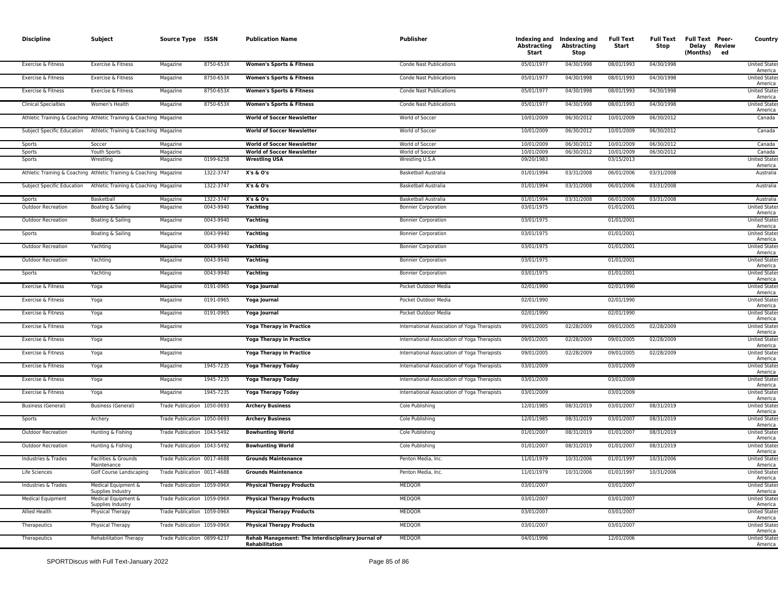| <b>Discipline</b>           | Subject                                                            | Source Type ISSN            |           | <b>Publication Name</b>                                              | <b>Publisher</b>                             | <b>Abstracting</b><br>Start | Indexing and Indexing and<br><b>Abstracting</b><br><b>Stop</b> | <b>Full Text</b><br>Start | Full Text<br>Stop | Full Text Peer-<br>Delay Review<br>(Months) ed | Country                         |
|-----------------------------|--------------------------------------------------------------------|-----------------------------|-----------|----------------------------------------------------------------------|----------------------------------------------|-----------------------------|----------------------------------------------------------------|---------------------------|-------------------|------------------------------------------------|---------------------------------|
| Exercise & Fitness          | Exercise & Fitness                                                 | Magazine                    | 8750-653X | <b>Women's Sports &amp; Fitness</b>                                  | Conde Nast Publications                      | 05/01/1977                  | 04/30/1998                                                     | 08/01/1993                | 04/30/1998        |                                                | <b>United State:</b><br>America |
| Exercise & Fitness          | Exercise & Fitness                                                 | Magazine                    | 8750-653X | <b>Women's Sports &amp; Fitness</b>                                  | <b>Conde Nast Publications</b>               | 05/01/1977                  | 04/30/1998                                                     | 08/01/1993                | 04/30/1998        |                                                | <b>United State:</b><br>America |
| Exercise & Fitness          | Exercise & Fitness                                                 | Magazine                    | 8750-653X | <b>Women's Sports &amp; Fitness</b>                                  | Conde Nast Publications                      | 05/01/1977                  | 04/30/1998                                                     | 08/01/1993                | 04/30/1998        |                                                | <b>United State:</b><br>America |
| <b>Clinical Specialties</b> | Women's Health                                                     | Magazine                    | 8750-653X | <b>Women's Sports &amp; Fitness</b>                                  | <b>Conde Nast Publications</b>               | 05/01/1977                  | 04/30/1998                                                     | 08/01/1993                | 04/30/1998        |                                                | <b>United State:</b><br>America |
|                             | Athletic Training & Coaching Athletic Training & Coaching Magazine |                             |           | <b>World of Soccer Newsletter</b>                                    | World of Soccer                              | 10/01/2009                  | 06/30/2012                                                     | 10/01/2009                | 06/30/2012        |                                                | Canada                          |
| Subject Specific Education  | Athletic Training & Coaching Magazine                              |                             |           | <b>World of Soccer Newsletter</b>                                    | World of Soccer                              | 10/01/2009                  | 06/30/2012                                                     | 10/01/2009                | 06/30/2012        |                                                | Canada                          |
| Sports                      | Soccer                                                             | Magazine                    |           | <b>World of Soccer Newsletter</b>                                    | World of Soccer                              | 10/01/2009                  | 06/30/2012                                                     | 10/01/2009                | 06/30/2012        |                                                | Canada                          |
| Sports                      | Youth Sports                                                       | Magazine                    |           | <b>World of Soccer Newsletter</b>                                    | World of Soccer                              | 10/01/2009                  | 06/30/2012                                                     | 10/01/2009                | 06/30/2012        |                                                | Canada                          |
| Sports                      | Wrestling                                                          | Magazine                    | 0199-6258 | <b>Wrestling USA</b>                                                 | Wrestling U.S.A                              | 09/20/1983                  |                                                                | 03/15/2013                |                   |                                                | <b>United State:</b><br>America |
|                             | Athletic Training & Coaching Athletic Training & Coaching Magazine |                             | 1322-3747 | X's & O's                                                            | Basketball Australia                         | 01/01/1994                  | 03/31/2008                                                     | 06/01/2006                | 03/31/2008        |                                                | Australia                       |
|                             | Subject Specific Education Athletic Training & Coaching Magazine   |                             | 1322-3747 | X's & O's                                                            | Basketball Australia                         | 01/01/1994                  | 03/31/2008                                                     | 06/01/2006                | 03/31/2008        |                                                | Australia                       |
| Sports                      | Basketball                                                         | Magazine                    | 1322-3747 | X's & O's                                                            | Basketball Australia                         | 01/01/1994                  | 03/31/2008                                                     | 06/01/2006                | 03/31/2008        |                                                | Australia                       |
| <b>Outdoor Recreation</b>   | Boating & Sailing                                                  | Magazine                    | 0043-9940 | Yachting                                                             | <b>Bonnier Corporation</b>                   | 03/01/1975                  |                                                                | 01/01/2001                |                   |                                                | <b>United State</b><br>America  |
| <b>Outdoor Recreation</b>   | Boating & Sailing                                                  | Magazine                    | 0043-9940 | Yachting                                                             | <b>Bonnier Corporation</b>                   | 03/01/1975                  |                                                                | 01/01/2001                |                   |                                                | <b>United State:</b><br>America |
| Sports                      | Boating & Sailing                                                  | Magazine                    | 0043-9940 | Yachting                                                             | <b>Bonnier Corporation</b>                   | 03/01/1975                  |                                                                | 01/01/2001                |                   |                                                | <b>United State</b><br>America  |
| <b>Outdoor Recreation</b>   | Yachting                                                           | Magazine                    | 0043-9940 | Yachting                                                             | <b>Bonnier Corporation</b>                   | 03/01/1975                  |                                                                | 01/01/2001                |                   |                                                | <b>United State:</b><br>America |
| <b>Outdoor Recreation</b>   | Yachting                                                           | Magazine                    | 0043-9940 | Yachting                                                             | <b>Bonnier Corporation</b>                   | 03/01/1975                  |                                                                | 01/01/2001                |                   |                                                | <b>United State</b><br>America  |
| Sports                      | Yachting                                                           | Magazine                    | 0043-9940 | Yachting                                                             | <b>Bonnier Corporation</b>                   | 03/01/1975                  |                                                                | 01/01/2001                |                   |                                                | <b>United State:</b><br>America |
| Exercise & Fitness          | Yoga                                                               | Magazine                    | 0191-0965 | Yoga Journal                                                         | Pocket Outdoor Media                         | 02/01/1990                  |                                                                | 02/01/1990                |                   |                                                | <b>United State</b><br>America  |
| Exercise & Fitness          | Yoga                                                               | Magazine                    | 0191-0965 | Yoga Journal                                                         | Pocket Outdoor Media                         | 02/01/1990                  |                                                                | 02/01/1990                |                   |                                                | <b>United State:</b><br>America |
| Exercise & Fitness          | Yoga                                                               | Magazine                    | 0191-0965 | Yoga Journal                                                         | Pocket Outdoor Media                         | 02/01/1990                  |                                                                | 02/01/1990                |                   |                                                | <b>United State</b><br>America  |
| Exercise & Fitness          | Yoga                                                               | Magazine                    |           | Yoga Therapy in Practice                                             | International Association of Yoga Therapists | 09/01/2005                  | 02/28/2009                                                     | 09/01/2005                | 02/28/2009        |                                                | <b>United State:</b><br>America |
| Exercise & Fitness          | Yoga                                                               | Magazine                    |           | Yoga Therapy in Practice                                             | International Association of Yoga Therapists | 09/01/2005                  | 02/28/2009                                                     | 09/01/2005                | 02/28/2009        |                                                | <b>United State</b><br>America  |
| Exercise & Fitness          | Yoga                                                               | Magazine                    |           | Yoga Therapy in Practice                                             | International Association of Yoga Therapists | 09/01/2005                  | 02/28/2009                                                     | 09/01/2005                | 02/28/2009        |                                                | <b>United State:</b><br>America |
| Exercise & Fitness          | Yoga                                                               | Magazine                    | 1945-7235 | <b>Yoga Therapy Today</b>                                            | International Association of Yoga Therapists | 03/01/2009                  |                                                                | 03/01/2009                |                   |                                                | <b>United State</b><br>America  |
| Exercise & Fitness          | Yoga                                                               | Magazine                    | 1945-7235 | <b>Yoga Therapy Today</b>                                            | International Association of Yoga Therapists | 03/01/2009                  |                                                                | 03/01/2009                |                   |                                                | <b>United State:</b><br>America |
| Exercise & Fitness          | Yoga                                                               | Magazine                    | 1945-7235 | Yoga Therapy Today                                                   | International Association of Yoga Therapists | 03/01/2009                  |                                                                | 03/01/2009                |                   |                                                | <b>United State</b><br>America  |
| <b>Business (General)</b>   | <b>Business (General)</b>                                          | Trade Publication 1050-0693 |           | <b>Archery Business</b>                                              | Cole Publishing                              | 12/01/1985                  | 08/31/2019                                                     | 03/01/2007                | 08/31/2019        |                                                | <b>United State:</b><br>America |
| Sports                      | Archery                                                            | Trade Publication 1050-0693 |           | <b>Archery Business</b>                                              | Cole Publishing                              | 12/01/1985                  | 08/31/2019                                                     | 03/01/2007                | 08/31/2019        |                                                | <b>United State</b><br>America  |
| <b>Outdoor Recreation</b>   | Hunting & Fishing                                                  | Trade Publication 1043-5492 |           | <b>Bowhunting World</b>                                              | Cole Publishing                              | 01/01/2007                  | 08/31/2019                                                     | 01/01/2007                | 08/31/2019        |                                                | <b>United State:</b><br>America |
| <b>Outdoor Recreation</b>   | Hunting & Fishing                                                  | Trade Publication 1043-5492 |           | <b>Bowhunting World</b>                                              | Cole Publishing                              | 01/01/2007                  | 08/31/2019                                                     | 01/01/2007                | 08/31/2019        |                                                | <b>United State</b><br>America  |
| Industries & Trades         | Facilities & Grounds<br>Maintenance                                | Trade Publication 0017-4688 |           | <b>Grounds Maintenance</b>                                           | Penton Media, Inc.                           | 11/01/1979                  | 10/31/2006                                                     | 01/01/1997                | 10/31/2006        |                                                | <b>United State</b><br>America  |
| Life Sciences               | Golf Course Landscaping                                            | Trade Publication 0017-4688 |           | <b>Grounds Maintenance</b>                                           | Penton Media, Inc.                           | 11/01/1979                  | 10/31/2006                                                     | 01/01/1997                | 10/31/2006        |                                                | <b>United State:</b><br>America |
| Industries & Trades         | Medical Equipment &<br>Supplies Industry                           | Trade Publication 1059-096X |           | <b>Physical Therapy Products</b>                                     | <b>MEDQOR</b>                                | 03/01/2007                  |                                                                | 03/01/2007                |                   |                                                | <b>United States</b><br>America |
| <b>Medical Equipment</b>    | Medical Equipment &<br>Supplies Industry                           | Trade Publication 1059-096X |           | <b>Physical Therapy Products</b>                                     | <b>MEDQOR</b>                                | 03/01/2007                  |                                                                | 03/01/2007                |                   |                                                | <b>United State</b><br>America  |
| Allied Health               | Physical Therapy                                                   | Trade Publication 1059-096X |           | <b>Physical Therapy Products</b>                                     | MEDQOR                                       | 03/01/2007                  |                                                                | 03/01/2007                |                   |                                                | <b>United States</b><br>America |
| Therapeutics                | Physical Therapy                                                   | Trade Publication 1059-096X |           | <b>Physical Therapy Products</b>                                     | <b>MEDQOR</b>                                | 03/01/2007                  |                                                                | 03/01/2007                |                   |                                                | <b>United State:</b><br>America |
| Therapeutics                | Rehabilitation Therapy                                             | Trade Publication 0899-6237 |           | Rehab Management: The Interdisciplinary Journal of<br>Rehabilitation | MEDQOR                                       | 04/01/1996                  |                                                                | 12/01/2006                |                   |                                                | <b>United State:</b><br>America |
|                             |                                                                    |                             |           |                                                                      |                                              |                             |                                                                |                           |                   |                                                |                                 |